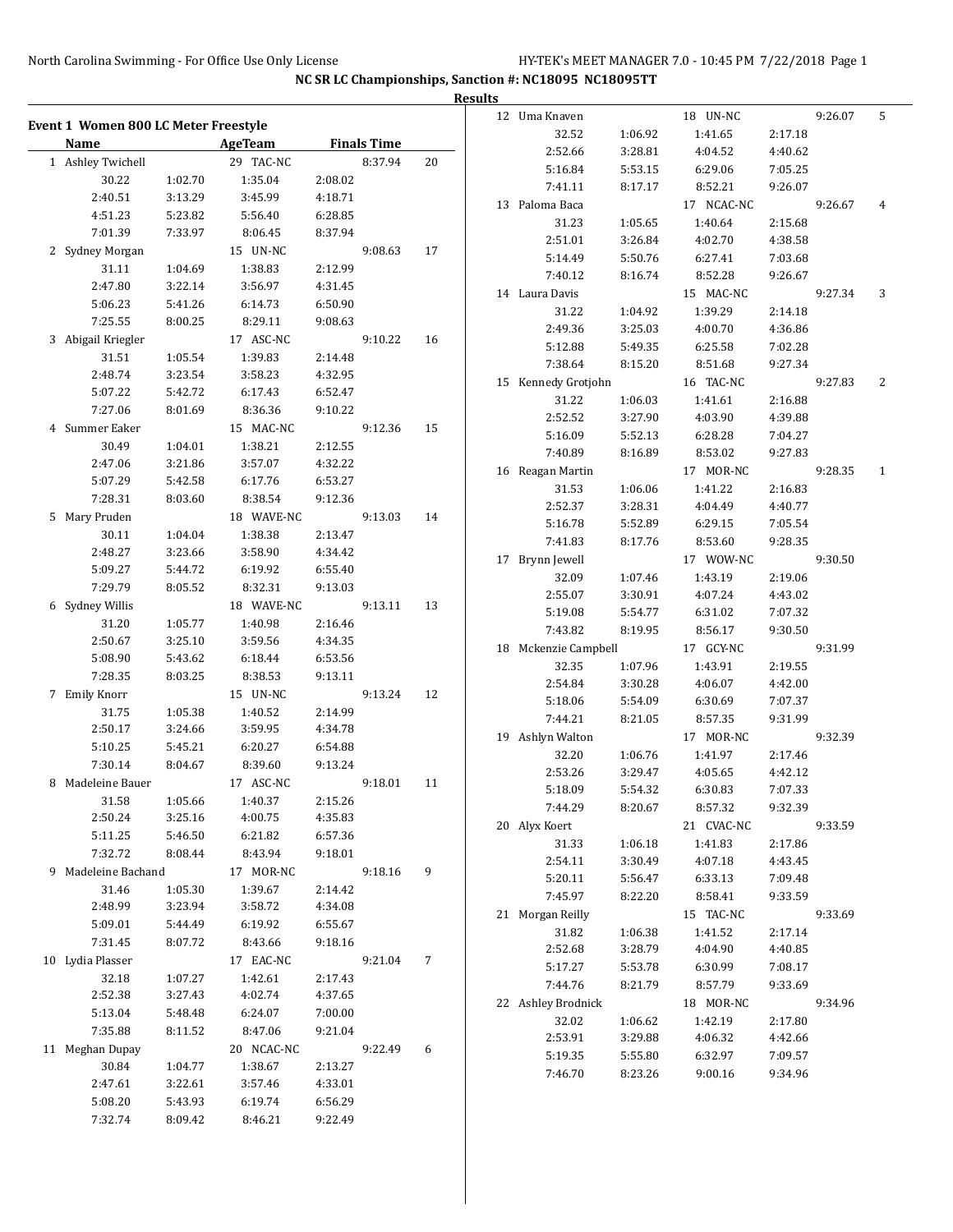|                                      |         |            |         |                    |     | <b>Results</b> |                      |         |                    |         |         |   |
|--------------------------------------|---------|------------|---------|--------------------|-----|----------------|----------------------|---------|--------------------|---------|---------|---|
| Event 1 Women 800 LC Meter Freestyle |         |            |         |                    |     |                | 12 Uma Knaven        |         | 18 UN-NC           |         | 9:26.07 | 5 |
| Name                                 |         | AgeTeam    |         | <b>Finals Time</b> |     |                | 32.52                | 1:06.92 | 1:41.65            | 2:17.18 |         |   |
|                                      |         |            |         |                    |     |                | 2:52.66              | 3:28.81 | 4:04.52            | 4:40.62 |         |   |
| 1 Ashley Twichell                    |         | 29 TAC-NC  |         | 8:37.94            | 20  |                | 5:16.84              | 5:53.15 | 6:29.06            | 7:05.25 |         |   |
| 30.22                                | 1:02.70 | 1:35.04    | 2:08.02 |                    |     |                | 7:41.11              | 8:17.17 | 8:52.21            | 9:26.07 |         |   |
| 2:40.51                              | 3:13.29 | 3:45.99    | 4:18.71 |                    |     |                | 13 Paloma Baca       |         | 17 NCAC-NC         |         | 9:26.67 | 4 |
| 4:51.23                              | 5:23.82 | 5:56.40    | 6:28.85 |                    |     |                | 31.23                | 1:05.65 | 1:40.64            | 2:15.68 |         |   |
| 7:01.39                              | 7:33.97 | 8:06.45    | 8:37.94 |                    |     |                | 2:51.01              | 3:26.84 | 4:02.70            | 4:38.58 |         |   |
| 2 Sydney Morgan                      |         | 15 UN-NC   |         | 9:08.63            | 17  |                | 5:14.49              | 5:50.76 | 6:27.41            | 7:03.68 |         |   |
| 31.11                                | 1:04.69 | 1:38.83    | 2:12.99 |                    |     |                | 7:40.12              | 8:16.74 | 8:52.28            | 9:26.67 |         |   |
| 2:47.80                              | 3:22.14 | 3:56.97    | 4:31.45 |                    |     |                | 14 Laura Davis       |         | 15 MAC-NC          |         | 9:27.34 | 3 |
| 5:06.23                              | 5:41.26 | 6:14.73    | 6:50.90 |                    |     |                | 31.22                | 1:04.92 | 1:39.29            | 2:14.18 |         |   |
| 7:25.55                              | 8:00.25 | 8:29.11    | 9:08.63 |                    |     |                | 2:49.36              | 3:25.03 | 4:00.70            | 4:36.86 |         |   |
| 3 Abigail Kriegler                   |         | 17 ASC-NC  |         | 9:10.22            | 16  |                | 5:12.88              | 5:49.35 | 6:25.58            | 7:02.28 |         |   |
| 31.51                                | 1:05.54 | 1:39.83    | 2:14.48 |                    |     |                | 7:38.64              | 8:15.20 | 8:51.68            | 9:27.34 |         |   |
| 2:48.74                              | 3:23.54 | 3:58.23    | 4:32.95 |                    |     |                | 15 Kennedy Grotjohn  |         | 16 TAC-NC          |         | 9:27.83 | 2 |
| 5:07.22                              | 5:42.72 | 6:17.43    | 6:52.47 |                    |     |                | 31.22                | 1:06.03 | 1:41.61            | 2:16.88 |         |   |
| 7:27.06                              | 8:01.69 | 8:36.36    | 9:10.22 |                    |     |                | 2:52.52              | 3:27.90 | 4:03.90            | 4:39.88 |         |   |
| 4 Summer Eaker                       |         | 15 MAC-NC  |         | 9:12.36            | 15  |                | 5:16.09              | 5:52.13 | 6:28.28            | 7:04.27 |         |   |
| 30.49                                | 1:04.01 | 1:38.21    | 2:12.55 |                    |     |                | 7:40.89              | 8:16.89 | 8:53.02            | 9:27.83 |         |   |
| 2:47.06                              | 3:21.86 | 3:57.07    | 4:32.22 |                    |     |                | 16 Reagan Martin     |         | 17 MOR-NC          |         | 9:28.35 | 1 |
| 5:07.29                              | 5:42.58 | 6:17.76    | 6:53.27 |                    |     |                | 31.53                | 1:06.06 | 1:41.22            | 2:16.83 |         |   |
| 7:28.31                              | 8:03.60 | 8:38.54    | 9:12.36 |                    |     |                | 2:52.37              | 3:28.31 | 4:04.49            | 4:40.77 |         |   |
| 5 Mary Pruden                        |         | 18 WAVE-NC |         | 9:13.03            | 14  |                | 5:16.78              | 5:52.89 | 6:29.15            | 7:05.54 |         |   |
| 30.11                                | 1:04.04 | 1:38.38    | 2:13.47 |                    |     |                | 7:41.83              | 8:17.76 | 8:53.60            | 9:28.35 |         |   |
| 2:48.27                              | 3:23.66 | 3:58.90    | 4:34.42 |                    |     |                | 17 Brynn Jewell      |         | 17 WOW-NC          |         | 9:30.50 |   |
| 5:09.27                              | 5:44.72 | 6:19.92    | 6:55.40 |                    |     |                | 32.09                | 1:07.46 | 1:43.19            | 2:19.06 |         |   |
| 7:29.79                              | 8:05.52 | 8:32.31    | 9:13.03 |                    |     |                | 2:55.07              | 3:30.91 | 4:07.24            | 4:43.02 |         |   |
| 6 Sydney Willis                      |         | 18 WAVE-NC |         | 9:13.11            | 13  |                | 5:19.08              | 5:54.77 | 6:31.02            | 7:07.32 |         |   |
| 31.20                                | 1:05.77 | 1:40.98    | 2:16.46 |                    |     |                | 7:43.82              | 8:19.95 | 8:56.17            | 9:30.50 |         |   |
| 2:50.67                              | 3:25.10 | 3:59.56    | 4:34.35 |                    |     |                | 18 Mckenzie Campbell |         | 17 GCY-NC          |         | 9:31.99 |   |
| 5:08.90                              | 5:43.62 | 6:18.44    | 6:53.56 |                    |     |                | 32.35                | 1:07.96 | 1:43.91            | 2:19.55 |         |   |
| 7:28.35                              | 8:03.25 | 8:38.53    | 9:13.11 |                    |     |                | 2:54.84              | 3:30.28 | 4:06.07            | 4:42.00 |         |   |
| 7 Emily Knorr                        |         | 15 UN-NC   |         | 9:13.24            | 12  |                | 5:18.06              | 5:54.09 | 6:30.69            | 7:07.37 |         |   |
| 31.75                                | 1:05.38 | 1:40.52    | 2:14.99 |                    |     |                | 7:44.21              | 8:21.05 | 8:57.35            | 9:31.99 |         |   |
| 2:50.17                              | 3:24.66 | 3:59.95    | 4:34.78 |                    |     |                | 19 Ashlyn Walton     |         | 17 MOR-NC          |         | 9:32.39 |   |
| 5:10.25                              | 5:45.21 | 6:20.27    | 6:54.88 |                    |     |                |                      |         |                    |         |         |   |
| 7:30.14                              | 8:04.67 | 8:39.60    | 9:13.24 |                    |     |                | 32.20                | 1:06.76 | 1:41.97<br>4:05.65 | 2:17.46 |         |   |
| 8 Madeleine Bauer                    |         | 17 ASC-NC  |         | 9:18.01            | -11 |                | 2:53.26              | 3:29.47 |                    | 4:42.12 |         |   |
| 31.58                                | 1:05.66 | 1:40.37    | 2:15.26 |                    |     |                | 5:18.09              | 5:54.32 | 6:30.83            | 7:07.33 |         |   |
| 2:50.24                              | 3:25.16 | 4:00.75    | 4:35.83 |                    |     |                | 7:44.29              | 8:20.67 | 8:57.32            | 9:32.39 |         |   |
| 5:11.25                              | 5:46.50 | 6:21.82    | 6:57.36 |                    |     |                | 20 Alyx Koert        |         | 21 CVAC-NC         |         | 9:33.59 |   |
| 7:32.72                              | 8:08.44 | 8:43.94    | 9:18.01 |                    |     |                | 31.33                | 1:06.18 | 1:41.83            | 2:17.86 |         |   |
| 9 Madeleine Bachand                  |         | 17 MOR-NC  |         | 9:18.16            | 9   |                | 2:54.11              | 3:30.49 | 4:07.18            | 4:43.45 |         |   |
| 31.46                                | 1:05.30 | 1:39.67    | 2:14.42 |                    |     |                | 5:20.11<br>7:45.97   | 5:56.47 | 6:33.13            | 7:09.48 |         |   |
| 2:48.99                              | 3:23.94 | 3:58.72    | 4:34.08 |                    |     |                |                      | 8:22.20 | 8:58.41            | 9:33.59 |         |   |
| 5:09.01                              | 5:44.49 | 6:19.92    | 6:55.67 |                    |     |                | 21 Morgan Reilly     |         | 15 TAC-NC          |         | 9:33.69 |   |
| 7:31.45                              | 8:07.72 | 8:43.66    | 9:18.16 |                    |     |                | 31.82                | 1:06.38 | 1:41.52            | 2:17.14 |         |   |
| 10 Lydia Plasser                     |         | 17 EAC-NC  |         | 9:21.04            | 7   |                | 2:52.68              | 3:28.79 | 4:04.90            | 4:40.85 |         |   |
| 32.18                                | 1:07.27 | 1:42.61    | 2:17.43 |                    |     |                | 5:17.27              | 5:53.78 | 6:30.99            | 7:08.17 |         |   |
| 2:52.38                              | 3:27.43 | 4:02.74    | 4:37.65 |                    |     |                | 7:44.76              | 8:21.79 | 8:57.79            | 9:33.69 |         |   |
| 5:13.04                              | 5:48.48 | 6:24.07    | 7:00.00 |                    |     |                | 22 Ashley Brodnick   |         | 18 MOR-NC          |         | 9:34.96 |   |
| 7:35.88                              | 8:11.52 | 8:47.06    | 9:21.04 |                    |     |                | 32.02                | 1:06.62 | 1:42.19            | 2:17.80 |         |   |
| 11 Meghan Dupay                      |         | 20 NCAC-NC |         | 9:22.49            | 6   |                | 2:53.91              | 3:29.88 | 4:06.32            | 4:42.66 |         |   |
| 30.84                                | 1:04.77 | 1:38.67    | 2:13.27 |                    |     |                | 5:19.35              | 5:55.80 | 6:32.97            | 7:09.57 |         |   |
| 2:47.61                              | 3:22.61 | 3:57.46    | 4:33.01 |                    |     |                | 7:46.70              | 8:23.26 | 9:00.16            | 9:34.96 |         |   |
| 5:08.20                              | 5:43.93 | 6:19.74    | 6:56.29 |                    |     |                |                      |         |                    |         |         |   |
| 7:32.74                              | 8:09.42 | 8:46.21    | 9:22.49 |                    |     |                |                      |         |                    |         |         |   |
|                                      |         |            |         |                    |     |                |                      |         |                    |         |         |   |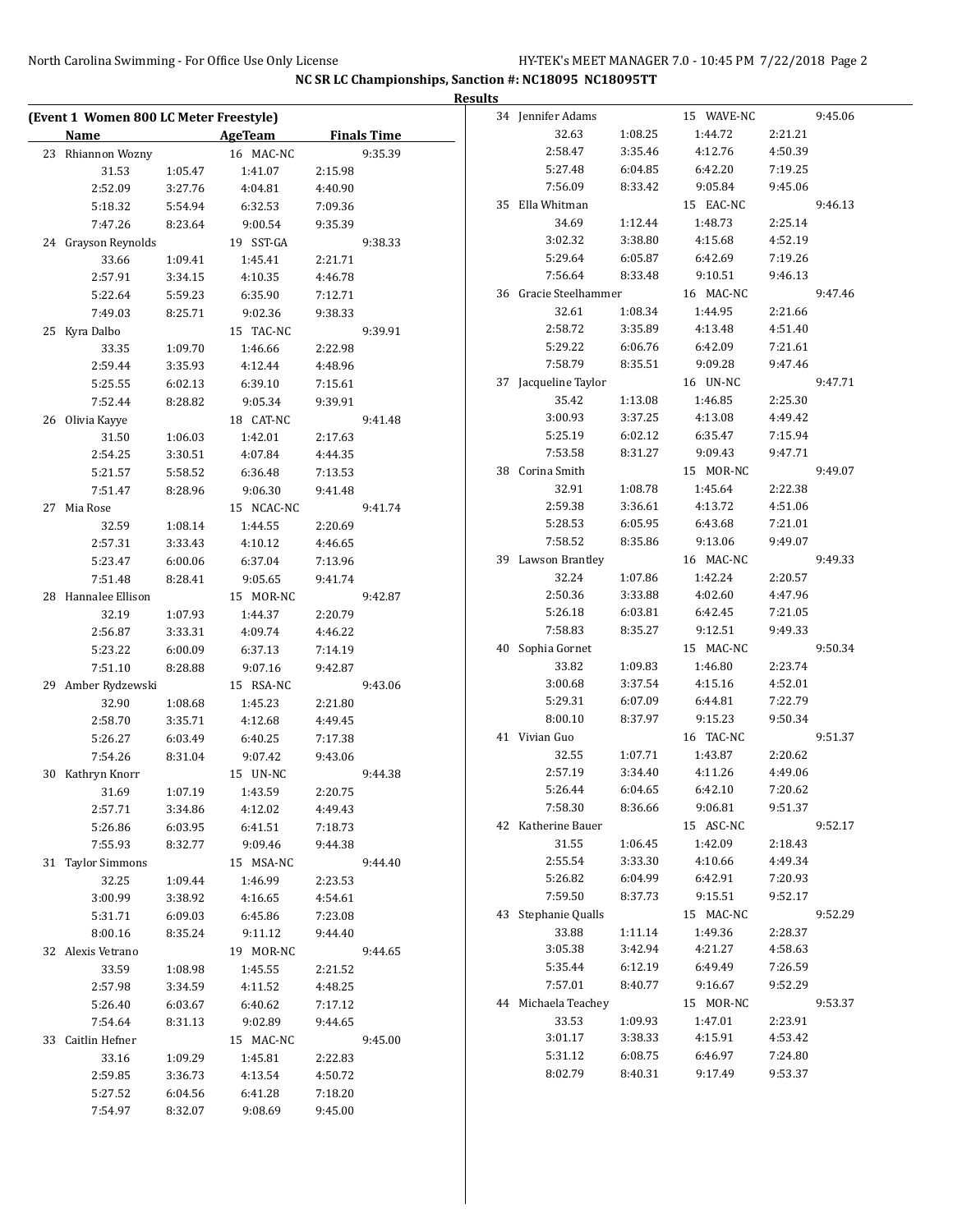|                                        |         |            |         |                    | <b>Results</b> |                       |         |            |         |         |
|----------------------------------------|---------|------------|---------|--------------------|----------------|-----------------------|---------|------------|---------|---------|
| (Event 1 Women 800 LC Meter Freestyle) |         |            |         |                    |                | 34 Jennifer Adams     |         | 15 WAVE-NC |         | 9:45.06 |
| <b>Name</b>                            |         | AgeTeam    |         | <b>Finals Time</b> |                | 32.63                 | 1:08.25 | 1:44.72    | 2:21.21 |         |
| 23 Rhiannon Wozny                      |         | 16 MAC-NC  |         | 9:35.39            |                | 2:58.47               | 3:35.46 | 4:12.76    | 4:50.39 |         |
| 31.53                                  | 1:05.47 | 1:41.07    | 2:15.98 |                    |                | 5:27.48               | 6:04.85 | 6:42.20    | 7:19.25 |         |
| 2:52.09                                | 3:27.76 | 4:04.81    | 4:40.90 |                    |                | 7:56.09               | 8:33.42 | 9:05.84    | 9:45.06 |         |
| 5:18.32                                | 5:54.94 | 6:32.53    | 7:09.36 |                    |                | 35 Ella Whitman       |         | 15 EAC-NC  |         | 9:46.13 |
| 7:47.26                                | 8:23.64 | 9:00.54    | 9:35.39 |                    |                | 34.69                 | 1:12.44 | 1:48.73    | 2:25.14 |         |
| 24 Grayson Reynolds                    |         | 19 SST-GA  |         | 9:38.33            |                | 3:02.32               | 3:38.80 | 4:15.68    | 4:52.19 |         |
| 33.66                                  | 1:09.41 | 1:45.41    | 2:21.71 |                    |                | 5:29.64               | 6:05.87 | 6:42.69    | 7:19.26 |         |
| 2:57.91                                | 3:34.15 | 4:10.35    | 4:46.78 |                    |                | 7:56.64               | 8:33.48 | 9:10.51    | 9:46.13 |         |
| 5:22.64                                | 5:59.23 | 6:35.90    | 7:12.71 |                    |                | 36 Gracie Steelhammer |         | 16 MAC-NC  |         | 9:47.46 |
| 7:49.03                                | 8:25.71 | 9:02.36    | 9:38.33 |                    |                | 32.61                 | 1:08.34 | 1:44.95    | 2:21.66 |         |
| 25 Kyra Dalbo                          |         | 15 TAC-NC  |         | 9:39.91            |                | 2:58.72               | 3:35.89 | 4:13.48    | 4:51.40 |         |
| 33.35                                  | 1:09.70 | 1:46.66    | 2:22.98 |                    |                | 5:29.22               | 6:06.76 | 6:42.09    | 7:21.61 |         |
| 2:59.44                                | 3:35.93 | 4:12.44    | 4:48.96 |                    |                | 7:58.79               | 8:35.51 | 9:09.28    | 9:47.46 |         |
| 5:25.55                                | 6:02.13 | 6:39.10    | 7:15.61 |                    |                | 37 Jacqueline Taylor  |         | 16 UN-NC   |         | 9:47.71 |
| 7:52.44                                | 8:28.82 | 9:05.34    | 9:39.91 |                    |                | 35.42                 | 1:13.08 | 1:46.85    | 2:25.30 |         |
| 26 Olivia Kayye                        |         | 18 CAT-NC  |         | 9:41.48            |                | 3:00.93               | 3:37.25 | 4:13.08    | 4:49.42 |         |
| 31.50                                  | 1:06.03 | 1:42.01    | 2:17.63 |                    |                | 5:25.19               | 6:02.12 | 6:35.47    | 7:15.94 |         |
| 2:54.25                                | 3:30.51 | 4:07.84    | 4:44.35 |                    |                | 7:53.58               | 8:31.27 | 9:09.43    | 9:47.71 |         |
| 5:21.57                                | 5:58.52 | 6:36.48    | 7:13.53 |                    |                | 38 Corina Smith       |         | 15 MOR-NC  |         | 9:49.07 |
| 7:51.47                                | 8:28.96 | 9:06.30    | 9:41.48 |                    |                | 32.91                 | 1:08.78 | 1:45.64    | 2:22.38 |         |
| 27 Mia Rose                            |         | 15 NCAC-NC |         | 9:41.74            |                | 2:59.38               | 3:36.61 | 4:13.72    | 4:51.06 |         |
| 32.59                                  | 1:08.14 | 1:44.55    | 2:20.69 |                    |                | 5:28.53               | 6:05.95 | 6:43.68    | 7:21.01 |         |
| 2:57.31                                | 3:33.43 | 4:10.12    | 4:46.65 |                    |                | 7:58.52               | 8:35.86 | 9:13.06    | 9:49.07 |         |
| 5:23.47                                | 6:00.06 | 6:37.04    | 7:13.96 |                    |                | 39 Lawson Brantley    |         | 16 MAC-NC  |         | 9:49.33 |
| 7:51.48                                | 8:28.41 | 9:05.65    | 9:41.74 |                    |                | 32.24                 | 1:07.86 | 1:42.24    | 2:20.57 |         |
| 28 Hannalee Ellison                    |         | 15 MOR-NC  |         | 9:42.87            |                | 2:50.36               | 3:33.88 | 4:02.60    | 4:47.96 |         |
| 32.19                                  | 1:07.93 | 1:44.37    | 2:20.79 |                    |                | 5:26.18               | 6:03.81 | 6:42.45    | 7:21.05 |         |
| 2:56.87                                | 3:33.31 | 4:09.74    | 4:46.22 |                    |                | 7:58.83               | 8:35.27 | 9:12.51    | 9:49.33 |         |
| 5:23.22                                | 6:00.09 | 6:37.13    | 7:14.19 |                    |                | 40 Sophia Gornet      |         | 15 MAC-NC  |         | 9:50.34 |
| 7:51.10                                | 8:28.88 | 9:07.16    | 9:42.87 |                    |                | 33.82                 | 1:09.83 | 1:46.80    | 2:23.74 |         |
| 29 Amber Rydzewski                     |         | 15 RSA-NC  |         | 9:43.06            |                | 3:00.68               | 3:37.54 | 4:15.16    | 4:52.01 |         |
| 32.90                                  | 1:08.68 | 1:45.23    | 2:21.80 |                    |                | 5:29.31               | 6:07.09 | 6:44.81    | 7:22.79 |         |
| 2:58.70                                | 3:35.71 | 4:12.68    | 4:49.45 |                    |                | 8:00.10               | 8:37.97 | 9:15.23    | 9:50.34 |         |
| 5:26.27                                | 6:03.49 | 6:40.25    | 7:17.38 |                    |                | 41 Vivian Guo         |         | 16 TAC-NC  |         | 9:51.37 |
| 7:54.26                                | 8:31.04 | 9:07.42    | 9:43.06 |                    |                | 32.55                 | 1:07.71 | 1:43.87    | 2:20.62 |         |
| 30 Kathryn Knorr                       |         | 15 UN-NC   |         | 9:44.38            |                | 2:57.19               | 3:34.40 | 4:11.26    | 4:49.06 |         |
| 31.69                                  | 1:07.19 | 1:43.59    | 2:20.75 |                    |                | 5:26.44               | 6:04.65 | 6:42.10    | 7:20.62 |         |
| 2:57.71                                | 3:34.86 | 4:12.02    | 4:49.43 |                    |                | 7:58.30               | 8:36.66 | 9:06.81    | 9:51.37 |         |
| 5:26.86                                | 6:03.95 | 6:41.51    | 7:18.73 |                    |                | 42 Katherine Bauer    |         | 15 ASC-NC  |         | 9:52.17 |
| 7:55.93                                | 8:32.77 | 9:09.46    | 9:44.38 |                    |                | 31.55                 | 1:06.45 | 1:42.09    | 2:18.43 |         |
| 31 Taylor Simmons                      |         | 15 MSA-NC  |         | 9:44.40            |                | 2:55.54               | 3:33.30 | 4:10.66    | 4:49.34 |         |
| 32.25                                  | 1:09.44 | 1:46.99    | 2:23.53 |                    |                | 5:26.82               | 6:04.99 | 6:42.91    | 7:20.93 |         |
| 3:00.99                                | 3:38.92 | 4:16.65    | 4:54.61 |                    |                | 7:59.50               | 8.37.73 | 9:15.51    | 9:52.17 |         |
| 5:31.71                                | 6:09.03 | 6:45.86    | 7:23.08 |                    |                | 43 Stephanie Qualls   |         | 15 MAC-NC  |         | 9:52.29 |
| 8:00.16                                | 8:35.24 | 9:11.12    | 9:44.40 |                    |                | 33.88                 | 1:11.14 | 1:49.36    | 2:28.37 |         |
| 32 Alexis Vetrano                      |         | 19 MOR-NC  |         | 9:44.65            |                | 3:05.38               | 3:42.94 | 4:21.27    | 4:58.63 |         |
| 33.59                                  | 1:08.98 | 1:45.55    | 2:21.52 |                    |                | 5:35.44               | 6:12.19 | 6:49.49    | 7:26.59 |         |
| 2:57.98                                | 3:34.59 | 4:11.52    | 4:48.25 |                    |                | 7:57.01               | 8:40.77 | 9:16.67    | 9:52.29 |         |
| 5:26.40                                | 6:03.67 | 6:40.62    | 7:17.12 |                    |                | 44 Michaela Teachey   |         | 15 MOR-NC  |         | 9:53.37 |
| 7:54.64                                | 8:31.13 | 9:02.89    | 9:44.65 |                    |                | 33.53                 | 1:09.93 | 1:47.01    | 2:23.91 |         |
| 33 Caitlin Hefner                      |         | 15 MAC-NC  |         | 9:45.00            |                | 3:01.17               | 3:38.33 | 4:15.91    | 4:53.42 |         |
| 33.16                                  | 1:09.29 | 1:45.81    | 2:22.83 |                    |                | 5:31.12               | 6:08.75 | 6:46.97    | 7:24.80 |         |
| 2:59.85                                | 3:36.73 | 4:13.54    | 4:50.72 |                    |                | 8:02.79               | 8:40.31 | 9:17.49    | 9:53.37 |         |
| 5:27.52                                | 6:04.56 | 6:41.28    | 7:18.20 |                    |                |                       |         |            |         |         |
| 7:54.97                                | 8:32.07 | 9:08.69    | 9:45.00 |                    |                |                       |         |            |         |         |
|                                        |         |            |         |                    |                |                       |         |            |         |         |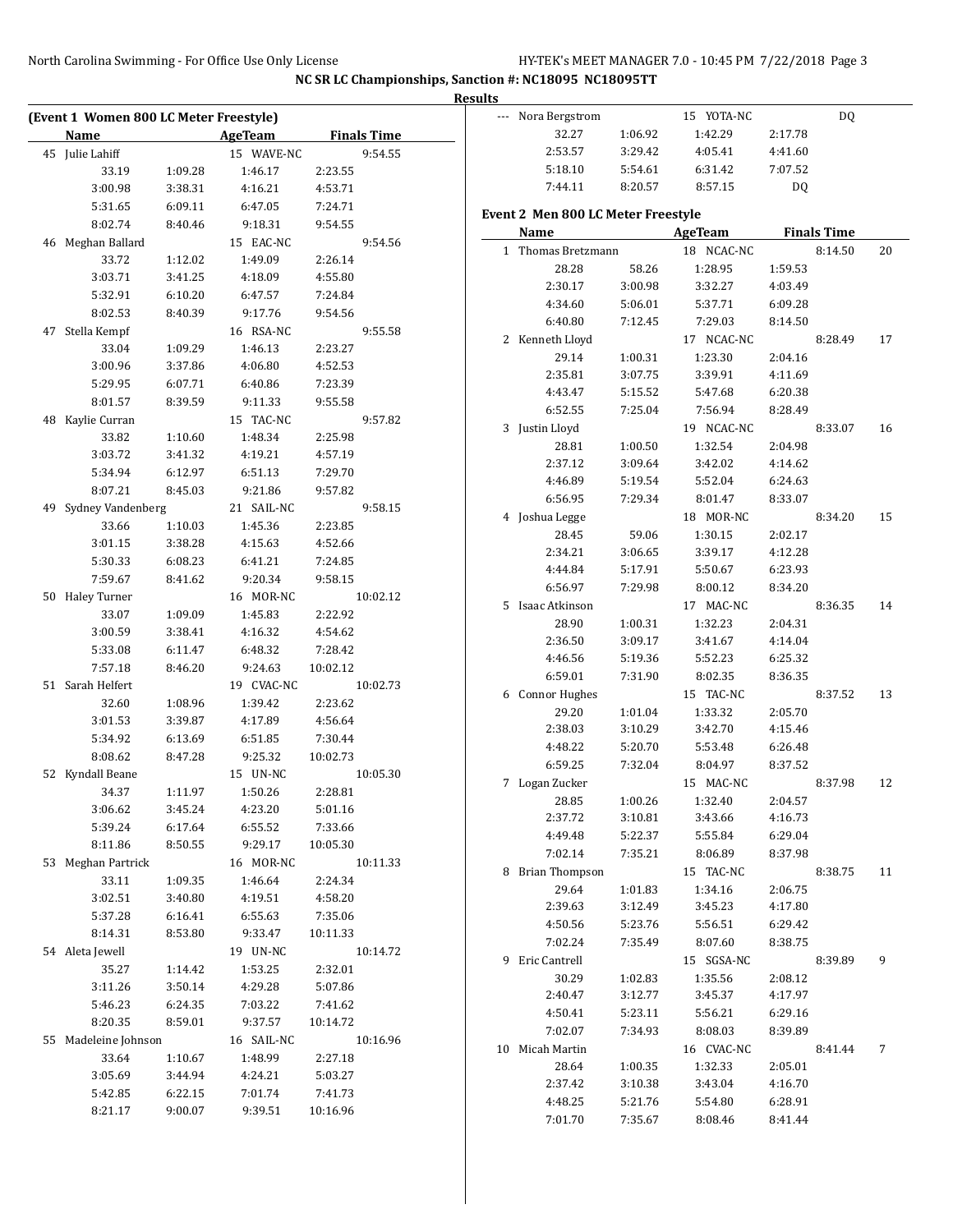|    | (Event 1 Women 800 LC Meter Freestyle) |                    |                |                    |  |
|----|----------------------------------------|--------------------|----------------|--------------------|--|
|    | <b>Name</b>                            |                    | <b>AgeTeam</b> | <b>Finals Time</b> |  |
|    | 45 Julie Lahiff                        |                    | 15 WAVE-NC     | 9:54.55            |  |
|    | 33.19                                  | 1:09.28            | 1:46.17        | 2:23.55            |  |
|    | 3:00.98                                | 3:38.31            | 4:16.21        | 4:53.71            |  |
|    | 5:31.65                                | 6:09.11            | 6:47.05        | 7:24.71            |  |
|    | 8:02.74                                | 8:40.46            | 9:18.31        | 9:54.55            |  |
|    | 46 Meghan Ballard                      |                    | 15 EAC-NC      | 9:54.56            |  |
|    | 33.72                                  | 1:12.02            | 1:49.09        | 2:26.14            |  |
|    | 3:03.71                                | 3:41.25            | 4:18.09        | 4:55.80            |  |
|    | 5:32.91                                | 6:10.20            | 6:47.57        | 7:24.84            |  |
|    | 8:02.53                                | 8:40.39            | 9:17.76        | 9:54.56            |  |
| 47 | Stella Kempf                           |                    | 16 RSA-NC      | 9:55.58            |  |
|    | 33.04                                  | 1:09.29            | 1:46.13        | 2:23.27            |  |
|    | 3:00.96                                | 3:37.86            | 4:06.80        | 4:52.53            |  |
|    | 5:29.95                                | 6:07.71            | 6:40.86        | 7:23.39            |  |
|    | 8:01.57                                | 8:39.59            | 9:11.33        | 9:55.58            |  |
| 48 | Kaylie Curran                          |                    | 15 TAC-NC      | 9:57.82            |  |
|    | 33.82                                  | 1:10.60            | 1:48.34        | 2:25.98            |  |
|    | 3:03.72                                | 3:41.32            | 4:19.21        | 4:57.19            |  |
|    | 5:34.94                                | 6:12.97            | 6:51.13        | 7:29.70            |  |
|    | 8:07.21                                | 8:45.03            | 9:21.86        | 9:57.82            |  |
| 49 | Sydney Vandenberg                      |                    | 21 SAIL-NC     | 9:58.15            |  |
|    | 33.66                                  | 1:10.03            | 1:45.36        | 2:23.85            |  |
|    | 3:01.15                                | 3:38.28            | 4:15.63        | 4:52.66            |  |
|    | 5:30.33                                | 6:08.23            | 6:41.21        | 7:24.85            |  |
|    | 7:59.67                                | 8:41.62            | 9:20.34        | 9:58.15            |  |
| 50 | Haley Turner                           |                    | 16 MOR-NC      | 10:02.12           |  |
|    | 33.07                                  | 1:09.09            | 1:45.83        | 2:22.92            |  |
|    | 3:00.59                                | 3:38.41            | 4:16.32        | 4:54.62            |  |
|    | 5:33.08                                | 6:11.47            | 6:48.32        | 7:28.42            |  |
|    | 7:57.18                                | 8:46.20            | 9:24.63        | 10:02.12           |  |
| 51 | Sarah Helfert                          |                    | 19 CVAC-NC     | 10:02.73           |  |
|    | 32.60                                  | 1:08.96            | 1:39.42        | 2:23.62            |  |
|    | 3:01.53                                | 3:39.87            | 4:17.89        | 4:56.64            |  |
|    | 5:34.92                                | 6:13.69            | 6:51.85        | 7:30.44            |  |
|    | 8:08.62                                | 8:47.28            | 9:25.32        | 10:02.73           |  |
| 52 | Kyndall Beane                          |                    | 15 UN-NC       | 10:05.30           |  |
|    | 34.37                                  | 1:11.97            | 1:50.26        | 2:28.81            |  |
|    | 3:06.62                                | 3:45.24            | 4:23.20        | 5:01.16            |  |
|    | 5:39.24                                | 6:17.64            | 6:55.52        | 7:33.66            |  |
|    | 8:11.86                                | 8:50.55            | 9:29.17        | 10:05.30           |  |
|    | 53 Meghan Partrick                     |                    | 16 MOR-NC      | 10:11.33           |  |
|    | 33.11                                  | 1:09.35            | 1:46.64        | 2:24.34            |  |
|    | 3:02.51                                | 3:40.80            | 4:19.51        | 4:58.20            |  |
|    | 5:37.28                                | 6:16.41            | 6:55.63        | 7:35.06            |  |
|    | 8:14.31                                | 8:53.80            | 9:33.47        | 10:11.33           |  |
|    | 54 Aleta Jewell                        |                    | 19 UN-NC       | 10:14.72           |  |
|    | 35.27                                  | 1:14.42            | 1:53.25        | 2:32.01            |  |
|    | 3:11.26                                | 3:50.14            | 4:29.28        | 5:07.86            |  |
|    | 5:46.23                                | 6:24.35            | 7:03.22        | 7:41.62            |  |
|    | 8:20.35                                | 8:59.01            | 9:37.57        | 10:14.72           |  |
| 55 | Madeleine Johnson                      |                    | 16 SAIL-NC     | 10:16.96           |  |
|    | 33.64                                  | 1:10.67            | 1:48.99        | 2:27.18            |  |
|    | 3:05.69                                | 3:44.94            | 4:24.21        | 5:03.27            |  |
|    | 5:42.85                                |                    | 7:01.74        | 7:41.73            |  |
|    | 8:21.17                                | 6:22.15<br>9:00.07 | 9:39.51        | 10:16.96           |  |

|              | Nora Bergstrom                     |         | 15 YOTA-NC |         | DQ                 |    |
|--------------|------------------------------------|---------|------------|---------|--------------------|----|
|              | 32.27                              | 1:06.92 | 1:42.29    | 2:17.78 |                    |    |
|              | 2:53.57                            | 3:29.42 | 4:05.41    | 4:41.60 |                    |    |
|              | 5:18.10                            | 5:54.61 | 6:31.42    | 7:07.52 |                    |    |
|              | 7:44.11                            | 8:20.57 | 8:57.15    | DQ      |                    |    |
|              | Event 2 Men 800 LC Meter Freestyle |         |            |         |                    |    |
|              | Name                               |         | AgeTeam    |         | <b>Finals Time</b> |    |
| $\mathbf{1}$ | Thomas Bretzmann                   |         | 18 NCAC-NC |         | 8:14.50            | 20 |
|              | 28.28                              | 58.26   | 1:28.95    | 1:59.53 |                    |    |
|              | 2:30.17                            | 3:00.98 | 3:32.27    | 4:03.49 |                    |    |
|              | 4:34.60                            | 5:06.01 | 5:37.71    | 6:09.28 |                    |    |
|              | 6:40.80                            | 7:12.45 | 7:29.03    | 8:14.50 |                    |    |
| 2            | Kenneth Lloyd                      |         | 17 NCAC-NC |         | 8:28.49            | 17 |
|              | 29.14                              | 1:00.31 | 1:23.30    | 2:04.16 |                    |    |
|              | 2:35.81                            | 3:07.75 | 3:39.91    | 4:11.69 |                    |    |
|              | 4:43.47                            | 5:15.52 | 5:47.68    | 6:20.38 |                    |    |
|              | 6:52.55                            | 7:25.04 | 7:56.94    | 8:28.49 |                    |    |
| 3            | Justin Lloyd                       |         | 19 NCAC-NC |         | 8:33.07            | 16 |
|              | 28.81                              | 1:00.50 | 1:32.54    | 2:04.98 |                    |    |
|              | 2:37.12                            | 3:09.64 | 3:42.02    | 4:14.62 |                    |    |
|              | 4:46.89                            | 5:19.54 | 5:52.04    | 6:24.63 |                    |    |
|              | 6:56.95                            | 7:29.34 | 8:01.47    | 8:33.07 |                    |    |
|              | 4 Joshua Legge                     |         | 18 MOR-NC  |         | 8:34.20            | 15 |
|              | 28.45                              | 59.06   | 1:30.15    | 2:02.17 |                    |    |
|              | 2:34.21                            | 3:06.65 | 3:39.17    | 4:12.28 |                    |    |
|              | 4:44.84                            | 5:17.91 | 5:50.67    | 6:23.93 |                    |    |
|              | 6:56.97                            | 7:29.98 | 8:00.12    | 8:34.20 |                    |    |
| 5.           | Isaac Atkinson                     |         | 17 MAC-NC  |         | 8:36.35            | 14 |
|              | 28.90                              | 1:00.31 | 1:32.23    | 2:04.31 |                    |    |
|              | 2:36.50                            | 3:09.17 | 3:41.67    | 4:14.04 |                    |    |
|              | 4:46.56                            | 5:19.36 | 5:52.23    | 6:25.32 |                    |    |
|              | 6:59.01                            | 7:31.90 | 8:02.35    | 8:36.35 |                    |    |
|              | 6 Connor Hughes                    |         | 15 TAC-NC  |         | 8:37.52            | 13 |
|              | 29.20                              | 1:01.04 | 1:33.32    | 2:05.70 |                    |    |
|              | 2:38.03                            | 3:10.29 | 3:42.70    | 4:15.46 |                    |    |
|              | 4:48.22                            | 5:20.70 | 5:53.48    | 6:26.48 |                    |    |
|              | 6:59.25                            | 7:32.04 | 8:04.97    | 8:37.52 |                    |    |
| 7            | Logan Zucker                       |         | 15 MAC-NC  |         | 8:37.98            | 12 |
|              | 28.85                              | 1:00.26 | 1:32.40    | 2:04.57 |                    |    |
|              | 2:37.72                            | 3:10.81 | 3:43.66    | 4:16.73 |                    |    |
|              | 4:49.48                            | 5:22.37 | 5:55.84    | 6:29.04 |                    |    |
|              | 7:02.14                            | 7:35.21 | 8:06.89    | 8:37.98 |                    |    |
|              | 8 Brian Thompson                   |         | 15 TAC-NC  |         | 8:38.75            | 11 |
|              | 29.64                              | 1:01.83 | 1:34.16    | 2:06.75 |                    |    |
|              | 2:39.63                            | 3:12.49 | 3:45.23    | 4:17.80 |                    |    |
|              | 4:50.56                            | 5:23.76 | 5:56.51    | 6:29.42 |                    |    |
|              | 7:02.24                            | 7:35.49 | 8:07.60    | 8:38.75 |                    |    |
| 9.           | Eric Cantrell                      |         | 15 SGSA-NC |         | 8:39.89            | 9  |
|              | 30.29                              | 1:02.83 | 1:35.56    | 2:08.12 |                    |    |
|              | 2:40.47                            | 3:12.77 | 3:45.37    | 4:17.97 |                    |    |
|              | 4:50.41                            | 5:23.11 | 5:56.21    | 6:29.16 |                    |    |
|              | 7:02.07                            | 7:34.93 | 8:08.03    | 8:39.89 |                    |    |
|              | 10 Micah Martin                    |         | 16 CVAC-NC |         | 8:41.44            | 7  |
|              | 28.64                              | 1:00.35 | 1:32.33    | 2:05.01 |                    |    |
|              | 2:37.42                            | 3:10.38 | 3:43.04    | 4:16.70 |                    |    |
|              | 4:48.25                            | 5:21.76 | 5:54.80    | 6:28.91 |                    |    |
|              | 7:01.70                            | 7:35.67 | 8:08.46    | 8:41.44 |                    |    |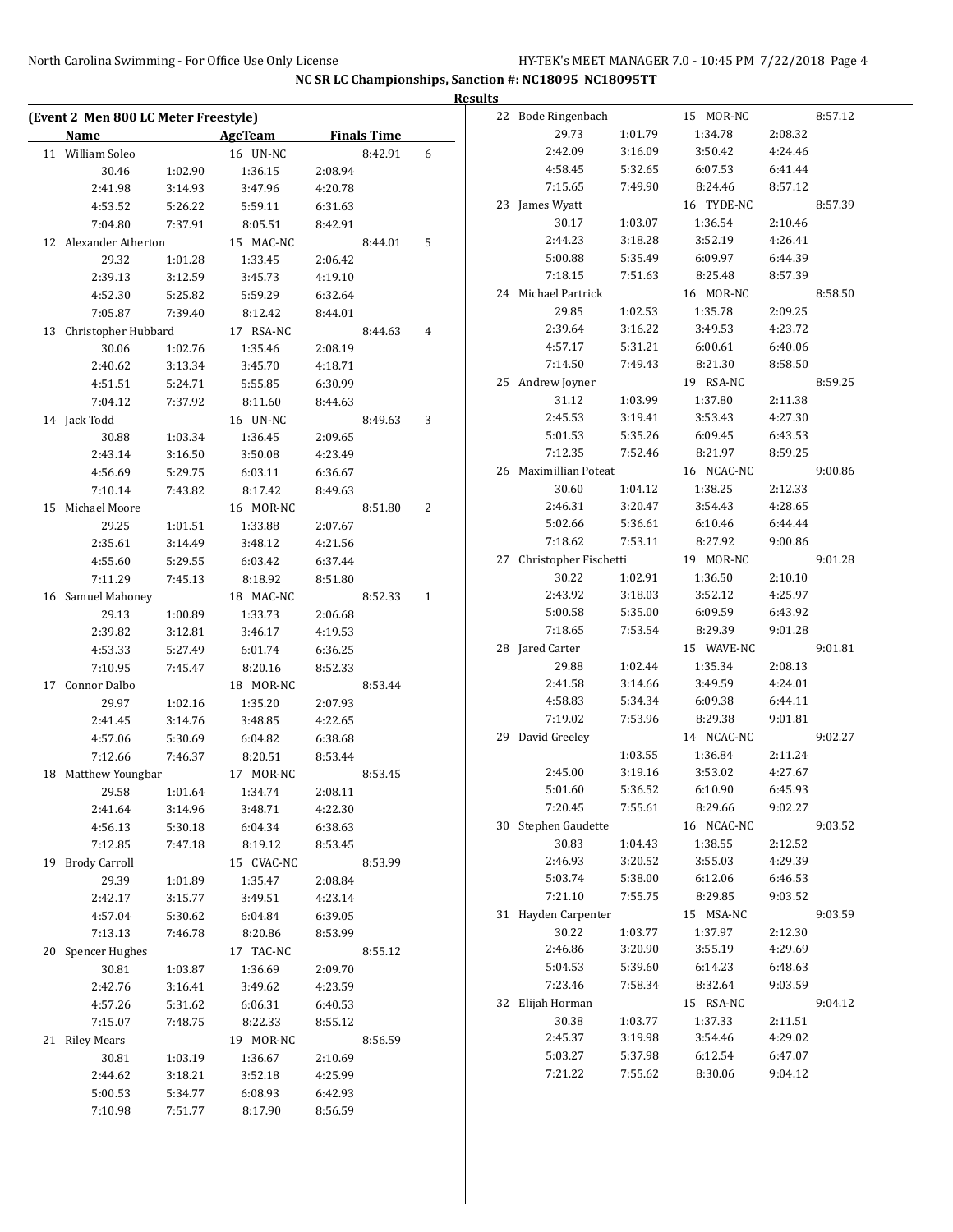|                                      |         |                |         |                    |   | <b>Results</b> |                          |         |            |         |         |
|--------------------------------------|---------|----------------|---------|--------------------|---|----------------|--------------------------|---------|------------|---------|---------|
| (Event 2 Men 800 LC Meter Freestyle) |         |                |         |                    |   |                | 22 Bode Ringenbach       |         | 15 MOR-NC  |         | 8:57.12 |
| <b>Name</b>                          |         | <b>AgeTeam</b> |         | <b>Finals Time</b> |   |                | 29.73                    | 1:01.79 | 1:34.78    | 2:08.32 |         |
| 11 William Soleo                     |         | 16 UN-NC       |         | 8:42.91            | 6 |                | 2:42.09                  | 3:16.09 | 3:50.42    | 4:24.46 |         |
| 30.46                                | 1:02.90 | 1:36.15        | 2:08.94 |                    |   |                | 4:58.45                  | 5:32.65 | 6:07.53    | 6:41.44 |         |
| 2:41.98                              | 3:14.93 | 3:47.96        | 4:20.78 |                    |   |                | 7:15.65                  | 7:49.90 | 8:24.46    | 8:57.12 |         |
| 4:53.52                              | 5:26.22 | 5:59.11        | 6:31.63 |                    |   |                | 23 James Wyatt           |         | 16 TYDE-NC |         | 8:57.39 |
| 7:04.80                              | 7:37.91 | 8:05.51        | 8:42.91 |                    |   |                | 30.17                    | 1:03.07 | 1:36.54    | 2:10.46 |         |
| 12 Alexander Atherton                |         | 15 MAC-NC      |         | 8:44.01            | 5 |                | 2:44.23                  | 3:18.28 | 3:52.19    | 4:26.41 |         |
| 29.32                                | 1:01.28 | 1:33.45        | 2:06.42 |                    |   |                | 5:00.88                  | 5:35.49 | 6:09.97    | 6:44.39 |         |
| 2:39.13                              | 3:12.59 | 3:45.73        | 4:19.10 |                    |   |                | 7:18.15                  | 7:51.63 | 8:25.48    | 8:57.39 |         |
| 4:52.30                              | 5:25.82 | 5:59.29        | 6:32.64 |                    |   |                | 24 Michael Partrick      |         | 16 MOR-NC  |         | 8:58.50 |
| 7:05.87                              | 7:39.40 | 8:12.42        | 8:44.01 |                    |   |                | 29.85                    | 1:02.53 | 1:35.78    | 2:09.25 |         |
| 13 Christopher Hubbard               |         | 17 RSA-NC      |         | 8:44.63            | 4 |                | 2:39.64                  | 3:16.22 | 3:49.53    | 4:23.72 |         |
| 30.06                                | 1:02.76 | 1:35.46        | 2:08.19 |                    |   |                | 4:57.17                  | 5:31.21 | 6:00.61    | 6:40.06 |         |
| 2:40.62                              | 3:13.34 | 3:45.70        | 4:18.71 |                    |   |                | 7:14.50                  | 7:49.43 | 8:21.30    | 8:58.50 |         |
| 4:51.51                              | 5:24.71 | 5:55.85        | 6:30.99 |                    |   |                | 25 Andrew Joyner         |         | 19 RSA-NC  |         | 8:59.25 |
| 7:04.12                              | 7:37.92 | 8:11.60        | 8:44.63 |                    |   |                | 31.12                    | 1:03.99 | 1:37.80    | 2:11.38 |         |
|                                      |         |                |         |                    |   |                | 2:45.53                  | 3:19.41 | 3:53.43    | 4:27.30 |         |
| 14 Jack Todd                         |         | 16 UN-NC       |         | 8:49.63            | 3 |                | 5:01.53                  | 5:35.26 | 6:09.45    | 6:43.53 |         |
| 30.88                                | 1:03.34 | 1:36.45        | 2:09.65 |                    |   |                | 7:12.35                  | 7:52.46 | 8:21.97    | 8:59.25 |         |
| 2:43.14                              | 3:16.50 | 3:50.08        | 4:23.49 |                    |   |                | 26 Maximillian Poteat    |         |            |         |         |
| 4:56.69                              | 5:29.75 | 6:03.11        | 6:36.67 |                    |   |                |                          |         | 16 NCAC-NC |         | 9:00.86 |
| 7:10.14                              | 7:43.82 | 8:17.42        | 8:49.63 |                    |   |                | 30.60                    | 1:04.12 | 1:38.25    | 2:12.33 |         |
| 15 Michael Moore                     |         | 16 MOR-NC      |         | 8:51.80            | 2 |                | 2:46.31                  | 3:20.47 | 3:54.43    | 4:28.65 |         |
| 29.25                                | 1:01.51 | 1:33.88        | 2:07.67 |                    |   |                | 5:02.66                  | 5:36.61 | 6:10.46    | 6:44.44 |         |
| 2:35.61                              | 3:14.49 | 3:48.12        | 4:21.56 |                    |   |                | 7:18.62                  | 7:53.11 | 8:27.92    | 9:00.86 |         |
| 4:55.60                              | 5:29.55 | 6:03.42        | 6:37.44 |                    |   |                | 27 Christopher Fischetti |         | 19 MOR-NC  |         | 9:01.28 |
| 7:11.29                              | 7:45.13 | 8:18.92        | 8:51.80 |                    |   |                | 30.22                    | 1:02.91 | 1:36.50    | 2:10.10 |         |
| 16 Samuel Mahoney                    |         | 18 MAC-NC      |         | 8:52.33            | 1 |                | 2:43.92                  | 3:18.03 | 3:52.12    | 4:25.97 |         |
| 29.13                                | 1:00.89 | 1:33.73        | 2:06.68 |                    |   |                | 5:00.58                  | 5:35.00 | 6:09.59    | 6:43.92 |         |
| 2:39.82                              | 3:12.81 | 3:46.17        | 4:19.53 |                    |   |                | 7:18.65                  | 7:53.54 | 8:29.39    | 9:01.28 |         |
| 4:53.33                              | 5:27.49 | 6:01.74        | 6:36.25 |                    |   |                | 28 Jared Carter          |         | 15 WAVE-NC |         | 9:01.81 |
| 7:10.95                              | 7:45.47 | 8:20.16        | 8:52.33 |                    |   |                | 29.88                    | 1:02.44 | 1:35.34    | 2:08.13 |         |
| 17 Connor Dalbo                      |         | 18 MOR-NC      |         | 8:53.44            |   |                | 2:41.58                  | 3:14.66 | 3:49.59    | 4:24.01 |         |
| 29.97                                | 1:02.16 | 1:35.20        | 2:07.93 |                    |   |                | 4:58.83                  | 5:34.34 | 6:09.38    | 6:44.11 |         |
| 2:41.45                              | 3:14.76 | 3:48.85        | 4:22.65 |                    |   |                | 7:19.02                  | 7:53.96 | 8:29.38    | 9:01.81 |         |
| 4:57.06                              | 5:30.69 | 6:04.82        | 6:38.68 |                    |   |                | 29 David Greeley         |         | 14 NCAC-NC |         | 9:02.27 |
| 7:12.66                              | 7:46.37 | 8:20.51        | 8:53.44 |                    |   |                |                          | 1:03.55 | 1:36.84    | 2:11.24 |         |
| 18 Matthew Youngbar                  |         | 17 MOR-NC      |         | 8:53.45            |   |                | 2:45.00                  | 3:19.16 | 3:53.02    | 4:27.67 |         |
| 29.58                                | 1:01.64 | 1:34.74        | 2:08.11 |                    |   |                | 5:01.60                  | 5:36.52 | 6:10.90    | 6:45.93 |         |
| 2:41.64                              | 3:14.96 | 3:48.71        | 4:22.30 |                    |   |                | 7:20.45                  | 7:55.61 | 8:29.66    | 9:02.27 |         |
| 4:56.13                              | 5:30.18 | 6:04.34        | 6:38.63 |                    |   |                | 30 Stephen Gaudette      |         | 16 NCAC-NC |         | 9:03.52 |
| 7:12.85                              | 7:47.18 | 8:19.12        | 8:53.45 |                    |   |                | 30.83                    | 1:04.43 | 1:38.55    | 2:12.52 |         |
| 19 Brody Carroll                     |         | 15 CVAC-NC     |         | 8:53.99            |   |                | 2:46.93                  | 3:20.52 | 3:55.03    | 4:29.39 |         |
| 29.39                                | 1:01.89 | 1:35.47        | 2:08.84 |                    |   |                | 5:03.74                  | 5:38.00 | 6:12.06    | 6:46.53 |         |
| 2:42.17                              | 3:15.77 | 3:49.51        | 4:23.14 |                    |   |                | 7:21.10                  | 7:55.75 | 8:29.85    | 9:03.52 |         |
|                                      |         |                |         |                    |   |                | 31 Hayden Carpenter      |         | 15 MSA-NC  |         | 9:03.59 |
| 4:57.04                              | 5:30.62 | 6:04.84        | 6:39.05 |                    |   |                | 30.22                    | 1:03.77 | 1:37.97    | 2:12.30 |         |
| 7:13.13                              | 7:46.78 | 8:20.86        | 8:53.99 |                    |   |                | 2:46.86                  | 3:20.90 | 3:55.19    | 4:29.69 |         |
| 20 Spencer Hughes                    |         | 17 TAC-NC      |         | 8:55.12            |   |                | 5:04.53                  | 5:39.60 | 6:14.23    | 6:48.63 |         |
| 30.81                                | 1:03.87 | 1:36.69        | 2:09.70 |                    |   |                |                          |         |            |         |         |
| 2:42.76                              | 3:16.41 | 3:49.62        | 4:23.59 |                    |   |                | 7:23.46                  | 7:58.34 | 8:32.64    | 9:03.59 |         |
| 4:57.26                              | 5:31.62 | 6:06.31        | 6:40.53 |                    |   |                | 32 Elijah Horman         |         | 15 RSA-NC  |         | 9:04.12 |
| 7:15.07                              | 7:48.75 | 8:22.33        | 8:55.12 |                    |   |                | 30.38                    | 1:03.77 | 1:37.33    | 2:11.51 |         |
| 21 Riley Mears                       |         | 19 MOR-NC      |         | 8:56.59            |   |                | 2:45.37                  | 3:19.98 | 3:54.46    | 4:29.02 |         |
| 30.81                                | 1:03.19 | 1:36.67        | 2:10.69 |                    |   |                | 5:03.27                  | 5:37.98 | 6:12.54    | 6:47.07 |         |
| 2:44.62                              | 3:18.21 | 3:52.18        | 4:25.99 |                    |   |                | 7:21.22                  | 7:55.62 | 8:30.06    | 9:04.12 |         |
| 5:00.53                              | 5:34.77 | 6:08.93        | 6:42.93 |                    |   |                |                          |         |            |         |         |
| 7:10.98                              | 7:51.77 | 8:17.90        | 8:56.59 |                    |   |                |                          |         |            |         |         |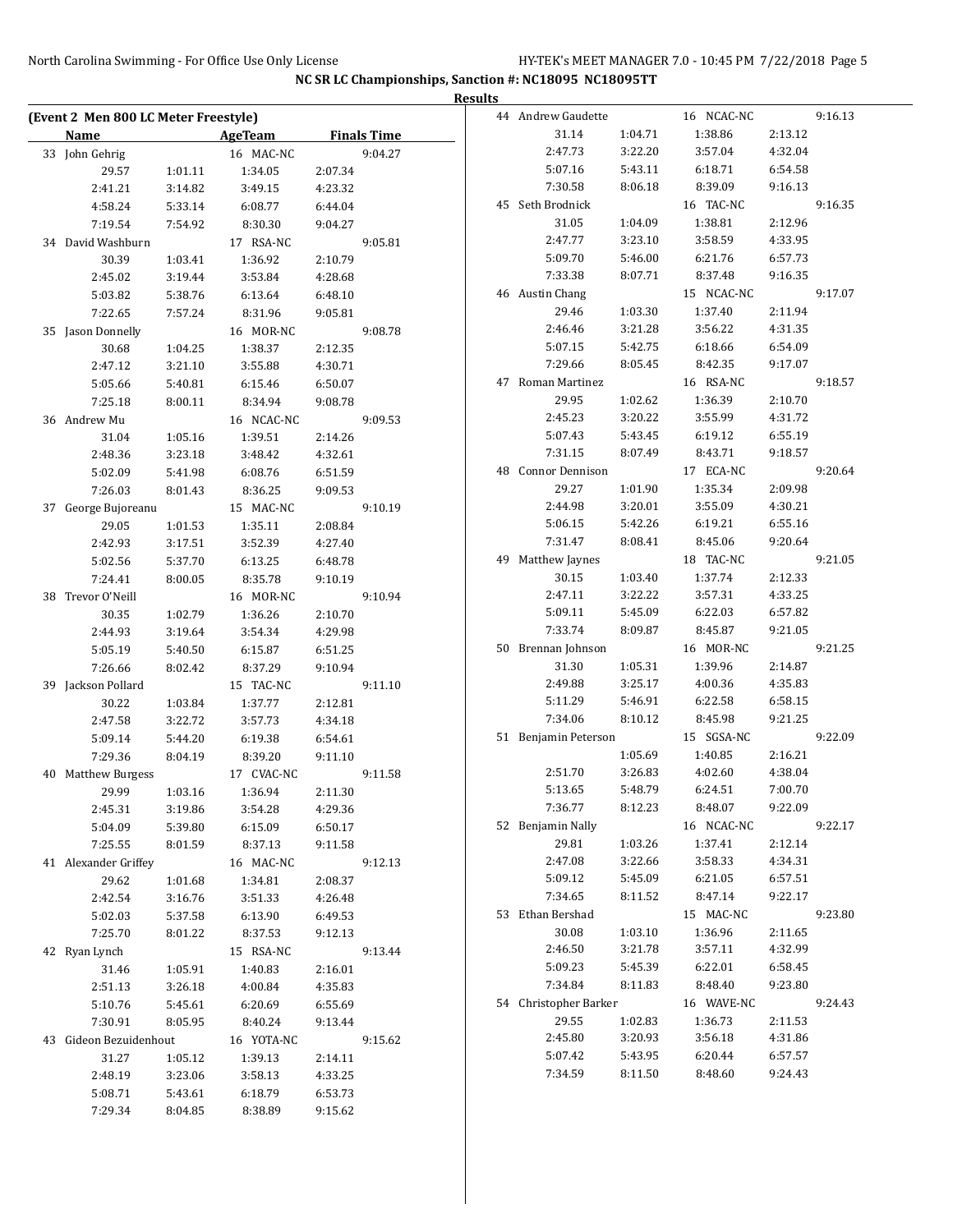|                                      |         |            |         |                    | <b>Results</b> |                       |         |            |         |         |
|--------------------------------------|---------|------------|---------|--------------------|----------------|-----------------------|---------|------------|---------|---------|
| (Event 2 Men 800 LC Meter Freestyle) |         |            |         |                    |                | 44 Andrew Gaudette    |         | 16 NCAC-NC |         | 9:16.13 |
| <b>Name</b>                          |         | AgeTeam    |         | <b>Finals Time</b> |                | 31.14                 | 1:04.71 | 1:38.86    | 2:13.12 |         |
| 33 John Gehrig                       |         | 16 MAC-NC  |         | 9:04.27            |                | 2:47.73               | 3:22.20 | 3:57.04    | 4:32.04 |         |
| 29.57                                | 1:01.11 | 1:34.05    | 2:07.34 |                    |                | 5:07.16               | 5:43.11 | 6:18.71    | 6:54.58 |         |
| 2:41.21                              | 3:14.82 | 3:49.15    | 4:23.32 |                    |                | 7:30.58               | 8:06.18 | 8:39.09    | 9:16.13 |         |
| 4:58.24                              | 5:33.14 | 6:08.77    | 6:44.04 |                    |                | 45 Seth Brodnick      |         | 16 TAC-NC  |         | 9:16.35 |
| 7:19.54                              | 7:54.92 | 8:30.30    | 9:04.27 |                    |                | 31.05                 | 1:04.09 | 1:38.81    | 2:12.96 |         |
| 34 David Washburn                    |         | 17 RSA-NC  |         | 9:05.81            |                | 2:47.77               | 3:23.10 | 3:58.59    | 4:33.95 |         |
| 30.39                                | 1:03.41 | 1:36.92    | 2:10.79 |                    |                | 5:09.70               | 5:46.00 | 6:21.76    | 6:57.73 |         |
| 2:45.02                              | 3:19.44 | 3:53.84    | 4:28.68 |                    |                | 7:33.38               | 8:07.71 | 8:37.48    | 9:16.35 |         |
| 5:03.82                              | 5:38.76 | 6:13.64    | 6:48.10 |                    |                | 46 Austin Chang       |         | 15 NCAC-NC |         | 9:17.07 |
| 7:22.65                              | 7:57.24 | 8:31.96    | 9:05.81 |                    |                | 29.46                 | 1:03.30 | 1:37.40    | 2:11.94 |         |
| 35 Jason Donnelly                    |         | 16 MOR-NC  |         | 9:08.78            |                | 2:46.46               | 3:21.28 | 3:56.22    | 4:31.35 |         |
| 30.68                                | 1:04.25 | 1:38.37    | 2:12.35 |                    |                | 5:07.15               | 5:42.75 | 6:18.66    | 6:54.09 |         |
| 2:47.12                              | 3:21.10 | 3:55.88    | 4:30.71 |                    |                | 7:29.66               | 8:05.45 | 8:42.35    | 9:17.07 |         |
| 5:05.66                              | 5:40.81 | 6:15.46    | 6:50.07 |                    |                | 47 Roman Martinez     |         | 16 RSA-NC  |         | 9:18.57 |
| 7:25.18                              | 8:00.11 | 8:34.94    | 9:08.78 |                    |                | 29.95                 | 1:02.62 | 1:36.39    | 2:10.70 |         |
| 36 Andrew Mu                         |         | 16 NCAC-NC |         | 9:09.53            |                | 2:45.23               | 3:20.22 | 3:55.99    | 4:31.72 |         |
| 31.04                                | 1:05.16 | 1:39.51    | 2:14.26 |                    |                | 5:07.43               | 5:43.45 | 6:19.12    | 6:55.19 |         |
| 2:48.36                              | 3:23.18 | 3:48.42    | 4:32.61 |                    |                | 7:31.15               | 8:07.49 | 8:43.71    | 9:18.57 |         |
|                                      |         |            |         |                    |                | 48 Connor Dennison    |         | 17 ECA-NC  |         | 9:20.64 |
| 5:02.09                              | 5:41.98 | 6:08.76    | 6:51.59 |                    |                | 29.27                 | 1:01.90 | 1:35.34    | 2:09.98 |         |
| 7:26.03                              | 8:01.43 | 8:36.25    | 9:09.53 |                    |                | 2:44.98               | 3:20.01 | 3:55.09    | 4:30.21 |         |
| 37 George Bujoreanu                  |         | 15 MAC-NC  |         | 9:10.19            |                | 5:06.15               | 5:42.26 | 6:19.21    | 6:55.16 |         |
| 29.05                                | 1:01.53 | 1:35.11    | 2:08.84 |                    |                |                       |         |            |         |         |
| 2:42.93                              | 3:17.51 | 3:52.39    | 4:27.40 |                    |                | 7:31.47               | 8:08.41 | 8:45.06    | 9:20.64 |         |
| 5:02.56                              | 5:37.70 | 6:13.25    | 6:48.78 |                    |                | 49 Matthew Jaynes     |         | 18 TAC-NC  |         | 9:21.05 |
| 7:24.41                              | 8:00.05 | 8:35.78    | 9:10.19 |                    |                | 30.15                 | 1:03.40 | 1:37.74    | 2:12.33 |         |
| 38 Trevor O'Neill                    |         | 16 MOR-NC  |         | 9:10.94            |                | 2:47.11               | 3:22.22 | 3:57.31    | 4:33.25 |         |
| 30.35                                | 1:02.79 | 1:36.26    | 2:10.70 |                    |                | 5:09.11               | 5:45.09 | 6:22.03    | 6:57.82 |         |
| 2:44.93                              | 3:19.64 | 3:54.34    | 4:29.98 |                    |                | 7:33.74               | 8:09.87 | 8:45.87    | 9:21.05 |         |
| 5:05.19                              | 5:40.50 | 6:15.87    | 6:51.25 |                    |                | 50 Brennan Johnson    |         | 16 MOR-NC  |         | 9:21.25 |
| 7:26.66                              | 8:02.42 | 8:37.29    | 9:10.94 |                    |                | 31.30                 | 1:05.31 | 1:39.96    | 2:14.87 |         |
| 39 Jackson Pollard                   |         | 15 TAC-NC  |         | 9:11.10            |                | 2:49.88               | 3:25.17 | 4:00.36    | 4:35.83 |         |
| 30.22                                | 1:03.84 | 1:37.77    | 2:12.81 |                    |                | 5:11.29               | 5:46.91 | 6:22.58    | 6:58.15 |         |
| 2:47.58                              | 3:22.72 | 3:57.73    | 4:34.18 |                    |                | 7:34.06               | 8:10.12 | 8:45.98    | 9:21.25 |         |
| 5:09.14                              | 5:44.20 | 6:19.38    | 6:54.61 |                    |                | 51 Benjamin Peterson  |         | 15 SGSA-NC |         | 9:22.09 |
| 7:29.36                              | 8:04.19 | 8:39.20    | 9:11.10 |                    |                |                       | 1:05.69 | 1:40.85    | 2:16.21 |         |
| 40 Matthew Burgess                   |         | 17 CVAC-NC |         | 9:11.58            |                | 2:51.70               | 3:26.83 | 4:02.60    | 4:38.04 |         |
| 29.99                                | 1:03.16 | 1:36.94    | 2:11.30 |                    |                | 5:13.65               | 5:48.79 | 6:24.51    | 7:00.70 |         |
| 2:45.31                              | 3:19.86 | 3:54.28    | 4:29.36 |                    |                | 7:36.77               | 8:12.23 | 8:48.07    | 9:22.09 |         |
| 5:04.09                              | 5:39.80 | 6:15.09    | 6:50.17 |                    |                | 52 Benjamin Nally     |         | 16 NCAC-NC |         | 9:22.17 |
| 7:25.55                              | 8:01.59 | 8:37.13    | 9:11.58 |                    |                | 29.81                 | 1:03.26 | 1:37.41    | 2:12.14 |         |
| 41 Alexander Griffey                 |         | 16 MAC-NC  |         | 9:12.13            |                | 2:47.08               | 3:22.66 | 3:58.33    | 4:34.31 |         |
| 29.62                                | 1:01.68 | 1:34.81    | 2:08.37 |                    |                | 5:09.12               | 5:45.09 | 6:21.05    | 6:57.51 |         |
| 2:42.54                              | 3:16.76 | 3:51.33    | 4:26.48 |                    |                | 7:34.65               | 8:11.52 | 8:47.14    | 9:22.17 |         |
| 5:02.03                              | 5:37.58 | 6:13.90    | 6:49.53 |                    |                | 53 Ethan Bershad      |         | 15 MAC-NC  |         | 9:23.80 |
| 7:25.70                              | 8:01.22 | 8:37.53    | 9:12.13 |                    |                | 30.08                 | 1:03.10 | 1:36.96    | 2:11.65 |         |
| 42 Ryan Lynch                        |         | 15 RSA-NC  |         | 9:13.44            |                | 2:46.50               | 3:21.78 | 3:57.11    | 4:32.99 |         |
| 31.46                                | 1:05.91 | 1:40.83    | 2:16.01 |                    |                | 5:09.23               | 5:45.39 | 6:22.01    | 6:58.45 |         |
| 2:51.13                              | 3:26.18 | 4:00.84    | 4:35.83 |                    |                | 7:34.84               | 8:11.83 | 8:48.40    | 9:23.80 |         |
| 5:10.76                              | 5:45.61 | 6:20.69    | 6:55.69 |                    |                | 54 Christopher Barker |         | 16 WAVE-NC |         | 9:24.43 |
|                                      |         |            |         |                    |                | 29.55                 | 1:02.83 | 1:36.73    | 2:11.53 |         |
| 7:30.91                              | 8:05.95 | 8:40.24    | 9:13.44 |                    |                |                       |         |            |         |         |
| 43 Gideon Bezuidenhout               |         | 16 YOTA-NC |         | 9:15.62            |                | 2:45.80               | 3:20.93 | 3:56.18    | 4:31.86 |         |
| 31.27                                | 1:05.12 | 1:39.13    | 2:14.11 |                    |                | 5:07.42               | 5:43.95 | 6:20.44    | 6:57.57 |         |
| 2:48.19                              | 3:23.06 | 3:58.13    | 4:33.25 |                    |                | 7:34.59               | 8:11.50 | 8:48.60    | 9:24.43 |         |
| 5:08.71                              | 5:43.61 | 6:18.79    | 6:53.73 |                    |                |                       |         |            |         |         |
| 7:29.34                              | 8:04.85 | 8:38.89    | 9:15.62 |                    |                |                       |         |            |         |         |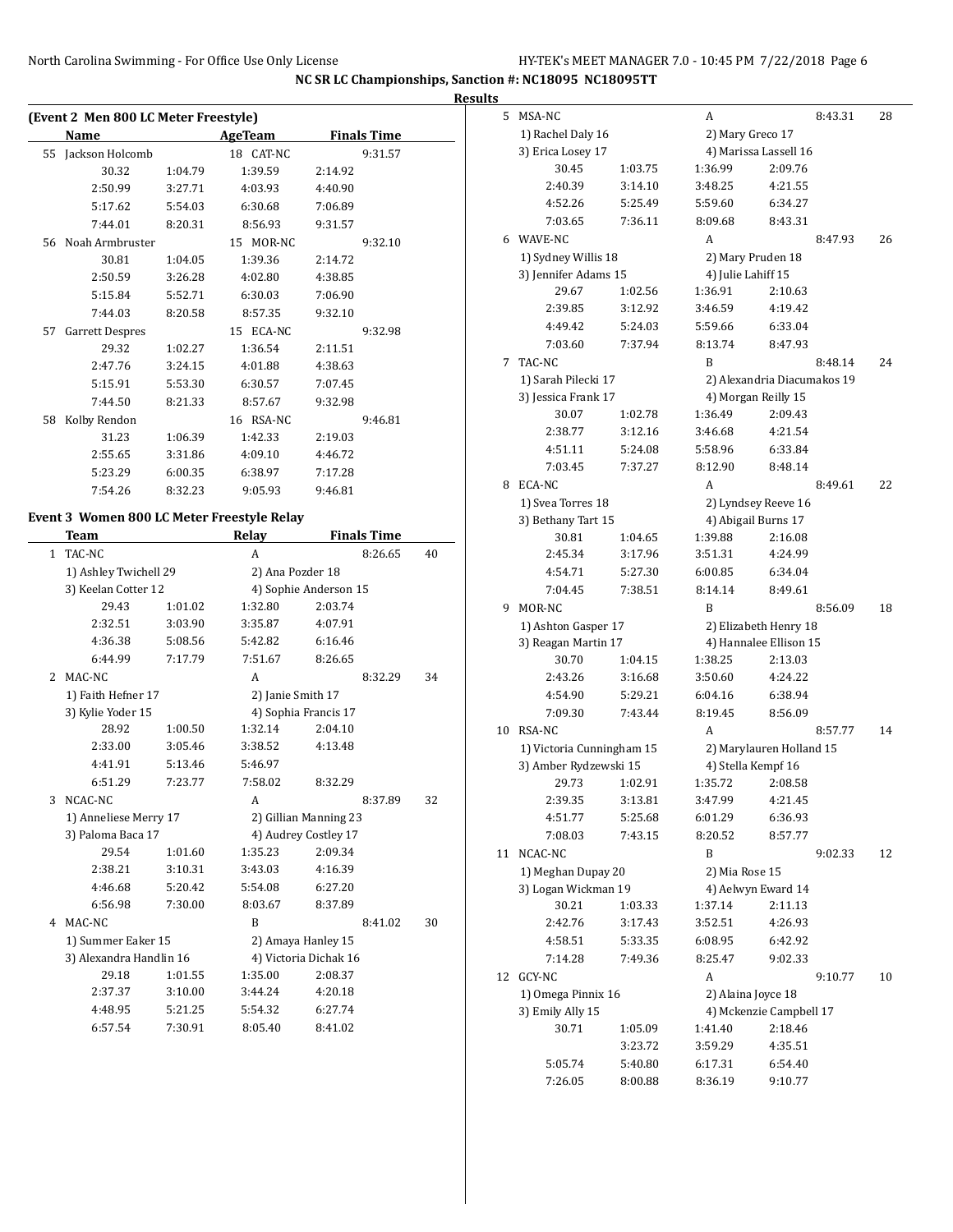|    | (Event 2 Men 800 LC Meter Freestyle) |         |           |                    |  |  |  |  |  |
|----|--------------------------------------|---------|-----------|--------------------|--|--|--|--|--|
|    | Name                                 |         | AgeTeam   | <b>Finals Time</b> |  |  |  |  |  |
| 55 | Jackson Holcomb                      |         | 18 CAT-NC | 9:31.57            |  |  |  |  |  |
|    | 30.32                                | 1:04.79 | 1:39.59   | 2:14.92            |  |  |  |  |  |
|    | 2:50.99                              | 3:27.71 | 4:03.93   | 4:40.90            |  |  |  |  |  |
|    | 5:17.62                              | 5:54.03 | 6:30.68   | 7:06.89            |  |  |  |  |  |
|    | 7:44.01                              | 8:20.31 | 8:56.93   | 9:31.57            |  |  |  |  |  |
|    | 56 Noah Armbruster                   |         | 15 MOR-NC | 9:32.10            |  |  |  |  |  |
|    | 30.81                                | 1:04.05 | 1:39.36   | 2:14.72            |  |  |  |  |  |
|    | 2:50.59                              | 3:26.28 | 4:02.80   | 4:38.85            |  |  |  |  |  |
|    | 5:15.84                              | 5:52.71 | 6:30.03   | 7:06.90            |  |  |  |  |  |
|    | 7:44.03                              | 8:20.58 | 8:57.35   | 9:32.10            |  |  |  |  |  |
| 57 | Garrett Despres                      |         | 15 ECA-NC | 9:32.98            |  |  |  |  |  |
|    | 29.32                                | 1:02.27 | 1:36.54   | 2:11.51            |  |  |  |  |  |
|    | 2:47.76                              | 3:24.15 | 4:01.88   | 4:38.63            |  |  |  |  |  |
|    | 5:15.91                              | 5:53.30 | 6:30.57   | 7:07.45            |  |  |  |  |  |
|    | 7:44.50                              | 8:21.33 | 8:57.67   | 9:32.98            |  |  |  |  |  |
| 58 | Kolby Rendon                         |         | 16 RSA-NC | 9:46.81            |  |  |  |  |  |
|    | 31.23                                | 1:06.39 | 1:42.33   | 2:19.03            |  |  |  |  |  |
|    | 2:55.65                              | 3:31.86 | 4:09.10   | 4:46.72            |  |  |  |  |  |
|    | 5:23.29                              | 6:00.35 | 6:38.97   | 7:17.28            |  |  |  |  |  |
|    | 7:54.26                              | 8:32.23 | 9:05.93   | 9:46.81            |  |  |  |  |  |

#### **Event 3 Women 800 LC Meter Freestyle Relay**

|               | <b>Team</b>             |         | Relay                 |         | <b>Finals Time</b> |    |
|---------------|-------------------------|---------|-----------------------|---------|--------------------|----|
| $\mathbf{1}$  | TAC-NC                  |         | A                     |         | 8:26.65            | 40 |
|               | 1) Ashley Twichell 29   |         | 2) Ana Pozder 18      |         |                    |    |
|               | 3) Keelan Cotter 12     |         | 4) Sophie Anderson 15 |         |                    |    |
|               | 29.43                   | 1:01.02 | 1:32.80               | 2:03.74 |                    |    |
|               | 2:32.51                 | 3:03.90 | 3:35.87               | 4:07.91 |                    |    |
|               | 4:36.38                 | 5:08.56 | 5:42.82               | 6:16.46 |                    |    |
|               | 6:44.99                 | 7:17.79 | 7:51.67               | 8:26.65 |                    |    |
| $\mathcal{L}$ | MAC-NC                  |         | A                     |         | 8:32.29            | 34 |
|               | 1) Faith Hefner 17      |         | 2) Janie Smith 17     |         |                    |    |
|               | 3) Kylie Yoder 15       |         | 4) Sophia Francis 17  |         |                    |    |
|               | 28.92                   | 1:00.50 | 1:32.14               | 2:04.10 |                    |    |
|               | 2:33.00                 | 3:05.46 | 3:38.52               | 4:13.48 |                    |    |
|               | 4:41.91                 | 5:13.46 | 5:46.97               |         |                    |    |
|               | 6:51.29                 | 7:23.77 | 7:58.02               | 8:32.29 |                    |    |
| 3             | NCAC-NC                 |         | $\overline{A}$        |         | 8:37.89            | 32 |
|               | 1) Anneliese Merry 17   |         | 2) Gillian Manning 23 |         |                    |    |
|               | 3) Paloma Baca 17       |         | 4) Audrey Costley 17  |         |                    |    |
|               | 29.54                   | 1:01.60 | 1:35.23               | 2:09.34 |                    |    |
|               | 2:38.21                 | 3:10.31 | 3:43.03               | 4:16.39 |                    |    |
|               | 4:46.68                 | 5:20.42 | 5:54.08               | 6:27.20 |                    |    |
|               | 6:56.98                 | 7:30.00 | 8:03.67               | 8:37.89 |                    |    |
| 4             | MAC-NC                  |         | $\overline{B}$        |         | 8:41.02            | 30 |
|               | 1) Summer Eaker 15      |         | 2) Amaya Hanley 15    |         |                    |    |
|               | 3) Alexandra Handlin 16 |         | 4) Victoria Dichak 16 |         |                    |    |
|               | 29.18                   | 1:01.55 | 1:35.00               | 2:08.37 |                    |    |
|               | 2:37.37                 | 3:10.00 | 3:44.24               | 4:20.18 |                    |    |
|               | 4:48.95                 | 5:21.25 | 5:54.32               | 6:27.74 |                    |    |
|               | 6:57.54                 | 7:30.91 | 8:05.40               | 8:41.02 |                    |    |

| <b>Results</b> |                           |         |                    |                             |    |
|----------------|---------------------------|---------|--------------------|-----------------------------|----|
|                | 5 MSA-NC                  |         | A                  | 8:43.31                     | 28 |
|                | 1) Rachel Daly 16         |         | 2) Mary Greco 17   |                             |    |
|                | 3) Erica Losey 17         |         |                    | 4) Marissa Lassell 16       |    |
|                | 30.45                     | 1:03.75 | 1:36.99            | 2:09.76                     |    |
|                | 2:40.39                   | 3:14.10 | 3:48.25            | 4:21.55                     |    |
|                | 4:52.26                   | 5:25.49 | 5:59.60            | 6:34.27                     |    |
|                | 7:03.65                   | 7:36.11 | 8:09.68            | 8:43.31                     |    |
| 6              | WAVE-NC                   |         | A                  | 8:47.93                     | 26 |
|                | 1) Sydney Willis 18       |         |                    | 2) Mary Pruden 18           |    |
|                | 3) Jennifer Adams 15      |         | 4) Julie Lahiff 15 |                             |    |
|                | 29.67                     | 1:02.56 | 1:36.91            | 2:10.63                     |    |
|                | 2:39.85                   | 3:12.92 | 3:46.59            | 4:19.42                     |    |
|                | 4:49.42                   | 5:24.03 | 5:59.66            | 6:33.04                     |    |
|                | 7:03.60                   | 7:37.94 | 8:13.74            | 8:47.93                     |    |
| 7              | TAC-NC                    |         | B                  | 8:48.14                     | 24 |
|                | 1) Sarah Pilecki 17       |         |                    | 2) Alexandria Diacumakos 19 |    |
|                | 3) Jessica Frank 17       |         |                    | 4) Morgan Reilly 15         |    |
|                | 30.07                     | 1:02.78 | 1:36.49            | 2:09.43                     |    |
|                | 2:38.77                   | 3:12.16 | 3:46.68            | 4:21.54                     |    |
|                | 4:51.11                   | 5:24.08 | 5:58.96            | 6:33.84                     |    |
|                | 7:03.45                   | 7:37.27 | 8:12.90            | 8:48.14                     |    |
| 8              | ECA-NC                    |         | A                  | 8:49.61                     | 22 |
|                | 1) Svea Torres 18         |         |                    | 2) Lyndsey Reeve 16         |    |
|                | 3) Bethany Tart 15        |         |                    | 4) Abigail Burns 17         |    |
|                | 30.81                     | 1:04.65 | 1:39.88            | 2:16.08                     |    |
|                | 2:45.34                   | 3:17.96 | 3:51.31            | 4:24.99                     |    |
|                | 4:54.71                   | 5:27.30 | 6:00.85            | 6:34.04                     |    |
|                | 7:04.45                   | 7:38.51 | 8:14.14            | 8:49.61                     |    |
| 9              | MOR-NC                    |         | B                  | 8:56.09                     | 18 |
|                | 1) Ashton Gasper 17       |         |                    | 2) Elizabeth Henry 18       |    |
|                | 3) Reagan Martin 17       |         |                    | 4) Hannalee Ellison 15      |    |
|                | 30.70                     | 1:04.15 | 1:38.25            | 2:13.03                     |    |
|                | 2:43.26                   | 3:16.68 | 3:50.60            | 4:24.22                     |    |
|                | 4:54.90                   | 5:29.21 | 6:04.16            | 6:38.94                     |    |
|                | 7:09.30                   | 7:43.44 | 8:19.45            | 8:56.09                     |    |
| 10             | RSA-NC                    |         | A                  | 8:57.77                     | 14 |
|                | 1) Victoria Cunningham 15 |         |                    | 2) Marylauren Holland 15    |    |
|                | 3) Amber Rydzewski 15     |         |                    | 4) Stella Kempf 16          |    |
|                | 29.73                     | 1:02.91 | 1:35.72            | 2:08.58                     |    |
|                | 2:39.35                   | 3:13.81 | 3:47.99            | 4:21.45                     |    |
|                | 4:51.77                   | 5:25.68 | 6:01.29            | 6:36.93                     |    |
|                | 7:08.03                   | 7:43.15 | 8:20.52            | 8:57.77                     |    |
|                | 11 NCAC-NC                |         | B                  | 9:02.33                     | 12 |
|                | 1) Meghan Dupay 20        |         | 2) Mia Rose 15     |                             |    |
|                | 3) Logan Wickman 19       |         |                    | 4) Aelwyn Eward 14          |    |
|                | 30.21                     | 1:03.33 | 1:37.14            | 2:11.13                     |    |
|                | 2:42.76                   | 3:17.43 | 3:52.51            | 4:26.93                     |    |
|                | 4:58.51                   | 5:33.35 | 6:08.95            | 6:42.92                     |    |
|                | 7:14.28                   | 7:49.36 | 8:25.47            | 9:02.33                     |    |
|                | 12 GCY-NC                 |         | A                  | 9:10.77                     | 10 |
|                | 1) Omega Pinnix 16        |         |                    | 2) Alaina Joyce 18          |    |
|                | 3) Emily Ally 15          |         |                    | 4) Mckenzie Campbell 17     |    |
|                | 30.71                     | 1:05.09 | 1:41.40            | 2:18.46                     |    |
|                |                           | 3:23.72 | 3:59.29            | 4:35.51                     |    |
|                | 5:05.74                   | 5:40.80 | 6:17.31            | 6:54.40                     |    |
|                | 7:26.05                   | 8:00.88 | 8:36.19            | 9:10.77                     |    |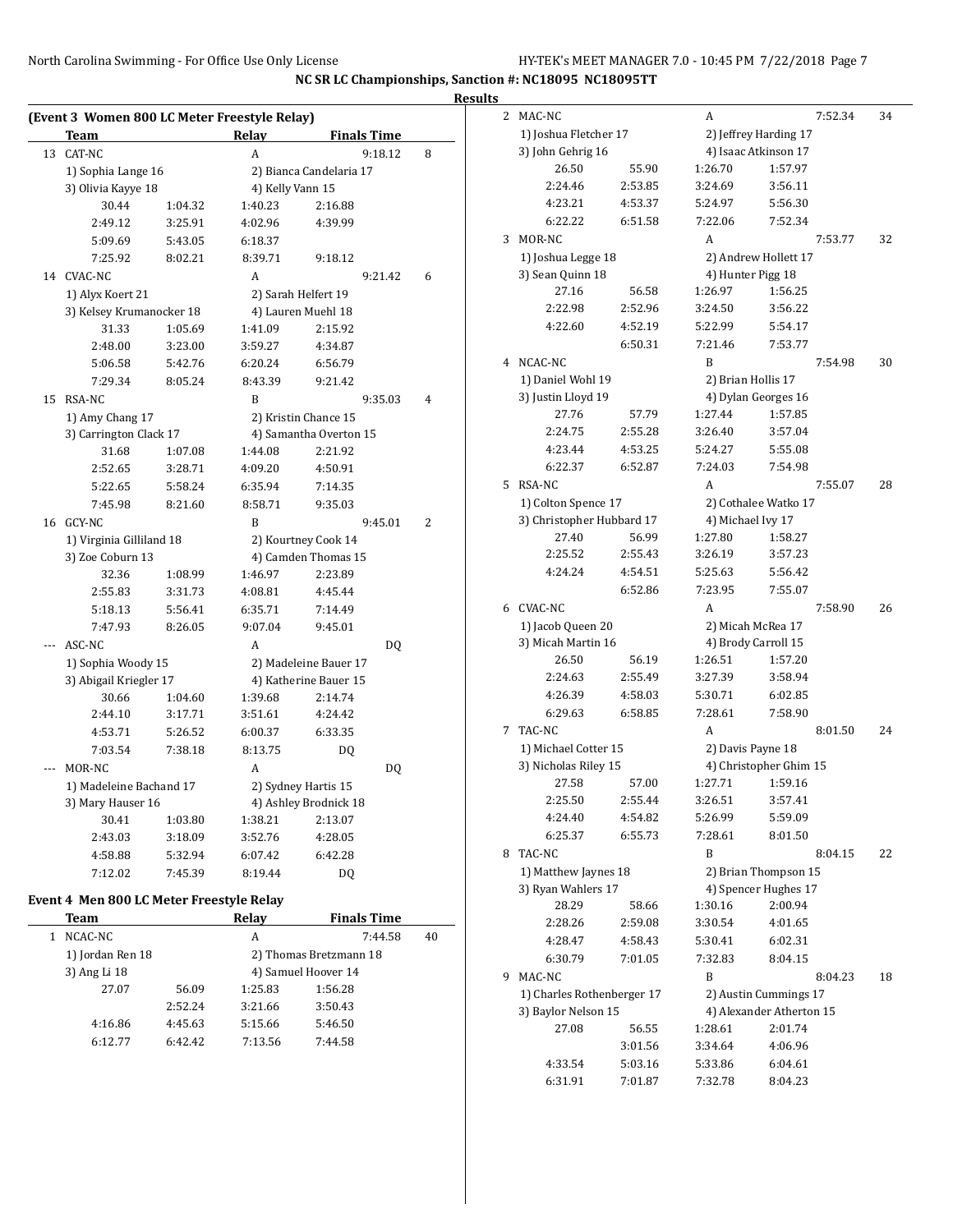|    |                                              |         |                             |                               |   | <b>Results</b> |
|----|----------------------------------------------|---------|-----------------------------|-------------------------------|---|----------------|
|    | (Event 3 Women 800 LC Meter Freestyle Relay) |         |                             |                               |   |                |
| 13 | Team<br>CAT-NC                               |         | Relay<br>A                  | <b>Finals Time</b><br>9:18.12 | 8 |                |
|    |                                              |         |                             |                               |   |                |
|    | 1) Sophia Lange 16                           |         |                             | 2) Bianca Candelaria 17       |   |                |
|    | 3) Olivia Kayye 18<br>30.44                  | 1:04.32 | 4) Kelly Vann 15<br>1:40.23 | 2:16.88                       |   |                |
|    | 2:49.12                                      | 3:25.91 | 4:02.96                     | 4:39.99                       |   |                |
|    | 5:09.69                                      | 5:43.05 | 6:18.37                     |                               |   |                |
|    | 7:25.92                                      | 8:02.21 | 8:39.71                     | 9:18.12                       |   |                |
|    | 14 CVAC-NC                                   |         | A                           | 9:21.42                       | 6 |                |
|    |                                              |         |                             |                               |   |                |
|    | 1) Alyx Koert 21                             |         |                             | 2) Sarah Helfert 19           |   |                |
|    | 3) Kelsey Krumanocker 18<br>31.33            |         |                             | 4) Lauren Muehl 18            |   |                |
|    |                                              | 1:05.69 | 1:41.09                     | 2:15.92                       |   |                |
|    | 2:48.00                                      | 3:23.00 | 3:59.27                     | 4:34.87                       |   |                |
|    | 5:06.58                                      | 5:42.76 | 6:20.24                     | 6:56.79                       |   |                |
|    | 7:29.34                                      | 8:05.24 | 8:43.39                     | 9:21.42                       |   |                |
| 15 | RSA-NC                                       |         | B                           | 9:35.03                       | 4 |                |
|    | 1) Amy Chang 17                              |         |                             | 2) Kristin Chance 15          |   |                |
|    | 3) Carrington Clack 17                       |         |                             | 4) Samantha Overton 15        |   |                |
|    | 31.68                                        | 1:07.08 | 1:44.08                     | 2:21.92                       |   |                |
|    | 2:52.65                                      | 3:28.71 | 4:09.20                     | 4:50.91                       |   |                |
|    | 5:22.65                                      | 5:58.24 | 6:35.94                     | 7:14.35                       |   |                |
|    | 7:45.98                                      | 8:21.60 | 8:58.71                     | 9:35.03                       |   |                |
|    | 16 GCY-NC                                    |         | B                           | 9:45.01                       | 2 |                |
|    | 1) Virginia Gilliland 18                     |         |                             | 2) Kourtney Cook 14           |   |                |
|    | 3) Zoe Coburn 13                             |         |                             | 4) Camden Thomas 15           |   |                |
|    | 32.36                                        | 1:08.99 | 1:46.97                     | 2:23.89                       |   |                |
|    | 2:55.83                                      | 3:31.73 | 4:08.81                     | 4:45.44                       |   |                |
|    | 5:18.13                                      | 5:56.41 | 6:35.71                     | 7:14.49                       |   |                |
|    | 7:47.93                                      | 8:26.05 | 9:07.04                     | 9:45.01                       |   |                |
|    | ASC-NC                                       |         | A                           | DQ                            |   |                |
|    | 1) Sophia Woody 15                           |         |                             | 2) Madeleine Bauer 17         |   |                |
|    | 3) Abigail Kriegler 17                       |         |                             | 4) Katherine Bauer 15         |   |                |
|    | 30.66                                        | 1:04.60 | 1:39.68                     | 2:14.74                       |   |                |
|    | 2:44.10                                      | 3:17.71 | 3:51.61                     | 4:24.42                       |   |                |
|    | 4:53.71                                      | 5:26.52 | 6:00.37                     | 6:33.35                       |   |                |
|    | 7:03.54                                      | 7:38.18 | 8:13.75                     | DQ                            |   |                |
|    | MOR-NC                                       |         | A                           | DQ                            |   |                |
|    | 1) Madeleine Bachand 17                      |         |                             | 2) Sydney Hartis 15           |   |                |
|    | 3) Mary Hauser 16                            |         |                             | 4) Ashley Brodnick 18         |   |                |
|    | 30.41                                        | 1:03.80 | 1:38.21                     | 2:13.07                       |   |                |
|    | 2:43.03                                      | 3:18.09 | 3:52.76                     | 4:28.05                       |   |                |
|    | 4:58.88                                      | 5:32.94 | 6:07.42                     | 6:42.28                       |   | ٤              |
|    | 7:12.02                                      | 7:45.39 | 8:19.44                     | D <sub>0</sub>                |   |                |

## **Event 4 Men 800 LC Meter Freestyle Relay**

| Team             |         | Relay   | <b>Finals Time</b>     |    |  |
|------------------|---------|---------|------------------------|----|--|
| NCAC-NC          |         | A       | 7:44.58                | 40 |  |
| 1) Jordan Ren 18 |         |         | 2) Thomas Bretzmann 18 |    |  |
| 3) Ang Li 18     |         |         | 4) Samuel Hoover 14    |    |  |
| 27.07            | 56.09   | 1:25.83 | 1:56.28                |    |  |
|                  | 2:52.24 | 3:21.66 | 3:50.43                |    |  |
| 4:16.86          | 4:45.63 | 5:15.66 | 5:46.50                |    |  |
| 6:12.77          | 6:42.42 | 7:13.56 | 7:44.58                |    |  |

| 2 | MAC-NC                                            |                    | A                   | 7:52.34                                           | 34 |
|---|---------------------------------------------------|--------------------|---------------------|---------------------------------------------------|----|
|   | 1) Joshua Fletcher 17                             |                    |                     | 2) Jeffrey Harding 17                             |    |
|   | 3) John Gehrig 16                                 |                    |                     | 4) Isaac Atkinson 17                              |    |
|   | 26.50                                             | 55.90              | 1:26.70             | 1:57.97                                           |    |
|   | 2:24.46                                           | 2:53.85            | 3:24.69             | 3:56.11                                           |    |
|   | 4:23.21                                           | 4:53.37            | 5:24.97             | 5:56.30                                           |    |
|   | 6:22.22                                           | 6:51.58            | 7:22.06             | 7:52.34                                           |    |
| 3 | MOR-NC                                            |                    | A                   | 7:53.77                                           | 32 |
|   | 1) Joshua Legge 18                                |                    |                     | 2) Andrew Hollett 17                              |    |
|   | 3) Sean Quinn 18                                  |                    | 4) Hunter Pigg 18   |                                                   |    |
|   | 27.16                                             | 56.58              | 1:26.97             | 1:56.25                                           |    |
|   | 2:22.98                                           | 2:52.96            | 3:24.50             | 3:56.22                                           |    |
|   | 4:22.60                                           | 4:52.19            | 5:22.99             | 5:54.17                                           |    |
|   |                                                   | 6:50.31            | 7:21.46<br>B        | 7:53.77                                           |    |
| 4 | NCAC-NC                                           |                    |                     | 7:54.98                                           | 30 |
|   | 1) Daniel Wohl 19<br>3) Justin Lloyd 19           |                    | 2) Brian Hollis 17  | 4) Dylan Georges 16                               |    |
|   | 27.76                                             | 57.79              | 1:27.44             | 1:57.85                                           |    |
|   | 2:24.75                                           | 2:55.28            | 3:26.40             | 3:57.04                                           |    |
|   | 4:23.44                                           | 4:53.25            | 5:24.27             | 5:55.08                                           |    |
|   | 6:22.37                                           | 6:52.87            | 7:24.03             | 7:54.98                                           |    |
| 5 | RSA-NC                                            |                    | A                   | 7:55.07                                           | 28 |
|   | 1) Colton Spence 17                               |                    |                     | 2) Cothalee Watko 17                              |    |
|   | 3) Christopher Hubbard 17                         |                    | 4) Michael Ivy 17   |                                                   |    |
|   | 27.40                                             | 56.99              | 1:27.80             | 1:58.27                                           |    |
|   | 2:25.52                                           | 2:55.43            | 3:26.19             | 3:57.23                                           |    |
|   | 4:24.24                                           | 4:54.51            | 5:25.63             | 5:56.42                                           |    |
|   |                                                   | 6:52.86            | 7:23.95             | 7:55.07                                           |    |
| 6 | CVAC-NC                                           |                    | A                   | 7:58.90                                           | 26 |
|   | 1) Jacob Queen 20                                 |                    | 2) Micah McRea 17   |                                                   |    |
|   | 3) Micah Martin 16                                |                    | 4) Brody Carroll 15 |                                                   |    |
|   | 26.50                                             | 56.19              | 1:26.51             | 1:57.20                                           |    |
|   | 2:24.63<br>4:26.39                                | 2:55.49<br>4:58.03 | 3:27.39<br>5:30.71  | 3:58.94<br>6:02.85                                |    |
|   | 6:29.63                                           | 6:58.85            | 7:28.61             | 7:58.90                                           |    |
| 7 | TAC-NC                                            |                    | А                   | 8:01.50                                           | 24 |
|   | 1) Michael Cotter 15                              |                    | 2) Davis Payne 18   |                                                   |    |
|   | 3) Nicholas Riley 15                              |                    |                     | 4) Christopher Ghim 15                            |    |
|   | 27.58                                             | 57.00              | 1:27.71             | 1:59.16                                           |    |
|   | 2:25.50                                           | 2:55.44            | 3:26.51             | 3:57.41                                           |    |
|   | 4:24.40                                           | 4:54.82            | 5:26.99             | 5:59.09                                           |    |
|   | 6:25.37                                           | 6:55.73            | 7:28.61             | 8:01.50                                           |    |
| 8 | TAC-NC                                            |                    | B                   | 8:04.15                                           | 22 |
|   | 1) Matthew Jaynes 18                              |                    |                     | 2) Brian Thompson 15                              |    |
|   | 3) Ryan Wahlers 17                                |                    |                     | 4) Spencer Hughes 17                              |    |
|   | 28.29                                             | 58.66              | 1:30.16             | 2:00.94                                           |    |
|   | 2:28.26                                           | 2:59.08            | 3:30.54             | 4:01.65                                           |    |
|   | 4:28.47                                           | 4:58.43            | 5:30.41             | 6:02.31                                           |    |
|   | 6:30.79<br>MAC-NC                                 | 7:01.05            | 7:32.83             | 8:04.15                                           |    |
| 9 |                                                   |                    | B                   | 8:04.23                                           | 18 |
|   | 1) Charles Rothenberger 17<br>3) Baylor Nelson 15 |                    |                     | 2) Austin Cummings 17<br>4) Alexander Atherton 15 |    |
|   | 27.08                                             | 56.55              | 1:28.61             | 2:01.74                                           |    |
|   |                                                   | 3:01.56            | 3:34.64             | 4:06.96                                           |    |
|   |                                                   |                    |                     |                                                   |    |
|   | 4:33.54                                           | 5:03.16            | 5:33.86             | 6:04.61                                           |    |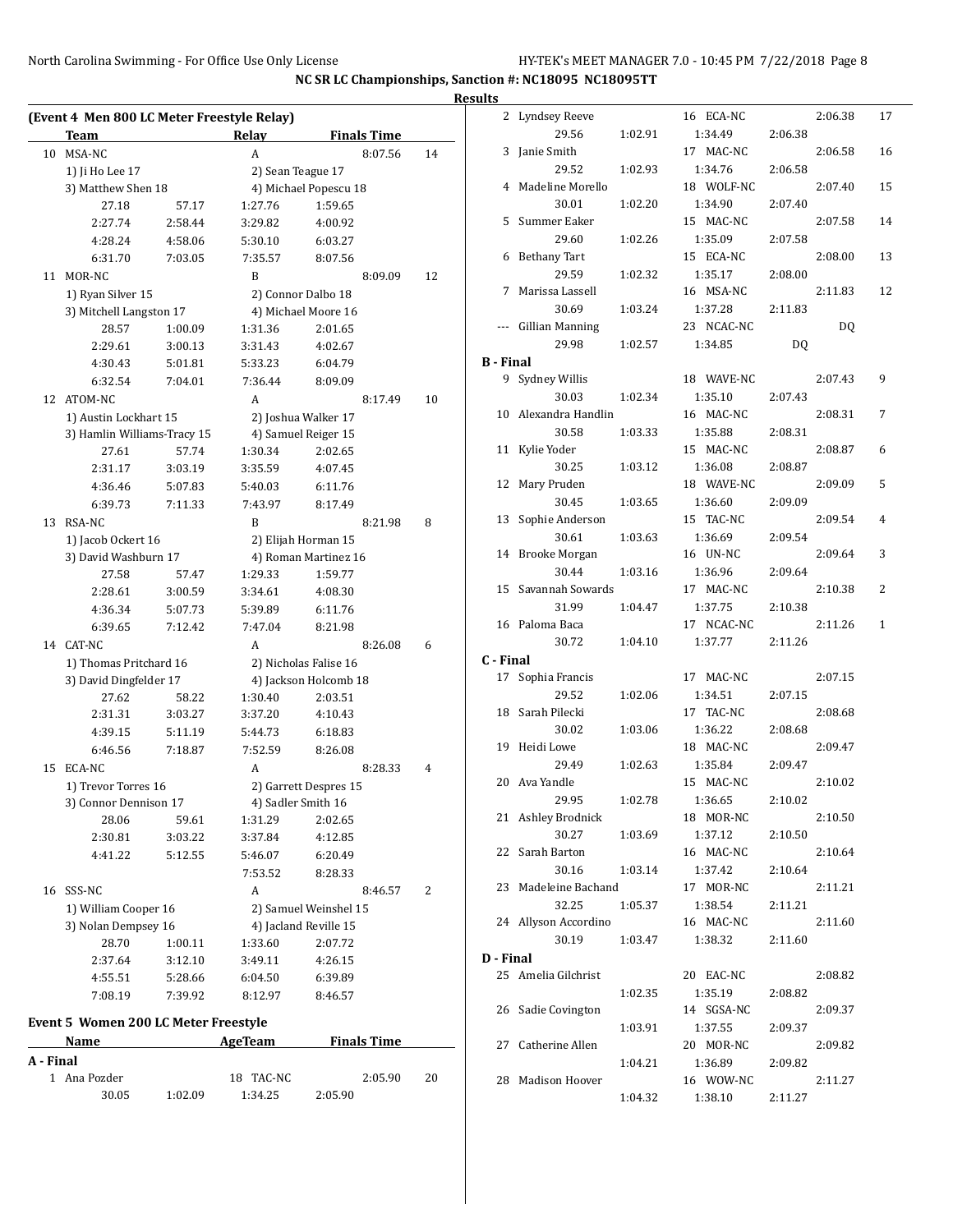|    | (Event 4 Men 800 LC Meter Freestyle Relay)<br>Team |         | Relay        | <b>Finals Time</b>    |    |
|----|----------------------------------------------------|---------|--------------|-----------------------|----|
|    | MSA-NC                                             |         | A            | 8:07.56               | 14 |
|    | 1) Ji Ho Lee 17                                    |         |              | 2) Sean Teague 17     |    |
|    | 3) Matthew Shen 18                                 |         |              | 4) Michael Popescu 18 |    |
|    | 27.18                                              | 57.17   | 1:27.76      | 1:59.65               |    |
|    | 2:27.74                                            | 2:58.44 | 3:29.82      | 4:00.92               |    |
|    | 4:28.24                                            | 4:58.06 | 5:30.10      | 6:03.27               |    |
|    | 6:31.70                                            | 7:03.05 |              | 8:07.56               |    |
|    |                                                    |         | 7:35.57<br>B |                       |    |
|    | MOR-NC                                             |         |              | 8:09.09               | 12 |
|    | 1) Ryan Silver 15                                  |         |              | 2) Connor Dalbo 18    |    |
|    | 3) Mitchell Langston 17                            |         |              | 4) Michael Moore 16   |    |
|    | 28.57                                              | 1:00.09 | 1:31.36      | 2:01.65               |    |
|    | 2:29.61                                            | 3:00.13 | 3:31.43      | 4:02.67               |    |
|    | 4:30.43                                            | 5:01.81 | 5:33.23      | 6:04.79               |    |
| 12 | 6:32.54                                            | 7:04.01 | 7:36.44      | 8:09.09               |    |
|    | ATOM-NC                                            |         | A            | 8:17.49               | 10 |
|    | 1) Austin Lockhart 15                              |         |              | 2) Joshua Walker 17   |    |
|    | 3) Hamlin Williams-Tracy 15                        |         |              | 4) Samuel Reiger 15   |    |
|    | 27.61                                              | 57.74   | 1:30.34      | 2:02.65               |    |
|    | 2:31.17                                            | 3:03.19 | 3:35.59      | 4:07.45               |    |
|    | 4:36.46                                            | 5:07.83 | 5:40.03      | 6:11.76               |    |
|    | 6:39.73                                            | 7:11.33 | 7:43.97      | 8:17.49               |    |
| 13 | RSA-NC                                             |         | B            | 8:21.98               | 8  |
|    | 1) Jacob Ockert 16                                 |         |              | 2) Elijah Horman 15   |    |
|    | 3) David Washburn 17                               |         |              | 4) Roman Martinez 16  |    |
|    | 27.58                                              | 57.47   | 1:29.33      | 1:59.77               |    |
|    | 2:28.61                                            | 3:00.59 | 3:34.61      | 4:08.30               |    |
|    | 4:36.34                                            | 5:07.73 | 5:39.89      | 6:11.76               |    |
|    | 6:39.65                                            | 7:12.42 | 7:47.04      | 8:21.98               |    |
|    | 14 CAT-NC                                          |         | A            | 8:26.08               | 6  |
|    | 1) Thomas Pritchard 16                             |         |              | 2) Nicholas Falise 16 |    |
|    | 3) David Dingfelder 17                             |         |              | 4) Jackson Holcomb 18 |    |
|    | 27.62                                              | 58.22   | 1:30.40      | 2:03.51               |    |
|    | 2:31.31                                            | 3:03.27 | 3:37.20      | 4:10.43               |    |
|    | 4:39.15                                            | 5:11.19 | 5:44.73      | 6:18.83               |    |
|    | 6:46.56                                            | 7:18.87 | 7:52.59      | 8:26.08               |    |
|    | ECA-NC                                             |         | A            | 8:28.33               | 4  |
|    | 1) Trevor Torres 16                                |         |              | 2) Garrett Despres 15 |    |
|    | 3) Connor Dennison 17                              |         |              | 4) Sadler Smith 16    |    |
|    | 28.06                                              | 59.61   | 1:31.29      | 2:02.65               |    |
|    | 2:30.81                                            | 3:03.22 | 3:37.84      | 4:12.85               |    |
|    | 4:41.22                                            | 5:12.55 | 5:46.07      | 6:20.49               |    |
|    |                                                    |         | 7:53.52      | 8:28.33               |    |
|    | 16 SSS-NC                                          |         | A            | 8:46.57               | 2  |
|    | 1) William Cooper 16                               |         |              | 2) Samuel Weinshel 15 |    |
|    |                                                    |         |              | 4) Jacland Reville 15 |    |
|    | 3) Nolan Dempsey 16<br>28.70                       | 1:00.11 | 1:33.60      | 2:07.72               |    |
|    | 2:37.64                                            | 3:12.10 | 3:49.11      | 4:26.15               |    |
|    |                                                    |         |              |                       |    |
|    | 4:55.51                                            | 5:28.66 | 6:04.50      | 6:39.89               |    |
|    | 7:08.19                                            | 7:39.92 | 8:12.97      | 8:46.57               |    |
|    | Event 5 Women 200 LC Meter Freestyle               |         |              |                       |    |
|    |                                                    |         | AgeTeam      | <b>Finals Time</b>    |    |

1 Ana Pozder 18 TAC-NC 2:05.90 20 30.05 1:02.09 1:34.25 2:05.90

**A - Final**

|                  | 2 Lyndsey Reeve      |         | 16 ECA-NC  |         | 2:06.38 | 17           |
|------------------|----------------------|---------|------------|---------|---------|--------------|
|                  | 29.56                | 1:02.91 | 1:34.49    | 2:06.38 |         |              |
| 3                | Janie Smith          |         | 17 MAC-NC  |         | 2:06.58 | 16           |
|                  | 29.52                | 1:02.93 | 1:34.76    | 2:06.58 |         |              |
|                  | 4 Madeline Morello   |         | 18 WOLF-NC |         | 2:07.40 | 15           |
|                  | 30.01                | 1:02.20 | 1:34.90    | 2:07.40 |         |              |
| 5                | Summer Eaker         |         | 15 MAC-NC  |         | 2:07.58 | 14           |
|                  | 29.60                | 1:02.26 | 1:35.09    | 2:07.58 |         |              |
|                  | 6 Bethany Tart       |         | 15 ECA-NC  |         | 2:08.00 | 13           |
|                  | 29.59                | 1:02.32 | 1:35.17    | 2:08.00 |         |              |
|                  |                      |         |            |         |         |              |
| 7                | Marissa Lassell      |         | 16 MSA-NC  |         | 2:11.83 | 12           |
|                  | 30.69                | 1:03.24 | 1:37.28    | 2:11.83 |         |              |
|                  | --- Gillian Manning  |         | 23 NCAC-NC |         | DQ      |              |
|                  | 29.98                | 1:02.57 | 1:34.85    | DQ      |         |              |
| <b>B</b> - Final |                      |         |            |         |         |              |
| 9                | Sydney Willis        |         | 18 WAVE-NC |         | 2:07.43 | 9            |
|                  | 30.03                | 1:02.34 | 1:35.10    | 2:07.43 |         |              |
|                  | 10 Alexandra Handlin |         | 16 MAC-NC  |         | 2:08.31 | 7            |
|                  | 30.58                | 1:03.33 | 1:35.88    | 2:08.31 |         |              |
| 11               | Kylie Yoder          |         | 15 MAC-NC  |         | 2:08.87 | 6            |
|                  | 30.25                | 1:03.12 | 1:36.08    | 2:08.87 |         |              |
| 12               | Mary Pruden          |         | 18 WAVE-NC |         | 2:09.09 | 5            |
|                  | 30.45                | 1:03.65 | 1:36.60    | 2:09.09 |         |              |
| 13               | Sophie Anderson      |         | 15 TAC-NC  |         | 2:09.54 | 4            |
|                  | 30.61                | 1:03.63 | 1:36.69    | 2:09.54 |         |              |
| 14               | <b>Brooke Morgan</b> |         | 16 UN-NC   |         | 2:09.64 | 3            |
|                  | 30.44                | 1:03.16 | 1:36.96    | 2:09.64 |         |              |
| 15               | Savannah Sowards     |         | 17 MAC-NC  |         | 2:10.38 | 2            |
|                  | 31.99                | 1:04.47 | 1:37.75    |         |         |              |
|                  | 16 Paloma Baca       |         | 17 NCAC-NC | 2:10.38 | 2:11.26 | $\mathbf{1}$ |
|                  |                      |         |            |         |         |              |
|                  | 30.72                | 1:04.10 | 1:37.77    | 2:11.26 |         |              |
| C - Final        |                      |         |            |         |         |              |
| 17               | Sophia Francis       |         | 17 MAC-NC  |         | 2:07.15 |              |
|                  | 29.52                | 1:02.06 | 1:34.51    | 2:07.15 |         |              |
| 18               | Sarah Pilecki        |         | 17 TAC-NC  |         | 2:08.68 |              |
|                  | 30.02                | 1:03.06 | 1:36.22    | 2:08.68 |         |              |
| 19               | Heidi Lowe           |         | 18 MAC-NC  |         | 2:09.47 |              |
|                  | 29.49                | 1:02.63 | 1:35.84    | 2:09.47 |         |              |
| 20               | Ava Yandle           |         | 15 MAC-NC  |         | 2:10.02 |              |
|                  | 29.95                | 1:02.78 | 1:36.65    | 2:10.02 |         |              |
|                  | 21 Ashley Brodnick   |         | 18 MOR-NC  |         | 2:10.50 |              |
|                  | 30.27                | 1:03.69 | 1:37.12    | 2:10.50 |         |              |
| 22               | Sarah Barton         |         | 16 MAC-NC  |         | 2:10.64 |              |
|                  | 30.16                | 1:03.14 | 1:37.42    | 2:10.64 |         |              |
| 23               | Madeleine Bachand    |         | 17 MOR-NC  |         | 2:11.21 |              |
|                  | 32.25                | 1:05.37 | 1:38.54    | 2:11.21 |         |              |
|                  | 24 Allyson Accordino |         | 16 MAC-NC  |         | 2:11.60 |              |
|                  | 30.19                | 1:03.47 | 1:38.32    | 2:11.60 |         |              |
| D - Final        |                      |         |            |         |         |              |
|                  | 25 Amelia Gilchrist  |         | 20 EAC-NC  |         | 2:08.82 |              |
|                  |                      | 1:02.35 | 1:35.19    | 2:08.82 |         |              |
|                  |                      |         |            |         |         |              |
| 26               | Sadie Covington      |         | 14 SGSA-NC |         | 2:09.37 |              |
|                  |                      | 1:03.91 | 1:37.55    | 2:09.37 |         |              |
| 27               | Catherine Allen      |         | 20 MOR-NC  |         | 2:09.82 |              |
|                  |                      | 1:04.21 | 1:36.89    | 2:09.82 |         |              |
| 28               | Madison Hoover       |         | 16 WOW-NC  |         | 2:11.27 |              |
|                  |                      | 1:04.32 | 1:38.10    | 2:11.27 |         |              |
|                  |                      |         |            |         |         |              |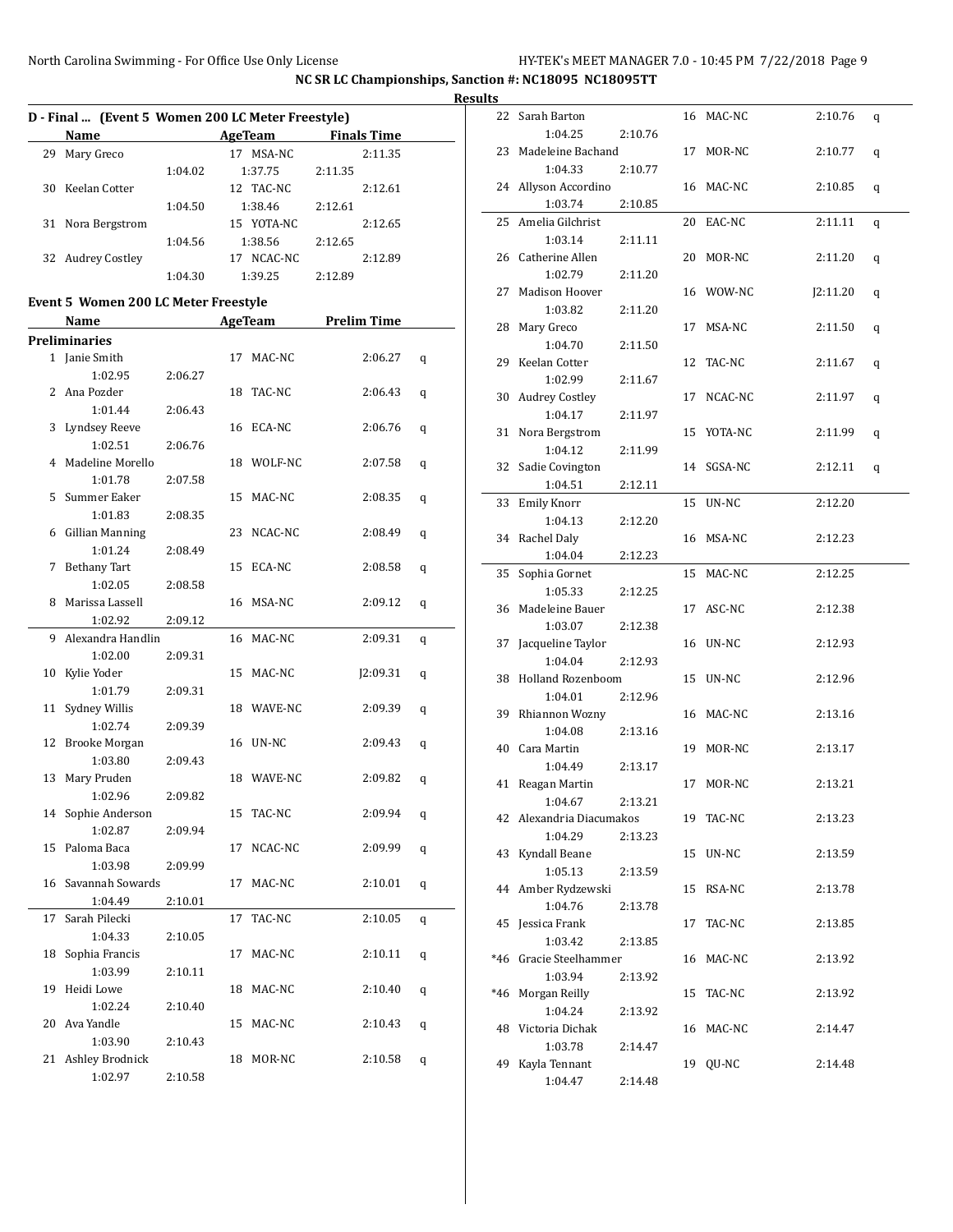|    | D - Final  (Event 5 Women 200 LC Meter Freestyle) |         |    |                                       |         |          |   | <b>Result</b> |
|----|---------------------------------------------------|---------|----|---------------------------------------|---------|----------|---|---------------|
|    | Name                                              |         |    | AgeTeam Finals Time                   |         |          |   |               |
|    | 29 Mary Greco                                     |         |    | 17 MSA-NC                             |         | 2:11.35  |   |               |
|    |                                                   | 1:04.02 |    | 1:37.75                               | 2:11.35 |          |   |               |
|    | 30 Keelan Cotter                                  |         |    | 12 TAC-NC                             |         | 2:12.61  |   |               |
|    |                                                   | 1:04.50 |    | 1:38.46                               | 2:12.61 |          |   |               |
|    | 31 Nora Bergstrom                                 |         |    | 15 YOTA-NC                            |         | 2:12.65  |   |               |
|    |                                                   | 1:04.56 |    | 1:38.56                               | 2:12.65 |          |   |               |
|    | 32 Audrey Costley                                 |         |    | 17 NCAC-NC                            |         | 2:12.89  |   |               |
|    |                                                   | 1:04.30 |    | 1:39.25                               | 2:12.89 |          |   |               |
|    |                                                   |         |    |                                       |         |          |   |               |
|    | <b>Event 5 Women 200 LC Meter Freestyle</b>       |         |    |                                       |         |          |   |               |
|    | Name                                              |         |    | <b>Example 21 AgeTeam</b> Prelim Time |         |          |   |               |
|    | <b>Preliminaries</b>                              |         |    |                                       |         |          |   |               |
|    | 1 Janie Smith                                     |         |    | 17 MAC-NC                             |         | 2:06.27  | q |               |
|    | 1:02.95                                           | 2:06.27 |    |                                       |         |          |   |               |
|    | 2 Ana Pozder                                      |         |    | 18 TAC-NC                             |         | 2:06.43  | q |               |
|    | 1:01.44                                           | 2:06.43 |    |                                       |         |          |   |               |
|    | 3 Lyndsey Reeve                                   |         |    | 16 ECA-NC                             |         | 2:06.76  | q |               |
|    | 1:02.51                                           | 2:06.76 |    |                                       |         |          |   |               |
|    | 4 Madeline Morello                                |         |    | 18 WOLF-NC                            |         | 2:07.58  | q |               |
|    | 1:01.78                                           | 2:07.58 |    |                                       |         |          |   |               |
|    | 5 Summer Eaker                                    |         |    | 15 MAC-NC                             |         | 2:08.35  | q |               |
|    | 1:01.83                                           | 2:08.35 |    |                                       |         |          |   |               |
|    | 6 Gillian Manning<br>1:01.24                      |         |    | 23 NCAC-NC                            |         | 2:08.49  | q |               |
|    | 7 Bethany Tart                                    | 2:08.49 |    | 15 ECA-NC                             |         | 2:08.58  |   |               |
|    | 1:02.05                                           | 2:08.58 |    |                                       |         |          | q |               |
|    | 8 Marissa Lassell                                 |         |    | 16 MSA-NC                             |         | 2:09.12  |   |               |
|    | 1:02.92                                           | 2:09.12 |    |                                       |         |          | q |               |
|    | 9 Alexandra Handlin                               |         |    | 16 MAC-NC                             |         | 2:09.31  |   |               |
|    | 1:02.00                                           | 2:09.31 |    |                                       |         |          | q |               |
|    | 10 Kylie Yoder                                    |         |    | 15 MAC-NC                             |         | J2:09.31 | q |               |
|    | 1:01.79                                           | 2:09.31 |    |                                       |         |          |   |               |
|    | 11 Sydney Willis                                  |         |    | 18 WAVE-NC                            |         | 2:09.39  | q |               |
|    | 1:02.74                                           | 2:09.39 |    |                                       |         |          |   |               |
|    | 12 Brooke Morgan                                  |         |    | 16 UN-NC                              |         | 2:09.43  | q |               |
|    | 1:03.80                                           | 2:09.43 |    |                                       |         |          |   |               |
|    | 13 Mary Pruden                                    |         |    | 18 WAVE-NC                            |         | 2:09.82  | q |               |
|    | 1:02.96                                           | 2:09.82 |    |                                       |         |          |   |               |
|    | 14 Sophie Anderson                                |         |    | 15 TAC-NC                             |         | 2:09.94  | q |               |
|    | 1:02.87                                           | 2:09.94 |    |                                       |         |          |   |               |
|    | 15 Paloma Baca                                    |         |    | 17 NCAC-NC                            |         | 2:09.99  | q |               |
|    | 1:03.98                                           | 2:09.99 |    |                                       |         |          |   |               |
|    | 16 Savannah Sowards                               |         |    | 17 MAC-NC                             |         | 2:10.01  | q |               |
|    | 1:04.49                                           | 2:10.01 |    |                                       |         |          |   |               |
| 17 | Sarah Pilecki                                     |         | 17 | TAC-NC                                |         | 2:10.05  | q |               |
|    | 1:04.33                                           | 2:10.05 |    |                                       |         |          |   |               |
| 18 | Sophia Francis                                    |         |    | 17 MAC-NC                             |         | 2:10.11  | q |               |
|    | 1:03.99                                           | 2:10.11 |    |                                       |         |          |   |               |
| 19 | Heidi Lowe                                        |         |    | 18 MAC-NC                             |         | 2:10.40  | q |               |
|    | 1:02.24                                           | 2:10.40 |    |                                       |         |          |   |               |
| 20 | Ava Yandle                                        |         |    | 15 MAC-NC                             |         | 2:10.43  | q |               |
|    | 1:03.90                                           | 2:10.43 |    |                                       |         |          |   |               |
|    | 21 Ashley Brodnick                                |         |    | 18 MOR-NC                             |         | 2:10.58  | q |               |
|    | 1:02.97                                           | 2:10.58 |    |                                       |         |          |   |               |

| τs    |                               |         |    |           |          |   |  |
|-------|-------------------------------|---------|----|-----------|----------|---|--|
| 22    | Sarah Barton                  |         |    | 16 MAC-NC | 2:10.76  | q |  |
|       | 1:04.25                       | 2:10.76 |    |           |          |   |  |
| 23    | Madeleine Bachand             |         | 17 | MOR-NC    | 2:10.77  | q |  |
|       | 1:04.33                       | 2:10.77 |    |           |          |   |  |
| 24    | Allyson Accordino             |         |    | 16 MAC-NC | 2:10.85  | q |  |
|       | 1:03.74                       | 2:10.85 |    |           |          |   |  |
| 25    | Amelia Gilchrist              |         | 20 | EAC-NC    | 2:11.11  | q |  |
|       | 1:03.14                       | 2:11.11 |    |           |          |   |  |
|       | 26 Catherine Allen<br>1:02.79 |         | 20 | MOR-NC    | 2:11.20  | q |  |
| 27    | Madison Hoover                | 2:11.20 |    | 16 WOW-NC |          |   |  |
|       | 1:03.82                       |         |    |           | J2:11.20 | q |  |
| 28    | Mary Greco                    | 2:11.20 | 17 | MSA-NC    | 2:11.50  |   |  |
|       | 1:04.70                       | 2:11.50 |    |           |          | q |  |
| 29    | Keelan Cotter                 |         | 12 | TAC-NC    | 2:11.67  |   |  |
|       | 1:02.99                       | 2:11.67 |    |           |          | q |  |
| 30    | <b>Audrey Costley</b>         |         | 17 | NCAC-NC   | 2:11.97  |   |  |
|       | 1:04.17                       | 2:11.97 |    |           |          | q |  |
| 31    | Nora Bergstrom                |         | 15 | YOTA-NC   | 2:11.99  |   |  |
|       | 1:04.12                       | 2:11.99 |    |           |          | q |  |
| 32    | Sadie Covington               |         | 14 | SGSA-NC   | 2:12.11  |   |  |
|       | 1:04.51                       | 2:12.11 |    |           |          | q |  |
| 33    | <b>Emily Knorr</b>            |         | 15 | UN-NC     | 2:12.20  |   |  |
|       | 1:04.13                       | 2:12.20 |    |           |          |   |  |
|       | 34 Rachel Daly                |         |    | 16 MSA-NC | 2:12.23  |   |  |
|       | 1:04.04                       | 2:12.23 |    |           |          |   |  |
| 35    | Sophia Gornet                 |         |    | 15 MAC-NC | 2:12.25  |   |  |
|       | 1:05.33                       | 2:12.25 |    |           |          |   |  |
|       | 36 Madeleine Bauer            |         |    | 17 ASC-NC | 2:12.38  |   |  |
|       | 1:03.07                       | 2:12.38 |    |           |          |   |  |
| 37    | Jacqueline Taylor             |         | 16 | UN-NC     | 2:12.93  |   |  |
|       | 1:04.04                       | 2:12.93 |    |           |          |   |  |
| 38    | Holland Rozenboom             |         | 15 | UN-NC     | 2:12.96  |   |  |
|       | 1:04.01                       | 2:12.96 |    |           |          |   |  |
| 39    | Rhiannon Wozny                |         | 16 | MAC-NC    | 2:13.16  |   |  |
|       | 1:04.08                       | 2:13.16 |    |           |          |   |  |
| 40    | Cara Martin                   |         | 19 | MOR-NC    | 2:13.17  |   |  |
|       | 1:04.49                       | 2:13.17 |    |           |          |   |  |
| 41    | Reagan Martin                 |         | 17 | MOR-NC    | 2:13.21  |   |  |
|       | 1:04.67                       | 2:13.21 |    |           |          |   |  |
|       | 42 Alexandria Diacumakos      |         |    | 19 TAC-NC | 2:13.23  |   |  |
|       | 1:04.29                       | 2:13.23 |    |           |          |   |  |
| 43    | Kyndall Beane                 |         | 15 | UN-NC     | 2:13.59  |   |  |
|       | 1:05.13                       | 2:13.59 |    |           |          |   |  |
| 44    | Amber Rydzewski               |         | 15 | RSA-NC    | 2:13.78  |   |  |
|       | 1:04.76                       | 2:13.78 |    |           |          |   |  |
| 45    | Jessica Frank                 |         | 17 | TAC-NC    | 2:13.85  |   |  |
|       | 1:03.42                       | 2:13.85 |    |           |          |   |  |
| $*46$ | Gracie Steelhammer            |         | 16 | MAC-NC    | 2:13.92  |   |  |
|       | 1:03.94                       | 2:13.92 |    |           |          |   |  |
| *46   | Morgan Reilly                 |         |    | 15 TAC-NC | 2:13.92  |   |  |
|       | 1:04.24                       | 2:13.92 |    |           |          |   |  |
| 48    | Victoria Dichak               |         | 16 | MAC-NC    | 2:14.47  |   |  |
|       | 1:03.78                       | 2:14.47 |    |           |          |   |  |
| 49    | Kayla Tennant                 |         | 19 | QU-NC     | 2:14.48  |   |  |
|       | 1:04.47                       | 2:14.48 |    |           |          |   |  |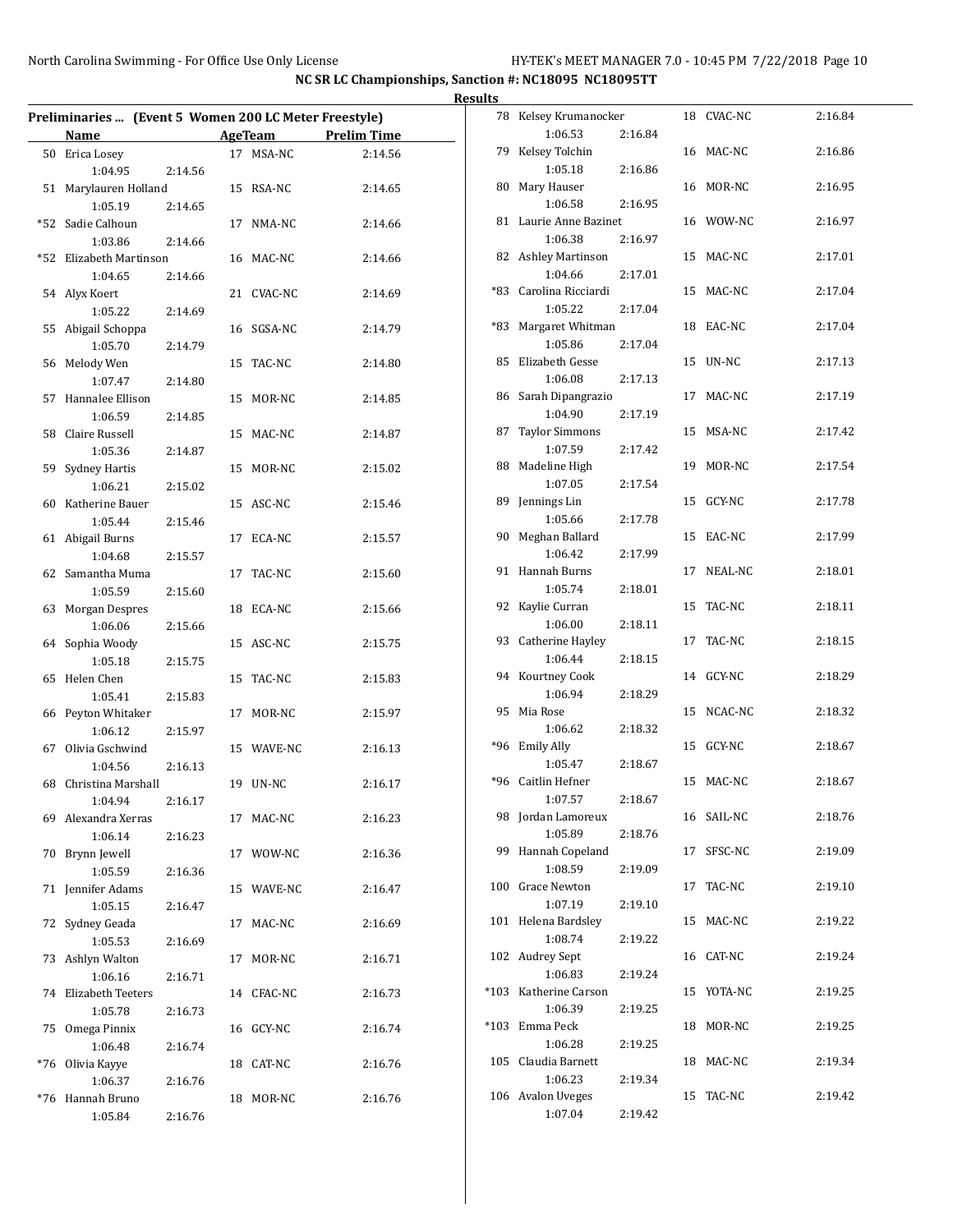| Preliminaries  (Event 5 Women 200 LC Meter Freestyle) |                          |         |    |            |         |  |  |  |  |  |
|-------------------------------------------------------|--------------------------|---------|----|------------|---------|--|--|--|--|--|
|                                                       | Name AgeTeam Prelim Time |         |    |            |         |  |  |  |  |  |
|                                                       | 50 Erica Losey           |         |    | 17 MSA-NC  | 2:14.56 |  |  |  |  |  |
|                                                       | 1:04.95                  | 2:14.56 |    |            |         |  |  |  |  |  |
| 51                                                    | Marylauren Holland       |         |    | 15 RSA-NC  | 2:14.65 |  |  |  |  |  |
|                                                       | 1:05.19                  | 2:14.65 |    |            |         |  |  |  |  |  |
| *52                                                   | Sadie Calhoun            |         |    | 17 NMA-NC  | 2:14.66 |  |  |  |  |  |
|                                                       | 1:03.86                  | 2:14.66 |    |            |         |  |  |  |  |  |
|                                                       |                          |         |    |            |         |  |  |  |  |  |
|                                                       | *52 Elizabeth Martinson  |         |    | 16 MAC-NC  | 2:14.66 |  |  |  |  |  |
|                                                       | 1:04.65                  | 2:14.66 |    |            |         |  |  |  |  |  |
|                                                       | 54 Alyx Koert            |         |    | 21 CVAC-NC | 2:14.69 |  |  |  |  |  |
|                                                       | 1:05.22                  | 2:14.69 |    |            |         |  |  |  |  |  |
|                                                       | 55 Abigail Schoppa       |         |    | 16 SGSA-NC | 2:14.79 |  |  |  |  |  |
|                                                       | 1:05.70                  | 2:14.79 |    |            |         |  |  |  |  |  |
|                                                       | 56 Melody Wen            |         |    | 15 TAC-NC  | 2:14.80 |  |  |  |  |  |
|                                                       | 1:07.47                  | 2:14.80 |    |            |         |  |  |  |  |  |
|                                                       | 57 Hannalee Ellison      |         |    | 15 MOR-NC  | 2:14.85 |  |  |  |  |  |
|                                                       | 1:06.59                  | 2:14.85 |    |            |         |  |  |  |  |  |
|                                                       | 58 Claire Russell        |         |    | 15 MAC-NC  | 2:14.87 |  |  |  |  |  |
|                                                       | 1:05.36                  | 2:14.87 |    |            |         |  |  |  |  |  |
|                                                       | 59 Sydney Hartis         |         |    | 15 MOR-NC  | 2:15.02 |  |  |  |  |  |
|                                                       | 1:06.21                  | 2:15.02 |    |            |         |  |  |  |  |  |
|                                                       | 60 Katherine Bauer       |         |    | 15 ASC-NC  | 2:15.46 |  |  |  |  |  |
|                                                       | 1:05.44                  | 2:15.46 |    |            |         |  |  |  |  |  |
| 61                                                    | Abigail Burns            |         |    | 17 ECA-NC  | 2:15.57 |  |  |  |  |  |
|                                                       | 1:04.68                  | 2:15.57 |    |            |         |  |  |  |  |  |
|                                                       | 62 Samantha Muma         |         |    | 17 TAC-NC  | 2:15.60 |  |  |  |  |  |
|                                                       | 1:05.59                  | 2:15.60 |    |            |         |  |  |  |  |  |
|                                                       | 63 Morgan Despres        |         |    | 18 ECA-NC  | 2:15.66 |  |  |  |  |  |
|                                                       | 1:06.06                  | 2:15.66 |    |            |         |  |  |  |  |  |
|                                                       | 64 Sophia Woody          |         |    | 15 ASC-NC  | 2:15.75 |  |  |  |  |  |
|                                                       | 1:05.18                  | 2:15.75 |    |            |         |  |  |  |  |  |
| 65                                                    | Helen Chen               |         |    | 15 TAC-NC  | 2:15.83 |  |  |  |  |  |
|                                                       | 1:05.41                  | 2:15.83 |    |            |         |  |  |  |  |  |
|                                                       | 66 Peyton Whitaker       |         |    | 17 MOR-NC  | 2:15.97 |  |  |  |  |  |
|                                                       | 1:06.12                  | 2:15.97 |    |            |         |  |  |  |  |  |
|                                                       | 67 Olivia Gschwind       |         |    | 15 WAVE-NC | 2:16.13 |  |  |  |  |  |
|                                                       | 1:04.56                  | 2:16.13 |    |            |         |  |  |  |  |  |
|                                                       | 68 Christina Marshall    |         |    | 19 UN-NC   | 2:16.17 |  |  |  |  |  |
|                                                       | 1:04.94                  | 2:16.17 |    |            |         |  |  |  |  |  |
|                                                       | 69 Alexandra Xerras      |         |    | 17 MAC-NC  | 2:16.23 |  |  |  |  |  |
|                                                       | 1:06.14                  | 2:16.23 |    |            |         |  |  |  |  |  |
|                                                       | 70 Brynn Jewell          |         |    | 17 WOW-NC  | 2:16.36 |  |  |  |  |  |
|                                                       | 1:05.59                  | 2:16.36 |    |            |         |  |  |  |  |  |
|                                                       | 71 Jennifer Adams        |         |    | 15 WAVE-NC | 2:16.47 |  |  |  |  |  |
|                                                       | 1:05.15                  | 2:16.47 |    |            |         |  |  |  |  |  |
| 72                                                    | Sydney Geada             |         |    | 17 MAC-NC  | 2:16.69 |  |  |  |  |  |
|                                                       | 1:05.53                  | 2:16.69 |    |            |         |  |  |  |  |  |
| 73                                                    | Ashlyn Walton            |         | 17 | MOR-NC     | 2:16.71 |  |  |  |  |  |
|                                                       | 1:06.16                  | 2:16.71 |    |            |         |  |  |  |  |  |
| 74                                                    | Elizabeth Teeters        |         |    | 14 CFAC-NC | 2:16.73 |  |  |  |  |  |
|                                                       | 1:05.78                  | 2:16.73 |    |            |         |  |  |  |  |  |
| 75                                                    | Omega Pinnix             |         |    | 16 GCY-NC  | 2:16.74 |  |  |  |  |  |
|                                                       | 1:06.48                  | 2:16.74 |    |            |         |  |  |  |  |  |
| *76                                                   | Olivia Kayye             |         |    | 18 CAT-NC  | 2:16.76 |  |  |  |  |  |
|                                                       | 1:06.37                  | 2:16.76 |    |            |         |  |  |  |  |  |
|                                                       | *76 Hannah Bruno         |         |    | 18 MOR-NC  | 2:16.76 |  |  |  |  |  |
|                                                       | 1:05.84                  | 2:16.76 |    |            |         |  |  |  |  |  |

| <b>Results</b> |                                  |         |            |         |
|----------------|----------------------------------|---------|------------|---------|
|                | 78 Kelsey Krumanocker            |         | 18 CVAC-NC | 2:16.84 |
|                | 1:06.53                          | 2:16.84 |            |         |
| 79             | Kelsey Tolchin                   |         | 16 MAC-NC  | 2:16.86 |
|                | 1:05.18                          | 2:16.86 |            |         |
|                | 80 Mary Hauser                   |         | 16 MOR-NC  | 2:16.95 |
|                | 1:06.58                          | 2:16.95 |            |         |
|                | 81 Laurie Anne Bazinet           |         | 16 WOW-NC  | 2:16.97 |
|                | 1:06.38                          | 2:16.97 |            |         |
|                | 82 Ashley Martinson              |         | 15 MAC-NC  | 2:17.01 |
|                | 1:04.66                          | 2:17.01 |            |         |
|                | *83 Carolina Ricciardi           |         | 15 MAC-NC  | 2:17.04 |
|                | 1:05.22                          | 2:17.04 |            |         |
|                | *83 Margaret Whitman             |         | 18 EAC-NC  | 2:17.04 |
|                | 1:05.86                          | 2:17.04 |            |         |
| 85             | Elizabeth Gesse                  |         | 15 UN-NC   | 2:17.13 |
|                | 1:06.08                          | 2:17.13 |            |         |
|                | 86 Sarah Dipangrazio<br>1:04.90  | 2:17.19 | 17 MAC-NC  | 2:17.19 |
| 87             | <b>Taylor Simmons</b>            |         | 15 MSA-NC  | 2:17.42 |
|                | 1:07.59                          | 2:17.42 |            |         |
|                | 88 Madeline High                 |         | 19 MOR-NC  | 2:17.54 |
|                | 1:07.05                          | 2:17.54 |            |         |
|                | 89 Jennings Lin                  |         | 15 GCY-NC  | 2:17.78 |
|                | 1:05.66                          | 2:17.78 |            |         |
|                | 90 Meghan Ballard                |         | 15 EAC-NC  | 2:17.99 |
|                | 1:06.42                          | 2:17.99 |            |         |
|                | 91 Hannah Burns                  |         | 17 NEAL-NC | 2:18.01 |
|                | 1:05.74                          | 2:18.01 |            |         |
|                | 92 Kaylie Curran                 |         | 15 TAC-NC  | 2:18.11 |
|                | 1:06.00                          | 2:18.11 |            |         |
|                | 93 Catherine Hayley              |         | 17 TAC-NC  | 2:18.15 |
|                | 1:06.44                          | 2:18.15 |            |         |
|                | 94 Kourtney Cook<br>1:06.94      | 2:18.29 | 14 GCY-NC  | 2:18.29 |
| 95             | Mia Rose                         |         | 15 NCAC-NC | 2:18.32 |
|                | 1:06.62                          | 2:18.32 |            |         |
|                | *96 Emily Ally                   |         | 15 GCY-NC  | 2:18.67 |
|                | 1:05.47                          | 2:18.67 |            |         |
|                | *96 Caitlin Hefner               |         | 15 MAC-NC  | 2:18.67 |
|                | 1:07.57                          | 2:18.67 |            |         |
|                | 98 Jordan Lamoreux               |         | 16 SAIL-NC | 2:18.76 |
|                | 1:05.89                          | 2:18.76 |            |         |
| 99             | Hannah Copeland                  |         | 17 SFSC-NC | 2:19.09 |
|                | 1:08.59                          | 2:19.09 |            |         |
|                | 100 Grace Newton                 |         | 17 TAC-NC  | 2:19.10 |
|                | 1:07.19                          | 2:19.10 |            |         |
|                | 101 Helena Bardsley              |         | 15 MAC-NC  | 2:19.22 |
|                | 1:08.74                          | 2:19.22 |            |         |
|                | 102 Audrey Sept                  |         | 16 CAT-NC  | 2:19.24 |
|                | 1:06.83<br>*103 Katherine Carson | 2:19.24 | 15 YOTA-NC | 2:19.25 |
|                | 1:06.39                          | 2:19.25 |            |         |
|                | *103 Emma Peck                   |         | 18 MOR-NC  | 2:19.25 |
|                | 1:06.28                          | 2:19.25 |            |         |
|                | 105 Claudia Barnett              |         | 18 MAC-NC  | 2:19.34 |
|                | 1:06.23                          | 2:19.34 |            |         |
|                | 106 Avalon Uveges                |         | 15 TAC-NC  | 2:19.42 |
|                | 1:07.04                          | 2:19.42 |            |         |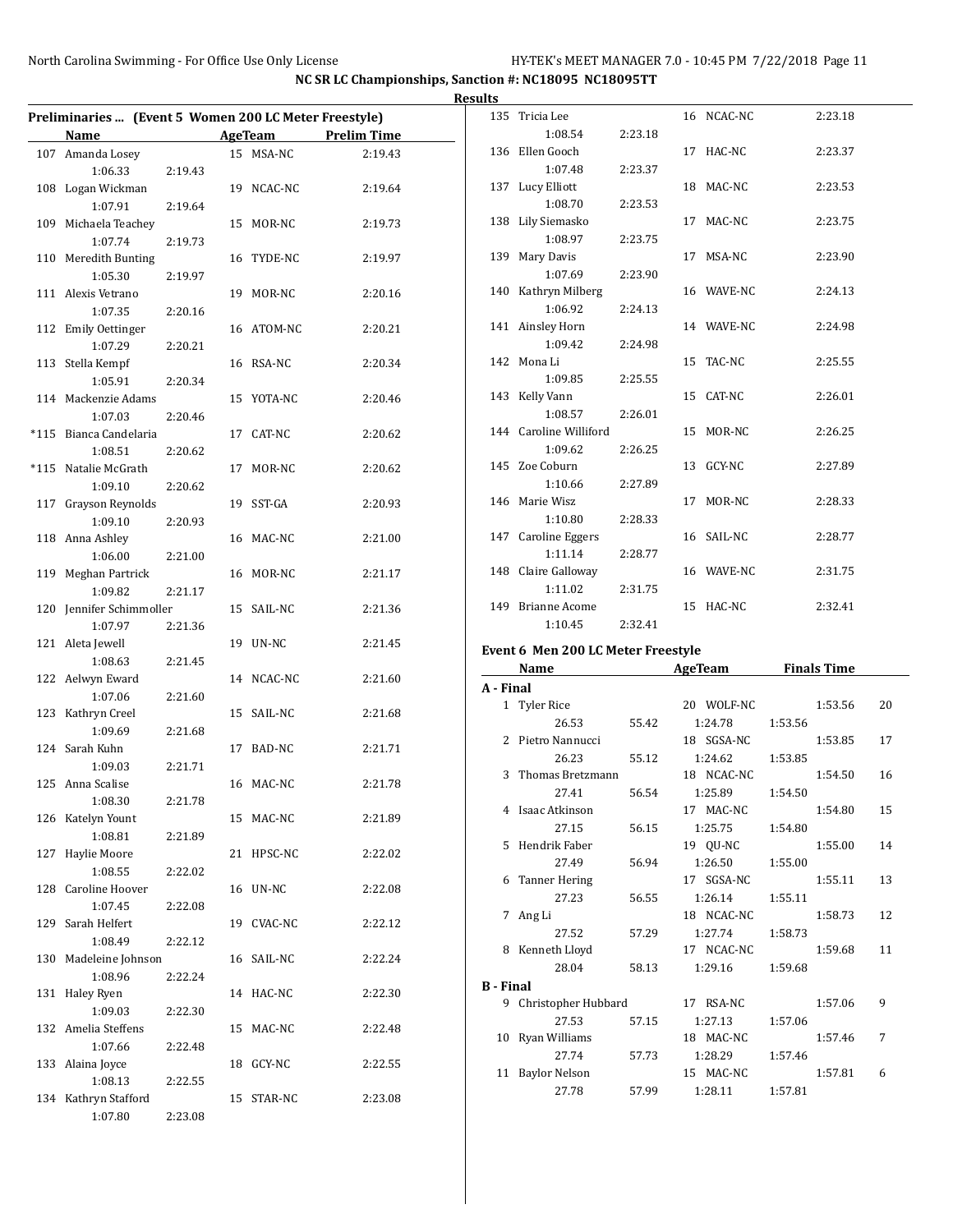|                                                       |                    |                |            |                    | <b>Results</b>   |                                    |         |                       |         |                    |    |
|-------------------------------------------------------|--------------------|----------------|------------|--------------------|------------------|------------------------------------|---------|-----------------------|---------|--------------------|----|
| Preliminaries  (Event 5 Women 200 LC Meter Freestyle) |                    |                |            |                    |                  | 135 Tricia Lee                     |         | 16 NCAC-NC            |         | 2:23.18            |    |
| Name                                                  |                    | <b>AgeTeam</b> |            | <b>Prelim Time</b> |                  | 1:08.54                            | 2:23.18 |                       |         |                    |    |
| 107 Amanda Losey<br>1:06.33                           | 2:19.43            |                | 15 MSA-NC  | 2:19.43            |                  | 136 Ellen Gooch<br>1:07.48         | 2:23.37 | 17 HAC-NC             |         | 2:23.37            |    |
| 108 Logan Wickman<br>1:07.91                          | 2:19.64            |                | 19 NCAC-NC | 2:19.64            |                  | 137 Lucy Elliott<br>1:08.70        | 2:23.53 | 18 MAC-NC             |         | 2:23.53            |    |
| 109 Michaela Teachey<br>1:07.74                       | 2:19.73            |                | 15 MOR-NC  | 2:19.73            |                  | 138 Lily Siemasko<br>1:08.97       | 2:23.75 | 17 MAC-NC             |         | 2:23.75            |    |
| 110 Meredith Bunting<br>1:05.30                       | 2:19.97            |                | 16 TYDE-NC | 2:19.97            |                  | 139 Mary Davis<br>1:07.69          | 2:23.90 | 17 MSA-NC             |         | 2:23.90            |    |
| 111 Alexis Vetrano<br>1:07.35                         | 2:20.16            |                | 19 MOR-NC  | 2:20.16            |                  | 140 Kathryn Milberg<br>1:06.92     | 2:24.13 | 16 WAVE-NC            |         | 2:24.13            |    |
| 112 Emily Oettinger<br>1:07.29                        | 2:20.21            |                | 16 ATOM-NC | 2:20.21            |                  | 141 Ainsley Horn<br>1:09.42        | 2:24.98 | 14 WAVE-NC            |         | 2:24.98            |    |
| 113 Stella Kempf                                      |                    |                | 16 RSA-NC  | 2:20.34            |                  | 142 Mona Li<br>1:09.85             | 2:25.55 | 15 TAC-NC             |         | 2:25.55            |    |
| 1:05.91<br>114 Mackenzie Adams<br>1:07.03             | 2:20.34<br>2:20.46 |                | 15 YOTA-NC | 2:20.46            |                  | 143 Kelly Vann<br>1:08.57          | 2:26.01 | 15 CAT-NC             |         | 2:26.01            |    |
| *115 Bianca Candelaria<br>1:08.51                     |                    |                | 17 CAT-NC  | 2:20.62            |                  | 144 Caroline Williford<br>1:09.62  | 2:26.25 | 15 MOR-NC             |         | 2:26.25            |    |
| *115 Natalie McGrath                                  | 2:20.62            |                | 17 MOR-NC  | 2:20.62            |                  | 145 Zoe Coburn<br>1:10.66          | 2:27.89 | 13 GCY-NC             |         | 2:27.89            |    |
| 1:09.10<br>117 Grayson Reynolds<br>1:09.10            | 2:20.62<br>2:20.93 |                | 19 SST-GA  | 2:20.93            |                  | 146 Marie Wisz<br>1:10.80          | 2:28.33 | 17 MOR-NC             |         | 2:28.33            |    |
| 118 Anna Ashley<br>1:06.00                            | 2:21.00            |                | 16 MAC-NC  | 2:21.00            |                  | 147 Caroline Eggers<br>1:11.14     | 2:28.77 | 16 SAIL-NC            |         | 2:28.77            |    |
| 119 Meghan Partrick<br>1:09.82                        | 2:21.17            |                | 16 MOR-NC  | 2:21.17            |                  | 148 Claire Galloway<br>1:11.02     | 2:31.75 | 16 WAVE-NC            |         | 2:31.75            |    |
| 120 Jennifer Schimmoller<br>1:07.97                   | 2:21.36            |                | 15 SAIL-NC | 2:21.36            |                  | 149 Brianne Acome<br>1:10.45       | 2:32.41 | 15 HAC-NC             |         | 2:32.41            |    |
| 121 Aleta Jewell<br>1:08.63                           | 2:21.45            |                | 19 UN-NC   | 2:21.45            |                  | Event 6 Men 200 LC Meter Freestyle |         |                       |         |                    |    |
| 122 Aelwyn Eward<br>1:07.06                           | 2:21.60            |                | 14 NCAC-NC | 2:21.60            | A - Final        | Name                               |         | AgeTeam               |         | <b>Finals Time</b> |    |
| 123 Kathryn Creel<br>1:09.69                          | 2:21.68            |                | 15 SAIL-NC | 2:21.68            |                  | 1 Tyler Rice<br>26.53              | 55.42   | 20 WOLF-NC<br>1:24.78 | 1:53.56 | 1:53.56            | 20 |
| 124 Sarah Kuhn<br>1:09.03                             | 2:21.71            |                | 17 BAD-NC  | 2:21.71            |                  | 2 Pietro Nannucci<br>26.23         | 55.12   | 18 SGSA-NC<br>1:24.62 | 1:53.85 | 1:53.85            | 17 |
| 125 Anna Scalise<br>1:08.30                           | 2:21.78            |                | 16 MAC-NC  | 2:21.78            |                  | 3 Thomas Bretzmann<br>27.41        | 56.54   | 18 NCAC-NC<br>1:25.89 | 1:54.50 | 1:54.50            | 16 |
| 126 Katelyn Yount<br>1:08.81                          | 2:21.89            |                | 15 MAC-NC  | 2:21.89            |                  | 4 Isaac Atkinson<br>27.15          | 56.15   | 17 MAC-NC<br>1:25.75  | 1:54.80 | 1:54.80            | 15 |
| 127 Haylie Moore<br>1:08.55                           | 2:22.02            |                | 21 HPSC-NC | 2:22.02            |                  | 5 Hendrik Faber<br>27.49           | 56.94   | 19 QU-NC<br>1:26.50   | 1:55.00 | 1:55.00            | 14 |
| 128 Caroline Hoover<br>1:07.45                        | 2:22.08            |                | 16 UN-NC   | 2:22.08            |                  | 6 Tanner Hering<br>27.23           | 56.55   | 17 SGSA-NC<br>1:26.14 | 1:55.11 | 1:55.11            | 13 |
| 129 Sarah Helfert                                     |                    |                | 19 CVAC-NC | 2:22.12            |                  | 7 Ang Li<br>27.52                  | 57.29   | 18 NCAC-NC<br>1:27.74 | 1:58.73 | 1:58.73            | 12 |
| 1:08.49<br>130 Madeleine Johnson                      | 2:22.12            |                | 16 SAIL-NC | 2:22.24            |                  | 8 Kenneth Lloyd<br>28.04           | 58.13   | 17 NCAC-NC<br>1:29.16 | 1:59.68 | 1:59.68            | 11 |
| 1:08.96<br>131 Haley Ryen                             | 2:22.24            |                | 14 HAC-NC  | 2:22.30            | <b>B</b> - Final | 9 Christopher Hubbard              |         | 17 RSA-NC             |         | 1:57.06            | 9  |
| 1:09.03<br>132 Amelia Steffens                        | 2:22.30            |                | 15 MAC-NC  | 2:22.48            |                  | 27.53<br>10 Ryan Williams          | 57.15   | 1:27.13<br>18 MAC-NC  | 1:57.06 | 1:57.46            | 7  |
| 1:07.66<br>133 Alaina Joyce                           | 2:22.48            |                | 18 GCY-NC  | 2:22.55            |                  | 27.74<br>11 Baylor Nelson          | 57.73   | 1:28.29<br>15 MAC-NC  | 1:57.46 | 1:57.81            | 6  |
| 1:08.13<br>134 Kathryn Stafford<br>1:07.80            | 2:22.55<br>2:23.08 |                | 15 STAR-NC | 2:23.08            |                  | 27.78                              | 57.99   | 1:28.11               | 1:57.81 |                    |    |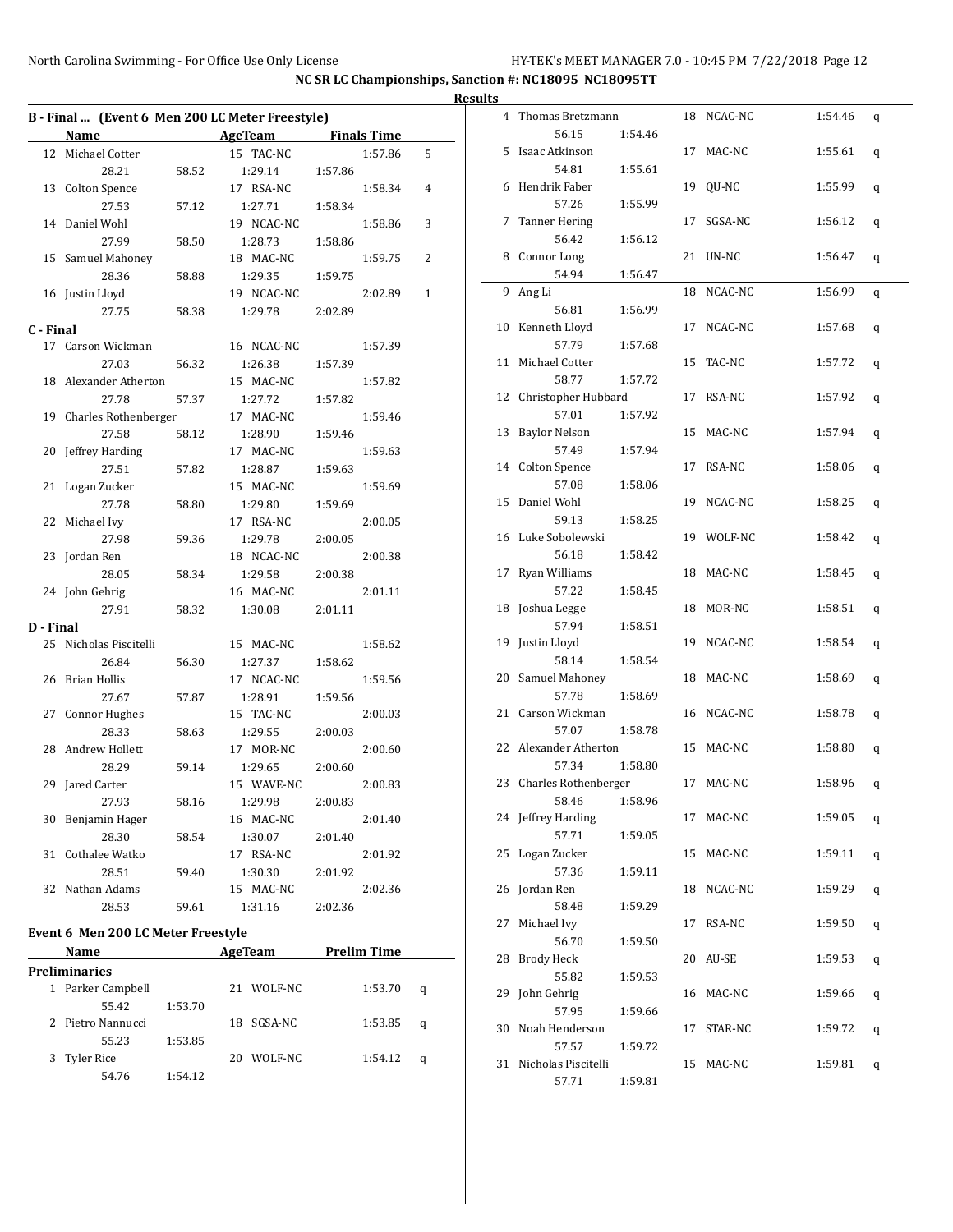|           | B - Final  (Event 6 Men 200 LC Meter Freestyle) |         |                            |                    |   |  |  |  |  |  |  |  |
|-----------|-------------------------------------------------|---------|----------------------------|--------------------|---|--|--|--|--|--|--|--|
|           | <b>Name</b>                                     |         | <b>Example 2.1 AgeTeam</b> | <b>Finals Time</b> |   |  |  |  |  |  |  |  |
|           | 12 Michael Cotter                               |         | 15 TAC-NC                  | 1:57.86            | 5 |  |  |  |  |  |  |  |
|           | 28.21                                           | 58.52   | 1:29.14                    | 1:57.86            |   |  |  |  |  |  |  |  |
|           | 13 Colton Spence                                |         | 17 RSA-NC                  | 1:58.34            | 4 |  |  |  |  |  |  |  |
|           | 27.53                                           | 57.12   | 1:27.71                    | 1:58.34            |   |  |  |  |  |  |  |  |
| 14        | Daniel Wohl                                     |         | 19 NCAC-NC                 | 1:58.86            | 3 |  |  |  |  |  |  |  |
|           | 27.99                                           | 58.50   | 1:28.73                    | 1:58.86            |   |  |  |  |  |  |  |  |
|           | 15 Samuel Mahoney                               |         | 18 MAC-NC                  | 1:59.75            | 2 |  |  |  |  |  |  |  |
|           | 28.36                                           | 58.88   | 1:29.35                    | 1:59.75            |   |  |  |  |  |  |  |  |
|           | 16 Justin Lloyd                                 |         | 19 NCAC-NC                 | 2:02.89            | 1 |  |  |  |  |  |  |  |
|           | 27.75                                           | 58.38   | 1:29.78                    | 2:02.89            |   |  |  |  |  |  |  |  |
| C - Final |                                                 |         |                            |                    |   |  |  |  |  |  |  |  |
|           | 17 Carson Wickman                               |         | 16 NCAC-NC                 | 1:57.39            |   |  |  |  |  |  |  |  |
|           | 27.03                                           | 56.32   | 1:26.38                    | 1:57.39            |   |  |  |  |  |  |  |  |
|           | 18 Alexander Atherton                           |         | 15 MAC-NC                  | 1:57.82            |   |  |  |  |  |  |  |  |
|           | 27.78                                           | 57.37   | 1:27.72                    | 1:57.82            |   |  |  |  |  |  |  |  |
|           | 19 Charles Rothenberger                         |         | 17 MAC-NC                  | 1:59.46            |   |  |  |  |  |  |  |  |
|           | 27.58                                           | 58.12   | 1:28.90                    | 1:59.46            |   |  |  |  |  |  |  |  |
|           | Jeffrey Harding                                 |         | 17 MAC-NC                  | 1:59.63            |   |  |  |  |  |  |  |  |
| 20        |                                                 |         |                            |                    |   |  |  |  |  |  |  |  |
|           | 27.51                                           | 57.82   | 1:28.87                    | 1:59.63            |   |  |  |  |  |  |  |  |
| 21        | Logan Zucker                                    |         | 15 MAC-NC                  | 1:59.69            |   |  |  |  |  |  |  |  |
|           | 27.78                                           | 58.80   | 1:29.80                    | 1:59.69            |   |  |  |  |  |  |  |  |
|           | 22 Michael Ivy                                  |         | 17 RSA-NC                  | 2:00.05            |   |  |  |  |  |  |  |  |
|           | 27.98                                           | 59.36   | 1:29.78                    | 2:00.05            |   |  |  |  |  |  |  |  |
| 23        | Jordan Ren                                      |         | 18 NCAC-NC                 | 2:00.38            |   |  |  |  |  |  |  |  |
|           | 28.05                                           | 58.34   | 1:29.58                    | 2:00.38            |   |  |  |  |  |  |  |  |
|           | 24 John Gehrig                                  |         | 16 MAC-NC                  | 2:01.11            |   |  |  |  |  |  |  |  |
|           | 27.91                                           | 58.32   | 1:30.08                    | 2:01.11            |   |  |  |  |  |  |  |  |
| D - Final |                                                 |         |                            |                    |   |  |  |  |  |  |  |  |
|           | 25 Nicholas Piscitelli                          |         | 15 MAC-NC                  | 1:58.62            |   |  |  |  |  |  |  |  |
|           | 26.84                                           | 56.30   | 1:27.37                    | 1:58.62            |   |  |  |  |  |  |  |  |
| 26        | Brian Hollis                                    |         | 17 NCAC-NC                 | 1:59.56            |   |  |  |  |  |  |  |  |
|           | 27.67                                           | 57.87   | 1:28.91                    | 1:59.56            |   |  |  |  |  |  |  |  |
| 27        | <b>Connor Hughes</b>                            |         | 15 TAC-NC                  | 2:00.03            |   |  |  |  |  |  |  |  |
|           | 28.33                                           | 58.63   | 1:29.55                    | 2:00.03            |   |  |  |  |  |  |  |  |
| 28        | Andrew Hollett                                  |         | 17 MOR-NC                  | 2:00.60            |   |  |  |  |  |  |  |  |
|           | 28.29                                           | 59.14   | 1:29.65                    | 2:00.60            |   |  |  |  |  |  |  |  |
| 29        | Jared Carter                                    |         | 15 WAVE-NC                 | 2:00.83            |   |  |  |  |  |  |  |  |
|           | 27.93                                           | 58.16   | 1:29.98                    | 2:00.83            |   |  |  |  |  |  |  |  |
| 30        | Benjamin Hager                                  |         | 16 MAC-NC                  | 2:01.40            |   |  |  |  |  |  |  |  |
|           | 28.30                                           | 58.54   | 1:30.07                    | 2:01.40            |   |  |  |  |  |  |  |  |
| 31        | Cothalee Watko                                  |         | 17 RSA-NC                  | 2:01.92            |   |  |  |  |  |  |  |  |
|           | 28.51                                           | 59.40   | 1:30.30                    | 2:01.92            |   |  |  |  |  |  |  |  |
|           | 32 Nathan Adams                                 |         | 15 MAC-NC                  | 2:02.36            |   |  |  |  |  |  |  |  |
|           | 28.53                                           | 59.61   | 1:31.16                    | 2:02.36            |   |  |  |  |  |  |  |  |
|           |                                                 |         |                            |                    |   |  |  |  |  |  |  |  |
|           | Event 6 Men 200 LC Meter Freestyle              |         |                            |                    |   |  |  |  |  |  |  |  |
|           | Name                                            |         | <b>AgeTeam</b>             | <b>Prelim Time</b> |   |  |  |  |  |  |  |  |
|           | <b>Preliminaries</b>                            |         |                            |                    |   |  |  |  |  |  |  |  |
| $1 \quad$ | Parker Campbell                                 |         | 21<br>WOLF-NC              | 1:53.70            | q |  |  |  |  |  |  |  |
|           | 55.42                                           | 1:53.70 |                            |                    |   |  |  |  |  |  |  |  |
|           | 2 Pietro Nannucci                               |         | 18 SGSA-NC                 | 1:53.85            | q |  |  |  |  |  |  |  |

55.23 1:53.85

54.76 1:54.12

3 Tyler Rice 20 WOLF-NC 1:54.12 q

| <b>Results</b> |                                  |         |            |         |   |
|----------------|----------------------------------|---------|------------|---------|---|
|                | 4 Thomas Bretzmann<br>56.15      | 1:54.46 | 18 NCAC-NC | 1:54.46 | q |
| 5              | Isaac Atkinson<br>54.81          | 1:55.61 | 17 MAC-NC  | 1:55.61 | q |
|                | 6 Hendrik Faber<br>57.26         | 1:55.99 | 19 QU-NC   | 1:55.99 | q |
|                | 7 Tanner Hering<br>56.42         | 1:56.12 | 17 SGSA-NC | 1:56.12 | q |
|                | 8 Connor Long<br>54.94           | 1:56.47 | 21 UN-NC   | 1:56.47 | q |
|                | 9 Ang Li<br>56.81                | 1:56.99 | 18 NCAC-NC | 1:56.99 | q |
|                | 10 Kenneth Lloyd<br>57.79        | 1:57.68 | 17 NCAC-NC | 1:57.68 | q |
|                | 11 Michael Cotter<br>58.77       | 1:57.72 | 15 TAC-NC  | 1:57.72 | q |
|                | 12 Christopher Hubbard<br>57.01  | 1:57.92 | 17 RSA-NC  | 1:57.92 | q |
|                | 13 Baylor Nelson<br>57.49        | 1:57.94 | 15 MAC-NC  | 1:57.94 | q |
|                | 14 Colton Spence<br>57.08        | 1:58.06 | 17 RSA-NC  | 1:58.06 | q |
| 15             | Daniel Wohl<br>59.13             | 1:58.25 | 19 NCAC-NC | 1:58.25 | q |
|                | 16 Luke Sobolewski<br>56.18      | 1:58.42 | 19 WOLF-NC | 1:58.42 | q |
|                | 17 Ryan Williams<br>57.22        | 1:58.45 | 18 MAC-NC  | 1:58.45 | q |
|                | 18 Joshua Legge<br>57.94         | 1:58.51 | 18 MOR-NC  | 1:58.51 | q |
|                | 19 Justin Lloyd<br>58.14         | 1:58.54 | 19 NCAC-NC | 1:58.54 | q |
|                | 20 Samuel Mahoney<br>57.78       | 1:58.69 | 18 MAC-NC  | 1:58.69 | q |
|                | 21 Carson Wickman<br>57.07       | 1:58.78 | 16 NCAC-NC | 1:58.78 | q |
|                | 22 Alexander Atherton<br>57.34   | 1:58.80 | 15 MAC-NC  | 1:58.80 | q |
|                | 23 Charles Rothenberger<br>58.46 | 1:58.96 | 17 MAC-NC  | 1:58.96 | q |
|                | 24 Jeffrey Harding<br>57.71      | 1:59.05 | 17 MAC-NC  | 1:59.05 | q |
|                | 25 Logan Zucker<br>57.36         | 1:59.11 | 15 MAC-NC  | 1:59.11 | q |
|                | 26 Jordan Ren<br>58.48           | 1:59.29 | 18 NCAC-NC | 1:59.29 | q |
|                | 27 Michael Ivy<br>56.70          | 1:59.50 | 17 RSA-NC  | 1:59.50 | q |
|                | 28 Brody Heck<br>55.82           | 1:59.53 | 20 AU-SE   | 1:59.53 | q |
|                | 29 John Gehrig<br>57.95          | 1:59.66 | 16 MAC-NC  | 1:59.66 | q |
| 30             | Noah Henderson<br>57.57          | 1:59.72 | 17 STAR-NC | 1:59.72 | q |
|                | 31 Nicholas Piscitelli<br>57.71  | 1:59.81 | 15 MAC-NC  | 1:59.81 | q |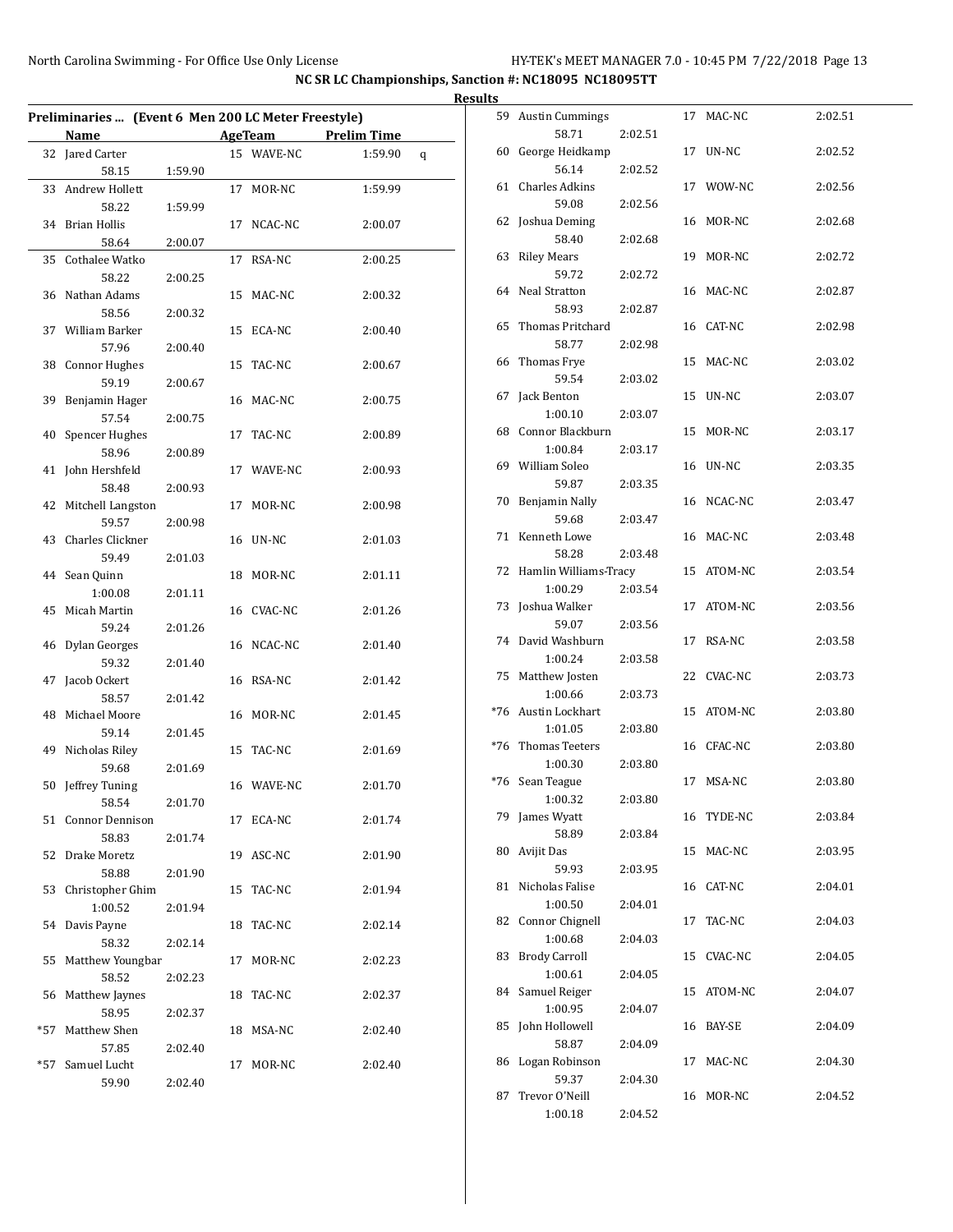|     | Preliminaries  (Event 6 Men 200 LC Meter Freestyle) |         |    |            |                    |   |
|-----|-----------------------------------------------------|---------|----|------------|--------------------|---|
|     | Name                                                |         |    | AgeTeam    | <b>Prelim Time</b> |   |
|     |                                                     |         |    |            |                    |   |
|     | 32 Jared Carter                                     |         |    | 15 WAVE-NC | 1:59.90            | q |
|     | 58.15                                               | 1:59.90 |    |            |                    |   |
| 33  | Andrew Hollett                                      |         | 17 | MOR-NC     | 1:59.99            |   |
|     | 58.22                                               | 1:59.99 |    |            |                    |   |
|     | 34 Brian Hollis                                     |         | 17 | NCAC-NC    | 2:00.07            |   |
|     | 58.64                                               | 2:00.07 |    |            |                    |   |
|     | 35 Cothalee Watko                                   |         | 17 | RSA-NC     | 2:00.25            |   |
|     | 58.22                                               | 2:00.25 |    |            |                    |   |
|     | 36 Nathan Adams                                     |         | 15 | MAC-NC     | 2:00.32            |   |
|     | 58.56                                               | 2:00.32 |    |            |                    |   |
|     | 37 William Barker                                   |         |    | 15 ECA-NC  | 2:00.40            |   |
|     | 57.96                                               | 2:00.40 |    |            |                    |   |
|     | 38 Connor Hughes                                    |         | 15 | TAC-NC     | 2:00.67            |   |
|     | 59.19                                               | 2:00.67 |    |            |                    |   |
|     | 39 Benjamin Hager                                   |         |    | 16 MAC-NC  | 2:00.75            |   |
|     | 57.54                                               | 2:00.75 |    |            |                    |   |
|     | 40 Spencer Hughes                                   |         | 17 | TAC-NC     | 2:00.89            |   |
|     | 58.96                                               | 2:00.89 |    |            |                    |   |
|     | 41 John Hershfeld                                   |         |    | 17 WAVE-NC | 2:00.93            |   |
|     | 58.48                                               | 2:00.93 |    |            |                    |   |
|     | 42 Mitchell Langston                                |         | 17 | MOR-NC     | 2:00.98            |   |
|     | 59.57                                               | 2:00.98 |    |            |                    |   |
| 43  | Charles Clickner                                    |         |    | 16 UN-NC   | 2:01.03            |   |
|     | 59.49                                               | 2:01.03 |    |            |                    |   |
|     | 44 Sean Quinn                                       |         |    | 18 MOR-NC  | 2:01.11            |   |
|     | 1:00.08                                             | 2:01.11 |    |            |                    |   |
|     | 45 Micah Martin                                     |         |    | 16 CVAC-NC | 2:01.26            |   |
|     | 59.24                                               |         |    |            |                    |   |
|     |                                                     | 2:01.26 |    |            |                    |   |
|     | 46 Dylan Georges                                    |         |    | 16 NCAC-NC | 2:01.40            |   |
|     | 59.32                                               | 2:01.40 |    |            |                    |   |
| 47  | Jacob Ockert                                        |         | 16 | RSA-NC     | 2:01.42            |   |
|     | 58.57                                               | 2:01.42 |    |            |                    |   |
|     | 48 Michael Moore                                    |         | 16 | MOR-NC     | 2:01.45            |   |
|     | 59.14                                               | 2:01.45 |    |            |                    |   |
|     | 49 Nicholas Riley                                   |         |    | 15 TAC-NC  | 2:01.69            |   |
|     | 59.68                                               | 2:01.69 |    |            |                    |   |
|     | 50 Jeffrey Tuning                                   |         |    | 16 WAVE-NC | 2:01.70            |   |
|     | 58.54                                               | 2:01.70 |    |            |                    |   |
|     | 51 Connor Dennison                                  |         |    | 17 ECA-NC  | 2:01.74            |   |
|     | 58.83                                               | 2:01.74 |    |            |                    |   |
|     | 52 Drake Moretz                                     |         |    | 19 ASC-NC  | 2:01.90            |   |
|     | 58.88                                               | 2:01.90 |    |            |                    |   |
|     | 53 Christopher Ghim                                 |         |    | 15 TAC-NC  | 2:01.94            |   |
|     | 1:00.52                                             | 2:01.94 |    |            |                    |   |
|     | 54 Davis Payne                                      |         |    | 18 TAC-NC  | 2:02.14            |   |
|     | 58.32                                               | 2:02.14 |    |            |                    |   |
|     | 55 Matthew Youngbar                                 |         |    | 17 MOR-NC  | 2:02.23            |   |
|     | 58.52                                               | 2:02.23 |    |            |                    |   |
| 56  | Matthew Jaynes                                      |         |    | 18 TAC-NC  | 2:02.37            |   |
|     | 58.95                                               | 2:02.37 |    |            |                    |   |
| *57 | Matthew Shen                                        |         |    | 18 MSA-NC  | 2:02.40            |   |
|     | 57.85                                               | 2:02.40 |    |            |                    |   |
| *57 | Samuel Lucht                                        |         | 17 | MOR-NC     | 2:02.40            |   |
|     | 59.90                                               | 2:02.40 |    |            |                    |   |
|     |                                                     |         |    |            |                    |   |

| <b>Results</b> |                                     |         |            |         |
|----------------|-------------------------------------|---------|------------|---------|
|                | 59 Austin Cummings<br>58.71         | 2:02.51 | 17 MAC-NC  | 2:02.51 |
|                | 60 George Heidkamp                  |         | 17 UN-NC   | 2:02.52 |
|                | 56.14<br>61 Charles Adkins          | 2:02.52 | 17 WOW-NC  | 2:02.56 |
|                | 59.08<br>62 Joshua Deming           | 2:02.56 | 16 MOR-NC  | 2:02.68 |
|                | 58.40<br>63 Riley Mears             | 2:02.68 | 19 MOR-NC  | 2:02.72 |
|                | 59.72<br>64 Neal Stratton           | 2:02.72 | 16 MAC-NC  | 2:02.87 |
| 65             | 58.93<br>Thomas Pritchard           | 2:02.87 | 16 CAT-NC  | 2:02.98 |
|                | 58.77<br>66 Thomas Frye             | 2:02.98 | 15 MAC-NC  | 2:03.02 |
|                | 59.54<br>67 Jack Benton             | 2:03.02 | 15 UN-NC   | 2:03.07 |
|                | 1:00.10                             | 2:03.07 |            |         |
|                | 68 Connor Blackburn<br>1:00.84      | 2:03.17 | 15 MOR-NC  | 2:03.17 |
|                | 69 William Soleo<br>59.87           | 2:03.35 | 16 UN-NC   | 2:03.35 |
|                | 70 Benjamin Nally<br>59.68          | 2:03.47 | 16 NCAC-NC | 2:03.47 |
|                | 71 Kenneth Lowe<br>58.28            | 2:03.48 | 16 MAC-NC  | 2:03.48 |
|                | 72 Hamlin Williams-Tracy<br>1:00.29 | 2:03.54 | 15 ATOM-NC | 2:03.54 |
|                | 73 Joshua Walker<br>59.07           | 2:03.56 | 17 ATOM-NC | 2:03.56 |
|                | 74 David Washburn<br>1:00.24        | 2:03.58 | 17 RSA-NC  | 2:03.58 |
|                | 75 Matthew Josten<br>1:00.66        | 2:03.73 | 22 CVAC-NC | 2:03.73 |
|                | *76 Austin Lockhart<br>1:01.05      | 2:03.80 | 15 ATOM-NC | 2:03.80 |
|                | *76 Thomas Teeters                  |         | 16 CFAC-NC | 2:03.80 |
|                | 1:00.30<br>*76 Sean Teague          | 2:03.80 | 17 MSA-NC  | 2:03.80 |
|                | 1:00.32<br>79 James Wyatt           | 2:03.80 | 16 TYDE-NC | 2:03.84 |
|                | 58.89<br>80 Avijit Das              | 2:03.84 | 15 MAC-NC  | 2:03.95 |
|                | 59.93<br>81 Nicholas Falise         | 2:03.95 | 16 CAT-NC  | 2:04.01 |
|                | 1:00.50<br>82 Connor Chignell       | 2:04.01 | 17 TAC-NC  | 2:04.03 |
|                | 1:00.68<br>83 Brody Carroll         | 2:04.03 | 15 CVAC-NC | 2:04.05 |
|                | 1:00.61<br>84 Samuel Reiger         | 2:04.05 | 15 ATOM-NC | 2:04.07 |
|                | 1:00.95<br>85 John Hollowell        | 2:04.07 | 16 BAY-SE  | 2:04.09 |
|                | 58.87<br>86 Logan Robinson          | 2:04.09 | 17 MAC-NC  | 2:04.30 |
| 87             | 59.37<br>Trevor O'Neill             | 2:04.30 | 16 MOR-NC  | 2:04.52 |
|                | 1:00.18                             | 2:04.52 |            |         |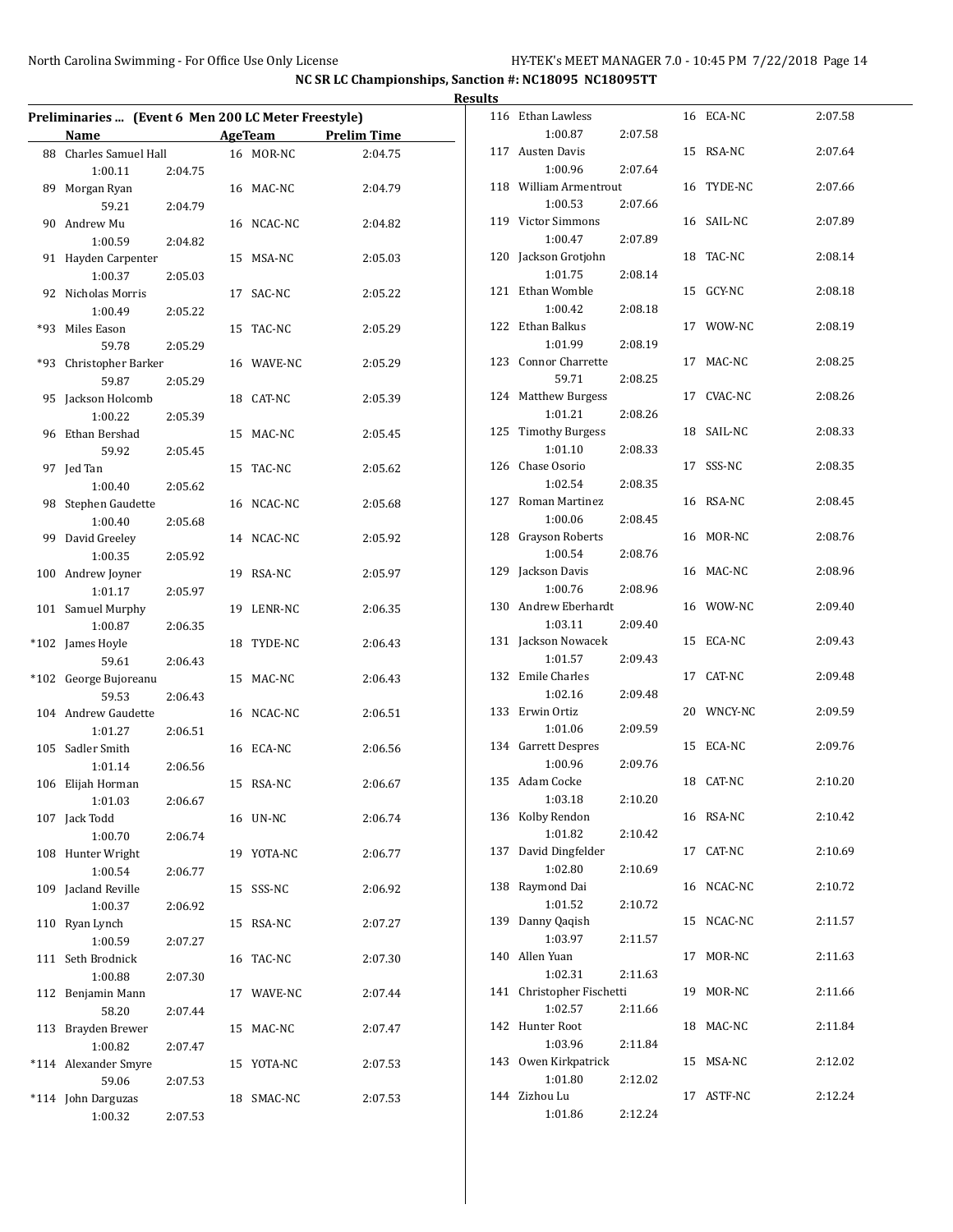| <b>Results</b>                                      |                    |  |                |                    |  |                                      |         |  |            |         |
|-----------------------------------------------------|--------------------|--|----------------|--------------------|--|--------------------------------------|---------|--|------------|---------|
| Preliminaries  (Event 6 Men 200 LC Meter Freestyle) |                    |  |                |                    |  | 116 Ethan Lawless                    |         |  | 16 ECA-NC  | 2:07.58 |
| Name                                                |                    |  | <b>AgeTeam</b> | <b>Prelim Time</b> |  | 1:00.87                              | 2:07.58 |  |            |         |
| 88 Charles Samuel Hall<br>1:00.11                   | 2:04.75            |  | 16 MOR-NC      | 2:04.75            |  | 117 Austen Davis<br>1:00.96          | 2:07.64 |  | 15 RSA-NC  | 2:07.64 |
| 89 Morgan Ryan<br>59.21                             | 2:04.79            |  | 16 MAC-NC      | 2:04.79            |  | 118 William Armentrout<br>1:00.53    | 2:07.66 |  | 16 TYDE-NC | 2:07.66 |
| 90 Andrew Mu<br>1:00.59                             | 2:04.82            |  | 16 NCAC-NC     | 2:04.82            |  | 119 Victor Simmons<br>1:00.47        | 2:07.89 |  | 16 SAIL-NC | 2:07.89 |
| 91 Hayden Carpenter<br>1:00.37                      | 2:05.03            |  | 15 MSA-NC      | 2:05.03            |  | 120 Jackson Grotjohn<br>1:01.75      | 2:08.14 |  | 18 TAC-NC  | 2:08.14 |
| 92 Nicholas Morris<br>1:00.49                       |                    |  | 17 SAC-NC      | 2:05.22            |  | 121 Ethan Womble<br>1:00.42          | 2:08.18 |  | 15 GCY-NC  | 2:08.18 |
| *93 Miles Eason<br>59.78                            | 2:05.22<br>2:05.29 |  | 15 TAC-NC      | 2:05.29            |  | 122 Ethan Balkus<br>1:01.99          | 2:08.19 |  | 17 WOW-NC  | 2:08.19 |
| *93 Christopher Barker                              |                    |  | 16 WAVE-NC     | 2:05.29            |  | 123 Connor Charrette<br>59.71        | 2:08.25 |  | 17 MAC-NC  | 2:08.25 |
| 59.87<br>95 Jackson Holcomb                         | 2:05.29            |  | 18 CAT-NC      | 2:05.39            |  | 124 Matthew Burgess<br>1:01.21       | 2:08.26 |  | 17 CVAC-NC | 2:08.26 |
| 1:00.22<br>96 Ethan Bershad                         | 2:05.39            |  | 15 MAC-NC      | 2:05.45            |  | 125 Timothy Burgess<br>1:01.10       | 2:08.33 |  | 18 SAIL-NC | 2:08.33 |
| 59.92<br>97 Jed Tan                                 | 2:05.45            |  | 15 TAC-NC      | 2:05.62            |  | 126 Chase Osorio<br>1:02.54          | 2:08.35 |  | 17 SSS-NC  | 2:08.35 |
| 1:00.40<br>98 Stephen Gaudette<br>1:00.40           | 2:05.62<br>2:05.68 |  | 16 NCAC-NC     | 2:05.68            |  | 127 Roman Martinez<br>1:00.06        | 2:08.45 |  | 16 RSA-NC  | 2:08.45 |
| 99 David Greeley<br>1:00.35                         | 2:05.92            |  | 14 NCAC-NC     | 2:05.92            |  | 128 Grayson Roberts<br>1:00.54       | 2:08.76 |  | 16 MOR-NC  | 2:08.76 |
| 100 Andrew Joyner<br>1:01.17                        | 2:05.97            |  | 19 RSA-NC      | 2:05.97            |  | 129 Jackson Davis<br>1:00.76         | 2:08.96 |  | 16 MAC-NC  | 2:08.96 |
| 101 Samuel Murphy<br>1:00.87                        | 2:06.35            |  | 19 LENR-NC     | 2:06.35            |  | 130 Andrew Eberhardt<br>1:03.11      | 2:09.40 |  | 16 WOW-NC  | 2:09.40 |
| *102 James Hoyle<br>59.61                           | 2:06.43            |  | 18 TYDE-NC     | 2:06.43            |  | 131 Jackson Nowacek<br>1:01.57       | 2:09.43 |  | 15 ECA-NC  | 2:09.43 |
| *102 George Bujoreanu<br>59.53                      | 2:06.43            |  | 15 MAC-NC      | 2:06.43            |  | 132 Emile Charles<br>1:02.16         | 2:09.48 |  | 17 CAT-NC  | 2:09.48 |
| 104 Andrew Gaudette<br>1:01.27                      | 2:06.51            |  | 16 NCAC-NC     | 2:06.51            |  | 133 Erwin Ortiz<br>1:01.06           | 2:09.59 |  | 20 WNCY-NC | 2:09.59 |
| 105 Sadler Smith<br>1:01.14                         | 2:06.56            |  | 16 ECA-NC      | 2:06.56            |  | 134 Garrett Despres<br>1:00.96       | 2:09.76 |  | 15 ECA-NC  | 2:09.76 |
| 106 Elijah Horman<br>1:01.03                        | 2:06.67            |  | 15 RSA-NC      | 2:06.67            |  | 135 Adam Cocke<br>1:03.18            | 2:10.20 |  | 18 CAT-NC  | 2:10.20 |
| 107 Jack Todd<br>1:00.70                            | 2:06.74            |  | 16 UN-NC       | 2:06.74            |  | 136 Kolby Rendon<br>1:01.82          | 2:10.42 |  | 16 RSA-NC  | 2:10.42 |
| 108 Hunter Wright<br>1:00.54                        | 2:06.77            |  | 19 YOTA-NC     | 2:06.77            |  | 137 David Dingfelder<br>1:02.80      | 2:10.69 |  | 17 CAT-NC  | 2:10.69 |
| 109 Jacland Reville<br>1:00.37                      | 2:06.92            |  | 15 SSS-NC      | 2:06.92            |  | 138 Raymond Dai<br>1:01.52           | 2:10.72 |  | 16 NCAC-NC | 2:10.72 |
| 110 Ryan Lynch<br>1:00.59                           | 2:07.27            |  | 15 RSA-NC      | 2:07.27            |  | 139 Danny Qaqish<br>1:03.97          | 2:11.57 |  | 15 NCAC-NC | 2:11.57 |
| 111 Seth Brodnick<br>1:00.88                        | 2:07.30            |  | 16 TAC-NC      | 2:07.30            |  | 140 Allen Yuan<br>1:02.31            | 2:11.63 |  | 17 MOR-NC  | 2:11.63 |
| 112 Benjamin Mann<br>58.20                          | 2:07.44            |  | 17 WAVE-NC     | 2:07.44            |  | 141 Christopher Fischetti<br>1:02.57 | 2:11.66 |  | 19 MOR-NC  | 2:11.66 |
| 113 Brayden Brewer<br>1:00.82                       | 2:07.47            |  | 15 MAC-NC      | 2:07.47            |  | 142 Hunter Root<br>1:03.96           | 2:11.84 |  | 18 MAC-NC  | 2:11.84 |
| *114 Alexander Smyre<br>59.06                       | 2:07.53            |  | 15 YOTA-NC     | 2:07.53            |  | 143 Owen Kirkpatrick<br>1:01.80      | 2:12.02 |  | 15 MSA-NC  | 2:12.02 |
| *114 John Darguzas<br>1:00.32                       | 2:07.53            |  | 18 SMAC-NC     | 2:07.53            |  | 144 Zizhou Lu<br>1:01.86             | 2:12.24 |  | 17 ASTF-NC | 2:12.24 |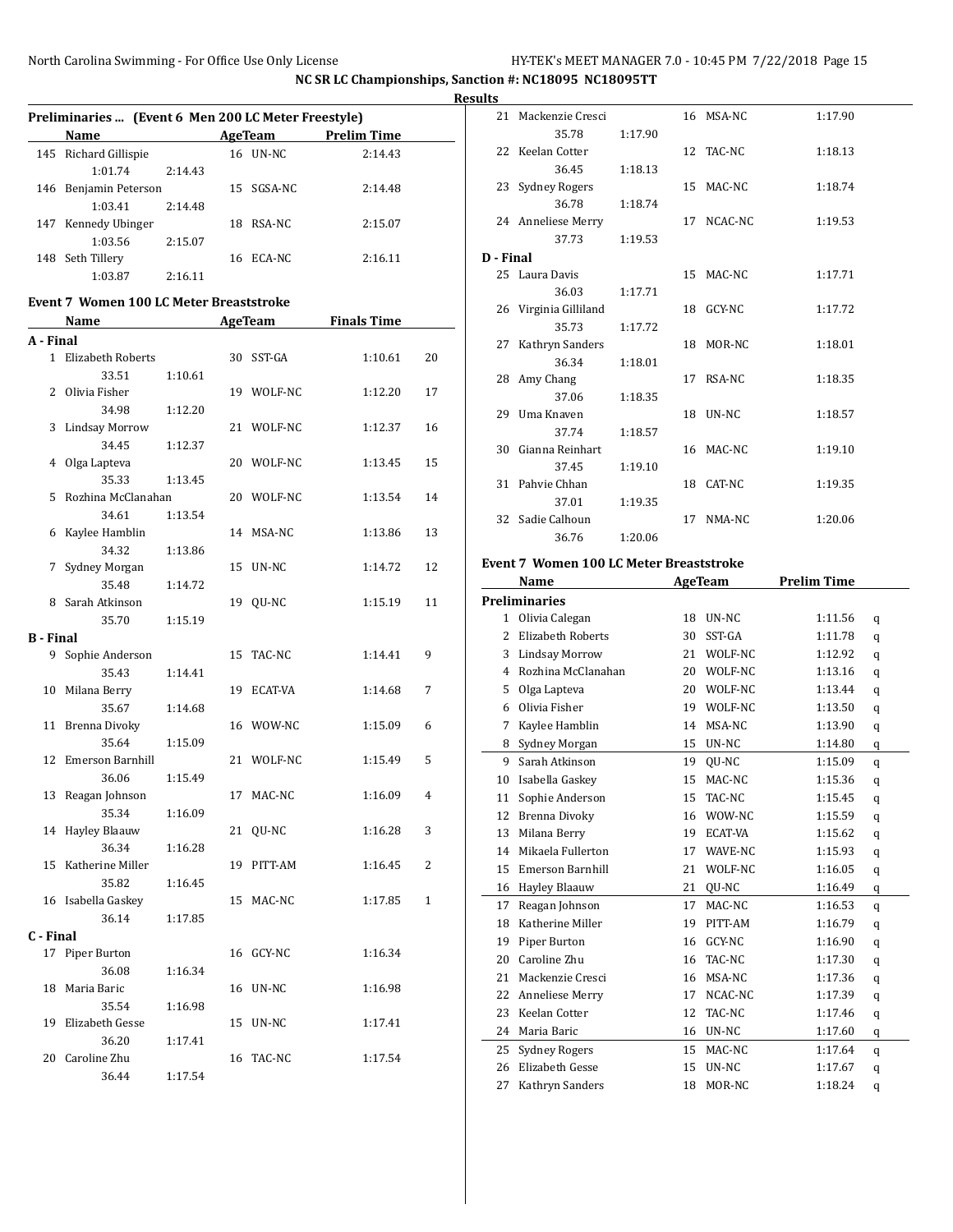|                  | Preliminaries  (Event 6 Men 200 LC Meter Freestyle) |                                              |                |                    |              |
|------------------|-----------------------------------------------------|----------------------------------------------|----------------|--------------------|--------------|
|                  | Name                                                | the control of the control of the control of | <b>AgeTeam</b> | <b>Prelim Time</b> |              |
|                  | 145 Richard Gillispie                               |                                              | 16 UN-NC       | 2:14.43            |              |
|                  | 1:01.74                                             | 2:14.43                                      |                |                    |              |
|                  | 146 Benjamin Peterson                               |                                              | 15 SGSA-NC     | 2:14.48            |              |
|                  | 1:03.41                                             | 2:14.48                                      |                |                    |              |
|                  | 147 Kennedy Ubinger                                 |                                              | 18 RSA-NC      | 2:15.07            |              |
|                  | 1:03.56                                             | 2:15.07                                      |                |                    |              |
|                  | 148 Seth Tillery                                    |                                              | 16 ECA-NC      | 2:16.11            |              |
|                  | 1:03.87                                             | 2:16.11                                      |                |                    |              |
|                  | Event 7 Women 100 LC Meter Breaststroke             |                                              |                |                    |              |
|                  | Name                                                |                                              | <b>AgeTeam</b> | <b>Finals Time</b> |              |
| A - Final        |                                                     |                                              |                |                    |              |
|                  | 1 Elizabeth Roberts                                 |                                              | 30 SST-GA      | 1:10.61            | 20           |
|                  |                                                     |                                              |                |                    |              |
|                  | 33.51                                               | 1:10.61                                      |                |                    |              |
|                  | 2 Olivia Fisher                                     |                                              | 19 WOLF-NC     | 1:12.20            | 17           |
|                  | 34.98                                               | 1:12.20                                      |                |                    |              |
| 3                | <b>Lindsay Morrow</b>                               |                                              | 21 WOLF-NC     | 1:12.37            | 16           |
|                  | 34.45                                               | 1:12.37                                      |                |                    |              |
| 4                | Olga Lapteva                                        |                                              | 20 WOLF-NC     | 1:13.45            | 15           |
|                  | 35.33                                               | 1:13.45                                      |                |                    |              |
| 5                | Rozhina McClanahan                                  |                                              | 20 WOLF-NC     | 1:13.54            | 14           |
|                  | 34.61                                               | 1:13.54                                      |                |                    |              |
| 6                | Kaylee Hamblin                                      |                                              | 14 MSA-NC      | 1:13.86            | 13           |
|                  | 34.32                                               | 1:13.86                                      |                |                    |              |
| 7                | Sydney Morgan                                       |                                              | 15 UN-NC       | 1:14.72            | 12           |
|                  | 35.48                                               | 1:14.72                                      |                |                    |              |
| 8                | Sarah Atkinson                                      |                                              | 19 QU-NC       | 1:15.19            | 11           |
|                  | 35.70                                               | 1:15.19                                      |                |                    |              |
| <b>B</b> - Final |                                                     |                                              |                |                    |              |
|                  | 9 Sophie Anderson                                   |                                              | 15 TAC-NC      | 1:14.41            | 9            |
|                  | 35.43                                               | 1:14.41                                      |                |                    |              |
|                  | 10 Milana Berry                                     |                                              | 19 ECAT-VA     | 1:14.68            | 7            |
|                  | 35.67                                               | 1:14.68                                      |                |                    |              |
|                  | 11 Brenna Divoky                                    |                                              | 16 WOW-NC      | 1:15.09            | 6            |
|                  | 35.64                                               | 1:15.09                                      |                |                    |              |
|                  | 12 Emerson Barnhill                                 |                                              | 21 WOLF-NC     | 1:15.49            | 5            |
|                  | 36.06                                               | 1:15.49                                      |                |                    |              |
|                  | 13 Reagan Johnson                                   |                                              | 17 MAC-NC      | 1:16.09            | 4            |
|                  | 35.34                                               | 1:16.09                                      |                |                    |              |
|                  | 14 Hayley Blaauw                                    |                                              | 21 QU-NC       | 1:16.28            | 3            |
|                  | 36.34                                               | 1:16.28                                      |                |                    |              |
| 15               | Katherine Miller                                    |                                              | 19 PITT-AM     | 1:16.45            | 2            |
|                  | 35.82                                               | 1:16.45                                      |                |                    |              |
|                  | 16 Isabella Gaskey                                  |                                              | 15 MAC-NC      | 1:17.85            | $\mathbf{1}$ |
|                  | 36.14                                               | 1:17.85                                      |                |                    |              |
| C - Final        |                                                     |                                              |                |                    |              |
|                  | 17 Piper Burton                                     |                                              | 16 GCY-NC      | 1:16.34            |              |
|                  |                                                     |                                              |                |                    |              |
|                  | 36.08                                               | 1:16.34                                      |                |                    |              |
| 18               | Maria Baric                                         |                                              | 16 UN-NC       | 1:16.98            |              |
|                  | 35.54                                               | 1:16.98                                      |                |                    |              |
|                  | 19 Elizabeth Gesse                                  |                                              | 15 UN-NC       | 1:17.41            |              |
|                  | 36.20                                               | 1:17.41                                      |                |                    |              |
|                  | 20 Caroline Zhu                                     |                                              | 16 TAC-NC      | 1:17.54            |              |
|                  | 36.44                                               | 1:17.54                                      |                |                    |              |

| <b>Results</b> |                       |         |            |         |
|----------------|-----------------------|---------|------------|---------|
|                | 21 Mackenzie Cresci   |         | 16 MSA-NC  | 1:17.90 |
|                | 35.78                 | 1:17.90 |            |         |
|                | 22 Keelan Cotter      |         | 12 TAC-NC  | 1:18.13 |
|                | 36.45                 | 1:18.13 |            |         |
|                | 23 Sydney Rogers      |         | 15 MAC-NC  | 1:18.74 |
|                | 36.78                 | 1:18.74 |            |         |
|                | 24 Anneliese Merry    |         | 17 NCAC-NC | 1:19.53 |
|                | 37.73                 | 1:19.53 |            |         |
| D - Final      |                       |         |            |         |
|                | 25 Laura Davis        |         | 15 MAC-NC  | 1:17.71 |
|                | 36.03                 | 1:17.71 |            |         |
|                | 26 Virginia Gilliland |         | 18 GCY-NC  | 1:17.72 |
|                | 35.73                 | 1:17.72 |            |         |
|                | 27 Kathryn Sanders    |         | 18 MOR-NC  | 1:18.01 |
|                | 36.34<br>28 Amy Chang | 1:18.01 | 17 RSA-NC  | 1:18.35 |
|                | 37.06                 | 1:18.35 |            |         |
|                | 29 Uma Knaven         |         | 18 UN-NC   | 1:18.57 |
|                | 37.74                 | 1:18.57 |            |         |
|                | 30 Gianna Reinhart    |         | 16 MAC-NC  | 1:19.10 |
|                | 37.45                 | 1:19.10 |            |         |
|                | 31 Pahvie Chhan       |         | 18 CAT-NC  | 1:19.35 |
|                | 37.01                 | 1:19.35 |            |         |
|                | 32 Sadie Calhoun      |         | 17 NMA-NC  | 1:20.06 |
|                | 36.76                 | 1:20.06 |            |         |

#### **Event 7 Women 100 LC Meter Breaststroke**

|                | <b>Name</b>             |    | <b>AgeTeam</b> | <b>Prelim Time</b> |   |  |
|----------------|-------------------------|----|----------------|--------------------|---|--|
|                | <b>Preliminaries</b>    |    |                |                    |   |  |
| $\mathbf{1}$   | Olivia Calegan          | 18 | UN-NC          | 1:11.56            | q |  |
| $\overline{2}$ | Elizabeth Roberts       | 30 | SST-GA         | 1:11.78            | q |  |
| 3              | <b>Lindsay Morrow</b>   | 21 | WOLF-NC        | 1:12.92            | q |  |
| 4              | Rozhina McClanahan      | 20 | WOLF-NC        | 1:13.16            | q |  |
| 5              | Olga Lapteva            | 20 | WOLF-NC        | 1:13.44            | q |  |
| 6              | Olivia Fisher           | 19 | WOLF-NC        | 1:13.50            | q |  |
| 7              | Kaylee Hamblin          | 14 | MSA-NC         | 1:13.90            | q |  |
| 8              | Sydney Morgan           | 15 | UN-NC          | 1:14.80            | q |  |
| 9              | Sarah Atkinson          | 19 | QU-NC          | 1:15.09            | q |  |
| 10             | Isabella Gaskey         | 15 | MAC-NC         | 1:15.36            | q |  |
| 11             | Sophie Anderson         | 15 | TAC-NC         | 1:15.45            | q |  |
| 12             | Brenna Divoky           | 16 | WOW-NC         | 1:15.59            | q |  |
| 13             | Milana Berry            | 19 | ECAT-VA        | 1:15.62            | q |  |
| 14             | Mikaela Fullerton       | 17 | WAVE-NC        | 1:15.93            | q |  |
| 15             | <b>Emerson Barnhill</b> | 21 | WOLF-NC        | 1:16.05            | q |  |
| 16             | Hayley Blaauw           | 21 | QU-NC          | 1:16.49            | q |  |
| 17             | Reagan Johnson          | 17 | MAC-NC         | 1:16.53            | q |  |
| 18             | Katherine Miller        | 19 | PITT-AM        | 1:16.79            | q |  |
| 19             | Piper Burton            | 16 | GCY-NC         | 1:16.90            | q |  |
| 20             | Caroline Zhu            | 16 | TAC-NC         | 1:17.30            | q |  |
| 21             | Mackenzie Cresci        | 16 | MSA-NC         | 1:17.36            | q |  |
| 22             | Anneliese Merry         | 17 | NCAC-NC        | 1:17.39            | q |  |
| 23             | Keelan Cotter           | 12 | TAC-NC         | 1:17.46            | q |  |
| 24             | Maria Baric             | 16 | UN-NC          | 1:17.60            | q |  |
| 25             | Sydney Rogers           | 15 | MAC-NC         | 1:17.64            | q |  |
| 26             | Elizabeth Gesse         | 15 | UN-NC          | 1:17.67            | q |  |
| 27             | Kathryn Sanders         | 18 | MOR-NC         | 1:18.24            | q |  |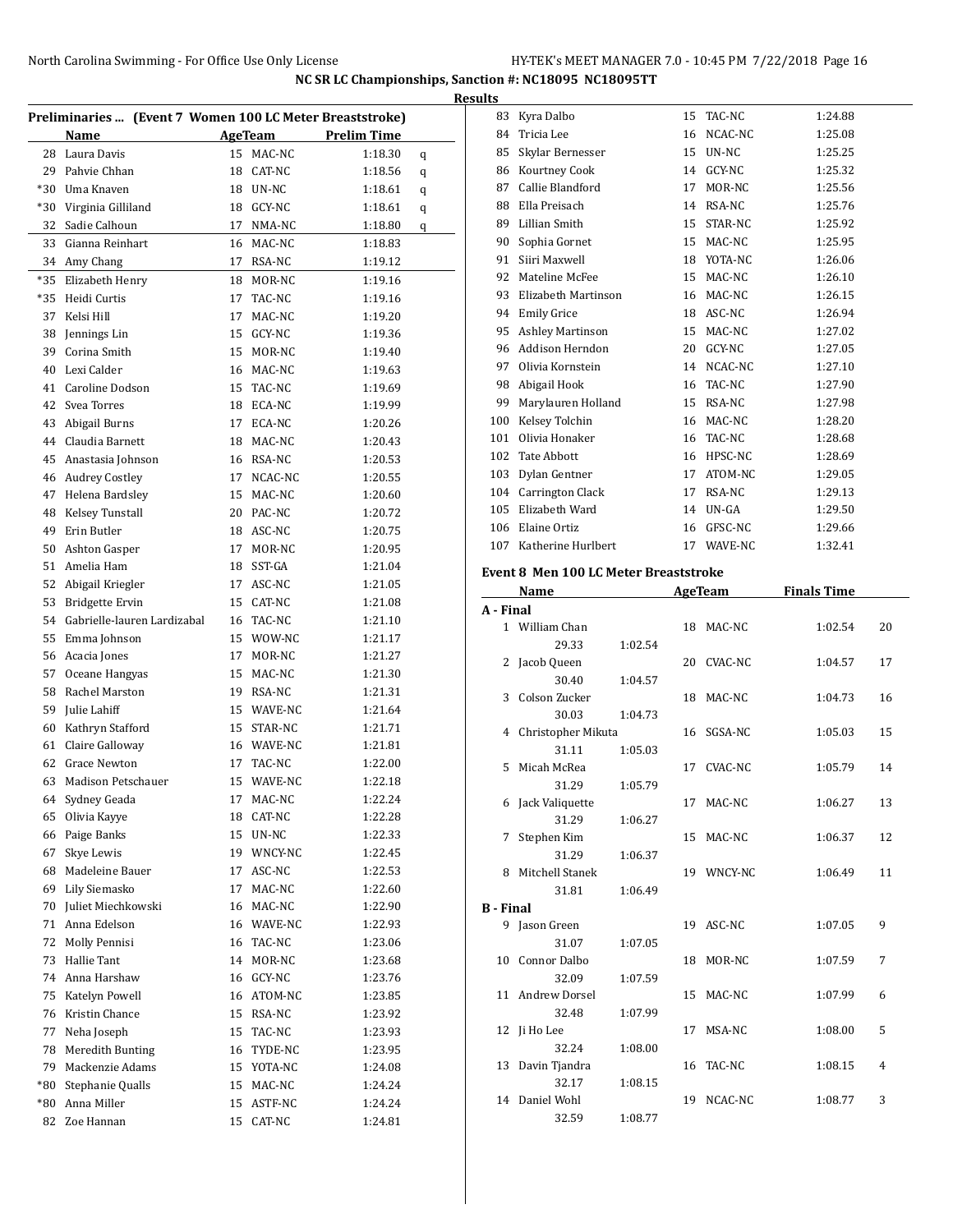| HY-TEK's MEET MANAGER 7.0 - 10:45 PM 7/22/2018 Page 16 |  |  |  |
|--------------------------------------------------------|--|--|--|
|--------------------------------------------------------|--|--|--|

|       | Preliminaries  (Event 7 Women 100 LC Meter Breaststroke) |                 |            |                    |   |
|-------|----------------------------------------------------------|-----------------|------------|--------------------|---|
|       | Name                                                     |                 | AgeTeam    | <b>Prelim Time</b> |   |
| 28    | Laura Davis                                              | 15              | MAC-NC     | 1:18.30            | q |
| 29    | Pahvie Chhan                                             |                 | 18 CAT-NC  | 1:18.56            | q |
| $*30$ | Uma Knaven                                               |                 | 18 UN-NC   | 1:18.61            | q |
| *30   | Virginia Gilliland                                       |                 | 18 GCY-NC  | 1:18.61            | q |
| 32    | Sadie Calhoun                                            |                 | 17 NMA-NC  | 1:18.80            | q |
| 33    | Gianna Reinhart                                          |                 | 16 MAC-NC  | 1:18.83            |   |
| 34    | Amy Chang                                                |                 | 17 RSA-NC  | 1:19.12            |   |
| *35   | Elizabeth Henry                                          |                 | 18 MOR-NC  | 1:19.16            |   |
| $*35$ | Heidi Curtis                                             | 17              | TAC-NC     | 1:19.16            |   |
| 37    | Kelsi Hill                                               | 17              | MAC-NC     | 1:19.20            |   |
| 38    | Jennings Lin                                             | 15              | GCY-NC     | 1:19.36            |   |
| 39    | Corina Smith                                             | 15              | MOR-NC     | 1:19.40            |   |
| 40    | Lexi Calder                                              |                 | 16 MAC-NC  | 1:19.63            |   |
| 41    | Caroline Dodson                                          | 15 <sup>2</sup> | TAC-NC     | 1:19.69            |   |
| 42    | Svea Torres                                              |                 | 18 ECA-NC  | 1:19.99            |   |
| 43    | Abigail Burns                                            | 17              | ECA-NC     | 1:20.26            |   |
| 44    | Claudia Barnett                                          |                 | 18 MAC-NC  | 1:20.43            |   |
| 45    | Anastasia Johnson                                        |                 | 16 RSA-NC  | 1:20.53            |   |
| 46    | <b>Audrey Costley</b>                                    | 17              | NCAC-NC    | 1:20.55            |   |
| 47    | Helena Bardslev                                          |                 | 15 MAC-NC  | 1:20.60            |   |
| 48    | Kelsey Tunstall                                          |                 | 20 PAC-NC  | 1:20.72            |   |
| 49    | Erin Butler                                              |                 | 18 ASC-NC  | 1:20.75            |   |
| 50    | Ashton Gasper                                            | 17              | MOR-NC     | 1:20.95            |   |
| 51    | Amelia Ham                                               | 18              | SST-GA     | 1:21.04            |   |
| 52    | Abigail Kriegler                                         | 17              | ASC-NC     | 1:21.05            |   |
| 53    | Bridgette Ervin                                          | 15              | CAT-NC     | 1:21.08            |   |
| 54    | Gabrielle-lauren Lardizabal                              |                 | 16 TAC-NC  | 1:21.10            |   |
| 55    | Emma Johnson                                             |                 | 15 WOW-NC  | 1:21.17            |   |
| 56    | Acacia Jones                                             | 17              | MOR-NC     | 1:21.27            |   |
| 57    | Oceane Hangyas                                           |                 | 15 MAC-NC  | 1:21.30            |   |
| 58    | Rachel Marston                                           |                 | 19 RSA-NC  | 1:21.31            |   |
| 59    | Julie Lahiff                                             |                 | 15 WAVE-NC | 1:21.64            |   |
| 60    | Kathryn Stafford                                         |                 | 15 STAR-NC | 1:21.71            |   |
| 61    | Claire Galloway                                          |                 | 16 WAVE-NC | 1:21.81            |   |
| 62    | <b>Grace Newton</b>                                      | 17              | TAC-NC     | 1:22.00            |   |
| 63    | Madison Petschauer                                       | 15              | WAVE-NC    | 1:22.18            |   |
| 64    | Sydney Geada                                             | 17              | MAC-NC     | 1:22.24            |   |
| 65    | Olivia Kayye                                             | 18              | CAT-NC     |                    |   |
| 66    | Paige Banks                                              |                 | 15 UN-NC   | 1:22.28<br>1:22.33 |   |
| 67    | Skye Lewis                                               |                 | 19 WNCY-NC | 1:22.45            |   |
| 68    | Madeleine Bauer                                          | 17              | ASC-NC     | 1:22.53            |   |
| 69    |                                                          | 17              |            |                    |   |
|       | Lily Siemasko                                            |                 | MAC-NC     | 1:22.60            |   |
| 70    | Juliet Miechkowski                                       |                 | 16 MAC-NC  | 1:22.90            |   |
| 71    | Anna Edelson                                             |                 | 16 WAVE-NC | 1:22.93            |   |
| 72    | Molly Pennisi                                            |                 | 16 TAC-NC  | 1:23.06            |   |
| 73    | Hallie Tant                                              |                 | 14 MOR-NC  | 1:23.68            |   |
| 74    | Anna Harshaw                                             |                 | 16 GCY-NC  | 1:23.76            |   |
| 75    | Katelyn Powell                                           |                 | 16 ATOM-NC | 1:23.85            |   |
| 76    | Kristin Chance                                           |                 | 15 RSA-NC  | 1:23.92            |   |
| 77    | Neha Joseph                                              | 15              | TAC-NC     | 1:23.93            |   |
| 78    | Meredith Bunting                                         |                 | 16 TYDE-NC | 1:23.95            |   |
| 79    | Mackenzie Adams                                          |                 | 15 YOTA-NC | 1:24.08            |   |
| $*80$ | Stephanie Qualls                                         |                 | 15 MAC-NC  | 1:24.24            |   |
| $*80$ | Anna Miller                                              |                 | 15 ASTF-NC | 1:24.24            |   |
| 82    | Zoe Hannan                                               | 15              | CAT-NC     | 1:24.81            |   |
|       |                                                          |                 |            |                    |   |

| Results |                         |                 |            |         |
|---------|-------------------------|-----------------|------------|---------|
| 83      | Kyra Dalbo              | 15              | TAC-NC     | 1:24.88 |
| 84      | Tricia Lee              |                 | 16 NCAC-NC | 1:25.08 |
| 85      | Skylar Bernesser        | 15              | UN-NC      | 1:25.25 |
| 86      | Kourtney Cook           | 14              | GCY-NC     | 1:25.32 |
| 87      | Callie Blandford        | 17              | MOR-NC     | 1:25.56 |
| 88      | Ella Preisach           | 14              | RSA-NC     | 1:25.76 |
| 89      | Lillian Smith           | 15 <sup>7</sup> | STAR-NC    | 1:25.92 |
| 90      | Sophia Gornet           | 15              | MAC-NC     | 1:25.95 |
| 91      | Siiri Maxwell           |                 | 18 YOTA-NC | 1:26.06 |
| 92      | Mateline McFee          | 15              | MAC-NC     | 1:26.10 |
| 93      | Elizabeth Martinson     | 16              | MAC-NC     | 1:26.15 |
| 94      | <b>Emily Grice</b>      | 18              | ASC-NC     | 1:26.94 |
| 95      | <b>Ashley Martinson</b> | 15              | MAC-NC     | 1:27.02 |
| 96      | Addison Herndon         | 20              | GCY-NC     | 1:27.05 |
| 97      | Olivia Kornstein        | 14              | NCAC-NC    | 1:27.10 |
| 98      | Abigail Hook            | 16              | TAC-NC     | 1:27.90 |
| 99      | Marylauren Holland      | 15              | RSA-NC     | 1:27.98 |
| 100     | Kelsey Tolchin          | 16              | MAC-NC     | 1:28.20 |
| 101     | Olivia Honaker          | 16              | TAC-NC     | 1:28.68 |
| 102     | <b>Tate Abbott</b>      | 16              | HPSC-NC    | 1:28.69 |
| 103     | Dylan Gentner           | 17              | ATOM-NC    | 1:29.05 |
| 104     | Carrington Clack        | 17              | RSA-NC     | 1:29.13 |
| 105     | Elizabeth Ward          | 14              | UN-GA      | 1:29.50 |
| 106     | Elaine Ortiz            | 16              | GFSC-NC    | 1:29.66 |
| 107     | Katherine Hurlbert      |                 | 17 WAVE-NC | 1:32.41 |

# **Event 8 Men 100 LC Meter Breaststroke**

|                  | Name                    |         |    | AgeTeam    | <b>Finals Time</b> |    |
|------------------|-------------------------|---------|----|------------|--------------------|----|
| A - Final        |                         |         |    |            |                    |    |
|                  | 1 William Chan          |         |    | 18 MAC-NC  | 1:02.54            | 20 |
|                  | 29.33                   | 1:02.54 |    |            |                    |    |
|                  | 2 Jacob Queen           |         |    | 20 CVAC-NC | 1:04.57            | 17 |
|                  | 30.40                   | 1:04.57 |    |            |                    |    |
|                  | 3 Colson Zucker         |         | 18 | MAC-NC     | 1:04.73            | 16 |
|                  | 30.03                   | 1:04.73 |    |            |                    |    |
|                  | 4 Christopher Mikuta    |         |    | 16 SGSA-NC | 1:05.03            | 15 |
|                  | 31.11                   | 1:05.03 |    |            |                    |    |
| 5.               | Micah McRea             |         | 17 | CVAC-NC    | 1:05.79            | 14 |
|                  | 31.29                   | 1:05.79 |    |            |                    |    |
|                  | 6 Jack Valiquette       |         | 17 | MAC-NC     | 1:06.27            | 13 |
|                  | 31.29                   | 1:06.27 |    |            |                    |    |
| 7                | Stephen Kim             |         | 15 | MAC-NC     | 1:06.37            | 12 |
|                  | 31.29                   | 1:06.37 |    |            |                    |    |
|                  | 8 Mitchell Stanek       |         |    | 19 WNCY-NC | 1:06.49            | 11 |
|                  | 31.81                   | 1:06.49 |    |            |                    |    |
| <b>B</b> - Final |                         |         |    |            |                    |    |
|                  | 9 Jason Green           |         |    | 19 ASC-NC  | 1:07.05            | 9  |
|                  | 31.07                   | 1:07.05 |    |            |                    |    |
|                  | 10 Connor Dalbo         |         | 18 | MOR-NC     | 1:07.59            | 7  |
|                  | 32.09                   | 1:07.59 |    |            |                    |    |
|                  | 11 Andrew Dorsel        |         | 15 | MAC-NC     | 1:07.99            | 6  |
|                  | 32.48                   | 1:07.99 |    |            |                    |    |
|                  | 12 Ji Ho Lee            |         | 17 | MSA-NC     | 1:08.00            | 5  |
|                  | 32.24                   | 1:08.00 |    | TAC-NC     | 1:08.15            |    |
|                  | 13 Davin Tjandra        |         | 16 |            |                    | 4  |
|                  | 32.17<br>14 Daniel Wohl | 1:08.15 | 19 | NCAC-NC    | 1:08.77            | 3  |
|                  |                         |         |    |            |                    |    |
|                  | 32.59                   | 1:08.77 |    |            |                    |    |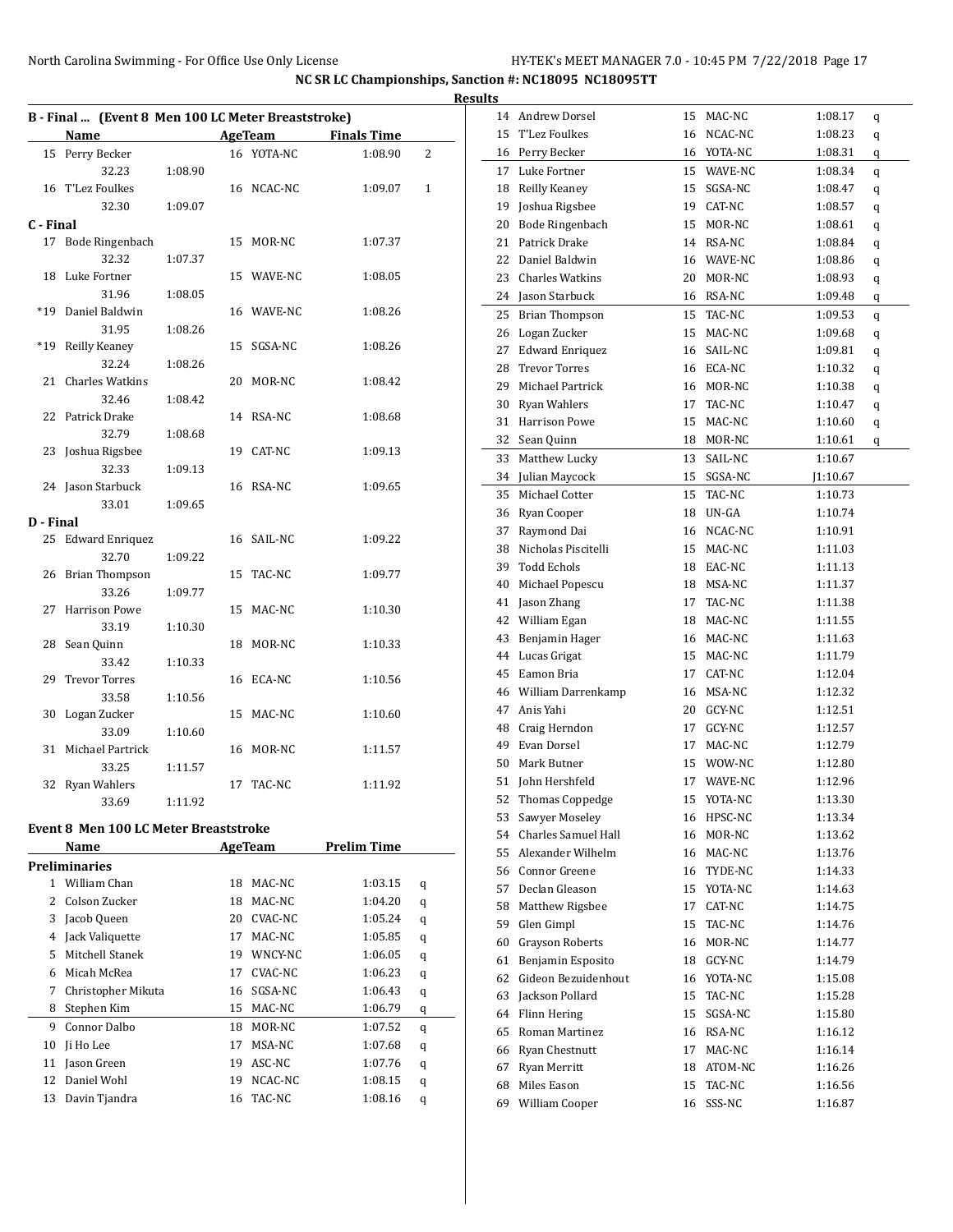|           | B - Final  (Event 8 Men 100 LC Meter Breaststroke) |         |    |                            |                    |              |
|-----------|----------------------------------------------------|---------|----|----------------------------|--------------------|--------------|
|           | Name                                               |         |    | <b>Example 2.1 AgeTeam</b> | <b>Finals Time</b> |              |
| 15        | Perry Becker                                       |         |    | 16 YOTA-NC                 | 1:08.90            | 2            |
|           | 32.23                                              | 1:08.90 |    |                            |                    |              |
|           | 16 T'Lez Foulkes                                   |         |    | 16 NCAC-NC                 | 1:09.07            | $\mathbf{1}$ |
|           | 32.30                                              | 1:09.07 |    |                            |                    |              |
| C - Final |                                                    |         |    |                            |                    |              |
|           | 17 Bode Ringenbach                                 |         |    | 15 MOR-NC                  | 1:07.37            |              |
|           | 32.32                                              | 1:07.37 |    |                            |                    |              |
| 18        | Luke Fortner                                       |         |    | 15 WAVE-NC                 | 1:08.05            |              |
|           | 31.96                                              | 1:08.05 |    |                            |                    |              |
|           | *19 Daniel Baldwin                                 |         |    | 16 WAVE-NC                 | 1:08.26            |              |
|           | 31.95                                              | 1:08.26 |    |                            |                    |              |
| $*19$     | Reilly Keaney                                      |         | 15 | SGSA-NC                    | 1:08.26            |              |
|           | 32.24                                              | 1:08.26 |    |                            |                    |              |
| 21        | <b>Charles Watkins</b>                             |         |    | 20 MOR-NC                  | 1:08.42            |              |
|           | 32.46                                              | 1:08.42 |    |                            |                    |              |
|           | 22 Patrick Drake                                   |         |    | 14 RSA-NC                  | 1:08.68            |              |
|           | 32.79                                              | 1:08.68 |    |                            |                    |              |
|           | 23 Joshua Rigsbee                                  |         |    | 19 CAT-NC                  | 1:09.13            |              |
|           | 32.33                                              | 1:09.13 |    |                            |                    |              |
|           | 24 Jason Starbuck                                  |         |    | 16 RSA-NC                  | 1:09.65            |              |
|           | 33.01                                              | 1:09.65 |    |                            |                    |              |
| D - Final |                                                    |         |    |                            |                    |              |
|           | 25 Edward Enriquez                                 |         |    | 16 SAIL-NC                 | 1:09.22            |              |
|           | 32.70                                              | 1:09.22 |    |                            |                    |              |
|           | 26 Brian Thompson                                  |         | 15 | TAC-NC                     | 1:09.77            |              |
|           | 33.26                                              | 1:09.77 |    |                            |                    |              |
| 27        | <b>Harrison Powe</b>                               |         |    | 15 MAC-NC                  | 1:10.30            |              |
|           | 33.19                                              | 1:10.30 |    |                            |                    |              |
|           | 28 Sean Quinn                                      |         |    | 18 MOR-NC                  | 1:10.33            |              |
|           | 33.42                                              | 1:10.33 |    |                            |                    |              |
|           | 29 Trevor Torres                                   |         | 16 | ECA-NC                     | 1:10.56            |              |
|           | 33.58                                              | 1:10.56 |    |                            |                    |              |
|           | 30 Logan Zucker                                    |         |    | 15 MAC-NC                  | 1:10.60            |              |
|           | 33.09                                              | 1:10.60 |    |                            |                    |              |
| 31        | Michael Partrick                                   |         |    | 16 MOR-NC                  | 1:11.57            |              |
|           | 33.25                                              | 1:11.57 |    |                            |                    |              |
|           | 32 Ryan Wahlers                                    |         |    | 17 TAC-NC                  | 1:11.92            |              |
|           | 33.69                                              | 1:11.92 |    |                            |                    |              |
|           |                                                    |         |    |                            |                    |              |
|           | <b>Event 8 Men 100 LC Meter Breaststroke</b>       |         |    |                            |                    |              |
|           |                                                    |         |    |                            | 1.111<br>. m.      |              |

| Name |                      |    | <b>AgeTeam</b> | <b>Prelim Time</b> |   |
|------|----------------------|----|----------------|--------------------|---|
|      | <b>Preliminaries</b> |    |                |                    |   |
| 1.   | William Chan         | 18 | MAC-NC         | 1:03.15            | q |
| 2    | Colson Zucker        | 18 | MAC-NC         | 1:04.20            | q |
| 3    | Jacob Queen          | 20 | CVAC-NC        | 1:05.24            | q |
| 4    | Jack Valiquette      | 17 | MAC-NC         | 1:05.85            | q |
| 5    | Mitchell Stanek      | 19 | WNCY-NC        | 1:06.05            | q |
| 6    | Micah McRea          | 17 | CVAC-NC        | 1:06.23            | q |
| 7    | Christopher Mikuta   | 16 | SGSA-NC        | 1:06.43            | q |
| 8    | Stephen Kim          | 15 | MAC-NC         | 1:06.79            | q |
| 9    | Connor Dalbo         | 18 | MOR-NC         | 1:07.52            | q |
| 10   | Ii Ho Lee            | 17 | MSA-NC         | 1:07.68            | q |
| 11   | Jason Green          | 19 | ASC-NC         | 1:07.76            | q |
| 12   | Daniel Wohl          | 19 | NCAC-NC        | 1:08.15            | q |
| 13   | Davin Tjandra        | 16 | TAC-NC         | 1:08.16            | q |
|      |                      |    |                |                    |   |

| <b>Results</b> |                             |    |           |          |   |  |
|----------------|-----------------------------|----|-----------|----------|---|--|
|                | 14 Andrew Dorsel            | 15 | MAC-NC    | 1:08.17  | q |  |
|                | 15 T'Lez Foulkes            | 16 | NCAC-NC   | 1:08.23  | q |  |
|                | 16 Perry Becker             | 16 | YOTA-NC   | 1:08.31  | q |  |
|                | 17 Luke Fortner             | 15 | WAVE-NC   | 1:08.34  | q |  |
|                | 18 Reilly Keaney            | 15 | SGSA-NC   | 1:08.47  | q |  |
|                | 19 Joshua Rigsbee           |    | 19 CAT-NC | 1:08.57  | q |  |
|                | 20 Bode Ringenbach          | 15 | MOR-NC    | 1:08.61  | q |  |
|                | 21 Patrick Drake            |    | 14 RSA-NC | 1:08.84  | q |  |
| 22             | Daniel Baldwin              | 16 | WAVE-NC   | 1:08.86  | q |  |
|                | 23 Charles Watkins          | 20 | MOR-NC    | 1:08.93  | q |  |
|                | 24 Jason Starbuck           |    | 16 RSA-NC | 1:09.48  | q |  |
|                | 25 Brian Thompson           | 15 | TAC-NC    | 1:09.53  | q |  |
|                | 26 Logan Zucker             | 15 | MAC-NC    | 1:09.68  | q |  |
| 27             | <b>Edward Enriquez</b>      | 16 | SAIL-NC   | 1:09.81  | q |  |
| 28             | <b>Trevor Torres</b>        |    | 16 ECA-NC | 1:10.32  | q |  |
| 29             | Michael Partrick            |    | 16 MOR-NC | 1:10.38  | q |  |
|                | 30 Ryan Wahlers             | 17 | TAC-NC    | 1:10.47  | q |  |
|                | 31 Harrison Powe            | 15 | MAC-NC    | 1:10.60  | q |  |
|                | 32 Sean Quinn               | 18 | MOR-NC    | 1:10.61  | q |  |
| 33             | Matthew Lucky               | 13 | SAIL-NC   | 1:10.67  |   |  |
|                | 34 Julian Maycock           | 15 | SGSA-NC   | J1:10.67 |   |  |
|                | 35 Michael Cotter           | 15 | TAC-NC    | 1:10.73  |   |  |
|                | 36 Ryan Cooper              | 18 | UN-GA     | 1:10.74  |   |  |
| 37             | Raymond Dai                 | 16 | NCAC-NC   | 1:10.91  |   |  |
| 38             | Nicholas Piscitelli         | 15 | MAC-NC    | 1:11.03  |   |  |
| 39             | Todd Echols                 | 18 | EAC-NC    | 1:11.13  |   |  |
| 40             | Michael Popescu             | 18 | MSA-NC    | 1:11.37  |   |  |
|                | 41 Jason Zhang              | 17 | TAC-NC    | 1:11.38  |   |  |
|                | 42 William Egan             | 18 | MAC-NC    | 1:11.55  |   |  |
|                | 43 Benjamin Hager           | 16 | MAC-NC    | 1:11.63  |   |  |
|                | 44 Lucas Grigat             | 15 | MAC-NC    | 1:11.79  |   |  |
|                | 45 Eamon Bria               |    | 17 CAT-NC | 1:12.04  |   |  |
|                | 46 William Darrenkamp       | 16 | MSA-NC    | 1:12.32  |   |  |
|                | 47 Anis Yahi                | 20 | GCY-NC    | 1:12.51  |   |  |
|                | 48 Craig Herndon            | 17 | GCY-NC    | 1:12.57  |   |  |
|                | 49 Evan Dorsel              | 17 | MAC-NC    | 1:12.79  |   |  |
| 50             | Mark Butner                 | 15 | WOW-NC    | 1:12.80  |   |  |
| 51             | John Hershfeld              | 17 | WAVE-NC   | 1:12.96  |   |  |
|                | 52 Thomas Coppedge          | 15 | YOTA-NC   | 1:13.30  |   |  |
| 53             | Sawyer Moseley              | 16 | HPSC-NC   | 1:13.34  |   |  |
|                | 54 Charles Samuel Hall      | 16 | MOR-NC    | 1:13.62  |   |  |
|                | 55 Alexander Wilhelm        | 16 | MAC-NC    | 1:13.76  |   |  |
|                | 56 Connor Greene            | 16 | TYDE-NC   | 1:14.33  |   |  |
|                | 57 Declan Gleason           | 15 | YOTA-NC   | 1:14.63  |   |  |
| 58             | Matthew Rigsbee             | 17 | CAT-NC    | 1:14.75  |   |  |
| 59             | Glen Gimpl                  | 15 | TAC-NC    | 1:14.76  |   |  |
| 60             | <b>Grayson Roberts</b>      | 16 | MOR-NC    | 1:14.77  |   |  |
| 61             | Benjamin Esposito           | 18 | GCY-NC    | 1:14.79  |   |  |
| 62             | Gideon Bezuidenhout         | 16 | YOTA-NC   | 1:15.08  |   |  |
|                | 63 Jackson Pollard          | 15 | TAC-NC    | 1:15.28  |   |  |
|                | 64 Flinn Hering             | 15 | SGSA-NC   | 1:15.80  |   |  |
|                | 65 Roman Martinez           | 16 | RSA-NC    | 1:16.12  |   |  |
|                | 66 Ryan Chestnutt           | 17 | MAC-NC    | 1:16.14  |   |  |
| 67             | Ryan Merritt<br>Miles Eason | 18 | ATOM-NC   | 1:16.26  |   |  |
| 68             |                             | 15 | TAC-NC    | 1:16.56  |   |  |
|                | 69 William Cooper           | 16 | SSS-NC    | 1:16.87  |   |  |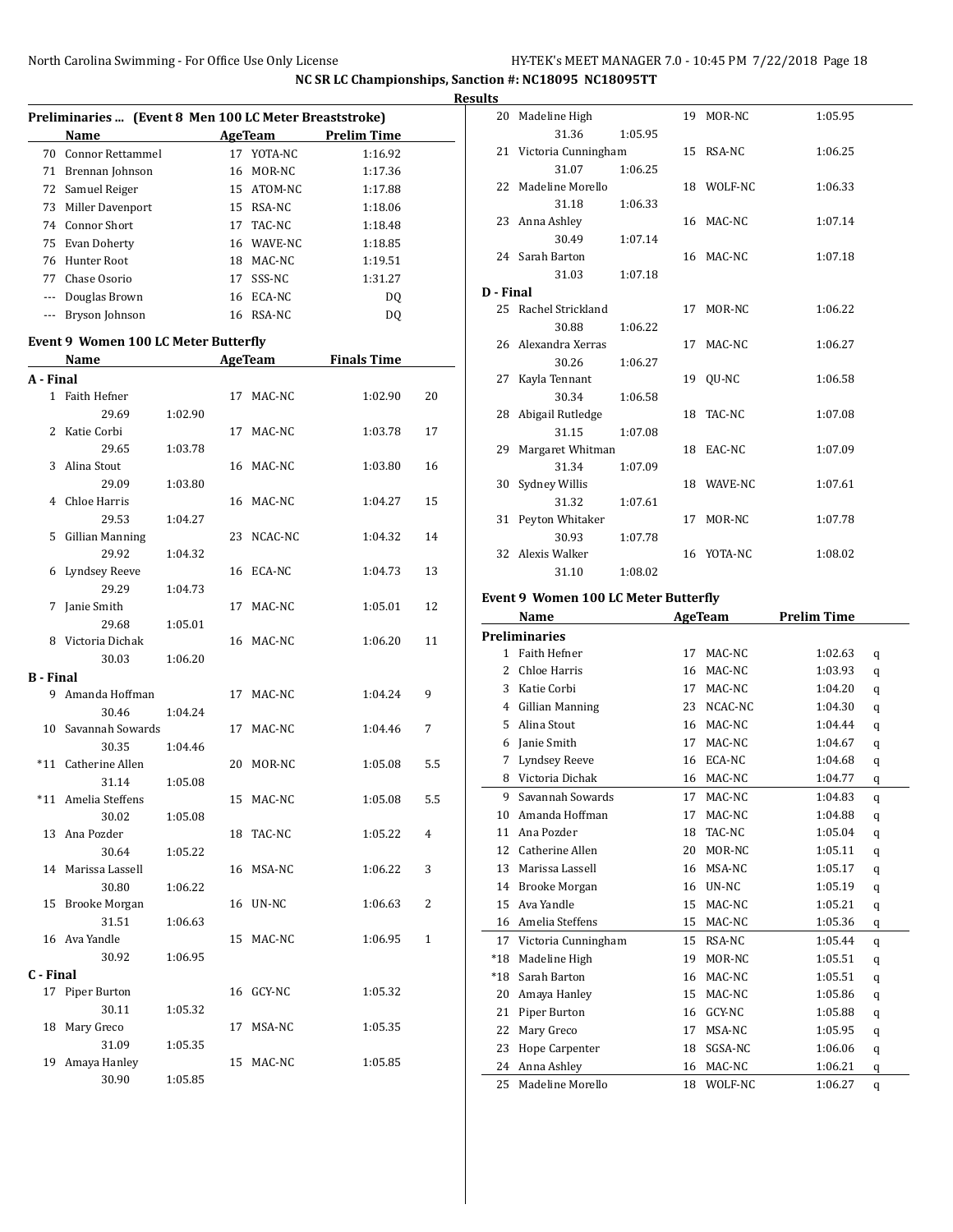|       |                                                        |     |            |                    | <b>Results</b> |  |  |  |  |
|-------|--------------------------------------------------------|-----|------------|--------------------|----------------|--|--|--|--|
|       | Preliminaries  (Event 8 Men 100 LC Meter Breaststroke) |     |            |                    |                |  |  |  |  |
|       | Name                                                   |     | AgeTeam    | <b>Prelim Time</b> |                |  |  |  |  |
|       | 70 Connor Rettammel                                    | 17  | YOTA-NC    | 1:16.92            | 2              |  |  |  |  |
| 71    | Brennan Johnson                                        | 16  | MOR-NC     | 1:17.36            |                |  |  |  |  |
|       | 72 Samuel Reiger                                       |     | 15 ATOM-NC | 1:17.88            | 2              |  |  |  |  |
|       | 73 Miller Davenport                                    |     | 15 RSA-NC  | 1:18.06            |                |  |  |  |  |
|       | 74 Connor Short                                        | 17  | TAC-NC     | 1:18.48            | 2              |  |  |  |  |
|       | 75 Evan Doherty                                        |     | 16 WAVE-NC | 1:18.85            |                |  |  |  |  |
|       | 76 Hunter Root                                         | 18  | MAC-NC     | 1:19.51            | 2              |  |  |  |  |
| 77    | Chase Osorio                                           | 17  | SSS-NC     | 1:31.27            |                |  |  |  |  |
| $---$ | Douglas Brown                                          | 16  | ECA-NC     | DQ                 | D - 1          |  |  |  |  |
|       | Bryson Johnson                                         | 16. | RSA-NC     | DQ                 | 2              |  |  |  |  |

#### **Event 9 Women 100 LC Meter Butterfly**

|           | Name<br><b>AgeTeam</b> |         |    | <b>Finals Time</b> |         |                |
|-----------|------------------------|---------|----|--------------------|---------|----------------|
| A - Final |                        |         |    |                    |         |                |
|           | 1 Faith Hefner         |         |    | 17 MAC-NC          | 1:02.90 | 20             |
|           | 29.69                  | 1:02.90 |    |                    |         |                |
| 2         | Katie Corbi            |         | 17 | MAC-NC             | 1:03.78 | 17             |
|           | 29.65                  | 1:03.78 |    |                    |         |                |
| 3         | Alina Stout            |         |    | 16 MAC-NC          | 1:03.80 | 16             |
|           | 29.09                  | 1:03.80 |    |                    |         |                |
| 4         | Chloe Harris           |         |    | 16 MAC-NC          | 1:04.27 | 15             |
|           | 29.53                  | 1:04.27 |    |                    |         |                |
| 5         | <b>Gillian Manning</b> |         |    | 23 NCAC-NC         | 1:04.32 | 14             |
|           | 29.92                  | 1:04.32 |    |                    |         |                |
| 6         | Lyndsey Reeve          |         |    | 16 ECA-NC          | 1:04.73 | 13             |
|           | 29.29                  | 1:04.73 |    |                    |         |                |
| 7         | Janie Smith            |         | 17 | MAC-NC             | 1:05.01 | 12             |
|           | 29.68                  | 1:05.01 |    |                    |         |                |
| 8         | Victoria Dichak        |         |    | 16 MAC-NC          | 1:06.20 | 11             |
|           | 30.03                  | 1:06.20 |    |                    |         |                |
| B - Final |                        |         |    |                    |         |                |
| 9         | Amanda Hoffman         |         |    | 17 MAC-NC          | 1:04.24 | 9              |
|           | 30.46                  | 1:04.24 |    |                    |         |                |
| 10        | Savannah Sowards       |         | 17 | MAC-NC             | 1:04.46 | 7              |
|           | 30.35                  | 1:04.46 |    |                    |         |                |
| $*11$     | Catherine Allen        |         |    | 20 MOR-NC          | 1:05.08 | 5.5            |
|           | 31.14                  | 1:05.08 |    |                    |         |                |
|           | *11 Amelia Steffens    |         |    | 15 MAC-NC          | 1:05.08 | 5.5            |
|           | 30.02                  | 1:05.08 |    |                    |         |                |
| 13        | Ana Pozder             |         | 18 | TAC-NC             | 1:05.22 | 4              |
|           | 30.64                  | 1:05.22 |    |                    |         |                |
| 14        | Marissa Lassell        |         |    | 16 MSA-NC          | 1:06.22 | 3              |
|           | 30.80                  | 1:06.22 |    |                    |         |                |
| 15        | <b>Brooke Morgan</b>   |         |    | 16 UN-NC           | 1:06.63 | $\overline{2}$ |
|           | 31.51                  | 1:06.63 |    |                    |         |                |
|           | 16 Ava Yandle          |         |    | 15 MAC-NC          | 1:06.95 | $\mathbf{1}$   |
|           | 30.92                  | 1:06.95 |    |                    |         |                |
| C - Final |                        |         |    |                    |         |                |
|           | 17 Piper Burton        |         |    | 16 GCY-NC          | 1:05.32 |                |
|           | 30.11                  | 1:05.32 |    |                    |         |                |
| 18        | Mary Greco             |         |    | 17 MSA-NC          | 1:05.35 |                |
|           | 31.09                  | 1:05.35 |    |                    |         |                |
| 19        | Amaya Hanley           |         | 15 | MAC-NC             | 1:05.85 |                |
|           | 30.90                  | 1:05.85 |    |                    |         |                |

|           | 20 Madeline High       |         | 19 MOR-NC  | 1:05.95 |
|-----------|------------------------|---------|------------|---------|
|           | 31.36                  | 1:05.95 |            |         |
|           | 21 Victoria Cunningham |         | 15 RSA-NC  | 1:06.25 |
|           | 31.07                  | 1:06.25 |            |         |
|           | 22 Madeline Morello    |         | 18 WOLF-NC | 1:06.33 |
|           | 31.18                  | 1:06.33 |            |         |
|           | 23 Anna Ashley         |         | 16 MAC-NC  | 1:07.14 |
|           | 30.49                  | 1:07.14 |            |         |
|           | 24 Sarah Barton        |         | 16 MAC-NC  | 1:07.18 |
|           | 31.03                  | 1:07.18 |            |         |
| D - Final |                        |         |            |         |
|           | 25 Rachel Strickland   |         | 17 MOR-NC  | 1:06.22 |
|           | 30.88                  | 1:06.22 |            |         |
|           | 26 Alexandra Xerras    |         | 17 MAC-NC  | 1:06.27 |
|           | 30.26                  | 1:06.27 |            |         |
|           | 27 Kayla Tennant       |         | 19 OU-NC   | 1:06.58 |
|           | 30.34                  | 1:06.58 |            |         |
|           | 28 Abigail Rutledge    |         | 18 TAC-NC  | 1:07.08 |
|           | 31.15                  | 1:07.08 |            |         |
|           | 29 Margaret Whitman    |         | 18 EAC-NC  | 1:07.09 |
|           | 31.34                  | 1:07.09 |            |         |
|           | 30 Sydney Willis       |         | 18 WAVE-NC | 1:07.61 |
|           | 31.32                  | 1:07.61 |            |         |
|           | 31 Peyton Whitaker     |         | 17 MOR-NC  | 1:07.78 |
|           | 30.93                  | 1:07.78 |            |         |
|           | 32 Alexis Walker       |         | 16 YOTA-NC | 1:08.02 |
|           | 31.10                  | 1:08.02 |            |         |

#### **Event 9 Women 100 LC Meter Butterfly**

| Name                     |                        |    | <b>AgeTeam</b> | <b>Prelim Time</b> |   |
|--------------------------|------------------------|----|----------------|--------------------|---|
|                          | <b>Preliminaries</b>   |    |                |                    |   |
| $\mathbf{1}$             | <b>Faith Hefner</b>    | 17 | MAC-NC         | 1:02.63            | q |
| $\overline{\mathcal{L}}$ | Chloe Harris           | 16 | MAC-NC         | 1:03.93            | q |
| 3                        | Katie Corbi            | 17 | MAC-NC         | 1:04.20            | q |
| 4                        | Gillian Manning        | 23 | NCAC-NC        | 1:04.30            | q |
| 5                        | Alina Stout            | 16 | MAC-NC         | 1:04.44            | q |
| 6                        | Janie Smith            | 17 | MAC-NC         | 1:04.67            | q |
| 7                        | Lyndsey Reeve          | 16 | ECA-NC         | 1:04.68            | q |
| 8                        | Victoria Dichak        | 16 | MAC-NC         | 1:04.77            | q |
| 9                        | Savannah Sowards       | 17 | MAC-NC         | 1:04.83            | q |
| 10                       | Amanda Hoffman         | 17 | MAC-NC         | 1:04.88            | q |
| 11                       | Ana Pozder             | 18 | TAC-NC         | 1:05.04            | q |
| 12                       | Catherine Allen        | 20 | MOR-NC         | 1:05.11            | q |
| 13                       | Marissa Lassell        | 16 | MSA-NC         | 1:05.17            | q |
| 14                       | Brooke Morgan          | 16 | UN-NC          | 1:05.19            | q |
| 15                       | Ava Yandle             | 15 | MAC-NC         | 1:05.21            | q |
| 16                       | Amelia Steffens        | 15 | MAC-NC         | 1:05.36            | q |
|                          | 17 Victoria Cunningham | 15 | RSA-NC         | 1:05.44            | q |
| $*18$                    | Madeline High          | 19 | MOR-NC         | 1:05.51            | q |
| $*18$                    | Sarah Barton           | 16 | MAC-NC         | 1:05.51            | q |
| 20                       | Amaya Hanley           | 15 | MAC-NC         | 1:05.86            | q |
| 21                       | Piper Burton           | 16 | GCY-NC         | 1:05.88            | q |
| 22                       | Mary Greco             | 17 | MSA-NC         | 1:05.95            | q |
| 23                       | Hope Carpenter         | 18 | SGSA-NC        | 1:06.06            | q |
| 24                       | Anna Ashley            | 16 | MAC-NC         | 1:06.21            | q |
| 25                       | Madeline Morello       | 18 | WOLF-NC        | 1:06.27            | q |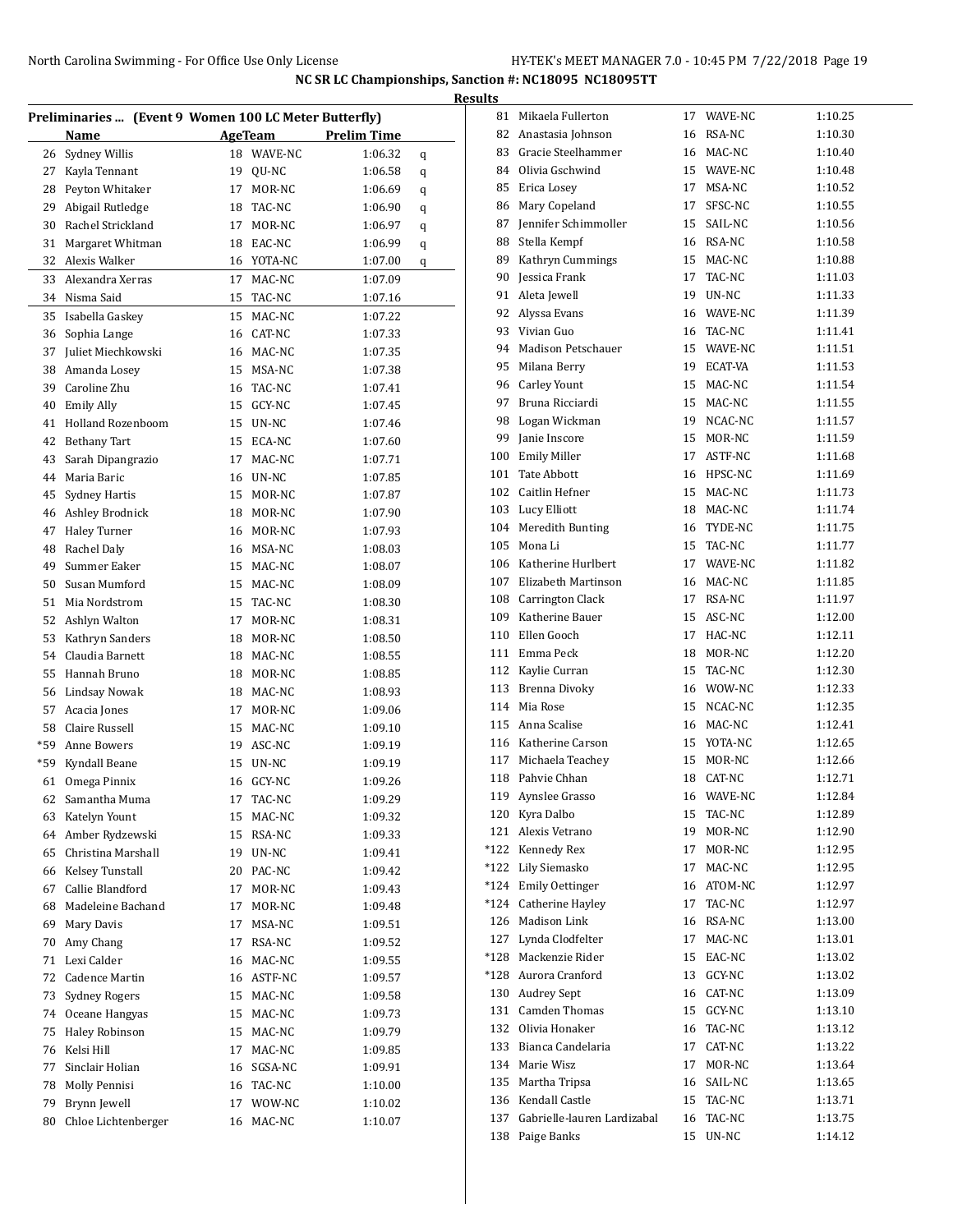| Preliminaries  (Event 9 Women 100 LC Meter Butterfly) |                                    |          |                |                    |   |  |  |
|-------------------------------------------------------|------------------------------------|----------|----------------|--------------------|---|--|--|
|                                                       | Name                               |          | <b>AgeTeam</b> | <b>Prelim Time</b> |   |  |  |
| 26                                                    | Sydney Willis                      | 18       | WAVE-NC        | 1:06.32            | q |  |  |
| 27                                                    | Kayla Tennant                      | 19       | QU-NC          | 1:06.58            | q |  |  |
| 28                                                    | Peyton Whitaker                    | 17       | MOR-NC         | 1:06.69            | q |  |  |
| 29                                                    | Abigail Rutledge                   |          | 18 TAC-NC      | 1:06.90            |   |  |  |
| 30                                                    | Rachel Strickland                  | 17       | MOR-NC         | 1:06.97            | q |  |  |
| 31                                                    | Margaret Whitman                   |          | 18 EAC-NC      | 1:06.99            | q |  |  |
| 32                                                    | Alexis Walker                      |          | 16 YOTA-NC     | 1:07.00            | q |  |  |
| 33                                                    | Alexandra Xerras                   | 17       | MAC-NC         |                    | q |  |  |
| 34                                                    | Nisma Said                         | 15       | TAC-NC         | 1:07.09            |   |  |  |
|                                                       | Isabella Gaskey                    |          | MAC-NC         | 1:07.16            |   |  |  |
| 35                                                    |                                    | 15       |                | 1:07.22            |   |  |  |
| 36                                                    | Sophia Lange<br>Juliet Miechkowski |          | 16 CAT-NC      | 1:07.33            |   |  |  |
| 37<br>38                                              |                                    | 16<br>15 | MAC-NC         | 1:07.35            |   |  |  |
|                                                       | Amanda Losey                       |          | MSA-NC         | 1:07.38            |   |  |  |
| 39                                                    | Caroline Zhu                       |          | 16 TAC-NC      | 1:07.41            |   |  |  |
| 40                                                    | <b>Emily Ally</b>                  | 15       | GCY-NC         | 1:07.45            |   |  |  |
| 41                                                    | <b>Holland Rozenboom</b>           | 15       | UN-NC          | 1:07.46            |   |  |  |
| 42                                                    | <b>Bethany Tart</b>                | 15       | ECA-NC         | 1:07.60            |   |  |  |
| 43                                                    | Sarah Dipangrazio                  | 17       | MAC-NC         | 1:07.71            |   |  |  |
| 44                                                    | Maria Baric                        |          | 16 UN-NC       | 1:07.85            |   |  |  |
| 45                                                    | <b>Sydney Hartis</b>               | 15       | MOR-NC         | 1:07.87            |   |  |  |
| 46                                                    | Ashley Brodnick                    | 18       | MOR-NC         | 1:07.90            |   |  |  |
| 47                                                    | <b>Haley Turner</b>                | 16       | MOR-NC         | 1:07.93            |   |  |  |
| 48                                                    | Rachel Daly                        |          | 16 MSA-NC      | 1:08.03            |   |  |  |
| 49                                                    | Summer Eaker                       | 15       | MAC-NC         | 1:08.07            |   |  |  |
| 50                                                    | Susan Mumford                      | 15       | MAC-NC         | 1:08.09            |   |  |  |
| 51                                                    | Mia Nordstrom                      | 15       | TAC-NC         | 1:08.30            |   |  |  |
| 52                                                    | Ashlyn Walton                      | 17       | MOR-NC         | 1:08.31            |   |  |  |
| 53                                                    | Kathryn Sanders                    | 18       | MOR-NC         | 1:08.50            |   |  |  |
| 54                                                    | Claudia Barnett                    | 18       | MAC-NC         | 1:08.55            |   |  |  |
| 55                                                    | Hannah Bruno                       | 18       | MOR-NC         | 1:08.85            |   |  |  |
| 56                                                    | <b>Lindsay Nowak</b>               | 18       | MAC-NC         | 1:08.93            |   |  |  |
| 57                                                    | Acacia Jones                       | 17       | MOR-NC         | 1:09.06            |   |  |  |
| 58                                                    | Claire Russell                     | 15       | MAC-NC         | 1:09.10            |   |  |  |
| *59                                                   | Anne Bowers                        | 19       | ASC-NC         | 1:09.19            |   |  |  |
| *59                                                   | Kyndall Beane                      | 15       | UN-NC          | 1:09.19            |   |  |  |
| 61                                                    | Omega Pinnix                       |          | 16 GCY-NC      | 1:09.26            |   |  |  |
| 62                                                    | Samantha Muma                      |          | 17 TAC-NC      | 1:09.29            |   |  |  |
| 63                                                    | Katelyn Yount                      |          | 15 MAC-NC      | 1:09.32            |   |  |  |
| 64                                                    | Amber Rydzewski                    | 15       | RSA-NC         | 1:09.33            |   |  |  |
| 65                                                    | Christina Marshall                 | 19       | UN-NC          | 1:09.41            |   |  |  |
| 66                                                    | Kelsey Tunstall                    | 20       | PAC-NC         | 1:09.42            |   |  |  |
| 67                                                    | Callie Blandford                   | 17       | MOR-NC         | 1:09.43            |   |  |  |
| 68                                                    | Madeleine Bachand                  | 17       | MOR-NC         | 1:09.48            |   |  |  |
| 69                                                    | Mary Davis                         | 17       | MSA-NC         | 1:09.51            |   |  |  |
| 70                                                    | Amy Chang                          | 17       | RSA-NC         | 1:09.52            |   |  |  |
| 71                                                    | Lexi Calder                        | 16       | MAC-NC         | 1:09.55            |   |  |  |
| 72                                                    | <b>Cadence Martin</b>              |          | 16 ASTF-NC     | 1:09.57            |   |  |  |
| 73                                                    | <b>Sydney Rogers</b>               | 15       | MAC-NC         | 1:09.58            |   |  |  |
| 74                                                    | Oceane Hangyas                     | 15       | MAC-NC         | 1:09.73            |   |  |  |
| 75                                                    | Haley Robinson                     |          | 15 MAC-NC      | 1:09.79            |   |  |  |
| 76                                                    | Kelsi Hill                         | 17       | MAC-NC         | 1:09.85            |   |  |  |
| 77                                                    | Sinclair Holian                    | 16       | SGSA-NC        | 1:09.91            |   |  |  |
| 78                                                    | Molly Pennisi                      |          | 16 TAC-NC      | 1:10.00            |   |  |  |
| 79                                                    | Brynn Jewell                       | 17       | WOW-NC         | 1:10.02            |   |  |  |
| 80                                                    | Chloe Lichtenberger                | 16       | MAC-NC         | 1:10.07            |   |  |  |

| <b>Results</b> |                                          |          |                   |                    |
|----------------|------------------------------------------|----------|-------------------|--------------------|
|                | 81 Mikaela Fullerton                     |          | 17 WAVE-NC        | 1:10.25            |
|                | 82 Anastasia Johnson                     |          | 16 RSA-NC         | 1:10.30            |
|                | 83 Gracie Steelhammer                    |          | 16 MAC-NC         | 1:10.40            |
|                | 84 Olivia Gschwind                       |          | 15 WAVE-NC        | 1:10.48            |
|                | 85 Erica Losey                           | 17       | MSA-NC            | 1:10.52            |
|                | 86 Mary Copeland                         | 17       | SFSC-NC           | 1:10.55            |
|                | 87 Jennifer Schimmoller                  |          | 15 SAIL-NC        | 1:10.56            |
|                | 88 Stella Kempf                          |          | 16 RSA-NC         | 1:10.58            |
|                | 89 Kathryn Cummings                      |          | 15 MAC-NC         | 1:10.88            |
|                | 90 Jessica Frank                         |          | 17 TAC-NC         | 1:11.03            |
|                | 91 Aleta Jewell                          |          | 19 UN-NC          | 1:11.33            |
|                | 92 Alyssa Evans                          |          | 16 WAVE-NC        | 1:11.39            |
|                | 93 Vivian Guo                            |          | 16 TAC-NC         | 1:11.41            |
|                | 94 Madison Petschauer                    |          | 15 WAVE-NC        | 1:11.51            |
|                |                                          |          | 19 ECAT-VA        | 1:11.53            |
|                | 95 Milana Berry                          |          |                   |                    |
|                | 96 Carley Yount<br>97 Bruna Ricciardi    | 15       | MAC-NC            | 1:11.54            |
|                |                                          | 15       | MAC-NC            | 1:11.55            |
|                | 98 Logan Wickman                         | 19       | NCAC-NC           | 1:11.57            |
|                | 99 Janie Inscore                         | 15       | MOR-NC            | 1:11.59            |
|                | 100 Emily Miller                         | 17       | ASTF-NC           | 1:11.68            |
|                | 101 Tate Abbott                          |          | 16 HPSC-NC        | 1:11.69            |
|                | 102 Caitlin Hefner                       |          | 15 MAC-NC         | 1:11.73            |
|                | 103 Lucy Elliott                         |          | 18 MAC-NC         | 1:11.74            |
|                | 104 Meredith Bunting                     |          | 16 TYDE-NC        | 1:11.75            |
|                | 105 Mona Li                              |          | 15 TAC-NC         | 1:11.77            |
|                | 106 Katherine Hurlbert                   |          | 17 WAVE-NC        | 1:11.82            |
|                | 107 Elizabeth Martinson                  |          | 16 MAC-NC         | 1:11.85            |
|                | 108 Carrington Clack                     |          | 17 RSA-NC         | 1:11.97            |
|                | 109 Katherine Bauer                      | 15       | ASC-NC            | 1:12.00            |
|                | 110 Ellen Gooch                          | 17       | HAC-NC            | 1:12.11            |
|                | 111 Emma Peck                            | 18       | MOR-NC            | 1:12.20            |
|                | 112 Kaylie Curran                        |          | 15 TAC-NC         | 1:12.30            |
|                | 113 Brenna Divoky                        |          | 16 WOW-NC         | 1:12.33            |
|                | 114 Mia Rose                             |          | 15 NCAC-NC        | 1:12.35            |
|                | 115 Anna Scalise                         |          | 16 MAC-NC         | 1:12.41            |
|                | 116 Katherine Carson                     |          | 15 YOTA-NC        | 1:12.65            |
|                | 117 Michaela Teachey<br>118 Pahvie Chhan | 15       | MOR-NC            | 1:12.66            |
|                | 119 Aynslee Grasso                       | 18       | CAT-NC            | 1:12.71            |
|                |                                          | 16       | WAVE-NC<br>TAC-NC | 1:12.84            |
|                | 120 Kyra Dalbo<br>121 Alexis Vetrano     | 15<br>19 | MOR-NC            | 1:12.89<br>1:12.90 |
|                | *122 Kennedy Rex                         | 17       | MOR-NC            | 1:12.95            |
|                | *122 Lily Siemasko                       | 17       | MAC-NC            | 1:12.95            |
|                | *124 Emily Oettinger                     |          | 16 ATOM-NC        | 1:12.97            |
|                | *124 Catherine Hayley                    | 17       | TAC-NC            | 1:12.97            |
|                | 126 Madison Link                         |          | 16 RSA-NC         | 1:13.00            |
|                | 127 Lynda Clodfelter                     | 17       | MAC-NC            | 1:13.01            |
|                | *128 Mackenzie Rider                     | 15       | EAC-NC            | 1:13.02            |
|                | *128 Aurora Cranford                     |          | 13 GCY-NC         | 1:13.02            |
|                | 130 Audrey Sept                          |          | 16 CAT-NC         | 1:13.09            |
|                | 131 Camden Thomas                        | 15       | GCY-NC            | 1:13.10            |
|                | 132 Olivia Honaker                       | 16       | TAC-NC            | 1:13.12            |
|                | 133 Bianca Candelaria                    | 17       | CAT-NC            | 1:13.22            |
|                | 134 Marie Wisz                           | 17       | MOR-NC            | 1:13.64            |
|                | 135 Martha Tripsa                        | 16       | SAIL-NC           | 1:13.65            |
|                | 136 Kendall Castle                       | 15       | TAC-NC            | 1:13.71            |
|                | 137 Gabrielle-lauren Lardizabal          | 16       | TAC-NC            | 1:13.75            |
|                | 138 Paige Banks                          | 15       | UN-NC             | 1:14.12            |
|                |                                          |          |                   |                    |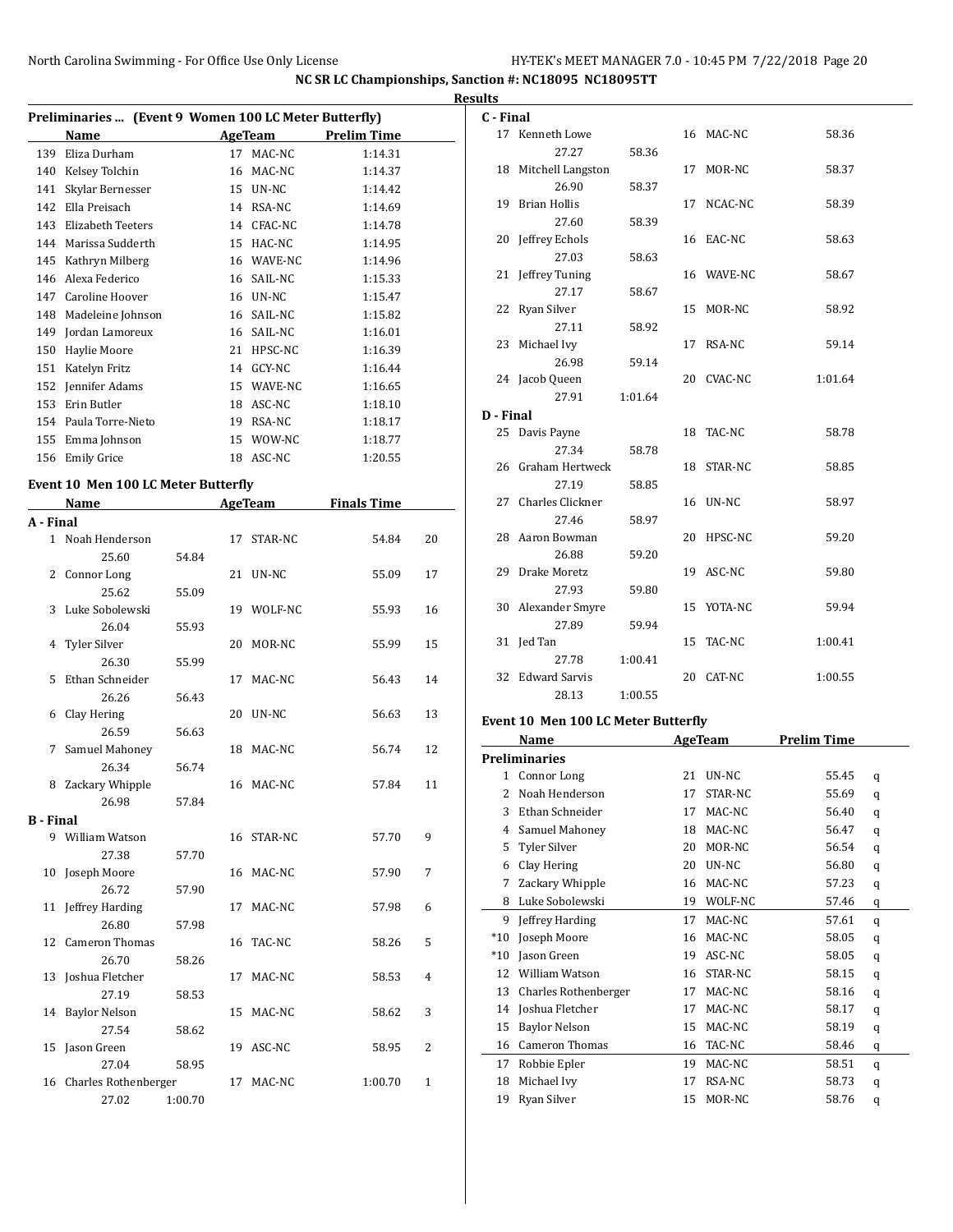|                  |                                                       |         |    |                |                    |                | <b>Results</b> |
|------------------|-------------------------------------------------------|---------|----|----------------|--------------------|----------------|----------------|
|                  | Preliminaries  (Event 9 Women 100 LC Meter Butterfly) |         |    |                |                    |                | C -            |
|                  | Name                                                  |         |    | AgeTeam        | <b>Prelim Time</b> |                |                |
|                  | 139 Eliza Durham                                      |         |    | 17 MAC-NC      | 1:14.31            |                |                |
|                  | 140 Kelsey Tolchin                                    |         |    | 16 MAC-NC      | 1:14.37            |                |                |
| 141              | Skylar Bernesser                                      |         |    | 15 UN-NC       | 1:14.42            |                |                |
|                  | 142 Ella Preisach                                     |         |    | 14 RSA-NC      | 1:14.69            |                |                |
|                  | 143 Elizabeth Teeters                                 |         |    | 14 CFAC-NC     | 1:14.78            |                | 2              |
|                  | 144 Marissa Sudderth                                  |         |    | 15 HAC-NC      | 1:14.95            |                |                |
|                  | 145 Kathryn Milberg                                   |         |    | 16 WAVE-NC     | 1:14.96            |                | 2              |
|                  | 146 Alexa Federico                                    |         |    | 16 SAIL-NC     | 1:15.33            |                |                |
|                  | 147 Caroline Hoover                                   |         |    | 16 UN-NC       | 1:15.47            |                | 2              |
|                  | 148 Madeleine Johnson                                 |         |    | 16 SAIL-NC     | 1:15.82            |                |                |
|                  | 149 Jordan Lamoreux                                   |         |    | 16 SAIL-NC     | 1:16.01            |                |                |
|                  | 150 Haylie Moore                                      |         |    | 21 HPSC-NC     | 1:16.39            |                |                |
|                  | 151 Katelyn Fritz                                     |         |    | 14 GCY-NC      | 1:16.44            |                |                |
|                  | 152 Jennifer Adams                                    |         |    | 15 WAVE-NC     | 1:16.65            |                |                |
|                  | 153 Erin Butler                                       |         |    | 18 ASC-NC      | 1:18.10            |                | D -            |
|                  | 154 Paula Torre-Nieto                                 |         |    | 19 RSA-NC      | 1:18.17            |                | 2              |
|                  | 155 Emma Johnson                                      |         |    | 15 WOW-NC      | 1:18.77            |                |                |
|                  | 156 Emily Grice                                       |         |    | 18 ASC-NC      | 1:20.55            |                | 2              |
|                  | <b>Event 10 Men 100 LC Meter Butterfly</b>            |         |    |                |                    |                |                |
|                  | Name                                                  |         |    | <b>AgeTeam</b> | <b>Finals Time</b> |                |                |
| A - Final        |                                                       |         |    |                |                    |                |                |
| $\mathbf{1}$     | Noah Henderson                                        |         | 17 | STAR-NC        | 54.84              | 20             | 2              |
|                  | 25.60                                                 | 54.84   |    |                |                    |                |                |
| 2                | Connor Long                                           |         |    | 21 UN-NC       | 55.09              | 17             | 2              |
|                  | 25.62                                                 | 55.09   |    |                |                    |                |                |
| 3                | Luke Sobolewski                                       |         |    | 19 WOLF-NC     | 55.93              | 16             |                |
|                  | 26.04                                                 | 55.93   |    |                |                    |                |                |
| 4                | Tyler Silver                                          |         |    | 20 MOR-NC      | 55.99              | 15             |                |
|                  | 26.30                                                 | 55.99   |    |                |                    |                |                |
| 5                | Ethan Schneider                                       |         |    | 17 MAC-NC      | 56.43              | 14             |                |
|                  | 26.26                                                 | 56.43   |    |                |                    |                |                |
|                  | 6 Clay Hering                                         |         |    | 20 UN-NC       | 56.63              | 13             |                |
|                  | 26.59                                                 | 56.63   |    |                |                    |                | Eve            |
| 7                | Samuel Mahoney                                        |         |    | 18 MAC-NC      | 56.74              | 12             |                |
|                  | 26.34                                                 | 56.74   |    |                |                    |                | Pre            |
|                  | 8 Zackary Whipple                                     |         |    | 16 MAC-NC      | 57.84              | 11             |                |
|                  | 26.98                                                 | 57.84   |    |                |                    |                |                |
| <b>B</b> - Final |                                                       |         |    |                |                    |                |                |
|                  | 9 William Watson                                      |         |    | 16 STAR-NC     | 57.70              | 9              |                |
|                  | 27.38                                                 | 57.70   |    |                |                    |                |                |
|                  | 10 Joseph Moore                                       |         |    | 16 MAC-NC      | 57.90              | 7              |                |
|                  | 26.72                                                 | 57.90   |    |                |                    |                |                |
|                  | 11 Jeffrey Harding                                    |         |    | 17 MAC-NC      | 57.98              | 6              |                |
|                  | 26.80                                                 | 57.98   |    |                |                    |                |                |
|                  | 12 Cameron Thomas                                     |         |    | 16 TAC-NC      | 58.26              | 5              |                |
|                  | 26.70                                                 | 58.26   |    |                |                    |                |                |
|                  | 13 Joshua Fletcher                                    |         |    | 17 MAC-NC      | 58.53              | $\overline{4}$ |                |
|                  | 27.19                                                 | 58.53   |    |                |                    |                |                |
|                  | 14 Baylor Nelson                                      |         |    | 15 MAC-NC      | 58.62              | 3              |                |
|                  | 27.54                                                 | 58.62   |    |                |                    |                |                |
|                  | 15 Jason Green                                        |         |    | 19 ASC-NC      | 58.95              | 2              |                |
|                  | 27.04                                                 | 58.95   |    |                |                    |                |                |
|                  | 16 Charles Rothenberger                               |         |    | 17 MAC-NC      | 1:00.70            | $\mathbf{1}$   |                |
|                  | 27.02                                                 | 1:00.70 |    |                |                    |                |                |

| C - Final |                      |         |    |            |         |
|-----------|----------------------|---------|----|------------|---------|
|           | 17 Kenneth Lowe      |         |    | 16 MAC-NC  | 58.36   |
|           | 27.27                | 58.36   |    |            |         |
|           | 18 Mitchell Langston |         |    | 17 MOR-NC  | 58.37   |
|           | 26.90                | 58.37   |    |            |         |
|           | 19 Brian Hollis      |         |    | 17 NCAC-NC | 58.39   |
|           | 27.60                | 58.39   |    |            |         |
|           | 20 Jeffrey Echols    |         |    | 16 EAC-NC  | 58.63   |
|           | 27.03                | 58.63   |    |            |         |
|           | 21 Jeffrey Tuning    |         |    | 16 WAVE-NC | 58.67   |
|           | 27.17                | 58.67   |    |            |         |
|           | 22 Ryan Silver       |         |    | 15 MOR-NC  | 58.92   |
|           | 27.11                | 58.92   |    |            |         |
|           | 23 Michael Ivy       |         |    | 17 RSA-NC  | 59.14   |
|           | 26.98                | 59.14   |    |            |         |
|           | 24 Jacob Queen       |         |    | 20 CVAC-NC | 1:01.64 |
|           | 27.91                | 1:01.64 |    |            |         |
| D - Final |                      |         |    |            |         |
|           | 25 Davis Payne       |         |    | 18 TAC-NC  | 58.78   |
|           | 27.34                | 58.78   |    |            |         |
|           | 26 Graham Hertweck   |         |    | 18 STAR-NC | 58.85   |
|           | 27.19                | 58.85   |    |            |         |
|           | 27 Charles Clickner  |         |    | 16 UN-NC   | 58.97   |
|           | 27.46                | 58.97   |    |            |         |
|           | 28 Aaron Bowman      |         |    | 20 HPSC-NC | 59.20   |
|           | 26.88                | 59.20   |    |            |         |
|           | 29 Drake Moretz      |         |    | 19 ASC-NC  | 59.80   |
|           | 27.93                | 59.80   |    |            |         |
|           | 30 Alexander Smyre   |         | 15 | YOTA-NC    | 59.94   |
|           | 27.89                | 59.94   |    |            |         |
|           | 31 Jed Tan           |         | 15 | TAC-NC     | 1:00.41 |
|           | 27.78                | 1:00.41 |    |            |         |
|           | 32 Edward Sarvis     |         | 20 | CAT-NC     | 1:00.55 |
|           | 28.13                | 1:00.55 |    |            |         |

# **Event 10 Men 100 LC Meter Butterfly**

|       | Name                  |    | <b>AgeTeam</b> | <b>Prelim Time</b> |   |
|-------|-----------------------|----|----------------|--------------------|---|
|       | <b>Preliminaries</b>  |    |                |                    |   |
| 1     | Connor Long           | 21 | UN-NC          | 55.45              | q |
| 2     | Noah Henderson        | 17 | STAR-NC        | 55.69              | q |
| 3     | Ethan Schneider       | 17 | MAC-NC         | 56.40              | q |
| 4     | Samuel Mahoney        | 18 | MAC-NC         | 56.47              | q |
| 5     | Tyler Silver          | 20 | MOR-NC         | 56.54              | q |
| 6     | Clay Hering           | 20 | UN-NC          | 56.80              | q |
| 7     | Zackary Whipple       | 16 | MAC-NC         | 57.23              | q |
| 8     | Luke Sobolewski       | 19 | WOLF-NC        | 57.46              | q |
| 9     | Jeffrey Harding       | 17 | MAC-NC         | 57.61              | q |
| $*10$ | Joseph Moore          | 16 | MAC-NC         | 58.05              | q |
| $*10$ | Jason Green           | 19 | ASC-NC         | 58.05              | q |
| 12    | William Watson        | 16 | STAR-NC        | 58.15              | q |
| 13    | Charles Rothenberger  | 17 | MAC-NC         | 58.16              | q |
| 14    | Joshua Fletcher       | 17 | MAC-NC         | 58.17              | q |
| 15    | <b>Baylor Nelson</b>  | 15 | MAC-NC         | 58.19              | q |
| 16    | <b>Cameron Thomas</b> | 16 | TAC-NC         | 58.46              | q |
| 17    | Robbie Epler          | 19 | MAC-NC         | 58.51              | q |
| 18    | Michael Ivy           | 17 | RSA-NC         | 58.73              | q |
| 19    | Ryan Silver           | 15 | MOR-NC         | 58.76              | q |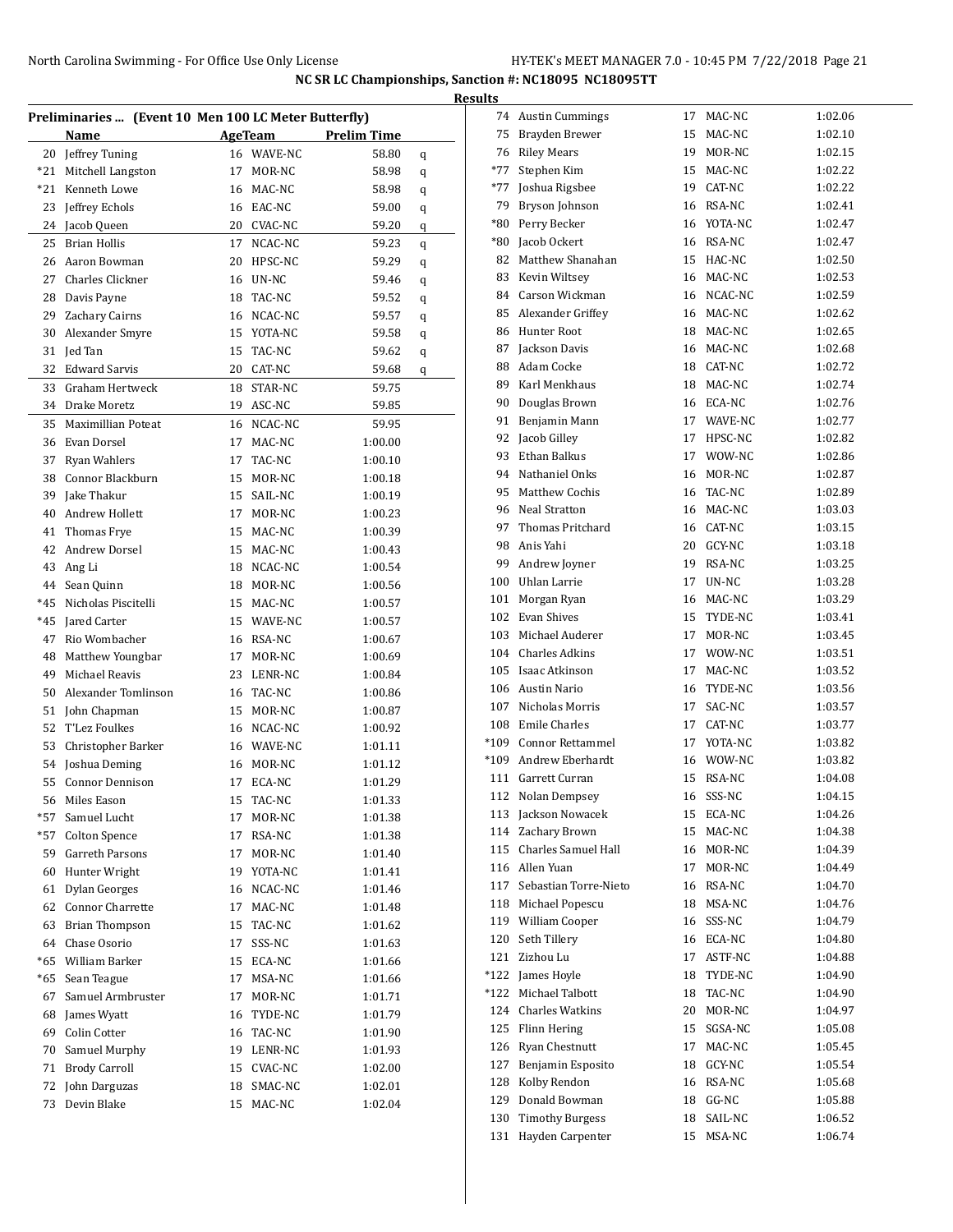|       |                                                      |    |                |                    |   | <b>Results</b> |
|-------|------------------------------------------------------|----|----------------|--------------------|---|----------------|
|       | Preliminaries  (Event 10 Men 100 LC Meter Butterfly) |    |                |                    |   | 7              |
|       | Name                                                 |    | <b>AgeTeam</b> | <b>Prelim Time</b> |   | 7              |
|       | 20 Jeffrey Tuning                                    |    | 16 WAVE-NC     | 58.80              | q | 7              |
| *21   | Mitchell Langston                                    | 17 | MOR-NC         | 58.98              | q | $*7$<br>$*7$   |
| $*21$ | Kenneth Lowe                                         | 16 | MAC-NC         | 58.98              | q |                |
| 23    | Jeffrey Echols                                       |    | 16 EAC-NC      | 59.00              | q | 7              |
| 24    | Jacob Queen                                          | 20 | CVAC-NC        | 59.20              | q | *8             |
| 25    | <b>Brian Hollis</b>                                  | 17 | NCAC-NC        | 59.23              | q | *8             |
| 26    | Aaron Bowman                                         | 20 | HPSC-NC        | 59.29              | q | 8              |
| 27    | <b>Charles Clickner</b>                              | 16 | UN-NC          | 59.46              | q | 8              |
|       | 28 Davis Payne                                       | 18 | TAC-NC         | 59.52              | q | 8              |
| 29    | Zachary Cairns                                       | 16 | NCAC-NC        | 59.57              | q | 8              |
| 30    | Alexander Smyre                                      |    | 15 YOTA-NC     | 59.58              | q | 8              |
| 31    | Jed Tan                                              | 15 | TAC-NC         | 59.62              | q | 8              |
| 32    | Edward Sarvis                                        |    | 20 CAT-NC      | 59.68              | q | 8              |
| 33    | Graham Hertweck                                      | 18 | STAR-NC        | 59.75              |   | 8              |
|       | 34 Drake Moretz                                      |    | 19 ASC-NC      | 59.85              |   | 9              |
| 35    | Maximillian Poteat                                   |    | 16 NCAC-NC     | 59.95              |   | 9              |
|       | 36 Evan Dorsel                                       | 17 | MAC-NC         | 1:00.00            |   | 9              |
| 37    | <b>Ryan Wahlers</b>                                  | 17 | TAC-NC         | 1:00.10            |   | 9              |
| 38    | Connor Blackburn                                     | 15 | MOR-NC         | 1:00.18            |   | 9              |
| 39    | Jake Thakur                                          | 15 | SAIL-NC        | 1:00.19            |   | 9              |
| 40    | Andrew Hollett                                       | 17 | MOR-NC         | 1:00.23            |   | 9              |
| 41    | Thomas Frye                                          | 15 | MAC-NC         | 1:00.39            |   | 9              |
| 42    | Andrew Dorsel                                        | 15 | MAC-NC         | 1:00.43            |   | 9              |
| 43    | Ang Li                                               | 18 | NCAC-NC        | 1:00.54            |   | 9              |
|       | 44 Sean Quinn                                        |    | 18 MOR-NC      | 1:00.56            |   | 10             |
| $*45$ | Nicholas Piscitelli                                  |    | 15 MAC-NC      | 1:00.57            |   | 10             |
| $*45$ | Jared Carter                                         |    | 15 WAVE-NC     | 1:00.57            |   | 10             |
| 47    | Rio Wombacher                                        |    | 16 RSA-NC      | 1:00.67            |   | 10             |
| 48    | Matthew Youngbar                                     | 17 | MOR-NC         | 1:00.69            |   | 10             |
| 49    | Michael Reavis                                       | 23 | LENR-NC        | 1:00.84            |   | 10             |
| 50    | Alexander Tomlinson                                  | 16 | TAC-NC         | 1:00.86            |   | 10             |
| 51    | John Chapman                                         | 15 | MOR-NC         | 1:00.87            |   | 10             |
| 52    | T'Lez Foulkes                                        | 16 | NCAC-NC        | 1:00.92            |   | 10             |
| 53    | Christopher Barker                                   |    | 16 WAVE-NC     | 1:01.11            |   | $*10$          |
| 54    | Joshua Deming                                        | 16 | MOR-NC         | 1:01.12            |   | $*10$          |
| 55    | <b>Connor Dennison</b>                               | 17 | ECA-NC         | 1:01.29            |   | 11             |
| 56    | Miles Eason                                          | 15 | TAC-NC         | 1:01.33            |   | 11             |
| $*57$ | Samuel Lucht                                         | 17 | MOR-NC         | 1:01.38            |   | 11             |
| *57   | <b>Colton Spence</b>                                 | 17 | RSA-NC         | 1:01.38            |   | 11             |
| 59    | Garreth Parsons                                      | 17 | MOR-NC         | 1:01.40            |   | 11             |
| 60    | Hunter Wright                                        | 19 | YOTA-NC        | 1:01.41            |   | 11             |
| 61    | <b>Dylan Georges</b>                                 | 16 | NCAC-NC        | 1:01.46            |   | 11             |
| 62    | Connor Charrette                                     | 17 | MAC-NC         | 1:01.48            |   | 11             |
| 63    | <b>Brian Thompson</b>                                | 15 | TAC-NC         | 1:01.62            |   | 11             |
| 64    | Chase Osorio                                         | 17 | SSS-NC         | 1:01.63            |   | 12             |
| *65   | William Barker                                       | 15 | ECA-NC         | 1:01.66            |   | 12             |
| *65   | Sean Teague                                          | 17 | MSA-NC         | 1:01.66            |   | *12            |
| 67    | Samuel Armbruster                                    | 17 | MOR-NC         | 1:01.71            |   | *12            |
| 68    | James Wyatt                                          | 16 | TYDE-NC        | 1:01.79            |   | 12             |
| 69    | Colin Cotter                                         |    | 16 TAC-NC      | 1:01.90            |   | 12             |
| 70    | Samuel Murphy                                        |    | 19 LENR-NC     | 1:01.93            |   | 12             |
| 71    | <b>Brody Carroll</b>                                 | 15 | CVAC-NC        | 1:02.00            |   | 12             |
| 72    | John Darguzas                                        | 18 | SMAC-NC        | 1:02.01            |   | 12             |
| 73    | Devin Blake                                          | 15 | MAC-NC         | 1:02.04            |   | 12             |
|       |                                                      |    |                |                    |   | 13             |

| 74         | <b>Austin Cummings</b>     | 17 | MAC-NC     | 1:02.06            |
|------------|----------------------------|----|------------|--------------------|
| 75         | Brayden Brewer             | 15 | MAC-NC     | 1:02.10            |
|            | 76 Riley Mears             | 19 | MOR-NC     | 1:02.15            |
| $*77$      | Stephen Kim                |    | 15 MAC-NC  | 1:02.22            |
| *77        | Joshua Rigsbee             | 19 | CAT-NC     | 1:02.22            |
| 79         | Bryson Johnson             |    | 16 RSA-NC  | 1:02.41            |
| *80        | Perry Becker               |    | 16 YOTA-NC | 1:02.47            |
| *80        | Jacob Ockert               |    | 16 RSA-NC  | 1:02.47            |
| 82         | Matthew Shanahan           | 15 | HAC-NC     | 1:02.50            |
| 83         | Kevin Wiltsey              | 16 | MAC-NC     | 1:02.53            |
| 84         | Carson Wickman             |    | 16 NCAC-NC | 1:02.59            |
| 85         | Alexander Griffey          |    | 16 MAC-NC  | 1:02.62            |
| 86         | <b>Hunter Root</b>         |    | 18 MAC-NC  | 1:02.65            |
| 87         | Jackson Davis              |    | 16 MAC-NC  | 1:02.68            |
| 88         | Adam Cocke                 |    | 18 CAT-NC  | 1:02.72            |
| 89         | Karl Menkhaus              |    | 18 MAC-NC  | 1:02.74            |
| 90         | Douglas Brown              | 16 | ECA-NC     | 1:02.76            |
| 91         | Benjamin Mann              |    | 17 WAVE-NC | 1:02.77            |
| 92         | Jacob Gilley               |    | 17 HPSC-NC | 1:02.82            |
| 93         | Ethan Balkus               | 17 | WOW-NC     | 1:02.86            |
| 94         | Nathaniel Onks             | 16 | MOR-NC     | 1:02.87            |
| 95         | Matthew Cochis             | 16 | TAC-NC     | 1:02.89            |
| 96         | Neal Stratton              | 16 | MAC-NC     | 1:03.03            |
| 97         | Thomas Pritchard           |    | 16 CAT-NC  | 1:03.15            |
| 98         | Anis Yahi                  |    | 20 GCY-NC  | 1:03.18            |
| 99         | Andrew Joyner              |    | 19 RSA-NC  | 1:03.25            |
|            | 100 Uhlan Larrie           | 17 | UN-NC      | 1:03.28            |
|            |                            |    | 16 MAC-NC  |                    |
| 101<br>102 | Morgan Ryan<br>Evan Shives | 15 | TYDE-NC    | 1:03.29<br>1:03.41 |
|            | Michael Auderer            |    |            |                    |
| 103        |                            | 17 | MOR-NC     | 1:03.45            |
|            | 104 Charles Adkins         | 17 | WOW-NC     | 1:03.51            |
|            | 105 Isaac Atkinson         | 17 | MAC-NC     | 1:03.52            |
|            | 106 Austin Nario           | 16 | TYDE-NC    | 1:03.56            |
| 107        | Nicholas Morris            | 17 | SAC-NC     | 1:03.57            |
|            | 108 Emile Charles          | 17 | CAT-NC     | 1:03.77            |
|            | *109 Connor Rettammel      |    | 17 YOTA-NC | 1:03.82            |
| *109       | Andrew Eberhardt           |    | 16 WOW-NC  | 1:03.82            |
|            | 111 Garrett Curran         | 15 | RSA-NC     | 1:04.08            |
| 112        | Nolan Dempsey              | 16 | SSS-NC     | 1:04.15            |
| 113        | Jackson Nowacek            | 15 | ECA-NC     | 1:04.26            |
| 114        | Zachary Brown              | 15 | MAC-NC     | 1:04.38            |
| 115        | Charles Samuel Hall        | 16 | MOR-NC     | 1:04.39            |
| 116        | Allen Yuan                 | 17 | MOR-NC     | 1:04.49            |
| 117        | Sebastian Torre-Nieto      | 16 | RSA-NC     | 1:04.70            |
| 118        | Michael Popescu            | 18 | MSA-NC     | 1:04.76            |
| 119        | William Cooper             | 16 | SSS-NC     | 1:04.79            |
| 120        | Seth Tillery               | 16 | ECA-NC     | 1:04.80            |
| 121        | Zizhou Lu                  | 17 | ASTF-NC    | 1:04.88            |
| *122       | James Hoyle                | 18 | TYDE-NC    | 1:04.90            |
| *122       | Michael Talbott            | 18 | TAC-NC     | 1:04.90            |
| 124        | Charles Watkins            | 20 | MOR-NC     | 1:04.97            |
| 125        | Flinn Hering               | 15 | SGSA-NC    | 1:05.08            |
| 126        | Ryan Chestnutt             | 17 | MAC-NC     | 1:05.45            |
| 127        | Benjamin Esposito          | 18 | GCY-NC     | 1:05.54            |
| 128        | Kolby Rendon               | 16 | RSA-NC     | 1:05.68            |
| 129        | Donald Bowman              | 18 | GG-NC      | 1:05.88            |
| 130        | <b>Timothy Burgess</b>     | 18 | SAIL-NC    | 1:06.52            |
| 131        | Hayden Carpenter           | 15 | MSA-NC     | 1:06.74            |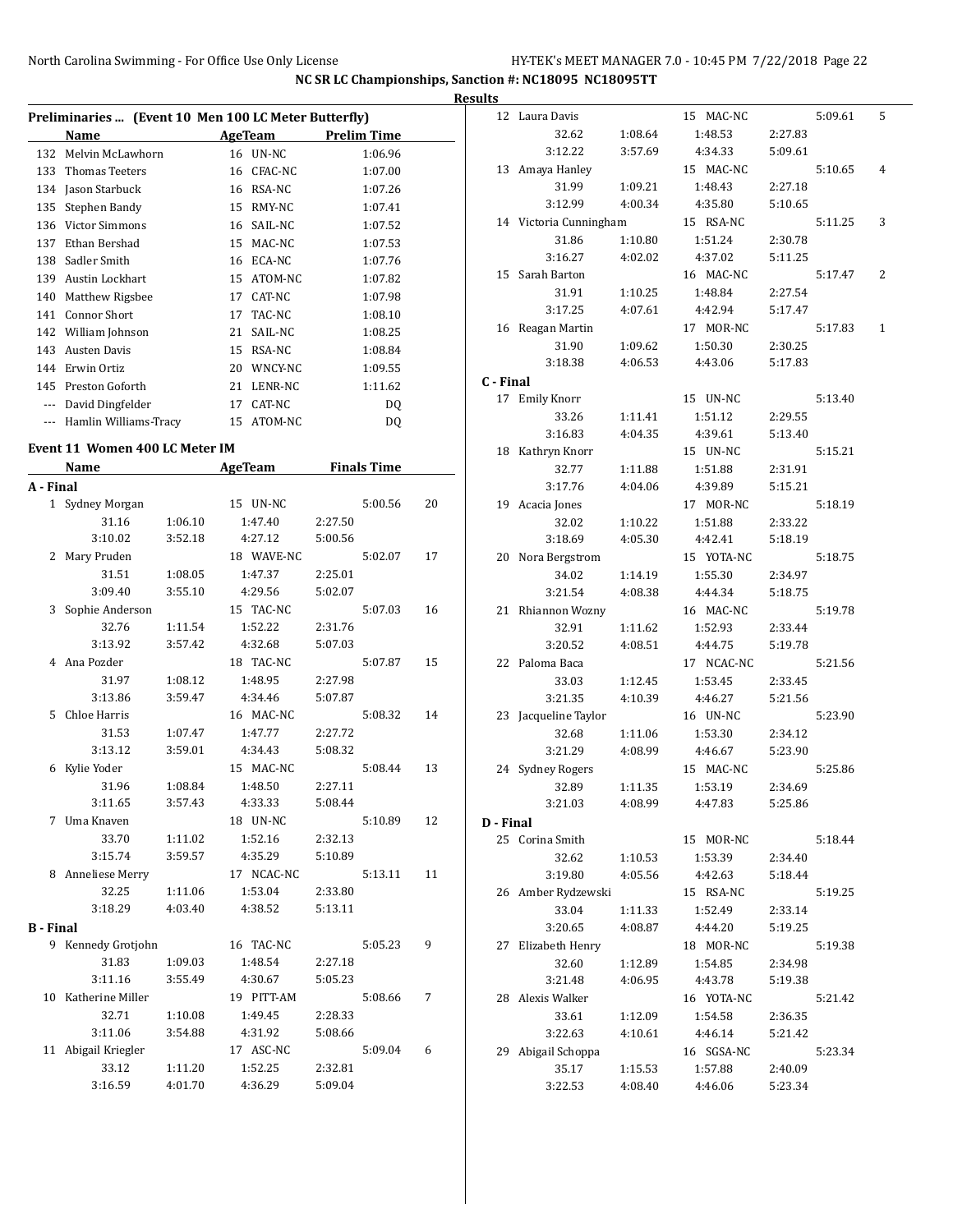÷,

 $\overline{a}$ 

**NC SR LC Championships, Sanction #: NC18095 NC18095TT**

| Preliminaries  (Event 10 Men 100 LC Meter Butterfly) |                        |    |         |                    |  |  |  |  |
|------------------------------------------------------|------------------------|----|---------|--------------------|--|--|--|--|
|                                                      | Name                   |    | AgeTeam | <b>Prelim Time</b> |  |  |  |  |
| 132                                                  | Melvin McLawhorn       | 16 | UN-NC   | 1:06.96            |  |  |  |  |
| 133                                                  | Thomas Teeters         | 16 | CFAC-NC | 1:07.00            |  |  |  |  |
| 134                                                  | Jason Starbuck         | 16 | RSA-NC  | 1:07.26            |  |  |  |  |
| 135                                                  | Stephen Bandy          | 15 | RMY-NC  | 1:07.41            |  |  |  |  |
| 136                                                  | <b>Victor Simmons</b>  | 16 | SAIL-NC | 1:07.52            |  |  |  |  |
| 137                                                  | Ethan Bershad          | 15 | MAC-NC  | 1:07.53            |  |  |  |  |
| 138                                                  | Sadler Smith           | 16 | ECA-NC  | 1:07.76            |  |  |  |  |
| 139                                                  | <b>Austin Lockhart</b> | 15 | ATOM-NC | 1:07.82            |  |  |  |  |
| 140                                                  | Matthew Rigsbee        | 17 | CAT-NC  | 1:07.98            |  |  |  |  |
| 141                                                  | Connor Short           | 17 | TAC-NC  | 1:08.10            |  |  |  |  |
| 142                                                  | William Johnson        | 21 | SAIL-NC | 1:08.25            |  |  |  |  |
| 143                                                  | <b>Austen Davis</b>    | 15 | RSA-NC  | 1:08.84            |  |  |  |  |
| 144                                                  | Erwin Ortiz            | 20 | WNCY-NC | 1:09.55            |  |  |  |  |
| 145                                                  | Preston Goforth        | 21 | LENR-NC | 1:11.62            |  |  |  |  |
| $\cdots$                                             | David Dingfelder       | 17 | CAT-NC  | DQ                 |  |  |  |  |
| $---$                                                | Hamlin Williams-Tracy  | 15 | ATOM-NC | DO                 |  |  |  |  |

#### **Event 11 Women 400 LC Meter IM**

| <b>Name</b>      |                     | <b>AgeTeam</b> | <b>Finals Time</b> |         |         |    |
|------------------|---------------------|----------------|--------------------|---------|---------|----|
| A - Final        |                     |                |                    |         |         |    |
|                  | 1 Sydney Morgan     |                | 15 UN-NC           |         | 5:00.56 | 20 |
|                  | 31.16               | 1:06.10        | 1:47.40            | 2:27.50 |         |    |
|                  | 3:10.02             | 3:52.18        | 4:27.12            | 5:00.56 |         |    |
| 2                | Mary Pruden         |                | 18 WAVE-NC         |         | 5:02.07 | 17 |
|                  | 31.51               | 1:08.05        | 1:47.37            | 2:25.01 |         |    |
|                  | 3:09.40             | 3:55.10        | 4:29.56            | 5:02.07 |         |    |
| 3                | Sophie Anderson     |                | 15 TAC-NC          |         | 5:07.03 | 16 |
|                  | 32.76               | 1:11.54        | 1:52.22            | 2:31.76 |         |    |
|                  | 3:13.92             | 3:57.42        | 4:32.68            | 5:07.03 |         |    |
|                  | 4 Ana Pozder        |                | 18 TAC-NC          |         | 5:07.87 | 15 |
|                  | 31.97               | 1:08.12        | 1:48.95            | 2:27.98 |         |    |
|                  | 3:13.86             | 3:59.47        | 4:34.46            | 5:07.87 |         |    |
| 5.               | Chloe Harris        |                | 16 MAC-NC          |         | 5:08.32 | 14 |
|                  | 31.53               | 1:07.47        | 1:47.77            | 2:27.72 |         |    |
|                  | 3:13.12             | 3:59.01        | 4:34.43            | 5:08.32 |         |    |
|                  | 6 Kylie Yoder       |                | 15 MAC-NC          |         | 5:08.44 | 13 |
|                  | 31.96               | 1:08.84        | 1:48.50            | 2:27.11 |         |    |
|                  | 3:11.65             | 3:57.43        | 4:33.33            | 5:08.44 |         |    |
| 7                | Uma Knaven          |                | 18 UN-NC           |         | 5:10.89 | 12 |
|                  | 33.70               | 1:11.02        | 1:52.16            | 2:32.13 |         |    |
|                  | 3:15.74             | 3:59.57        | 4:35.29            | 5:10.89 |         |    |
|                  | 8 Anneliese Merry   |                | 17 NCAC-NC         |         | 5:13.11 | 11 |
|                  | 32.25               | 1:11.06        | 1:53.04            | 2:33.80 |         |    |
|                  | 3:18.29             | 4:03.40        | 4:38.52            | 5:13.11 |         |    |
| <b>B</b> - Final |                     |                |                    |         |         |    |
|                  | 9 Kennedy Grotjohn  |                | 16 TAC-NC          |         | 5:05.23 | 9  |
|                  | 31.83               | 1:09.03        | 1:48.54            | 2:27.18 |         |    |
|                  | 3:11.16             | 3:55.49        | 4:30.67            | 5:05.23 |         |    |
| 10               | Katherine Miller    |                | 19 PITT-AM         |         | 5:08.66 | 7  |
|                  | 32.71               | 1:10.08        | 1:49.45            | 2:28.33 |         |    |
|                  | 3:11.06             | 3:54.88        | 4:31.92            | 5:08.66 |         |    |
|                  | 11 Abigail Kriegler |                | 17 ASC-NC          |         | 5:09.04 | 6  |
|                  | 33.12               | 1:11.20        | 1:52.25            | 2:32.81 |         |    |
|                  | 3:16.59             | 4:01.70        | 4:36.29            | 5:09.04 |         |    |

| <b>Results</b> |                              |         |                      |         |         |              |
|----------------|------------------------------|---------|----------------------|---------|---------|--------------|
|                | 12 Laura Davis               |         | 15 MAC-NC            |         | 5:09.61 | 5            |
|                | 32.62                        | 1:08.64 | 1:48.53              | 2:27.83 |         |              |
|                | 3:12.22                      | 3:57.69 | 4:34.33              | 5:09.61 |         |              |
|                | 13 Amaya Hanley              |         | 15 MAC-NC            |         | 5:10.65 | 4            |
|                | 31.99                        | 1:09.21 | 1:48.43              | 2:27.18 |         |              |
|                | 3:12.99                      | 4:00.34 | 4:35.80              | 5:10.65 |         |              |
|                | 14 Victoria Cunningham       |         | 15 RSA-NC            |         | 5:11.25 | 3            |
|                | 31.86                        | 1:10.80 | 1:51.24              | 2:30.78 |         |              |
|                | 3:16.27                      | 4:02.02 | 4:37.02              | 5:11.25 |         |              |
|                | 15 Sarah Barton              |         | 16 MAC-NC            |         | 5:17.47 | 2            |
|                | 31.91                        | 1:10.25 | 1:48.84              | 2:27.54 |         |              |
|                | 3:17.25                      | 4:07.61 | 4:42.94              | 5:17.47 |         |              |
|                | 16 Reagan Martin             |         | 17 MOR-NC            |         | 5:17.83 | $\mathbf{1}$ |
|                | 31.90                        | 1:09.62 | 1:50.30              | 2:30.25 |         |              |
|                | 3:18.38                      | 4:06.53 | 4:43.06              | 5:17.83 |         |              |
| C - Final      |                              |         |                      |         |         |              |
|                | 17 Emily Knorr               |         | 15 UN-NC             |         | 5:13.40 |              |
|                | 33.26                        | 1:11.41 | 1:51.12              | 2:29.55 |         |              |
|                | 3:16.83                      | 4:04.35 | 4:39.61              | 5:13.40 |         |              |
|                | 18 Kathryn Knorr             |         | 15 UN-NC             |         | 5:15.21 |              |
|                | 32.77                        | 1:11.88 | 1:51.88              | 2:31.91 |         |              |
|                | 3:17.76                      | 4:04.06 | 4:39.89              | 5:15.21 |         |              |
|                | 19 Acacia Jones              |         | 17 MOR-NC            |         | 5:18.19 |              |
|                | 32.02                        | 1:10.22 | 1:51.88              | 2:33.22 |         |              |
|                | 3:18.69                      | 4:05.30 | 4:42.41              | 5:18.19 |         |              |
|                | 20 Nora Bergstrom            |         | 15 YOTA-NC           |         | 5:18.75 |              |
|                | 34.02                        | 1:14.19 | 1:55.30              | 2:34.97 |         |              |
|                | 3:21.54<br>21 Rhiannon Wozny | 4:08.38 | 4:44.34<br>16 MAC-NC | 5:18.75 | 5:19.78 |              |
|                | 32.91                        | 1:11.62 | 1:52.93              | 2:33.44 |         |              |
|                | 3:20.52                      | 4:08.51 | 4:44.75              | 5:19.78 |         |              |
|                | 22 Paloma Baca               |         | 17 NCAC-NC           |         | 5:21.56 |              |
|                | 33.03                        | 1:12.45 | 1:53.45              | 2:33.45 |         |              |
|                | 3:21.35                      | 4:10.39 | 4:46.27              | 5:21.56 |         |              |
|                | 23 Jacqueline Taylor         |         | 16 UN-NC             |         | 5:23.90 |              |
|                | 32.68                        | 1:11.06 | 1:53.30              | 2:34.12 |         |              |
|                | 3:21.29                      | 4:08.99 | 4:46.67              | 5:23.90 |         |              |
|                | 24 Sydney Rogers             |         | 15 MAC-NC            |         | 5:25.86 |              |
|                | 32.89                        | 1:11.35 | 1:53.19              | 2:34.69 |         |              |
|                | 3:21.03                      | 4:08.99 | 4:47.83              | 5:25.86 |         |              |
| D - Final      |                              |         |                      |         |         |              |
|                | 25 Corina Smith              |         | 15 MOR-NC            |         | 5:18.44 |              |
|                | 32.62                        | 1:10.53 | 1:53.39              | 2:34.40 |         |              |
|                | 3:19.80                      | 4:05.56 | 4:42.63              | 5:18.44 |         |              |
|                | 26 Amber Rydzewski           |         | 15 RSA-NC            |         | 5:19.25 |              |
|                | 33.04                        | 1:11.33 | 1:52.49              | 2:33.14 |         |              |
|                | 3:20.65                      | 4:08.87 | 4:44.20              | 5:19.25 |         |              |
|                | 27 Elizabeth Henry           |         | 18 MOR-NC            |         | 5:19.38 |              |
|                | 32.60                        | 1:12.89 | 1:54.85              | 2:34.98 |         |              |
|                | 3:21.48                      | 4:06.95 | 4:43.78              | 5:19.38 |         |              |
|                | 28 Alexis Walker             |         | 16 YOTA-NC           |         | 5:21.42 |              |
|                | 33.61                        | 1:12.09 | 1:54.58              | 2:36.35 |         |              |
|                | 3:22.63                      | 4:10.61 | 4:46.14              | 5:21.42 |         |              |
|                | 29 Abigail Schoppa           |         | 16 SGSA-NC           |         | 5:23.34 |              |
|                | 35.17                        | 1:15.53 | 1:57.88              | 2:40.09 |         |              |
|                | 3:22.53                      | 4:08.40 | 4:46.06              | 5:23.34 |         |              |
|                |                              |         |                      |         |         |              |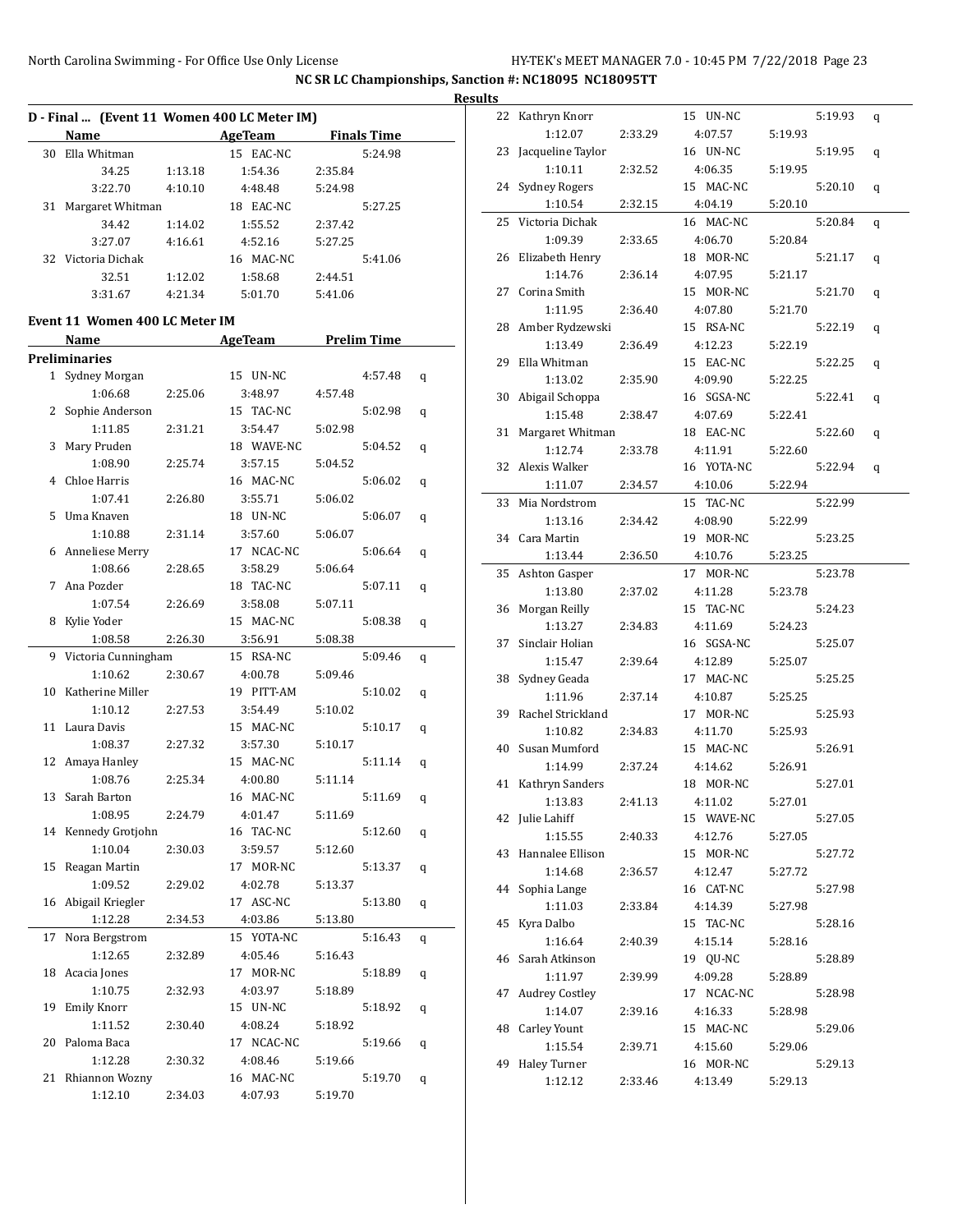|    |                                             |         |                                       |         |         | <b>Results</b> |
|----|---------------------------------------------|---------|---------------------------------------|---------|---------|----------------|
|    | D - Final  (Event 11 Women 400 LC Meter IM) |         |                                       |         |         |                |
|    | <b>Name</b>                                 |         | <b>Example 2 AgeTeam</b> Finals Time  |         |         |                |
|    | 30 Ella Whitman                             |         | 15 EAC-NC                             |         | 5:24.98 |                |
|    | 34.25                                       | 1:13.18 | 1:54.36                               | 2:35.84 |         |                |
|    | 3:22.70                                     | 4:10.10 | 4:48.48                               | 5:24.98 |         |                |
|    | 31 Margaret Whitman                         |         | 18 EAC-NC                             |         | 5:27.25 |                |
|    | 34.42                                       | 1:14.02 | 1:55.52                               | 2:37.42 |         |                |
|    | 3:27.07                                     | 4:16.61 | 4:52.16                               | 5:27.25 |         |                |
|    | 32 Victoria Dichak                          |         | 16 MAC-NC                             |         | 5:41.06 |                |
|    | 32.51                                       | 1:12.02 | 1:58.68                               | 2:44.51 |         |                |
|    | 3:31.67                                     |         | 4:21.34 5:01.70                       | 5:41.06 |         |                |
|    |                                             |         |                                       |         |         |                |
|    | Event 11 Women 400 LC Meter IM<br>Name      |         | <b>Example 21 AgeTeam</b> Prelim Time |         |         |                |
|    | <b>Preliminaries</b>                        |         |                                       |         |         |                |
|    | 1 Sydney Morgan                             |         | 15 UN-NC                              |         | 4:57.48 |                |
|    |                                             | 2:25.06 |                                       | 4:57.48 |         | q              |
|    | 1:06.68                                     |         | 3:48.97<br>15 TAC-NC                  |         | 5:02.98 |                |
|    | 2 Sophie Anderson                           |         |                                       |         |         | q              |
|    | 1:11.85                                     | 2:31.21 | 3:54.47                               | 5:02.98 |         |                |
|    | 3 Mary Pruden                               |         | 18 WAVE-NC                            |         | 5:04.52 | q              |
|    | 1:08.90                                     | 2:25.74 | 3:57.15                               | 5:04.52 |         |                |
|    | 4 Chloe Harris                              |         | 16 MAC-NC                             |         | 5:06.02 | q              |
|    | 1:07.41                                     | 2:26.80 | 3:55.71                               | 5:06.02 |         |                |
|    | 5 Uma Knaven                                |         | 18 UN-NC                              |         | 5:06.07 | q              |
|    | 1:10.88                                     | 2:31.14 | 3:57.60                               | 5:06.07 |         |                |
|    | 6 Anneliese Merry                           |         | 17 NCAC-NC                            |         | 5:06.64 | q              |
|    | 1:08.66                                     | 2:28.65 | 3:58.29                               | 5:06.64 |         |                |
|    | 7 Ana Pozder                                |         | 18 TAC-NC                             |         | 5:07.11 | q              |
|    | 1:07.54                                     | 2:26.69 | 3:58.08                               | 5:07.11 |         |                |
|    | 8 Kylie Yoder                               |         | 15 MAC-NC                             |         | 5:08.38 | q              |
|    | 1:08.58                                     | 2:26.30 | 3:56.91                               | 5:08.38 |         |                |
|    | 9 Victoria Cunningham                       |         | 15 RSA-NC                             |         | 5:09.46 | q              |
|    | 1:10.62                                     | 2:30.67 | 4:00.78                               | 5:09.46 |         |                |
|    | 10 Katherine Miller                         |         | 19 PITT-AM                            |         | 5:10.02 | q              |
|    | 1:10.12                                     | 2:27.53 | 3:54.49                               | 5:10.02 |         |                |
|    | 11 Laura Davis                              |         | 15 MAC-NC                             |         | 5:10.17 | q              |
|    | 1:08.37                                     | 2:27.32 | 3:57.30                               | 5:10.17 |         |                |
|    | 12 Amaya Hanley                             |         | 15 MAC-NC                             |         | 5:11.14 | q              |
|    | 1:08.76                                     | 2:25.34 | 4:00.80                               | 5:11.14 |         |                |
|    | 13 Sarah Barton                             |         | 16 MAC-NC                             |         | 5:11.69 | q              |
|    | 1:08.95                                     | 2:24.79 | 4:01.47                               | 5:11.69 |         |                |
|    | 14 Kennedy Grotjohn                         |         | 16 TAC-NC                             |         | 5:12.60 |                |
|    | 1:10.04                                     | 2:30.03 | 3:59.57                               |         |         | q              |
|    |                                             |         |                                       | 5:12.60 |         |                |
|    | 15 Reagan Martin                            |         | 17 MOR-NC                             |         | 5:13.37 | q              |
|    | 1:09.52                                     | 2:29.02 | 4:02.78                               | 5:13.37 |         |                |
|    | 16 Abigail Kriegler                         |         | 17 ASC-NC                             |         | 5:13.80 | q              |
|    | 1:12.28                                     | 2:34.53 | 4:03.86                               | 5:13.80 |         |                |
| 17 | Nora Bergstrom                              |         | 15 YOTA-NC                            |         | 5:16.43 | q              |
|    | 1:12.65                                     | 2:32.89 | 4:05.46                               | 5:16.43 |         |                |
| 18 | Acacia Jones                                |         | 17 MOR-NC                             |         | 5:18.89 | q              |
|    | 1:10.75                                     | 2:32.93 | 4:03.97                               | 5:18.89 |         |                |
| 19 | Emily Knorr                                 |         | 15 UN-NC                              |         | 5:18.92 | q              |
|    | 1:11.52                                     | 2:30.40 | 4:08.24                               | 5:18.92 |         |                |
| 20 | Paloma Baca                                 |         | 17 NCAC-NC                            |         | 5:19.66 | q              |
|    | 1:12.28                                     | 2:30.32 | 4:08.46                               | 5:19.66 |         |                |
|    | 21 Rhiannon Wozny                           |         | 16 MAC-NC                             |         | 5:19.70 | q              |
|    | 1:12.10                                     | 2:34.03 | 4:07.93                               | 5:19.70 |         |                |
|    |                                             |         |                                       |         |         |                |

| 22 | Kathryn Knorr         |         | 15 UN-NC     |         | 5:19.93 | q |
|----|-----------------------|---------|--------------|---------|---------|---|
|    | 1:12.07               | 2:33.29 | 4:07.57      | 5:19.93 |         |   |
| 23 | Jacqueline Taylor     |         | 16 UN-NC     |         | 5:19.95 | q |
|    | 1:10.11               | 2:32.52 | 4:06.35      | 5:19.95 |         |   |
| 24 | <b>Sydney Rogers</b>  |         | 15 MAC-NC    |         | 5:20.10 | q |
|    | 1:10.54               | 2:32.15 | 4:04.19      | 5:20.10 |         |   |
| 25 | Victoria Dichak       |         | 16 MAC-NC    |         | 5:20.84 | q |
|    | 1:09.39               | 2:33.65 | 4:06.70      | 5:20.84 |         |   |
| 26 | Elizabeth Henry       |         | 18 MOR-NC    |         | 5:21.17 | q |
|    | 1:14.76               | 2:36.14 | 4:07.95      | 5:21.17 |         |   |
| 27 | Corina Smith          |         | MOR-NC<br>15 |         | 5:21.70 | q |
|    | 1:11.95               | 2:36.40 | 4:07.80      | 5:21.70 |         |   |
| 28 | Amber Rydzewski       |         | 15 RSA-NC    |         | 5:22.19 | q |
|    | 1:13.49               | 2:36.49 | 4:12.23      | 5:22.19 |         |   |
| 29 | Ella Whitman          |         | 15 EAC-NC    |         | 5:22.25 | q |
|    | 1:13.02               | 2:35.90 | 4:09.90      | 5:22.25 |         |   |
| 30 | Abigail Schoppa       |         | 16 SGSA-NC   |         | 5:22.41 | q |
|    | 1:15.48               | 2:38.47 | 4:07.69      | 5:22.41 |         |   |
| 31 | Margaret Whitman      |         | 18 EAC-NC    |         | 5:22.60 | q |
|    | 1:12.74               | 2:33.78 | 4:11.91      | 5:22.60 |         |   |
| 32 | Alexis Walker         |         | 16 YOTA-NC   |         | 5:22.94 | q |
|    | 1:11.07               | 2:34.57 | 4:10.06      | 5:22.94 |         |   |
| 33 | Mia Nordstrom         |         | 15 TAC-NC    |         | 5:22.99 |   |
|    | 1:13.16               | 2:34.42 | 4:08.90      | 5:22.99 |         |   |
| 34 | Cara Martin           |         | 19 MOR-NC    |         | 5:23.25 |   |
|    | 1:13.44               | 2:36.50 | 4:10.76      | 5:23.25 |         |   |
| 35 | Ashton Gasper         |         | MOR-NC<br>17 |         | 5:23.78 |   |
|    | 1:13.80               | 2:37.02 | 4:11.28      | 5:23.78 |         |   |
| 36 | Morgan Reilly         |         | 15 TAC-NC    |         | 5:24.23 |   |
|    | 1:13.27               | 2:34.83 | 4:11.69      | 5:24.23 |         |   |
| 37 | Sinclair Holian       |         | 16 SGSA-NC   |         | 5:25.07 |   |
|    | 1:15.47               | 2:39.64 | 4:12.89      | 5:25.07 |         |   |
| 38 | Sydney Geada          |         | 17 MAC-NC    |         | 5:25.25 |   |
|    | 1:11.96               | 2:37.14 | 4:10.87      | 5:25.25 |         |   |
| 39 | Rachel Strickland     |         | 17 MOR-NC    |         | 5:25.93 |   |
|    | 1:10.82               | 2:34.83 | 4:11.70      | 5:25.93 |         |   |
| 40 | Susan Mumford         |         | 15 MAC-NC    |         | 5:26.91 |   |
|    | 1:14.99               | 2:37.24 | 4:14.62      | 5:26.91 |         |   |
| 41 | Kathryn Sanders       |         | 18 MOR-NC    |         | 5:27.01 |   |
|    | 1:13.83               | 2:41.13 | 4:11.02      | 5:27.01 |         |   |
|    | 42 Julie Lahiff       |         | 15 WAVE-NC   |         | 5:27.05 |   |
|    | 1:15.55               | 2:40.33 | 4:12.76      | 5:27.05 |         |   |
| 43 | Hannalee Ellison      |         | 15 MOR-NC    |         | 5:27.72 |   |
|    | 1:14.68               | 2:36.57 | 4:12.47      | 5:27.72 |         |   |
| 44 | Sophia Lange          |         | 16 CAT-NC    |         | 5:27.98 |   |
|    | 1:11.03               | 2:33.84 | 4:14.39      | 5:27.98 |         |   |
| 45 | Kyra Dalbo            |         | 15 TAC-NC    |         | 5:28.16 |   |
|    | 1:16.64               | 2:40.39 | 4:15.14      | 5:28.16 |         |   |
| 46 | Sarah Atkinson        |         | 19 QU-NC     |         | 5:28.89 |   |
|    | 1:11.97               | 2:39.99 | 4:09.28      | 5:28.89 |         |   |
| 47 | <b>Audrey Costley</b> |         | 17 NCAC-NC   |         | 5:28.98 |   |
|    | 1:14.07               | 2:39.16 | 4:16.33      | 5:28.98 |         |   |
| 48 | Carley Yount          |         | 15 MAC-NC    |         | 5:29.06 |   |
|    | 1:15.54               | 2:39.71 | 4:15.60      | 5:29.06 |         |   |
| 49 | <b>Haley Turner</b>   |         | 16 MOR-NC    |         | 5:29.13 |   |
|    | 1:12.12               | 2:33.46 | 4:13.49      | 5:29.13 |         |   |
|    |                       |         |              |         |         |   |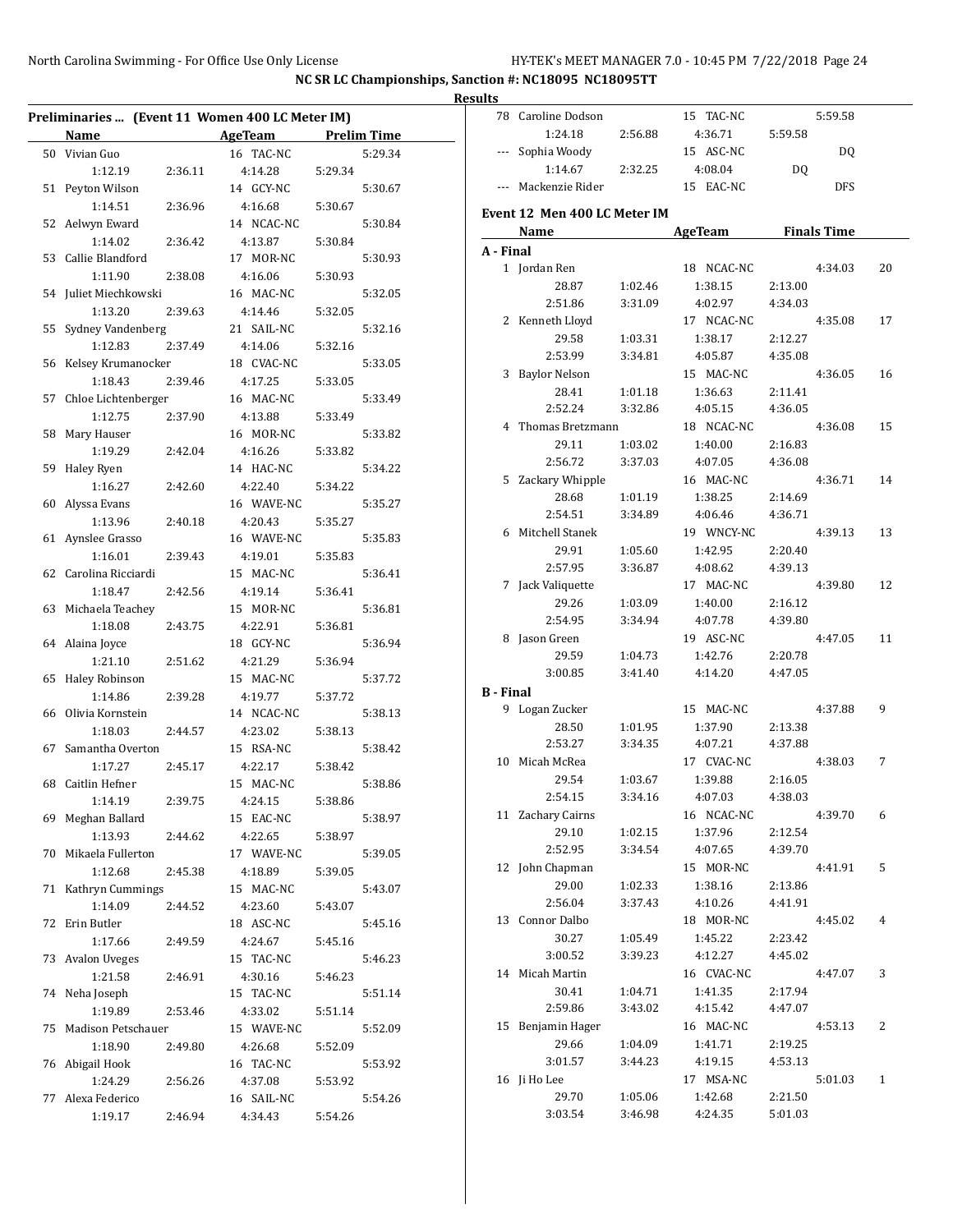|    | Preliminaries  (Event 11 Women 400 LC Meter IM) |         |                       |         |                    |
|----|-------------------------------------------------|---------|-----------------------|---------|--------------------|
|    | Name                                            |         | <b>AgeTeam</b>        |         | <b>Prelim Time</b> |
|    | 50 Vivian Guo                                   |         | 16 TAC-NC             |         | 5:29.34            |
|    | 1:12.19                                         | 2:36.11 | 4:14.28               | 5:29.34 |                    |
| 51 | Peyton Wilson                                   |         | 14 GCY-NC             |         | 5:30.67            |
|    | 1:14.51                                         | 2:36.96 | 4:16.68               | 5:30.67 |                    |
|    | 52 Aelwyn Eward                                 |         | 14 NCAC-NC            |         | 5:30.84            |
|    | 1:14.02                                         | 2:36.42 | 4:13.87               | 5:30.84 |                    |
| 53 | Callie Blandford                                |         | 17 MOR-NC             |         | 5:30.93            |
|    | 1:11.90                                         | 2:38.08 | 4:16.06               | 5:30.93 |                    |
|    | 54 Juliet Miechkowski                           |         | 16 MAC-NC             |         | 5:32.05            |
|    | 1:13.20                                         | 2:39.63 | 4:14.46               | 5:32.05 |                    |
| 55 | Sydney Vandenberg                               |         | 21 SAIL-NC            |         | 5:32.16            |
|    | 1:12.83                                         | 2:37.49 | 4:14.06               | 5:32.16 |                    |
|    | 56 Kelsey Krumanocker                           |         | 18 CVAC-NC            |         | 5:33.05            |
|    | 1:18.43                                         | 2:39.46 | 4:17.25               | 5:33.05 |                    |
|    | 57 Chloe Lichtenberger                          |         | 16 MAC-NC             |         | 5:33.49            |
|    | 1:12.75                                         | 2:37.90 | 4:13.88               | 5:33.49 |                    |
| 58 | Mary Hauser                                     |         | 16 MOR-NC             |         | 5:33.82            |
|    | 1:19.29                                         | 2:42.04 | 4:16.26               | 5:33.82 |                    |
| 59 | Haley Ryen                                      |         | 14 HAC-NC             |         | 5:34.22            |
|    | 1:16.27                                         | 2:42.60 | 4:22.40               | 5:34.22 |                    |
| 60 | Alyssa Evans                                    |         | 16 WAVE-NC            |         | 5:35.27            |
|    | 1:13.96                                         | 2:40.18 | 4:20.43               | 5:35.27 |                    |
| 61 | Aynslee Grasso                                  |         | 16 WAVE-NC            |         | 5:35.83            |
|    | 1:16.01                                         | 2:39.43 | 4:19.01               | 5:35.83 |                    |
| 62 | Carolina Ricciardi                              |         | 15 MAC-NC             |         | 5:36.41            |
|    | 1:18.47                                         | 2:42.56 | 4:19.14               | 5:36.41 |                    |
| 63 | Michaela Teachey                                |         | 15 MOR-NC             |         | 5:36.81            |
|    | 1:18.08                                         | 2:43.75 | 4:22.91               | 5:36.81 |                    |
|    | 64 Alaina Joyce                                 |         | 18 GCY-NC             |         | 5:36.94            |
|    | 1:21.10                                         | 2:51.62 | 4:21.29               | 5:36.94 |                    |
| 65 | <b>Haley Robinson</b>                           |         | 15 MAC-NC             |         | 5:37.72            |
|    | 1:14.86                                         | 2:39.28 | 4:19.77               | 5:37.72 |                    |
| 66 | Olivia Kornstein                                |         | 14 NCAC-NC            |         | 5:38.13            |
|    | 1:18.03                                         | 2:44.57 | 4:23.02               | 5:38.13 |                    |
| 67 | Samantha Overton                                |         | 15 RSA-NC             |         | 5:38.42            |
|    | 1:17.27                                         | 2:45.17 | 4:22.17               | 5:38.42 |                    |
|    | 68 Caitlin Hefner                               |         | 15 MAC-NC             |         | 5:38.86            |
|    | 1:14.19                                         | 2:39.75 | 4:24.15               | 5:38.86 |                    |
| 69 | Meghan Ballard                                  |         | 15 EAC-NC             |         | 5:38.97            |
|    | 1:13.93                                         | 2:44.62 | 4:22.65               | 5:38.97 |                    |
| 70 | Mikaela Fullerton                               |         | 17 WAVE-NC            |         | 5:39.05            |
|    | 1:12.68                                         | 2:45.38 | 4:18.89               | 5:39.05 |                    |
| 71 | Kathryn Cummings                                |         | 15 MAC-NC             |         | 5:43.07            |
|    | 1:14.09                                         | 2:44.52 | 4:23.60               | 5:43.07 |                    |
| 72 | Erin Butler                                     |         | 18 ASC-NC             |         | 5:45.16            |
|    | 1:17.66                                         | 2:49.59 | 4:24.67               | 5:45.16 |                    |
| 73 | <b>Avalon Uveges</b>                            |         | 15 TAC-NC             |         | 5:46.23            |
|    | 1:21.58                                         | 2:46.91 | 4:30.16               | 5:46.23 |                    |
| 74 | Neha Joseph                                     |         | 15 TAC-NC             |         | 5:51.14            |
|    | 1:19.89                                         | 2:53.46 | 4:33.02               | 5:51.14 |                    |
| 75 | Madison Petschauer                              |         | 15 WAVE-NC            |         | 5:52.09            |
|    | 1:18.90                                         | 2:49.80 | 4:26.68               | 5:52.09 |                    |
|    | 76 Abigail Hook                                 |         | 16 TAC-NC             |         | 5:53.92            |
|    |                                                 |         |                       |         |                    |
|    | 1:24.29<br>77 Alexa Federico                    | 2:56.26 | 4:37.08<br>16 SAIL-NC | 5:53.92 | 5:54.26            |
|    |                                                 |         |                       |         |                    |
|    | 1:19.17                                         | 2:46.94 | 4:34.43               | 5:54.26 |                    |

| <b>Results</b>   |                              |                    |                          |                    |            |    |
|------------------|------------------------------|--------------------|--------------------------|--------------------|------------|----|
|                  | 78 Caroline Dodson           |                    | 15 TAC-NC                |                    | 5:59.58    |    |
|                  | 1:24.18                      | 2:56.88            | 4:36.71                  | 5:59.58            |            |    |
|                  | --- Sophia Woody             |                    | 15 ASC-NC                |                    | DQ         |    |
|                  | 1:14.67 2:32.25              |                    | 4:08.04                  | DQ                 |            |    |
|                  | --- Mackenzie Rider          |                    | 15 EAC-NC                |                    | <b>DFS</b> |    |
|                  |                              |                    |                          |                    |            |    |
|                  | Event 12 Men 400 LC Meter IM |                    |                          |                    |            |    |
|                  |                              |                    | Name AgeTeam Finals Time |                    |            |    |
| A - Final        |                              |                    |                          |                    |            |    |
|                  | 1 Jordan Ren                 |                    | 18 NCAC-NC               |                    | 4:34.03    | 20 |
|                  | 28.87                        | 1:02.46            | 1:38.15                  | 2:13.00            |            |    |
|                  | 2:51.86                      | 3:31.09            | 4:02.97                  | 4:34.03            |            |    |
|                  | 2 Kenneth Lloyd              |                    | 17 NCAC-NC               |                    | 4:35.08    | 17 |
|                  | 29.58                        | 1:03.31            | 1:38.17                  | 2:12.27            |            |    |
|                  | 2:53.99                      | 3:34.81            | 4:05.87                  | 4:35.08            |            |    |
|                  | 3 Baylor Nelson              |                    | 15 MAC-NC                |                    | 4:36.05    | 16 |
|                  | 28.41                        | 1:01.18            | 1:36.63                  | 2:11.41            |            |    |
|                  | 2:52.24                      | 3:32.86            | 4:05.15                  | 4:36.05            |            |    |
|                  | 4 Thomas Bretzmann           |                    | 18 NCAC-NC               |                    | 4:36.08    | 15 |
|                  | 29.11                        | 1:03.02            | 1:40.00                  | 2:16.83            |            |    |
|                  | 2:56.72                      | 3:37.03            | 4:07.05                  | 4:36.08            |            |    |
|                  | 5 Zackary Whipple            |                    | 16 MAC-NC                |                    | 4:36.71    | 14 |
|                  | 28.68                        | 1:01.19            | 1:38.25                  | 2:14.69            |            |    |
|                  | 2:54.51                      | 3:34.89            | 4:06.46                  | 4:36.71            |            |    |
|                  | 6 Mitchell Stanek            |                    | 19 WNCY-NC               |                    | 4:39.13    | 13 |
|                  | 29.91                        | 1:05.60            | 1:42.95                  | 2:20.40            |            |    |
|                  | 2:57.95                      | 3:36.87            | 4:08.62                  | 4:39.13            |            |    |
|                  | 7 Jack Valiquette            |                    | 17 MAC-NC                |                    | 4:39.80    | 12 |
|                  | 29.26                        | 1:03.09            | 1:40.00                  | 2:16.12            |            |    |
|                  | 2:54.95                      | 3:34.94            | 4:07.78                  | 4:39.80            |            |    |
|                  | 8 Jason Green                |                    | 19 ASC-NC                |                    | 4:47.05    | 11 |
|                  | 29.59                        | 1:04.73            | 1:42.76                  | 2:20.78            |            |    |
|                  | 3:00.85                      | 3:41.40            | 4:14.20                  | 4:47.05            |            |    |
| <b>B</b> - Final |                              |                    |                          |                    |            |    |
|                  | 9 Logan Zucker               |                    | 15 MAC-NC                |                    | 4:37.88    | 9  |
|                  | 28.50                        | 1:01.95            | 1:37.90                  | 2:13.38            |            |    |
|                  | 2:53.27                      | 3:34.35            | 4:07.21                  | 4:37.88            |            |    |
|                  | 10 Micah McRea               |                    | 17 CVAC-NC               |                    | 4:38.03    | 7  |
|                  | 29.54                        | 1:03.67            | 1:39.88                  | 2:16.05            |            |    |
|                  | 2:54.15                      | 3:34.16            | 4:07.03                  | 4:38.03            |            |    |
|                  | 11 Zachary Cairns            |                    | 16 NCAC-NC               |                    | 4:39.70    | 6  |
|                  | 29.10<br>2:52.95             | 1:02.15<br>3:34.54 | 1:37.96<br>4:07.65       | 2:12.54<br>4:39.70 |            |    |
|                  | 12 John Chapman              |                    | 15 MOR-NC                |                    | 4:41.91    | 5  |
|                  | 29.00                        | 1:02.33            | 1:38.16                  | 2:13.86            |            |    |
|                  | 2:56.04                      | 3:37.43            | 4:10.26                  | 4:41.91            |            |    |
|                  | 13 Connor Dalbo              |                    | 18 MOR-NC                |                    | 4:45.02    | 4  |
|                  | 30.27                        | 1:05.49            | 1:45.22                  |                    |            |    |
|                  | 3:00.52                      | 3:39.23            | 4:12.27                  | 2:23.42<br>4:45.02 |            |    |
|                  | 14 Micah Martin              |                    | 16 CVAC-NC               |                    | 4:47.07    | 3  |
|                  | 30.41                        |                    |                          |                    |            |    |
|                  |                              | 1:04.71            | 1:41.35                  | 2:17.94            |            |    |
|                  | 2:59.86                      | 3:43.02            | 4:15.42                  | 4:47.07            |            |    |
|                  | 15 Benjamin Hager<br>29.66   |                    | 16 MAC-NC                |                    | 4:53.13    | 2  |
|                  |                              | 1:04.09            | 1:41.71                  | 2:19.25            |            |    |
|                  | 3:01.57<br>16 Ji Ho Lee      | 3:44.23            | 4:19.15<br>17 MSA-NC     | 4:53.13            | 5:01.03    | 1  |
|                  | 29.70                        | 1:05.06            | 1:42.68                  | 2:21.50            |            |    |
|                  | 3:03.54                      | 3:46.98            | 4:24.35                  | 5:01.03            |            |    |
|                  |                              |                    |                          |                    |            |    |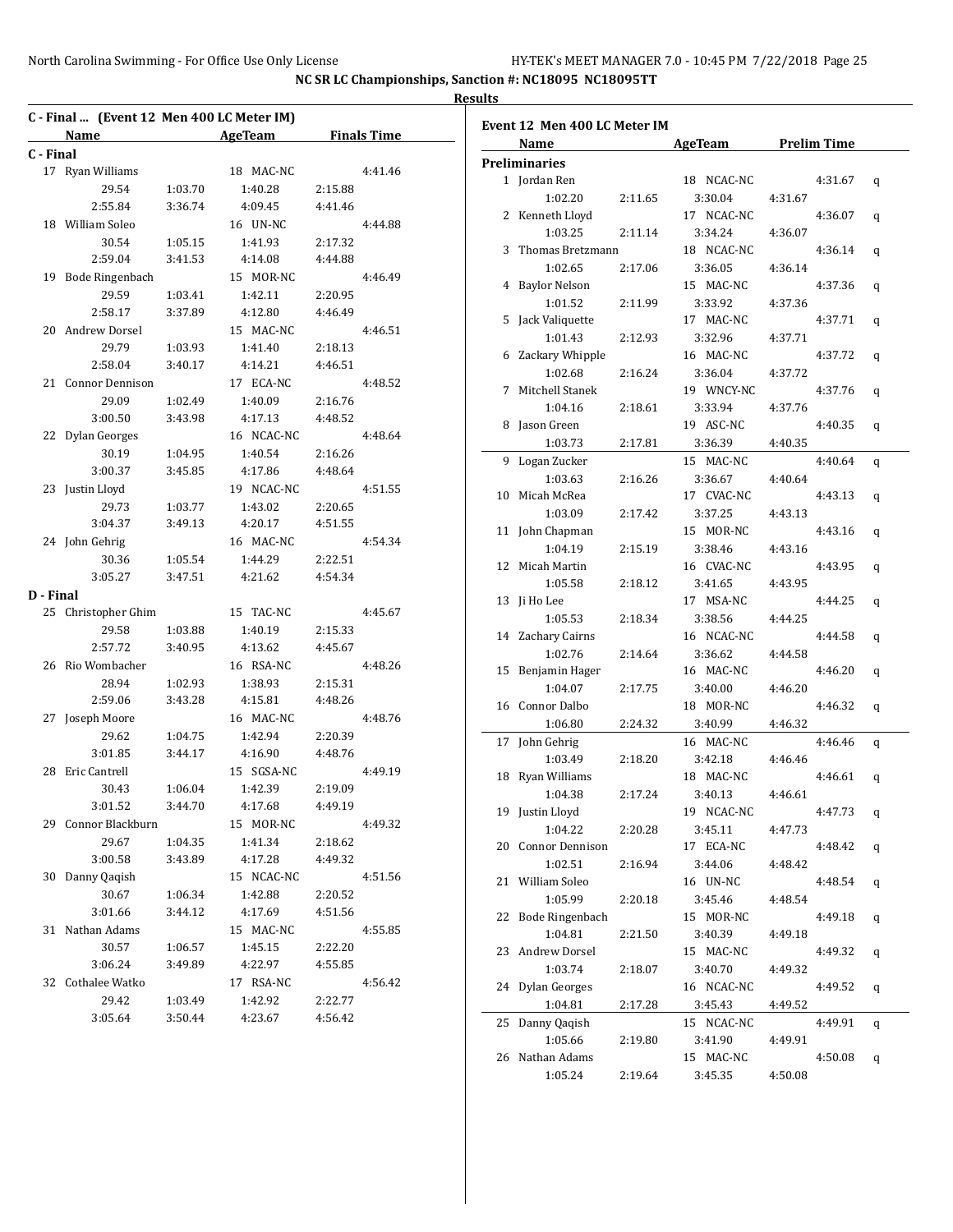|           | C - Final  (Event 12 Men 400 LC Meter IM) |         |                          |         |         |
|-----------|-------------------------------------------|---------|--------------------------|---------|---------|
|           |                                           |         | Name AgeTeam Finals Time |         |         |
| C - Final |                                           |         |                          |         |         |
|           | 17 Ryan Williams                          |         | 18 MAC-NC                |         | 4:41.46 |
|           | 29.54                                     | 1:03.70 | 1:40.28                  | 2:15.88 |         |
|           | 2:55.84                                   | 3:36.74 | 4:09.45                  | 4:41.46 |         |
|           | 18 William Soleo                          |         | 16 UN-NC                 |         | 4:44.88 |
|           | 30.54                                     | 1:05.15 | 1:41.93                  | 2:17.32 |         |
|           | 2:59.04                                   | 3:41.53 | 4:14.08                  | 4:44.88 |         |
|           | 19 Bode Ringenbach                        |         | 15 MOR-NC                |         | 4:46.49 |
|           | 29.59                                     | 1:03.41 | 1:42.11                  | 2:20.95 |         |
|           | 2:58.17                                   | 3:37.89 | 4:12.80                  | 4:46.49 |         |
| 20        | Andrew Dorsel                             |         | 15 MAC-NC                |         | 4:46.51 |
|           | 29.79                                     | 1:03.93 | 1:41.40                  | 2:18.13 |         |
|           | 2:58.04                                   | 3:40.17 | 4:14.21                  | 4:46.51 |         |
|           | 21 Connor Dennison                        |         | 17 ECA-NC                |         | 4:48.52 |
|           | 29.09                                     | 1:02.49 | 1:40.09                  | 2:16.76 |         |
|           | 3:00.50                                   | 3:43.98 | 4:17.13                  | 4:48.52 |         |
| 22        | Dylan Georges                             |         | 16 NCAC-NC               |         | 4:48.64 |
|           | 30.19                                     | 1:04.95 | 1:40.54                  | 2:16.26 |         |
|           | 3:00.37                                   | 3:45.85 | 4:17.86                  | 4:48.64 |         |
|           | 23 Justin Lloyd                           |         | 19 NCAC-NC               |         | 4:51.55 |
|           | 29.73                                     | 1:03.77 | 1:43.02                  | 2:20.65 |         |
|           | 3:04.37                                   | 3:49.13 | 4:20.17                  | 4:51.55 |         |
|           | 24 John Gehrig                            |         | 16 MAC-NC                |         | 4:54.34 |
|           | 30.36                                     | 1:05.54 | 1:44.29                  | 2:22.51 |         |
|           | 3:05.27                                   | 3:47.51 | 4:21.62                  | 4:54.34 |         |
| D - Final |                                           |         |                          |         |         |
| 25        | Christopher Ghim                          |         | 15 TAC-NC                |         | 4:45.67 |
|           | 29.58                                     | 1:03.88 | 1:40.19                  | 2:15.33 |         |
|           | 2:57.72                                   | 3:40.95 | 4:13.62                  | 4:45.67 |         |
| 26        | Rio Wombacher                             |         | 16 RSA-NC                |         | 4:48.26 |
|           | 28.94                                     | 1:02.93 | 1:38.93                  | 2:15.31 |         |
|           | 2:59.06                                   | 3:43.28 | 4:15.81                  | 4:48.26 |         |
| 27        | Joseph Moore                              |         | 16 MAC-NC                |         | 4:48.76 |
|           | 29.62                                     | 1:04.75 | 1:42.94                  | 2:20.39 |         |
|           | 3:01.85                                   | 3:44.17 | 4:16.90                  | 4:48.76 |         |
| 28        | Eric Cantrell                             |         | 15 SGSA-NC               |         | 4:49.19 |
|           | 30.43                                     | 1:06.04 | 1:42.39                  | 2:19.09 |         |
|           | 3:01.52                                   | 3:44.70 | 4:17.68                  | 4:49.19 |         |
|           | 29 Connor Blackburn                       |         | 15 MOR-NC                |         | 4:49.32 |
|           | 29.67                                     | 1:04.35 | 1:41.34                  | 2:18.62 |         |
|           | 3:00.58                                   | 3:43.89 | 4:17.28                  | 4:49.32 |         |
| 30        | Danny Qaqish                              |         | 15 NCAC-NC               |         | 4:51.56 |
|           | 30.67                                     | 1:06.34 | 1:42.88                  | 2:20.52 |         |
|           | 3:01.66                                   | 3:44.12 | 4:17.69                  | 4:51.56 |         |
| 31        | Nathan Adams                              |         | 15 MAC-NC                |         | 4:55.85 |
|           | 30.57                                     | 1:06.57 | 1:45.15                  | 2:22.20 |         |
|           | 3:06.24                                   | 3:49.89 | 4:22.97                  | 4:55.85 |         |
| 32        | Cothalee Watko                            |         | 17 RSA-NC                |         | 4:56.42 |
|           | 29.42                                     | 1:03.49 | 1:42.92                  | 2:22.77 |         |
|           | 3:05.64                                   | 3:50.44 | 4:23.67                  | 4:56.42 |         |
|           |                                           |         |                          |         |         |

|    | Event 12 Men 400 LC Meter IM |         |                     |         |         |   |
|----|------------------------------|---------|---------------------|---------|---------|---|
|    | Name                         |         | AgeTeam Prelim Time |         |         |   |
|    | <b>Preliminaries</b>         |         |                     |         |         |   |
|    | 1 Jordan Ren                 |         | 18 NCAC-NC          |         | 4:31.67 | q |
|    | 1:02.20                      | 2:11.65 | 3:30.04             | 4:31.67 |         |   |
|    | 2 Kenneth Lloyd              |         | 17 NCAC-NC          |         | 4:36.07 | q |
|    | 1:03.25                      | 2:11.14 | 3:34.24             | 4:36.07 |         |   |
|    | 3 Thomas Bretzmann           |         | 18 NCAC-NC          |         | 4:36.14 | q |
|    | 1:02.65                      | 2:17.06 | 3:36.05             | 4:36.14 |         |   |
|    | 4 Baylor Nelson              |         | 15 MAC-NC           |         | 4:37.36 | q |
|    | 1:01.52                      | 2:11.99 | 3:33.92             | 4:37.36 |         |   |
|    | 5 Jack Valiquette            |         | 17 MAC-NC           |         | 4:37.71 | q |
|    | 1:01.43                      | 2:12.93 | 3:32.96             | 4:37.71 |         |   |
|    | 6 Zackary Whipple            |         | 16 MAC-NC           |         | 4:37.72 | q |
|    | 1:02.68                      | 2:16.24 | 3:36.04             | 4:37.72 |         |   |
| 7  | Mitchell Stanek              |         | 19 WNCY-NC          |         | 4:37.76 | q |
|    | 1:04.16                      | 2:18.61 | 3:33.94             | 4:37.76 |         |   |
|    | 8 Jason Green                |         | 19 ASC-NC           |         | 4:40.35 | q |
|    | 1:03.73                      | 2:17.81 | 3:36.39             | 4:40.35 |         |   |
|    | 9 Logan Zucker               |         | 15 MAC-NC           |         | 4:40.64 | q |
|    | 1:03.63                      | 2:16.26 | 3:36.67             | 4:40.64 |         |   |
| 10 | Micah McRea                  |         | 17 CVAC-NC          |         | 4:43.13 | q |
|    | 1:03.09                      | 2:17.42 | 3:37.25             | 4:43.13 |         |   |
|    | 11 John Chapman              |         | 15 MOR-NC           |         | 4:43.16 | q |
|    | 1:04.19                      | 2:15.19 | 3:38.46             | 4:43.16 |         |   |
|    | 12 Micah Martin              |         | 16 CVAC-NC          |         | 4:43.95 | q |
|    | 1:05.58                      | 2:18.12 | 3:41.65             | 4:43.95 |         |   |
|    | 13 Ji Ho Lee                 |         | 17 MSA-NC           |         | 4:44.25 | q |
|    | 1:05.53                      | 2:18.34 | 3:38.56             | 4:44.25 |         |   |
|    | 14 Zachary Cairns            |         | 16 NCAC-NC          |         | 4:44.58 |   |
|    | 1:02.76                      | 2:14.64 | 3:36.62             | 4:44.58 |         | q |
| 15 | Benjamin Hager               |         | 16 MAC-NC           |         | 4:46.20 |   |
|    | 1:04.07                      | 2:17.75 | 3:40.00             | 4:46.20 |         | q |
|    | 16 Connor Dalbo              |         | 18 MOR-NC           |         | 4:46.32 |   |
|    |                              |         |                     |         |         | q |
|    | 1:06.80                      | 2:24.32 | 3:40.99             | 4:46.32 |         |   |
|    | 17 John Gehrig               |         | 16 MAC-NC           |         | 4:46.46 | q |
|    | 1:03.49                      | 2:18.20 | 3:42.18             | 4:46.46 |         |   |
|    | 18 Ryan Williams             |         | 18 MAC-NC           |         | 4:46.61 | q |
|    | 1:04.38                      | 2:17.24 | 3:40.13             | 4:46.61 |         |   |
|    | 19 Justin Lloyd              |         | 19 NCAC-NC          |         | 4:47.73 | q |
|    | 1:04.22                      | 2:20.28 | 3:45.11             | 4:47.73 |         |   |
|    | 20 Connor Dennison           |         | 17 ECA-NC           |         | 4:48.42 | q |
|    | 1:02.51                      | 2:16.94 | 3:44.06             | 4:48.42 |         |   |
| 21 | William Soleo                |         | 16 UN-NC            |         | 4:48.54 | q |
|    | 1:05.99                      | 2:20.18 | 3:45.46             | 4:48.54 |         |   |
| 22 | <b>Bode Ringenbach</b>       |         | 15 MOR-NC           |         | 4:49.18 | q |
|    | 1:04.81                      | 2:21.50 | 3:40.39             | 4:49.18 |         |   |
| 23 | Andrew Dorsel                |         | 15 MAC-NC           |         | 4:49.32 | q |
|    | 1:03.74                      | 2:18.07 | 3:40.70             | 4:49.32 |         |   |
|    | 24 Dylan Georges             |         | 16 NCAC-NC          |         | 4:49.52 | q |
|    | 1:04.81                      | 2:17.28 | 3:45.43             | 4:49.52 |         |   |
| 25 | Danny Qaqish                 |         | 15 NCAC-NC          |         | 4:49.91 | q |
|    | 1:05.66                      | 2:19.80 | 3:41.90             | 4:49.91 |         |   |
|    | 26 Nathan Adams              |         | 15 MAC-NC           |         | 4:50.08 | q |
|    | 1:05.24                      | 2:19.64 | 3:45.35             | 4:50.08 |         |   |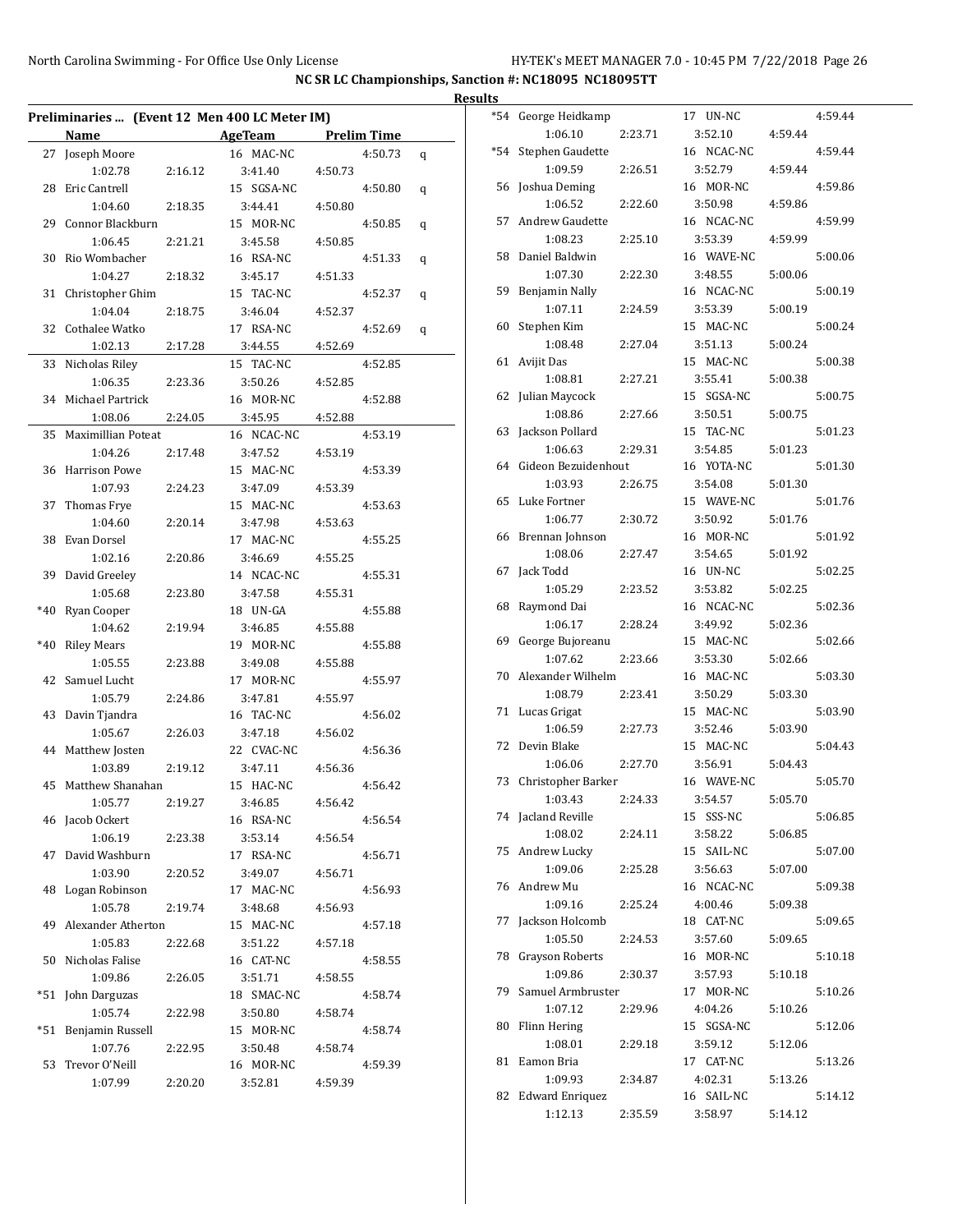|     |                              |         | Preliminaries  (Event 12 Men 400 LC Meter IM) |         |         |   |
|-----|------------------------------|---------|-----------------------------------------------|---------|---------|---|
|     | Name                         |         | AgeTeam Prelim Time                           |         |         |   |
|     | 27 Joseph Moore              |         | 16 MAC-NC                                     |         | 4:50.73 | q |
|     | 1:02.78                      | 2:16.12 | 3:41.40                                       | 4:50.73 |         |   |
| 28  | Eric Cantrell                |         | 15 SGSA-NC                                    |         | 4:50.80 | q |
|     | 1:04.60                      | 2:18.35 | 3:44.41                                       | 4:50.80 |         |   |
|     | 29 Connor Blackburn          |         | 15 MOR-NC                                     |         | 4:50.85 | q |
|     | 1:06.45                      | 2:21.21 | 3:45.58                                       | 4:50.85 |         |   |
| 30  | Rio Wombacher                |         | 16 RSA-NC                                     |         | 4:51.33 | q |
|     | 1:04.27                      | 2:18.32 | 3:45.17                                       | 4:51.33 |         |   |
| 31  | Christopher Ghim             |         | 15 TAC-NC                                     |         | 4:52.37 | q |
|     | 1:04.04                      | 2:18.75 | 3:46.04                                       | 4:52.37 |         |   |
|     | 32 Cothalee Watko            |         | 17 RSA-NC                                     |         | 4:52.69 | q |
|     | 1:02.13                      | 2:17.28 | 3:44.55                                       | 4:52.69 |         |   |
| 33  | Nicholas Riley               |         | 15 TAC-NC                                     |         | 4:52.85 |   |
|     | 1:06.35                      | 2:23.36 | 3:50.26                                       | 4:52.85 |         |   |
|     | 34 Michael Partrick          |         | 16 MOR-NC                                     |         | 4:52.88 |   |
|     | 1:08.06                      | 2:24.05 | 3:45.95                                       | 4:52.88 |         |   |
| 35  | Maximillian Poteat           |         | 16 NCAC-NC                                    |         | 4:53.19 |   |
|     | 1:04.26                      | 2:17.48 | 3:47.52                                       | 4:53.19 |         |   |
|     | 36 Harrison Powe             |         | 15 MAC-NC                                     |         | 4:53.39 |   |
|     | 1:07.93                      | 2:24.23 | 3:47.09                                       | 4:53.39 |         |   |
| 37  | Thomas Frye                  |         | 15 MAC-NC                                     |         | 4:53.63 |   |
|     | 1:04.60                      | 2:20.14 | 3:47.98                                       | 4:53.63 |         |   |
| 38  | Evan Dorsel                  |         | 17 MAC-NC                                     |         | 4:55.25 |   |
|     | 1:02.16                      | 2:20.86 | 3:46.69                                       | 4:55.25 |         |   |
|     | 39 David Greeley             |         | 14 NCAC-NC                                    |         | 4:55.31 |   |
|     | 1:05.68                      | 2:23.80 | 3:47.58                                       | 4:55.31 |         |   |
|     | *40 Ryan Cooper              |         | 18 UN-GA                                      |         | 4:55.88 |   |
|     | 1:04.62                      | 2:19.94 | 3:46.85                                       | 4:55.88 |         |   |
|     | *40 Riley Mears              |         | 19 MOR-NC                                     |         | 4:55.88 |   |
|     | 1:05.55                      | 2:23.88 | 3:49.08                                       | 4:55.88 |         |   |
| 42  | Samuel Lucht                 |         | 17 MOR-NC                                     |         | 4:55.97 |   |
|     | 1:05.79                      | 2:24.86 | 3:47.81                                       | 4:55.97 |         |   |
|     | 43 Davin Tjandra             |         | 16 TAC-NC                                     |         | 4:56.02 |   |
|     | 1:05.67                      | 2:26.03 | 3:47.18                                       | 4:56.02 |         |   |
|     | 44 Matthew Josten            |         | 22 CVAC-NC                                    |         | 4:56.36 |   |
|     | 1:03.89                      | 2:19.12 | 3:47.11                                       | 4:56.36 |         |   |
|     | 45 Matthew Shanahan          |         | 15 HAC-NC                                     |         | 4:56.42 |   |
|     | 1:05.77                      | 2:19.27 | 3:46.85                                       | 4:56.42 |         |   |
|     | 46 Jacob Ockert<br>1:06.19   |         | 16 RSA-NC                                     |         | 4:56.54 |   |
|     | 47 David Washburn            | 2:23.38 | 3:53.14<br>17 RSA-NC                          | 4:56.54 | 4:56.71 |   |
|     |                              |         |                                               | 4:56.71 |         |   |
|     | 1:03.90<br>48 Logan Robinson | 2:20.52 | 3:49.07<br>17 MAC-NC                          |         | 4:56.93 |   |
|     | 1:05.78                      | 2:19.74 | 3:48.68                                       | 4:56.93 |         |   |
|     | 49 Alexander Atherton        |         | 15 MAC-NC                                     |         | 4:57.18 |   |
|     | 1:05.83                      | 2:22.68 | 3:51.22                                       | 4:57.18 |         |   |
|     | 50 Nicholas Falise           |         | 16 CAT-NC                                     |         | 4:58.55 |   |
|     | 1:09.86                      | 2:26.05 | 3:51.71                                       | 4:58.55 |         |   |
| *51 | John Darguzas                |         | 18 SMAC-NC                                    |         | 4:58.74 |   |
|     | 1:05.74                      | 2:22.98 | 3:50.80                                       | 4:58.74 |         |   |
| *51 | Benjamin Russell             |         | 15 MOR-NC                                     |         | 4:58.74 |   |
|     | 1:07.76                      | 2:22.95 | 3:50.48                                       | 4:58.74 |         |   |
| 53  | Trevor O'Neill               |         | 16 MOR-NC                                     |         | 4:59.39 |   |
|     | 1:07.99                      | 2:20.20 | 3:52.81                                       | 4:59.39 |         |   |
|     |                              |         |                                               |         |         |   |

| <b>Results</b> |                                 |         |                     |         |         |
|----------------|---------------------------------|---------|---------------------|---------|---------|
|                | *54 George Heidkamp<br>1:06.10  | 2:23.71 | 17 UN-NC<br>3:52.10 | 4:59.44 | 4:59.44 |
|                |                                 |         | 16 NCAC-NC          |         | 4:59.44 |
|                | *54 Stephen Gaudette<br>1:09.59 | 2:26.51 | 3:52.79             | 4:59.44 |         |
|                | 56 Joshua Deming                |         | 16 MOR-NC           |         | 4:59.86 |
|                | 1:06.52                         | 2:22.60 | 3:50.98             | 4:59.86 |         |
| 57             | Andrew Gaudette                 |         | 16 NCAC-NC          |         | 4:59.99 |
|                | 1:08.23                         | 2:25.10 | 3:53.39             | 4:59.99 |         |
| 58             | Daniel Baldwin                  |         | 16 WAVE-NC          |         | 5:00.06 |
|                | 1:07.30                         | 2:22.30 | 3:48.55             | 5:00.06 |         |
| 59             | Benjamin Nally                  |         | 16 NCAC-NC          |         | 5:00.19 |
|                | 1:07.11                         | 2:24.59 | 3:53.39             | 5:00.19 |         |
| 60             | Stephen Kim                     |         | 15 MAC-NC           |         | 5:00.24 |
|                | 1:08.48                         | 2:27.04 | 3:51.13             | 5:00.24 |         |
|                |                                 |         | 15 MAC-NC           |         |         |
| 61             | Avijit Das<br>1:08.81           | 2:27.21 | 3:55.41             | 5:00.38 | 5:00.38 |
|                |                                 |         | 15 SGSA-NC          |         | 5:00.75 |
| 62             | Julian Maycock                  | 2:27.66 |                     | 5:00.75 |         |
|                | 1:08.86                         |         | 3:50.51             |         |         |
| 63             | Jackson Pollard                 |         | 15 TAC-NC           |         | 5:01.23 |
|                | 1:06.63                         | 2:29.31 | 3:54.85             | 5:01.23 |         |
|                | 64 Gideon Bezuidenhout          | 2:26.75 | 16 YOTA-NC          |         | 5:01.30 |
|                | 1:03.93                         |         | 3:54.08             | 5:01.30 |         |
| 65             | Luke Fortner                    |         | 15 WAVE-NC          |         | 5:01.76 |
|                | 1:06.77                         | 2:30.72 | 3:50.92             | 5:01.76 |         |
| 66             | Brennan Johnson                 |         | 16 MOR-NC           |         | 5:01.92 |
|                | 1:08.06                         | 2:27.47 | 3:54.65             | 5:01.92 |         |
| 67             | Jack Todd                       |         | 16 UN-NC            |         | 5:02.25 |
|                | 1:05.29                         | 2:23.52 | 3:53.82             | 5:02.25 |         |
| 68             | Raymond Dai                     |         | 16 NCAC-NC          |         | 5:02.36 |
|                | 1:06.17                         | 2:28.24 | 3:49.92             | 5:02.36 |         |
| 69             | George Bujoreanu                |         | 15 MAC-NC           |         | 5:02.66 |
|                | 1:07.62                         | 2:23.66 | 3:53.30             | 5:02.66 |         |
| 70             | Alexander Wilhelm               |         | 16 MAC-NC           |         | 5:03.30 |
|                | 1:08.79                         | 2:23.41 | 3:50.29             | 5:03.30 |         |
|                | 71 Lucas Grigat                 |         | 15 MAC-NC           |         | 5:03.90 |
|                | 1:06.59                         | 2:27.73 | 3:52.46             | 5:03.90 |         |
| 72             | Devin Blake                     |         | 15 MAC-NC           |         | 5:04.43 |
|                | 1:06.06                         | 2:27.70 | 3:56.91             | 5:04.43 |         |
| 73             | Christopher Barker              |         | 16 WAVE-NC          |         | 5:05.70 |
|                | 1:03.43                         | 2:24.33 | 3:54.57             | 5:05.70 |         |
|                | 74 Jacland Reville              |         | 15 SSS-NC           |         | 5:06.85 |
|                | 1:08.02                         | 2:24.11 | 3:58.22             | 5:06.85 |         |
|                | 75 Andrew Lucky                 |         | 15 SAIL-NC          |         | 5:07.00 |
|                | 1:09.06                         | 2:25.28 | 3:56.63             | 5:07.00 |         |
|                | 76 Andrew Mu                    |         | 16 NCAC-NC          |         | 5:09.38 |
|                | 1:09.16                         | 2:25.24 | 4:00.46             | 5:09.38 |         |
| 77             | Jackson Holcomb                 |         | 18 CAT-NC           |         | 5:09.65 |
|                | 1:05.50                         | 2:24.53 | 3:57.60             | 5:09.65 |         |
| 78             | <b>Grayson Roberts</b>          |         | 16 MOR-NC           |         | 5:10.18 |
|                | 1:09.86                         | 2:30.37 | 3:57.93             | 5:10.18 |         |
| 79             | Samuel Armbruster               |         | 17 MOR-NC           |         | 5:10.26 |
|                | 1:07.12                         | 2:29.96 | 4:04.26             | 5:10.26 |         |
| 80             | Flinn Hering                    |         | 15 SGSA-NC          |         | 5:12.06 |
|                | 1:08.01                         | 2:29.18 | 3:59.12             | 5:12.06 |         |
| 81             | Eamon Bria                      |         | 17 CAT-NC           |         | 5:13.26 |
|                | 1:09.93                         | 2:34.87 | 4:02.31             | 5:13.26 |         |
| 82             | <b>Edward Enriquez</b>          |         | 16 SAIL-NC          |         | 5:14.12 |
|                | 1:12.13                         | 2:35.59 | 3:58.97             | 5:14.12 |         |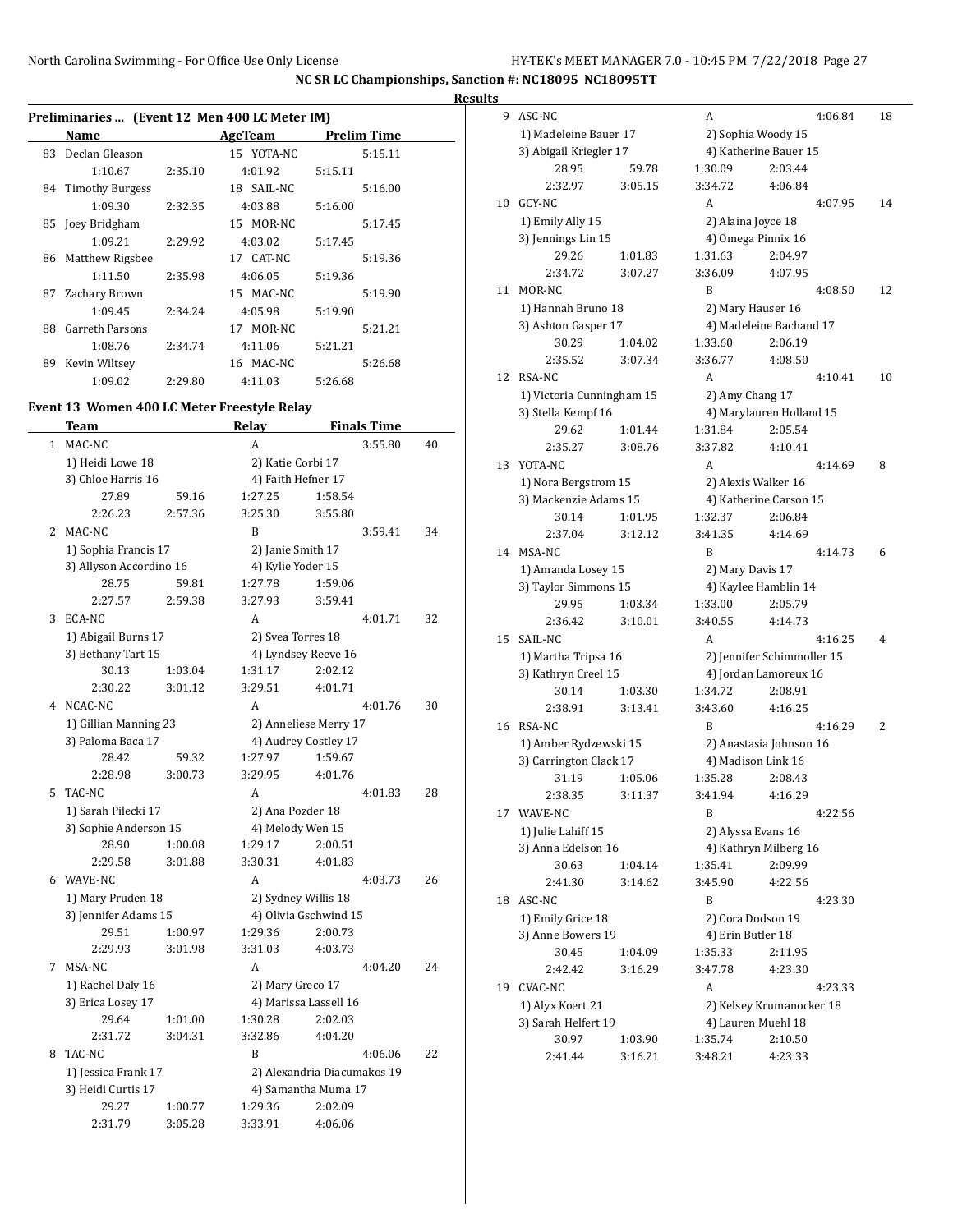|    | Preliminaries  (Event 12 Men 400 LC Meter IM) |         |            |             |  |
|----|-----------------------------------------------|---------|------------|-------------|--|
|    | Name                                          |         | AgeTeam    | Prelim Time |  |
| 83 | Declan Gleason                                |         | 15 YOTA-NC | 5:15.11     |  |
|    | 1:10.67                                       | 2:35.10 | 4:01.92    | 5:15.11     |  |
|    | 84 Timothy Burgess                            |         | 18 SAIL-NC | 5:16.00     |  |
|    | 1:09.30                                       | 2:32.35 | 4:03.88    | 5:16.00     |  |
|    | 85 Joey Bridgham                              |         | 15 MOR-NC  | 5:17.45     |  |
|    | 1:09.21                                       | 2:29.92 | 4:03.02    | 5:17.45     |  |
| 86 | Matthew Rigsbee                               |         | 17 CAT-NC  | 5:19.36     |  |
|    | 1:11.50                                       | 2:35.98 | 4:06.05    | 5:19.36     |  |
| 87 | Zachary Brown                                 |         | 15 MAC-NC  | 5:19.90     |  |
|    | 1:09.45                                       | 2:34.24 | 4:05.98    | 5:19.90     |  |
| 88 | <b>Garreth Parsons</b>                        |         | 17 MOR-NC  | 5:21.21     |  |
|    | 1:08.76                                       | 2:34.74 | 4:11.06    | 5:21.21     |  |
| 89 | Kevin Wiltsey                                 |         | 16 MAC-NC  | 5:26.68     |  |
|    | 1:09.02                                       | 2:29.80 | 4:11.03    | 5:26.68     |  |

#### **Event 13 Women 400 LC Meter Freestyle Relay**

|              | Team                    |         | <b>Relay</b>        |                             | <b>Finals Time</b> |    |
|--------------|-------------------------|---------|---------------------|-----------------------------|--------------------|----|
| $\mathbf{1}$ | MAC-NC                  |         | A                   |                             | 3:55.80            | 40 |
|              | 1) Heidi Lowe 18        |         | 2) Katie Corbi 17   |                             |                    |    |
|              | 3) Chloe Harris 16      |         | 4) Faith Hefner 17  |                             |                    |    |
|              | 27.89                   | 59.16   | 1:27.25             | 1:58.54                     |                    |    |
|              | 2:26.23                 | 2:57.36 | 3:25.30             | 3:55.80                     |                    |    |
| 2            | MAC-NC                  |         | R                   |                             | 3:59.41            | 34 |
|              | 1) Sophia Francis 17    |         | 2) Janie Smith 17   |                             |                    |    |
|              | 3) Allyson Accordino 16 |         | 4) Kylie Yoder 15   |                             |                    |    |
|              | 28.75                   | 59.81   | 1:27.78             | 1:59.06                     |                    |    |
|              | 2:27.57                 | 2:59.38 | 3:27.93             | 3:59.41                     |                    |    |
| 3            | ECA-NC                  |         | A                   |                             | 4:01.71            | 32 |
|              | 1) Abigail Burns 17     |         | 2) Svea Torres 18   |                             |                    |    |
|              | 3) Bethany Tart 15      |         | 4) Lyndsey Reeve 16 |                             |                    |    |
|              | 30.13                   | 1:03.04 | 1:31.17             | 2:02.12                     |                    |    |
|              | 2:30.22                 | 3:01.12 | 3:29.51             | 4:01.71                     |                    |    |
| 4            | NCAC-NC                 |         | A                   |                             | 4:01.76            | 30 |
|              | 1) Gillian Manning 23   |         |                     | 2) Anneliese Merry 17       |                    |    |
|              | 3) Paloma Baca 17       |         |                     | 4) Audrey Costley 17        |                    |    |
|              | 28.42                   | 59.32   | 1:27.97             | 1:59.67                     |                    |    |
|              | 2:28.98                 | 3:00.73 | 3:29.95             | 4:01.76                     |                    |    |
| 5.           | TAC-NC                  |         | A                   |                             | 4:01.83            | 28 |
|              | 1) Sarah Pilecki 17     |         | 2) Ana Pozder 18    |                             |                    |    |
|              | 3) Sophie Anderson 15   |         | 4) Melody Wen 15    |                             |                    |    |
|              | 28.90                   | 1:00.08 | 1:29.17             | 2:00.51                     |                    |    |
|              | 2:29.58                 | 3:01.88 | 3:30.31             | 4:01.83                     |                    |    |
| 6            | WAVE-NC                 |         | A                   |                             | 4:03.73            | 26 |
|              | 1) Mary Pruden 18       |         | 2) Sydney Willis 18 |                             |                    |    |
|              | 3) Jennifer Adams 15    |         |                     | 4) Olivia Gschwind 15       |                    |    |
|              | 29.51                   | 1:00.97 | 1:29.36             | 2:00.73                     |                    |    |
|              | 2:29.93                 | 3:01.98 | 3:31.03             | 4:03.73                     |                    |    |
| 7            | MSA-NC                  |         | A                   |                             | 4:04.20            | 24 |
|              | 1) Rachel Daly 16       |         | 2) Mary Greco 17    |                             |                    |    |
|              | 3) Erica Losey 17       |         |                     | 4) Marissa Lassell 16       |                    |    |
|              | 29.64                   | 1:01.00 | 1:30.28             | 2:02.03                     |                    |    |
|              | 2:31.72                 | 3:04.31 | 3:32.86             | 4:04.20                     |                    |    |
| 8            | TAC-NC                  |         | B                   |                             | 4:06.06            | 22 |
|              | 1) Jessica Frank 17     |         |                     | 2) Alexandria Diacumakos 19 |                    |    |
|              | 3) Heidi Curtis 17      |         |                     | 4) Samantha Muma 17         |                    |    |
|              | 29.27                   | 1:00.77 | 1:29.36             | 2:02.09                     |                    |    |
|              | 2:31.79                 | 3:05.28 | 3:33.91             | 4:06.06                     |                    |    |

| <b>Results</b> |                               |         |                   |                                 |    |
|----------------|-------------------------------|---------|-------------------|---------------------------------|----|
|                | 9 ASC-NC                      |         | A                 | 4:06.84                         | 18 |
|                | 1) Madeleine Bauer 17         |         |                   | 2) Sophia Woody 15              |    |
|                | 3) Abigail Kriegler 17        |         |                   | 4) Katherine Bauer 15           |    |
|                | 28.95                         | 59.78   | 1:30.09           | 2:03.44                         |    |
|                | 2:32.97                       | 3:05.15 | 3:34.72           | 4:06.84                         |    |
|                | 10 GCY-NC                     |         | A                 | 4:07.95                         | 14 |
|                | 1) Emily Ally 15              |         |                   | 2) Alaina Joyce 18              |    |
|                | 3) Jennings Lin 15            |         |                   | 4) Omega Pinnix 16              |    |
|                | 29.26                         | 1:01.83 | 1:31.63           | 2:04.97                         |    |
|                | 2:34.72                       | 3:07.27 | 3:36.09           | 4:07.95                         |    |
|                | 11 MOR-NC                     |         | B                 | 4:08.50                         | 12 |
|                | 1) Hannah Bruno 18            |         |                   | 2) Mary Hauser 16               |    |
|                | 3) Ashton Gasper 17           |         |                   | 4) Madeleine Bachand 17         |    |
|                | 30.29                         | 1:04.02 | 1:33.60           | 2:06.19                         |    |
|                | 2:35.52                       | 3:07.34 | 3:36.77           | 4:08.50                         |    |
|                | 12 RSA-NC                     |         | A                 | 4:10.41                         | 10 |
|                | 1) Victoria Cunningham 15     |         | 2) Amy Chang 17   |                                 |    |
|                | 3) Stella Kempf 16            |         |                   | 4) Marylauren Holland 15        |    |
|                | 29.62                         | 1:01.44 | 1:31.84           | 2:05.54                         |    |
|                | 2:35.27                       | 3:08.76 | 3:37.82           | 4:10.41                         |    |
|                | 13 YOTA-NC                    |         | A                 | 4:14.69                         | 8  |
|                | 1) Nora Bergstrom 15          |         |                   | 2) Alexis Walker 16             |    |
|                | 3) Mackenzie Adams 15         |         |                   | 4) Katherine Carson 15          |    |
|                | 30.14                         | 1:01.95 | 1:32.37           | 2:06.84                         |    |
|                | 2:37.04                       | 3:12.12 | 3:41.35           | 4:14.69                         |    |
|                | 14 MSA-NC                     |         | B                 | 4:14.73                         | 6  |
|                | 1) Amanda Losey 15            |         | 2) Mary Davis 17  |                                 |    |
|                | 3) Taylor Simmons 15<br>29.95 | 1:03.34 | 1:33.00           | 4) Kaylee Hamblin 14<br>2:05.79 |    |
|                | 2:36.42                       | 3:10.01 | 3:40.55           | 4:14.73                         |    |
|                | 15 SAIL-NC                    |         | A                 | 4:16.25                         | 4  |
|                | 1) Martha Tripsa 16           |         |                   | 2) Jennifer Schimmoller 15      |    |
|                | 3) Kathryn Creel 15           |         |                   | 4) Jordan Lamoreux 16           |    |
|                | 30.14                         | 1:03.30 | 1:34.72           | 2:08.91                         |    |
|                | 2:38.91                       | 3:13.41 | 3:43.60           | 4:16.25                         |    |
| 16             | RSA-NC                        |         | B                 | 4:16.29                         | 2  |
|                | 1) Amber Rydzewski 15         |         |                   | 2) Anastasia Johnson 16         |    |
|                | 3) Carrington Clack 17        |         |                   | 4) Madison Link 16              |    |
|                | 31.19                         | 1:05.06 | 1:35.28           | 2:08.43                         |    |
|                | 2:38.35                       | 3:11.37 | 3:41.94           | 4:16.29                         |    |
|                | 17 WAVE-NC                    |         | B                 | 4:22.56                         |    |
|                | 1) Julie Lahiff 15            |         |                   | 2) Alyssa Evans 16              |    |
|                | 3) Anna Edelson 16            |         |                   | 4) Kathryn Milberg 16           |    |
|                | 30.63                         | 1:04.14 | 1:35.41           | 2:09.99                         |    |
|                | 2:41.30                       | 3:14.62 | 3:45.90           | 4:22.56                         |    |
|                | 18 ASC-NC                     |         | B                 | 4:23.30                         |    |
|                | 1) Emily Grice 18             |         |                   | 2) Cora Dodson 19               |    |
|                | 3) Anne Bowers 19             |         | 4) Erin Butler 18 |                                 |    |
|                | 30.45                         | 1:04.09 | 1:35.33           | 2:11.95                         |    |
|                | 2:42.42                       | 3:16.29 | 3:47.78           | 4:23.30                         |    |
|                | 19 CVAC-NC                    |         | A                 | 4:23.33                         |    |
|                | 1) Alyx Koert 21              |         |                   | 2) Kelsey Krumanocker 18        |    |
|                | 3) Sarah Helfert 19           |         |                   | 4) Lauren Muehl 18              |    |
|                | 30.97                         | 1:03.90 | 1:35.74           | 2:10.50                         |    |
|                | 2:41.44                       | 3:16.21 | 3:48.21           | 4:23.33                         |    |
|                |                               |         |                   |                                 |    |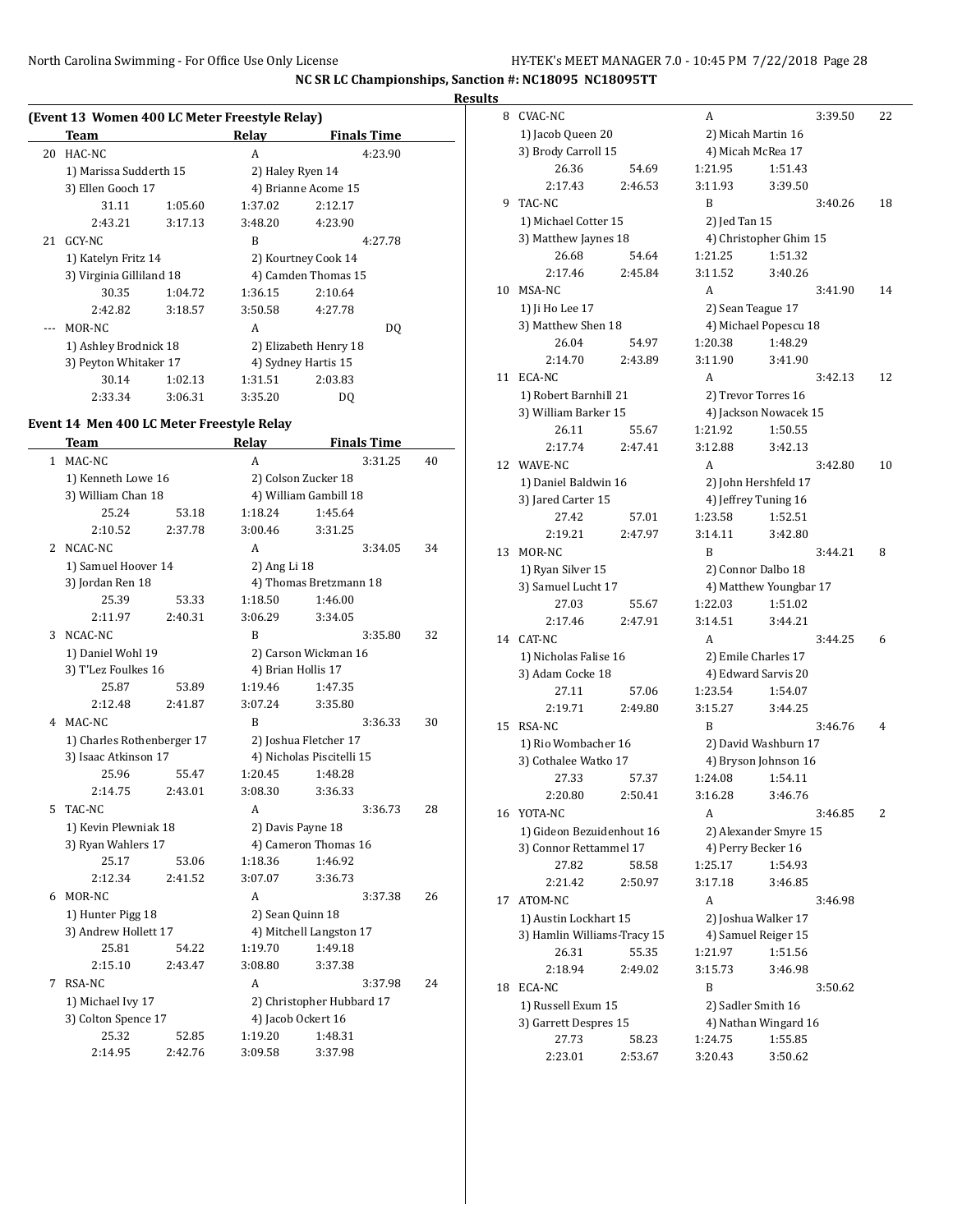**Results**

|    | (Event 13 Women 400 LC Meter Freestyle Relay) |         |                  |                       |  |
|----|-----------------------------------------------|---------|------------------|-----------------------|--|
|    | Team                                          |         | Relay            | <b>Finals Time</b>    |  |
| 20 | HAC-NC                                        |         | A                | 4:23.90               |  |
|    | 1) Marissa Sudderth 15                        |         | 2) Haley Ryen 14 |                       |  |
|    | 3) Ellen Gooch 17                             |         |                  | 4) Brianne Acome 15   |  |
|    | 31.11                                         | 1:05.60 | 1:37.02          | 2:12.17               |  |
|    | 2:43.21                                       | 3:17.13 | 3:48.20          | 4:23.90               |  |
|    | 21 GCY-NC                                     |         | R                | 4:27.78               |  |
|    | 1) Katelyn Fritz 14                           |         |                  | 2) Kourtney Cook 14   |  |
|    | 3) Virginia Gilliland 18                      |         |                  | 4) Camden Thomas 15   |  |
|    | 30.35                                         | 1:04.72 | 1:36.15          | 2:10.64               |  |
|    | 2:42.82                                       | 3:18.57 | 3:50.58          | 4:27.78               |  |
|    | MOR-NC                                        |         | A                | DO.                   |  |
|    | 1) Ashley Brodnick 18                         |         |                  | 2) Elizabeth Henry 18 |  |
|    | 3) Peyton Whitaker 17                         |         |                  | 4) Sydney Hartis 15   |  |
|    | 30.14                                         | 1:02.13 | 1:31.51          | 2:03.83               |  |
|    | 2:33.34                                       | 3:06.31 | 3:35.20          | DQ                    |  |

### **Event 14 Men 400 LC Meter Freestyle Relay**

|              | Team                       |         | Relay               | <b>Finals Time</b>        |               |
|--------------|----------------------------|---------|---------------------|---------------------------|---------------|
| $\mathbf{1}$ | MAC-NC                     |         | A                   |                           | 3:31.25<br>40 |
|              | 1) Kenneth Lowe 16         |         | 2) Colson Zucker 18 |                           |               |
|              | 3) William Chan 18         |         |                     | 4) William Gambill 18     |               |
|              | 25.24                      | 53.18   | 1:18.24             | 1:45.64                   |               |
|              | 2:10.52                    | 2:37.78 | 3:00.46             | 3:31.25                   |               |
| 2            | NCAC-NC                    |         | A                   |                           | 34<br>3:34.05 |
|              | 1) Samuel Hoover 14        |         | 2) Ang Li 18        |                           |               |
|              | 3) Jordan Ren 18           |         |                     | 4) Thomas Bretzmann 18    |               |
|              | 25.39                      | 53.33   | 1:18.50             | 1:46.00                   |               |
|              | 2:11.97                    | 2:40.31 | 3:06.29             | 3:34.05                   |               |
| 3            | NCAC-NC                    |         | B                   |                           | 3:35.80<br>32 |
|              | 1) Daniel Wohl 19          |         |                     | 2) Carson Wickman 16      |               |
|              | 3) T'Lez Foulkes 16        |         | 4) Brian Hollis 17  |                           |               |
|              | 25.87                      | 53.89   | 1:19.46             | 1:47.35                   |               |
|              | 2:12.48                    | 2:41.87 | 3:07.24             | 3:35.80                   |               |
| 4            | MAC-NC                     |         | B                   |                           | 3:36.33<br>30 |
|              | 1) Charles Rothenberger 17 |         |                     | 2) Joshua Fletcher 17     |               |
|              | 3) Isaac Atkinson 17       |         |                     | 4) Nicholas Piscitelli 15 |               |
|              | 25.96                      | 55.47   | 1:20.45             | 1:48.28                   |               |
|              | 2:14.75                    | 2:43.01 | 3:08.30             | 3:36.33                   |               |
| 5.           | TAC-NC                     |         | A                   |                           | 3:36.73<br>28 |
|              | 1) Kevin Plewniak 18       |         | 2) Davis Payne 18   |                           |               |
|              | 3) Ryan Wahlers 17         |         |                     | 4) Cameron Thomas 16      |               |
|              | 25.17                      | 53.06   | 1:18.36             | 1:46.92                   |               |
|              | 2:12.34                    | 2:41.52 | 3:07.07             | 3:36.73                   |               |
| 6            | MOR-NC                     |         | A                   |                           | 3:37.38<br>26 |
|              | 1) Hunter Pigg 18          |         | 2) Sean Quinn 18    |                           |               |
|              | 3) Andrew Hollett 17       |         |                     | 4) Mitchell Langston 17   |               |
|              | 25.81                      | 54.22   | 1:19.70             | 1:49.18                   |               |
|              | 2:15.10                    | 2:43.47 | 3:08.80             | 3:37.38                   |               |
| 7            | RSA-NC                     |         | A                   |                           | 3:37.98<br>24 |
|              | 1) Michael Ivy 17          |         |                     | 2) Christopher Hubbard 17 |               |
|              | 3) Colton Spence 17        |         | 4) Jacob Ockert 16  |                           |               |
|              | 25.32                      | 52.85   | 1:19.20             | 1:48.31                   |               |
|              | 2:14.95                    | 2:42.76 | 3:09.58             | 3:37.98                   |               |

| 8  | CVAC-NC                     |         | A             |                        | 3:39.50 | 22 |
|----|-----------------------------|---------|---------------|------------------------|---------|----|
|    | 1) Jacob Queen 20           |         |               | 2) Micah Martin 16     |         |    |
|    | 3) Brody Carroll 15         |         |               | 4) Micah McRea 17      |         |    |
|    | 26.36                       | 54.69   | 1:21.95       | 1:51.43                |         |    |
|    | 2:17.43                     | 2:46.53 | 3:11.93       | 3:39.50                |         |    |
| 9  | TAC-NC                      |         | B             |                        | 3:40.26 | 18 |
|    | 1) Michael Cotter 15        |         | 2) Jed Tan 15 |                        |         |    |
|    | 3) Matthew Jaynes 18        |         |               | 4) Christopher Ghim 15 |         |    |
|    | 26.68                       | 54.64   | 1:21.25       | 1:51.32                |         |    |
|    | 2:17.46                     | 2:45.84 | 3:11.52       | 3:40.26                |         |    |
| 10 | MSA-NC                      |         | A             |                        | 3:41.90 | 14 |
|    | 1) Ji Ho Lee 17             |         |               | 2) Sean Teague 17      |         |    |
|    | 3) Matthew Shen 18          |         |               | 4) Michael Popescu 18  |         |    |
|    | 26.04                       | 54.97   | 1:20.38       | 1:48.29                |         |    |
|    | 2:14.70                     | 2:43.89 | 3:11.90       | 3:41.90                |         |    |
| 11 | ECA-NC                      |         | A             |                        | 3:42.13 | 12 |
|    | 1) Robert Barnhill 21       |         |               | 2) Trevor Torres 16    |         |    |
|    | 3) William Barker 15        |         |               | 4) Jackson Nowacek 15  |         |    |
|    | 26.11                       | 55.67   | 1:21.92       | 1:50.55                |         |    |
|    | 2:17.74                     | 2:47.41 | 3:12.88       | 3:42.13                |         |    |
| 12 | WAVE-NC                     |         | A             |                        | 3:42.80 | 10 |
|    | 1) Daniel Baldwin 16        |         |               | 2) John Hershfeld 17   |         |    |
|    | 3) Jared Carter 15          |         |               | 4) Jeffrey Tuning 16   |         |    |
|    | 27.42                       | 57.01   | 1:23.58       | 1:52.51                |         |    |
|    | 2:19.21                     | 2:47.97 | 3:14.11       | 3:42.80                |         |    |
| 13 | MOR-NC                      |         | B             |                        | 3:44.21 | 8  |
|    |                             |         |               |                        |         |    |
|    | 1) Ryan Silver 15           |         |               | 2) Connor Dalbo 18     |         |    |
|    | 3) Samuel Lucht 17          |         |               | 4) Matthew Youngbar 17 |         |    |
|    | 27.03                       | 55.67   | 1:22.03       | 1:51.02                |         |    |
|    | 2:17.46                     | 2:47.91 | 3:14.51       | 3:44.21                |         |    |
| 14 | CAT-NC                      |         | A             |                        | 3:44.25 | 6  |
|    | 1) Nicholas Falise 16       |         |               | 2) Emile Charles 17    |         |    |
|    | 3) Adam Cocke 18            |         |               | 4) Edward Sarvis 20    |         |    |
|    | 27.11                       | 57.06   | 1:23.54       | 1:54.07                |         |    |
|    | 2:19.71                     | 2:49.80 | 3:15.27       | 3:44.25                |         |    |
| 15 | RSA-NC                      |         | B             |                        | 3:46.76 | 4  |
|    | 1) Rio Wombacher 16         |         |               | 2) David Washburn 17   |         |    |
|    | 3) Cothalee Watko 17        |         |               | 4) Bryson Johnson 16   |         |    |
|    | 27.33                       | 57.37   | 1:24.08       | 1:54.11                |         |    |
|    | 2:20.80                     | 2:50.41 | 3:16.28       | 3:46.76                |         |    |
| 16 | YOTA-NC                     |         | А             |                        | 3:46.85 | 2  |
|    | 1) Gideon Bezuidenhout 16   |         |               | 2) Alexander Smyre 15  |         |    |
|    | 3) Connor Rettammel 17      |         |               | 4) Perry Becker 16     |         |    |
|    | 27.82                       | 58.58   | 1:25.17       | 1:54.93                |         |    |
|    | 2:21.42                     | 2:50.97 | 3:17.18       | 3:46.85                |         |    |
| 17 | ATOM-NC                     |         | A             |                        | 3:46.98 |    |
|    | 1) Austin Lockhart 15       |         |               | 2) Joshua Walker 17    |         |    |
|    | 3) Hamlin Williams-Tracy 15 |         |               | 4) Samuel Reiger 15    |         |    |
|    | 26.31                       | 55.35   | 1:21.97       | 1:51.56                |         |    |
|    | 2:18.94                     | 2:49.02 | 3:15.73       | 3:46.98                |         |    |
| 18 | ECA-NC                      |         | B             |                        | 3:50.62 |    |
|    | 1) Russell Exum 15          |         |               | 2) Sadler Smith 16     |         |    |
|    | 3) Garrett Despres 15       |         |               | 4) Nathan Wingard 16   |         |    |
|    | 27.73                       | 58.23   | 1:24.75       | 1:55.85                |         |    |
|    | 2:23.01                     | 2:53.67 | 3:20.43       | 3:50.62                |         |    |
|    |                             |         |               |                        |         |    |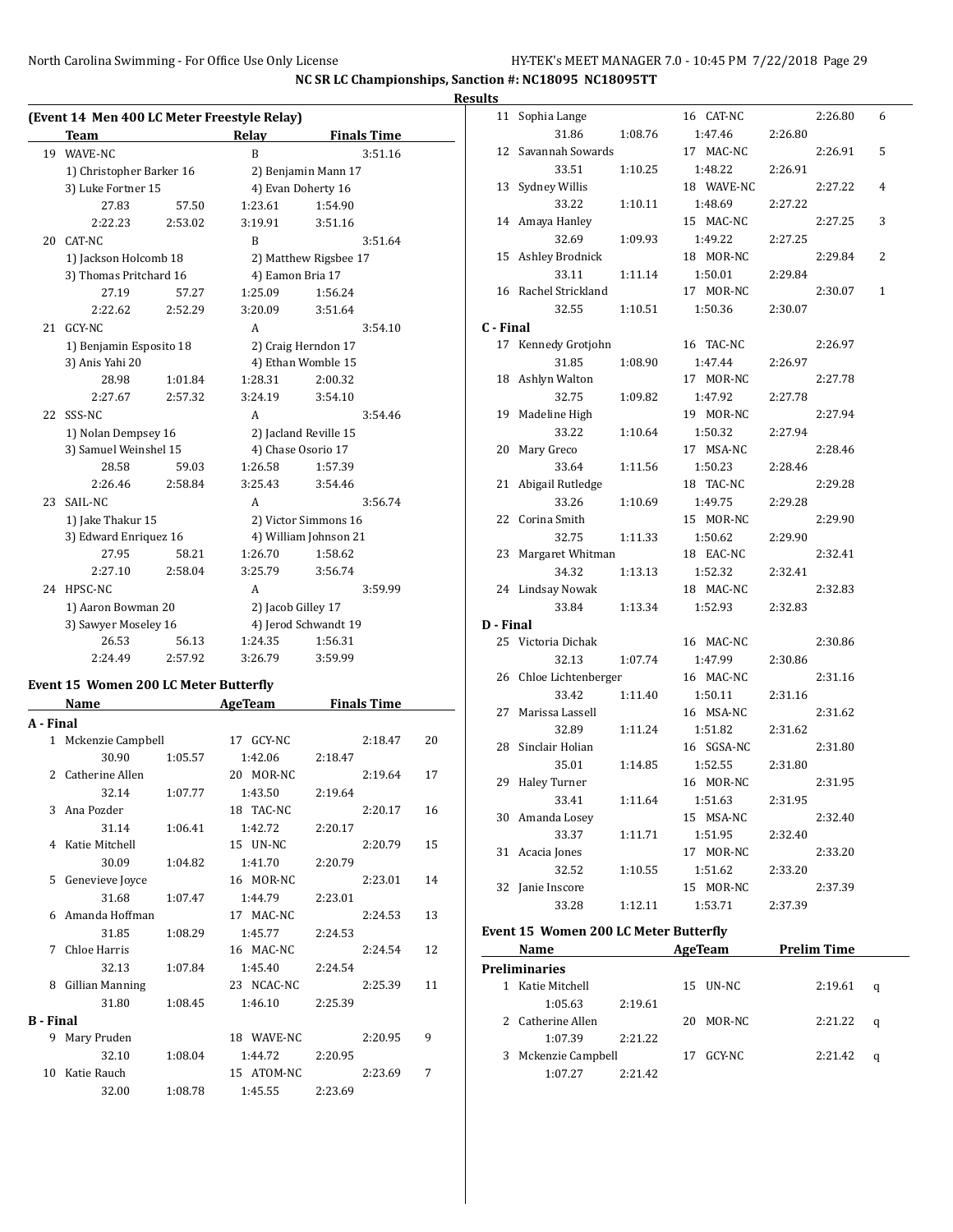|    | (Event 14 Men 400 LC Meter Freestyle Relay)     |         |                    |                       |  |
|----|-------------------------------------------------|---------|--------------------|-----------------------|--|
|    | <b>Team</b>                                     |         | Relay              | <b>Finals Time</b>    |  |
| 19 | WAVE-NC                                         |         | B                  | 3:51.16               |  |
|    | 1) Christopher Barker 16                        |         |                    | 2) Benjamin Mann 17   |  |
|    | 3) Luke Fortner 15                              |         |                    | 4) Evan Doherty 16    |  |
|    | 27.83                                           | 57.50   | 1:23.61            | 1:54.90               |  |
|    | 2:22.23                                         | 2:53.02 | 3:19.91            | 3:51.16               |  |
| 20 | CAT-NC                                          |         | B                  | 3:51.64               |  |
|    | 1) Jackson Holcomb 18<br>3) Thomas Pritchard 16 |         |                    | 2) Matthew Rigsbee 17 |  |
|    |                                                 |         | 4) Eamon Bria 17   |                       |  |
|    | 27.19                                           | 57.27   | 1:25.09            | 1:56.24               |  |
|    | 2:22.62                                         | 2:52.29 | 3:20.09            | 3:51.64               |  |
| 21 | GCY-NC                                          |         | A                  | 3:54.10               |  |
|    | 1) Benjamin Esposito 18                         |         |                    | 2) Craig Herndon 17   |  |
|    | 3) Anis Yahi 20                                 |         |                    | 4) Ethan Womble 15    |  |
|    | 28.98                                           | 1:01.84 | 1:28.31            | 2:00.32               |  |
|    | 2:27.67                                         | 2:57.32 | 3:24.19            | 3:54.10               |  |
| 22 | SSS-NC                                          |         | A                  | 3:54.46               |  |
|    | 1) Nolan Dempsey 16                             |         |                    | 2) Jacland Reville 15 |  |
|    | 3) Samuel Weinshel 15                           |         |                    | 4) Chase Osorio 17    |  |
|    | 28.58                                           | 59.03   | 1:26.58            | 1:57.39               |  |
|    | 2:26.46                                         | 2:58.84 | 3:25.43            | 3:54.46               |  |
| 23 | SAIL-NC                                         |         | A                  | 3:56.74               |  |
|    | 1) Jake Thakur 15                               |         |                    | 2) Victor Simmons 16  |  |
|    | 3) Edward Enriquez 16                           |         |                    | 4) William Johnson 21 |  |
|    | 27.95                                           | 58.21   | 1:26.70            | 1:58.62               |  |
|    | 2:27.10                                         | 2:58.04 | 3:25.79            | 3:56.74               |  |
| 24 | HPSC-NC                                         |         | A                  | 3:59.99               |  |
|    | 1) Aaron Bowman 20                              |         | 2) Jacob Gilley 17 |                       |  |
|    | 3) Sawyer Moseley 16                            |         |                    | 4) Jerod Schwandt 19  |  |
|    | 26.53                                           | 56.13   | 1:24.35            | 1:56.31               |  |
|    | 2:24.49                                         | 2:57.92 | 3:26.79            | 3:59.99               |  |

# **Event 15 Women 200 LC Meter Butterfly**

| Name              |         | AgeTeam             | <b>Finals Time</b>                       |    |  |
|-------------------|---------|---------------------|------------------------------------------|----|--|
| A - Final         |         |                     |                                          |    |  |
|                   |         | 17 GCY-NC           | 2:18.47                                  | 20 |  |
| 30.90             |         | 1:42.06             | 2:18.47                                  |    |  |
| 2 Catherine Allen |         | 20 MOR-NC           | 2:19.64                                  | 17 |  |
| 32.14             |         | 1:43.50             | 2:19.64                                  |    |  |
| 3 Ana Pozder      |         | 18 TAC-NC           | 2:20.17                                  | 16 |  |
| 31.14             | 1:06.41 | 1:42.72             | 2:20.17                                  |    |  |
| 4 Katie Mitchell  |         | 15 <b>UN-NC</b>     | 2:20.79                                  | 15 |  |
| 30.09             | 1:04.82 | 1:41.70             | 2:20.79                                  |    |  |
| Genevieve Joyce   |         | 16 MOR-NC           | 2:23.01                                  | 14 |  |
| 31.68             |         | 1:44.79             | 2:23.01                                  |    |  |
| Amanda Hoffman    |         | 17 MAC-NC           | 2:24.53                                  | 13 |  |
| 31.85             | 1:08.29 | 1:45.77             | 2:24.53                                  |    |  |
| Chloe Harris      |         | 16 MAC-NC           | 2:24.54                                  | 12 |  |
| 32.13             |         | 1:45.40             | 2:24.54                                  |    |  |
| Gillian Manning   |         | 23 NCAC-NC          | 2:25.39                                  | 11 |  |
| 31.80             | 1:08.45 | 1:46.10             | 2:25.39                                  |    |  |
| B - Final         |         |                     |                                          |    |  |
| Mary Pruden       |         | 18 WAVE-NC          | 2:20.95                                  | 9  |  |
| 32.10             | 1:08.04 | 1:44.72             | 2:20.95                                  |    |  |
| Katie Rauch       |         | 15 ATOM-NC          | 2:23.69                                  | 7  |  |
| 32.00             | 1:08.78 | 1:45.55             | 2:23.69                                  |    |  |
|                   |         | 1 Mckenzie Campbell | 1:05.57<br>1:07.77<br>1:07.47<br>1:07.84 |    |  |

| <b>Results</b> |                             |         |                       |         |         |                |
|----------------|-----------------------------|---------|-----------------------|---------|---------|----------------|
|                | 11 Sophia Lange             |         | 16 CAT-NC             |         | 2:26.80 | 6              |
|                | 31.86                       | 1:08.76 | 1:47.46               | 2:26.80 |         |                |
|                | 12 Savannah Sowards         |         | 17 MAC-NC             |         | 2:26.91 | 5              |
|                | 33.51                       | 1:10.25 | 1:48.22               | 2:26.91 |         |                |
|                | 13 Sydney Willis            |         | 18 WAVE-NC            |         | 2:27.22 | $\overline{4}$ |
|                | 33.22                       | 1:10.11 | 1:48.69               | 2:27.22 |         |                |
|                | 14 Amaya Hanley             |         | 15 MAC-NC             |         | 2:27.25 | 3              |
|                | 32.69                       | 1:09.93 | 1:49.22               | 2:27.25 |         |                |
|                | 15 Ashley Brodnick          |         | 18 MOR-NC             |         | 2:29.84 | 2              |
|                | 33.11                       | 1:11.14 | 1:50.01               | 2:29.84 |         |                |
|                | 16 Rachel Strickland        |         | 17 MOR-NC             |         | 2:30.07 | $\mathbf{1}$   |
|                | 32.55                       | 1:10.51 | 1:50.36               | 2:30.07 |         |                |
| C - Final      |                             |         |                       |         |         |                |
|                | 17 Kennedy Grotjohn         |         | 16 TAC-NC             |         | 2:26.97 |                |
|                | 31.85                       | 1:08.90 | 1:47.44               | 2:26.97 |         |                |
|                | 18 Ashlyn Walton            |         | 17 MOR-NC             |         | 2:27.78 |                |
|                | 32.75                       | 1:09.82 | 1:47.92               | 2:27.78 |         |                |
|                | 19 Madeline High            |         | 19 MOR-NC             |         | 2:27.94 |                |
|                | 33.22                       | 1:10.64 | 1:50.32               | 2:27.94 |         |                |
|                | 20 Mary Greco               |         | 17 MSA-NC             |         | 2:28.46 |                |
|                | 33.64                       | 1:11.56 | 1:50.23               | 2:28.46 |         |                |
|                | 21 Abigail Rutledge         |         | 18 TAC-NC             |         | 2:29.28 |                |
|                | 33.26                       | 1:10.69 | 1:49.75               | 2:29.28 |         |                |
|                | 22 Corina Smith             |         | 15 MOR-NC             |         | 2:29.90 |                |
|                | 32.75                       | 1:11.33 | 1:50.62               | 2:29.90 |         |                |
|                | 23 Margaret Whitman         |         | 18 EAC-NC             |         | 2:32.41 |                |
|                | 34.32                       | 1:13.13 | 1:52.32               | 2:32.41 |         |                |
|                | 24 Lindsay Nowak            |         | 18 MAC-NC             |         | 2:32.83 |                |
|                | 33.84                       | 1:13.34 | 1:52.93               | 2:32.83 |         |                |
| D - Final      |                             |         |                       |         |         |                |
|                | 25 Victoria Dichak          |         | 16 MAC-NC             |         | 2:30.86 |                |
|                | 32.13                       | 1:07.74 | 1:47.99               | 2:30.86 |         |                |
|                | 26 Chloe Lichtenberger      |         | 16 MAC-NC             |         | 2:31.16 |                |
|                | 33.42<br>27 Marissa Lassell | 1:11.40 | 1:50.11<br>16 MSA-NC  | 2:31.16 | 2:31.62 |                |
|                |                             |         |                       | 2:31.62 |         |                |
|                | 32.89<br>28 Sinclair Holian | 1:11.24 | 1:51.82<br>16 SGSA-NC |         | 2:31.80 |                |
|                | 35.01                       | 1:14.85 | 1:52.55               | 2:31.80 |         |                |
|                | 29 Haley Turner             |         | 16 MOR-NC             |         | 2:31.95 |                |
|                | 33.41                       | 1:11.64 | 1:51.63               |         |         |                |
|                | 30 Amanda Losey             |         | 15 MSA-NC             | 2:31.95 | 2:32.40 |                |
|                | 33.37                       | 1:11.71 | 1:51.95               | 2:32.40 |         |                |
|                | 31 Acacia Jones             |         | 17 MOR-NC             |         | 2:33.20 |                |
|                | 32.52                       | 1:10.55 | 1:51.62               | 2:33.20 |         |                |
|                | 32 Janie Inscore            |         | 15 MOR-NC             |         | 2:37.39 |                |
|                | 33.28                       | 1:12.11 | 1:53.71               | 2:37.39 |         |                |
|                |                             |         |                       |         |         |                |

#### **Event 15 Women 200 LC Meter Butterfly**

|                      | Name                |         |    | AgeTeam  | <b>Prelim Time</b> |   |  |  |  |
|----------------------|---------------------|---------|----|----------|--------------------|---|--|--|--|
| <b>Preliminaries</b> |                     |         |    |          |                    |   |  |  |  |
|                      | Katie Mitchell      |         |    | 15 UN-NC | 2:19.61            | q |  |  |  |
|                      | 1:05.63             | 2:19.61 |    |          |                    |   |  |  |  |
|                      | 2 Catherine Allen   |         | 20 | MOR-NC   | 2:21.22            | q |  |  |  |
|                      | 1:07.39             | 2:21.22 |    |          |                    |   |  |  |  |
|                      | 3 Mckenzie Campbell |         | 17 | GCY-NC   | 2:21.42            | q |  |  |  |
|                      | 1:07.27             | 2:21.42 |    |          |                    |   |  |  |  |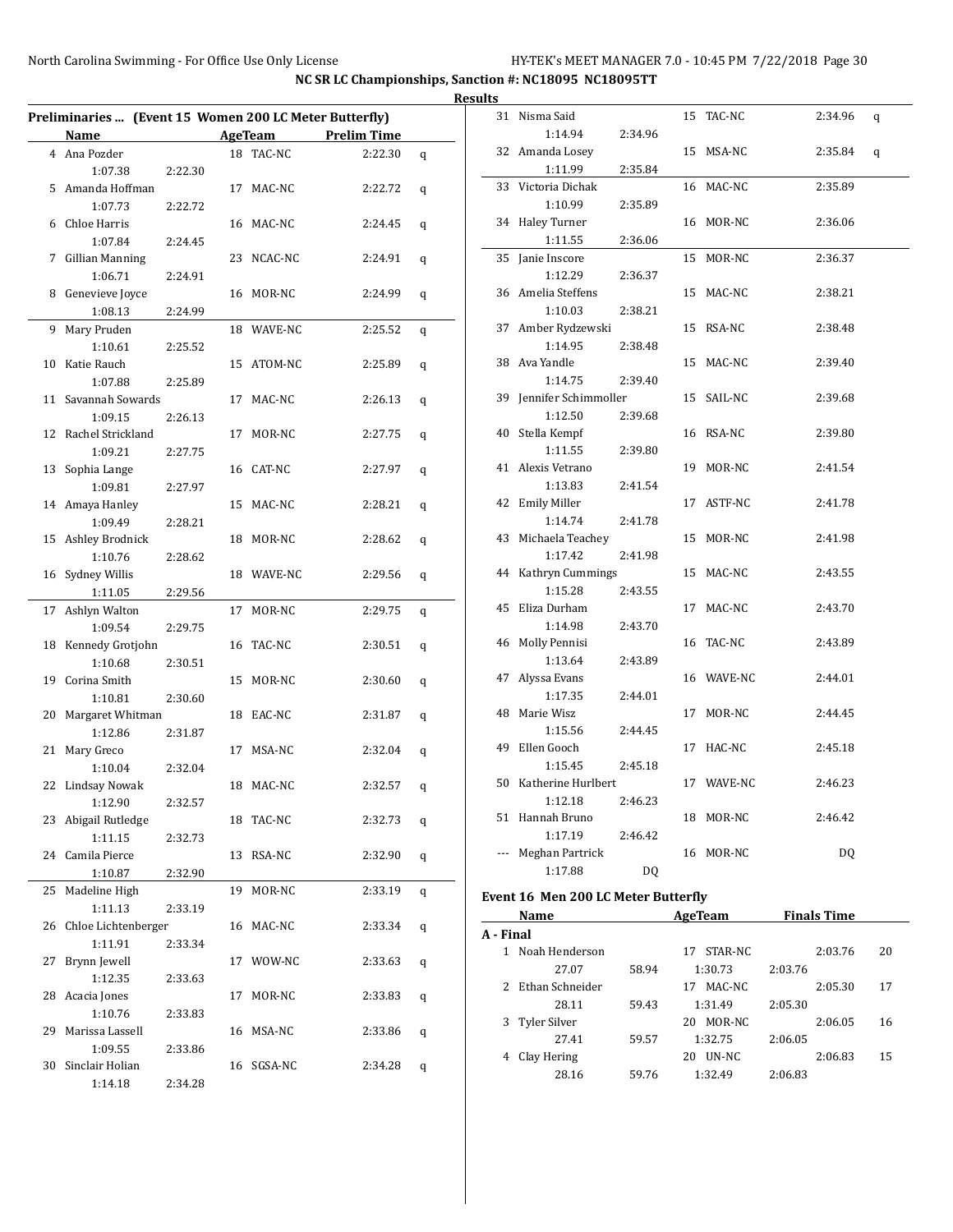|    | Preliminaries  (Event 15 Women 200 LC Meter Butterfly) |         |    |            |                     |   |
|----|--------------------------------------------------------|---------|----|------------|---------------------|---|
|    | Name                                                   |         |    |            | AgeTeam Prelim Time |   |
|    | 4 Ana Pozder                                           |         |    | 18 TAC-NC  | 2:22.30             | q |
|    | 1:07.38                                                | 2:22.30 |    |            |                     |   |
| 5  | Amanda Hoffman                                         |         | 17 | MAC-NC     | 2:22.72             | q |
|    | 1:07.73                                                | 2:22.72 |    |            |                     |   |
| 6  | Chloe Harris                                           |         |    | 16 MAC-NC  | 2:24.45             | q |
|    | 1:07.84                                                | 2:24.45 |    |            |                     |   |
| 7  | <b>Gillian Manning</b>                                 |         |    | 23 NCAC-NC | 2:24.91             | q |
|    | 1:06.71                                                | 2:24.91 |    |            |                     |   |
| 8  | Genevieve Joyce                                        |         |    | 16 MOR-NC  | 2:24.99             | q |
|    | 1:08.13                                                | 2:24.99 |    |            |                     |   |
| 9  | Mary Pruden                                            |         |    | 18 WAVE-NC | 2:25.52             | q |
|    | 1:10.61                                                | 2:25.52 |    |            |                     |   |
|    | 10 Katie Rauch                                         |         |    | 15 ATOM-NC | 2:25.89             | q |
|    | 1:07.88                                                | 2:25.89 |    |            |                     |   |
|    | 11 Savannah Sowards                                    |         | 17 | MAC-NC     | 2:26.13             | q |
|    | 1:09.15                                                | 2:26.13 |    |            |                     |   |
|    | 12 Rachel Strickland                                   |         | 17 | MOR-NC     | 2:27.75             | q |
|    | 1:09.21                                                | 2:27.75 |    |            |                     |   |
|    | 13 Sophia Lange                                        |         |    | 16 CAT-NC  | 2:27.97             | q |
|    | 1:09.81                                                | 2:27.97 |    |            |                     |   |
|    | 14 Amaya Hanley                                        |         |    | 15 MAC-NC  | 2:28.21             | q |
|    | 1:09.49                                                | 2:28.21 |    |            |                     |   |
|    | 15 Ashley Brodnick                                     |         |    | 18 MOR-NC  | 2:28.62             |   |
|    |                                                        |         |    |            |                     | q |
|    | 1:10.76                                                | 2:28.62 |    |            |                     |   |
|    | 16 Sydney Willis                                       |         |    | 18 WAVE-NC | 2:29.56             | q |
|    | 1:11.05                                                | 2:29.56 |    |            |                     |   |
| 17 | Ashlyn Walton                                          |         | 17 | MOR-NC     | 2:29.75             | q |
|    | 1:09.54                                                | 2:29.75 |    |            |                     |   |
|    | 18 Kennedy Grotjohn                                    |         |    | 16 TAC-NC  | 2:30.51             | q |
|    | 1:10.68                                                | 2:30.51 |    |            |                     |   |
|    | 19 Corina Smith                                        |         | 15 | MOR-NC     | 2:30.60             | q |
|    | 1:10.81                                                | 2:30.60 |    |            |                     |   |
| 20 | Margaret Whitman                                       |         | 18 | EAC-NC     | 2:31.87             | q |
|    | 1:12.86                                                | 2:31.87 |    |            |                     |   |
| 21 | Mary Greco                                             |         | 17 | MSA-NC     | 2:32.04             | q |
|    | 1:10.04                                                | 2:32.04 |    |            |                     |   |
|    | 22 Lindsay Nowak                                       |         |    | 18 MAC-NC  | 2:32.57             | q |
|    | 1:12.90                                                | 2:32.57 |    |            |                     |   |
|    | 23 Abigail Rutledge                                    |         | 18 | TAC-NC     | 2:32.73             | q |
|    | 1:11.15                                                | 2:32.73 |    |            |                     |   |
| 24 | Camila Pierce                                          |         | 13 | RSA-NC     | 2:32.90             | q |
|    | 1:10.87                                                | 2:32.90 |    |            |                     |   |
| 25 | Madeline High                                          |         | 19 | MOR-NC     | 2:33.19             | q |
|    | 1:11.13                                                | 2:33.19 |    |            |                     |   |
| 26 | Chloe Lichtenberger                                    |         |    | 16 MAC-NC  | 2:33.34             | q |
|    | 1:11.91                                                | 2:33.34 |    |            |                     |   |
| 27 | Brynn Jewell                                           |         |    | 17 WOW-NC  | 2:33.63             | q |
|    | 1:12.35                                                | 2:33.63 |    |            |                     |   |
| 28 | Acacia Jones                                           |         | 17 | MOR-NC     | 2:33.83             | q |
|    | 1:10.76                                                | 2:33.83 |    |            |                     |   |
| 29 | Marissa Lassell                                        |         | 16 | MSA-NC     | 2:33.86             | q |
|    | 1:09.55                                                | 2:33.86 |    |            |                     |   |
| 30 | Sinclair Holian                                        |         |    | 16 SGSA-NC | 2:34.28             | q |
|    | 1:14.18                                                | 2:34.28 |    |            |                     |   |
|    |                                                        |         |    |            |                     |   |

| <b>Results</b> |                                                   |         |    |            |         |   |
|----------------|---------------------------------------------------|---------|----|------------|---------|---|
|                | 31 Nisma Said                                     |         |    | 15 TAC-NC  | 2:34.96 | q |
|                | 1:14.94                                           | 2:34.96 |    |            |         |   |
|                | 32 Amanda Losey                                   |         |    | 15 MSA-NC  | 2:35.84 | q |
|                | 1:11.99                                           | 2:35.84 |    |            |         |   |
| 33             | Victoria Dichak                                   |         |    | 16 MAC-NC  | 2:35.89 |   |
|                | 1:10.99                                           | 2:35.89 |    |            |         |   |
|                | 34 Haley Turner                                   |         |    | 16 MOR-NC  | 2:36.06 |   |
|                | 1:11.55                                           | 2:36.06 |    |            |         |   |
|                | 35 Janie Inscore                                  |         | 15 | MOR-NC     | 2:36.37 |   |
|                | 1:12.29                                           | 2:36.37 |    |            |         |   |
|                | 36 Amelia Steffens                                |         |    | 15 MAC-NC  | 2:38.21 |   |
|                | 1:10.03                                           | 2:38.21 |    |            |         |   |
|                | 37 Amber Rydzewski                                |         |    | 15 RSA-NC  | 2:38.48 |   |
|                | 1:14.95                                           | 2:38.48 |    |            |         |   |
|                | 38 Ava Yandle                                     |         |    | 15 MAC-NC  | 2:39.40 |   |
|                | 1:14.75                                           | 2:39.40 |    |            |         |   |
|                | 39 Jennifer Schimmoller                           |         |    | 15 SAIL-NC | 2:39.68 |   |
|                | 1:12.50                                           | 2:39.68 |    |            |         |   |
|                | 40 Stella Kempf                                   |         |    | 16 RSA-NC  | 2:39.80 |   |
|                | 1:11.55                                           | 2:39.80 |    |            |         |   |
| 41             | Alexis Vetrano                                    |         |    | 19 MOR-NC  | 2:41.54 |   |
|                | 1:13.83                                           | 2:41.54 |    |            |         |   |
|                | 42 Emily Miller                                   |         |    | 17 ASTF-NC | 2:41.78 |   |
|                | 1:14.74<br>43 Michaela Teachey                    | 2:41.78 |    | 15 MOR-NC  | 2:41.98 |   |
|                | 1:17.42                                           | 2:41.98 |    |            |         |   |
|                | 44 Kathryn Cummings                               |         |    | 15 MAC-NC  | 2:43.55 |   |
|                | 1:15.28                                           | 2:43.55 |    |            |         |   |
| 45             | Eliza Durham                                      |         |    | 17 MAC-NC  | 2:43.70 |   |
|                | 1:14.98                                           | 2:43.70 |    |            |         |   |
| 46             | Molly Pennisi                                     |         |    | 16 TAC-NC  | 2:43.89 |   |
|                | 1:13.64                                           | 2:43.89 |    |            |         |   |
|                | 47 Alyssa Evans                                   |         |    | 16 WAVE-NC | 2:44.01 |   |
|                | 1:17.35                                           | 2:44.01 |    |            |         |   |
|                | 48 Marie Wisz                                     |         |    | 17 MOR-NC  | 2:44.45 |   |
|                | 1:15.56                                           | 2:44.45 |    |            |         |   |
|                | 49 Ellen Gooch                                    |         |    | 17 HAC-NC  | 2:45.18 |   |
|                | 1:15.45                                           | 2:45.18 |    |            |         |   |
|                | 50 Katherine Hurlbert                             |         |    | 17 WAVE-NC | 2:46.23 |   |
|                | 1:12.18                                           | 2:46.23 |    |            |         |   |
|                | 51 Hannah Bruno                                   |         |    | 18 MOR-NC  | 2:46.42 |   |
|                | 1:17.19                                           | 2:46.42 |    |            |         |   |
|                | Meghan Partrick                                   |         |    | 16 MOR-NC  | DQ      |   |
|                | 1:17.88                                           | DQ      |    |            |         |   |
|                | .20010M <sub>2</sub><br>$\epsilon$ M <sub>a</sub> | D.      |    |            |         |   |

#### **Event 16 Men 200 LC Meter Butterfly**

|             | Name            |       | AgeTeam       | <b>Finals Time</b> |    |
|-------------|-----------------|-------|---------------|--------------------|----|
| A - Final   |                 |       |               |                    |    |
|             | Noah Henderson  |       | STAR-NC<br>17 | 2:03.76            | 20 |
|             | 27.07           | 58.94 | 1:30.73       | 2:03.76            |    |
| $2^{\circ}$ | Ethan Schneider |       | MAC-NC<br>17  | 2:05.30            | 17 |
|             | 28.11           | 59.43 | 1:31.49       | 2:05.30            |    |
|             | 3 Tyler Silver  |       | MOR-NC<br>20  | 2:06.05            | 16 |
|             | 27.41           | 59.57 | 1:32.75       | 2:06.05            |    |
| 4           | Clay Hering     |       | UN-NC<br>20   | 2:06.83            | 15 |
|             | 28.16           | 59.76 | 1:32.49       | 2:06.83            |    |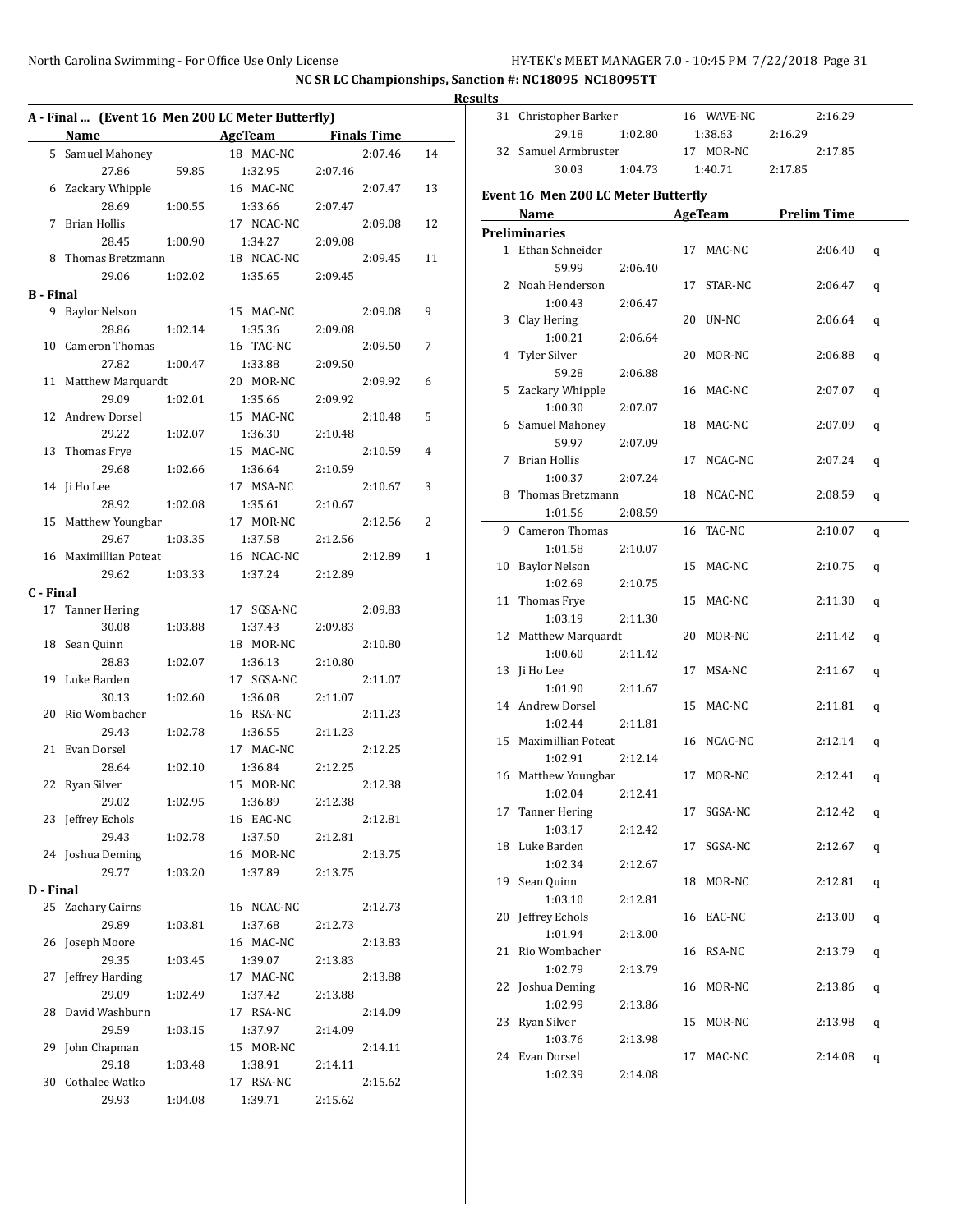# **Results A - Final ... (Event 16 Men 200 LC Meter Butterfly)**  $\overline{\phantom{0}}$

|    | 31 Christopher Barker               |         |    | 16 WAVE-NC          |         | 2:16.29 |   |
|----|-------------------------------------|---------|----|---------------------|---------|---------|---|
|    | 29.18                               | 1:02.80 |    | 1:38.63             | 2:16.29 |         |   |
|    | 32 Samuel Armbruster                |         |    | 17 MOR-NC           |         | 2:17.85 |   |
|    | 30.03                               | 1:04.73 |    | 1:40.71             | 2:17.85 |         |   |
|    | Event 16 Men 200 LC Meter Butterfly |         |    |                     |         |         |   |
|    | Name                                |         |    | AgeTeam Prelim Time |         |         |   |
|    | <b>Preliminaries</b>                |         |    |                     |         |         |   |
|    | 1 Ethan Schneider                   |         |    | 17 MAC-NC           |         | 2:06.40 | q |
|    | 59.99                               | 2:06.40 |    |                     |         |         |   |
|    | 2 Noah Henderson                    |         |    | 17 STAR-NC          |         | 2:06.47 | q |
|    | 1:00.43                             | 2:06.47 |    |                     |         |         |   |
|    | 3 Clay Hering                       |         |    | 20 UN-NC            |         | 2:06.64 | q |
|    | 1:00.21                             | 2:06.64 |    |                     |         |         |   |
|    | 4 Tyler Silver                      |         |    | 20 MOR-NC           |         | 2:06.88 | q |
|    | 59.28                               | 2:06.88 |    |                     |         |         |   |
|    | 5 Zackary Whipple                   |         |    | 16 MAC-NC           |         | 2:07.07 | q |
|    | 1:00.30                             | 2:07.07 |    |                     |         |         |   |
|    | 6 Samuel Mahoney                    |         |    | 18 MAC-NC           |         | 2:07.09 | q |
|    | 59.97                               | 2:07.09 |    |                     |         |         |   |
| 7  | Brian Hollis                        |         |    | 17 NCAC-NC          |         | 2:07.24 | q |
|    | 1:00.37                             | 2:07.24 |    |                     |         |         |   |
|    | 8 Thomas Bretzmann                  |         |    | 18 NCAC-NC          |         | 2:08.59 | q |
|    | 1:01.56 2:08.59                     |         |    |                     |         |         |   |
|    | 9 Cameron Thomas                    |         |    | 16 TAC-NC           |         | 2:10.07 | q |
|    | 1:01.58                             | 2:10.07 |    |                     |         |         |   |
|    | 10 Baylor Nelson                    |         |    | 15 MAC-NC           |         | 2:10.75 | q |
|    | 1:02.69                             | 2:10.75 |    |                     |         |         |   |
|    | 11 Thomas Frye                      |         |    | 15 MAC-NC           |         | 2:11.30 | q |
|    | 1:03.19                             | 2:11.30 |    |                     |         |         |   |
|    | 12 Matthew Marquardt                |         |    | 20 MOR-NC           |         | 2:11.42 | q |
|    | 1:00.60                             | 2:11.42 |    |                     |         |         |   |
|    | 13 Ji Ho Lee                        |         |    | 17 MSA-NC           |         | 2:11.67 | q |
|    | 1:01.90                             | 2:11.67 |    |                     |         |         |   |
|    | 14 Andrew Dorsel                    |         |    | 15 MAC-NC           |         | 2:11.81 | q |
|    | 1:02.44                             | 2:11.81 |    |                     |         |         |   |
|    | 15 Maximillian Poteat               |         |    | 16 NCAC-NC          |         | 2:12.14 | q |
|    | 1:02.91                             | 2:12.14 |    |                     |         |         |   |
|    | 16 Matthew Youngbar                 |         |    | 17 MOR-NC           |         | 2:12.41 | q |
|    | 1:02.04                             | 2:12.41 |    |                     |         |         |   |
|    | 17 Tanner Hering                    |         |    | 17 SGSA-NC 2:12.42  |         |         | q |
|    | 1:03.17                             | 2:12.42 |    |                     |         |         |   |
| 18 | Luke Barden                         |         | 17 | SGSA-NC             |         | 2:12.67 | q |
|    | 1:02.34                             | 2:12.67 |    |                     |         |         |   |
| 19 | Sean Quinn                          |         | 18 | MOR-NC              |         | 2:12.81 | q |
|    | 1:03.10                             | 2:12.81 |    |                     |         |         |   |
| 20 | Jeffrey Echols                      |         | 16 | EAC-NC              |         | 2:13.00 | q |
|    | 1:01.94                             | 2:13.00 |    |                     |         |         |   |
| 21 | Rio Wombacher                       |         | 16 | RSA-NC              |         | 2:13.79 | q |
|    | 1:02.79                             | 2:13.79 |    |                     |         |         |   |
| 22 | Joshua Deming                       |         | 16 | MOR-NC              |         | 2:13.86 | q |
|    | 1:02.99                             | 2:13.86 |    |                     |         |         |   |
| 23 | Ryan Silver                         |         | 15 | MOR-NC              |         | 2:13.98 | q |
|    | 1:03.76                             | 2:13.98 |    |                     |         |         |   |
| 24 | Evan Dorsel                         |         | 17 | MAC-NC              |         | 2:14.08 | q |
|    | 1:02.39                             | 2:14.08 |    |                     |         |         |   |

|                  | Name AgeTeam Finals Time |         |              |         |         |              |
|------------------|--------------------------|---------|--------------|---------|---------|--------------|
|                  | 5 Samuel Mahoney         |         | 18 MAC-NC    |         | 2:07.46 | 14           |
|                  | 27.86                    | 59.85   | 1:32.95      | 2:07.46 |         |              |
|                  | 6 Zackary Whipple        |         | 16 MAC-NC    |         | 2:07.47 | 13           |
|                  | 28.69                    |         |              |         |         |              |
|                  |                          | 1:00.55 | 1:33.66      | 2:07.47 |         |              |
| 7                | <b>Brian Hollis</b>      |         | 17 NCAC-NC   |         | 2:09.08 | 12           |
|                  | 28.45                    | 1:00.90 | 1:34.27      | 2:09.08 |         |              |
| 8                | Thomas Bretzmann         |         | 18 NCAC-NC   |         | 2:09.45 | 11           |
|                  | 29.06                    | 1:02.02 | 1:35.65      | 2:09.45 |         |              |
| <b>B</b> - Final |                          |         |              |         |         |              |
|                  | 9 Baylor Nelson          |         | 15 MAC-NC    |         | 2:09.08 | 9            |
|                  | 28.86                    | 1:02.14 | 1:35.36      | 2:09.08 |         |              |
|                  | 10 Cameron Thomas        |         | 16 TAC-NC    |         | 2:09.50 | 7            |
|                  | 27.82                    | 1:00.47 | 1:33.88      | 2:09.50 |         |              |
|                  | 11 Matthew Marquardt     |         | 20 MOR-NC    |         | 2:09.92 | 6            |
|                  | 29.09                    | 1:02.01 | 1:35.66      | 2:09.92 |         |              |
|                  | 12 Andrew Dorsel         |         | 15 MAC-NC    |         | 2:10.48 | 5            |
|                  | 29.22                    | 1:02.07 | 1:36.30      | 2:10.48 |         |              |
| 13               | Thomas Frye              |         | 15 MAC-NC    |         | 2:10.59 | 4            |
|                  | 29.68                    | 1:02.66 | 1:36.64      | 2:10.59 |         |              |
|                  | 14 Ji Ho Lee             |         | 17 MSA-NC    |         | 2:10.67 | 3            |
|                  | 28.92                    | 1:02.08 | 1:35.61      | 2:10.67 |         |              |
|                  | 15 Matthew Youngbar      |         | 17 MOR-NC    |         | 2:12.56 | 2            |
|                  | 29.67                    | 1:03.35 | 1:37.58      | 2:12.56 |         |              |
|                  | 16 Maximillian Poteat    |         | 16 NCAC-NC   |         | 2:12.89 | $\mathbf{1}$ |
|                  | 29.62                    | 1:03.33 | 1:37.24      | 2:12.89 |         |              |
| C - Final        |                          |         |              |         |         |              |
| 17               | <b>Tanner Hering</b>     |         | 17 SGSA-NC   |         | 2:09.83 |              |
|                  | 30.08                    | 1:03.88 | 1:37.43      | 2:09.83 |         |              |
|                  | 18 Sean Quinn            |         | 18 MOR-NC    |         | 2:10.80 |              |
|                  | 28.83                    | 1:02.07 | 1:36.13      | 2:10.80 |         |              |
|                  | 19 Luke Barden           |         | 17 SGSA-NC   |         | 2:11.07 |              |
|                  | 30.13                    | 1:02.60 | 1:36.08      | 2:11.07 |         |              |
| 20               | Rio Wombacher            |         | 16 RSA-NC    |         | 2:11.23 |              |
|                  | 29.43                    | 1:02.78 | 1:36.55      | 2:11.23 |         |              |
|                  | 21 Evan Dorsel           |         | 17 MAC-NC    |         | 2:12.25 |              |
|                  | 28.64                    | 1:02.10 | 1:36.84      | 2:12.25 |         |              |
|                  | 22 Ryan Silver           |         | 15 MOR-NC    |         | 2:12.38 |              |
|                  | 29.02                    | 1:02.95 | 1:36.89      | 2:12.38 |         |              |
|                  | 23 Jeffrey Echols        |         | 16 EAC-NC    |         | 2:12.81 |              |
|                  | 29.43                    | 1:02.78 | 1:37.50      | 2:12.81 |         |              |
|                  | 24 Joshua Deming         |         | 16 MOR-NC    |         | 2:13.75 |              |
|                  | 29.77                    | 1:03.20 | 1:37.89      | 2:13.75 |         |              |
| D - Final        |                          |         |              |         |         |              |
|                  | 25 Zachary Cairns        |         | 16 NCAC-NC   |         |         |              |
|                  | 29.89                    |         |              |         | 2:12.73 |              |
|                  |                          | 1:03.81 | 1:37.68      | 2:12.73 |         |              |
| 26               | Joseph Moore             |         | 16 MAC-NC    |         | 2:13.83 |              |
|                  | 29.35                    | 1:03.45 | 1:39.07      | 2:13.83 |         |              |
| 27               | Jeffrey Harding          |         | 17 MAC-NC    |         | 2:13.88 |              |
|                  | 29.09                    | 1:02.49 | 1:37.42      | 2:13.88 |         |              |
| 28               | David Washburn           |         | 17 RSA-NC    |         | 2:14.09 |              |
|                  | 29.59                    | 1:03.15 | 1:37.97      | 2:14.09 |         |              |
|                  | 29 John Chapman          |         | 15 MOR-NC    |         | 2:14.11 |              |
|                  | 29.18                    | 1:03.48 | 1:38.91      | 2:14.11 |         |              |
| 30               | Cothalee Watko           |         | 17<br>RSA-NC |         | 2:15.62 |              |

29.93 1:04.08 1:39.71 2:15.62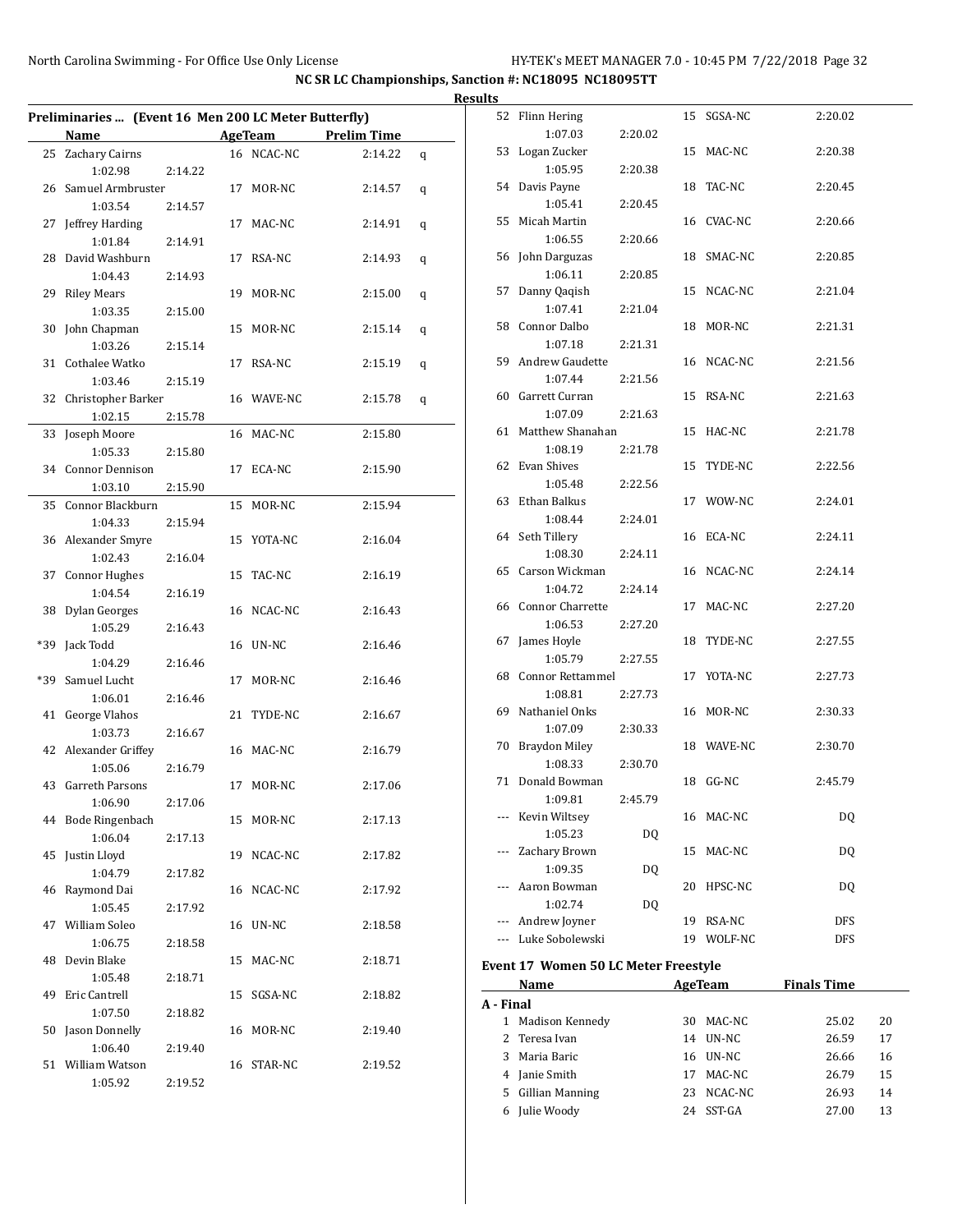$\overline{a}$ 

|    | Preliminaries  (Event 16 Men 200 LC Meter Butterfly) |         |    |                |                    |   |
|----|------------------------------------------------------|---------|----|----------------|--------------------|---|
|    | Name                                                 |         |    | <b>AgeTeam</b> | <b>Prelim Time</b> |   |
| 25 | Zachary Cairns                                       |         |    | 16 NCAC-NC     | 2:14.22            | q |
|    | 1:02.98                                              | 2:14.22 |    |                |                    |   |
|    | 26 Samuel Armbruster                                 |         |    | 17 MOR-NC      | 2:14.57            | q |
|    | 1:03.54                                              | 2:14.57 |    |                |                    |   |
|    | 27 Jeffrey Harding                                   |         |    | 17 MAC-NC      | 2:14.91            | q |
|    | 1:01.84                                              | 2:14.91 |    |                |                    |   |
| 28 | David Washburn                                       |         | 17 | RSA-NC         | 2:14.93            | q |
|    | 1:04.43                                              | 2:14.93 |    |                |                    |   |
| 29 | <b>Riley Mears</b>                                   |         |    | 19 MOR-NC      | 2:15.00            | q |
|    | 1:03.35                                              | 2:15.00 |    |                |                    |   |
|    | 30 John Chapman                                      |         |    | 15 MOR-NC      | 2:15.14            | q |
|    | 1:03.26                                              | 2:15.14 |    |                |                    |   |
|    | 31 Cothalee Watko                                    |         | 17 | RSA-NC         | 2:15.19            | q |
|    | 1:03.46                                              | 2:15.19 |    |                |                    |   |
|    | 32 Christopher Barker                                |         |    | 16 WAVE-NC     | 2:15.78            | q |
|    | 1:02.15                                              | 2:15.78 |    |                |                    |   |
| 33 | Joseph Moore                                         |         |    | 16 MAC-NC      | 2:15.80            |   |
|    | 1:05.33                                              | 2:15.80 |    |                |                    |   |
|    | 34 Connor Dennison                                   |         |    | 17 ECA-NC      | 2:15.90            |   |
|    | 1:03.10                                              | 2:15.90 |    |                |                    |   |
| 35 | Connor Blackburn                                     |         | 15 | MOR-NC         | 2:15.94            |   |
|    |                                                      |         |    |                |                    |   |
|    | 1:04.33                                              | 2:15.94 |    | YOTA-NC        |                    |   |
|    | 36 Alexander Smyre                                   |         | 15 |                | 2:16.04            |   |
|    | 1:02.43                                              | 2:16.04 |    |                |                    |   |
|    | 37 Connor Hughes                                     |         |    | 15 TAC-NC      | 2:16.19            |   |
|    | 1:04.54                                              | 2:16.19 |    |                |                    |   |
|    | 38 Dylan Georges                                     |         |    | 16 NCAC-NC     | 2:16.43            |   |
|    | 1:05.29                                              | 2:16.43 |    |                |                    |   |
|    | *39 Jack Todd                                        |         |    | 16 UN-NC       | 2:16.46            |   |
|    | 1:04.29                                              | 2:16.46 |    |                |                    |   |
|    | *39 Samuel Lucht                                     |         | 17 | MOR-NC         | 2:16.46            |   |
|    | 1:06.01                                              | 2:16.46 |    |                |                    |   |
| 41 | George Vlahos                                        |         | 21 | TYDE-NC        | 2:16.67            |   |
|    | 1:03.73                                              | 2:16.67 |    |                |                    |   |
|    | 42 Alexander Griffey                                 |         |    | 16 MAC-NC      | 2:16.79            |   |
|    | 1:05.06                                              | 2:16.79 |    |                |                    |   |
|    | 43 Garreth Parsons                                   |         |    | 17 MOR-NC      | 2:17.06            |   |
|    | 1:06.90                                              | 2:17.06 |    |                |                    |   |
|    | 44 Bode Ringenbach                                   |         | 15 | MOR-NC         | 2:17.13            |   |
|    | 1:06.04                                              | 2:17.13 |    |                |                    |   |
|    | 45 Justin Lloyd                                      |         | 19 | NCAC-NC        | 2:17.82            |   |
|    | 1:04.79                                              | 2:17.82 |    |                |                    |   |
| 46 | Raymond Dai                                          |         |    | 16 NCAC-NC     | 2:17.92            |   |
|    | 1:05.45                                              | 2:17.92 |    |                |                    |   |
|    | 47 William Soleo                                     |         |    | 16 UN-NC       | 2:18.58            |   |
|    | 1:06.75                                              | 2:18.58 |    |                |                    |   |
| 48 | Devin Blake                                          |         | 15 | MAC-NC         | 2:18.71            |   |
|    | 1:05.48                                              | 2:18.71 |    |                |                    |   |
| 49 | Eric Cantrell                                        |         |    | 15 SGSA-NC     | 2:18.82            |   |
|    | 1:07.50                                              | 2:18.82 |    |                |                    |   |
| 50 | Jason Donnelly                                       |         | 16 | MOR-NC         | 2:19.40            |   |
|    | 1:06.40                                              | 2:19.40 |    |                |                    |   |
| 51 | William Watson                                       |         |    | 16 STAR-NC     | 2:19.52            |   |
|    | 1:05.92                                              | 2:19.52 |    |                |                    |   |
|    |                                                      |         |    |                |                    |   |

| <b>Results</b> |       |                                      |         |    |            |         |  |  |  |
|----------------|-------|--------------------------------------|---------|----|------------|---------|--|--|--|
|                |       | 52 Flinn Hering                      |         |    | 15 SGSA-NC | 2:20.02 |  |  |  |
|                |       | 1:07.03                              | 2:20.02 |    |            |         |  |  |  |
|                |       | 53 Logan Zucker                      |         |    | 15 MAC-NC  | 2:20.38 |  |  |  |
|                |       | 1:05.95                              | 2:20.38 |    |            |         |  |  |  |
|                |       | 54 Davis Payne                       |         |    | 18 TAC-NC  | 2:20.45 |  |  |  |
|                |       | 1:05.41                              | 2:20.45 |    |            |         |  |  |  |
|                |       | 55 Micah Martin                      |         |    | 16 CVAC-NC | 2:20.66 |  |  |  |
|                |       | 1:06.55                              | 2:20.66 |    |            |         |  |  |  |
|                |       | 56 John Darguzas                     |         |    | 18 SMAC-NC | 2:20.85 |  |  |  |
|                |       | 1:06.11                              | 2:20.85 |    |            |         |  |  |  |
|                |       | 57 Danny Qaqish                      |         |    | 15 NCAC-NC | 2:21.04 |  |  |  |
|                |       | 1:07.41                              | 2:21.04 |    |            |         |  |  |  |
|                |       | 58 Connor Dalbo                      |         |    | 18 MOR-NC  | 2:21.31 |  |  |  |
|                |       | 1:07.18                              | 2:21.31 |    |            |         |  |  |  |
|                |       | 59 Andrew Gaudette                   |         |    | 16 NCAC-NC | 2:21.56 |  |  |  |
|                |       | 1:07.44                              | 2:21.56 |    |            |         |  |  |  |
|                |       | 60 Garrett Curran                    |         |    | 15 RSA-NC  | 2:21.63 |  |  |  |
|                |       | 1:07.09                              | 2:21.63 |    |            |         |  |  |  |
|                |       | 61 Matthew Shanahan                  |         |    | 15 HAC-NC  | 2:21.78 |  |  |  |
|                |       | 1:08.19                              | 2:21.78 |    |            |         |  |  |  |
|                |       | 62 Evan Shives                       |         |    | 15 TYDE-NC | 2:22.56 |  |  |  |
|                |       | 1:05.48                              | 2:22.56 |    |            |         |  |  |  |
|                |       | 63 Ethan Balkus                      |         |    | 17 WOW-NC  | 2:24.01 |  |  |  |
|                |       | 1:08.44                              | 2:24.01 |    |            |         |  |  |  |
|                |       | 64 Seth Tillery<br>1:08.30           | 2:24.11 |    | 16 ECA-NC  | 2:24.11 |  |  |  |
|                |       | 65 Carson Wickman                    |         |    | 16 NCAC-NC | 2:24.14 |  |  |  |
|                |       | 1:04.72                              | 2:24.14 |    |            |         |  |  |  |
|                |       | 66 Connor Charrette                  |         |    | 17 MAC-NC  | 2:27.20 |  |  |  |
|                |       | 1:06.53                              | 2:27.20 |    |            |         |  |  |  |
|                |       | 67 James Hoyle                       |         |    | 18 TYDE-NC | 2:27.55 |  |  |  |
|                |       | 1:05.79                              | 2:27.55 |    |            |         |  |  |  |
|                |       | 68 Connor Rettammel                  |         |    | 17 YOTA-NC | 2:27.73 |  |  |  |
|                |       | 1:08.81                              | 2:27.73 |    |            |         |  |  |  |
|                |       | 69 Nathaniel Onks                    |         |    | 16 MOR-NC  | 2:30.33 |  |  |  |
|                |       | 1:07.09                              | 2:30.33 |    |            |         |  |  |  |
|                |       | 70 Braydon Miley                     |         |    | 18 WAVE-NC | 2:30.70 |  |  |  |
|                |       | 1:08.33                              | 2:30.70 |    |            |         |  |  |  |
|                |       | 71 Donald Bowman                     |         |    | 18 GG-NC   | 2:45.79 |  |  |  |
|                |       | 1:09.81                              | 2:45.79 |    |            |         |  |  |  |
|                |       | Kevin Wiltsey                        |         |    | 16 MAC-NC  | DQ      |  |  |  |
|                |       | 1:05.23                              | DQ      |    |            |         |  |  |  |
|                | $---$ | Zachary Brown                        |         |    | 15 MAC-NC  | DQ      |  |  |  |
|                |       | 1:09.35                              | DQ      |    |            |         |  |  |  |
|                |       | Aaron Bowman                         |         | 20 | HPSC-NC    | DQ      |  |  |  |
|                |       | 1:02.74                              | DQ      |    |            |         |  |  |  |
|                |       | --- Andrew Joyner                    |         | 19 | RSA-NC     | DFS     |  |  |  |
|                |       | --- Luke Sobolewski                  |         |    | 19 WOLF-NC | DFS     |  |  |  |
|                |       | Event 17 Women 50 LC Meter Freestyle |         |    |            |         |  |  |  |

|   | Name            |     | AgeTeam   | <b>Finals Time</b> |    |  |  |  |  |  |
|---|-----------------|-----|-----------|--------------------|----|--|--|--|--|--|
|   | A - Final       |     |           |                    |    |  |  |  |  |  |
| 1 | Madison Kennedy |     | 30 MAC-NC | 25.02              | 20 |  |  |  |  |  |
|   | 2 Teresa Ivan   | 14  | UN-NC     | 26.59              | 17 |  |  |  |  |  |
| 3 | Maria Baric     |     | 16 UN-NC  | 26.66              | 16 |  |  |  |  |  |
| 4 | Janie Smith     | 17  | MAC-NC    | 26.79              | 15 |  |  |  |  |  |
| 5 | Gillian Manning | 23. | NCAC-NC   | 26.93              | 14 |  |  |  |  |  |
| 6 | Julie Woody     | 24  | SST-GA    | 27.00              | 13 |  |  |  |  |  |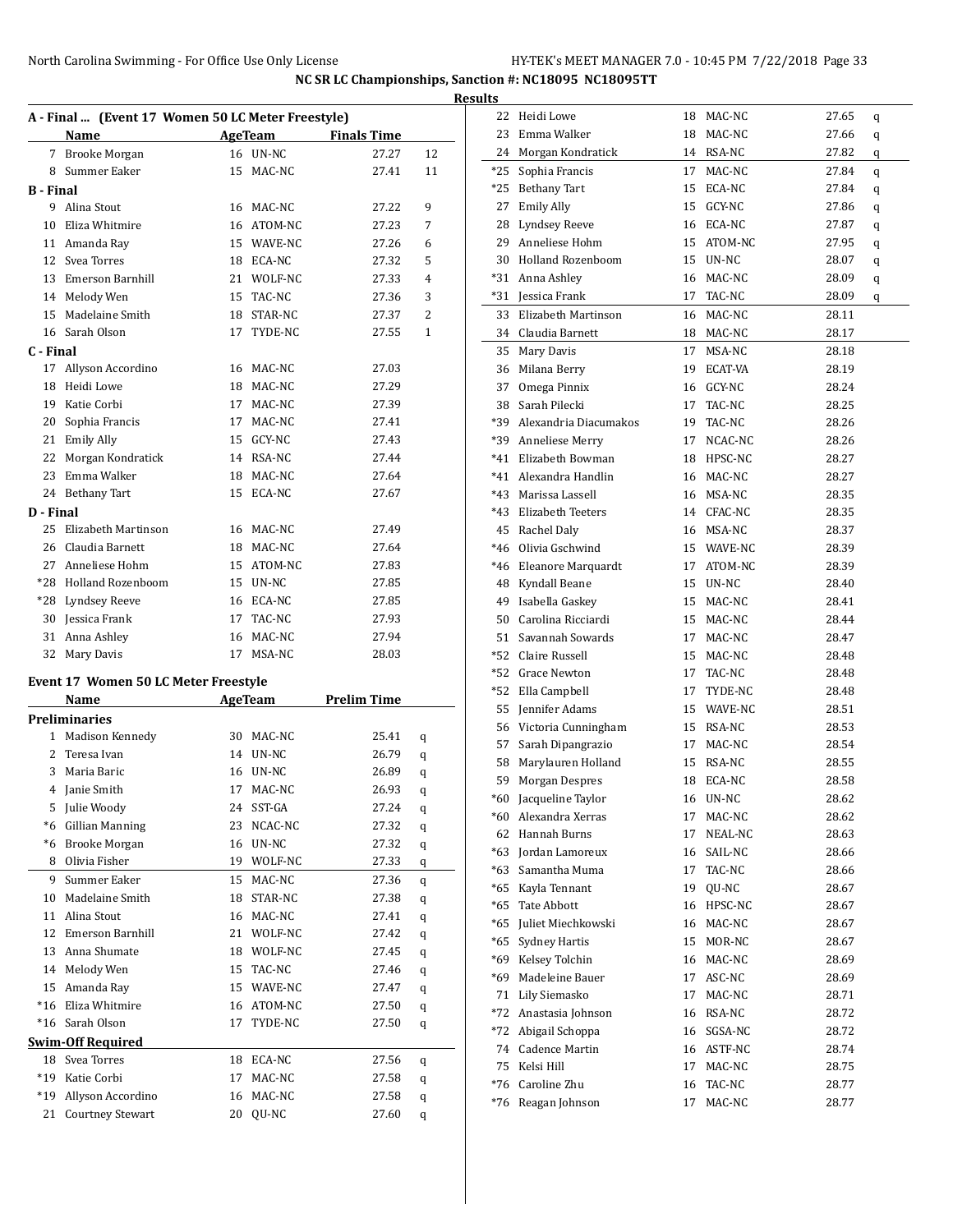| North Carolina Swimming - For Office Use Only License | HY-TEK's MEET MANAGER 7.0 - 10:45 PM 7/22/2018 Page 33 |  |
|-------------------------------------------------------|--------------------------------------------------------|--|
|                                                       |                                                        |  |

|                  |                                                                    |    |            |                                      | <b>Results</b> |
|------------------|--------------------------------------------------------------------|----|------------|--------------------------------------|----------------|
|                  | A - Final  (Event 17 Women 50 LC Meter Freestyle)                  |    |            |                                      |                |
|                  | Name                                                               |    |            | <b>Example 2 AgeTeam</b> Finals Time |                |
|                  | 7 Brooke Morgan                                                    |    | 16 UN-NC   | 27.27                                | 12             |
|                  | 8 Summer Eaker                                                     |    | 15 MAC-NC  | 27.41                                | 11             |
| <b>B</b> - Final |                                                                    |    |            |                                      |                |
|                  | 9 Alina Stout                                                      |    | 16 MAC-NC  | 27.22                                | 9              |
|                  | 10 Eliza Whitmire                                                  |    | 16 ATOM-NC | 27.23                                | 7              |
|                  | 11 Amanda Ray                                                      |    | 15 WAVE-NC | 27.26                                | 6              |
|                  | 12 Svea Torres                                                     |    | 18 ECA-NC  | 27.32                                | 5              |
|                  | 13 Emerson Barnhill                                                |    | 21 WOLF-NC | 27.33                                | 4              |
|                  | 14 Melody Wen                                                      |    | 15 TAC-NC  | 27.36                                | 3              |
|                  | 15 Madelaine Smith                                                 |    | 18 STAR-NC | 27.37                                | 2              |
|                  | 16 Sarah Olson                                                     |    | 17 TYDE-NC | 27.55                                | $\mathbf{1}$   |
| C - Final        |                                                                    |    |            |                                      |                |
|                  | 17 Allyson Accordino                                               |    | 16 MAC-NC  | 27.03                                |                |
|                  | 18 Heidi Lowe                                                      |    | 18 MAC-NC  | 27.29                                |                |
|                  | 19 Katie Corbi                                                     |    | 17 MAC-NC  | 27.39                                |                |
|                  | 20 Sophia Francis                                                  |    | 17 MAC-NC  | 27.41                                |                |
|                  | 21 Emily Ally                                                      |    | 15 GCY-NC  | 27.43                                |                |
|                  | 22 Morgan Kondratick                                               |    | 14 RSA-NC  | 27.44                                |                |
|                  | 23 Emma Walker                                                     |    | 18 MAC-NC  | 27.64                                |                |
|                  | 24 Bethany Tart                                                    |    | 15 ECA-NC  | 27.67                                |                |
| D - Final        |                                                                    |    |            |                                      |                |
| 25               | Elizabeth Martinson                                                |    | 16 MAC-NC  | 27.49                                |                |
|                  | 26 Claudia Barnett                                                 |    | 18 MAC-NC  | 27.64                                |                |
|                  | 27 Anneliese Hohm                                                  |    | 15 ATOM-NC | 27.83                                |                |
|                  | *28 Holland Rozenboom                                              |    | 15 UN-NC   | 27.85                                |                |
|                  | *28 Lyndsey Reeve                                                  |    | 16 ECA-NC  | 27.85                                |                |
|                  | 30 Jessica Frank                                                   |    | 17 TAC-NC  | 27.93                                |                |
|                  | 31 Anna Ashley                                                     |    | 16 MAC-NC  | 27.94                                |                |
| 32               | Mary Davis                                                         |    | 17 MSA-NC  | 28.03                                |                |
|                  |                                                                    |    |            |                                      |                |
|                  | Event 17 Women 50 LC Meter Freestyle                               |    |            |                                      |                |
|                  | Name<br><u> 1989 - Jan James James Barnett, fransk politiker (</u> |    |            | AgeTeam Prelim Time                  |                |
|                  | <b>Preliminaries</b>                                               |    |            |                                      |                |
|                  | 1 Madison Kennedy                                                  |    | 30 MAC-NC  | 25.41                                | q              |
|                  | 2 Teresa Ivan                                                      |    | 14 UN-NC   | 26.79                                | q              |
|                  | 3 Maria Baric                                                      |    | 16 UN-NC   | 26.89                                | q              |
|                  | 4 Janie Smith                                                      |    | 17 MAC-NC  | 26.93                                | q              |
| 5                | Julie Woody                                                        |    | 24 SST-GA  | 27.24                                | q              |
| $*6$             | Gillian Manning                                                    | 23 | NCAC-NC    | 27.32                                | q              |
| *6               | Brooke Morgan                                                      | 16 | UN-NC      | 27.32                                | q              |
| 8                | Olivia Fisher                                                      |    | 19 WOLF-NC | 27.33                                | q              |
| 9                | Summer Eaker                                                       | 15 | MAC-NC     | 27.36                                | q              |
| 10               | Madelaine Smith                                                    | 18 | STAR-NC    | 27.38                                | q              |
| 11               | Alina Stout                                                        | 16 | MAC-NC     | 27.41                                | q              |
| 12               | Emerson Barnhill                                                   | 21 | WOLF-NC    | 27.42                                | q              |
| 13               | Anna Shumate                                                       | 18 | WOLF-NC    | 27.45                                | q              |
| 14               | Melody Wen                                                         | 15 | TAC-NC     | 27.46                                | q              |
| 15               | Amanda Ray                                                         | 15 | WAVE-NC    | 27.47                                | q              |
| $*16$            | Eliza Whitmire                                                     |    | 16 ATOM-NC | 27.50                                | q              |
| $*16$            | Sarah Olson                                                        | 17 | TYDE-NC    | 27.50                                | q              |
|                  | <b>Swim-Off Required</b>                                           |    |            |                                      |                |
|                  | 18 Svea Torres                                                     |    | 18 ECA-NC  | 27.56                                | q              |
| *19              | Katie Corbi                                                        | 17 | MAC-NC     | 27.58                                | q              |
| *19              | Allyson Accordino                                                  | 16 | MAC-NC     | 27.58                                | q              |
| 21               | Courtney Stewart                                                   | 20 | QU-NC      | 27.60                                | q              |

| 22    | Heidi Lowe               | 18 | MAC-NC     | 27.65 | q |
|-------|--------------------------|----|------------|-------|---|
| 23    | Emma Walker              | 18 | MAC-NC     | 27.66 | q |
| 24    | Morgan Kondratick        | 14 | RSA-NC     | 27.82 | q |
| *25   | Sophia Francis           | 17 | MAC-NC     | 27.84 | q |
| $*25$ | <b>Bethany Tart</b>      | 15 | ECA-NC     | 27.84 | q |
| 27    | <b>Emily Ally</b>        | 15 | GCY-NC     | 27.86 | q |
| 28    | Lyndsey Reeve            | 16 | ECA-NC     | 27.87 | q |
| 29    | Anneliese Hohm           | 15 | ATOM-NC    | 27.95 | q |
| 30    | <b>Holland Rozenboom</b> | 15 | UN-NC      | 28.07 | q |
| *31   | Anna Ashley              | 16 | MAC-NC     | 28.09 | q |
|       | *31 Jessica Frank        | 17 | TAC-NC     | 28.09 | q |
| 33    | Elizabeth Martinson      | 16 | MAC-NC     | 28.11 |   |
|       | 34 Claudia Barnett       | 18 | MAC-NC     | 28.17 |   |
| 35    | Mary Davis               | 17 | MSA-NC     | 28.18 |   |
| 36    | Milana Berry             | 19 | ECAT-VA    | 28.19 |   |
| 37    | Omega Pinnix             | 16 | GCY-NC     | 28.24 |   |
| 38    | Sarah Pilecki            | 17 | TAC-NC     | 28.25 |   |
|       |                          |    |            |       |   |
| *39   | Alexandria Diacumakos    | 19 | TAC-NC     | 28.26 |   |
| *39   | Anneliese Merry          | 17 | NCAC-NC    | 28.26 |   |
| $*41$ | Elizabeth Bowman         | 18 | HPSC-NC    | 28.27 |   |
| *41   | Alexandra Handlin        | 16 | MAC-NC     | 28.27 |   |
| $*43$ | Marissa Lassell          | 16 | MSA-NC     | 28.35 |   |
| *43   | Elizabeth Teeters        | 14 | CFAC-NC    | 28.35 |   |
| 45    | Rachel Daly              | 16 | MSA-NC     | 28.37 |   |
|       | *46 Olivia Gschwind      |    | 15 WAVE-NC | 28.39 |   |
| *46   | Eleanore Marquardt       | 17 | ATOM-NC    | 28.39 |   |
| 48    | Kyndall Beane            | 15 | UN-NC      | 28.40 |   |
| 49    | Isabella Gaskey          | 15 | MAC-NC     | 28.41 |   |
| 50    | Carolina Ricciardi       | 15 | MAC-NC     | 28.44 |   |
| 51    | Savannah Sowards         | 17 | MAC-NC     | 28.47 |   |
|       | *52 Claire Russell       | 15 | MAC-NC     | 28.48 |   |
|       | *52 Grace Newton         | 17 | TAC-NC     | 28.48 |   |
| $*52$ | Ella Campbell            | 17 | TYDE-NC    | 28.48 |   |
| 55    | Jennifer Adams           | 15 | WAVE-NC    | 28.51 |   |
| 56    | Victoria Cunningham      | 15 | RSA-NC     | 28.53 |   |
| 57    | Sarah Dipangrazio        | 17 | MAC-NC     | 28.54 |   |
| 58    | Marylauren Holland       | 15 | RSA-NC     | 28.55 |   |
| 59    | Morgan Despres           | 18 | ECA-NC     | 28.58 |   |
| $*60$ | Jacqueline Taylor        | 16 | UN-NC      | 28.62 |   |
| *60   | Alexandra Xerras         | 17 | MAC-NC     | 28.62 |   |
| 62    | Hannah Burns             | 17 | NEAL-NC    | 28.63 |   |
| *63   | Jordan Lamoreux          | 16 | SAIL-NC    | 28.66 |   |
| *63   | Samantha Muma            | 17 | TAC-NC     | 28.66 |   |
| *65   | Kayla Tennant            | 19 | OU-NC      | 28.67 |   |
| *65   | Tate Abbott              | 16 | HPSC-NC    | 28.67 |   |
| $*65$ | Juliet Miechkowski       | 16 | MAC-NC     | 28.67 |   |
| *65   | Sydney Hartis            | 15 | MOR-NC     | 28.67 |   |
| *69   | Kelsey Tolchin           | 16 | MAC-NC     | 28.69 |   |
| *69   | Madeleine Bauer          | 17 | ASC-NC     | 28.69 |   |
| 71    | Lily Siemasko            | 17 | MAC-NC     | 28.71 |   |
| *72   | Anastasia Johnson        | 16 | RSA-NC     | 28.72 |   |
|       | *72 Abigail Schoppa      | 16 | SGSA-NC    | 28.72 |   |
|       | 74 Cadence Martin        | 16 | ASTF-NC    | 28.74 |   |
| 75    | Kelsi Hill               | 17 | MAC-NC     | 28.75 |   |
|       | *76 Caroline Zhu         | 16 | TAC-NC     | 28.77 |   |
| *76   | Reagan Johnson           | 17 | MAC-NC     | 28.77 |   |
|       |                          |    |            |       |   |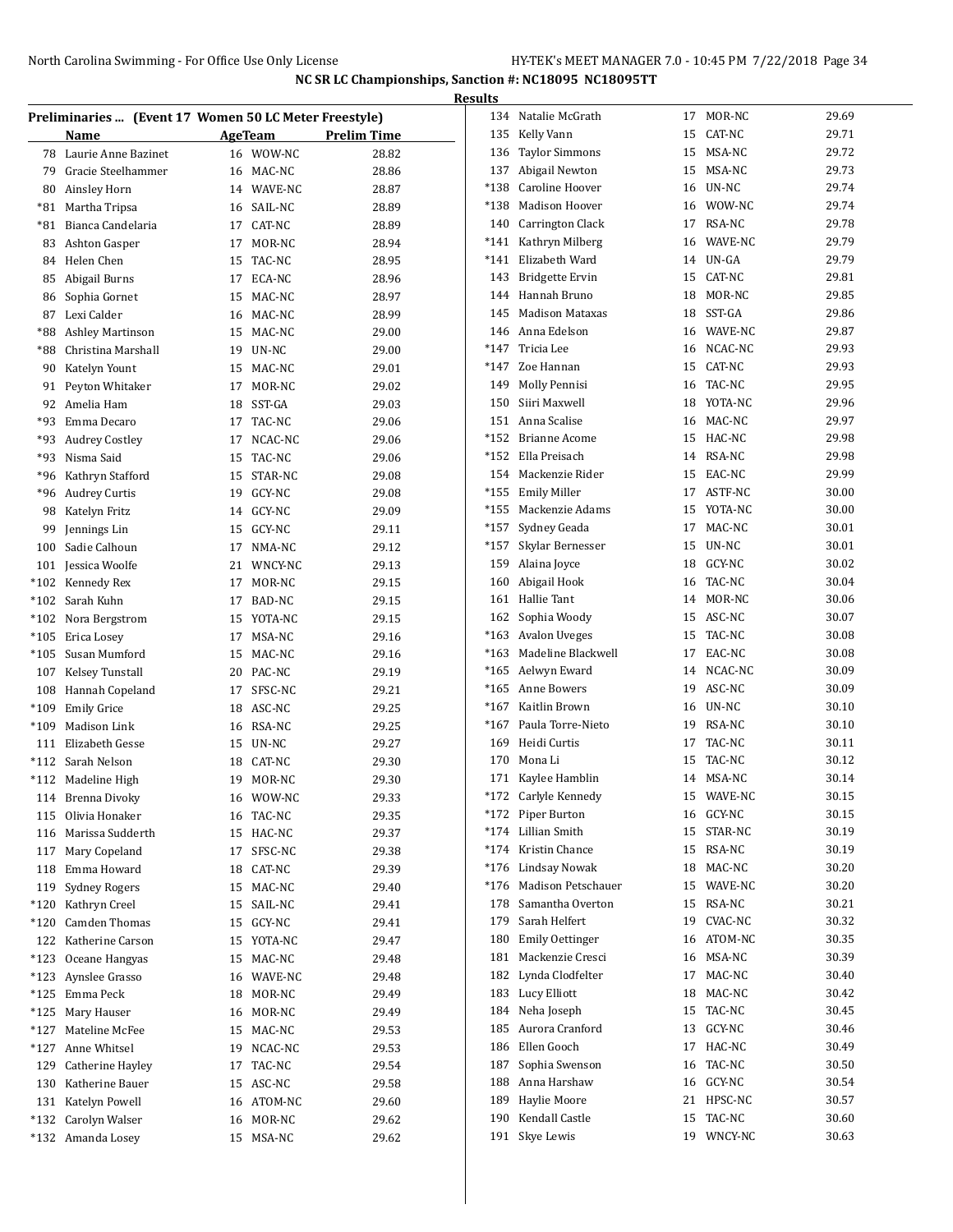|        | <b>Results</b>                                        |         |                  |                    |        |                         |    |               |       |  |
|--------|-------------------------------------------------------|---------|------------------|--------------------|--------|-------------------------|----|---------------|-------|--|
|        | Preliminaries  (Event 17 Women 50 LC Meter Freestyle) |         |                  |                    |        | 134 Natalie McGrath     |    | 17 MOR-NC     | 29.69 |  |
|        | Name                                                  | AgeTeam |                  | <b>Prelim Time</b> | 135    | Kelly Vann              | 15 | CAT-NC        | 29.71 |  |
| 78     | Laurie Anne Bazinet                                   | 16      | WOW-NC           | 28.82              | 136    | <b>Taylor Simmons</b>   | 15 | MSA-NC        | 29.72 |  |
| 79     | Gracie Steelhammer                                    | 16      | MAC-NC           | 28.86              | 137    | Abigail Newton          | 15 | MSA-NC        | 29.73 |  |
| 80     | Ainsley Horn                                          | 14      | WAVE-NC          | 28.87              | *138   | Caroline Hoover         | 16 | UN-NC         | 29.74 |  |
| *81    | Martha Tripsa                                         | 16      | SAIL-NC          | 28.89              | $*138$ | <b>Madison Hoover</b>   | 16 | WOW-NC        | 29.74 |  |
| *81    | Bianca Candelaria                                     | 17      | CAT-NC           | 28.89              | 140    | <b>Carrington Clack</b> | 17 | RSA-NC        | 29.78 |  |
| 83     | Ashton Gasper                                         | 17      | MOR-NC           | 28.94              | *141   | Kathryn Milberg         | 16 | WAVE-NC       | 29.79 |  |
| 84     | Helen Chen                                            | 15      | TAC-NC           | 28.95              | $*141$ | Elizabeth Ward          | 14 | UN-GA         | 29.79 |  |
| 85     | Abigail Burns                                         | 17      | ECA-NC           | 28.96              | 143    | <b>Bridgette Ervin</b>  | 15 | CAT-NC        | 29.81 |  |
| 86     | Sophia Gornet                                         | 15      | MAC-NC           | 28.97              | 144    | Hannah Bruno            | 18 | MOR-NC        | 29.85 |  |
| 87     | Lexi Calder                                           | 16      | MAC-NC           | 28.99              | 145    | <b>Madison Mataxas</b>  | 18 | SST-GA        | 29.86 |  |
| *88    | Ashley Martinson                                      | 15      | MAC-NC           | 29.00              | 146    | Anna Edelson            | 16 | WAVE-NC       | 29.87 |  |
| *88    | Christina Marshall                                    | 19      | UN-NC            | 29.00              | $*147$ | Tricia Lee              |    | 16 NCAC-NC    | 29.93 |  |
| 90     | Katelyn Yount                                         | 15      | MAC-NC           | 29.01              | $*147$ | Zoe Hannan              | 15 | CAT-NC        | 29.93 |  |
| 91     | Peyton Whitaker                                       | 17      | MOR-NC           | 29.02              | 149    | Molly Pennisi           | 16 | TAC-NC        | 29.95 |  |
| 92     | Amelia Ham                                            | 18      | SST-GA           | 29.03              | 150    | Siiri Maxwell           | 18 | YOTA-NC       | 29.96 |  |
| *93    | Emma Decaro                                           | 17      | TAC-NC           | 29.06              | 151    | Anna Scalise            | 16 | MAC-NC        | 29.97 |  |
| *93    | <b>Audrey Costley</b>                                 | 17      | NCAC-NC          | 29.06              | $*152$ | <b>Brianne Acome</b>    | 15 | HAC-NC        | 29.98 |  |
| *93    | Nisma Said                                            | 15      | TAC-NC           | 29.06              | $*152$ | Ella Preisach           | 14 | <b>RSA-NC</b> | 29.98 |  |
| *96    | Kathryn Stafford                                      | 15      | STAR-NC          | 29.08              | 154    | Mackenzie Rider         | 15 | EAC-NC        | 29.99 |  |
| *96    | Audrey Curtis                                         | 19      | GCY-NC           | 29.08              | *155   | <b>Emily Miller</b>     | 17 | ASTF-NC       | 30.00 |  |
| 98     | Katelyn Fritz                                         | 14      | GCY-NC           | 29.09              | *155   | Mackenzie Adams         | 15 | YOTA-NC       | 30.00 |  |
| 99     | Jennings Lin                                          | 15      | <b>GCY-NC</b>    | 29.11              | $*157$ | Sydney Geada            | 17 | MAC-NC        | 30.01 |  |
| 100    | Sadie Calhoun                                         | 17      | NMA-NC           | 29.12              | $*157$ | Skylar Bernesser        | 15 | UN-NC         | 30.01 |  |
| 101    | Jessica Woolfe                                        | 21      | WNCY-NC          | 29.13              | 159    | Alaina Joyce            | 18 | GCY-NC        | 30.02 |  |
| *102   | Kennedy Rex                                           | 17      | MOR-NC           | 29.15              | 160    | Abigail Hook            | 16 | TAC-NC        | 30.04 |  |
| *102   | Sarah Kuhn                                            | 17      | BAD-NC           | 29.15              | 161    | Hallie Tant             | 14 | MOR-NC        | 30.06 |  |
| *102   | Nora Bergstrom                                        | 15      | YOTA-NC          | 29.15              | 162    | Sophia Woody            | 15 | ASC-NC        | 30.07 |  |
| $*105$ | Erica Losey                                           | 17      | MSA-NC           | 29.16              | $*163$ | <b>Avalon Uveges</b>    | 15 | TAC-NC        | 30.08 |  |
| $*105$ | Susan Mumford                                         | 15      | MAC-NC           | 29.16              | $*163$ | Madeline Blackwell      | 17 | EAC-NC        | 30.08 |  |
| 107    | Kelsey Tunstall                                       | 20      | PAC-NC           | 29.19              | $*165$ | Aelwyn Eward            | 14 | NCAC-NC       | 30.09 |  |
| 108    | Hannah Copeland                                       | 17      | SFSC-NC          | 29.21              | *165   | Anne Bowers             | 19 | ASC-NC        | 30.09 |  |
| $*109$ | <b>Emily Grice</b>                                    | 18      | ASC-NC           | 29.25              | $*167$ | Kaitlin Brown           | 16 | UN-NC         | 30.10 |  |
| *109   | Madison Link                                          | 16      | RSA-NC           | 29.25              | $*167$ | Paula Torre-Nieto       | 19 | <b>RSA-NC</b> | 30.10 |  |
| 111    | Elizabeth Gesse                                       | 15      | UN-NC            | 29.27              | 169    | Heidi Curtis            | 17 | TAC-NC        | 30.11 |  |
| $*112$ | Sarah Nelson                                          | 18      | CAT-NC           | 29.30              | 170    | Mona Li                 | 15 | TAC-NC        | 30.12 |  |
|        | *112 Madeline High                                    | 19      | MOR-NC           | 29.30              |        | 171 Kaylee Hamblin      |    | 14 MSA-NC     | 30.14 |  |
| 114    | Brenna Divoky                                         | 16      | WOW-NC           | 29.33              |        | *172 Carlyle Kennedy    | 15 | WAVE-NC       | 30.15 |  |
| 115    | Olivia Honaker                                        |         | 16 TAC-NC        | 29.35              | *172   | Piper Burton            |    | 16 GCY-NC     | 30.15 |  |
| 116    | Marissa Sudderth                                      |         | 15 HAC-NC        | 29.37              | $*174$ | Lillian Smith           |    | 15 STAR-NC    | 30.19 |  |
| 117    | Mary Copeland                                         | 17      | SFSC-NC          | 29.38              | $*174$ | Kristin Chance          | 15 | RSA-NC        | 30.19 |  |
| 118    | Emma Howard                                           | 18      | CAT-NC           | 29.39              | $*176$ | Lindsay Nowak           |    | 18 MAC-NC     | 30.20 |  |
| 119    | <b>Sydney Rogers</b>                                  | 15      | MAC-NC           | 29.40              | $*176$ | Madison Petschauer      | 15 | WAVE-NC       | 30.20 |  |
| *120   | Kathryn Creel                                         | 15      | SAIL-NC          | 29.41              | 178    | Samantha Overton        | 15 | RSA-NC        | 30.21 |  |
| $*120$ | Camden Thomas                                         | 15      | GCY-NC           | 29.41              | 179    | Sarah Helfert           | 19 | CVAC-NC       | 30.32 |  |
| 122    | Katherine Carson                                      | 15      | YOTA-NC          | 29.47              | 180    | <b>Emily Oettinger</b>  |    | 16 ATOM-NC    | 30.35 |  |
| $*123$ | Oceane Hangyas                                        | 15      | MAC-NC           | 29.48              | 181    | Mackenzie Cresci        |    | 16 MSA-NC     | 30.39 |  |
| $*123$ | Aynslee Grasso                                        | 16      | WAVE-NC          | 29.48              | 182    | Lynda Clodfelter        |    | 17 MAC-NC     | 30.40 |  |
| *125   | Emma Peck                                             | 18      | MOR-NC           | 29.49              |        | 183 Lucy Elliott        |    | 18 MAC-NC     | 30.42 |  |
| *125   | Mary Hauser                                           | 16      | MOR-NC           | 29.49              |        | 184 Neha Joseph         |    | 15 TAC-NC     | 30.45 |  |
| *127   | Mateline McFee                                        |         | 15 MAC-NC        | 29.53              | 185    | Aurora Cranford         |    | 13 GCY-NC     | 30.46 |  |
| *127   | Anne Whitsel                                          | 19      | NCAC-NC          | 29.53              | 186    | Ellen Gooch             |    | 17 HAC-NC     | 30.49 |  |
|        |                                                       |         |                  |                    | 187    | Sophia Swenson          |    | 16 TAC-NC     | 30.50 |  |
| 129    | Catherine Hayley                                      | 17      | TAC-NC<br>ASC-NC | 29.54<br>29.58     | 188    | Anna Harshaw            |    | 16 GCY-NC     | 30.54 |  |
| 130    | Katherine Bauer<br>Katelyn Powell                     | 15      |                  |                    | 189    | Haylie Moore            |    | 21 HPSC-NC    | 30.57 |  |
| 131    |                                                       | 16      | ATOM-NC          | 29.60              | 190    | Kendall Castle          | 15 | TAC-NC        | 30.60 |  |
| *132   | Carolyn Walser                                        | 16      | MOR-NC           | 29.62              |        | 191 Skye Lewis          |    | 19 WNCY-NC    | 30.63 |  |
|        | *132 Amanda Losey                                     |         | 15 MSA-NC        | 29.62              |        |                         |    |               |       |  |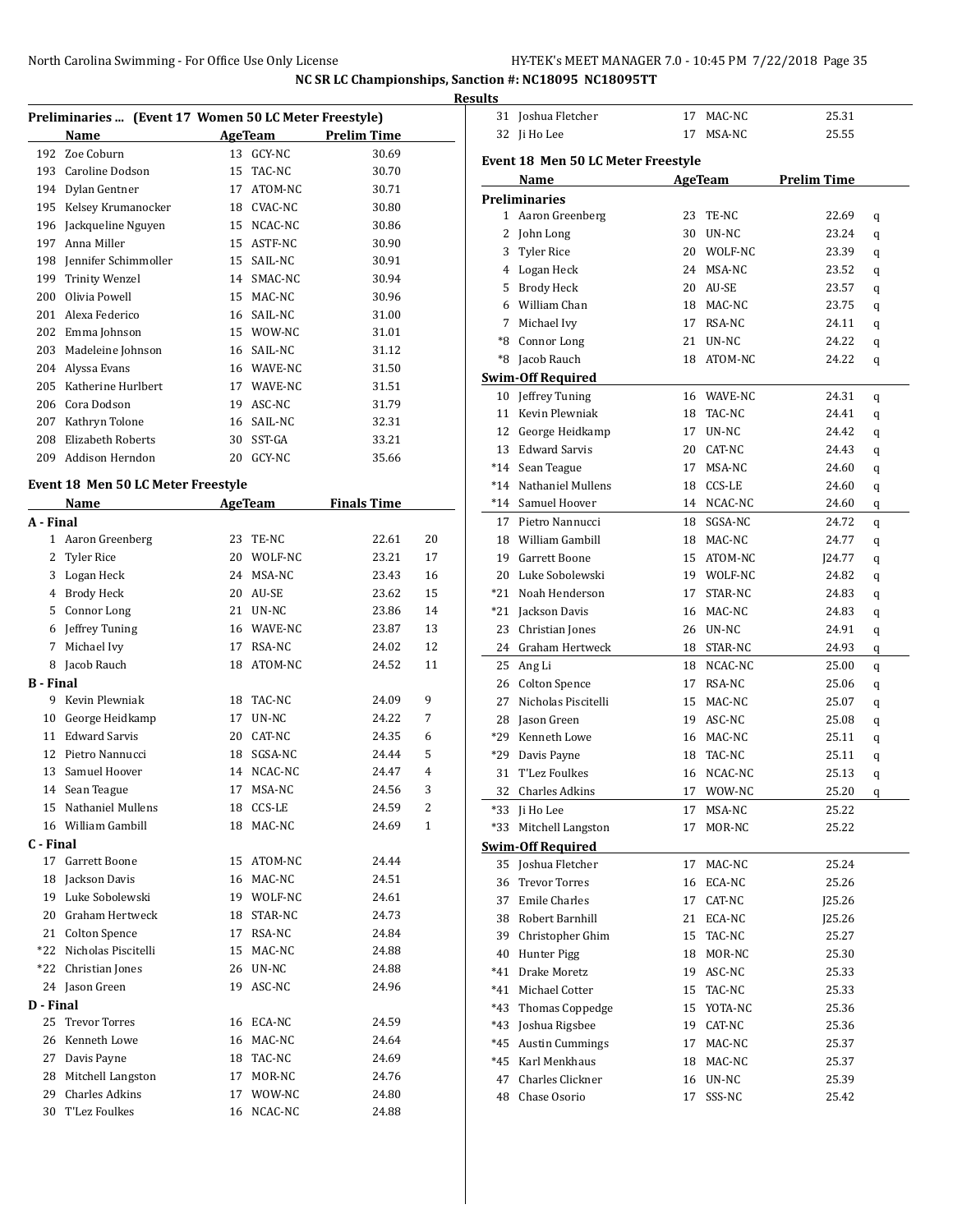|           |                                                       |    |            |                    |    | <b>Results</b>          |
|-----------|-------------------------------------------------------|----|------------|--------------------|----|-------------------------|
|           | Preliminaries  (Event 17 Women 50 LC Meter Freestyle) |    |            |                    |    | 3                       |
|           | Name                                                  |    | AgeTeam    | <b>Prelim Time</b> |    | 3                       |
|           | 192 Zoe Coburn                                        |    | 13 GCY-NC  | 30.69              |    | Eve                     |
|           | 193 Caroline Dodson                                   |    | 15 TAC-NC  | 30.70              |    |                         |
|           | 194 Dylan Gentner                                     |    | 17 ATOM-NC | 30.71              |    | Pre                     |
|           | 195 Kelsey Krumanocker                                |    | 18 CVAC-NC | 30.80              |    |                         |
|           | 196 Jackqueline Nguyen                                |    | 15 NCAC-NC | 30.86              |    |                         |
|           | 197 Anna Miller                                       |    | 15 ASTF-NC | 30.90              |    |                         |
|           | 198 Jennifer Schimmoller                              |    | 15 SAIL-NC | 30.91              |    |                         |
|           | 199 Trinity Wenzel                                    |    | 14 SMAC-NC | 30.94              |    |                         |
|           | 200 Olivia Powell                                     |    | 15 MAC-NC  | 30.96              |    |                         |
|           | 201 Alexa Federico                                    |    | 16 SAIL-NC | 31.00              |    |                         |
|           | 202 Emma Johnson                                      |    | 15 WOW-NC  | 31.01              |    |                         |
|           | 203 Madeleine Johnson                                 |    | 16 SAIL-NC | 31.12              |    |                         |
|           | 204 Alyssa Evans                                      |    | 16 WAVE-NC | 31.50              |    |                         |
|           | 205 Katherine Hurlbert                                |    | 17 WAVE-NC | 31.51              |    | <u>Swi</u><br>1         |
|           | 206 Cora Dodson                                       |    | 19 ASC-NC  | 31.79              |    |                         |
|           | 207 Kathryn Tolone                                    |    | 16 SAIL-NC | 32.31              |    | 1<br>1                  |
|           | 208 Elizabeth Roberts                                 |    | 30 SST-GA  | 33.21              |    |                         |
|           | 209 Addison Herndon                                   |    | 20 GCY-NC  | 35.66              |    | 1                       |
|           |                                                       |    |            |                    |    | $*_{1}$                 |
|           | Event 18 Men 50 LC Meter Freestyle                    |    |            |                    |    | $^*1$                   |
|           | Name                                                  |    | AgeTeam    | <b>Finals Time</b> |    | $^*1$                   |
| A - Final |                                                       |    |            |                    |    | 1                       |
|           | 1 Aaron Greenberg                                     |    | 23 TE-NC   | 22.61              | 20 | $\mathbf{1}$            |
|           | 2 Tyler Rice                                          |    | 20 WOLF-NC | 23.21              | 17 | 1                       |
|           | 3 Logan Heck                                          |    | 24 MSA-NC  | 23.43              | 16 | 2                       |
|           | 4 Brody Heck                                          |    | 20 AU-SE   | 23.62              | 15 | *2                      |
|           | 5 Connor Long                                         |    | 21 UN-NC   | 23.86              | 14 | $*2$                    |
|           | 6 Jeffrey Tuning                                      |    | 16 WAVE-NC | 23.87              | 13 | $\overline{a}$          |
| 7         | Michael Ivy                                           |    | 17 RSA-NC  | 24.02              | 12 | $\overline{a}$          |
|           | 8 Jacob Rauch                                         |    | 18 ATOM-NC | 24.52              | 11 | $\overline{a}$          |
| B - Final |                                                       |    |            |                    |    | $\overline{\mathbf{c}}$ |
|           | 9 Kevin Plewniak                                      |    | 18 TAC-NC  | 24.09              | 9  | 2                       |
| 10        | George Heidkamp                                       |    | 17 UN-NC   | 24.22              | 7  | 2                       |
|           | 11 Edward Sarvis                                      |    | 20 CAT-NC  | 24.35              | 6  | *2                      |
|           | 12 Pietro Nannucci                                    |    | 18 SGSA-NC | 24.44              | 5  | $*2$                    |
| 13        | Samuel Hoover                                         |    | 14 NCAC-NC | 24.47              | 4  | 3                       |
|           | 14 Sean Teague                                        |    | 17 MSA-NC  | 24.56              | 3  | 3                       |
|           | 15 Nathaniel Mullens                                  |    | 18 CCS-LE  | 24.59              | 2  | *3                      |
|           | 16 William Gambill                                    | 18 | MAC-NC     | 24.69              | 1  | *3                      |
| C - Final |                                                       |    |            |                    |    | Swi                     |
|           | 17 Garrett Boone                                      |    | 15 ATOM-NC | 24.44              |    | 3                       |
|           | 18 Jackson Davis                                      |    | 16 MAC-NC  | 24.51              |    | 3                       |
|           | 19 Luke Sobolewski                                    |    | 19 WOLF-NC | 24.61              |    | 3                       |
|           | 20 Graham Hertweck                                    |    | 18 STAR-NC | 24.73              |    | 3                       |
|           | 21 Colton Spence                                      |    | 17 RSA-NC  | 24.84              |    | 3                       |
|           | *22 Nicholas Piscitelli                               |    | 15 MAC-NC  | 24.88              |    | 4                       |
|           | *22 Christian Jones                                   |    | 26 UN-NC   | 24.88              |    | *4                      |
|           | 24 Jason Green                                        | 19 | ASC-NC     | 24.96              |    | *4                      |
| D - Final |                                                       |    |            |                    |    | *4                      |
| 25        | <b>Trevor Torres</b>                                  |    | 16 ECA-NC  | 24.59              |    | *4                      |
|           | 26 Kenneth Lowe                                       |    | 16 MAC-NC  | 24.64              |    |                         |
| 27        | Davis Payne                                           |    | 18 TAC-NC  | 24.69              |    | *4                      |
|           | 28 Mitchell Langston                                  | 17 | MOR-NC     | 24.76              |    | *4                      |
| 29        | <b>Charles Adkins</b>                                 |    | 17 WOW-NC  | 24.80              |    | 4                       |
|           | 30 T'Lez Foulkes                                      | 16 | NCAC-NC    | 24.88              |    | 4                       |
|           |                                                       |    |            |                    |    |                         |

| 31    | Joshua Fletcher                           | 17 | MAC-NC         | 25.31              |   |
|-------|-------------------------------------------|----|----------------|--------------------|---|
| 32    | Ji Ho Lee                                 | 17 | MSA-NC         | 25.55              |   |
|       |                                           |    |                |                    |   |
|       | <b>Event 18 Men 50 LC Meter Freestyle</b> |    |                |                    |   |
|       | Name                                      |    | <b>AgeTeam</b> | <b>Prelim Time</b> |   |
|       | <b>Preliminaries</b>                      |    |                |                    |   |
|       | 1 Aaron Greenberg                         | 23 | TE-NC          | 22.69              | q |
| 2     | John Long                                 | 30 | UN-NC          | 23.24              | q |
| 3     | Tyler Rice                                | 20 | WOLF-NC        | 23.39              | q |
| 4     | Logan Heck                                |    | 24 MSA-NC      | 23.52              | q |
| 5     | <b>Brody Heck</b>                         | 20 | AU-SE          | 23.57              | q |
| 6     | William Chan                              | 18 | MAC-NC         | 23.75              | q |
| 7     | Michael Ivy                               | 17 | RSA-NC         | 24.11              | q |
|       | *8 Connor Long                            |    | 21 UN-NC       | 24.22              | q |
| *8    | Jacob Rauch                               | 18 | ATOM-NC        | 24.22              | q |
|       | <b>Swim-Off Required</b>                  |    |                |                    |   |
| 10    | Jeffrey Tuning                            |    | 16 WAVE-NC     | 24.31              | q |
| 11    | Kevin Plewniak                            |    | 18 TAC-NC      | 24.41              | q |
|       | 12 George Heidkamp                        | 17 | UN-NC          | 24.42              | q |
|       | 13 Edward Sarvis                          |    | 20 CAT-NC      | 24.43              | q |
|       | *14 Sean Teague                           | 17 | MSA-NC         | 24.60              | q |
|       | *14 Nathaniel Mullens                     | 18 | CCS-LE         | 24.60              | q |
|       | *14 Samuel Hoover                         |    | 14 NCAC-NC     | 24.60              | q |
|       | 17 Pietro Nannucci                        |    | 18 SGSA-NC     | 24.72              | q |
|       | 18 William Gambill                        |    | 18 MAC-NC      | 24.77              | q |
|       | 19 Garrett Boone                          |    | 15 ATOM-NC     | [24.77]            | q |
| 20    | Luke Sobolewski                           |    | 19 WOLF-NC     | 24.82              | q |
| $*21$ | Noah Henderson                            |    | 17 STAR-NC     | 24.83              | q |
| *21   | Jackson Davis                             |    | 16 MAC-NC      | 24.83              | q |
| 23    | Christian Jones                           |    | 26 UN-NC       | 24.91              | q |
|       | 24 Graham Hertweck                        |    | 18 STAR-NC     | 24.93              | q |
| 25    | Ang Li                                    |    | 18 NCAC-NC     | 25.00              | q |
|       | 26 Colton Spence                          |    | 17 RSA-NC      | 25.06              | q |
| 27    | Nicholas Piscitelli                       | 15 | MAC-NC         | 25.07              | q |
| 28    | Jason Green                               | 19 | ASC-NC         | 25.08              | q |
| *29   | Kenneth Lowe                              | 16 | MAC-NC         | 25.11              | q |
| *29   | Davis Payne                               | 18 | TAC-NC         | 25.11              | q |
| 31    | <b>T'Lez Foulkes</b>                      | 16 | NCAC-NC        | 25.13              | q |
| 32    | <b>Charles Adkins</b>                     | 17 | WOW-NC         | 25.20              | q |
| *33   | Ji Ho Lee                                 | 17 | MSA-NC         | 25.22              |   |
| *33   | Mitchell Langston                         | 17 | MOR-NC         | 25.22              |   |
|       | <b>Swim-Off Required</b>                  |    |                |                    |   |
|       | 35 Joshua Fletcher                        | 17 | MAC-NC         | 25.24              |   |
| 36    | <b>Trevor Torres</b>                      | 16 | ECA-NC         | 25.26              |   |
| 37    | <b>Emile Charles</b>                      | 17 | CAT-NC         | J25.26             |   |
| 38    | Robert Barnhill                           | 21 | ECA-NC         | J25.26             |   |
|       | 39 Christopher Ghim                       | 15 | TAC-NC         | 25.27              |   |
| 40    | Hunter Pigg                               | 18 | MOR-NC         | 25.30              |   |
| $*41$ | Drake Moretz                              | 19 | ASC-NC         | 25.33              |   |
| *41   | Michael Cotter                            | 15 | TAC-NC         | 25.33              |   |
| *43   | Thomas Coppedge                           | 15 | YOTA-NC        | 25.36              |   |
| *43   | Joshua Rigsbee                            | 19 | CAT-NC         | 25.36              |   |
| *45   | <b>Austin Cummings</b>                    | 17 | MAC-NC         | 25.37              |   |
| *45   | Karl Menkhaus                             | 18 | MAC-NC         | 25.37              |   |
| 47    | Charles Clickner                          | 16 | UN-NC          | 25.39              |   |
| 48    | Chase Osorio                              | 17 | SSS-NC         | 25.42              |   |
|       |                                           |    |                |                    |   |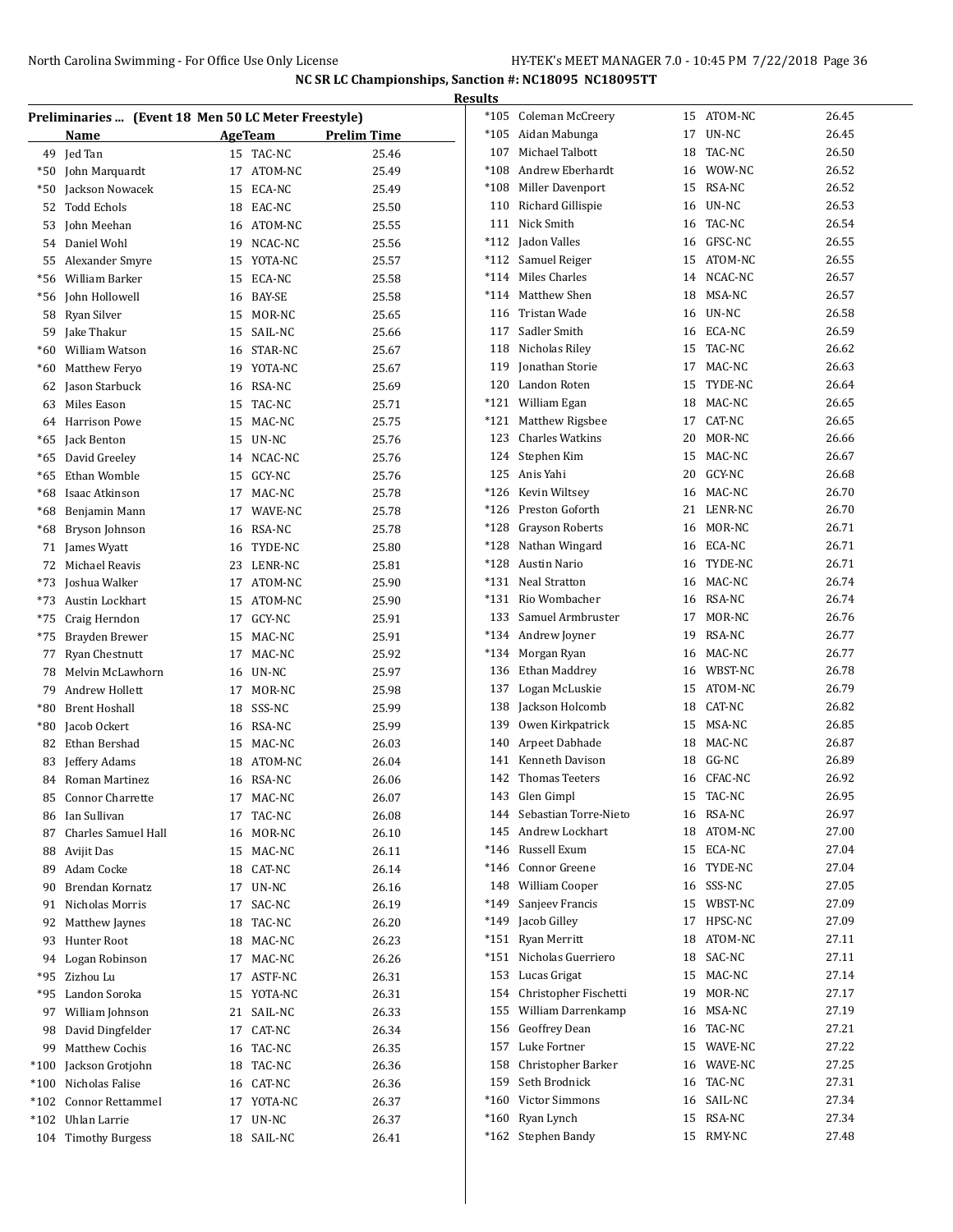|        | <b>Results</b>                                      |    |                |             |        |                           |    |            |       |  |
|--------|-----------------------------------------------------|----|----------------|-------------|--------|---------------------------|----|------------|-------|--|
|        | Preliminaries  (Event 18 Men 50 LC Meter Freestyle) |    |                |             |        | *105 Coleman McCreery     |    | 15 ATOM-NC | 26.45 |  |
|        | Name                                                |    | <b>AgeTeam</b> | Prelim Time |        | *105 Aidan Mabunga        |    | 17 UN-NC   | 26.45 |  |
| 49     | Jed Tan                                             |    | 15 TAC-NC      | 25.46       | 107    | Michael Talbott           | 18 | TAC-NC     | 26.50 |  |
| *50    | John Marquardt                                      | 17 | ATOM-NC        | 25.49       | $*108$ | Andrew Eberhardt          | 16 | WOW-NC     | 26.52 |  |
| *50    | Jackson Nowacek                                     | 15 | ECA-NC         | 25.49       | $*108$ | Miller Davenport          | 15 | RSA-NC     | 26.52 |  |
| 52     | Todd Echols                                         | 18 | EAC-NC         | 25.50       | 110    | Richard Gillispie         | 16 | UN-NC      | 26.53 |  |
| 53     | John Meehan                                         | 16 | ATOM-NC        | 25.55       |        | 111 Nick Smith            | 16 | TAC-NC     | 26.54 |  |
| 54     | Daniel Wohl                                         | 19 | NCAC-NC        | 25.56       |        | *112 Jadon Valles         |    | 16 GFSC-NC | 26.55 |  |
| 55     | Alexander Smyre                                     | 15 | YOTA-NC        | 25.57       |        | *112 Samuel Reiger        | 15 | ATOM-NC    | 26.55 |  |
| *56    | William Barker                                      | 15 | ECA-NC         | 25.58       |        | *114 Miles Charles        | 14 | NCAC-NC    | 26.57 |  |
| *56    | <b>Iohn Hollowell</b>                               | 16 | BAY-SE         | 25.58       | $*114$ | Matthew Shen              | 18 | MSA-NC     | 26.57 |  |
| 58     | Ryan Silver                                         | 15 | MOR-NC         | 25.65       |        | 116 Tristan Wade          |    | 16 UN-NC   | 26.58 |  |
| 59     | Jake Thakur                                         | 15 | SAIL-NC        | 25.66       | 117    | Sadler Smith              |    | 16 ECA-NC  | 26.59 |  |
| $*60$  | William Watson                                      | 16 | STAR-NC        | 25.67       |        | 118 Nicholas Riley        | 15 | TAC-NC     | 26.62 |  |
|        |                                                     |    |                |             | 119    | Jonathan Storie           | 17 | MAC-NC     | 26.63 |  |
| *60    | Matthew Feryo                                       | 19 | YOTA-NC        | 25.67       |        | 120 Landon Roten          | 15 | TYDE-NC    | 26.64 |  |
| 62     | Jason Starbuck                                      | 16 | RSA-NC         | 25.69       | $*121$ | William Egan              | 18 | MAC-NC     | 26.65 |  |
| 63     | Miles Eason                                         | 15 | TAC-NC         | 25.71       |        | Matthew Rigsbee           |    | CAT-NC     | 26.65 |  |
| 64     | <b>Harrison Powe</b>                                | 15 | MAC-NC         | 25.75       | *121   |                           | 17 |            |       |  |
| *65    | Jack Benton                                         | 15 | UN-NC          | 25.76       | 123    | <b>Charles Watkins</b>    | 20 | MOR-NC     | 26.66 |  |
| *65    | David Greeley                                       | 14 | NCAC-NC        | 25.76       |        | 124 Stephen Kim           | 15 | MAC-NC     | 26.67 |  |
| *65    | Ethan Womble                                        | 15 | GCY-NC         | 25.76       |        | 125 Anis Yahi             | 20 | GCY-NC     | 26.68 |  |
| *68    | Isaac Atkinson                                      | 17 | MAC-NC         | 25.78       | $*126$ | Kevin Wiltsey             | 16 | MAC-NC     | 26.70 |  |
| *68    | Benjamin Mann                                       | 17 | WAVE-NC        | 25.78       |        | *126 Preston Goforth      | 21 | LENR-NC    | 26.70 |  |
| *68    | Bryson Johnson                                      | 16 | RSA-NC         | 25.78       |        | *128 Grayson Roberts      | 16 | MOR-NC     | 26.71 |  |
| 71     | James Wyatt                                         | 16 | TYDE-NC        | 25.80       | *128   | Nathan Wingard            | 16 | ECA-NC     | 26.71 |  |
| 72     | Michael Reavis                                      | 23 | LENR-NC        | 25.81       | *128   | <b>Austin Nario</b>       | 16 | TYDE-NC    | 26.71 |  |
| *73    | Joshua Walker                                       | 17 | ATOM-NC        | 25.90       | $*131$ | Neal Stratton             |    | 16 MAC-NC  | 26.74 |  |
| $*73$  | Austin Lockhart                                     | 15 | ATOM-NC        | 25.90       | *131   | Rio Wombacher             |    | 16 RSA-NC  | 26.74 |  |
| *75    | Craig Herndon                                       | 17 | GCY-NC         | 25.91       | 133    | Samuel Armbruster         | 17 | MOR-NC     | 26.76 |  |
| *75    | Brayden Brewer                                      | 15 | MAC-NC         | 25.91       |        | *134 Andrew Joyner        | 19 | RSA-NC     | 26.77 |  |
| 77     | <b>Ryan Chestnutt</b>                               | 17 | MAC-NC         | 25.92       |        | *134 Morgan Ryan          | 16 | MAC-NC     | 26.77 |  |
| 78     | Melvin McLawhorn                                    | 16 | UN-NC          | 25.97       | 136    | Ethan Maddrey             | 16 | WBST-NC    | 26.78 |  |
| 79     | Andrew Hollett                                      | 17 | MOR-NC         | 25.98       | 137    | Logan McLuskie            | 15 | ATOM-NC    | 26.79 |  |
| $*80$  | <b>Brent Hoshall</b>                                | 18 | SSS-NC         | 25.99       | 138    | Jackson Holcomb           | 18 | CAT-NC     | 26.82 |  |
| $*80$  | Jacob Ockert                                        | 16 | RSA-NC         | 25.99       |        | 139 Owen Kirkpatrick      | 15 | MSA-NC     | 26.85 |  |
| 82     | Ethan Bershad                                       | 15 | MAC-NC         | 26.03       | 140    | Arpeet Dabhade            | 18 | MAC-NC     | 26.87 |  |
| 83     | Jeffery Adams                                       | 18 | ATOM-NC        | 26.04       | 141    | Kenneth Davison           | 18 | GG-NC      | 26.89 |  |
|        | 84 Roman Martinez                                   |    | 16 RSA-NC      | 26.06       |        | 142 Thomas Teeters        |    | 16 CFAC-NC | 26.92 |  |
| 85     | <b>Connor Charrette</b>                             | 17 | MAC-NC         | 26.07       |        | 143 Glen Gimpl            |    | 15 TAC-NC  | 26.95 |  |
| 86     | Ian Sullivan                                        |    | 17 TAC-NC      | 26.08       |        | 144 Sebastian Torre-Nieto |    | 16 RSA-NC  | 26.97 |  |
| 87     | Charles Samuel Hall                                 |    | 16 MOR-NC      | 26.10       |        | 145 Andrew Lockhart       |    | 18 ATOM-NC | 27.00 |  |
| 88     | Avijit Das                                          |    | 15 MAC-NC      | 26.11       |        | *146 Russell Exum         |    | 15 ECA-NC  | 27.04 |  |
| 89     | Adam Cocke                                          |    | 18 CAT-NC      | 26.14       |        | *146 Connor Greene        |    | 16 TYDE-NC | 27.04 |  |
| 90     | Brendan Kornatz                                     |    | 17 UN-NC       | 26.16       |        | 148 William Cooper        |    | 16 SSS-NC  | 27.05 |  |
| 91     | Nicholas Morris                                     | 17 | SAC-NC         | 26.19       |        | *149 Sanjeev Francis      |    | 15 WBST-NC | 27.09 |  |
| 92     | Matthew Jaynes                                      |    | 18 TAC-NC      | 26.20       |        | *149 Jacob Gilley         |    | 17 HPSC-NC | 27.09 |  |
| 93     | Hunter Root                                         |    | 18 MAC-NC      | 26.23       | *151   | Ryan Merritt              |    | 18 ATOM-NC | 27.11 |  |
| 94     | Logan Robinson                                      | 17 | MAC-NC         | 26.26       |        | *151 Nicholas Guerriero   |    | 18 SAC-NC  | 27.11 |  |
| *95    | Zizhou Lu                                           |    | 17 ASTF-NC     | 26.31       |        | 153 Lucas Grigat          |    | 15 MAC-NC  | 27.14 |  |
| *95    | Landon Soroka                                       |    | 15 YOTA-NC     | 26.31       |        | 154 Christopher Fischetti |    | 19 MOR-NC  | 27.17 |  |
| 97     | William Johnson                                     |    | 21 SAIL-NC     | 26.33       |        | 155 William Darrenkamp    |    | 16 MSA-NC  | 27.19 |  |
| 98     | David Dingfelder                                    |    | 17 CAT-NC      | 26.34       |        | 156 Geoffrey Dean         |    | 16 TAC-NC  | 27.21 |  |
| 99     | Matthew Cochis                                      |    | 16 TAC-NC      | 26.35       | 157    | Luke Fortner              |    | 15 WAVE-NC | 27.22 |  |
| $*100$ | Jackson Grotjohn                                    | 18 | TAC-NC         | 26.36       |        | 158 Christopher Barker    |    | 16 WAVE-NC | 27.25 |  |
| $*100$ | Nicholas Falise                                     | 16 | CAT-NC         | 26.36       |        | 159 Seth Brodnick         |    | 16 TAC-NC  | 27.31 |  |
| *102   | Connor Rettammel                                    |    | 17 YOTA-NC     | 26.37       |        | *160 Victor Simmons       |    | 16 SAIL-NC | 27.34 |  |
| $*102$ | Uhlan Larrie                                        | 17 | UN-NC          | 26.37       |        | *160 Ryan Lynch           |    | 15 RSA-NC  | 27.34 |  |
| 104    | <b>Timothy Burgess</b>                              |    | 18 SAIL-NC     | 26.41       |        | *162 Stephen Bandy        |    | 15 RMY-NC  | 27.48 |  |
|        |                                                     |    |                |             |        |                           |    |            |       |  |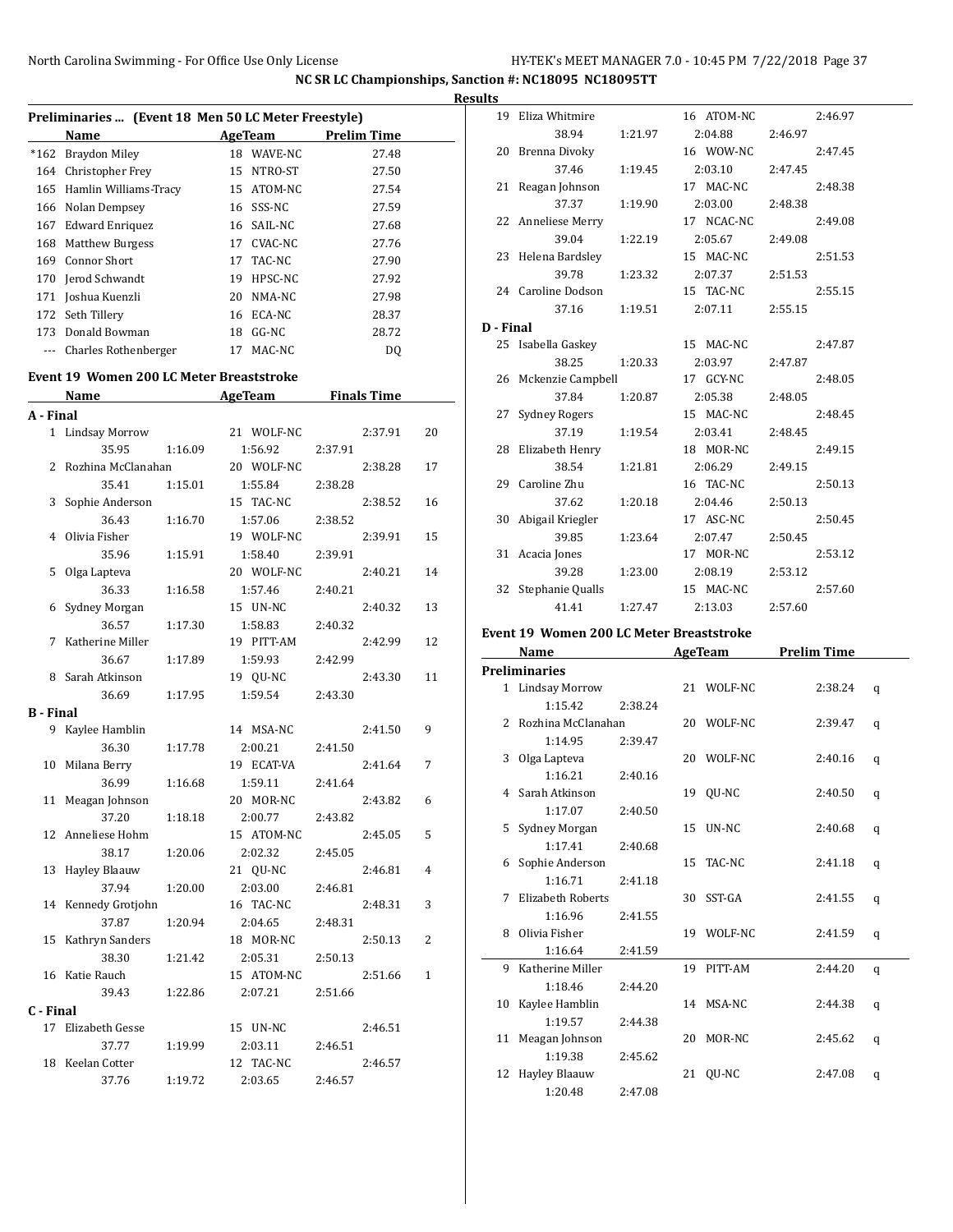|           | Preliminaries  (Event 18 Men 50 LC Meter Freestyle) |    |            |         |                    |    |
|-----------|-----------------------------------------------------|----|------------|---------|--------------------|----|
|           | Name                                                |    | AgeTeam    |         | <b>Prelim Time</b> |    |
| $*162$    | Braydon Miley                                       |    | 18 WAVE-NC |         | 27.48              |    |
|           | 164 Christopher Frey                                |    | 15 NTRO-ST |         | 27.50              |    |
|           | 165 Hamlin Williams-Tracy                           |    | 15 ATOM-NC |         | 27.54              |    |
|           | 166 Nolan Dempsey                                   |    | 16 SSS-NC  |         | 27.59              |    |
|           | 167 Edward Enriquez                                 |    | 16 SAIL-NC |         | 27.68              |    |
|           | 168 Matthew Burgess                                 |    | 17 CVAC-NC |         | 27.76              |    |
|           | 169 Connor Short                                    |    | 17 TAC-NC  |         | 27.90              |    |
| 170       | <b>Jerod Schwandt</b>                               |    | 19 HPSC-NC |         | 27.92              |    |
| 171       | Joshua Kuenzli                                      |    | 20 NMA-NC  |         | 27.98              |    |
|           | 172 Seth Tillery                                    |    | 16 ECA-NC  |         | 28.37              |    |
|           | 173 Donald Bowman                                   | 18 | GG-NC      |         | 28.72              |    |
| ---       | Charles Rothenberger                                | 17 | MAC-NC     |         | DQ                 |    |
|           |                                                     |    |            |         |                    |    |
|           | Event 19 Women 200 LC Meter Breaststroke            |    |            |         |                    |    |
|           | Name                                                |    | AgeTeam    |         | <b>Finals Time</b> |    |
| A - Final |                                                     |    |            |         |                    |    |
| 1         | <b>Lindsay Morrow</b>                               |    | 21 WOLF-NC |         | 2:37.91            | 20 |
|           | 35.95<br>1:16.09                                    |    | 1:56.92    | 2:37.91 |                    |    |
| 2         | Rozhina McClanahan                                  |    | 20 WOLF-NC |         | 2:38.28            | 17 |
|           | 35.41<br>1:15.01                                    |    | 1:55.84    | 2:38.28 |                    |    |
| 3         | Sophie Anderson                                     |    | 15 TAC-NC  |         | 2:38.52            | 16 |
|           | 36.43<br>1:16.70                                    |    | 1:57.06    | 2:38.52 |                    |    |
| 4         | Olivia Fisher                                       |    | 19 WOLF-NC |         | 2:39.91            | 15 |
|           | 35.96<br>1:15.91                                    |    | 1:58.40    | 2:39.91 |                    |    |
| 5         | Olga Lapteva                                        |    | 20 WOLF-NC |         | 2:40.21            | 14 |
|           | 36.33<br>1:16.58                                    |    | 1:57.46    | 2:40.21 |                    |    |
| 6         | Sydney Morgan                                       |    | 15 UN-NC   |         | 2:40.32            | 13 |
|           | 36.57<br>1:17.30                                    |    | 1:58.83    | 2:40.32 |                    |    |
| 7         | Katherine Miller                                    |    | 19 PITT-AM |         | 2:42.99            | 12 |
|           | 36.67<br>1:17.89                                    |    | 1:59.93    | 2:42.99 |                    |    |
| 8         | Sarah Atkinson                                      |    | 19 QU-NC   |         | 2:43.30            | 11 |
|           | 36.69<br>1:17.95                                    |    | 1:59.54    | 2:43.30 |                    |    |
| B - Final |                                                     |    |            |         |                    |    |
| 9         | Kaylee Hamblin                                      |    | 14 MSA-NC  |         | 2:41.50            | 9  |
|           | 36.30<br>1:17.78                                    |    | 2:00.21    | 2:41.50 |                    |    |
| 10        | Milana Berry                                        |    | 19 ECAT-VA |         | 2:41.64            | 7  |
|           | 36.99<br>1:16.68                                    |    | 1:59.11    | 2:41.64 |                    |    |
|           | 11 Meagan Johnson                                   |    | 20 MOR-NC  |         | 2:43.82            | 6  |
|           | 37.20<br>1:18.18                                    |    | 2:00.77    | 2:43.82 |                    |    |
| 12        | Anneliese Hohm                                      |    | 15 ATOM-NC |         | 2:45.05            | 5  |
|           | 38.17<br>1:20.06                                    |    | 2:02.32    | 2:45.05 |                    |    |
| 13        | Hayley Blaauw                                       |    | 21 QU-NC   |         | 2:46.81            | 4  |
|           | 37.94<br>1:20.00                                    |    | 2:03.00    | 2:46.81 |                    |    |
| 14        | Kennedy Grotjohn                                    |    | 16 TAC-NC  |         | 2:48.31            | 3  |
|           | 37.87<br>1:20.94                                    |    | 2:04.65    | 2:48.31 |                    |    |
| 15        | Kathryn Sanders                                     |    | 18 MOR-NC  |         | 2:50.13            | 2  |
|           | 38.30<br>1:21.42                                    |    | 2:05.31    | 2:50.13 |                    |    |
|           | 16 Katie Rauch                                      |    | 15 ATOM-NC |         | 2:51.66            | 1  |
|           | 39.43<br>1:22.86                                    |    | 2:07.21    | 2:51.66 |                    |    |
| C - Final |                                                     |    |            |         |                    |    |
|           | 17 Elizabeth Gesse                                  |    | 15 UN-NC   |         | 2:46.51            |    |
|           | 37.77<br>1:19.99                                    |    | 2:03.11    | 2:46.51 |                    |    |
| 18        | Keelan Cotter                                       |    | 12 TAC-NC  |         | 2:46.57            |    |
|           | 37.76<br>1:19.72                                    |    | 2:03.65    | 2:46.57 |                    |    |
|           |                                                     |    |            |         |                    |    |

| <b>Results</b> |                      |         |            |         |         |
|----------------|----------------------|---------|------------|---------|---------|
|                | 19 Eliza Whitmire    |         | 16 ATOM-NC |         | 2:46.97 |
|                | 38.94                | 1:21.97 | 2:04.88    | 2:46.97 |         |
|                | 20 Brenna Divoky     |         | 16 WOW-NC  |         | 2:47.45 |
|                | 37.46                | 1:19.45 | 2:03.10    | 2:47.45 |         |
|                | 21 Reagan Johnson    |         | 17 MAC-NC  |         | 2:48.38 |
|                | 37.37                | 1:19.90 | 2:03.00    | 2:48.38 |         |
|                | 22 Anneliese Merry   |         | 17 NCAC-NC |         | 2:49.08 |
|                | 39.04                | 1:22.19 | 2:05.67    | 2:49.08 |         |
|                | 23 Helena Bardsley   |         | 15 MAC-NC  |         | 2:51.53 |
|                | 39.78                | 1:23.32 | 2:07.37    | 2:51.53 |         |
|                | 24 Caroline Dodson   |         | 15 TAC-NC  |         | 2:55.15 |
|                | 37.16                | 1:19.51 | 2:07.11    | 2:55.15 |         |
| D - Final      |                      |         |            |         |         |
|                | 25 Isabella Gaskey   |         | 15 MAC-NC  |         | 2:47.87 |
|                | 38.25                | 1:20.33 | 2:03.97    | 2:47.87 |         |
|                | 26 Mckenzie Campbell |         | 17 GCY-NC  |         | 2:48.05 |
|                | 37.84                | 1:20.87 | 2:05.38    | 2:48.05 |         |
|                | 27 Sydney Rogers     |         | 15 MAC-NC  |         | 2:48.45 |
|                | 37.19                | 1:19.54 | 2:03.41    | 2:48.45 |         |
|                | 28 Elizabeth Henry   |         | 18 MOR-NC  |         | 2:49.15 |
|                | 38.54                | 1:21.81 | 2:06.29    | 2:49.15 |         |
|                | 29 Caroline Zhu      |         | 16 TAC-NC  |         | 2:50.13 |
|                | 37.62                | 1:20.18 | 2:04.46    | 2:50.13 |         |
|                | 30 Abigail Kriegler  |         | 17 ASC-NC  |         | 2:50.45 |
|                | 39.85                | 1:23.64 | 2:07.47    | 2:50.45 |         |
|                | 31 Acacia Jones      |         | 17 MOR-NC  |         | 2:53.12 |
|                | 39.28                | 1:23.00 | 2:08.19    | 2:53.12 |         |
|                | 32 Stephanie Qualls  |         | 15 MAC-NC  |         | 2:57.60 |
|                | 41.41                | 1:27.47 | 2:13.03    | 2:57.60 |         |
|                |                      |         |            |         |         |

## **Event 19 Women 200 LC Meter Breaststroke**

| Name |                      |         |                 | <b>AgeTeam</b> | <b>Prelim Time</b> |   |
|------|----------------------|---------|-----------------|----------------|--------------------|---|
|      | <b>Preliminaries</b> |         |                 |                |                    |   |
|      | 1 Lindsay Morrow     |         |                 | 21 WOLF-NC     | 2:38.24            | q |
|      | 1:15.42              | 2:38.24 |                 |                |                    |   |
|      | 2 Rozhina McClanahan |         |                 | 20 WOLF-NC     | 2:39.47            | q |
|      | 1:14.95              | 2:39.47 |                 |                |                    |   |
|      | 3 Olga Lapteva       |         |                 | 20 WOLF-NC     | 2:40.16            | q |
|      | 1:16.21              | 2:40.16 |                 |                |                    |   |
|      | 4 Sarah Atkinson     |         |                 | 19 OU-NC       | 2:40.50            | q |
|      | 1:17.07              | 2:40.50 |                 |                |                    |   |
|      | 5 Sydney Morgan      |         |                 | 15 UN-NC       | 2:40.68            | q |
|      | 1:17.41              | 2:40.68 |                 |                |                    |   |
|      | 6 Sophie Anderson    |         | 15 <sup>2</sup> | TAC-NC         | 2:41.18            | q |
|      | 1:16.71              | 2:41.18 |                 |                |                    |   |
| 7    | Elizabeth Roberts    |         | 30              | SST-GA         | 2:41.55            | q |
|      | 1:16.96              | 2:41.55 |                 |                |                    |   |
| 8    | Olivia Fisher        |         |                 | 19 WOLF-NC     | 2:41.59            | q |
|      | 1:16.64              | 2:41.59 |                 |                |                    |   |
| 9    | Katherine Miller     |         |                 | 19 PITT-AM     | 2:44.20            | q |
|      | 1:18.46              | 2:44.20 |                 |                |                    |   |
| 10   | Kaylee Hamblin       |         |                 | 14 MSA-NC      | 2:44.38            | q |
|      | 1:19.57              | 2:44.38 |                 |                |                    |   |
| 11   | Meagan Johnson       |         | 20              | MOR-NC         | 2:45.62            | q |
|      | 1:19.38              | 2:45.62 |                 |                |                    |   |
| 12   | Hayley Blaauw        |         |                 | 21 QU-NC       | 2:47.08            | q |
|      | 1:20.48              | 2:47.08 |                 |                |                    |   |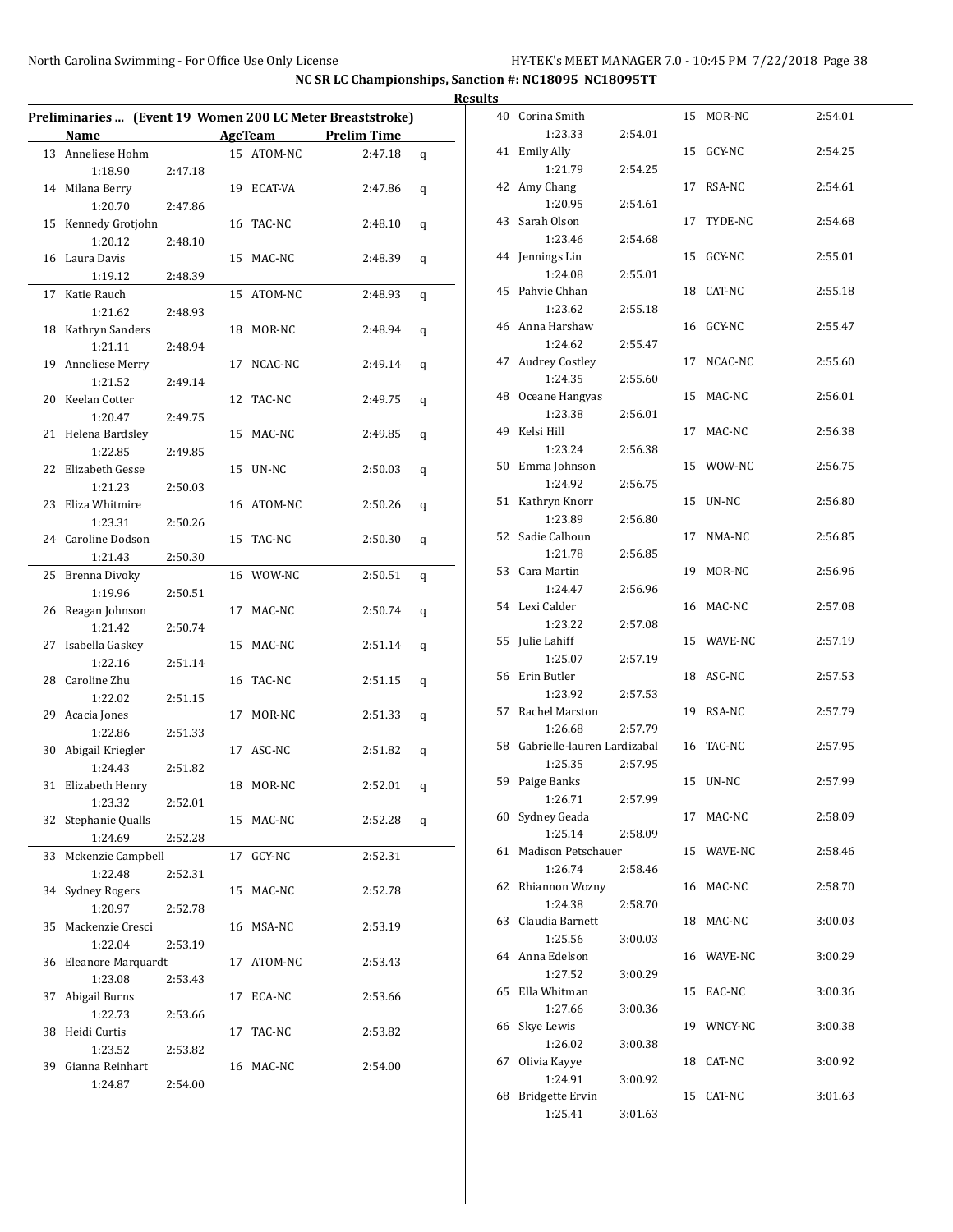| <b>Results</b>                                            |         |  |                |                    |              |  |                                |         |            |         |
|-----------------------------------------------------------|---------|--|----------------|--------------------|--------------|--|--------------------------------|---------|------------|---------|
| Preliminaries  (Event 19 Women 200 LC Meter Breaststroke) |         |  |                |                    |              |  | 40 Corina Smith                |         | 15 MOR-NC  | 2:54.01 |
| Name                                                      |         |  | <b>AgeTeam</b> | <b>Prelim Time</b> |              |  | 1:23.33                        | 2:54.01 |            |         |
| 13 Anneliese Hohm                                         |         |  | 15 ATOM-NC     | 2:47.18            | $\mathsf{q}$ |  | 41 Emily Ally                  |         | 15 GCY-NC  | 2:54.25 |
| 1:18.90                                                   | 2:47.18 |  |                |                    |              |  | 1:21.79                        | 2:54.25 | 17 RSA-NC  | 2:54.61 |
| 14 Milana Berry                                           |         |  | 19 ECAT-VA     | 2:47.86            | q            |  | 42 Amy Chang<br>1:20.95        | 2:54.61 |            |         |
| 1:20.70                                                   | 2:47.86 |  | 16 TAC-NC      | 2:48.10            |              |  | 43 Sarah Olson                 |         | 17 TYDE-NC | 2:54.68 |
| 15 Kennedy Grotjohn<br>1:20.12                            | 2:48.10 |  |                |                    | q            |  | 1:23.46                        | 2:54.68 |            |         |
| 16 Laura Davis                                            |         |  | 15 MAC-NC      | 2:48.39            | q            |  | 44 Jennings Lin                |         | 15 GCY-NC  | 2:55.01 |
| 1:19.12                                                   | 2:48.39 |  |                |                    |              |  | 1:24.08                        | 2:55.01 |            |         |
| 17 Katie Rauch                                            |         |  | 15 ATOM-NC     | 2:48.93            | q            |  | 45 Pahvie Chhan                |         | 18 CAT-NC  | 2:55.18 |
| 1:21.62                                                   | 2:48.93 |  |                |                    |              |  | 1:23.62                        | 2:55.18 |            |         |
| 18 Kathryn Sanders                                        |         |  | 18 MOR-NC      | 2:48.94            | q            |  | 46 Anna Harshaw                |         | 16 GCY-NC  | 2:55.47 |
| 1:21.11                                                   | 2:48.94 |  |                |                    |              |  | 1:24.62                        | 2:55.47 |            |         |
| 19 Anneliese Merry                                        |         |  | 17 NCAC-NC     | 2:49.14            | q            |  | 47 Audrey Costley              |         | 17 NCAC-NC | 2:55.60 |
| 1:21.52                                                   | 2:49.14 |  |                |                    |              |  | 1:24.35                        | 2:55.60 |            |         |
| 20 Keelan Cotter                                          |         |  | 12 TAC-NC      | 2:49.75            | q            |  | 48 Oceane Hangyas              |         | 15 MAC-NC  | 2:56.01 |
| 1:20.47                                                   | 2:49.75 |  |                |                    |              |  | 1:23.38                        | 2:56.01 |            |         |
| 21 Helena Bardsley                                        |         |  | 15 MAC-NC      | 2:49.85            | q            |  | 49 Kelsi Hill                  |         | 17 MAC-NC  | 2:56.38 |
| 1:22.85                                                   | 2:49.85 |  |                |                    |              |  | 1:23.24                        | 2:56.38 |            |         |
| 22 Elizabeth Gesse                                        |         |  | 15 UN-NC       | 2:50.03            | q            |  | 50 Emma Johnson                |         | 15 WOW-NC  | 2:56.75 |
| 1:21.23                                                   | 2:50.03 |  |                |                    |              |  | 1:24.92                        | 2:56.75 |            |         |
| 23 Eliza Whitmire                                         |         |  | 16 ATOM-NC     | 2:50.26            | q            |  | 51 Kathryn Knorr               |         | 15 UN-NC   | 2:56.80 |
| 1:23.31                                                   | 2:50.26 |  |                |                    |              |  | 1:23.89                        | 2:56.80 |            |         |
| 24 Caroline Dodson                                        |         |  | 15 TAC-NC      | 2:50.30            | q            |  | 52 Sadie Calhoun               |         | 17 NMA-NC  | 2:56.85 |
| 1:21.43                                                   | 2:50.30 |  |                |                    |              |  | 1:21.78                        | 2:56.85 |            |         |
| 25 Brenna Divoky                                          |         |  | 16 WOW-NC      | 2:50.51            | q            |  | 53 Cara Martin                 |         | 19 MOR-NC  | 2:56.96 |
| 1:19.96                                                   | 2:50.51 |  |                |                    |              |  | 1:24.47<br>54 Lexi Calder      | 2:56.96 |            |         |
| 26 Reagan Johnson                                         |         |  | 17 MAC-NC      | 2:50.74            | q            |  | 1:23.22                        | 2:57.08 | 16 MAC-NC  | 2:57.08 |
| 1:21.42                                                   | 2:50.74 |  |                |                    |              |  | 55 Julie Lahiff                |         | 15 WAVE-NC | 2:57.19 |
| 27 Isabella Gaskey                                        |         |  | 15 MAC-NC      | 2:51.14            | q            |  | 1:25.07                        | 2:57.19 |            |         |
| 1:22.16                                                   | 2:51.14 |  |                |                    |              |  | 56 Erin Butler                 |         | 18 ASC-NC  | 2:57.53 |
| 28 Caroline Zhu<br>1:22.02                                |         |  | 16 TAC-NC      | 2:51.15            | q            |  | 1:23.92                        | 2:57.53 |            |         |
| 29 Acacia Jones                                           | 2:51.15 |  | 17 MOR-NC      | 2:51.33            | $\mathsf{q}$ |  | 57 Rachel Marston              |         | 19 RSA-NC  | 2:57.79 |
| 1:22.86                                                   | 2:51.33 |  |                |                    |              |  | 1:26.68                        | 2:57.79 |            |         |
| 30 Abigail Kriegler                                       |         |  | 17 ASC-NC      | 2:51.82            | q            |  | 58 Gabrielle-lauren Lardizabal |         | 16 TAC-NC  | 2:57.95 |
| 1:24.43                                                   | 2:51.82 |  |                |                    |              |  | 1:25.35                        | 2:57.95 |            |         |
| 31 Elizabeth Henry                                        |         |  | 18 MOR-NC      | $2:52.01$ q        |              |  | 59 Paige Banks                 |         | 15 UN-NC   | 2:57.99 |
| 1:23.32                                                   | 2:52.01 |  |                |                    |              |  | 1:26.71                        | 2:57.99 |            |         |
| 32 Stephanie Qualls                                       |         |  | 15 MAC-NC      | 2:52.28            | q            |  | 60 Sydney Geada                |         | 17 MAC-NC  | 2:58.09 |
| 1:24.69                                                   | 2:52.28 |  |                |                    |              |  | 1:25.14                        | 2:58.09 |            |         |
| 33 Mckenzie Campbell                                      |         |  | 17 GCY-NC      | 2:52.31            |              |  | 61 Madison Petschauer          |         | 15 WAVE-NC | 2:58.46 |
| 1:22.48                                                   | 2:52.31 |  |                |                    |              |  | 1:26.74                        | 2:58.46 |            |         |
| 34 Sydney Rogers                                          |         |  | 15 MAC-NC      | 2:52.78            |              |  | 62 Rhiannon Wozny              |         | 16 MAC-NC  | 2:58.70 |
| 1:20.97                                                   | 2:52.78 |  |                |                    |              |  | 1:24.38                        | 2:58.70 |            |         |
| 35 Mackenzie Cresci                                       |         |  | 16 MSA-NC      | 2:53.19            |              |  | 63 Claudia Barnett             |         | 18 MAC-NC  | 3:00.03 |
| 1:22.04                                                   | 2:53.19 |  |                |                    |              |  | 1:25.56                        | 3:00.03 |            |         |
| 36 Eleanore Marquardt                                     |         |  | 17 ATOM-NC     | 2:53.43            |              |  | 64 Anna Edelson                |         | 16 WAVE-NC | 3:00.29 |
| 1:23.08                                                   | 2:53.43 |  |                |                    |              |  | 1:27.52                        | 3:00.29 |            |         |
| 37 Abigail Burns                                          |         |  | 17 ECA-NC      | 2:53.66            |              |  | 65 Ella Whitman                |         | 15 EAC-NC  | 3:00.36 |
| 1:22.73                                                   | 2:53.66 |  |                |                    |              |  | 1:27.66                        | 3:00.36 |            |         |
| 38 Heidi Curtis                                           |         |  | 17 TAC-NC      | 2:53.82            |              |  | 66 Skye Lewis<br>1:26.02       | 3:00.38 | 19 WNCY-NC | 3:00.38 |
| 1:23.52                                                   | 2:53.82 |  |                |                    |              |  | 67 Olivia Kayye                |         | 18 CAT-NC  | 3:00.92 |
| 39 Gianna Reinhart                                        |         |  | 16 MAC-NC      | 2:54.00            |              |  | 1:24.91                        | 3:00.92 |            |         |
| 1:24.87                                                   | 2:54.00 |  |                |                    |              |  | 68 Bridgette Ervin             |         | 15 CAT-NC  | 3:01.63 |
|                                                           |         |  |                |                    |              |  | 1:25.41                        | 3:01.63 |            |         |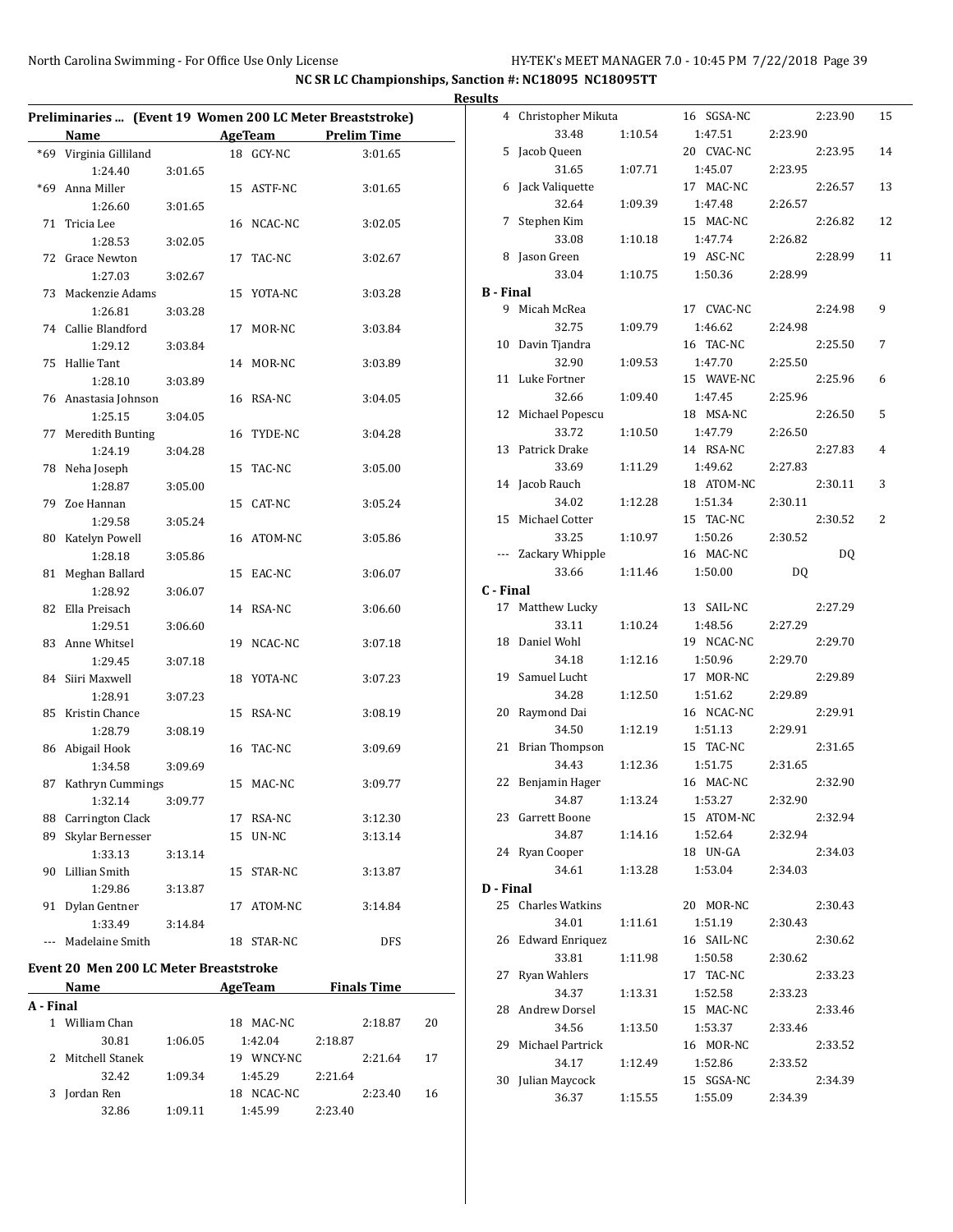|           |                                               |         |                       |                                                           | <b>Results</b>   |                              |         |                       |         |         |    |
|-----------|-----------------------------------------------|---------|-----------------------|-----------------------------------------------------------|------------------|------------------------------|---------|-----------------------|---------|---------|----|
|           |                                               |         |                       | Preliminaries  (Event 19 Women 200 LC Meter Breaststroke) |                  | 4 Christopher Mikuta         |         | 16 SGSA-NC            |         | 2:23.90 | 15 |
|           | Name                                          |         | <b>AgeTeam</b>        | <b>Prelim Time</b>                                        |                  | 33.48                        | 1:10.54 | 1:47.51               | 2:23.90 |         |    |
|           | *69 Virginia Gilliland<br>1:24.40             | 3:01.65 | 18 GCY-NC             | 3:01.65                                                   |                  | 5 Jacob Queen<br>31.65       | 1:07.71 | 20 CVAC-NC<br>1:45.07 | 2:23.95 | 2:23.95 | 14 |
|           | *69 Anna Miller<br>1:26.60                    | 3:01.65 | 15 ASTF-NC            | 3:01.65                                                   |                  | 6 Jack Valiquette<br>32.64   | 1:09.39 | 17 MAC-NC<br>1:47.48  | 2:26.57 | 2:26.57 | 13 |
|           | 71 Tricia Lee<br>1:28.53                      | 3:02.05 | 16 NCAC-NC            | 3:02.05                                                   |                  | 7 Stephen Kim<br>33.08       | 1:10.18 | 15 MAC-NC<br>1:47.74  | 2:26.82 | 2:26.82 | 12 |
|           | 72 Grace Newton                               |         | 17 TAC-NC             | 3:02.67                                                   |                  | 8 Jason Green<br>33.04       | 1:10.75 | 19 ASC-NC<br>1:50.36  | 2:28.99 | 2:28.99 | 11 |
|           | 1:27.03                                       | 3:02.67 |                       |                                                           | <b>B</b> - Final |                              |         |                       |         |         |    |
|           | 73 Mackenzie Adams<br>1:26.81                 | 3:03.28 | 15 YOTA-NC            | 3:03.28                                                   |                  | 9 Micah McRea                |         | 17 CVAC-NC            |         | 2:24.98 | 9  |
|           | 74 Callie Blandford<br>1:29.12                | 3:03.84 | 17 MOR-NC             | 3:03.84                                                   |                  | 32.75<br>10 Davin Tjandra    | 1:09.79 | 1:46.62<br>16 TAC-NC  | 2:24.98 | 2:25.50 | 7  |
|           | 75 Hallie Tant<br>1:28.10                     | 3:03.89 | 14 MOR-NC             | 3:03.89                                                   |                  | 32.90<br>11 Luke Fortner     | 1:09.53 | 1:47.70<br>15 WAVE-NC | 2:25.50 | 2:25.96 | 6  |
|           | 76 Anastasia Johnson                          | 3:04.05 | 16 RSA-NC             | 3:04.05                                                   |                  | 32.66<br>12 Michael Popescu  | 1:09.40 | 1:47.45<br>18 MSA-NC  | 2:25.96 | 2:26.50 | 5  |
|           | 1:25.15<br>77 Meredith Bunting                |         | 16 TYDE-NC            | 3:04.28                                                   |                  | 33.72                        | 1:10.50 | 1:47.79               | 2:26.50 |         |    |
|           | 1:24.19<br>78 Neha Joseph                     | 3:04.28 | 15 TAC-NC             | 3:05.00                                                   |                  | 13 Patrick Drake<br>33.69    | 1:11.29 | 14 RSA-NC<br>1:49.62  | 2:27.83 | 2:27.83 | 4  |
|           | 1:28.87<br>79 Zoe Hannan                      | 3:05.00 | 15 CAT-NC             | 3:05.24                                                   |                  | 14 Jacob Rauch<br>34.02      | 1:12.28 | 18 ATOM-NC<br>1:51.34 | 2:30.11 | 2:30.11 | 3  |
|           | 1:29.58<br>80 Katelyn Powell                  | 3:05.24 | 16 ATOM-NC            | 3:05.86                                                   |                  | 15 Michael Cotter<br>33.25   | 1:10.97 | 15 TAC-NC<br>1:50.26  | 2:30.52 | 2:30.52 | 2  |
|           | 1:28.18<br>81 Meghan Ballard                  | 3:05.86 | 15 EAC-NC             | 3:06.07                                                   |                  | --- Zackary Whipple<br>33.66 | 1:11.46 | 16 MAC-NC<br>1:50.00  | DQ      | DQ      |    |
|           | 1:28.92                                       | 3:06.07 |                       |                                                           | C - Final        |                              |         |                       |         |         |    |
|           | 82 Ella Preisach<br>1:29.51                   | 3:06.60 | 14 RSA-NC             | 3:06.60                                                   |                  | 17 Matthew Lucky<br>33.11    | 1:10.24 | 13 SAIL-NC<br>1:48.56 | 2:27.29 | 2:27.29 |    |
|           | 83 Anne Whitsel<br>1:29.45                    | 3:07.18 | 19 NCAC-NC            | 3:07.18                                                   |                  | 18 Daniel Wohl<br>34.18      | 1:12.16 | 19 NCAC-NC<br>1:50.96 | 2:29.70 | 2:29.70 |    |
|           | 84 Siiri Maxwell<br>1:28.91                   | 3:07.23 | 18 YOTA-NC            | 3:07.23                                                   |                  | 19 Samuel Lucht<br>34.28     | 1:12.50 | 17 MOR-NC<br>1:51.62  | 2:29.89 | 2:29.89 |    |
|           | 85 Kristin Chance                             |         | 15 RSA-NC             | 3:08.19                                                   |                  | 20 Raymond Dai<br>34.50      | 1:12.19 | 16 NCAC-NC<br>1:51.13 | 2:29.91 | 2:29.91 |    |
|           | 1:28.79<br>86 Abigail Hook                    | 3:08.19 | 16 TAC-NC             | 3:09.69                                                   |                  | 21 Brian Thompson            |         | 15 TAC-NC             |         | 2:31.65 |    |
|           | 1:34.58<br>87 Kathryn Cummings                | 3:09.69 | 15 MAC-NC             | 3:09.77                                                   |                  | 34.43<br>22 Benjamin Hager   | 1:12.36 | 1:51.75<br>16 MAC-NC  | 2:31.65 | 2:32.90 |    |
|           | 1:32.14<br>88 Carrington Clack                | 3:09.77 | 17 RSA-NC             | 3:12.30                                                   |                  | 34.87<br>23 Garrett Boone    | 1:13.24 | 1:53.27<br>15 ATOM-NC | 2:32.90 | 2:32.94 |    |
|           | 89 Skylar Bernesser<br>1:33.13                | 3:13.14 | 15 UN-NC              | 3:13.14                                                   |                  | 34.87<br>24 Ryan Cooper      | 1:14.16 | 1:52.64<br>18 UN-GA   | 2:32.94 | 2:34.03 |    |
|           | 90 Lillian Smith                              |         | 15 STAR-NC            | 3:13.87                                                   |                  | 34.61                        | 1:13.28 | 1:53.04               | 2:34.03 |         |    |
|           | 1:29.86<br>91 Dylan Gentner                   | 3:13.87 | 17 ATOM-NC            | 3:14.84                                                   | D - Final        | 25 Charles Watkins           |         | 20 MOR-NC             |         | 2:30.43 |    |
|           | 1:33.49<br>--- Madelaine Smith                | 3:14.84 | 18 STAR-NC            | <b>DFS</b>                                                |                  | 34.01<br>26 Edward Enriquez  | 1:11.61 | 1:51.19<br>16 SAIL-NC | 2:30.43 | 2:30.62 |    |
|           | <b>Event 20 Men 200 LC Meter Breaststroke</b> |         |                       |                                                           |                  | 33.81<br>27 Ryan Wahlers     | 1:11.98 | 1:50.58<br>17 TAC-NC  | 2:30.62 | 2:33.23 |    |
|           | Name                                          |         | AgeTeam               | <b>Finals Time</b>                                        |                  | 34.37                        | 1:13.31 | 1:52.58               | 2:33.23 |         |    |
| A - Final | 1 William Chan                                |         | 18 MAC-NC             | 2:18.87                                                   | 20               | 28 Andrew Dorsel<br>34.56    | 1:13.50 | 15 MAC-NC<br>1:53.37  | 2:33.46 | 2:33.46 |    |
|           | 30.81<br>2 Mitchell Stanek                    | 1:06.05 | 1:42.04<br>19 WNCY-NC | 2:18.87<br>2:21.64                                        | 17               | 29 Michael Partrick<br>34.17 | 1:12.49 | 16 MOR-NC<br>1:52.86  | 2:33.52 | 2:33.52 |    |
|           | 32.42<br>3 Jordan Ren                         | 1:09.34 | 1:45.29<br>18 NCAC-NC | 2:21.64<br>2:23.40                                        | 16               | 30 Julian Maycock            |         | 15 SGSA-NC            |         | 2:34.39 |    |
|           | 32.86                                         | 1:09.11 | 1:45.99               | 2:23.40                                                   |                  | 36.37                        | 1:15.55 | 1:55.09               | 2:34.39 |         |    |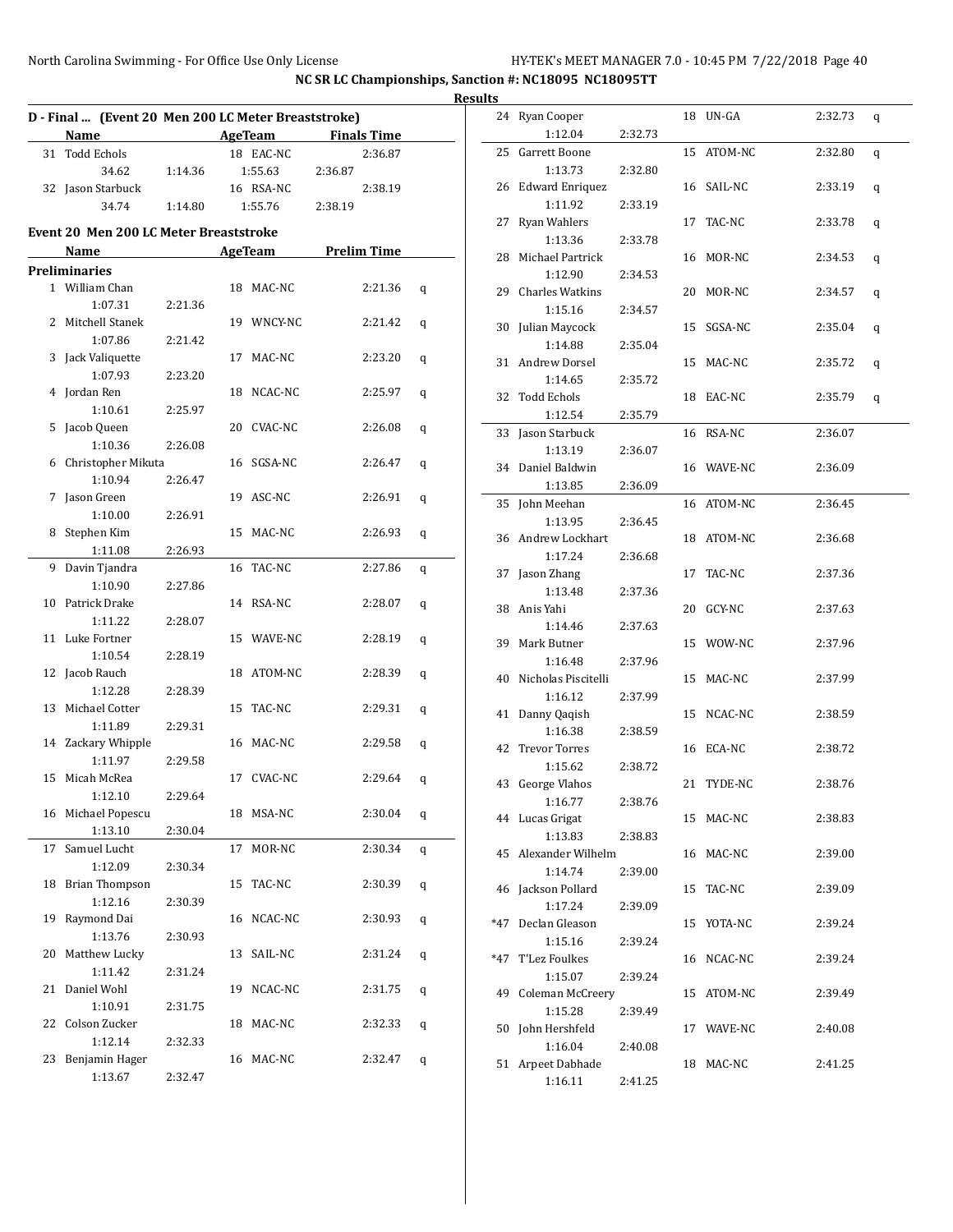|    | D - Final  (Event 20 Men 200 LC Meter Breaststroke)<br>Name | <u> 1990 - Jan Barbara Barat, prima popula</u> |    | AgeTeam        | <b>Finals Time</b> |   |
|----|-------------------------------------------------------------|------------------------------------------------|----|----------------|--------------------|---|
| 31 | <b>Todd Echols</b>                                          |                                                |    | 18 EAC-NC      | 2:36.87            |   |
|    | 34.62                                                       | 1:14.36                                        |    | 1:55.63        | 2:36.87            |   |
|    | 32 Jason Starbuck                                           |                                                |    | 16 RSA-NC      | 2:38.19            |   |
|    | 34.74                                                       | 1:14.80                                        |    | 1:55.76        | 2:38.19            |   |
|    |                                                             |                                                |    |                |                    |   |
|    | <b>Event 20 Men 200 LC Meter Breaststroke</b>               |                                                |    |                |                    |   |
|    | Name                                                        |                                                |    | <b>AgeTeam</b> | <b>Prelim Time</b> |   |
|    | <b>Preliminaries</b>                                        |                                                |    |                |                    |   |
|    | 1 William Chan                                              |                                                |    | 18 MAC-NC      | 2:21.36            | q |
|    | 1:07.31                                                     | 2:21.36                                        |    |                |                    |   |
|    | 2 Mitchell Stanek                                           |                                                |    | 19 WNCY-NC     | 2:21.42            | q |
|    | 1:07.86                                                     | 2:21.42                                        |    |                |                    |   |
| 3  | Jack Valiquette                                             |                                                | 17 | MAC-NC         | 2:23.20            | q |
|    | 1:07.93                                                     | 2:23.20                                        |    |                |                    |   |
| 4  | Jordan Ren                                                  |                                                |    | 18 NCAC-NC     | 2:25.97            | q |
|    | 1:10.61                                                     | 2:25.97                                        |    |                |                    |   |
| 5  | Jacob Queen                                                 |                                                |    | 20 CVAC-NC     | 2:26.08            | q |
|    | 1:10.36                                                     | 2:26.08                                        |    |                |                    |   |
| 6  | Christopher Mikuta                                          |                                                |    | 16 SGSA-NC     | 2:26.47            | q |
|    | 1:10.94                                                     | 2:26.47                                        |    |                |                    |   |
| 7  | Jason Green                                                 |                                                |    | 19 ASC-NC      | 2:26.91            | q |
|    | 1:10.00                                                     | 2:26.91                                        |    |                |                    |   |
| 8  | Stephen Kim                                                 |                                                |    | 15 MAC-NC      | 2:26.93            | q |
|    | 1:11.08                                                     | 2:26.93                                        |    |                |                    |   |
|    | 9 Davin Tjandra                                             |                                                | 16 | TAC-NC         | 2:27.86            | q |
|    | 1:10.90                                                     | 2:27.86                                        |    |                |                    |   |
|    | 10 Patrick Drake                                            |                                                |    | 14 RSA-NC      | 2:28.07            | q |
|    | 1:11.22                                                     | 2:28.07                                        |    |                |                    |   |
|    | 11 Luke Fortner                                             |                                                |    | 15 WAVE-NC     | 2:28.19            | q |
|    | 1:10.54                                                     | 2:28.19                                        |    |                |                    |   |
| 12 | Jacob Rauch                                                 |                                                |    | 18 ATOM-NC     | 2:28.39            | q |
|    | 1:12.28                                                     | 2:28.39                                        |    |                |                    |   |
| 13 | Michael Cotter                                              |                                                | 15 | TAC-NC         | 2:29.31            | q |
|    | 1:11.89                                                     | 2:29.31                                        |    |                |                    |   |
|    | 14 Zackary Whipple                                          |                                                |    | 16 MAC-NC      | 2:29.58            | q |
|    | 1:11.97                                                     | 2:29.58                                        |    |                |                    |   |
|    | 15 Micah McRea                                              |                                                |    | 17 CVAC-NC     | 2:29.64            | q |
|    | 1:12.10                                                     | 2:29.64                                        |    |                |                    |   |
|    | 16 Michael Popescu                                          |                                                |    | 18 MSA-NC      | 2:30.04            | q |
|    | 1:13.10                                                     | 2:30.04                                        |    |                |                    |   |
| 17 | Samuel Lucht                                                |                                                | 17 | MOR-NC         | 2:30.34            | q |
|    | 1:12.09                                                     | 2:30.34                                        |    |                |                    |   |
| 18 | <b>Brian Thompson</b>                                       |                                                | 15 | TAC-NC         | 2:30.39            | q |
|    | 1:12.16                                                     | 2:30.39                                        |    |                |                    |   |
| 19 | Raymond Dai                                                 |                                                |    | 16 NCAC-NC     | 2:30.93            | q |
|    | 1:13.76                                                     | 2:30.93                                        |    |                |                    |   |
| 20 | Matthew Lucky                                               |                                                |    | 13 SAIL-NC     | 2:31.24            | q |
|    | 1:11.42                                                     | 2:31.24                                        |    |                |                    |   |
| 21 | Daniel Wohl                                                 |                                                |    | 19 NCAC-NC     | 2:31.75            | q |
|    | 1:10.91                                                     | 2:31.75                                        |    |                |                    |   |
| 22 | Colson Zucker                                               |                                                | 18 | MAC-NC         | 2:32.33            | q |
|    | 1:12.14                                                     | 2:32.33                                        |    |                |                    |   |
| 23 | Benjamin Hager                                              |                                                |    | 16 MAC-NC      | 2:32.47            | q |
|    | 1:13.67                                                     | 2:32.47                                        |    |                |                    |   |

| <b>Results</b> |                               |         |            |         |   |
|----------------|-------------------------------|---------|------------|---------|---|
|                | 24 Ryan Cooper<br>1:12.04     | 2:32.73 | 18 UN-GA   | 2:32.73 | q |
|                | 25 Garrett Boone              |         | 15 ATOM-NC | 2:32.80 | q |
|                | 1:13.73                       | 2:32.80 |            |         |   |
|                | 26 Edward Enriquez            |         | 16 SAIL-NC | 2:33.19 | q |
|                | 1:11.92                       | 2:33.19 |            |         |   |
| 27             | <b>Ryan Wahlers</b>           |         | 17 TAC-NC  | 2:33.78 | q |
|                | 1:13.36                       | 2:33.78 |            |         |   |
|                | 28 Michael Partrick           | 2:34.53 | 16 MOR-NC  | 2:34.53 | q |
|                | 1:12.90<br>29 Charles Watkins |         | 20 MOR-NC  | 2:34.57 |   |
|                | 1:15.16                       | 2:34.57 |            |         | q |
|                | 30 Julian Maycock             |         | 15 SGSA-NC | 2:35.04 | q |
|                | 1:14.88                       | 2:35.04 |            |         |   |
|                | 31 Andrew Dorsel              |         | 15 MAC-NC  | 2:35.72 | q |
|                | 1:14.65                       | 2:35.72 |            |         |   |
|                | 32 Todd Echols                |         | 18 EAC-NC  | 2:35.79 | q |
|                | 1:12.54                       | 2:35.79 |            |         |   |
|                | 33 Jason Starbuck             |         | 16 RSA-NC  | 2:36.07 |   |
|                | 1:13.19                       | 2:36.07 |            |         |   |
|                | 34 Daniel Baldwin             |         | 16 WAVE-NC | 2:36.09 |   |
|                | 1:13.85                       | 2:36.09 |            |         |   |
|                | 35 John Meehan                |         | 16 ATOM-NC | 2:36.45 |   |
|                | 1:13.95                       | 2:36.45 |            |         |   |
|                | 36 Andrew Lockhart            |         | 18 ATOM-NC | 2:36.68 |   |
|                | 1:17.24                       | 2:36.68 |            |         |   |
|                | 37 Jason Zhang                |         | 17 TAC-NC  | 2:37.36 |   |
|                | 1:13.48                       | 2:37.36 |            |         |   |
|                | 38 Anis Yahi                  |         | 20 GCY-NC  | 2:37.63 |   |
|                | 1:14.46                       | 2:37.63 |            |         |   |
|                | 39 Mark Butner<br>1:16.48     | 2:37.96 | 15 WOW-NC  | 2:37.96 |   |
|                | 40 Nicholas Piscitelli        |         | 15 MAC-NC  | 2:37.99 |   |
|                | 1:16.12                       | 2:37.99 |            |         |   |
|                | 41 Danny Qaqish               |         | 15 NCAC-NC | 2:38.59 |   |
|                | 1:16.38                       | 2:38.59 |            |         |   |
|                | 42 Trevor Torres              |         | 16 ECA-NC  | 2:38.72 |   |
|                | 1:15.62                       | 2:38.72 |            |         |   |
|                | 43 George Vlahos              |         | 21 TYDE-NC | 2:38.76 |   |
|                | 1:16.77                       | 2:38.76 |            |         |   |
|                | 44 Lucas Grigat               |         | 15 MAC-NC  | 2:38.83 |   |
|                | 1:13.83                       | 2:38.83 |            |         |   |
|                | 45 Alexander Wilhelm          |         | 16 MAC-NC  | 2:39.00 |   |
|                | 1:14.74                       | 2:39.00 |            |         |   |
|                | 46 Jackson Pollard            |         | 15 TAC-NC  | 2:39.09 |   |
|                | 1:17.24                       | 2:39.09 |            |         |   |
|                | *47 Declan Gleason            |         | 15 YOTA-NC | 2:39.24 |   |
|                | 1:15.16                       | 2:39.24 |            |         |   |
|                | *47 T'Lez Foulkes<br>1:15.07  | 2:39.24 | 16 NCAC-NC | 2:39.24 |   |
|                | 49 Coleman McCreery           |         | 15 ATOM-NC | 2:39.49 |   |
|                | 1:15.28                       | 2:39.49 |            |         |   |
|                | 50 John Hershfeld             |         | 17 WAVE-NC | 2:40.08 |   |
|                | 1:16.04                       | 2:40.08 |            |         |   |
|                | 51 Arpeet Dabhade             |         | 18 MAC-NC  | 2:41.25 |   |
|                | 1:16.11                       | 2:41.25 |            |         |   |
|                |                               |         |            |         |   |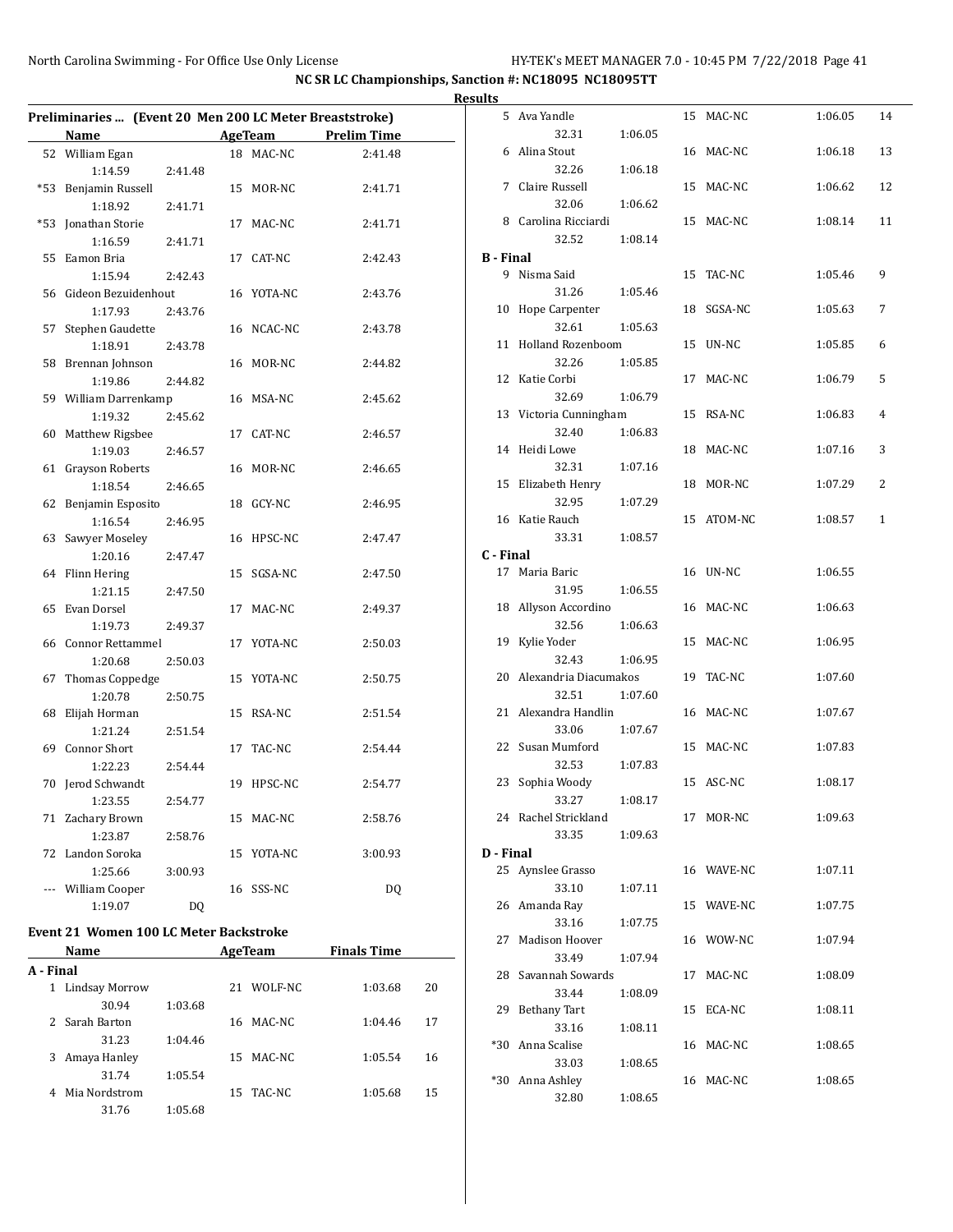| Preliminaries  (Event 20 Men 200 LC Meter Breaststroke) |                         |         |    |                |                    |  |  |  |  |
|---------------------------------------------------------|-------------------------|---------|----|----------------|--------------------|--|--|--|--|
|                                                         | Name                    |         |    | <b>AgeTeam</b> | <b>Prelim Time</b> |  |  |  |  |
| 52                                                      | William Egan            |         | 18 | MAC-NC         | 2:41.48            |  |  |  |  |
|                                                         | 1:14.59                 | 2:41.48 |    |                |                    |  |  |  |  |
| $*53$                                                   | Benjamin Russell        |         | 15 | MOR-NC         | 2:41.71            |  |  |  |  |
|                                                         | 1:18.92                 | 2:41.71 |    |                |                    |  |  |  |  |
| $*53$                                                   | Jonathan Storie         |         |    | 17 MAC-NC      | 2:41.71            |  |  |  |  |
|                                                         | 1:16.59                 | 2:41.71 |    |                |                    |  |  |  |  |
| 55                                                      | Eamon Bria              |         |    | 17 CAT-NC      | 2:42.43            |  |  |  |  |
|                                                         | 1:15.94                 | 2:42.43 |    |                |                    |  |  |  |  |
| 56                                                      | Gideon Bezuidenhout     |         |    | 16 YOTA-NC     | 2:43.76            |  |  |  |  |
|                                                         | 1:17.93                 | 2:43.76 |    |                |                    |  |  |  |  |
| 57                                                      | Stephen Gaudette        |         |    | 16 NCAC-NC     | 2:43.78            |  |  |  |  |
|                                                         | 1:18.91                 | 2:43.78 |    |                |                    |  |  |  |  |
| 58                                                      | Brennan Johnson         |         |    | 16 MOR-NC      | 2:44.82            |  |  |  |  |
|                                                         | 1:19.86                 | 2:44.82 |    |                |                    |  |  |  |  |
| 59                                                      | William Darrenkamp      |         |    | 16 MSA-NC      | 2:45.62            |  |  |  |  |
|                                                         | 1:19.32                 | 2:45.62 |    |                |                    |  |  |  |  |
| 60                                                      | Matthew Rigsbee         |         |    | 17 CAT-NC      | 2:46.57            |  |  |  |  |
|                                                         | 1:19.03                 | 2:46.57 |    |                |                    |  |  |  |  |
| 61                                                      | Grayson Roberts         |         |    | 16 MOR-NC      | 2:46.65            |  |  |  |  |
|                                                         | 1:18.54                 | 2:46.65 |    |                |                    |  |  |  |  |
| 62                                                      | Benjamin Esposito       |         |    | 18 GCY-NC      | 2:46.95            |  |  |  |  |
|                                                         | 1:16.54                 | 2:46.95 |    |                |                    |  |  |  |  |
| 63                                                      | Sawyer Moseley          |         |    | 16 HPSC-NC     | 2:47.47            |  |  |  |  |
|                                                         | 1:20.16                 | 2:47.47 |    |                |                    |  |  |  |  |
| 64                                                      | Flinn Hering            |         | 15 | SGSA-NC        | 2:47.50            |  |  |  |  |
|                                                         | 1:21.15                 | 2:47.50 |    |                |                    |  |  |  |  |
| 65                                                      | Evan Dorsel             |         | 17 | MAC-NC         | 2:49.37            |  |  |  |  |
|                                                         | 1:19.73                 | 2:49.37 |    |                |                    |  |  |  |  |
| 66                                                      | <b>Connor Rettammel</b> |         | 17 | YOTA-NC        | 2:50.03            |  |  |  |  |
|                                                         | 1:20.68                 | 2:50.03 |    |                |                    |  |  |  |  |
| 67                                                      | Thomas Coppedge         |         | 15 | YOTA-NC        | 2:50.75            |  |  |  |  |
|                                                         | 1:20.78                 | 2:50.75 |    |                |                    |  |  |  |  |
| 68                                                      | Elijah Horman           |         | 15 | RSA-NC         | 2:51.54            |  |  |  |  |
|                                                         | 1:21.24                 | 2:51.54 |    |                |                    |  |  |  |  |
| 69                                                      | Connor Short            |         | 17 | TAC-NC         | 2:54.44            |  |  |  |  |
|                                                         | 1:22.23                 | 2:54.44 |    |                |                    |  |  |  |  |
| 70                                                      | Jerod Schwandt          |         | 19 | HPSC-NC        | 2:54.77            |  |  |  |  |
|                                                         | 1:23.55                 | 2:54.77 |    |                |                    |  |  |  |  |
| 71                                                      | Zachary Brown           |         |    | 15 MAC-NC      | 2:58.76            |  |  |  |  |
|                                                         | 1:23.87                 | 2:58.76 |    |                |                    |  |  |  |  |
| 72                                                      | Landon Soroka           |         | 15 | YOTA-NC        | 3:00.93            |  |  |  |  |
|                                                         | 1:25.66                 | 3:00.93 |    |                |                    |  |  |  |  |
| ---                                                     | William Cooper          |         | 16 | SSS-NC         | DQ                 |  |  |  |  |
|                                                         | 1:19.07                 | DQ      |    |                |                    |  |  |  |  |

# **Event 21 Women 100 LC Meter Backstroke**

| Name      |                       |         |    | AgeTeam   | <b>Finals Time</b> |    |
|-----------|-----------------------|---------|----|-----------|--------------------|----|
| A - Final |                       |         |    |           |                    |    |
| 1         | <b>Lindsay Morrow</b> |         | 21 | WOLF-NC   | 1:03.68            | 20 |
|           | 30.94                 | 1:03.68 |    |           |                    |    |
| 2         | Sarah Barton          |         | 16 | MAC-NC    | 1:04.46            | 17 |
|           | 31.23                 | 1:04.46 |    |           |                    |    |
| 3         | Amaya Hanley          |         | 15 | MAC-NC    | 1:05.54            | 16 |
|           | 31.74                 | 1:05.54 |    |           |                    |    |
| 4         | Mia Nordstrom         |         |    | 15 TAC-NC | 1:05.68            | 15 |
|           | 31.76                 | 1:05.68 |    |           |                    |    |

| <b>Results</b>   |                               |         |            |         |              |
|------------------|-------------------------------|---------|------------|---------|--------------|
|                  | 5 Ava Yandle                  |         | 15 MAC-NC  | 1:06.05 | 14           |
|                  | 32.31                         | 1:06.05 |            |         |              |
|                  | 6 Alina Stout                 |         | 16 MAC-NC  | 1:06.18 | 13           |
|                  | 32.26                         | 1:06.18 |            |         |              |
|                  | 7 Claire Russell              |         | 15 MAC-NC  | 1:06.62 | 12           |
|                  | 32.06                         | 1:06.62 |            |         |              |
|                  | 8 Carolina Ricciardi          |         | 15 MAC-NC  | 1:08.14 | 11           |
|                  | 32.52                         | 1:08.14 |            |         |              |
| <b>B</b> - Final |                               |         |            |         |              |
|                  | 9 Nisma Said                  |         | 15 TAC-NC  | 1:05.46 | 9            |
|                  | 31.26                         | 1:05.46 |            |         |              |
|                  | 10 Hope Carpenter             |         | 18 SGSA-NC | 1:05.63 | 7            |
|                  | 32.61                         | 1:05.63 |            |         |              |
|                  | 11 Holland Rozenboom          |         | 15 UN-NC   | 1:05.85 | 6            |
|                  | 32.26                         | 1:05.85 |            |         |              |
|                  | 12 Katie Corbi                |         | 17 MAC-NC  | 1:06.79 | 5            |
|                  | 32.69                         | 1:06.79 |            |         |              |
|                  | 13 Victoria Cunningham        |         | 15 RSA-NC  | 1:06.83 | 4            |
|                  | 32.40                         | 1:06.83 |            |         |              |
|                  | 14 Heidi Lowe                 |         | 18 MAC-NC  | 1:07.16 | 3            |
|                  | 32.31<br>15 Elizabeth Henry   | 1:07.16 | 18 MOR-NC  | 1:07.29 | 2            |
|                  | 32.95                         | 1:07.29 |            |         |              |
|                  | 16 Katie Rauch                |         | 15 ATOM-NC | 1:08.57 | $\mathbf{1}$ |
|                  | 33.31                         | 1:08.57 |            |         |              |
| C - Final        |                               |         |            |         |              |
|                  | 17 Maria Baric                |         | 16 UN-NC   | 1:06.55 |              |
|                  | 31.95                         | 1:06.55 |            |         |              |
|                  | 18 Allyson Accordino          |         | 16 MAC-NC  | 1:06.63 |              |
|                  | 32.56                         | 1:06.63 |            |         |              |
|                  | 19 Kylie Yoder                |         | 15 MAC-NC  | 1:06.95 |              |
|                  | 32.43                         | 1:06.95 |            |         |              |
|                  | 20 Alexandria Diacumakos      |         | 19 TAC-NC  | 1:07.60 |              |
|                  | 32.51                         | 1:07.60 |            |         |              |
|                  | 21 Alexandra Handlin          |         | 16 MAC-NC  | 1:07.67 |              |
|                  | 33.06                         | 1:07.67 |            |         |              |
|                  | 22 Susan Mumford              |         | 15 MAC-NC  | 1:07.83 |              |
|                  | 32.53                         | 1:07.83 |            |         |              |
|                  | 23 Sophia Woody               |         | 15 ASC-NC  | 1:08.17 |              |
|                  | 33.27<br>24 Rachel Strickland | 1:08.17 | 17 MOR-NC  | 1:09.63 |              |
|                  | 33.35                         | 1:09.63 |            |         |              |
| D - Final        |                               |         |            |         |              |
|                  | 25 Aynslee Grasso             |         | 16 WAVE-NC | 1:07.11 |              |
|                  | 33.10                         | 1:07.11 |            |         |              |
|                  | 26 Amanda Ray                 |         | 15 WAVE-NC | 1:07.75 |              |
|                  | 33.16                         | 1:07.75 |            |         |              |
| 27               | Madison Hoover                |         | 16 WOW-NC  | 1:07.94 |              |
|                  | 33.49                         | 1:07.94 |            |         |              |
|                  | 28 Savannah Sowards           |         | 17 MAC-NC  | 1:08.09 |              |
|                  | 33.44                         | 1:08.09 |            |         |              |
|                  | 29 Bethany Tart               |         | 15 ECA-NC  | 1:08.11 |              |
|                  | 33.16                         | 1:08.11 |            |         |              |
|                  | *30 Anna Scalise              |         | 16 MAC-NC  | 1:08.65 |              |
|                  | 33.03                         | 1:08.65 |            |         |              |
|                  | *30 Anna Ashley               |         | 16 MAC-NC  | 1:08.65 |              |
|                  | 32.80                         | 1:08.65 |            |         |              |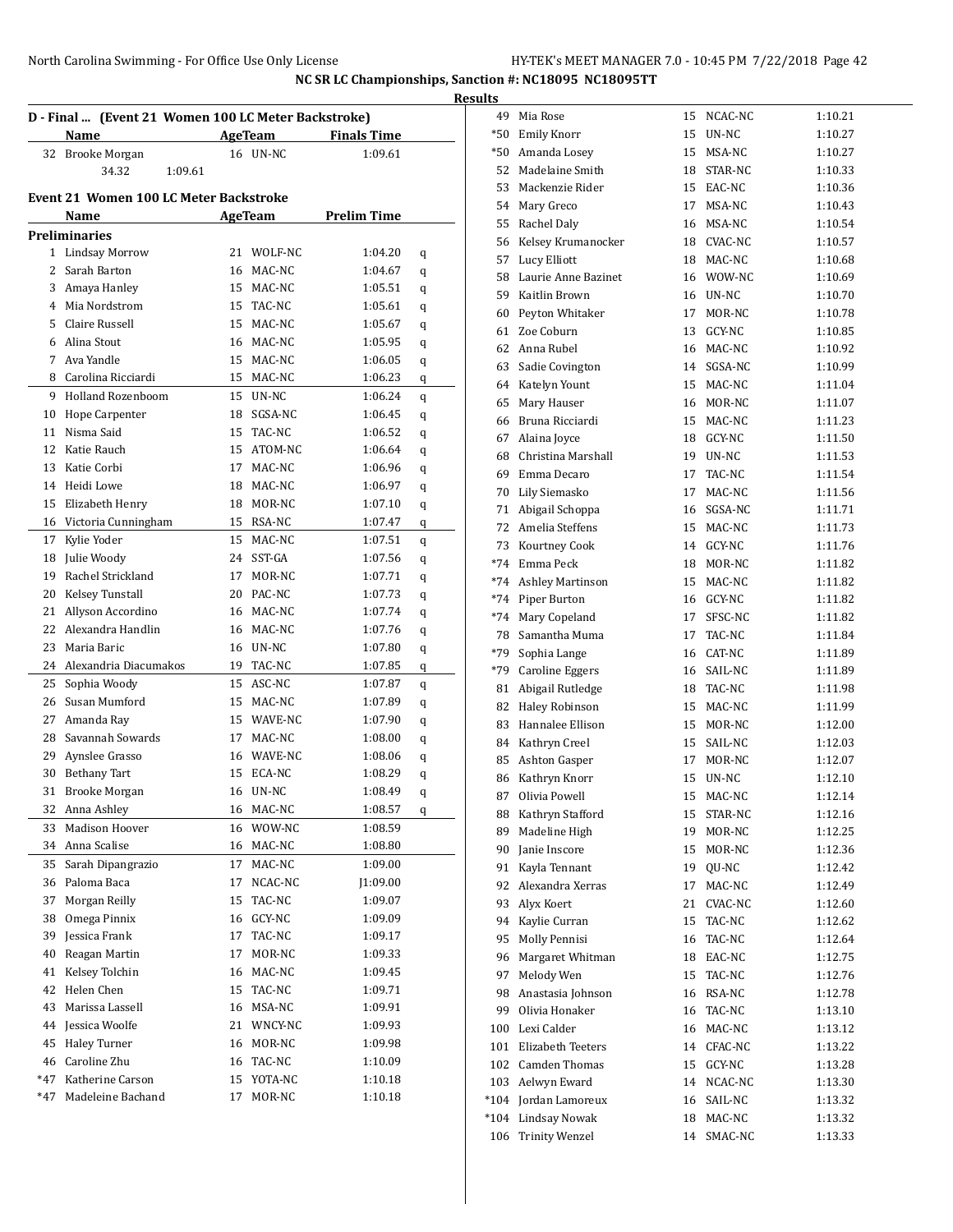|              | D - Final  (Event 21 Women 100 LC Meter Backstroke)<br>Name |    | <b>AgeTeam</b> | <b>Finals Time</b> |   |
|--------------|-------------------------------------------------------------|----|----------------|--------------------|---|
| 32           | Brooke Morgan                                               |    | 16 UN-NC       | 1:09.61            |   |
|              | 34.32<br>1:09.61                                            |    |                |                    |   |
|              |                                                             |    |                |                    |   |
|              | <b>Event 21 Women 100 LC Meter Backstroke</b>               |    |                |                    |   |
|              | Name                                                        |    | AgeTeam        | <b>Prelim Time</b> |   |
|              | <b>Preliminaries</b>                                        |    |                |                    |   |
| $\mathbf{1}$ | Lindsay Morrow                                              | 21 | WOLF-NC        | 1:04.20            | q |
| 2            | Sarah Barton                                                | 16 | MAC-NC         | 1:04.67            | q |
|              | 3 Amaya Hanley                                              | 15 | MAC-NC         | 1:05.51            | q |
|              | 4 Mia Nordstrom                                             | 15 | TAC-NC         | 1:05.61            | q |
| 5.           | Claire Russell                                              | 15 | MAC-NC         | 1:05.67            | q |
| 6            | Alina Stout                                                 | 16 | MAC-NC         | 1:05.95            | q |
| 7            | Ava Yandle                                                  | 15 | MAC-NC         | 1:06.05            | q |
| 8            | Carolina Ricciardi                                          | 15 | MAC-NC         | 1:06.23            | q |
| 9            | <b>Holland Rozenboom</b>                                    | 15 | UN-NC          | 1:06.24            | q |
| 10           | Hope Carpenter                                              | 18 | SGSA-NC        | 1:06.45            | q |
| 11           | Nisma Said                                                  | 15 | TAC-NC         | 1:06.52            | q |
| 12           | Katie Rauch                                                 | 15 | ATOM-NC        | 1:06.64            | q |
| 13           | Katie Corbi                                                 | 17 | MAC-NC         | 1:06.96            | q |
| 14           | Heidi Lowe                                                  | 18 | MAC-NC         | 1:06.97            | q |
| 15           | Elizabeth Henry                                             | 18 | MOR-NC         | 1:07.10            | q |
| 16           | Victoria Cunningham                                         | 15 | RSA-NC         | 1:07.47            | q |
| 17           | Kylie Yoder                                                 | 15 | MAC-NC         | 1:07.51            | q |
| 18           | Julie Woody                                                 | 24 | SST-GA         | 1:07.56            | q |
| 19           | Rachel Strickland                                           | 17 | MOR-NC         | 1:07.71            | q |
| 20           | Kelsey Tunstall                                             | 20 | PAC-NC         | 1:07.73            | q |
| 21           | Allyson Accordino                                           | 16 | MAC-NC         | 1:07.74            | q |
| 22           | Alexandra Handlin                                           | 16 | MAC-NC         | 1:07.76            | q |
| 23           | Maria Baric                                                 | 16 | UN-NC          | 1:07.80            | q |
| 24           | Alexandria Diacumakos                                       | 19 | TAC-NC         | 1:07.85            | q |
| 25           | Sophia Woody                                                | 15 | ASC-NC         | 1:07.87            | q |
| 26           | Susan Mumford                                               | 15 | MAC-NC         | 1:07.89            | q |
| 27           | Amanda Ray                                                  | 15 | WAVE-NC        | 1:07.90            | q |
| 28           | Savannah Sowards                                            | 17 | MAC-NC         | 1:08.00            | q |
| 29           | Aynslee Grasso                                              | 16 | WAVE-NC        | 1:08.06            | q |
| 30           | <b>Bethany Tart</b>                                         | 15 | ECA-NC         | 1:08.29            | q |
|              | 31 Brooke Morgan                                            |    | 16 UN-NC       | 1:08.49            | q |
|              | 32 Anna Ashley                                              |    | 16 MAC-NC      | 1:08.57            | q |
| 33           | Madison Hoover                                              | 16 | WOW-NC         | 1:08.59            |   |
| 34           | Anna Scalise                                                | 16 | MAC-NC         | 1:08.80            |   |
| 35           | Sarah Dipangrazio                                           | 17 | MAC-NC         | 1:09.00            |   |
| 36           | Paloma Baca                                                 | 17 | NCAC-NC        | J1:09.00           |   |
| 37           | Morgan Reilly                                               | 15 | TAC-NC         | 1:09.07            |   |
| 38           | Omega Pinnix                                                | 16 | GCY-NC         | 1:09.09            |   |
| 39           | Jessica Frank                                               | 17 | TAC-NC         | 1:09.17            |   |
| 40           | Reagan Martin                                               | 17 | MOR-NC         | 1:09.33            |   |
| 41           | Kelsey Tolchin                                              | 16 | MAC-NC         | 1:09.45            |   |
| 42           | Helen Chen                                                  | 15 | TAC-NC         | 1:09.71            |   |
| 43           | Marissa Lassell                                             | 16 | MSA-NC         | 1:09.91            |   |
| 44           | Jessica Woolfe                                              | 21 | WNCY-NC        | 1:09.93            |   |
| 45           | <b>Haley Turner</b>                                         | 16 | MOR-NC         | 1:09.98            |   |
| 46           | Caroline Zhu                                                | 16 | TAC-NC         | 1:10.09            |   |
| *47          | Katherine Carson                                            | 15 | YOTA-NC        | 1:10.18            |   |
| *47          | Madeleine Bachand                                           | 17 | MOR-NC         | 1:10.18            |   |

| sults! |                         |    |            |         |
|--------|-------------------------|----|------------|---------|
|        | 49 Mia Rose             | 15 | NCAC-NC    | 1:10.21 |
| $*50$  | <b>Emily Knorr</b>      | 15 | UN-NC      | 1:10.27 |
| *50    | Amanda Losey            | 15 | MSA-NC     | 1:10.27 |
| 52     | Madelaine Smith         | 18 | STAR-NC    | 1:10.33 |
| 53     | Mackenzie Rider         | 15 | EAC-NC     | 1:10.36 |
| 54     | Mary Greco              | 17 | MSA-NC     | 1:10.43 |
| 55     | Rachel Daly             | 16 | MSA-NC     | 1:10.54 |
|        | 56 Kelsey Krumanocker   |    | 18 CVAC-NC | 1:10.57 |
| 57     | Lucy Elliott            |    | 18 MAC-NC  | 1:10.68 |
| 58     | Laurie Anne Bazinet     |    | 16 WOW-NC  | 1:10.69 |
|        | 59 Kaitlin Brown        |    | 16 UN-NC   | 1:10.70 |
| 60     | Peyton Whitaker         | 17 | MOR-NC     | 1:10.78 |
| 61     | Zoe Coburn              |    | 13 GCY-NC  | 1:10.85 |
| 62     | Anna Rubel              |    | 16 MAC-NC  | 1:10.92 |
| 63     | Sadie Covington         | 14 | SGSA-NC    | 1:10.99 |
| 64     | Katelyn Yount           | 15 | MAC-NC     | 1:11.04 |
| 65     | Mary Hauser             | 16 | MOR-NC     | 1:11.07 |
| 66     | Bruna Ricciardi         | 15 | MAC-NC     | 1:11.23 |
| 67     | Alaina Joyce            |    | 18 GCY-NC  | 1:11.50 |
| 68     | Christina Marshall      | 19 | UN-NC      | 1:11.53 |
| 69     | Emma Decaro             | 17 | TAC-NC     | 1:11.54 |
|        | Lily Siemasko           | 17 | MAC-NC     | 1:11.56 |
| 70     |                         |    |            |         |
| 71     | Abigail Schoppa         | 16 | SGSA-NC    | 1:11.71 |
| 72     | Amelia Steffens         |    | 15 MAC-NC  | 1:11.73 |
|        | 73 Kourtney Cook        |    | 14 GCY-NC  | 1:11.76 |
|        | *74 Emma Peck           | 18 | MOR-NC     | 1:11.82 |
| *74    | <b>Ashley Martinson</b> | 15 | MAC-NC     | 1:11.82 |
| *74    | Piper Burton            | 16 | GCY-NC     | 1:11.82 |
| $*74$  | Mary Copeland           | 17 | SFSC-NC    | 1:11.82 |
|        | 78 Samantha Muma        | 17 | TAC-NC     | 1:11.84 |
| *79    | Sophia Lange            | 16 | CAT-NC     | 1:11.89 |
| *79    | <b>Caroline Eggers</b>  |    | 16 SAIL-NC | 1:11.89 |
| 81     | Abigail Rutledge        |    | 18 TAC-NC  | 1:11.98 |
| 82     | Haley Robinson          |    | 15 MAC-NC  | 1:11.99 |
| 83     | Hannalee Ellison        |    | 15 MOR-NC  | 1:12.00 |
| 84     | Kathryn Creel           | 15 | SAIL-NC    | 1:12.03 |
| 85     | Ashton Gasper           | 17 | MOR-NC     | 1:12.07 |
| 86     | Kathryn Knorr           | 15 | UN-NC      | 1:12.10 |
| 87     | Olivia Powell           | 15 | MAC-NC     | 1:12.14 |
| 88     | Kathryn Stafford        | 15 | STAR-NC    | 1:12.16 |
| 89     | Madeline High           | 19 | MOR-NC     | 1:12.25 |
| 90     | Janie Inscore           | 15 | MOR-NC     | 1:12.36 |
| 91     | Kayla Tennant           | 19 | QU-NC      | 1:12.42 |
| 92     | Alexandra Xerras        | 17 | MAC-NC     | 1:12.49 |
| 93     | Alyx Koert              | 21 | CVAC-NC    | 1:12.60 |
| 94     | Kaylie Curran           | 15 | TAC-NC     | 1:12.62 |
| 95     | Molly Pennisi           | 16 | TAC-NC     | 1:12.64 |
| 96     | Margaret Whitman        | 18 | EAC-NC     | 1:12.75 |
| 97     | Melody Wen              | 15 | TAC-NC     | 1:12.76 |
| 98     | Anastasia Johnson       |    | 16 RSA-NC  | 1:12.78 |
| 99     | Olivia Honaker          | 16 |            |         |
|        |                         |    | TAC-NC     | 1:13.10 |
| 100    | Lexi Calder             | 16 | MAC-NC     | 1:13.12 |
| 101    | Elizabeth Teeters       | 14 | CFAC-NC    | 1:13.22 |
| 102    | <b>Camden Thomas</b>    | 15 | GCY-NC     | 1:13.28 |
| 103    | Aelwyn Eward            | 14 | NCAC-NC    | 1:13.30 |
| $*104$ | Jordan Lamoreux         | 16 | SAIL-NC    | 1:13.32 |
| $*104$ | <b>Lindsay Nowak</b>    | 18 | MAC-NC     | 1:13.32 |
| 106    | <b>Trinity Wenzel</b>   | 14 | SMAC-NC    | 1:13.33 |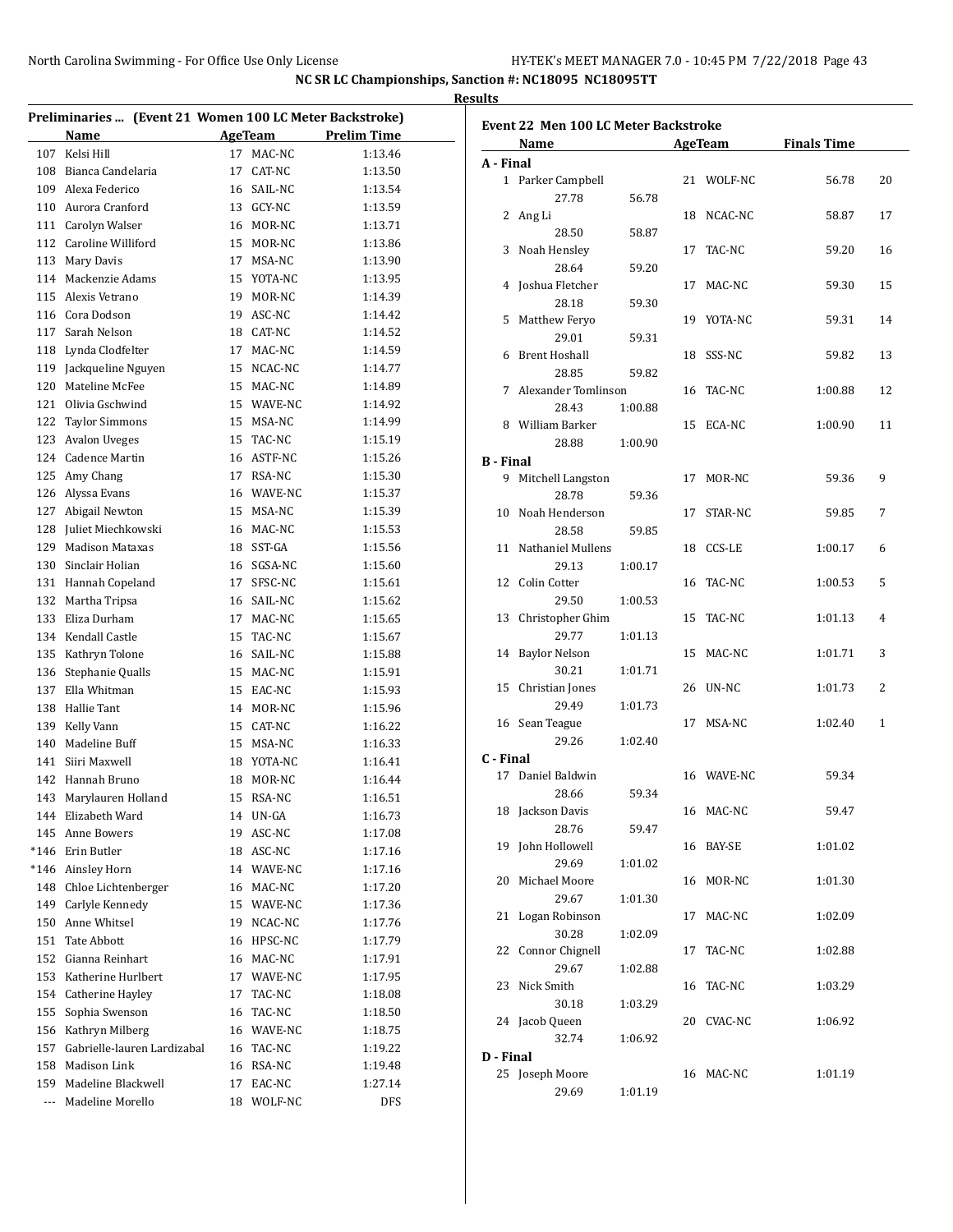|          |                                                                 |                            |                    | <b>Results</b>                              |            |                    |              |
|----------|-----------------------------------------------------------------|----------------------------|--------------------|---------------------------------------------|------------|--------------------|--------------|
|          | Preliminaries  (Event 21 Women 100 LC Meter Backstroke)<br>Name | AgeTeam                    | <b>Prelim Time</b> | <b>Event 22 Men 100 LC Meter Backstroke</b> |            |                    |              |
| 107      | Kelsi Hill                                                      | 17 MAC-NC                  | 1:13.46            | Name                                        | AgeTeam    | <b>Finals Time</b> |              |
| 108      | Bianca Candelaria                                               | CAT-NC<br>17               | 1:13.50            | A - Final                                   |            |                    |              |
| 109      | Alexa Federico                                                  | SAIL-NC<br>16              | 1:13.54            | 1 Parker Campbell                           | 21 WOLF-NC | 56.78              | 20           |
| 110      | Aurora Cranford                                                 | <b>GCY-NC</b><br>13        | 1:13.59            | 27.78<br>56.78                              |            |                    |              |
| 111      | Carolyn Walser                                                  | 16 MOR-NC                  | 1:13.71            | 2 Ang Li                                    | 18 NCAC-NC | 58.87              | 17           |
| 112      | Caroline Williford                                              | 15 MOR-NC                  | 1:13.86            | 28.50<br>58.87                              |            |                    |              |
| 113      | Mary Davis                                                      | 17 MSA-NC                  | 1:13.90            | 3 Noah Hensley                              | 17 TAC-NC  | 59.20              | 16           |
| 114      | Mackenzie Adams                                                 | YOTA-NC<br>15              | 1:13.95            | 28.64<br>59.20                              |            |                    |              |
| 115      | Alexis Vetrano                                                  | MOR-NC<br>19               | 1:14.39            | 4 Joshua Fletcher                           | 17 MAC-NC  | 59.30              | 15           |
| 116      | Cora Dodson                                                     | ASC-NC<br>19               | 1:14.42            | 28.18<br>59.30                              |            |                    |              |
| 117      | Sarah Nelson                                                    | CAT-NC<br>18               | 1:14.52            | 5 Matthew Feryo                             | 19 YOTA-NC | 59.31              | 14           |
| 118      | Lynda Clodfelter                                                | MAC-NC<br>17               | 1:14.59            | 29.01<br>59.31                              |            |                    |              |
| 119      | Jackqueline Nguyen                                              | NCAC-NC<br>15              | 1:14.77            | 6 Brent Hoshall                             | 18 SSS-NC  | 59.82              | 13           |
| 120      | Mateline McFee                                                  | MAC-NC<br>15               | 1:14.89            | 28.85<br>59.82                              |            |                    |              |
| 121      | Olivia Gschwind                                                 | WAVE-NC<br>15              | 1:14.92            | 7 Alexander Tomlinson                       | 16 TAC-NC  | 1:00.88            | 12           |
| 122      | <b>Taylor Simmons</b>                                           | MSA-NC<br>15               | 1:14.99            | 28.43<br>1:00.88<br>William Barker<br>8     |            |                    |              |
| 123      | <b>Avalon Uveges</b>                                            | TAC-NC<br>15               | 1:15.19            |                                             | 15 ECA-NC  | 1:00.90            | 11           |
| 124      | Cadence Martin                                                  | 16 ASTF-NC                 | 1:15.26            | 28.88<br>1:00.90                            |            |                    |              |
| 125      | Amy Chang                                                       | 17 RSA-NC                  | 1:15.30            | <b>B</b> - Final                            | 17 MOR-NC  | 59.36              | 9            |
| 126      | Alyssa Evans                                                    | WAVE-NC<br>16              | 1:15.37            | 9 Mitchell Langston<br>28.78<br>59.36       |            |                    |              |
| 127      | Abigail Newton                                                  | 15 MSA-NC                  | 1:15.39            | 10 Noah Henderson                           | 17 STAR-NC | 59.85              | 7            |
| 128      | Juliet Miechkowski                                              | MAC-NC<br>16               | 1:15.53            | 28.58<br>59.85                              |            |                    |              |
| 129      | <b>Madison Mataxas</b>                                          | SST-GA<br>18               | 1:15.56            | 11 Nathaniel Mullens                        |            |                    | 6            |
| 130      | Sinclair Holian                                                 | SGSA-NC<br>16              | 1:15.60            | 29.13<br>1:00.17                            | 18 CCS-LE  | 1:00.17            |              |
| 131      | Hannah Copeland                                                 | SFSC-NC<br>17              | 1:15.61            | 12 Colin Cotter                             | 16 TAC-NC  | 1:00.53            | 5            |
| 132      | Martha Tripsa                                                   | SAIL-NC<br>16              | 1:15.62            | 29.50<br>1:00.53                            |            |                    |              |
| 133      | Eliza Durham                                                    | MAC-NC<br>17               | 1:15.65            | 13 Christopher Ghim                         | 15 TAC-NC  | 1:01.13            | 4            |
|          | Kendall Castle                                                  | TAC-NC                     | 1:15.67            | 29.77<br>1:01.13                            |            |                    |              |
| 134      |                                                                 | 15                         |                    | 14 Baylor Nelson                            | 15 MAC-NC  | 1:01.71            | 3            |
| 135      | Kathryn Tolone                                                  | SAIL-NC<br>16<br>15 MAC-NC | 1:15.88            | 30.21<br>1:01.71                            |            |                    |              |
| 136      | Stephanie Qualls<br>Ella Whitman                                | 15 EAC-NC                  | 1:15.91            | 15 Christian Jones                          | 26 UN-NC   | 1:01.73            | 2            |
| 137      |                                                                 |                            | 1:15.93            | 29.49<br>1:01.73                            |            |                    |              |
| 138      | Hallie Tant                                                     | 14 MOR-NC                  | 1:15.96            | 16 Sean Teague                              | 17 MSA-NC  | 1:02.40            | $\mathbf{1}$ |
| 139      | Kelly Vann                                                      | CAT-NC<br>15               | 1:16.22            | 29.26<br>1:02.40                            |            |                    |              |
| 140      | Madeline Buff                                                   | MSA-NC<br>15               | 1:16.33            | C - Final                                   |            |                    |              |
| 141      | Siiri Maxwell                                                   | YOTA-NC<br>18              | 1:16.41            | 17 Daniel Baldwin                           | 16 WAVE-NC | 59.34              |              |
|          | 142 Hannah Bruno                                                | MOR-NC<br>18               | 1:16.44            | 28.66<br>59.34                              |            |                    |              |
|          | 143 Marylauren Holland                                          | 15 RSA-NC                  | 1:16.51            | 18 Jackson Davis                            | 16 MAC-NC  | 59.47              |              |
|          | 144 Elizabeth Ward                                              | 14 UN-GA                   | 1:16.73            | 28.76<br>59.47                              |            |                    |              |
|          | 145 Anne Bowers                                                 | 19 ASC-NC                  | 1:17.08            | 19 John Hollowell                           | 16 BAY-SE  | 1:01.02            |              |
| *146     | Erin Butler                                                     | 18 ASC-NC                  | 1:17.16            | 1:01.02<br>29.69                            |            |                    |              |
|          | *146 Ainsley Horn                                               | 14 WAVE-NC                 | 1:17.16            | 20 Michael Moore                            | 16 MOR-NC  | 1:01.30            |              |
| 148      | Chloe Lichtenberger                                             | 16 MAC-NC                  | 1:17.20            | 29.67<br>1:01.30                            |            |                    |              |
| 149      | Carlyle Kennedy                                                 | 15 WAVE-NC                 | 1:17.36            | 21 Logan Robinson                           | 17 MAC-NC  | 1:02.09            |              |
| 150      | Anne Whitsel                                                    | 19 NCAC-NC                 | 1:17.76            | 30.28<br>1:02.09                            |            |                    |              |
| 151      | <b>Tate Abbott</b>                                              | 16 HPSC-NC                 | 1:17.79            | 22 Connor Chignell                          | 17 TAC-NC  | 1:02.88            |              |
| 152      | Gianna Reinhart                                                 | 16 MAC-NC                  | 1:17.91            | 29.67<br>1:02.88                            |            |                    |              |
| 153      | Katherine Hurlbert                                              | WAVE-NC<br>17              | 1:17.95            | 23 Nick Smith                               | 16 TAC-NC  | 1:03.29            |              |
|          | 154 Catherine Hayley                                            | TAC-NC<br>17               | 1:18.08            | 30.18<br>1:03.29                            |            |                    |              |
| 155      | Sophia Swenson                                                  | TAC-NC<br>16               | 1:18.50            | 24 Jacob Queen                              | 20 CVAC-NC | 1:06.92            |              |
| 156      | Kathryn Milberg                                                 | 16 WAVE-NC                 | 1:18.75            | 1:06.92<br>32.74                            |            |                    |              |
| 157      | Gabrielle-lauren Lardizabal                                     | 16 TAC-NC                  | 1:19.22            | D - Final                                   |            |                    |              |
| 158      | Madison Link                                                    | 16 RSA-NC                  | 1:19.48            | 25 Joseph Moore                             | 16 MAC-NC  | 1:01.19            |              |
| 159      | Madeline Blackwell                                              | 17 EAC-NC                  | 1:27.14            | 1:01.19<br>29.69                            |            |                    |              |
| $\cdots$ | Madeline Morello                                                | 18 WOLF-NC                 | DFS                |                                             |            |                    |              |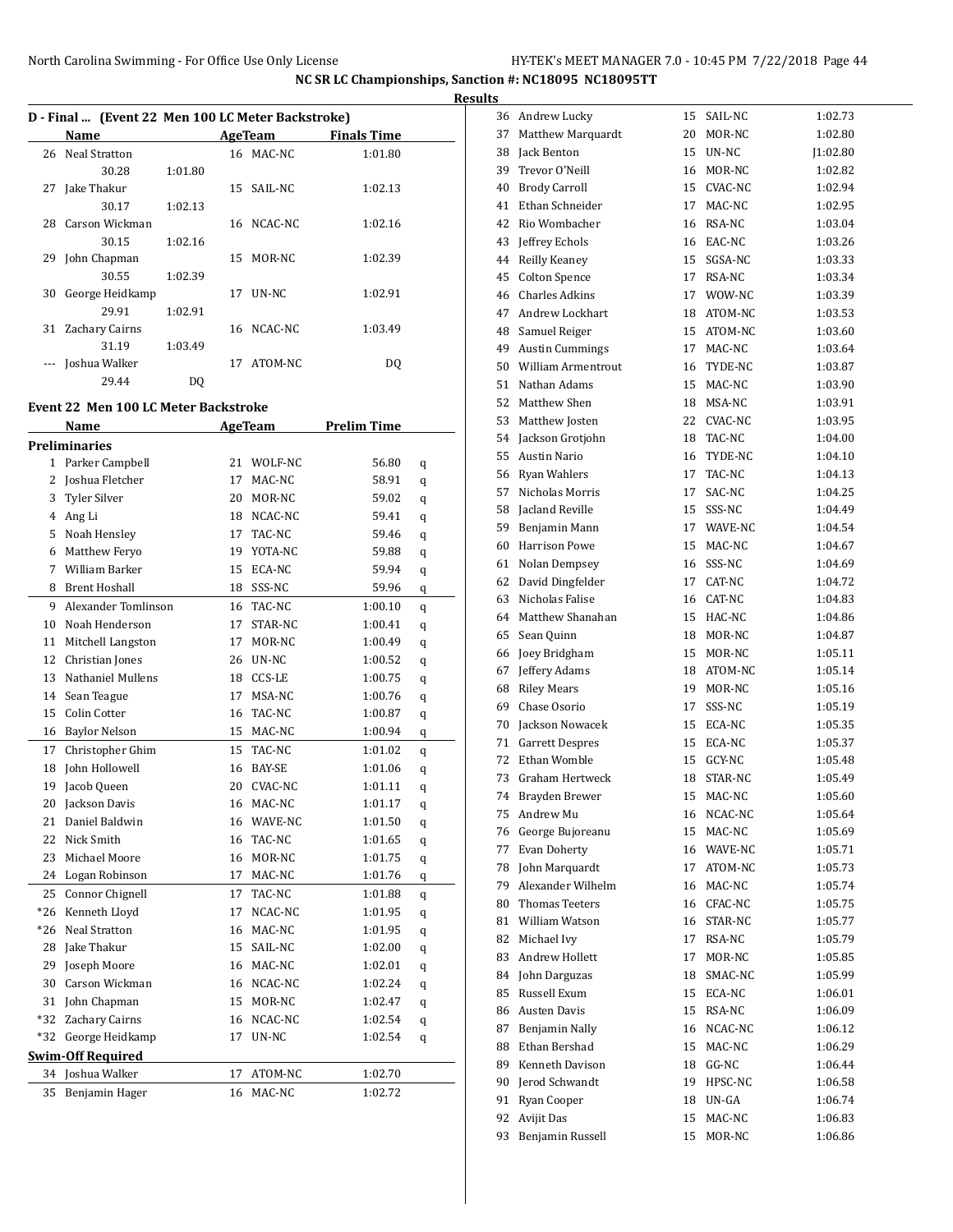$\overline{a}$ 

**NC SR LC Championships, Sanction #: NC18095 NC18095TT**

|    | D - Final  (Event 22 Men 100 LC Meter Backstroke) |         |                 |                    |  |
|----|---------------------------------------------------|---------|-----------------|--------------------|--|
|    | Name                                              |         | AgeTeam         | <b>Finals Time</b> |  |
|    | 26 Neal Stratton                                  |         | 16 MAC-NC       | 1:01.80            |  |
|    | 30.28                                             | 1:01.80 |                 |                    |  |
| 27 | Jake Thakur                                       |         | 15 SAIL-NC      | 1:02.13            |  |
|    | 30.17                                             | 1:02.13 |                 |                    |  |
|    | 28 Carson Wickman                                 |         | 16 NCAC-NC      | 1:02.16            |  |
|    | 30.15                                             | 1:02.16 |                 |                    |  |
| 29 | John Chapman                                      |         | 15 MOR-NC       | 1:02.39            |  |
|    | 30.55                                             | 1:02.39 |                 |                    |  |
| 30 | George Heidkamp                                   |         | 17 <b>UN-NC</b> | 1:02.91            |  |
|    | 29.91                                             | 1:02.91 |                 |                    |  |
| 31 | Zachary Cairns                                    |         | 16 NCAC-NC      | 1:03.49            |  |
|    | 31.19                                             | 1:03.49 |                 |                    |  |
|    | Joshua Walker                                     |         | 17 ATOM-NC      | DO                 |  |
|    | 29.44                                             | DO      |                 |                    |  |

### **Event 22 Men 100 LC Meter Backstroke**

|              | Name                     |    | <b>AgeTeam</b> | <b>Prelim Time</b> |   |
|--------------|--------------------------|----|----------------|--------------------|---|
|              | <b>Preliminaries</b>     |    |                |                    |   |
| $\mathbf{1}$ | Parker Campbell          | 21 | WOLF-NC        | 56.80              | q |
| 2            | Joshua Fletcher          | 17 | MAC-NC         | 58.91              | q |
| 3            | <b>Tyler Silver</b>      | 20 | MOR-NC         | 59.02              | q |
| 4            | Ang Li                   | 18 | NCAC-NC        | 59.41              | q |
| 5            | Noah Hensley             | 17 | TAC-NC         | 59.46              | q |
| 6            | Matthew Feryo            | 19 | YOTA-NC        | 59.88              | q |
| 7            | William Barker           | 15 | ECA-NC         | 59.94              | q |
| 8            | <b>Brent Hoshall</b>     | 18 | SSS-NC         | 59.96              | q |
| 9            | Alexander Tomlinson      | 16 | TAC-NC         | 1:00.10            | q |
| 10           | Noah Henderson           | 17 | STAR-NC        | 1:00.41            | q |
| 11           | Mitchell Langston        | 17 | MOR-NC         | 1:00.49            | q |
| 12           | Christian Jones          | 26 | UN-NC          | 1:00.52            | q |
| 13           | Nathaniel Mullens        | 18 | CCS-LE         | 1:00.75            | q |
| 14           | Sean Teague              | 17 | MSA-NC         | 1:00.76            | q |
| 15           | Colin Cotter             | 16 | TAC-NC         | 1:00.87            | q |
| 16           | <b>Baylor Nelson</b>     | 15 | MAC-NC         | 1:00.94            | q |
| 17           | Christopher Ghim         | 15 | TAC-NC         | 1:01.02            | q |
| 18           | John Hollowell           | 16 | <b>BAY-SE</b>  | 1:01.06            | q |
| 19           | Jacob Queen              | 20 | <b>CVAC-NC</b> | 1:01.11            | q |
| 20           | Jackson Davis            | 16 | MAC-NC         | 1:01.17            | q |
| 21           | Daniel Baldwin           | 16 | WAVE-NC        | 1:01.50            | q |
| 22           | Nick Smith               | 16 | TAC-NC         | 1:01.65            | q |
| 23           | Michael Moore            | 16 | MOR-NC         | 1:01.75            | q |
| 24           | Logan Robinson           | 17 | MAC-NC         | 1:01.76            | q |
| 25           | Connor Chignell          | 17 | TAC-NC         | 1:01.88            | q |
| *26          | Kenneth Lloyd            | 17 | NCAC-NC        | 1:01.95            | q |
| $*26$        | <b>Neal Stratton</b>     | 16 | MAC-NC         | 1:01.95            | q |
| 28           | Jake Thakur              | 15 | SAIL-NC        | 1:02.00            | q |
| 29           | Joseph Moore             | 16 | MAC-NC         | 1:02.01            | q |
| 30           | Carson Wickman           | 16 | NCAC-NC        | 1:02.24            | q |
| 31           | John Chapman             | 15 | MOR-NC         | 1:02.47            | q |
| $*32$        | Zachary Cairns           | 16 | NCAC-NC        | 1:02.54            | q |
| $*32$        | George Heidkamp          | 17 | UN-NC          | 1:02.54            | q |
|              | <b>Swim-Off Required</b> |    |                |                    |   |
| 34           | Joshua Walker            | 17 | ATOM-NC        | 1:02.70            |   |
| 35           | Benjamin Hager           | 16 | MAC-NC         | 1:02.72            |   |
|              |                          |    |                |                    |   |

| <b>Results</b> |                       |    |            |         |
|----------------|-----------------------|----|------------|---------|
|                | 36 Andrew Lucky       |    | 15 SAIL-NC | 1:02.73 |
| 37             | Matthew Marquardt     | 20 | MOR-NC     | 1:02.80 |
|                | 38 Jack Benton        |    | 15 UN-NC   | 1:02.80 |
|                | 39 Trevor O'Neill     |    | 16 MOR-NC  | 1:02.82 |
|                | 40 Brody Carroll      |    | 15 CVAC-NC | 1:02.94 |
|                | 41 Ethan Schneider    |    | 17 MAC-NC  | 1:02.95 |
|                | 42 Rio Wombacher      |    | 16 RSA-NC  | 1:03.04 |
|                | 43 Jeffrey Echols     |    | 16 EAC-NC  | 1:03.26 |
|                | 44 Reilly Keaney      | 15 | SGSA-NC    | 1:03.33 |
| 45             | Colton Spence         |    | 17 RSA-NC  | 1:03.34 |
|                | 46 Charles Adkins     |    | 17 WOW-NC  | 1:03.39 |
|                | 47 Andrew Lockhart    |    | 18 ATOM-NC | 1:03.53 |
|                | 48 Samuel Reiger      |    | 15 ATOM-NC | 1:03.60 |
|                | 49 Austin Cummings    |    | 17 MAC-NC  | 1:03.64 |
|                | 50 William Armentrout |    | 16 TYDE-NC | 1:03.87 |
|                | 51 Nathan Adams       |    | 15 MAC-NC  | 1:03.90 |
|                | 52 Matthew Shen       |    | 18 MSA-NC  | 1:03.91 |
|                | 53 Matthew Josten     |    | 22 CVAC-NC | 1:03.95 |
|                | 54 Jackson Grotjohn   |    | 18 TAC-NC  | 1:04.00 |
|                | 55 Austin Nario       |    | 16 TYDE-NC | 1:04.10 |
|                | 56 Ryan Wahlers       | 17 | TAC-NC     | 1:04.13 |
| 57             | Nicholas Morris       | 17 | SAC-NC     | 1:04.25 |
|                | 58 Jacland Reville    | 15 | SSS-NC     | 1:04.49 |
|                | 59 Benjamin Mann      |    | 17 WAVE-NC | 1:04.54 |
|                | 60 Harrison Powe      |    | 15 MAC-NC  | 1:04.67 |
|                | 61 Nolan Dempsey      |    | 16 SSS-NC  | 1:04.69 |
|                | 62 David Dingfelder   |    | 17 CAT-NC  | 1:04.72 |
|                | 63 Nicholas Falise    |    | 16 CAT-NC  | 1:04.83 |
|                | 64 Matthew Shanahan   |    | 15 HAC-NC  | 1:04.86 |
|                | 65 Sean Quinn         |    | 18 MOR-NC  | 1:04.87 |
|                | 66 Joey Bridgham      |    | 15 MOR-NC  | 1:05.11 |
|                | 67 Jeffery Adams      |    | 18 ATOM-NC | 1:05.14 |
|                | 68 Riley Mears        | 19 | MOR-NC     | 1:05.16 |
|                | 69 Chase Osorio       | 17 | SSS-NC     | 1:05.19 |
|                | 70 Jackson Nowacek    |    | 15 ECA-NC  | 1:05.35 |
| 71             | Garrett Despres       |    | 15 ECA-NC  | 1:05.37 |
| 72             | Ethan Womble          | 15 | GCY-NC     | 1:05.48 |
| 73             | Graham Hertweck       | 18 | STAR-NC    | 1:05.49 |
|                | 74 Brayden Brewer     |    | 15 MAC-NC  | 1:05.60 |
|                | 75 Andrew Mu          |    | 16 NCAC-NC | 1:05.64 |
|                | 76 George Bujoreanu   |    | 15 MAC-NC  | 1:05.69 |
| 77             | Evan Doherty          |    | 16 WAVE-NC | 1:05.71 |
| 78             | John Marquardt        | 17 | ATOM-NC    | 1:05.73 |
| 79             | Alexander Wilhelm     | 16 | MAC-NC     | 1:05.74 |
| 80             | <b>Thomas Teeters</b> |    | 16 CFAC-NC | 1:05.75 |
| 81             | William Watson        | 16 | STAR-NC    | 1:05.77 |
| 82             | Michael Ivy           | 17 | RSA-NC     | 1:05.79 |
| 83             | Andrew Hollett        | 17 | MOR-NC     | 1:05.85 |
|                | 84 John Darguzas      | 18 | SMAC-NC    | 1:05.99 |
|                | 85 Russell Exum       |    | 15 ECA-NC  | 1:06.01 |
|                | 86 Austen Davis       |    | 15 RSA-NC  | 1:06.09 |
| 87             | Benjamin Nally        |    | 16 NCAC-NC | 1:06.12 |
|                | 88 Ethan Bershad      |    | 15 MAC-NC  | 1:06.29 |
| 89             | Kenneth Davison       |    | 18 GG-NC   | 1:06.44 |
|                | 90 Jerod Schwandt     | 19 | HPSC-NC    | 1:06.58 |
| 91             | Ryan Cooper           | 18 | UN-GA      | 1:06.74 |
| 92             | Avijit Das            | 15 | MAC-NC     | 1:06.83 |
| 93             | Benjamin Russell      | 15 | MOR-NC     | 1:06.86 |
|                |                       |    |            |         |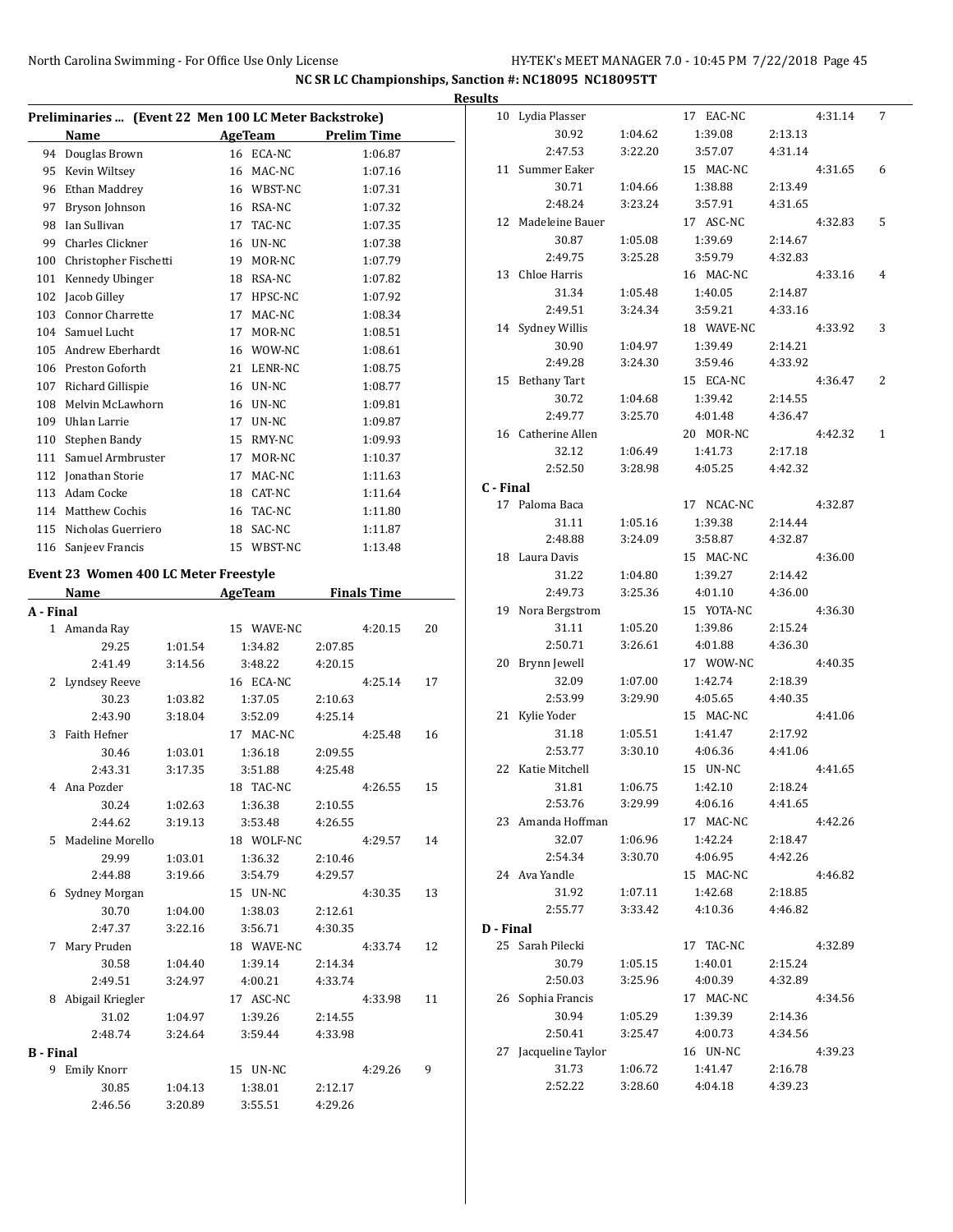|           |                                                       |         |    |                |         |                    | R  |
|-----------|-------------------------------------------------------|---------|----|----------------|---------|--------------------|----|
|           | Preliminaries  (Event 22 Men 100 LC Meter Backstroke) |         |    |                |         |                    |    |
|           | Name                                                  |         |    | AgeTeam        |         | <b>Prelim Time</b> |    |
|           | 94 Douglas Brown                                      |         |    | 16 ECA-NC      |         | 1:06.87            |    |
|           | 95 Kevin Wiltsey                                      |         |    | 16 MAC-NC      |         | 1:07.16            |    |
|           | 96 Ethan Maddrey                                      |         |    | 16 WBST-NC     |         | 1:07.31            |    |
| 97        | Bryson Johnson                                        |         |    | 16 RSA-NC      |         | 1:07.32            |    |
| 98        | Ian Sullivan                                          |         |    | 17 TAC-NC      |         | 1:07.35            |    |
| 99        | Charles Clickner                                      |         |    | 16 UN-NC       |         | 1:07.38            |    |
|           | 100 Christopher Fischetti                             |         |    | 19 MOR-NC      |         | 1:07.79            |    |
| 101       | Kennedy Ubinger                                       |         |    | 18 RSA-NC      |         | 1:07.82            |    |
| 102       | Jacob Gilley                                          |         |    | 17 HPSC-NC     |         | 1:07.92            |    |
| 103       | <b>Connor Charrette</b>                               |         | 17 | MAC-NC         |         | 1:08.34            |    |
|           | 104 Samuel Lucht                                      |         | 17 | MOR-NC         |         | 1:08.51            |    |
| 105       | Andrew Eberhardt                                      |         |    | 16 WOW-NC      |         | 1:08.61            |    |
|           | 106 Preston Goforth                                   |         |    | 21 LENR-NC     |         | 1:08.75            |    |
| 107       | Richard Gillispie                                     |         |    | 16 UN-NC       |         | 1:08.77            |    |
|           | 108 Melvin McLawhorn                                  |         |    | 16 UN-NC       |         | 1:09.81            |    |
| 109       | Uhlan Larrie                                          |         |    | 17 UN-NC       |         | 1:09.87            |    |
|           | 110 Stephen Bandy                                     |         |    | 15 RMY-NC      |         | 1:09.93            |    |
|           | 111 Samuel Armbruster                                 |         |    | 17 MOR-NC      |         | 1:10.37            |    |
|           | 112 Ionathan Storie                                   |         | 17 | MAC-NC         |         | 1:11.63            |    |
|           | 113 Adam Cocke                                        |         |    | 18 CAT-NC      |         | 1:11.64            |    |
|           | 114 Matthew Cochis                                    |         |    | 16 TAC-NC      |         | 1:11.80            |    |
|           | 115 Nicholas Guerriero                                |         | 18 | SAC-NC         |         | 1:11.87            |    |
|           | 116 Sanjeev Francis                                   |         |    | 15 WBST-NC     |         | 1:13.48            |    |
|           |                                                       |         |    |                |         |                    |    |
|           | Event 23 Women 400 LC Meter Freestyle                 |         |    |                |         |                    |    |
|           | Name                                                  |         |    | <b>AgeTeam</b> |         | <b>Finals Time</b> |    |
| A - Final |                                                       |         |    |                |         |                    |    |
| 1         | Amanda Ray                                            |         |    | 15 WAVE-NC     |         | 4:20.15            | 20 |
|           | 29.25                                                 | 1:01.54 |    | 1:34.82        | 2:07.85 |                    |    |
|           | 2:41.49                                               | 3:14.56 |    | 3:48.22        | 4:20.15 |                    |    |
| 2         | Lyndsey Reeve                                         |         |    | 16 ECA-NC      |         | 4:25.14            | 17 |
|           | 30.23                                                 | 1:03.82 |    | 1:37.05        | 2:10.63 |                    |    |
|           | 2:43.90                                               | 3:18.04 |    | 3:52.09        | 4:25.14 |                    |    |
| 3         | Faith Hefner                                          |         | 17 | MAC-NC         |         | 4:25.48            | 16 |
|           | 30.46                                                 | 1:03.01 |    | 1:36.18        | 2:09.55 |                    |    |
|           | 2:43.31                                               | 3:17.35 |    | 3:51.88        | 4:25.48 |                    |    |
| 4         | Ana Pozder                                            |         |    | 18 TAC-NC      |         | 4:26.55            | 15 |
|           | 30.24                                                 | 1:02.63 |    | 1:36.38        | 2:10.55 |                    |    |
|           | 2:44.62                                               | 3:19.13 |    | 3:53.48        | 4:26.55 |                    |    |
| 5         | Madeline Morello                                      |         |    | 18 WOLF-NC     |         | 4:29.57            | 14 |
|           | 29.99                                                 | 1:03.01 |    | 1:36.32        | 2:10.46 |                    |    |
|           | 2:44.88                                               | 3:19.66 |    | 3:54.79        | 4:29.57 |                    |    |
|           | 6 Sydney Morgan                                       |         |    | 15 UN-NC       |         | 4:30.35            | 13 |
|           | 30.70                                                 | 1:04.00 |    | 1:38.03        | 2:12.61 |                    |    |
|           | 2:47.37                                               | 3:22.16 |    | 3:56.71        | 4:30.35 |                    |    |
| 7         | Mary Pruden                                           |         |    | 18 WAVE-NC     |         | 4:33.74            | 12 |
|           | 30.58                                                 | 1:04.40 |    | 1:39.14        | 2:14.34 |                    |    |
|           | 2:49.51                                               | 3:24.97 |    | 4:00.21        | 4:33.74 |                    |    |
| 8         | Abigail Kriegler                                      |         |    | 17 ASC-NC      |         | 4:33.98            | 11 |
|           | 31.02                                                 | 1:04.97 |    | 1:39.26        | 2:14.55 |                    |    |
|           | 2:48.74                                               | 3:24.64 |    | 3:59.44        | 4:33.98 |                    |    |
| B - Final |                                                       |         |    |                |         |                    |    |
|           | 9 Emily Knorr                                         |         |    | 15 UN-NC       |         | 4:29.26            | 9  |
|           | 30.85                                                 | 1:04.13 |    | 1:38.01        | 2:12.17 |                    |    |
|           | 2:46.56                                               | 3:20.89 |    | 3:55.51        | 4:29.26 |                    |    |

| <b>Results</b> |                         |                    |                      |         |         |                |
|----------------|-------------------------|--------------------|----------------------|---------|---------|----------------|
|                | 10 Lydia Plasser        |                    | 17 EAC-NC            |         | 4:31.14 | 7              |
|                | 30.92                   | 1:04.62            | 1:39.08              | 2:13.13 |         |                |
|                | 2:47.53                 | 3:22.20            | 3:57.07              | 4:31.14 |         |                |
|                | 11 Summer Eaker         |                    | 15 MAC-NC            |         | 4:31.65 | 6              |
|                | 30.71                   | 1:04.66            | 1:38.88              | 2:13.49 |         |                |
|                | 2:48.24                 | 3:23.24            | 3:57.91              | 4:31.65 |         |                |
|                | 12 Madeleine Bauer      |                    | 17 ASC-NC            |         | 4:32.83 | 5              |
|                | 30.87                   | 1:05.08            | 1:39.69              | 2:14.67 |         |                |
|                | 2:49.75                 | 3:25.28            | 3:59.79              | 4:32.83 |         |                |
|                | 13 Chloe Harris         |                    | 16 MAC-NC            |         | 4:33.16 | $\overline{4}$ |
|                | 31.34                   | 1:05.48            | 1:40.05              | 2:14.87 |         |                |
|                | 2:49.51                 | 3:24.34            | 3:59.21              | 4:33.16 |         |                |
|                | 14 Sydney Willis        |                    | 18 WAVE-NC           |         | 4:33.92 | 3              |
|                | 30.90                   | 1:04.97            | 1:39.49              | 2:14.21 |         |                |
|                | 2:49.28                 | 3:24.30            | 3:59.46              | 4:33.92 |         |                |
|                | 15 Bethany Tart         |                    | 15 ECA-NC            |         | 4:36.47 | 2              |
|                | 30.72                   | 1:04.68            | 1:39.42              | 2:14.55 |         |                |
|                | 2:49.77                 | 3:25.70            | 4:01.48              | 4:36.47 |         |                |
|                | 16 Catherine Allen      |                    | 20 MOR-NC            |         | 4:42.32 | $\mathbf{1}$   |
|                | 32.12                   | 1:06.49            | 1:41.73              | 2:17.18 |         |                |
|                | 2:52.50                 | 3:28.98            | 4:05.25              | 4:42.32 |         |                |
| C - Final      |                         |                    |                      |         |         |                |
|                | 17 Paloma Baca          |                    | 17 NCAC-NC           |         | 4:32.87 |                |
|                | 31.11                   | 1:05.16            | 1:39.38              | 2:14.44 |         |                |
|                | 2:48.88                 | 3:24.09            | 3:58.87              | 4:32.87 |         |                |
|                | 18 Laura Davis<br>31.22 |                    | 15 MAC-NC<br>1:39.27 | 2:14.42 | 4:36.00 |                |
|                | 2:49.73                 | 1:04.80<br>3:25.36 | 4:01.10              | 4:36.00 |         |                |
|                | 19 Nora Bergstrom       |                    | 15 YOTA-NC           |         | 4:36.30 |                |
|                | 31.11                   | 1:05.20            | 1:39.86              | 2:15.24 |         |                |
|                | 2:50.71                 | 3:26.61            | 4:01.88              | 4:36.30 |         |                |
|                | 20 Brynn Jewell         |                    | 17 WOW-NC            |         | 4:40.35 |                |
|                | 32.09                   | 1:07.00            | 1:42.74              | 2:18.39 |         |                |
|                | 2:53.99                 | 3:29.90            | 4:05.65              | 4:40.35 |         |                |
|                | 21 Kylie Yoder          |                    | 15 MAC-NC            |         | 4:41.06 |                |
|                | 31.18                   | 1:05.51            | 1:41.47              | 2:17.92 |         |                |
|                | 2:53.77                 | 3:30.10            | 4:06.36              | 4:41.06 |         |                |
|                | 22 Katie Mitchell       |                    | 15 UN-NC             |         | 4:41.65 |                |
|                | 31.81                   | 1:06.75            | 1:42.10              | 2:18.24 |         |                |
|                | 2:53.76                 | 3:29.99            | 4:06.16              | 4:41.65 |         |                |
|                | 23 Amanda Hoffman       |                    | 17 MAC-NC            |         | 4:42.26 |                |
|                | 32.07                   | 1:06.96            | 1:42.24              | 2:18.47 |         |                |
|                | 2:54.34                 | 3:30.70            | 4:06.95              | 4:42.26 |         |                |
|                | 24 Ava Yandle           |                    | 15 MAC-NC            |         | 4:46.82 |                |
|                | 31.92                   | 1:07.11            | 1:42.68              | 2:18.85 |         |                |
|                | 2:55.77                 | 3:33.42            | 4:10.36              | 4:46.82 |         |                |
| D - Final      | 25 Sarah Pilecki        |                    | 17 TAC-NC            |         | 4:32.89 |                |
|                | 30.79                   | 1:05.15            | 1:40.01              | 2:15.24 |         |                |
|                | 2:50.03                 | 3:25.96            | 4:00.39              | 4:32.89 |         |                |
|                | 26 Sophia Francis       |                    | 17 MAC-NC            |         | 4:34.56 |                |
|                | 30.94                   | 1:05.29            | 1:39.39              | 2:14.36 |         |                |
|                | 2:50.41                 | 3:25.47            | 4:00.73              | 4:34.56 |         |                |
|                | 27 Jacqueline Taylor    |                    | 16 UN-NC             |         | 4:39.23 |                |
|                | 31.73                   | 1:06.72            | 1:41.47              | 2:16.78 |         |                |
|                | 2:52.22                 | 3:28.60            | 4:04.18              | 4:39.23 |         |                |
|                |                         |                    |                      |         |         |                |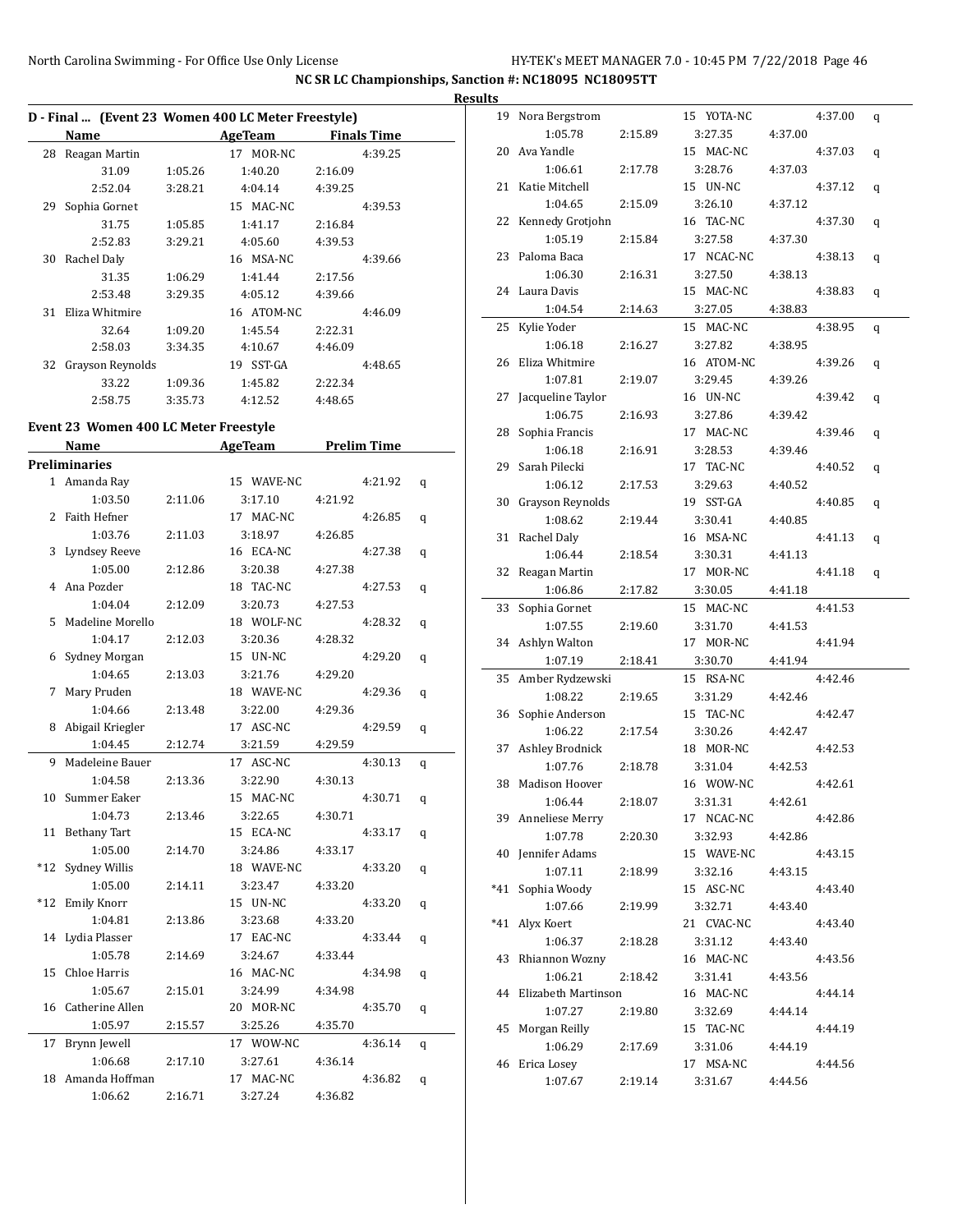L

**NC SR LC Championships, Sanction #: NC18095 NC18095TT**

|    |                  | D - Final  (Event 23 Women 400 LC Meter Freestyle) |            |                    |  |  |  |
|----|------------------|----------------------------------------------------|------------|--------------------|--|--|--|
|    | Name             |                                                    | AgeTeam    | <b>Finals Time</b> |  |  |  |
| 28 | Reagan Martin    |                                                    | 17 MOR-NC  | 4:39.25            |  |  |  |
|    | 31.09            | 1:05.26                                            | 1:40.20    | 2:16.09            |  |  |  |
|    | 2:52.04          | 3:28.21                                            | 4:04.14    | 4:39.25            |  |  |  |
| 29 | Sophia Gornet    |                                                    | 15 MAC-NC  | 4:39.53            |  |  |  |
|    | 31.75            | 1:05.85                                            | 1:41.17    | 2:16.84            |  |  |  |
|    | 2:52.83          | 3:29.21                                            | 4:05.60    | 4:39.53            |  |  |  |
| 30 | Rachel Daly      |                                                    | 16 MSA-NC  | 4:39.66            |  |  |  |
|    | 31.35            | 1:06.29                                            | 1:41.44    | 2:17.56            |  |  |  |
|    | 2:53.48          | 3:29.35                                            | 4:05.12    | 4:39.66            |  |  |  |
| 31 | Eliza Whitmire   |                                                    | 16 ATOM-NC | 4:46.09            |  |  |  |
|    | 32.64            | 1:09.20                                            | 1:45.54    | 2:22.31            |  |  |  |
|    | 2:58.03          | 3:34.35                                            | 4:10.67    | 4:46.09            |  |  |  |
| 32 | Grayson Reynolds |                                                    | 19 SST-GA  | 4:48.65            |  |  |  |
|    | 33.22            | 1:09.36                                            | 1:45.82    | 2:22.34            |  |  |  |
|    | 2:58.75          | 3:35.73                                            | 4:12.52    | 4:48.65            |  |  |  |

#### **Event 23 Women 400 LC Meter Freestyle**

|                | Name                 |         | <b>AgeTeam</b><br><b>Prelim Time</b> |         |   |
|----------------|----------------------|---------|--------------------------------------|---------|---|
|                | <b>Preliminaries</b> |         |                                      |         |   |
|                | 1 Amanda Ray         |         | 15 WAVE-NC                           | 4:21.92 | q |
|                | 1:03.50              | 2:11.06 | 3:17.10                              | 4:21.92 |   |
| $\overline{c}$ | Faith Hefner         |         | 17 MAC-NC                            | 4:26.85 | q |
|                | 1:03.76              | 2:11.03 | 3:18.97                              | 4:26.85 |   |
| 3              | Lyndsey Reeve        |         | 16 ECA-NC                            | 4:27.38 | q |
|                | 1:05.00              | 2:12.86 | 3:20.38                              | 4:27.38 |   |
| 4              | Ana Pozder           |         | 18 TAC-NC                            | 4:27.53 | q |
|                | 1:04.04              | 2:12.09 | 3:20.73                              | 4:27.53 |   |
| 5              | Madeline Morello     |         | 18 WOLF-NC                           | 4:28.32 | q |
|                | 1:04.17              | 2:12.03 | 3:20.36                              | 4:28.32 |   |
| 6              | Sydney Morgan        |         | 15 UN-NC                             | 4:29.20 | q |
|                | 1:04.65              | 2:13.03 | 3:21.76                              | 4:29.20 |   |
| 7              | Mary Pruden          |         | 18 WAVE-NC                           | 4:29.36 | q |
|                | 1:04.66              | 2:13.48 | 3:22.00                              | 4:29.36 |   |
| 8              | Abigail Kriegler     |         | 17 ASC-NC                            | 4:29.59 | q |
|                | 1:04.45              | 2:12.74 | 3:21.59                              | 4:29.59 |   |
| 9              | Madeleine Bauer      |         | 17 ASC-NC                            | 4:30.13 | q |
|                | 1:04.58              | 2:13.36 | 3:22.90                              | 4:30.13 |   |
| 10             | Summer Eaker         |         | 15 MAC-NC                            | 4:30.71 | q |
|                | 1:04.73              | 2:13.46 | 3:22.65                              | 4:30.71 |   |
| 11             | <b>Bethany Tart</b>  |         | 15 ECA-NC                            | 4:33.17 | q |
|                | 1:05.00              | 2:14.70 | 3:24.86                              | 4:33.17 |   |
| $*12$          | Sydney Willis        |         | 18 WAVE-NC                           | 4:33.20 | q |
|                | 1:05.00              | 2:14.11 | 3:23.47                              | 4:33.20 |   |
| $*12$          | <b>Emily Knorr</b>   |         | 15 UN-NC                             | 4:33.20 | q |
|                | 1:04.81              | 2:13.86 | 3:23.68                              | 4:33.20 |   |
| 14             | Lydia Plasser        |         | 17 EAC-NC                            | 4:33.44 | q |
|                | 1:05.78              | 2:14.69 | 3:24.67                              | 4:33.44 |   |
| 15             | Chloe Harris         |         | 16 MAC-NC                            | 4:34.98 | q |
|                | 1:05.67              | 2:15.01 | 3:24.99                              | 4:34.98 |   |
| 16             | Catherine Allen      |         | 20 MOR-NC                            | 4:35.70 | q |
|                | 1:05.97              | 2:15.57 | 3:25.26                              | 4:35.70 |   |
| 17             | Brynn Jewell         |         | 17 WOW-NC                            | 4:36.14 | q |
|                | 1:06.68              | 2:17.10 | 3:27.61                              | 4:36.14 |   |
| 18             | Amanda Hoffman       |         | MAC-NC<br>17                         | 4:36.82 | q |
|                | 1:06.62              | 2:16.71 | 3:27.24                              | 4:36.82 |   |

| <b>Results</b> |                             |         |                      |         |         |   |
|----------------|-----------------------------|---------|----------------------|---------|---------|---|
|                | 19 Nora Bergstrom           |         | 15 YOTA-NC           |         | 4:37.00 | q |
|                | 1:05.78                     | 2:15.89 | 3:27.35              | 4:37.00 |         |   |
| 20             | Ava Yandle                  |         | 15 MAC-NC            |         | 4:37.03 | q |
|                | 1:06.61                     | 2:17.78 | 3:28.76              | 4:37.03 |         |   |
|                | 21 Katie Mitchell           |         | 15 UN-NC             |         | 4:37.12 | q |
|                | 1:04.65                     | 2:15.09 | 3:26.10              | 4:37.12 |         |   |
|                | 22 Kennedy Grotjohn         |         | 16 TAC-NC            |         | 4:37.30 | q |
|                | 1:05.19                     | 2:15.84 | 3:27.58              | 4:37.30 |         |   |
|                | 23 Paloma Baca              |         | 17 NCAC-NC           |         | 4:38.13 | q |
|                | 1:06.30                     | 2:16.31 | 3:27.50              | 4:38.13 |         |   |
|                | 24 Laura Davis              |         | 15 MAC-NC            |         | 4:38.83 | q |
|                | 1:04.54                     | 2:14.63 | 3:27.05              | 4:38.83 |         |   |
|                | 25 Kylie Yoder              |         | 15 MAC-NC            |         | 4:38.95 | q |
|                | 1:06.18                     | 2:16.27 | 3:27.82              | 4:38.95 |         |   |
|                | 26 Eliza Whitmire           |         | 16 ATOM-NC           |         | 4:39.26 | q |
|                | 1:07.81                     | 2:19.07 | 3:29.45              | 4:39.26 |         |   |
|                | 27 Jacqueline Taylor        |         | 16 UN-NC             |         | 4:39.42 | q |
|                | 1:06.75                     | 2:16.93 | 3:27.86              | 4:39.42 |         |   |
|                | 28 Sophia Francis           |         | 17 MAC-NC            |         | 4:39.46 | q |
|                | 1:06.18                     | 2:16.91 | 3:28.53              | 4:39.46 |         |   |
|                | 29 Sarah Pilecki            |         | 17 TAC-NC            |         | 4:40.52 | q |
|                | 1:06.12                     | 2:17.53 | 3:29.63              | 4:40.52 |         |   |
|                | 30 Grayson Reynolds         |         | 19 SST-GA            |         | 4:40.85 | q |
|                | 1:08.62                     | 2:19.44 | 3:30.41              | 4:40.85 |         |   |
|                | 31 Rachel Daly              |         | 16 MSA-NC            |         | 4:41.13 | q |
|                | 1:06.44                     | 2:18.54 | 3:30.31              | 4:41.13 |         |   |
|                | 32 Reagan Martin            |         | 17 MOR-NC            |         | 4:41.18 | q |
|                | 1:06.86                     | 2:17.82 | 3:30.05              | 4:41.18 |         |   |
| 33             | Sophia Gornet               |         | 15 MAC-NC            |         | 4:41.53 |   |
|                | 1:07.55                     | 2:19.60 | 3:31.70<br>17 MOR-NC | 4:41.53 |         |   |
|                | 34 Ashlyn Walton<br>1:07.19 |         |                      | 4:41.94 | 4:41.94 |   |
|                | 35 Amber Rydzewski          | 2:18.41 | 3:30.70<br>15 RSA-NC |         | 4:42.46 |   |
|                | 1:08.22                     | 2:19.65 | 3:31.29              | 4:42.46 |         |   |
|                | 36 Sophie Anderson          |         | 15 TAC-NC            |         | 4:42.47 |   |
|                | 1:06.22                     | 2:17.54 | 3:30.26              | 4:42.47 |         |   |
|                | 37 Ashley Brodnick          |         | 18 MOR-NC            |         | 4:42.53 |   |
|                | 1:07.76                     | 2:18.78 | 3:31.04              | 4:42.53 |         |   |
|                | 38 Madison Hoover           |         | 16 WOW-NC            |         | 4:42.61 |   |
|                | 1:06.44                     | 2:18.07 | 3:31.31              | 4:42.61 |         |   |
|                | 39 Anneliese Merry          |         | 17 NCAC-NC           |         | 4:42.86 |   |
|                | 1:07.78                     | 2:20.30 | 3:32.93              | 4:42.86 |         |   |
|                | 40 Jennifer Adams           |         | 15 WAVE-NC           |         | 4:43.15 |   |
|                | 1:07.11                     | 2:18.99 | 3:32.16              | 4:43.15 |         |   |
|                | *41 Sophia Woody            |         | 15 ASC-NC            |         | 4:43.40 |   |
|                | 1:07.66                     | 2:19.99 | 3:32.71              | 4:43.40 |         |   |
|                | *41 Alyx Koert              |         | 21 CVAC-NC           |         | 4:43.40 |   |
|                | 1:06.37                     | 2:18.28 | 3:31.12              | 4:43.40 |         |   |
|                | 43 Rhiannon Wozny           |         | 16 MAC-NC            |         | 4:43.56 |   |
|                | 1:06.21                     | 2:18.42 | 3:31.41              | 4:43.56 |         |   |
|                | 44 Elizabeth Martinson      |         | 16 MAC-NC            |         | 4:44.14 |   |
|                | 1:07.27                     | 2:19.80 | 3:32.69              | 4:44.14 |         |   |
|                | 45 Morgan Reilly            |         | 15 TAC-NC            |         | 4:44.19 |   |
|                | 1:06.29                     | 2:17.69 | 3:31.06              | 4:44.19 |         |   |
|                | 46 Erica Losey              |         | 17 MSA-NC            |         | 4:44.56 |   |
|                | 1:07.67                     | 2:19.14 | 3:31.67              | 4:44.56 |         |   |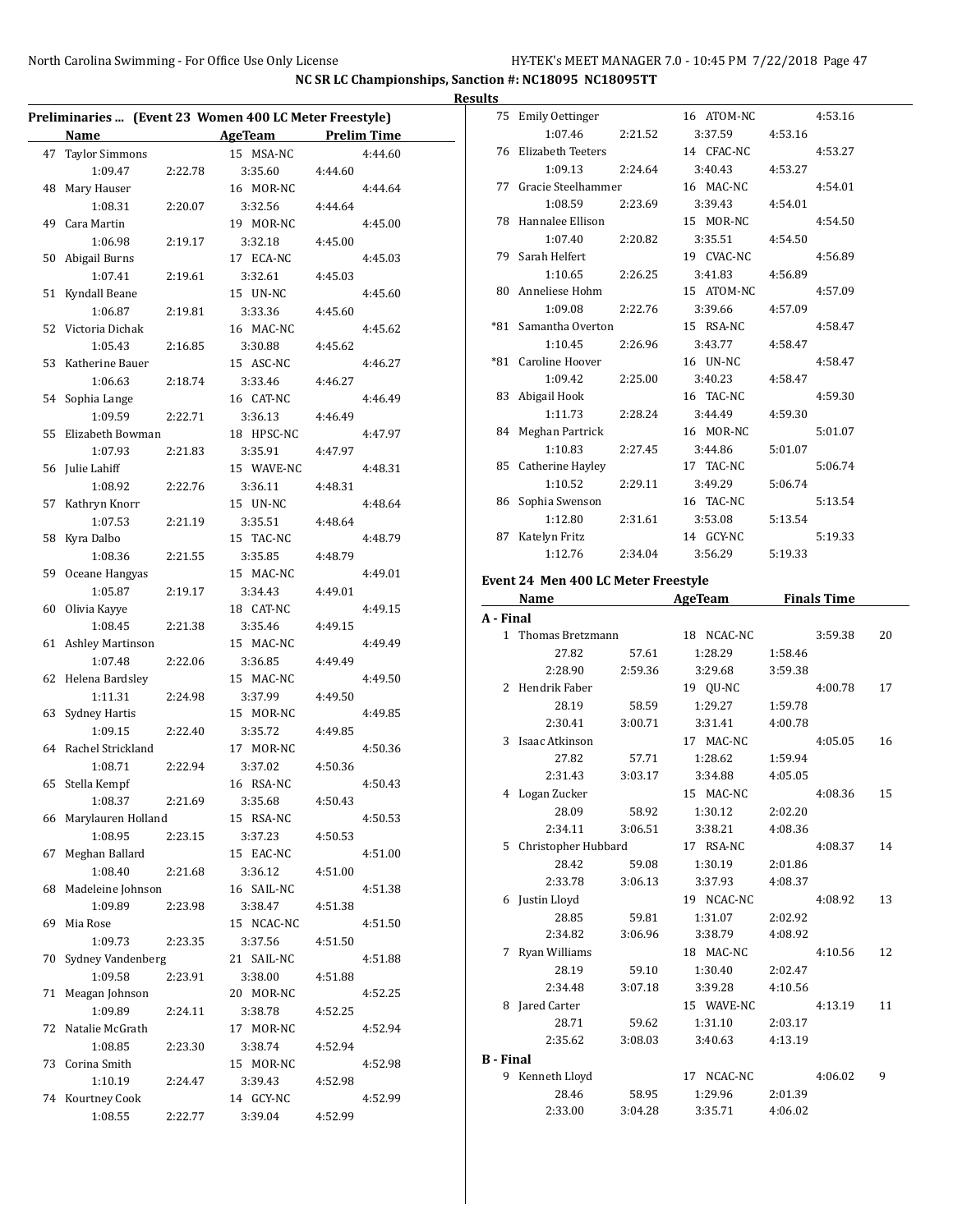| Preliminaries  (Event 23 Women 400 LC Meter Freestyle) |                         |         |                     |         |         |  |  |  |
|--------------------------------------------------------|-------------------------|---------|---------------------|---------|---------|--|--|--|
|                                                        | Name                    |         | AgeTeam Prelim Time |         |         |  |  |  |
| 47                                                     | <b>Taylor Simmons</b>   |         | 15 MSA-NC           |         | 4:44.60 |  |  |  |
|                                                        | 1:09.47                 | 2:22.78 | 3:35.60             | 4:44.60 |         |  |  |  |
| 48                                                     | Mary Hauser             |         | 16 MOR-NC           |         | 4:44.64 |  |  |  |
|                                                        | 1:08.31                 | 2:20.07 | 3:32.56             | 4:44.64 |         |  |  |  |
| 49                                                     | Cara Martin             |         | 19 MOR-NC           |         | 4:45.00 |  |  |  |
|                                                        | 1:06.98                 | 2:19.17 | 3:32.18             | 4:45.00 |         |  |  |  |
| 50                                                     | Abigail Burns           |         | 17 ECA-NC           |         | 4:45.03 |  |  |  |
|                                                        | 1:07.41                 | 2:19.61 | 3:32.61             | 4:45.03 |         |  |  |  |
| 51                                                     | Kyndall Beane           |         | 15 UN-NC            |         | 4:45.60 |  |  |  |
|                                                        | 1:06.87                 | 2:19.81 | 3:33.36             | 4:45.60 |         |  |  |  |
| 52                                                     | Victoria Dichak         |         | 16 MAC-NC           |         | 4:45.62 |  |  |  |
|                                                        | 1:05.43                 | 2:16.85 | 3:30.88             | 4:45.62 |         |  |  |  |
| 53                                                     | Katherine Bauer         |         | 15 ASC-NC           |         | 4:46.27 |  |  |  |
|                                                        | 1:06.63                 | 2:18.74 | 3:33.46             | 4:46.27 |         |  |  |  |
|                                                        | 54 Sophia Lange         |         | 16 CAT-NC           |         | 4:46.49 |  |  |  |
|                                                        | 1:09.59                 | 2:22.71 | 3:36.13             | 4:46.49 |         |  |  |  |
| 55                                                     | Elizabeth Bowman        |         | 18 HPSC-NC          |         | 4:47.97 |  |  |  |
|                                                        | 1:07.93                 | 2:21.83 | 3:35.91             | 4:47.97 |         |  |  |  |
|                                                        | 56 Julie Lahiff         |         | 15 WAVE-NC          |         | 4:48.31 |  |  |  |
|                                                        | 1:08.92                 | 2:22.76 | 3:36.11             | 4:48.31 |         |  |  |  |
| 57                                                     | Kathryn Knorr           |         | 15 UN-NC            |         | 4:48.64 |  |  |  |
|                                                        | 1:07.53                 | 2:21.19 | 3:35.51             | 4:48.64 |         |  |  |  |
|                                                        | 58 Kyra Dalbo           |         | 15 TAC-NC           |         | 4:48.79 |  |  |  |
|                                                        | 1:08.36                 | 2:21.55 | 3:35.85             | 4:48.79 |         |  |  |  |
|                                                        | 59 Oceane Hangyas       |         | 15 MAC-NC           |         | 4:49.01 |  |  |  |
|                                                        | 1:05.87                 | 2:19.17 | 3:34.43             | 4:49.01 |         |  |  |  |
| 60                                                     | Olivia Kayye            |         | 18 CAT-NC           |         | 4:49.15 |  |  |  |
|                                                        | 1:08.45                 | 2:21.38 | 3:35.46             | 4:49.15 |         |  |  |  |
| 61                                                     | <b>Ashley Martinson</b> |         | 15 MAC-NC           |         | 4:49.49 |  |  |  |
|                                                        | 1:07.48                 | 2:22.06 | 3:36.85             | 4:49.49 |         |  |  |  |
| 62                                                     | Helena Bardsley         |         | 15 MAC-NC           |         | 4:49.50 |  |  |  |
|                                                        | 1:11.31                 | 2:24.98 | 3:37.99             | 4:49.50 |         |  |  |  |
| 63                                                     | Sydney Hartis           |         | 15 MOR-NC           |         | 4:49.85 |  |  |  |
|                                                        | 1:09.15                 | 2:22.40 | 3:35.72             | 4:49.85 |         |  |  |  |
| 64                                                     | Rachel Strickland       |         | 17 MOR-NC           |         | 4:50.36 |  |  |  |
|                                                        | 1:08.71                 | 2:22.94 | 3:37.02             | 4:50.36 |         |  |  |  |
| 65                                                     | Stella Kempf            |         | 16 RSA-NC           |         | 4:50.43 |  |  |  |
|                                                        | 1:08.37                 | 2:21.69 | 3:35.68             | 4:50.43 |         |  |  |  |
|                                                        | 66 Marylauren Holland   |         | 15 RSA-NC           |         | 4:50.53 |  |  |  |
|                                                        | 1:08.95                 | 2:23.15 | 3:37.23             | 4:50.53 |         |  |  |  |
| 67                                                     | Meghan Ballard          |         | 15 EAC-NC           |         | 4:51.00 |  |  |  |
|                                                        | 1:08.40                 | 2:21.68 | 3:36.12             | 4:51.00 |         |  |  |  |
| 68                                                     | Madeleine Johnson       |         | 16 SAIL-NC          |         | 4:51.38 |  |  |  |
|                                                        | 1:09.89                 | 2:23.98 | 3:38.47             | 4:51.38 |         |  |  |  |
| 69                                                     | Mia Rose                |         | 15 NCAC-NC          |         | 4:51.50 |  |  |  |
|                                                        | 1:09.73                 | 2:23.35 | 3:37.56             | 4:51.50 |         |  |  |  |
| 70                                                     | Sydney Vandenberg       |         | 21 SAIL-NC          |         | 4:51.88 |  |  |  |
|                                                        | 1:09.58                 | 2:23.91 | 3:38.00             | 4:51.88 |         |  |  |  |
| 71                                                     | Meagan Johnson          |         | 20 MOR-NC           |         | 4:52.25 |  |  |  |
|                                                        | 1:09.89                 | 2:24.11 | 3:38.78             | 4:52.25 |         |  |  |  |
| 72                                                     | Natalie McGrath         |         | 17 MOR-NC           |         | 4:52.94 |  |  |  |
|                                                        | 1:08.85                 | 2:23.30 | 3:38.74             | 4:52.94 |         |  |  |  |
| 73                                                     | Corina Smith            |         | 15 MOR-NC           |         | 4:52.98 |  |  |  |
|                                                        | 1:10.19                 | 2:24.47 | 3:39.43             | 4:52.98 |         |  |  |  |
|                                                        | 74 Kourtney Cook        |         | 14 GCY-NC           |         | 4:52.99 |  |  |  |
|                                                        | 1:08.55                 | 2:22.77 | 3:39.04             | 4:52.99 |         |  |  |  |
|                                                        |                         |         |                     |         |         |  |  |  |

| <b>Results</b> |                                                           |  |            |         |         |
|----------------|-----------------------------------------------------------|--|------------|---------|---------|
|                | 75 Emily Oettinger                                        |  | 16 ATOM-NC |         | 4:53.16 |
|                | 1:07.46 2:21.52 3:37.59                                   |  |            | 4:53.16 |         |
|                | 76 Elizabeth Teeters                                      |  | 14 CFAC-NC |         | 4:53.27 |
|                | 1:09.13 2:24.64                                           |  | 3:40.43    | 4:53.27 |         |
|                | 77 Gracie Steelhammer 16 MAC-NC                           |  |            |         | 4:54.01 |
|                | 1:08.59 2:23.69 3:39.43 4:54.01                           |  |            |         |         |
|                | 78 Hannalee Ellison                                       |  | 15 MOR-NC  |         | 4:54.50 |
|                | $1:07.40$ $2:20.82$ $3:35.51$                             |  |            | 4:54.50 |         |
|                | 79 Sarah Helfert                                          |  | 19 CVAC-NC |         | 4:56.89 |
|                | 1:10.65 2:26.25                                           |  | 3:41.83    | 4:56.89 |         |
|                | 80 Anneliese Hohm                                         |  | 15 ATOM-NC |         | 4:57.09 |
|                | 1:09.08 2:22.76 3:39.66                                   |  |            | 4:57.09 |         |
|                | *81 Samantha Overton                                      |  | 15 RSA-NC  |         | 4:58.47 |
|                | $1:10.45$ $2:26.96$ $3:43.77$                             |  |            | 4:58.47 |         |
|                | *81 Caroline Hoover                                       |  | 16 UN-NC   |         | 4:58.47 |
|                | $1:09.42$ $2:25.00$                                       |  | 3:40.23    | 4:58.47 |         |
|                | 83 Abigail Hook                                           |  | 16 TAC-NC  |         | 4:59.30 |
|                | 1:11.73 2:28.24 3:44.49                                   |  |            | 4:59.30 |         |
|                | 84 Meghan Partrick                                        |  | 16 MOR-NC  |         | 5:01.07 |
|                | 1:10.83 2:27.45 3:44.86                                   |  |            | 5:01.07 |         |
|                | 85 Catherine Hayley                                       |  | 17 TAC-NC  |         | 5:06.74 |
|                | $1:10.52$ $2:29.11$                                       |  | 3:49.29    | 5:06.74 |         |
|                | 86 Sophia Swenson                                         |  | 16 TAC-NC  |         | 5:13.54 |
|                | 1:12.80  2:31.61  3:53.08                                 |  |            | 5:13.54 |         |
|                | 87 Katelyn Fritz                                          |  | 14 GCY-NC  |         | 5:19.33 |
|                | 1:12.76 2:34.04 3:56.29                                   |  |            | 5:19.33 |         |
|                | $\cdots$ 0.4 M $\cdots$ 400 L C M $\cdots$ F $\cdots$ -1. |  |            |         |         |

# **Event 24 Men 400 LC Meter Freestyle**

| Name             |                     |         | AgeTeam    | <b>Finals Time</b> |    |
|------------------|---------------------|---------|------------|--------------------|----|
| A - Final        |                     |         |            |                    |    |
| $\mathbf{1}$     | Thomas Bretzmann    |         | 18 NCAC-NC | 3:59.38            | 20 |
|                  | 27.82               | 57.61   | 1:28.29    | 1:58.46            |    |
|                  | 2:28.90             | 2:59.36 | 3:29.68    | 3:59.38            |    |
|                  | 2 Hendrik Faber     |         | 19 QU-NC   | 4:00.78            | 17 |
|                  | 28.19               | 58.59   | 1:29.27    | 1:59.78            |    |
|                  | 2:30.41             | 3:00.71 | 3:31.41    | 4:00.78            |    |
| 3                | Isaac Atkinson      |         | 17 MAC-NC  | 4:05.05            | 16 |
|                  | 27.82               | 57.71   | 1:28.62    | 1:59.94            |    |
|                  | 2:31.43             | 3:03.17 | 3:34.88    | 4:05.05            |    |
|                  | 4 Logan Zucker      |         | 15 MAC-NC  | 4:08.36            | 15 |
|                  | 28.09               | 58.92   | 1:30.12    | 2:02.20            |    |
|                  | 2:34.11             | 3:06.51 | 3:38.21    | 4:08.36            |    |
| 5.               | Christopher Hubbard |         | 17 RSA-NC  | 4:08.37            | 14 |
|                  | 28.42               | 59.08   | 1:30.19    | 2:01.86            |    |
|                  | 2:33.78             | 3:06.13 | 3:37.93    | 4:08.37            |    |
|                  | 6 Justin Lloyd      |         | 19 NCAC-NC | 4:08.92            | 13 |
|                  | 28.85               | 59.81   | 1:31.07    | 2:02.92            |    |
|                  | 2:34.82             | 3:06.96 | 3:38.79    | 4:08.92            |    |
|                  | 7 Ryan Williams     |         | 18 MAC-NC  | 4:10.56            | 12 |
|                  | 28.19               | 59.10   | 1:30.40    | 2:02.47            |    |
|                  | 2:34.48             | 3:07.18 | 3:39.28    | 4:10.56            |    |
| 8                | Jared Carter        |         | 15 WAVE-NC | 4:13.19            | 11 |
|                  | 28.71               | 59.62   | 1:31.10    | 2:03.17            |    |
|                  | 2:35.62             | 3:08.03 | 3:40.63    | 4:13.19            |    |
| <b>B</b> - Final |                     |         |            |                    |    |
|                  | 9 Kenneth Lloyd     |         | 17 NCAC-NC | 4:06.02            | 9  |
|                  | 28.46               | 58.95   | 1:29.96    | 2:01.39            |    |
|                  | 2:33.00             | 3:04.28 | 3:35.71    | 4:06.02            |    |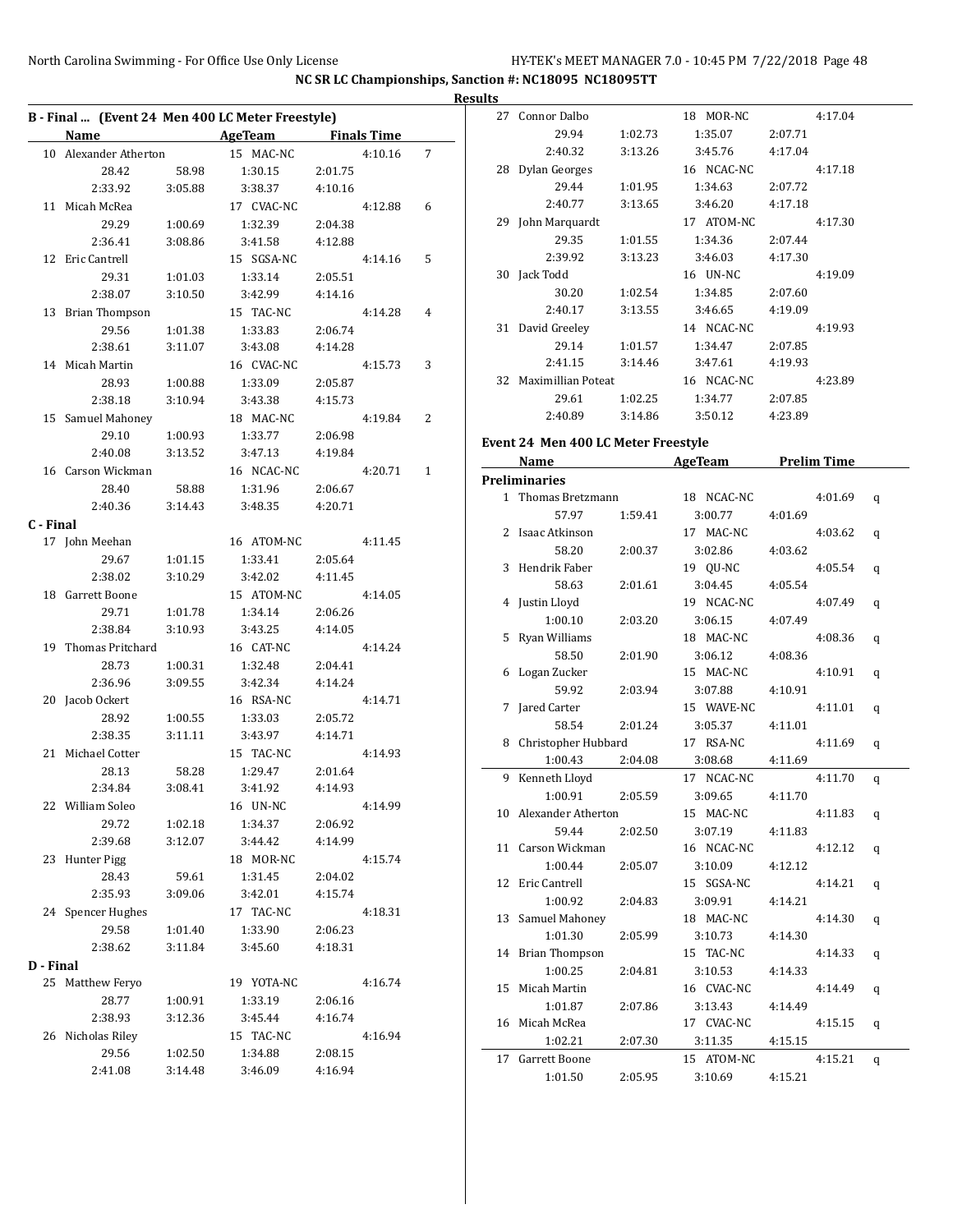|           | B - Final  (Event 24 Men 400 LC Meter Freestyle) |         |                     |         |         |   |
|-----------|--------------------------------------------------|---------|---------------------|---------|---------|---|
|           | Name                                             |         | AgeTeam Finals Time |         |         |   |
|           | 10 Alexander Atherton                            |         | 15 MAC-NC           |         | 4:10.16 | 7 |
|           | 28.42                                            | 58.98   | 1:30.15             | 2:01.75 |         |   |
|           | 2:33.92                                          | 3:05.88 | 3:38.37             | 4:10.16 |         |   |
|           | 11 Micah McRea                                   |         | 17 CVAC-NC          |         | 4:12.88 | 6 |
|           | 29.29                                            | 1:00.69 | 1:32.39             | 2:04.38 |         |   |
|           | 2:36.41                                          | 3:08.86 | 3:41.58             | 4:12.88 |         |   |
|           | 12 Eric Cantrell                                 |         | 15 SGSA-NC          |         | 4:14.16 | 5 |
|           | 29.31                                            | 1:01.03 | 1:33.14             | 2:05.51 |         |   |
|           | 2:38.07                                          | 3:10.50 | 3:42.99             | 4:14.16 |         |   |
|           | 13 Brian Thompson                                |         | 15 TAC-NC           |         | 4:14.28 | 4 |
|           | 29.56                                            | 1:01.38 | 1:33.83             | 2:06.74 |         |   |
|           | 2:38.61                                          | 3:11.07 | 3:43.08             | 4:14.28 |         |   |
|           | 14 Micah Martin                                  |         | 16 CVAC-NC          |         | 4:15.73 | 3 |
|           | 28.93                                            | 1:00.88 | 1:33.09             | 2:05.87 |         |   |
|           | 2:38.18                                          | 3:10.94 | 3:43.38             | 4:15.73 |         |   |
|           | 15 Samuel Mahoney                                |         | 18 MAC-NC           |         | 4:19.84 | 2 |
|           | 29.10                                            | 1:00.93 | 1:33.77             | 2:06.98 |         |   |
|           | 2:40.08                                          | 3:13.52 | 3:47.13             | 4:19.84 |         |   |
|           | 16 Carson Wickman                                |         | 16 NCAC-NC          |         | 4:20.71 | 1 |
|           | 28.40                                            | 58.88   | 1:31.96             | 2:06.67 |         |   |
|           | 2:40.36                                          | 3:14.43 | 3:48.35             | 4:20.71 |         |   |
| C - Final |                                                  |         |                     |         |         |   |
|           | 17 John Meehan                                   |         | 16 ATOM-NC          |         | 4:11.45 |   |
|           | 29.67                                            | 1:01.15 | 1:33.41             | 2:05.64 |         |   |
|           | 2:38.02                                          | 3:10.29 | 3:42.02             | 4:11.45 |         |   |
|           | 18 Garrett Boone                                 |         | 15 ATOM-NC          |         | 4:14.05 |   |
|           | 29.71                                            | 1:01.78 | 1:34.14             | 2:06.26 |         |   |
|           | 2:38.84                                          | 3:10.93 | 3:43.25             | 4:14.05 |         |   |
|           | 19 Thomas Pritchard                              |         | 16 CAT-NC           |         | 4:14.24 |   |
|           |                                                  |         |                     |         |         |   |
|           | 28.73                                            | 1:00.31 | 1:32.48             | 2:04.41 |         |   |
|           | 2:36.96                                          | 3:09.55 | 3:42.34             | 4:14.24 |         |   |
|           | 20 Jacob Ockert                                  |         | 16 RSA-NC           |         | 4:14.71 |   |
|           | 28.92                                            | 1:00.55 | 1:33.03             | 2:05.72 |         |   |
|           | 2:38.35                                          | 3:11.11 | 3:43.97             | 4:14.71 |         |   |
|           | 21 Michael Cotter                                |         | 15 TAC-NC           |         | 4:14.93 |   |
|           | 28.13                                            | 58.28   | 1:29.47             | 2:01.64 |         |   |
|           | 2:34.84                                          | 3:08.41 | 3:41.92             | 4:14.93 |         |   |
|           | 22 William Soleo                                 |         | 16 UN-NC            |         | 4:14.99 |   |
|           | 29.72                                            | 1:02.18 | 1:34.37             | 2:06.92 |         |   |
|           | 2:39.68                                          | 3:12.07 | 3:44.42             | 4:14.99 |         |   |
|           | 23 Hunter Pigg                                   |         | 18 MOR-NC           |         | 4:15.74 |   |
|           | 28.43                                            | 59.61   | 1:31.45             | 2:04.02 |         |   |
|           | 2:35.93                                          | 3:09.06 | 3:42.01             | 4:15.74 |         |   |
|           | 24 Spencer Hughes                                |         | 17 TAC-NC           |         | 4:18.31 |   |
|           | 29.58                                            | 1:01.40 | 1:33.90             | 2:06.23 |         |   |
|           | 2:38.62                                          | 3:11.84 | 3:45.60             | 4:18.31 |         |   |
| D - Final |                                                  |         |                     |         |         |   |
|           | 25 Matthew Feryo                                 |         | 19 YOTA-NC          |         | 4:16.74 |   |
|           | 28.77                                            | 1:00.91 | 1:33.19             | 2:06.16 |         |   |
|           | 2:38.93                                          | 3:12.36 | 3:45.44             | 4:16.74 |         |   |
|           | 26 Nicholas Riley                                |         | 15 TAC-NC           |         | 4:16.94 |   |
|           | 29.56                                            | 1:02.50 | 1:34.88             | 2:08.15 |         |   |
|           | 2:41.08                                          | 3:14.48 | 3:46.09             | 4:16.94 |         |   |

| <b>Results</b> |                       |                                                         |                         |         |         |  |  |  |  |  |  |
|----------------|-----------------------|---------------------------------------------------------|-------------------------|---------|---------|--|--|--|--|--|--|
|                | 27 Connor Dalbo       |                                                         | 18 MOR-NC               |         | 4:17.04 |  |  |  |  |  |  |
|                | 29.94                 | 1:02.73                                                 | 1:35.07                 | 2:07.71 |         |  |  |  |  |  |  |
|                | 2:40.32               | 3:13.26                                                 | 3:45.76                 | 4:17.04 |         |  |  |  |  |  |  |
|                | 28 Dylan Georges      |                                                         | 16 NCAC-NC              |         | 4:17.18 |  |  |  |  |  |  |
|                | 29.44                 | 1:01.95                                                 | 1:34.63 2:07.72         |         |         |  |  |  |  |  |  |
|                | 2:40.77               | 3:13.65                                                 | 3:46.20                 | 4:17.18 |         |  |  |  |  |  |  |
|                | 29 John Marquardt     |                                                         | 17 ATOM-NC              |         | 4:17.30 |  |  |  |  |  |  |
|                | 29.35                 | 1:01.55                                                 | 1:34.36                 | 2:07.44 |         |  |  |  |  |  |  |
|                | 2:39.92               | 3:13.23                                                 | 3:46.03                 | 4:17.30 |         |  |  |  |  |  |  |
|                | 30 Jack Todd          |                                                         | 16 UN-NC                |         | 4:19.09 |  |  |  |  |  |  |
|                | 30.20                 | 1:02.54                                                 | 1:34.85                 | 2:07.60 |         |  |  |  |  |  |  |
|                | 2:40.17               | 3:13.55                                                 | 3:46.65                 | 4:19.09 |         |  |  |  |  |  |  |
|                | 31 David Greeley      |                                                         | 14 NCAC-NC              |         | 4:19.93 |  |  |  |  |  |  |
|                |                       | 29.14 1:01.57                                           | 1:34.47                 | 2:07.85 |         |  |  |  |  |  |  |
|                | 2:41.15 3:14.46       |                                                         | 3:47.61                 | 4:19.93 |         |  |  |  |  |  |  |
|                | 32 Maximillian Poteat |                                                         | 16 NCAC-NC              |         | 4:23.89 |  |  |  |  |  |  |
|                |                       | 29.61 1:02.25                                           | 1:34.77                 | 2:07.85 |         |  |  |  |  |  |  |
|                |                       |                                                         | 2:40.89 3:14.86 3:50.12 | 4:23.89 |         |  |  |  |  |  |  |
|                |                       | $\sim$ $\sim$ $\sim$ $\sim$ $\sim$ $\sim$ $\sim$ $\sim$ |                         |         |         |  |  |  |  |  |  |

#### **Event 24 Men 400 LC Meter Freestyle**

|    | Name                  |         | <b>AgeTeam</b> | <b>Prelim Time</b> |   |
|----|-----------------------|---------|----------------|--------------------|---|
|    | <b>Preliminaries</b>  |         |                |                    |   |
|    | 1 Thomas Bretzmann    |         | 18 NCAC-NC     | 4:01.69            | q |
|    | 57.97                 | 1:59.41 | 3:00.77        | 4:01.69            |   |
| 2  | Isaac Atkinson        |         | 17 MAC-NC      | 4:03.62            | q |
|    | 58.20                 | 2:00.37 | 3:02.86        | 4:03.62            |   |
| 3  | Hendrik Faber         |         | 19 QU-NC       | 4:05.54            | q |
|    | 58.63                 | 2:01.61 | 3:04.45        | 4:05.54            |   |
|    | 4 Justin Lloyd        |         | 19 NCAC-NC     | 4:07.49            | q |
|    | 1:00.10               | 2:03.20 | 3:06.15        | 4:07.49            |   |
| 5  | Ryan Williams         |         | 18 MAC-NC      | 4:08.36            | q |
|    | 58.50                 | 2:01.90 | 3:06.12        | 4:08.36            |   |
| 6  | Logan Zucker          |         | 15 MAC-NC      | 4:10.91            | q |
|    | 59.92                 | 2:03.94 | 3:07.88        | 4:10.91            |   |
| 7  | Jared Carter          |         | 15 WAVE-NC     | 4:11.01            | q |
|    | 58.54                 | 2:01.24 | 3:05.37        | 4:11.01            |   |
| 8  | Christopher Hubbard   |         | 17 RSA-NC      | 4:11.69            | q |
|    | 1:00.43               | 2:04.08 | 3:08.68        | 4:11.69            |   |
| 9  | Kenneth Lloyd         |         | 17 NCAC-NC     | 4:11.70            | q |
|    | 1:00.91               | 2:05.59 | 3:09.65        | 4:11.70            |   |
|    | 10 Alexander Atherton |         | 15 MAC-NC      | 4:11.83            | q |
|    | 59.44                 | 2:02.50 | 3:07.19        | 4:11.83            |   |
| 11 | Carson Wickman        |         | 16 NCAC-NC     | 4:12.12            | q |
|    | 1:00.44               | 2:05.07 | 3:10.09        | 4:12.12            |   |
| 12 | Eric Cantrell         |         | 15 SGSA-NC     | 4:14.21            | q |
|    | 1:00.92               | 2:04.83 | 3:09.91        | 4:14.21            |   |
| 13 | Samuel Mahoney        |         | 18 MAC-NC      | 4:14.30            | q |
|    | 1:01.30               | 2:05.99 | 3:10.73        | 4:14.30            |   |
| 14 | <b>Brian Thompson</b> |         | 15 TAC-NC      | 4:14.33            | q |
|    | 1:00.25               | 2:04.81 | 3:10.53        | 4:14.33            |   |
| 15 | Micah Martin          |         | 16 CVAC-NC     | 4:14.49            | q |
|    | 1:01.87               | 2:07.86 | 3:13.43        | 4:14.49            |   |
| 16 | Micah McRea           |         | 17 CVAC-NC     | 4:15.15            | q |
|    | 1:02.21               | 2:07.30 | 3:11.35        | 4:15.15            |   |
| 17 | Garrett Boone         |         | 15 ATOM-NC     | 4:15.21            | q |
|    | 1:01.50               | 2:05.95 | 3:10.69        | 4:15.21            |   |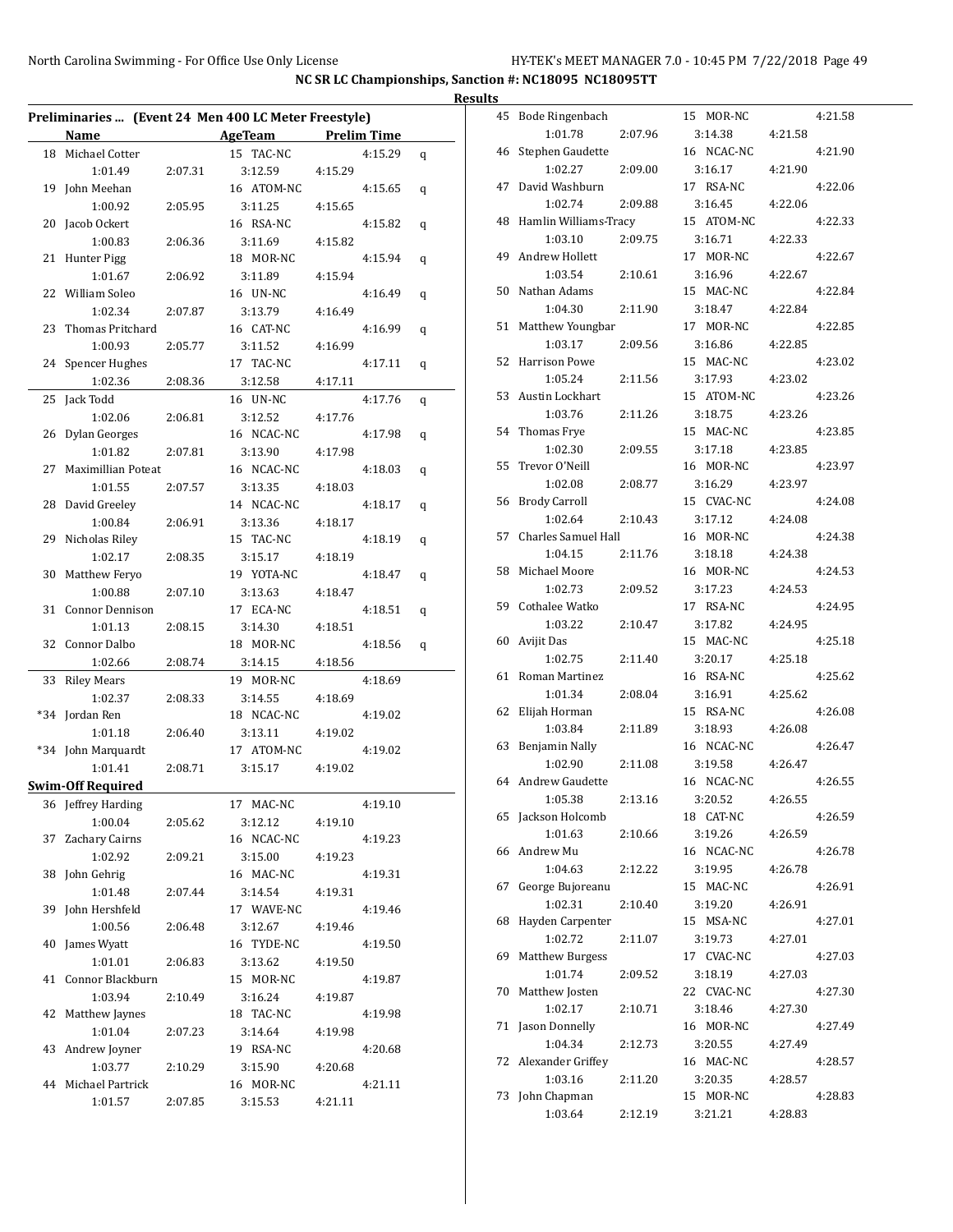|                                                      |         |                     |         |   | <b>Results</b> |
|------------------------------------------------------|---------|---------------------|---------|---|----------------|
| Preliminaries  (Event 24 Men 400 LC Meter Freestyle) |         |                     |         |   | 4              |
| Name                                                 |         | AgeTeam Prelim Time |         |   |                |
| 18 Michael Cotter                                    |         | 15 TAC-NC           | 4:15.29 | q | 4              |
| 1:01.49                                              | 2:07.31 | 3:12.59             | 4:15.29 |   |                |
| 19 John Meehan                                       |         | 16 ATOM-NC          | 4:15.65 | q | 4              |
| 1:00.92                                              | 2:05.95 | 3:11.25             | 4:15.65 |   |                |
| 20 Jacob Ockert                                      |         | 16 RSA-NC           | 4:15.82 | q | 4              |
| 1:00.83                                              | 2:06.36 | 3:11.69             | 4:15.82 |   |                |
| 21 Hunter Pigg                                       |         | 18 MOR-NC           | 4:15.94 | q | 4              |
| 1:01.67                                              | 2:06.92 | 3:11.89             | 4:15.94 |   |                |
| 22 William Soleo                                     |         | 16 UN-NC            | 4:16.49 | q | 5              |
| 1:02.34                                              | 2:07.87 | 3:13.79             | 4:16.49 |   |                |
| 23 Thomas Pritchard                                  |         | 16 CAT-NC           | 4:16.99 | q | 5              |
| 1:00.93                                              | 2:05.77 | 3:11.52             | 4:16.99 |   |                |
| 24 Spencer Hughes                                    |         | 17 TAC-NC           | 4:17.11 | q | 5              |
| 1:02.36                                              | 2:08.36 | 3:12.58             | 4:17.11 |   |                |
| 25 Jack Todd                                         |         | 16 UN-NC            | 4:17.76 | q | 5              |
| 1:02.06                                              | 2:06.81 | 3:12.52             | 4:17.76 |   |                |
| 26 Dylan Georges                                     |         | 16 NCAC-NC          | 4:17.98 | q | 5              |
| 1:01.82                                              | 2:07.81 | 3:13.90             | 4:17.98 |   |                |
| 27 Maximillian Poteat                                |         | 16 NCAC-NC          | 4:18.03 |   | 5              |
| 1:01.55                                              | 2:07.57 | 3:13.35             | 4:18.03 | q |                |
| 28 David Greeley                                     |         | 14 NCAC-NC          | 4:18.17 |   | 5              |
| 1:00.84                                              | 2:06.91 | 3:13.36             | 4:18.17 | q |                |
| 29 Nicholas Riley                                    |         | 15 TAC-NC           | 4:18.19 |   | 5              |
|                                                      |         |                     |         | q |                |
| 1:02.17                                              | 2:08.35 | 3:15.17             | 4:18.19 |   | 5              |
| 30 Matthew Feryo                                     |         | 19 YOTA-NC          | 4:18.47 | q |                |
| 1:00.88                                              | 2:07.10 | 3:13.63             | 4:18.47 |   | 5              |
| 31 Connor Dennison                                   |         | 17 ECA-NC           | 4:18.51 | q |                |
| 1:01.13                                              | 2:08.15 | 3:14.30             | 4:18.51 |   |                |
| 32 Connor Dalbo                                      |         | 18 MOR-NC           | 4:18.56 | q | 6              |
| 1:02.66                                              | 2:08.74 | 3:14.15             | 4:18.56 |   |                |
| 33 Riley Mears                                       |         | 19 MOR-NC           | 4:18.69 |   | 6              |
| 1:02.37                                              | 2:08.33 | 3:14.55             | 4:18.69 |   |                |
| *34 Jordan Ren                                       |         | 18 NCAC-NC          | 4:19.02 |   | 6              |
| 1:01.18                                              | 2:06.40 | 3:13.11             | 4:19.02 |   |                |
| *34 John Marquardt                                   |         | 17 ATOM-NC          | 4:19.02 |   | 6              |
| 1:01.41                                              | 2:08.71 | 3:15.17             | 4:19.02 |   |                |
| <b>Swim-Off Required</b>                             |         |                     |         |   | 6              |
| 36 Jeffrey Harding                                   |         | 17 MAC-NC           | 4:19.10 |   |                |
| 1:00.04                                              | 2:05.62 | 3:12.12             | 4:19.10 |   | 6              |
| 37 Zachary Cairns                                    |         | 16 NCAC-NC          | 4:19.23 |   |                |
| 1:02.92                                              | 2:09.21 | 3:15.00             | 4:19.23 |   | 6              |
| 38 John Gehrig                                       |         | 16 MAC-NC           | 4:19.31 |   |                |
| 1:01.48                                              | 2:07.44 | 3:14.54             | 4:19.31 |   | 6              |
| 39 John Hershfeld                                    |         | 17 WAVE-NC          | 4:19.46 |   |                |
| 1:00.56                                              | 2:06.48 | 3:12.67             | 4:19.46 |   | 6              |
| 40 James Wyatt                                       |         | 16 TYDE-NC          | 4:19.50 |   |                |
| 1:01.01                                              | 2:06.83 | 3:13.62             | 4:19.50 |   | 6              |
| 41 Connor Blackburn                                  |         | 15 MOR-NC           | 4:19.87 |   |                |
| 1:03.94                                              | 2:10.49 | 3:16.24             | 4:19.87 |   | 7              |
| 42 Matthew Jaynes                                    |         | 18 TAC-NC           | 4:19.98 |   |                |
| 1:01.04                                              | 2:07.23 | 3:14.64             | 4:19.98 |   | 7              |
| 43 Andrew Joyner                                     |         | 19 RSA-NC           | 4:20.68 |   |                |
| 1:03.77                                              | 2:10.29 | 3:15.90             | 4:20.68 |   | 7              |
| 44 Michael Partrick                                  |         | 16 MOR-NC           | 4:21.11 |   |                |
| 1:01.57                                              | 2:07.85 | 3:15.53             | 4:21.11 |   | 7              |

| 45 | Bode Ringenbach             |         | 15 MOR-NC             |         | 4:21.58 |
|----|-----------------------------|---------|-----------------------|---------|---------|
|    | 1:01.78                     | 2:07.96 | 3:14.38               | 4:21.58 |         |
| 46 | Stephen Gaudette            |         | 16 NCAC-NC            |         | 4:21.90 |
|    | 1:02.27                     | 2:09.00 | 3:16.17               | 4:21.90 |         |
| 47 | David Washburn              |         | 17 RSA-NC             |         | 4:22.06 |
|    | 1:02.74                     | 2:09.88 | 3:16.45               | 4:22.06 |         |
| 48 | Hamlin Williams-Tracy       |         | 15 ATOM-NC            |         | 4:22.33 |
|    | 1:03.10                     | 2:09.75 | 3:16.71               | 4:22.33 |         |
| 49 | Andrew Hollett              |         | 17 MOR-NC             |         | 4:22.67 |
|    | 1:03.54                     | 2:10.61 | 3:16.96               | 4:22.67 |         |
| 50 | Nathan Adams                |         | 15 MAC-NC             |         | 4:22.84 |
|    | 1:04.30                     | 2:11.90 | 3:18.47               | 4:22.84 |         |
| 51 | Matthew Youngbar            |         | 17 MOR-NC             |         | 4:22.85 |
|    | 1:03.17                     | 2:09.56 | 3:16.86               | 4:22.85 |         |
| 52 | Harrison Powe               |         | 15 MAC-NC             |         | 4:23.02 |
|    | 1:05.24                     | 2:11.56 | 3:17.93               | 4:23.02 |         |
| 53 | Austin Lockhart<br>1:03.76  | 2:11.26 | 15 ATOM-NC<br>3:18.75 |         | 4:23.26 |
| 54 | Thomas Frye                 |         | 15 MAC-NC             | 4:23.26 | 4:23.85 |
|    | 1:02.30                     | 2:09.55 | 3:17.18               | 4:23.85 |         |
| 55 | Trevor O'Neill              |         | 16 MOR-NC             |         | 4:23.97 |
|    | 1:02.08                     | 2:08.77 | 3:16.29               | 4:23.97 |         |
| 56 | <b>Brody Carroll</b>        |         | 15 CVAC-NC            |         | 4:24.08 |
|    | 1:02.64                     | 2:10.43 | 3:17.12               | 4:24.08 |         |
| 57 | Charles Samuel Hall         |         | 16 MOR-NC             |         | 4:24.38 |
|    | 1:04.15                     | 2:11.76 | 3:18.18               | 4:24.38 |         |
| 58 | Michael Moore               |         | 16 MOR-NC             |         | 4:24.53 |
|    | 1:02.73                     | 2:09.52 | 3:17.23               | 4:24.53 |         |
| 59 | Cothalee Watko              |         | 17 RSA-NC             |         | 4:24.95 |
|    | 1:03.22                     | 2:10.47 | 3:17.82               | 4:24.95 |         |
| 60 | Avijit Das                  |         | 15 MAC-NC             |         | 4:25.18 |
|    | 1:02.75                     | 2:11.40 | 3:20.17               | 4:25.18 |         |
| 61 | Roman Martinez              |         | 16 RSA-NC             |         | 4:25.62 |
|    | 1:01.34                     | 2:08.04 | 3:16.91               | 4:25.62 |         |
| 62 | Elijah Horman               |         | 15 RSA-NC             |         | 4:26.08 |
|    | 1:03.84                     | 2:11.89 | 3:18.93               | 4:26.08 |         |
| 63 | <b>Benjamin Nally</b>       |         | 16 NCAC-NC            |         | 4:26.47 |
|    | 1:02.90                     | 2:11.08 | 3:19.58               | 4:26.47 |         |
| 64 | Andrew Gaudette             |         | 16 NCAC-NC            |         | 4:26.55 |
|    | 1:05.38                     | 2:13.16 | 3:20.52               | 4:26.55 |         |
| 65 | Jackson Holcomb             |         | 18 CAT-NC             |         | 4:26.59 |
|    | 1:01.63                     | 2:10.66 | 3:19.26               | 4:26.59 |         |
| 66 | Andrew Mu                   |         | 16 NCAC-NC            |         | 4:26.78 |
|    | 1:04.63                     | 2:12.22 | 3:19.95               | 4:26.78 |         |
| 67 | George Bujoreanu            |         | 15 MAC-NC             |         | 4:26.91 |
|    | 1:02.31                     | 2:10.40 | 3:19.20               | 4:26.91 | 4:27.01 |
| 68 | Hayden Carpenter<br>1:02.72 | 2:11.07 | 15 MSA-NC<br>3:19.73  | 4:27.01 |         |
| 69 | <b>Matthew Burgess</b>      |         | 17 CVAC-NC            |         | 4:27.03 |
|    | 1:01.74                     | 2:09.52 | 3:18.19               | 4:27.03 |         |
| 70 | Matthew Josten              |         | 22 CVAC-NC            |         | 4:27.30 |
|    | 1:02.17                     | 2:10.71 | 3:18.46               | 4:27.30 |         |
| 71 | Jason Donnelly              |         | 16 MOR-NC             |         | 4:27.49 |
|    | 1:04.34                     | 2:12.73 | 3:20.55               | 4:27.49 |         |
| 72 | Alexander Griffey           |         | 16 MAC-NC             |         | 4:28.57 |
|    | 1:03.16                     | 2:11.20 | 3:20.35               | 4:28.57 |         |
| 73 | John Chapman                |         | 15 MOR-NC             |         | 4:28.83 |
|    | 1:03.64                     | 2:12.19 | 3:21.21               | 4:28.83 |         |
|    |                             |         |                       |         |         |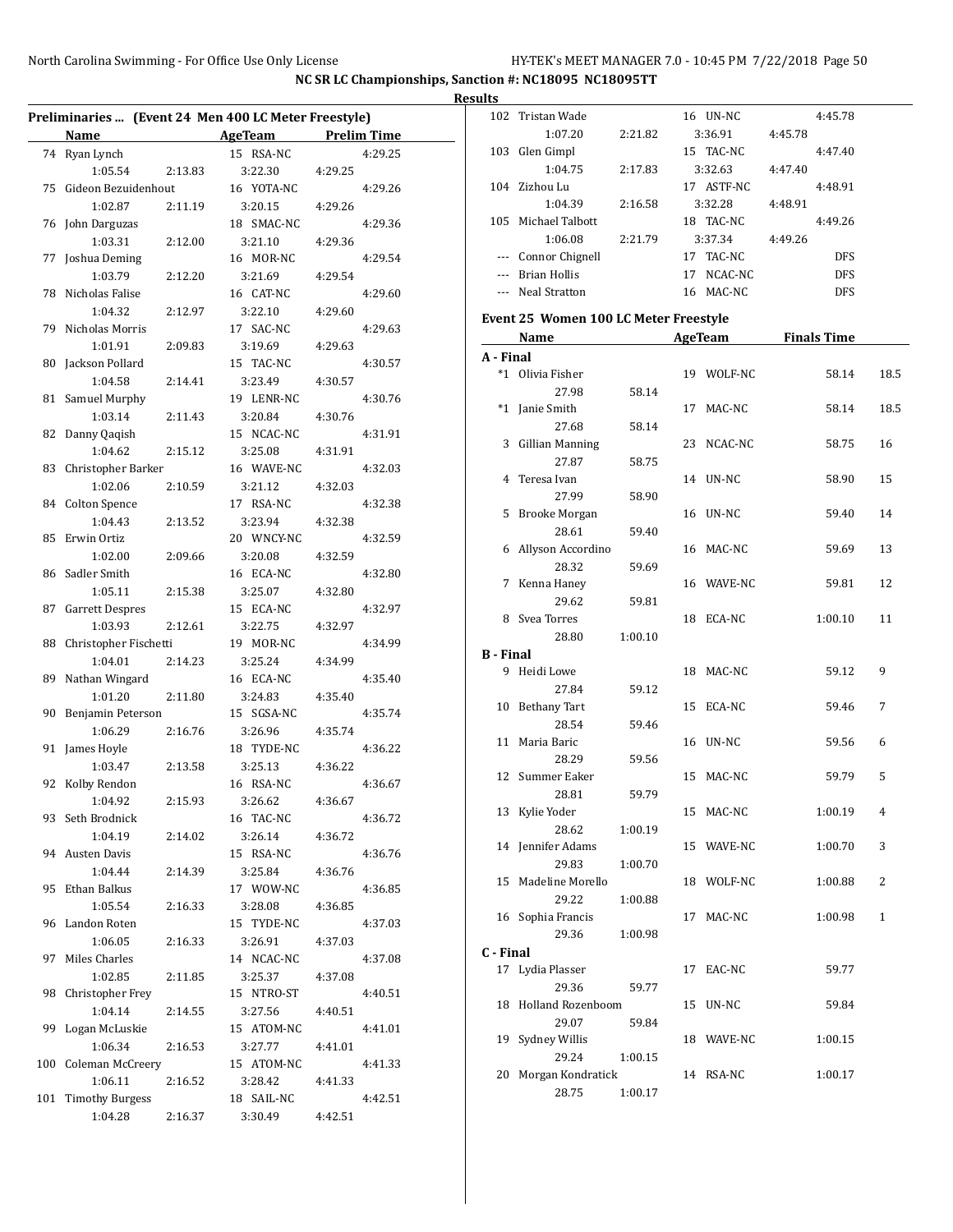|    |                                                      |         |                                       |         |         | <b>Results</b><br>10    |
|----|------------------------------------------------------|---------|---------------------------------------|---------|---------|-------------------------|
|    | Preliminaries  (Event 24 Men 400 LC Meter Freestyle) |         |                                       |         |         |                         |
|    | Name                                                 |         | <b>Example 21 AgeTeam</b> Prelim Time |         |         |                         |
|    | 74 Ryan Lynch<br>1:05.54                             | 2:13.83 | 15 RSA-NC<br>3:22.30                  | 4:29.25 | 4:29.25 | 10                      |
|    | 75 Gideon Bezuidenhout                               |         | 16 YOTA-NC                            |         | 4:29.26 | 10                      |
|    | 1:02.87                                              | 2:11.19 | 3:20.15                               | 4:29.26 |         |                         |
|    | 76 John Darguzas                                     |         | 18 SMAC-NC                            |         | 4:29.36 | 10                      |
|    | 1:03.31                                              | 2:12.00 | 3:21.10                               | 4:29.36 |         |                         |
|    | 77 Joshua Deming                                     |         | 16 MOR-NC                             |         | 4:29.54 |                         |
|    | 1:03.79                                              | 2:12.20 | 3:21.69                               | 4:29.54 |         |                         |
|    | 78 Nicholas Falise                                   |         | 16 CAT-NC                             |         | 4:29.60 |                         |
|    | 1:04.32                                              |         | 3:22.10                               |         |         |                         |
|    |                                                      | 2:12.97 |                                       | 4:29.60 |         | Eve                     |
|    | 79 Nicholas Morris                                   |         | 17 SAC-NC                             |         | 4:29.63 |                         |
|    | 1:01.91                                              | 2:09.83 | 3:19.69                               | 4:29.63 |         | A -                     |
|    | 80 Jackson Pollard                                   |         | 15 TAC-NC                             |         | 4:30.57 |                         |
|    | 1:04.58                                              | 2:14.41 | 3:23.49                               | 4:30.57 |         |                         |
|    | 81 Samuel Murphy                                     |         | 19 LENR-NC                            |         | 4:30.76 |                         |
|    | 1:03.14                                              | 2:11.43 | 3:20.84                               | 4:30.76 |         |                         |
|    | 82 Danny Qaqish                                      |         | 15 NCAC-NC                            |         | 4:31.91 |                         |
|    | 1:04.62                                              | 2:15.12 | 3:25.08                               | 4:31.91 |         |                         |
|    | 83 Christopher Barker                                |         | 16 WAVE-NC                            |         | 4:32.03 |                         |
|    | 1:02.06                                              | 2:10.59 | 3:21.12                               | 4:32.03 |         |                         |
|    | 84 Colton Spence                                     |         | 17 RSA-NC                             |         | 4:32.38 |                         |
|    | 1:04.43                                              | 2:13.52 | 3:23.94                               | 4:32.38 |         |                         |
|    | 85 Erwin Ortiz                                       |         | 20 WNCY-NC                            |         | 4:32.59 |                         |
|    | 1:02.00                                              | 2:09.66 | 3:20.08                               | 4:32.59 |         |                         |
| 86 | Sadler Smith                                         |         | 16 ECA-NC                             |         | 4:32.80 |                         |
|    | 1:05.11                                              | 2:15.38 | 3:25.07                               | 4:32.80 |         |                         |
|    | 87 Garrett Despres                                   |         | 15 ECA-NC                             |         | 4:32.97 |                         |
|    | 1:03.93                                              | 2:12.61 | 3:22.75                               | 4:32.97 |         |                         |
|    | 88 Christopher Fischetti                             |         | 19 MOR-NC                             |         | 4:34.99 |                         |
|    | 1:04.01                                              | 2:14.23 | 3:25.24                               | 4:34.99 |         | $B -$                   |
|    | 89 Nathan Wingard                                    |         | 16 ECA-NC                             |         | 4:35.40 |                         |
|    | 1:01.20                                              | 2:11.80 | 3:24.83                               | 4:35.40 |         |                         |
|    | 90 Benjamin Peterson                                 |         | 15 SGSA-NC                            |         | 4:35.74 | 1                       |
|    | 1:06.29                                              | 2:16.76 | 3:26.96                               | 4:35.74 |         |                         |
|    | 91 James Hoyle                                       |         | 18 TYDE-NC                            |         | 4:36.22 | 1                       |
|    | 1:03.47                                              | 2:13.58 | 3:25.13                               | 4:36.22 |         |                         |
|    | 92 Kolby Rendon                                      |         | 16 RSA-NC                             |         | 4:36.67 | 1                       |
|    | 1:04.92                                              | 2:15.93 | 3:26.62                               | 4:36.67 |         |                         |
|    | 93 Seth Brodnick                                     |         | 16 TAC-NC                             |         | 4:36.72 | 1                       |
|    | 1:04.19                                              | 2:14.02 | 3:26.14                               | 4:36.72 |         |                         |
|    | 94 Austen Davis                                      |         | 15 RSA-NC                             |         | 4:36.76 | 1                       |
|    | 1:04.44                                              | 2:14.39 | 3:25.84                               | 4:36.76 |         |                         |
|    | 95 Ethan Balkus                                      |         | 17 WOW-NC                             |         | 4:36.85 | $\mathbf{1}$            |
|    | 1:05.54                                              | 2:16.33 | 3:28.08                               | 4:36.85 |         |                         |
|    | 96 Landon Roten                                      |         | 15 TYDE-NC                            |         | 4:37.03 | 1                       |
|    | 1:06.05                                              | 2:16.33 | 3:26.91                               | 4:37.03 |         |                         |
|    | 97 Miles Charles                                     |         | 14 NCAC-NC                            |         | 4:37.08 | $C - 1$                 |
|    | 1:02.85                                              | 2:11.85 | 3:25.37                               | 4:37.08 |         | $\mathbf{1}$            |
|    | 98 Christopher Frey                                  |         | 15 NTRO-ST                            |         | 4:40.51 |                         |
|    | 1:04.14                                              | 2:14.55 | 3:27.56                               | 4:40.51 |         | 1                       |
|    | 99 Logan McLuskie                                    |         | 15 ATOM-NC                            |         | 4:41.01 |                         |
|    | 1:06.34                                              | 2:16.53 | 3:27.77                               | 4:41.01 |         | 1                       |
|    | 100 Coleman McCreery                                 |         | 15 ATOM-NC                            |         | 4:41.33 |                         |
|    | 1:06.11                                              | 2:16.52 | 3:28.42                               | 4:41.33 |         | $\overline{\mathbf{c}}$ |
|    | 101 Timothy Burgess                                  |         | 18 SAIL-NC                            |         | 4:42.51 |                         |
|    | 1:04.28                                              |         | 2:16.37 3:30.49                       | 4:42.51 |         |                         |
|    |                                                      |         |                                       |         |         |                         |

|                  | 102 Tristan Wade                      |         |    | 16 UN-NC   | 4:45.78    |      |
|------------------|---------------------------------------|---------|----|------------|------------|------|
|                  | 1:07.20                               | 2:21.82 |    | 3:36.91    | 4:45.78    |      |
|                  | 103 Glen Gimpl                        |         |    | 15 TAC-NC  | 4:47.40    |      |
|                  | 1:04.75                               | 2:17.83 |    | 3:32.63    | 4:47.40    |      |
|                  | 104 Zizhou Lu                         |         |    | 17 ASTF-NC | 4:48.91    |      |
|                  | 1:04.39                               | 2:16.58 |    | 3:32.28    | 4:48.91    |      |
|                  | 105 Michael Talbott                   |         |    | 18 TAC-NC  | 4:49.26    |      |
|                  | 1:06.08                               | 2:21.79 |    | 3:37.34    | 4:49.26    |      |
|                  | --- Connor Chignell                   |         |    | 17 TAC-NC  | <b>DFS</b> |      |
|                  | --- Brian Hollis                      |         |    | 17 NCAC-NC | <b>DFS</b> |      |
|                  | --- Neal Stratton                     |         |    | 16 MAC-NC  | <b>DFS</b> |      |
|                  |                                       |         |    |            |            |      |
|                  | Event 25 Women 100 LC Meter Freestyle |         |    |            |            |      |
|                  | Name AgeTeam Finals Time              |         |    |            |            |      |
| A - Final        |                                       |         |    |            |            |      |
|                  | *1 Olivia Fisher                      |         |    | 19 WOLF-NC | 58.14      | 18.5 |
|                  | 27.98                                 | 58.14   |    |            |            |      |
|                  | *1 Janie Smith                        |         | 17 | MAC-NC     | 58.14      | 18.5 |
|                  | 27.68                                 | 58.14   |    |            |            |      |
|                  | 3 Gillian Manning                     |         |    | 23 NCAC-NC | 58.75      | 16   |
|                  | 27.87                                 | 58.75   |    |            |            |      |
|                  | 4 Teresa Ivan                         |         |    | 14 UN-NC   | 58.90      | 15   |
|                  | 27.99                                 | 58.90   |    |            |            |      |
| 5                | <b>Brooke Morgan</b>                  |         |    | 16 UN-NC   | 59.40      | 14   |
|                  | 28.61                                 | 59.40   |    |            |            |      |
| 6                | Allyson Accordino                     |         |    | 16 MAC-NC  | 59.69      | 13   |
|                  | 28.32                                 | 59.69   |    |            |            |      |
|                  |                                       |         |    | 16 WAVE-NC |            | 12   |
|                  | 7 Kenna Haney                         |         |    |            | 59.81      |      |
|                  | 29.62                                 | 59.81   |    |            |            |      |
|                  | 8 Svea Torres                         |         |    | 18 ECA-NC  | 1:00.10    | 11   |
|                  | 28.80                                 | 1:00.10 |    |            |            |      |
| <b>B</b> - Final |                                       |         |    |            |            |      |
|                  | 9 Heidi Lowe                          |         |    | 18 MAC-NC  | 59.12      | 9    |
|                  | 27.84                                 | 59.12   |    |            |            |      |
|                  | 10 Bethany Tart                       |         | 15 | ECA-NC     | 59.46      | 7    |
|                  | 28.54                                 | 59.46   |    |            |            |      |
|                  | 11 Maria Baric                        |         | 16 | UN-NC      | 59.56      | 6    |
|                  | 28.29                                 | 59.56   |    |            |            |      |
|                  | 12 Summer Eaker                       |         | 15 | MAC-NC     | 59.79      | 5    |
|                  | 28.81                                 | 59.79   |    |            |            |      |
|                  | 13 Kylie Yoder                        |         |    | 15 MAC-NC  | 1:00.19    | 4    |
|                  | 28.62                                 | 1:00.19 |    |            |            |      |
|                  | 14 Jennifer Adams                     |         |    | 15 WAVE-NC | 1:00.70    | 3    |
|                  | 29.83                                 | 1:00.70 |    |            |            |      |
|                  | 15 Madeline Morello                   |         |    | 18 WOLF-NC | 1:00.88    | 2    |
|                  | 29.22                                 | 1:00.88 |    |            |            |      |
|                  | 16 Sophia Francis                     |         |    | 17 MAC-NC  | 1:00.98    | 1    |
|                  | 29.36                                 | 1:00.98 |    |            |            |      |
| C - Final        |                                       |         |    |            |            |      |
|                  | 17 Lydia Plasser                      |         |    | 17 EAC-NC  | 59.77      |      |
|                  | 29.36                                 | 59.77   |    |            |            |      |
|                  | 18 Holland Rozenboom                  |         |    | 15 UN-NC   | 59.84      |      |
|                  | 29.07                                 | 59.84   |    |            |            |      |
|                  | 19 Sydney Willis                      |         |    | 18 WAVE-NC | 1:00.15    |      |
|                  | 29.24                                 |         |    |            |            |      |
|                  |                                       | 1:00.15 |    |            |            |      |
| 20               | Morgan Kondratick                     |         |    | 14 RSA-NC  | 1:00.17    |      |
|                  | 28.75                                 | 1:00.17 |    |            |            |      |
|                  |                                       |         |    |            |            |      |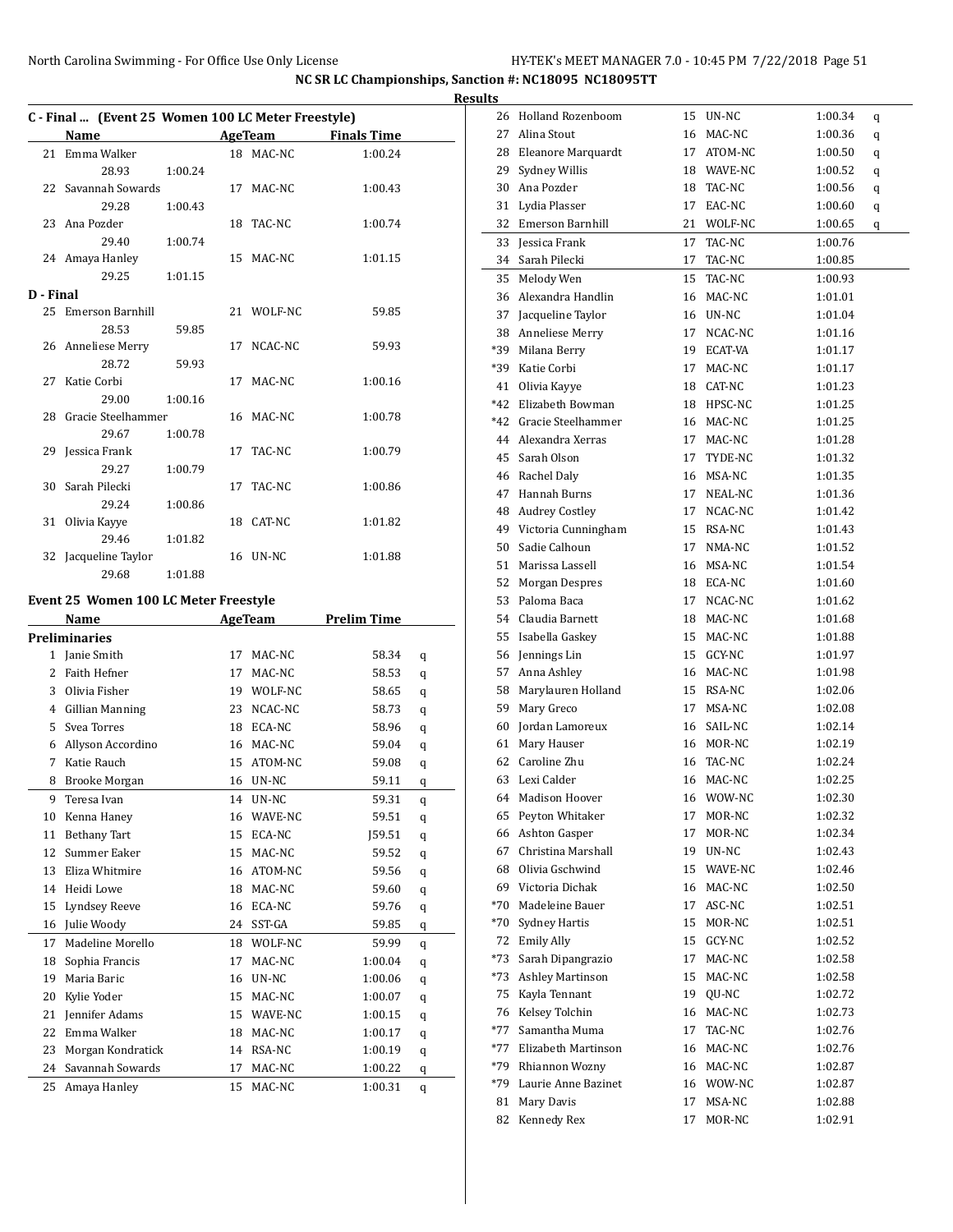|           |                |                       |         | C - Final  (Event 25 Women 100 LC Meter Freestyle) |                    |  |
|-----------|----------------|-----------------------|---------|----------------------------------------------------|--------------------|--|
|           | Name           |                       |         | AgeTeam                                            | <b>Finals Time</b> |  |
|           |                | 21 Emma Walker        |         | 18 MAC-NC                                          | 1:00.24            |  |
|           |                | 28.93                 | 1:00.24 |                                                    |                    |  |
|           |                | 22 Savannah Sowards   |         | 17 MAC-NC                                          | 1:00.43            |  |
|           |                | 29.28                 | 1:00.43 |                                                    |                    |  |
|           |                | 23 Ana Pozder         |         | 18 TAC-NC                                          | 1:00.74            |  |
|           |                | 29.40 1:00.74         |         |                                                    |                    |  |
|           |                | 24 Amaya Hanley       |         | 15 MAC-NC                                          | 1:01.15            |  |
|           |                | 29.25                 | 1:01.15 |                                                    |                    |  |
| D - Final |                |                       |         |                                                    |                    |  |
|           |                | 25 Emerson Barnhill   |         | 21 WOLF-NC                                         | 59.85              |  |
|           |                | 28.53                 | 59.85   |                                                    |                    |  |
|           |                | 26 Anneliese Merry    |         | 17 NCAC-NC                                         | 59.93              |  |
|           |                | 28.72                 | 59.93   |                                                    |                    |  |
|           | 27 Katie Corbi |                       |         | 17 MAC-NC                                          | 1:00.16            |  |
|           |                | 29.00 1:00.16         |         |                                                    |                    |  |
|           |                | 28 Gracie Steelhammer |         | 16 MAC-NC                                          | 1:00.78            |  |
|           |                | 29.67                 | 1:00.78 |                                                    |                    |  |
|           |                | 29 Jessica Frank      |         | 17 TAC-NC                                          | 1:00.79            |  |
|           |                | 29.27                 | 1:00.79 |                                                    |                    |  |
|           |                | 30 Sarah Pilecki      |         | 17 TAC-NC                                          | 1:00.86            |  |
|           |                | 29.24                 | 1:00.86 |                                                    |                    |  |
|           |                | 31 Olivia Kayye       |         | 18 CAT-NC                                          | 1:01.82            |  |
|           |                | 29.46                 | 1:01.82 |                                                    |                    |  |
|           |                | 32 Jacqueline Taylor  |         | 16 UN-NC                                           | 1:01.88            |  |
|           |                | 29.68                 | 1:01.88 |                                                    |                    |  |

## **Event 25 Women 100 LC Meter Freestyle**

|                | Name                 |    | <b>AgeTeam</b> | <b>Prelim Time</b> |   |
|----------------|----------------------|----|----------------|--------------------|---|
|                | <b>Preliminaries</b> |    |                |                    |   |
| 1              | Janie Smith          | 17 | MAC-NC         | 58.34              | q |
| $\overline{c}$ | <b>Faith Hefner</b>  | 17 | MAC-NC         | 58.53              | q |
| 3              | Olivia Fisher        | 19 | WOLF-NC        | 58.65              | q |
| $\overline{4}$ | Gillian Manning      | 23 | NCAC-NC        | 58.73              | q |
| 5              | Svea Torres          | 18 | ECA-NC         | 58.96              | q |
| 6              | Allyson Accordino    | 16 | MAC-NC         | 59.04              | q |
| 7              | Katie Rauch          | 15 | ATOM-NC        | 59.08              | q |
| 8              | Brooke Morgan        | 16 | UN-NC          | 59.11              | q |
| 9              | Teresa Ivan          | 14 | UN-NC          | 59.31              | q |
| 10             | Kenna Haney          | 16 | WAVE-NC        | 59.51              | q |
| 11             | <b>Bethany Tart</b>  | 15 | ECA-NC         | 159.51             | q |
| 12             | Summer Eaker         | 15 | MAC-NC         | 59.52              | q |
| 13             | Eliza Whitmire       | 16 | ATOM-NC        | 59.56              | q |
| 14             | Heidi Lowe           | 18 | MAC-NC         | 59.60              | q |
| 15             | Lyndsey Reeve        | 16 | ECA-NC         | 59.76              | q |
| 16             | Julie Woody          | 24 | SST-GA         | 59.85              | q |
| 17             | Madeline Morello     | 18 | WOLF-NC        | 59.99              | q |
| 18             | Sophia Francis       | 17 | MAC-NC         | 1:00.04            | q |
| 19             | Maria Baric          | 16 | UN-NC          | 1:00.06            | q |
| 20             | Kylie Yoder          | 15 | MAC-NC         | 1:00.07            | q |
| 21             | Jennifer Adams       | 15 | WAVE-NC        | 1:00.15            | q |
| 22             | Emma Walker          | 18 | MAC-NC         | 1:00.17            | q |
| 23             | Morgan Kondratick    | 14 | RSA-NC         | 1:00.19            | q |
| 24             | Savannah Sowards     | 17 | MAC-NC         | 1:00.22            | q |
| 25             | Amaya Hanley         | 15 | MAC-NC         | 1:00.31            | q |

| <b>Results</b> |                        |    |            |         |   |
|----------------|------------------------|----|------------|---------|---|
|                | 26 Holland Rozenboom   |    | 15 UN-NC   | 1:00.34 | q |
| 27             | Alina Stout            |    | 16 MAC-NC  | 1:00.36 | q |
|                | 28 Eleanore Marquardt  |    | 17 ATOM-NC | 1:00.50 | q |
| 29             | Sydney Willis          | 18 | WAVE-NC    | 1:00.52 | q |
|                | 30 Ana Pozder          | 18 | TAC-NC     | 1:00.56 | q |
| 31             | Lydia Plasser          | 17 | EAC-NC     | 1:00.60 | q |
|                | 32 Emerson Barnhill    | 21 | WOLF-NC    | 1:00.65 | q |
| 33             | Jessica Frank          | 17 | TAC-NC     | 1:00.76 |   |
|                | 34 Sarah Pilecki       | 17 | TAC-NC     | 1:00.85 |   |
| 35             | Melody Wen             | 15 | TAC-NC     | 1:00.93 |   |
|                | 36 Alexandra Handlin   | 16 | MAC-NC     | 1:01.01 |   |
|                | 37 Jacqueline Taylor   |    | 16 UN-NC   | 1:01.04 |   |
|                | 38 Anneliese Merry     | 17 | NCAC-NC    | 1:01.16 |   |
|                | *39 Milana Berry       | 19 | ECAT-VA    | 1:01.17 |   |
|                | *39 Katie Corbi        | 17 | MAC-NC     | 1:01.17 |   |
|                | 41 Olivia Kayye        |    | 18 CAT-NC  | 1:01.23 |   |
|                | *42 Elizabeth Bowman   |    | 18 HPSC-NC | 1:01.25 |   |
|                | *42 Gracie Steelhammer |    | 16 MAC-NC  | 1:01.25 |   |
|                | 44 Alexandra Xerras    |    | 17 MAC-NC  | 1:01.28 |   |
| 45             | Sarah Olson            | 17 | TYDE-NC    | 1:01.32 |   |
|                | 46 Rachel Daly         | 16 | MSA-NC     | 1:01.35 |   |
| 47             | Hannah Burns           |    | 17 NEAL-NC | 1:01.36 |   |
|                | 48 Audrey Costley      | 17 | NCAC-NC    | 1:01.42 |   |
|                | 49 Victoria Cunningham |    | 15 RSA-NC  | 1:01.43 |   |
| 50             | Sadie Calhoun          | 17 | NMA-NC     | 1:01.52 |   |
| 51             | Marissa Lassell        | 16 | MSA-NC     | 1:01.54 |   |
|                | 52 Morgan Despres      |    | 18 ECA-NC  | 1:01.60 |   |
|                | 53 Paloma Baca         |    | 17 NCAC-NC | 1:01.62 |   |
|                | 54 Claudia Barnett     | 18 | MAC-NC     | 1:01.68 |   |
|                | 55 Isabella Gaskey     | 15 | MAC-NC     | 1:01.88 |   |
|                | 56 Jennings Lin        | 15 | GCY-NC     | 1:01.97 |   |
| 57             | Anna Ashley            | 16 | MAC-NC     | 1:01.98 |   |
| 58             | Marylauren Holland     | 15 | RSA-NC     | 1:02.06 |   |
| 59             | Mary Greco             | 17 | MSA-NC     | 1:02.08 |   |
|                | 60 Jordan Lamoreux     |    | 16 SAIL-NC | 1:02.14 |   |
| 61             | Mary Hauser            |    | 16 MOR-NC  | 1:02.19 |   |
|                | 62 Caroline Zhu        | 16 | TAC-NC     | 1:02.24 |   |
| 63             | Lexi Calder            | 16 | MAC-NC     | 1:02.25 |   |
| 64             | Madison Hoover         | 16 | WOW-NC     | 1:02.30 |   |
| 65             | Peyton Whitaker        | 17 | MOR-NC     | 1:02.32 |   |
| 66             | Ashton Gasper          | 17 | MOR-NC     | 1:02.34 |   |
| 67             | Christina Marshall     | 19 | UN-NC      | 1:02.43 |   |
| 68             | Olivia Gschwind        | 15 | WAVE-NC    | 1:02.46 |   |
| 69             | Victoria Dichak        | 16 | MAC-NC     | 1:02.50 |   |
| *70            | Madeleine Bauer        | 17 | ASC-NC     | 1:02.51 |   |
| *70            | <b>Sydney Hartis</b>   | 15 | MOR-NC     | 1:02.51 |   |
| 72             | <b>Emily Ally</b>      | 15 | GCY-NC     | 1:02.52 |   |
| $*73$          | Sarah Dipangrazio      | 17 | MAC-NC     | 1:02.58 |   |
| *73            | Ashley Martinson       | 15 | MAC-NC     | 1:02.58 |   |
| 75             | Kayla Tennant          | 19 | QU-NC      | 1:02.72 |   |
| 76             | Kelsey Tolchin         | 16 | MAC-NC     | 1:02.73 |   |
| *77            | Samantha Muma          | 17 | TAC-NC     | 1:02.76 |   |
| *77            | Elizabeth Martinson    | 16 | MAC-NC     | 1:02.76 |   |
| *79            | Rhiannon Wozny         | 16 | MAC-NC     | 1:02.87 |   |
| *79            | Laurie Anne Bazinet    | 16 | WOW-NC     | 1:02.87 |   |
| 81             | Mary Davis             | 17 | MSA-NC     | 1:02.88 |   |
| 82             | Kennedy Rex            | 17 | MOR-NC     | 1:02.91 |   |
|                |                        |    |            |         |   |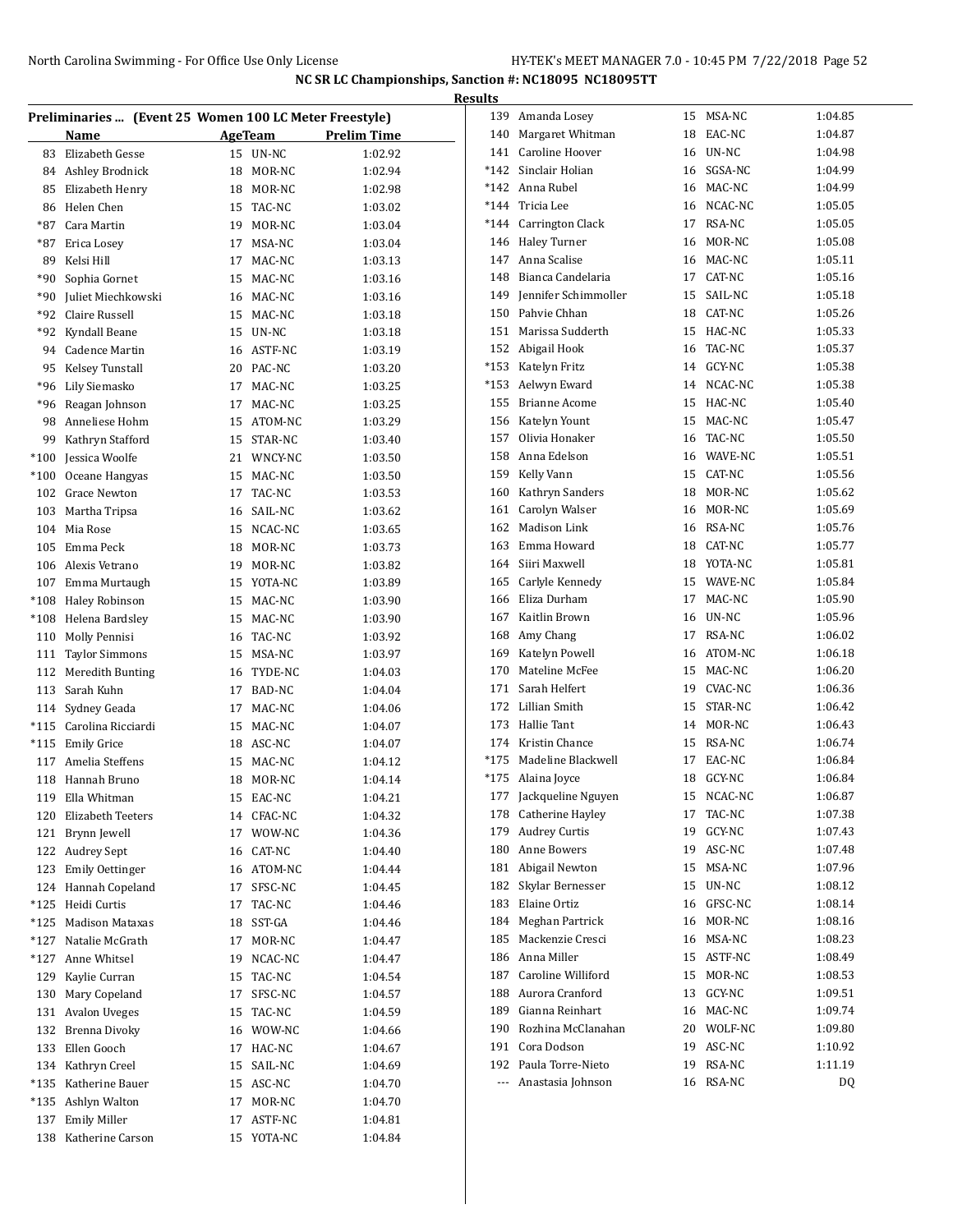|        |                        |    |            |                                                        | <b>Results</b> |                             |    |               |         |
|--------|------------------------|----|------------|--------------------------------------------------------|----------------|-----------------------------|----|---------------|---------|
|        |                        |    |            | Preliminaries  (Event 25 Women 100 LC Meter Freestyle) |                | 139 Amanda Losey            |    | 15 MSA-NC     | 1:04.85 |
|        | Name                   |    | AgeTeam    | Prelim Time                                            | 140            | Margaret Whitman            | 18 | EAC-NC        | 1:04.87 |
| 83     | Elizabeth Gesse        |    | 15 UN-NC   | 1:02.92                                                | 141            | Caroline Hoover             | 16 | UN-NC         | 1:04.98 |
| 84     | Ashley Brodnick        | 18 | MOR-NC     | 1:02.94                                                | $*142$         | Sinclair Holian             | 16 | SGSA-NC       | 1:04.99 |
| 85     | Elizabeth Henry        | 18 | MOR-NC     | 1:02.98                                                | $*142$         | Anna Rubel                  | 16 | MAC-NC        | 1:04.99 |
| 86     | Helen Chen             | 15 | TAC-NC     | 1:03.02                                                | $*144$         | Tricia Lee                  | 16 | NCAC-NC       | 1:05.05 |
| *87    | Cara Martin            | 19 | MOR-NC     | 1:03.04                                                | $*144$         | Carrington Clack            | 17 | RSA-NC        | 1:05.05 |
| *87    | Erica Losey            | 17 | MSA-NC     | 1:03.04                                                | 146            | Haley Turner                | 16 | MOR-NC        | 1:05.08 |
| 89     | Kelsi Hill             | 17 | MAC-NC     | 1:03.13                                                | 147            | Anna Scalise                | 16 | MAC-NC        | 1:05.11 |
| *90    | Sophia Gornet          | 15 | MAC-NC     | 1:03.16                                                | 148            | Bianca Candelaria           | 17 | CAT-NC        | 1:05.16 |
| *90    | Juliet Miechkowski     | 16 | MAC-NC     | 1:03.16                                                | 149            | <b>Iennifer Schimmoller</b> | 15 | SAIL-NC       | 1:05.18 |
| *92    | Claire Russell         | 15 | MAC-NC     | 1:03.18                                                | 150            | Pahvie Chhan                | 18 | CAT-NC        | 1:05.26 |
| *92    | Kyndall Beane          | 15 | UN-NC      | 1:03.18                                                | 151            | Marissa Sudderth            | 15 | HAC-NC        | 1:05.33 |
| 94     | <b>Cadence Martin</b>  |    | 16 ASTF-NC | 1:03.19                                                | 152            | Abigail Hook                | 16 | TAC-NC        | 1:05.37 |
| 95     | Kelsey Tunstall        | 20 | PAC-NC     | 1:03.20                                                | $*153$         | Katelyn Fritz               |    | 14 GCY-NC     | 1:05.38 |
| *96    | Lily Siemasko          |    | 17 MAC-NC  | 1:03.25                                                | $*153$         | Aelwyn Eward                |    | 14 NCAC-NC    | 1:05.38 |
| *96    | Reagan Johnson         | 17 | MAC-NC     | 1:03.25                                                | 155            | <b>Brianne Acome</b>        | 15 | HAC-NC        | 1:05.40 |
| 98     | Anneliese Hohm         | 15 | ATOM-NC    | 1:03.29                                                | 156            | Katelyn Yount               | 15 | MAC-NC        | 1:05.47 |
| 99     | Kathryn Stafford       | 15 | STAR-NC    | 1:03.40                                                | 157            | Olivia Honaker              | 16 | TAC-NC        | 1:05.50 |
| $*100$ | Jessica Woolfe         | 21 | WNCY-NC    | 1:03.50                                                | 158            | Anna Edelson                | 16 | WAVE-NC       | 1:05.51 |
| $*100$ | Oceane Hangyas         | 15 | MAC-NC     | 1:03.50                                                | 159            | Kelly Vann                  | 15 | CAT-NC        | 1:05.56 |
| 102    | <b>Grace Newton</b>    | 17 | TAC-NC     | 1:03.53                                                | 160            | Kathryn Sanders             | 18 | MOR-NC        | 1:05.62 |
| 103    | Martha Tripsa          | 16 | SAIL-NC    | 1:03.62                                                | 161            | Carolyn Walser              | 16 | MOR-NC        | 1:05.69 |
| 104    | Mia Rose               | 15 | NCAC-NC    | 1:03.65                                                | 162            | <b>Madison Link</b>         | 16 | <b>RSA-NC</b> | 1:05.76 |
| 105    | Emma Peck              | 18 | MOR-NC     | 1:03.73                                                | 163            | Emma Howard                 | 18 | CAT-NC        | 1:05.77 |
| 106    | Alexis Vetrano         | 19 | MOR-NC     | 1:03.82                                                | 164            | Siiri Maxwell               | 18 | YOTA-NC       | 1:05.81 |
| 107    | Emma Murtaugh          | 15 | YOTA-NC    | 1:03.89                                                | 165            | Carlyle Kennedy             | 15 | WAVE-NC       | 1:05.84 |
| *108   | Haley Robinson         | 15 | MAC-NC     | 1:03.90                                                | 166            | Eliza Durham                | 17 | MAC-NC        | 1:05.90 |
| $*108$ | Helena Bardsley        | 15 | MAC-NC     | 1:03.90                                                | 167            | Kaitlin Brown               | 16 | UN-NC         | 1:05.96 |
| 110    | Molly Pennisi          | 16 | TAC-NC     | 1:03.92                                                | 168            | Amy Chang                   | 17 | <b>RSA-NC</b> | 1:06.02 |
| 111    | <b>Taylor Simmons</b>  | 15 | MSA-NC     | 1:03.97                                                | 169            | Katelyn Powell              | 16 | ATOM-NC       | 1:06.18 |
| 112    | Meredith Bunting       | 16 | TYDE-NC    | 1:04.03                                                | 170            | Mateline McFee              | 15 | MAC-NC        | 1:06.20 |
| 113    | Sarah Kuhn             | 17 | BAD-NC     | 1:04.04                                                | 171            | Sarah Helfert               | 19 | CVAC-NC       | 1:06.36 |
| 114    | Sydney Geada           | 17 | MAC-NC     | 1:04.06                                                | 172            | Lillian Smith               | 15 | STAR-NC       | 1:06.42 |
| *115   | Carolina Ricciardi     | 15 | MAC-NC     | 1:04.07                                                | 173            | Hallie Tant                 | 14 | MOR-NC        | 1:06.43 |
| *115   | <b>Emily Grice</b>     | 18 | ASC-NC     | 1:04.07                                                | 174            | Kristin Chance              | 15 | <b>RSA-NC</b> | 1:06.74 |
| 117    | Amelia Steffens        | 15 | MAC-NC     | 1:04.12                                                | $*175$         | Madeline Blackwell          | 17 | EAC-NC        | 1:06.84 |
|        | 118 Hannah Bruno       |    | 18 MOR-NC  | 1:04.14                                                | $*175$         | Alaina Joyce                |    | 18 GCY-NC     | 1:06.84 |
| 119    | Ella Whitman           | 15 | EAC-NC     | 1:04.21                                                | 177            | Jackqueline Nguyen          | 15 | NCAC-NC       | 1:06.87 |
| 120    | Elizabeth Teeters      |    | 14 CFAC-NC | 1:04.32                                                |                | 178 Catherine Hayley        |    | 17 TAC-NC     | 1:07.38 |
| 121    | Brynn Jewell           |    | 17 WOW-NC  | 1:04.36                                                | 179            | Audrey Curtis               |    | 19 GCY-NC     | 1:07.43 |
| 122    | <b>Audrey Sept</b>     |    | 16 CAT-NC  | 1:04.40                                                | 180            | Anne Bowers                 |    | 19 ASC-NC     | 1:07.48 |
| 123    | <b>Emily Oettinger</b> | 16 | ATOM-NC    | 1:04.44                                                |                | 181 Abigail Newton          |    | 15 MSA-NC     | 1:07.96 |
|        | 124 Hannah Copeland    | 17 | SFSC-NC    | 1:04.45                                                | 182            | Skylar Bernesser            |    | 15 UN-NC      | 1:08.12 |
| $*125$ | Heidi Curtis           | 17 | TAC-NC     | 1:04.46                                                | 183            | Elaine Ortiz                |    | 16 GFSC-NC    | 1:08.14 |
| *125   | <b>Madison Mataxas</b> | 18 | SST-GA     | 1:04.46                                                |                | 184 Meghan Partrick         | 16 | MOR-NC        | 1:08.16 |
| *127   | Natalie McGrath        | 17 | MOR-NC     | 1:04.47                                                | 185            | Mackenzie Cresci            |    | 16 MSA-NC     | 1:08.23 |
| *127   | Anne Whitsel           | 19 | NCAC-NC    | 1:04.47                                                | 186            | Anna Miller                 |    | 15 ASTF-NC    | 1:08.49 |
| 129    | Kaylie Curran          | 15 | TAC-NC     | 1:04.54                                                | 187            | Caroline Williford          |    | 15 MOR-NC     | 1:08.53 |
| 130    | Mary Copeland          | 17 | SFSC-NC    | 1:04.57                                                | 188            | Aurora Cranford             |    | 13 GCY-NC     | 1:09.51 |
| 131    | <b>Avalon Uveges</b>   |    | 15 TAC-NC  | 1:04.59                                                | 189            | Gianna Reinhart             |    | 16 MAC-NC     | 1:09.74 |
| 132    | <b>Brenna Divoky</b>   |    | 16 WOW-NC  | 1:04.66                                                | 190            | Rozhina McClanahan          |    | 20 WOLF-NC    | 1:09.80 |
|        |                        |    |            |                                                        | 191            | Cora Dodson                 | 19 | ASC-NC        | 1:10.92 |
| 133    | Ellen Gooch            |    | 17 HAC-NC  | 1:04.67                                                | 192            | Paula Torre-Nieto           | 19 | RSA-NC        | 1:11.19 |
| 134    | Kathryn Creel          |    | 15 SAIL-NC | 1:04.69                                                |                | --- Anastasia Johnson       |    | 16 RSA-NC     |         |
| *135   | Katherine Bauer        |    | 15 ASC-NC  | 1:04.70                                                |                |                             |    |               | DQ      |
| *135   | Ashlyn Walton          |    | 17 MOR-NC  | 1:04.70                                                |                |                             |    |               |         |
| 137    | <b>Emily Miller</b>    | 17 | ASTF-NC    | 1:04.81                                                |                |                             |    |               |         |
|        | 138 Katherine Carson   |    | 15 YOTA-NC | 1:04.84                                                |                |                             |    |               |         |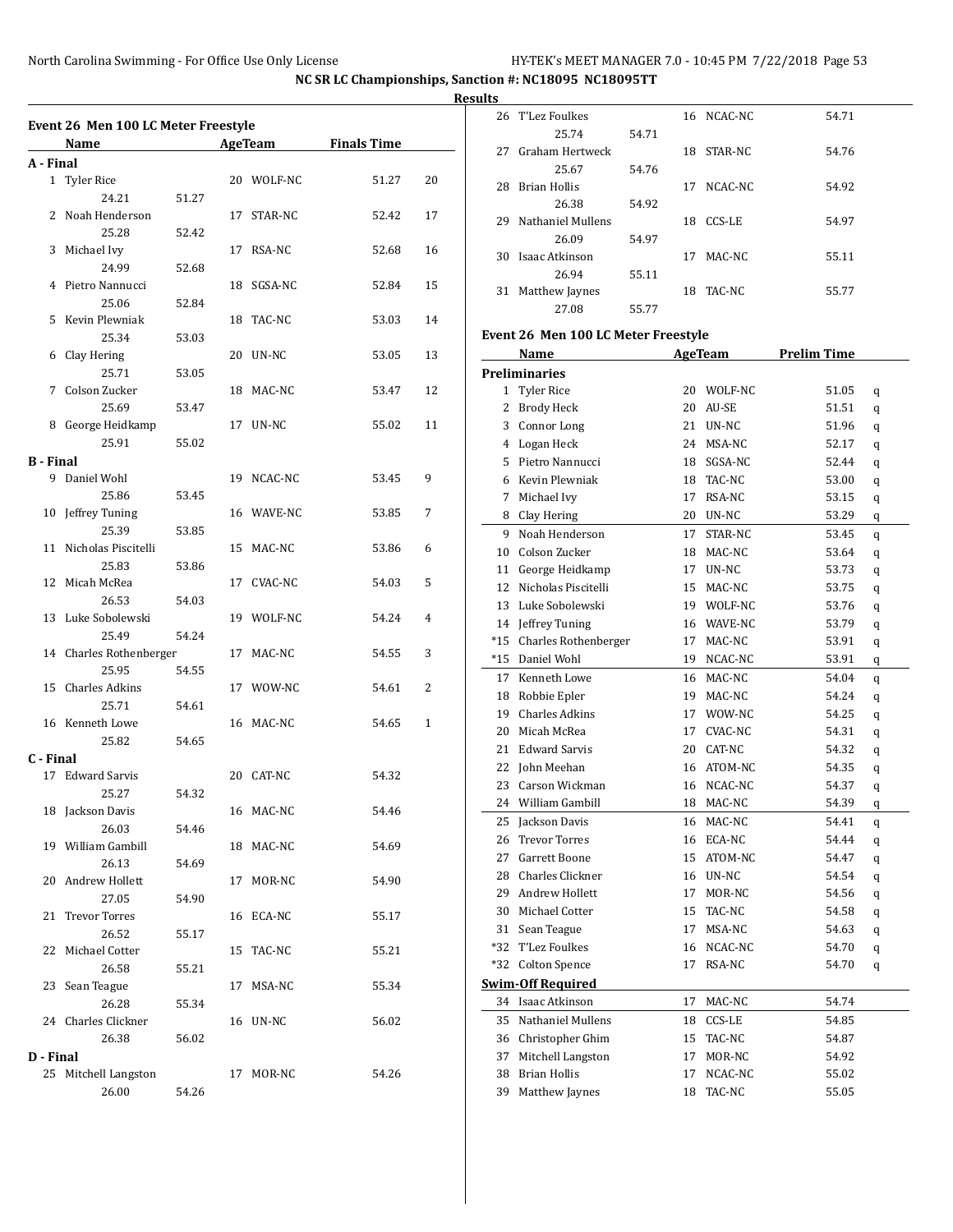26 T'Lez Foulkes 16 NCAC-NC 54.71

25.74 54.71

**NC SR LC Championships, Sanction #: NC18095 NC18095TT**

**Results**

|           | Name                    |       |    | <b>AgeTeam</b> | <b>Finals Time</b> |    |
|-----------|-------------------------|-------|----|----------------|--------------------|----|
| A - Final |                         |       |    |                |                    |    |
|           | 1 Tyler Rice            |       |    | 20 WOLF-NC     | 51.27              | 20 |
|           | 24.21                   | 51.27 |    |                |                    |    |
| 2         | Noah Henderson          |       | 17 | STAR-NC        | 52.42              | 17 |
|           | 25.28                   | 52.42 |    |                |                    |    |
| 3         | Michael Ivy             |       |    | 17 RSA-NC      | 52.68              | 16 |
|           | 24.99                   | 52.68 |    |                |                    |    |
| 4         | Pietro Nannucci         |       |    | 18 SGSA-NC     | 52.84              | 15 |
|           | 25.06                   | 52.84 |    |                |                    |    |
| 5         | Kevin Plewniak          |       |    | 18 TAC-NC      | 53.03              | 14 |
|           | 25.34                   | 53.03 |    |                |                    |    |
| 6         | Clay Hering             |       |    | 20 UN-NC       | 53.05              | 13 |
|           | 25.71                   | 53.05 |    |                |                    |    |
| 7         | Colson Zucker           |       |    | 18 MAC-NC      | 53.47              | 12 |
|           | 25.69                   | 53.47 |    |                |                    |    |
| 8         | George Heidkamp         |       |    | 17 UN-NC       | 55.02              | 11 |
|           | 25.91                   | 55.02 |    |                |                    |    |
| B - Final |                         |       |    |                |                    |    |
| 9         | Daniel Wohl             |       |    | 19 NCAC-NC     | 53.45              | 9  |
|           | 25.86                   | 53.45 |    |                |                    |    |
| 10        | Jeffrey Tuning<br>25.39 |       |    | 16 WAVE-NC     | 53.85              | 7  |
|           |                         | 53.85 |    |                |                    |    |
| 11        | Nicholas Piscitelli     |       |    | 15 MAC-NC      | 53.86              | 6  |
| 12        | 25.83<br>Micah McRea    | 53.86 |    |                |                    | 5  |
|           | 26.53                   |       |    | 17 CVAC-NC     | 54.03              |    |
| 13        | Luke Sobolewski         | 54.03 |    | 19 WOLF-NC     |                    | 4  |
|           | 25.49                   | 54.24 |    |                | 54.24              |    |
|           | 14 Charles Rothenberger |       |    | 17 MAC-NC      | 54.55              | 3  |
|           | 25.95                   | 54.55 |    |                |                    |    |
| 15        | Charles Adkins          |       |    | 17 WOW-NC      | 54.61              | 2  |
|           | 25.71                   | 54.61 |    |                |                    |    |
|           | 16 Kenneth Lowe         |       |    | 16 MAC-NC      | 54.65              | 1  |
|           | 25.82                   | 54.65 |    |                |                    |    |
| C - Final |                         |       |    |                |                    |    |
| 17        | Edward Sarvis           |       |    | 20 CAT-NC      | 54.32              |    |
|           | 25.27                   | 54.32 |    |                |                    |    |
|           | 18 Jackson Davis        |       |    | 16 MAC-NC      | 54.46              |    |
|           | 26.03                   | 54.46 |    |                |                    |    |
|           | 19 William Gambill      |       |    | 18 MAC-NC      | 54.69              |    |
|           | 26.13                   | 54.69 |    |                |                    |    |
|           | 20 Andrew Hollett       |       |    | 17 MOR-NC      | 54.90              |    |
|           | 27.05                   | 54.90 |    |                |                    |    |
| 21        | <b>Trevor Torres</b>    |       |    | 16 ECA-NC      | 55.17              |    |
|           | 26.52                   | 55.17 |    |                |                    |    |
|           | 22 Michael Cotter       |       |    | 15 TAC-NC      | 55.21              |    |
|           | 26.58                   | 55.21 |    |                |                    |    |
|           | 23 Sean Teague          |       |    | 17 MSA-NC      | 55.34              |    |
|           | 26.28                   | 55.34 |    |                |                    |    |
|           | 24 Charles Clickner     |       |    | 16 UN-NC       | 56.02              |    |
|           | 26.38                   | 56.02 |    |                |                    |    |
| D - Final |                         |       |    |                |                    |    |
|           | 25 Mitchell Langston    |       |    | 17 MOR-NC      | 54.26              |    |
|           | 26.00                   | 54.26 |    |                |                    |    |
|           |                         |       |    |                |                    |    |

| 27  | Graham Hertweck                     |       | 18 | STAR-NC    | 54.76              |   |
|-----|-------------------------------------|-------|----|------------|--------------------|---|
|     | 25.67                               | 54.76 |    |            |                    |   |
| 28  | <b>Brian Hollis</b>                 |       | 17 | NCAC-NC    | 54.92              |   |
|     | 26.38                               | 54.92 |    |            |                    |   |
| 29  | Nathaniel Mullens                   |       | 18 | CCS-LE     | 54.97              |   |
|     | 26.09                               | 54.97 |    |            |                    |   |
| 30  | Isaac Atkinson                      |       | 17 | MAC-NC     | 55.11              |   |
|     | 26.94                               | 55.11 |    |            |                    |   |
|     | 31 Matthew Jaynes                   |       |    | 18 TAC-NC  | 55.77              |   |
|     | 27.08                               | 55.77 |    |            |                    |   |
|     | Event 26 Men 100 LC Meter Freestyle |       |    |            |                    |   |
|     | Name                                |       |    | AgeTeam    | <b>Prelim Time</b> |   |
|     | <b>Preliminaries</b>                |       |    |            |                    |   |
| 1   | <b>Tyler Rice</b>                   |       |    | 20 WOLF-NC | 51.05              |   |
|     | 2 Brody Heck                        |       |    | 20 AU-SE   | 51.51              | q |
|     | 3 Connor Long                       |       |    | 21 UN-NC   | 51.96              | q |
|     | 4 Logan Heck                        |       |    | 24 MSA-NC  | 52.17              | q |
|     | 5 Pietro Nannucci                   |       |    | 18 SGSA-NC | 52.44              | q |
|     | 6 Kevin Plewniak                    |       |    | 18 TAC-NC  | 53.00              | q |
| 7   |                                     |       |    |            |                    | q |
|     | Michael Ivy                         |       | 17 | RSA-NC     | 53.15              | q |
|     | 8 Clay Hering<br>Noah Henderson     |       |    | 20 UN-NC   | 53.29              | q |
| 9   |                                     |       | 17 | STAR-NC    | 53.45              | q |
| 10  | Colson Zucker                       |       |    | 18 MAC-NC  | 53.64              | q |
|     | 11 George Heidkamp                  |       |    | 17 UN-NC   | 53.73              | q |
|     | 12 Nicholas Piscitelli              |       |    | 15 MAC-NC  | 53.75              | q |
|     | 13 Luke Sobolewski                  |       |    | 19 WOLF-NC | 53.76              | q |
|     | 14 Jeffrey Tuning                   |       |    | 16 WAVE-NC | 53.79              | q |
|     | *15 Charles Rothenberger            |       |    | 17 MAC-NC  | 53.91              | q |
| *15 | Daniel Wohl                         |       |    | 19 NCAC-NC | 53.91              | q |
|     | 17 Kenneth Lowe                     |       |    | 16 MAC-NC  | 54.04              | q |
|     | 18 Robbie Epler                     |       |    | 19 MAC-NC  | 54.24              | q |
|     | 19 Charles Adkins                   |       |    | 17 WOW-NC  | 54.25              | q |
| 20  | Micah McRea                         |       |    | 17 CVAC-NC | 54.31              | q |
| 21  | Edward Sarvis                       |       |    | 20 CAT-NC  | 54.32              | q |
| 22  | John Meehan                         |       |    | 16 ATOM-NC | 54.35              | q |
| 23  | Carson Wickman                      |       |    | 16 NCAC-NC | 54.37              | q |
|     | 24 William Gambill                  |       |    | 18 MAC-NC  | 54.39              | q |
| 25  | Jackson Davis                       |       |    | 16 MAC-NC  | 54.41              | q |
| 26  | Trevor Torres                       |       |    | 16 ECA-NC  | 54.44              | q |
| 27  | Garrett Boone                       |       | 15 | ATOM-NC    | 54.47              | q |
| 28  | Charles Clickner                    |       | 16 | UN-NC      | 54.54              | q |
| 29  | Andrew Hollett                      |       | 17 | MOR-NC     | 54.56              | q |
| 30  | Michael Cotter                      |       | 15 | TAC-NC     | 54.58              | q |
| 31  | Sean Teague                         |       | 17 | MSA-NC     | 54.63              | q |
| *32 | T'Lez Foulkes                       |       | 16 | NCAC-NC    | 54.70              | q |
| *32 | <b>Colton Spence</b>                |       | 17 | RSA-NC     | 54.70              | q |
|     | <b>Swim-Off Required</b>            |       |    |            |                    |   |
| 34  | Isaac Atkinson                      |       | 17 | MAC-NC     | 54.74              |   |
| 35  | Nathaniel Mullens                   |       | 18 | CCS-LE     | 54.85              |   |
| 36  | Christopher Ghim                    |       | 15 | TAC-NC     | 54.87              |   |
| 37  | Mitchell Langston                   |       | 17 | MOR-NC     | 54.92              |   |
| 38  | <b>Brian Hollis</b>                 |       | 17 | NCAC-NC    | 55.02              |   |
| 39  | Matthew Jaynes                      |       | 18 | TAC-NC     | 55.05              |   |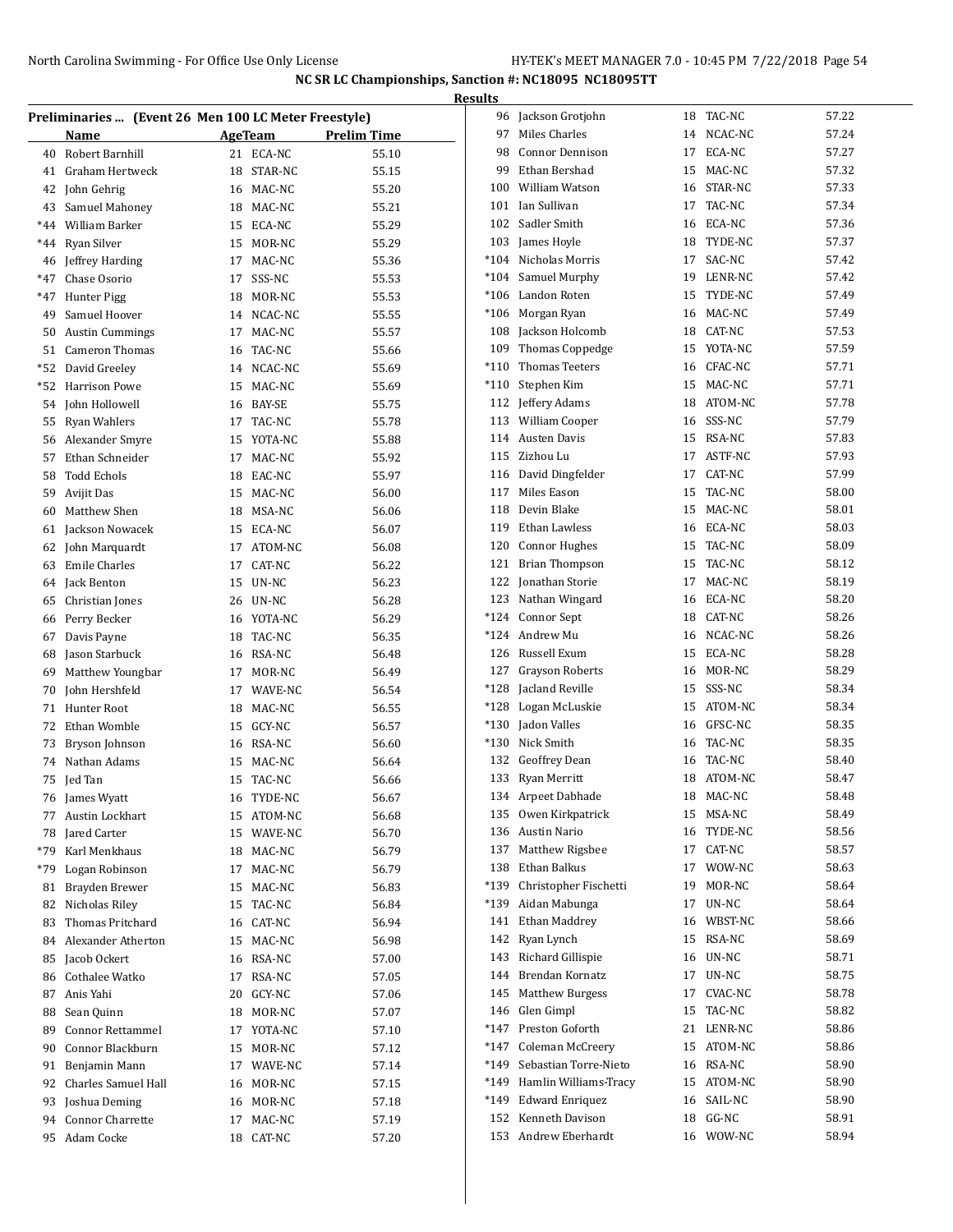|     |                                                      |    |            |             | <b>Results</b> |                        |    |            |       |
|-----|------------------------------------------------------|----|------------|-------------|----------------|------------------------|----|------------|-------|
|     | Preliminaries  (Event 26 Men 100 LC Meter Freestyle) |    |            |             |                | 96 Jackson Grotjohn    |    | 18 TAC-NC  | 57.22 |
|     | Name                                                 |    | AgeTeam    | Prelim Time | 97             | Miles Charles          |    | 14 NCAC-NC | 57.24 |
| 40  | Robert Barnhill                                      |    | 21 ECA-NC  | 55.10       | 98             | <b>Connor Dennison</b> | 17 | ECA-NC     | 57.27 |
| 41  | Graham Hertweck                                      | 18 | STAR-NC    | 55.15       | 99             | Ethan Bershad          | 15 | MAC-NC     | 57.32 |
| 42  | John Gehrig                                          |    | 16 MAC-NC  | 55.20       | 100            | <b>William Watson</b>  | 16 | STAR-NC    | 57.33 |
| 43  | Samuel Mahoney                                       | 18 | MAC-NC     | 55.21       | 101            | Ian Sullivan           | 17 | TAC-NC     | 57.34 |
| *44 | William Barker                                       | 15 | ECA-NC     | 55.29       | 102            | Sadler Smith           | 16 | ECA-NC     | 57.36 |
| *44 | Ryan Silver                                          | 15 | MOR-NC     | 55.29       | 103            | James Hoyle            | 18 | TYDE-NC    | 57.37 |
| 46  | Jeffrey Harding                                      | 17 | MAC-NC     | 55.36       | $*104$         | Nicholas Morris        | 17 | SAC-NC     | 57.42 |
| *47 | Chase Osorio                                         | 17 | SSS-NC     | 55.53       | $*104$         | Samuel Murphy          | 19 | LENR-NC    | 57.42 |
| *47 | Hunter Pigg                                          | 18 | MOR-NC     | 55.53       | $*106$         | Landon Roten           | 15 | TYDE-NC    | 57.49 |
| 49  | Samuel Hoover                                        |    | 14 NCAC-NC | 55.55       | $*106$         | Morgan Ryan            | 16 | MAC-NC     | 57.49 |
| 50  | <b>Austin Cummings</b>                               | 17 | MAC-NC     | 55.57       | 108            | Jackson Holcomb        | 18 | CAT-NC     | 57.53 |
| 51  | <b>Cameron Thomas</b>                                | 16 | TAC-NC     | 55.66       | 109            | Thomas Coppedge        | 15 | YOTA-NC    | 57.59 |
| *52 | David Greeley                                        | 14 | NCAC-NC    | 55.69       | $*110$         | Thomas Teeters         | 16 | CFAC-NC    | 57.71 |
| *52 | <b>Harrison Powe</b>                                 | 15 | MAC-NC     | 55.69       | $*110$         | Stephen Kim            | 15 | MAC-NC     | 57.71 |
| 54  | John Hollowell                                       | 16 | BAY-SE     | 55.75       | 112            | Jeffery Adams          | 18 | ATOM-NC    | 57.78 |
| 55  | <b>Ryan Wahlers</b>                                  | 17 | TAC-NC     | 55.78       | 113            | <b>William Cooper</b>  | 16 | SSS-NC     | 57.79 |
| 56  | Alexander Smyre                                      | 15 | YOTA-NC    | 55.88       | 114            | <b>Austen Davis</b>    | 15 | RSA-NC     | 57.83 |
| 57  | Ethan Schneider                                      | 17 | MAC-NC     | 55.92       | 115            | Zizhou Lu              |    | 17 ASTF-NC | 57.93 |
| 58  | <b>Todd Echols</b>                                   | 18 | EAC-NC     | 55.97       | 116            | David Dingfelder       | 17 | CAT-NC     | 57.99 |
| 59  | Avijit Das                                           |    | 15 MAC-NC  | 56.00       | 117            | Miles Eason            | 15 | TAC-NC     | 58.00 |
| 60  | Matthew Shen                                         |    | 18 MSA-NC  | 56.06       | 118            | Devin Blake            |    | 15 MAC-NC  | 58.01 |
|     |                                                      |    |            |             | 119            | Ethan Lawless          | 16 | ECA-NC     | 58.03 |
| 61  | Jackson Nowacek                                      | 15 | ECA-NC     | 56.07       | 120            | <b>Connor Hughes</b>   | 15 | TAC-NC     | 58.09 |
| 62  | John Marquardt                                       | 17 | ATOM-NC    | 56.08       | 121            | <b>Brian Thompson</b>  | 15 | TAC-NC     | 58.12 |
| 63  | <b>Emile Charles</b>                                 | 17 | CAT-NC     | 56.22       |                |                        |    | MAC-NC     |       |
| 64  | Jack Benton                                          | 15 | UN-NC      | 56.23       |                | 122 Jonathan Storie    | 17 |            | 58.19 |
| 65  | Christian Jones                                      | 26 | UN-NC      | 56.28       | 123            | Nathan Wingard         | 16 | ECA-NC     | 58.20 |
| 66  | Perry Becker                                         | 16 | YOTA-NC    | 56.29       | *124           | Connor Sept            | 18 | CAT-NC     | 58.26 |
| 67  | Davis Payne                                          | 18 | TAC-NC     | 56.35       | *124           | Andrew Mu              | 16 | NCAC-NC    | 58.26 |
| 68  | Jason Starbuck                                       | 16 | RSA-NC     | 56.48       | 126            | Russell Exum           | 15 | ECA-NC     | 58.28 |
| 69  | Matthew Youngbar                                     | 17 | MOR-NC     | 56.49       | 127            | <b>Grayson Roberts</b> | 16 | MOR-NC     | 58.29 |
| 70  | John Hershfeld                                       | 17 | WAVE-NC    | 56.54       | *128           | Jacland Reville        |    | 15 SSS-NC  | 58.34 |
| 71  | Hunter Root                                          | 18 | MAC-NC     | 56.55       | *128           | Logan McLuskie         | 15 | ATOM-NC    | 58.34 |
| 72  | Ethan Womble                                         | 15 | GCY-NC     | 56.57       | $*130$         | Jadon Valles           | 16 | GFSC-NC    | 58.35 |
| 73  | Bryson Johnson                                       | 16 | RSA-NC     | 56.60       | $*130$         | Nick Smith             | 16 | TAC-NC     | 58.35 |
| 74  | Nathan Adams                                         | 15 | MAC-NC     | 56.64       | 132            | Geoffrey Dean          | 16 | TAC-NC     | 58.40 |
|     | 75 Jed Tan                                           |    | 15 TAC-NC  | 56.66       |                | 133 Ryan Merritt       | 18 | ATOM-NC    | 58.47 |
|     | 76 James Wyatt                                       | 16 | TYDE-NC    | 56.67       |                | 134 Arpeet Dabhade     |    | 18 MAC-NC  | 58.48 |
| 77  | Austin Lockhart                                      | 15 | ATOM-NC    | 56.68       |                | 135 Owen Kirkpatrick   |    | 15 MSA-NC  | 58.49 |
| 78  | Jared Carter                                         | 15 | WAVE-NC    | 56.70       | 136            | Austin Nario           |    | 16 TYDE-NC | 58.56 |
| *79 | Karl Menkhaus                                        | 18 | MAC-NC     | 56.79       | 137            | Matthew Rigsbee        |    | 17 CAT-NC  | 58.57 |
| *79 | Logan Robinson                                       | 17 | MAC-NC     | 56.79       | 138            | Ethan Balkus           | 17 | WOW-NC     | 58.63 |
| 81  | Brayden Brewer                                       | 15 | MAC-NC     | 56.83       | *139           | Christopher Fischetti  |    | 19 MOR-NC  | 58.64 |
| 82  | Nicholas Riley                                       | 15 | TAC-NC     | 56.84       | *139           | Aidan Mabunga          |    | 17 UN-NC   | 58.64 |
| 83  | Thomas Pritchard                                     | 16 | CAT-NC     | 56.94       | 141            | Ethan Maddrey          |    | 16 WBST-NC | 58.66 |
| 84  | Alexander Atherton                                   |    | 15 MAC-NC  | 56.98       | 142            | Ryan Lynch             |    | 15 RSA-NC  | 58.69 |
| 85  | Jacob Ockert                                         |    | 16 RSA-NC  | 57.00       | 143            | Richard Gillispie      |    | 16 UN-NC   | 58.71 |
| 86  | Cothalee Watko                                       | 17 | RSA-NC     | 57.05       | 144            | Brendan Kornatz        |    | 17 UN-NC   | 58.75 |
| 87  | Anis Yahi                                            | 20 | GCY-NC     | 57.06       | 145            | <b>Matthew Burgess</b> | 17 | CVAC-NC    | 58.78 |
| 88  | Sean Quinn                                           | 18 | MOR-NC     | 57.07       | 146            | Glen Gimpl             |    | 15 TAC-NC  | 58.82 |
| 89  | Connor Rettammel                                     | 17 | YOTA-NC    | 57.10       | $*147$         | Preston Goforth        |    | 21 LENR-NC | 58.86 |
| 90  | Connor Blackburn                                     | 15 | MOR-NC     | 57.12       | $*147$         | Coleman McCreery       |    | 15 ATOM-NC | 58.86 |
| 91  | Benjamin Mann                                        | 17 | WAVE-NC    | 57.14       | *149           | Sebastian Torre-Nieto  | 16 | RSA-NC     | 58.90 |
| 92  | Charles Samuel Hall                                  | 16 | MOR-NC     | 57.15       | *149           | Hamlin Williams-Tracy  |    | 15 ATOM-NC | 58.90 |
| 93  | Joshua Deming                                        | 16 | MOR-NC     | 57.18       | *149           | <b>Edward Enriquez</b> |    | 16 SAIL-NC | 58.90 |
| 94  | Connor Charrette                                     | 17 | MAC-NC     | 57.19       |                | 152 Kenneth Davison    |    | 18 GG-NC   | 58.91 |
|     | 95 Adam Cocke                                        |    | 18 CAT-NC  | 57.20       |                | 153 Andrew Eberhardt   |    | 16 WOW-NC  | 58.94 |
|     |                                                      |    |            |             |                |                        |    |            |       |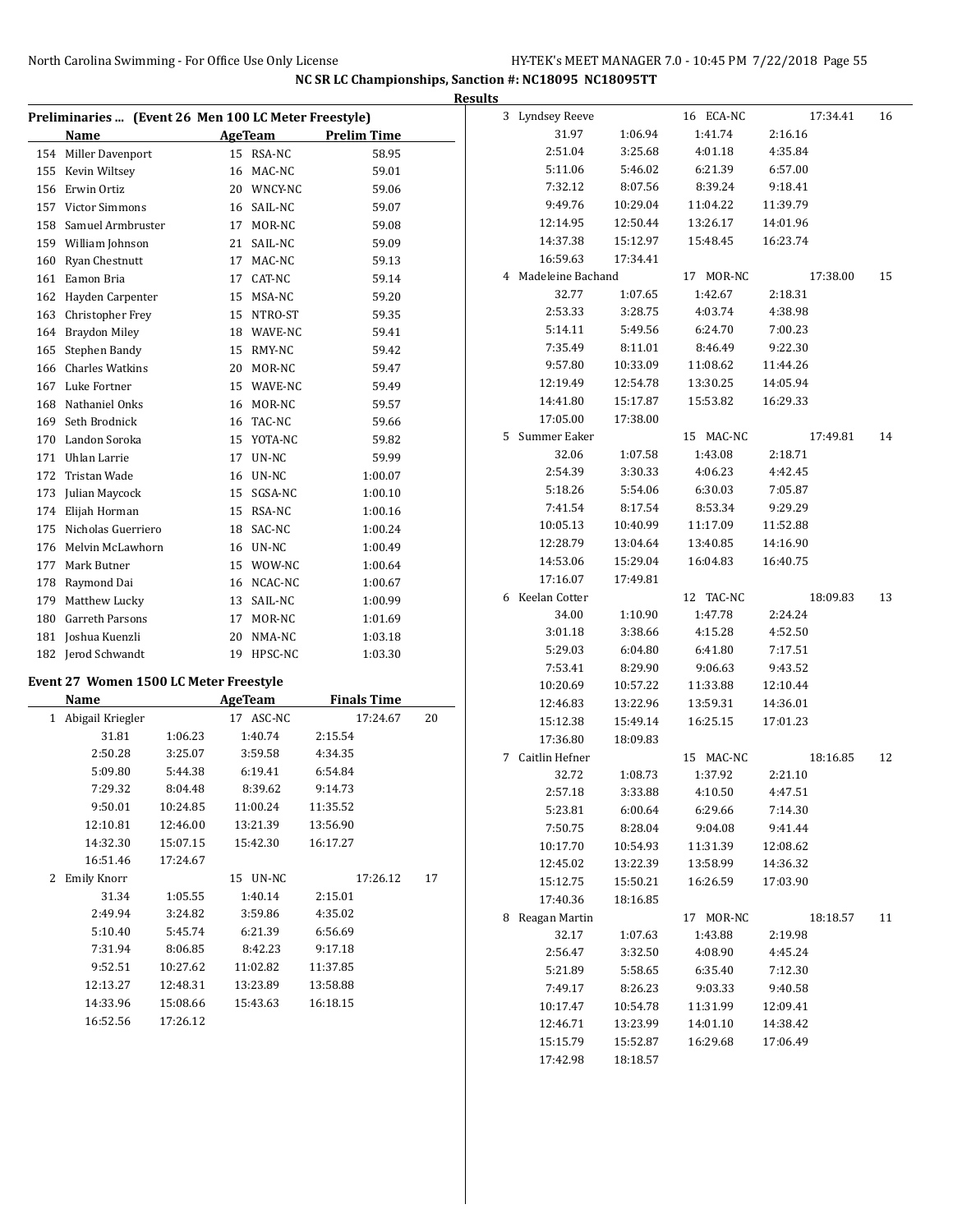|     |                                                      |          |                |                    |    | <b>Results</b> |                     |                    |                    |                    |    |
|-----|------------------------------------------------------|----------|----------------|--------------------|----|----------------|---------------------|--------------------|--------------------|--------------------|----|
|     | Preliminaries  (Event 26 Men 100 LC Meter Freestyle) |          |                |                    |    |                | 3 Lyndsey Reeve     |                    | 16 ECA-NC          | 17:34.41           | 16 |
|     | Name                                                 |          | <b>AgeTeam</b> | <b>Prelim Time</b> |    |                | 31.97               | 1:06.94            | 1:41.74            | 2:16.16            |    |
|     | 154 Miller Davenport                                 |          | 15 RSA-NC      | 58.95              |    |                | 2:51.04             | 3:25.68            | 4:01.18            | 4:35.84            |    |
|     | 155 Kevin Wiltsey                                    |          | 16 MAC-NC      | 59.01              |    |                | 5:11.06             | 5:46.02            | 6:21.39            | 6:57.00            |    |
|     | 156 Erwin Ortiz                                      |          | 20 WNCY-NC     | 59.06              |    |                | 7:32.12             | 8:07.56            | 8:39.24            | 9:18.41            |    |
| 157 | <b>Victor Simmons</b>                                |          | 16 SAIL-NC     | 59.07              |    |                | 9:49.76             | 10:29.04           | 11:04.22           | 11:39.79           |    |
| 158 | Samuel Armbruster                                    |          | 17 MOR-NC      | 59.08              |    |                | 12:14.95            | 12:50.44           | 13:26.17           | 14:01.96           |    |
| 159 | William Johnson                                      |          | 21 SAIL-NC     | 59.09              |    |                | 14:37.38            | 15:12.97           | 15:48.45           | 16:23.74           |    |
| 160 | Ryan Chestnutt                                       |          | 17 MAC-NC      | 59.13              |    |                | 16:59.63            | 17:34.41           |                    |                    |    |
| 161 | Eamon Bria                                           |          | CAT-NC<br>17   | 59.14              |    |                | 4 Madeleine Bachand |                    | 17 MOR-NC          | 17:38.00           | 15 |
| 162 | Hayden Carpenter                                     |          | MSA-NC<br>15   | 59.20              |    |                | 32.77               | 1:07.65            | 1:42.67            | 2:18.31            |    |
| 163 | Christopher Frey                                     |          | 15 NTRO-ST     | 59.35              |    |                | 2:53.33             | 3:28.75            | 4:03.74            | 4:38.98            |    |
| 164 | <b>Braydon Miley</b>                                 |          | WAVE-NC<br>18  | 59.41              |    |                | 5:14.11             | 5:49.56            | 6:24.70            | 7:00.23            |    |
| 165 | Stephen Bandy                                        |          | 15 RMY-NC      | 59.42              |    |                | 7:35.49             | 8:11.01            | 8:46.49            | 9:22.30            |    |
| 166 | <b>Charles Watkins</b>                               |          | 20 MOR-NC      | 59.47              |    |                | 9:57.80             | 10:33.09           | 11:08.62           | 11:44.26           |    |
| 167 | Luke Fortner                                         |          | 15 WAVE-NC     | 59.49              |    |                | 12:19.49            | 12:54.78           | 13:30.25           | 14:05.94           |    |
| 168 | Nathaniel Onks                                       |          | 16 MOR-NC      | 59.57              |    |                | 14:41.80            | 15:17.87           | 15:53.82           | 16:29.33           |    |
| 169 | Seth Brodnick                                        |          | 16 TAC-NC      | 59.66              |    |                | 17:05.00            | 17:38.00           |                    |                    |    |
| 170 | Landon Soroka                                        |          | 15 YOTA-NC     | 59.82              |    |                | 5 Summer Eaker      |                    | 15 MAC-NC          | 17:49.81           | 14 |
| 171 | Uhlan Larrie                                         |          | UN-NC<br>17    | 59.99              |    |                | 32.06               | 1:07.58            | 1:43.08            | 2:18.71            |    |
| 172 | Tristan Wade                                         |          | 16 UN-NC       | 1:00.07            |    |                | 2:54.39             | 3:30.33            | 4:06.23            | 4:42.45            |    |
| 173 | Julian Maycock                                       |          | 15 SGSA-NC     | 1:00.10            |    |                | 5:18.26             | 5:54.06            | 6:30.03            | 7:05.87            |    |
| 174 | Elijah Horman                                        |          | 15 RSA-NC      | 1:00.16            |    |                | 7:41.54             | 8:17.54            | 8:53.34            | 9:29.29            |    |
| 175 | Nicholas Guerriero                                   |          | SAC-NC<br>18   | 1:00.24            |    |                | 10:05.13            | 10:40.99           | 11:17.09           | 11:52.88           |    |
| 176 | Melvin McLawhorn                                     |          | UN-NC<br>16    | 1:00.49            |    |                | 12:28.79            | 13:04.64           | 13:40.85           | 14:16.90           |    |
| 177 | Mark Butner                                          |          | 15 WOW-NC      | 1:00.64            |    |                | 14:53.06            | 15:29.04           | 16:04.83           | 16:40.75           |    |
|     |                                                      |          | 16 NCAC-NC     |                    |    |                | 17:16.07            | 17:49.81           |                    |                    |    |
| 178 | Raymond Dai                                          |          | 13 SAIL-NC     | 1:00.67            |    | 6              | Keelan Cotter       |                    | 12 TAC-NC          | 18:09.83           | 13 |
| 179 | Matthew Lucky<br>Garreth Parsons                     |          | 17 MOR-NC      | 1:00.99            |    |                | 34.00               | 1:10.90            | 1:47.78            | 2:24.24            |    |
| 180 |                                                      |          |                | 1:01.69            |    |                | 3:01.18             | 3:38.66            | 4:15.28            | 4:52.50            |    |
| 181 | Joshua Kuenzli                                       |          | 20 NMA-NC      | 1:03.18            |    |                | 5:29.03             | 6:04.80            | 6:41.80            | 7:17.51            |    |
| 182 | Jerod Schwandt                                       |          | 19 HPSC-NC     | 1:03.30            |    |                | 7:53.41             | 8:29.90            | 9:06.63            | 9:43.52            |    |
|     | Event 27 Women 1500 LC Meter Freestyle               |          |                |                    |    |                | 10:20.69            | 10:57.22           | 11:33.88           | 12:10.44           |    |
|     | Name                                                 |          | <b>AgeTeam</b> | <b>Finals Time</b> |    |                | 12:46.83            | 13:22.96           | 13:59.31           | 14:36.01           |    |
|     | 1 Abigail Kriegler                                   |          | 17 ASC-NC      | 17:24.67           | 20 |                | 15:12.38            | 15:49.14           | 16:25.15           | 17:01.23           |    |
|     | 31.81                                                | 1:06.23  | 1:40.74        | 2:15.54            |    |                | 17:36.80            | 18:09.83           |                    |                    |    |
|     | 2:50.28                                              | 3:25.07  | 3:59.58        | 4:34.35            |    |                | 7 Caitlin Hefner    |                    | 15 MAC-NC          | 18:16.85           | 12 |
|     | 5:09.80                                              | 5:44.38  | 6:19.41        | 6:54.84            |    |                | 32.72               | 1:08.73            | 1:37.92            | 2:21.10            |    |
|     | 7:29.32                                              | 8:04.48  | 8:39.62        | 9:14.73            |    |                | 2:57.18             | 3:33.88            | 4:10.50            | 4:47.51            |    |
|     | 9:50.01                                              | 10:24.85 | 11:00.24       | 11:35.52           |    |                | 5:23.81             | 6:00.64            | 6:29.66            | 7:14.30            |    |
|     | 12:10.81                                             | 12:46.00 | 13:21.39       | 13:56.90           |    |                | 7:50.75             | 8:28.04            | 9:04.08            | 9:41.44            |    |
|     | 14:32.30                                             | 15:07.15 | 15:42.30       | 16:17.27           |    |                | 10:17.70            | 10:54.93           | 11:31.39           | 12:08.62           |    |
|     | 16:51.46                                             | 17:24.67 |                |                    |    |                | 12:45.02            | 13:22.39           | 13:58.99           | 14:36.32           |    |
|     | 2 Emily Knorr                                        |          | 15 UN-NC       | 17:26.12           | 17 |                | 15:12.75            | 15:50.21           | 16:26.59           | 17:03.90           |    |
|     | 31.34                                                | 1:05.55  | 1:40.14        | 2:15.01            |    |                | 17:40.36            | 18:16.85           |                    |                    |    |
|     | 2:49.94                                              | 3:24.82  | 3:59.86        | 4:35.02            |    |                |                     |                    |                    |                    |    |
|     | 5:10.40                                              | 5:45.74  | 6:21.39        | 6:56.69            |    |                | 8 Reagan Martin     |                    | 17 MOR-NC          | 18:18.57           | 11 |
|     | 7:31.94                                              | 8:06.85  | 8:42.23        | 9:17.18            |    |                | 32.17               | 1:07.63<br>3:32.50 | 1:43.88<br>4:08.90 | 2:19.98<br>4:45.24 |    |
|     | 9:52.51                                              | 10:27.62 | 11:02.82       | 11:37.85           |    |                | 2:56.47             |                    |                    |                    |    |
|     | 12:13.27                                             | 12:48.31 | 13:23.89       | 13:58.88           |    |                | 5:21.89             | 5:58.65            | 6:35.40            | 7:12.30            |    |
|     | 14:33.96                                             | 15:08.66 | 15:43.63       | 16:18.15           |    |                | 7:49.17             | 8:26.23            | 9:03.33            | 9:40.58            |    |
|     | 16:52.56                                             | 17:26.12 |                |                    |    |                | 10:17.47            | 10:54.78           | 11:31.99           | 12:09.41           |    |
|     |                                                      |          |                |                    |    |                | 12:46.71            | 13:23.99           | 14:01.10           | 14:38.42           |    |
|     |                                                      |          |                |                    |    |                | 15:15.79            | 15:52.87           | 16:29.68           | 17:06.49           |    |
|     |                                                      |          |                |                    |    |                | 17:42.98            | 18:18.57           |                    |                    |    |
|     |                                                      |          |                |                    |    |                |                     |                    |                    |                    |    |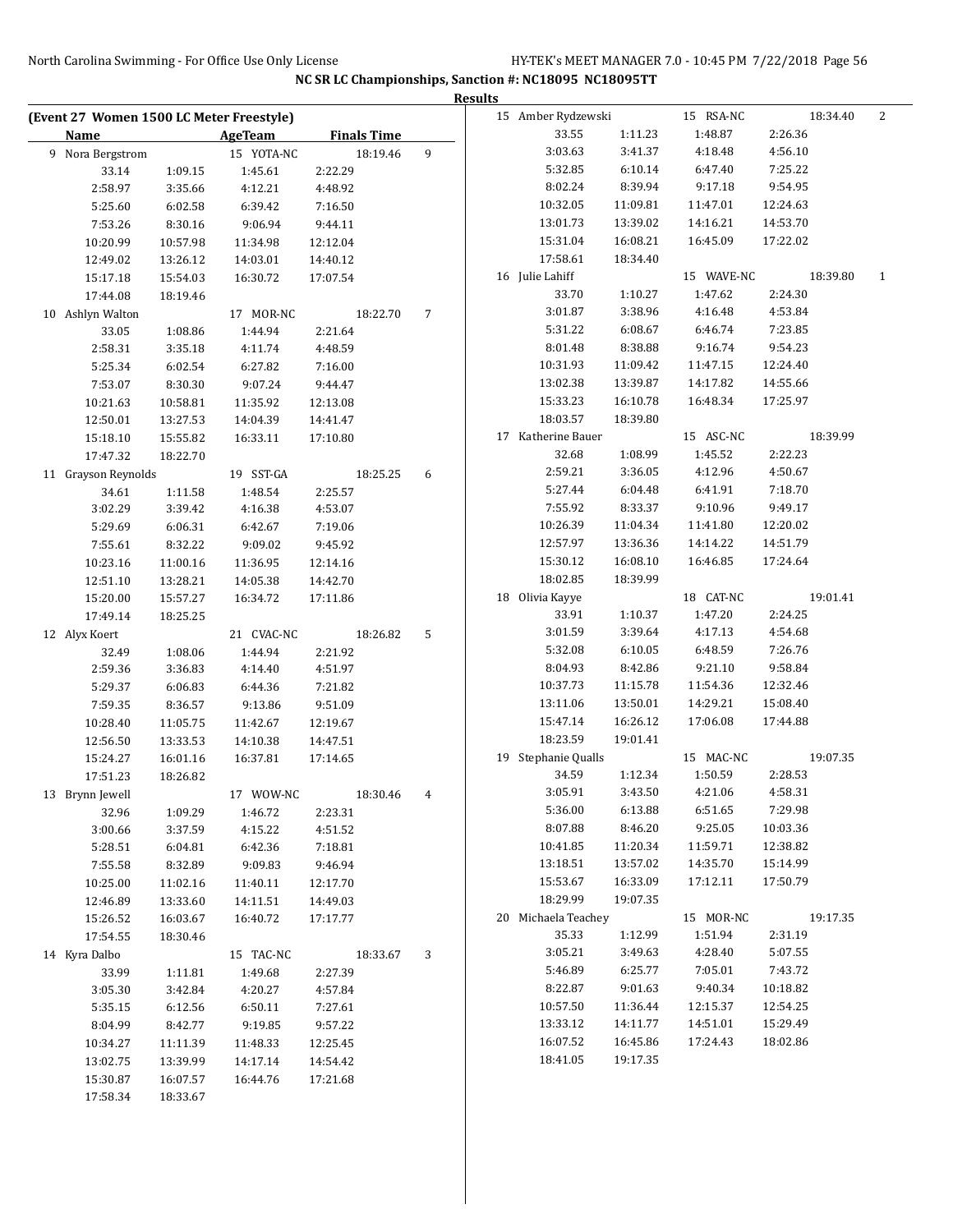|                                          |          |                |                    |                | <b>Results</b> |                     |          |            |          |          |              |
|------------------------------------------|----------|----------------|--------------------|----------------|----------------|---------------------|----------|------------|----------|----------|--------------|
| (Event 27 Women 1500 LC Meter Freestyle) |          |                |                    |                |                | 15 Amber Rydzewski  |          | 15 RSA-NC  |          | 18:34.40 | 2            |
| <b>Name</b>                              |          | <b>AgeTeam</b> | <b>Finals Time</b> |                |                | 33.55               | 1:11.23  | 1:48.87    | 2:26.36  |          |              |
| 9 Nora Bergstrom                         |          | 15 YOTA-NC     | 18:19.46           | 9              |                | 3:03.63             | 3:41.37  | 4:18.48    | 4:56.10  |          |              |
| 33.14                                    | 1:09.15  | 1:45.61        | 2:22.29            |                |                | 5:32.85             | 6:10.14  | 6:47.40    | 7:25.22  |          |              |
| 2:58.97                                  | 3:35.66  | 4:12.21        | 4:48.92            |                |                | 8:02.24             | 8:39.94  | 9:17.18    | 9:54.95  |          |              |
| 5:25.60                                  | 6:02.58  | 6:39.42        | 7:16.50            |                |                | 10:32.05            | 11:09.81 | 11:47.01   | 12:24.63 |          |              |
| 7:53.26                                  | 8:30.16  | 9:06.94        | 9:44.11            |                |                | 13:01.73            | 13:39.02 | 14:16.21   | 14:53.70 |          |              |
| 10:20.99                                 | 10:57.98 | 11:34.98       | 12:12.04           |                |                | 15:31.04            | 16:08.21 | 16:45.09   | 17:22.02 |          |              |
| 12:49.02                                 | 13:26.12 | 14:03.01       | 14:40.12           |                |                | 17:58.61            | 18:34.40 |            |          |          |              |
| 15:17.18                                 | 15:54.03 | 16:30.72       | 17:07.54           |                |                | 16 Julie Lahiff     |          | 15 WAVE-NC |          | 18:39.80 | $\mathbf{1}$ |
| 17:44.08                                 | 18:19.46 |                |                    |                |                | 33.70               | 1:10.27  | 1:47.62    | 2:24.30  |          |              |
| 10 Ashlyn Walton                         |          | 17 MOR-NC      | 18:22.70           | 7              |                | 3:01.87             | 3:38.96  | 4:16.48    | 4:53.84  |          |              |
| 33.05                                    | 1:08.86  | 1:44.94        | 2:21.64            |                |                | 5:31.22             | 6:08.67  | 6:46.74    | 7:23.85  |          |              |
| 2:58.31                                  | 3:35.18  | 4:11.74        | 4:48.59            |                |                | 8:01.48             | 8:38.88  | 9:16.74    | 9:54.23  |          |              |
| 5:25.34                                  | 6:02.54  | 6:27.82        | 7:16.00            |                |                | 10:31.93            | 11:09.42 | 11:47.15   | 12:24.40 |          |              |
| 7:53.07                                  | 8:30.30  | 9:07.24        | 9:44.47            |                |                | 13:02.38            | 13:39.87 | 14:17.82   | 14:55.66 |          |              |
| 10:21.63                                 | 10:58.81 | 11:35.92       | 12:13.08           |                |                | 15:33.23            | 16:10.78 | 16:48.34   | 17:25.97 |          |              |
| 12:50.01                                 | 13:27.53 | 14:04.39       | 14:41.47           |                |                | 18:03.57            | 18:39.80 |            |          |          |              |
| 15:18.10                                 | 15:55.82 | 16:33.11       | 17:10.80           |                |                | 17 Katherine Bauer  |          | 15 ASC-NC  |          | 18:39.99 |              |
| 17:47.32                                 | 18:22.70 |                |                    |                |                | 32.68               | 1:08.99  | 1:45.52    | 2:22.23  |          |              |
| 11 Grayson Reynolds                      |          | 19 SST-GA      | 18:25.25           | 6              |                | 2:59.21             | 3:36.05  | 4:12.96    | 4:50.67  |          |              |
| 34.61                                    | 1:11.58  | 1:48.54        | 2:25.57            |                |                | 5:27.44             | 6:04.48  | 6:41.91    | 7:18.70  |          |              |
| 3:02.29                                  | 3:39.42  | 4:16.38        | 4:53.07            |                |                | 7:55.92             | 8:33.37  | 9:10.96    | 9:49.17  |          |              |
| 5:29.69                                  | 6:06.31  | 6:42.67        | 7:19.06            |                |                | 10:26.39            | 11:04.34 | 11:41.80   | 12:20.02 |          |              |
| 7:55.61                                  | 8:32.22  | 9:09.02        | 9:45.92            |                |                | 12:57.97            | 13:36.36 | 14:14.22   | 14:51.79 |          |              |
| 10:23.16                                 | 11:00.16 | 11:36.95       | 12:14.16           |                |                | 15:30.12            | 16:08.10 | 16:46.85   | 17:24.64 |          |              |
| 12:51.10                                 | 13:28.21 | 14:05.38       | 14:42.70           |                |                | 18:02.85            | 18:39.99 |            |          |          |              |
| 15:20.00                                 | 15:57.27 | 16:34.72       | 17:11.86           |                |                | 18 Olivia Kayye     |          | 18 CAT-NC  |          | 19:01.41 |              |
| 17:49.14                                 | 18:25.25 |                |                    |                |                | 33.91               | 1:10.37  | 1:47.20    | 2:24.25  |          |              |
| 12 Alyx Koert                            |          | 21 CVAC-NC     | 18:26.82           | 5              |                | 3:01.59             | 3:39.64  | 4:17.13    | 4:54.68  |          |              |
| 32.49                                    | 1:08.06  | 1:44.94        | 2:21.92            |                |                | 5:32.08             | 6:10.05  | 6:48.59    | 7:26.76  |          |              |
| 2:59.36                                  | 3:36.83  | 4:14.40        | 4:51.97            |                |                | 8:04.93             | 8:42.86  | 9:21.10    | 9:58.84  |          |              |
| 5:29.37                                  | 6:06.83  | 6:44.36        | 7:21.82            |                |                | 10:37.73            | 11:15.78 | 11:54.36   | 12:32.46 |          |              |
| 7:59.35                                  | 8:36.57  | 9:13.86        | 9:51.09            |                |                | 13:11.06            | 13:50.01 | 14:29.21   | 15:08.40 |          |              |
| 10:28.40                                 | 11:05.75 | 11:42.67       | 12:19.67           |                |                | 15:47.14            | 16:26.12 | 17:06.08   | 17:44.88 |          |              |
| 12:56.50                                 | 13:33.53 | 14:10.38       | 14:47.51           |                |                | 18:23.59            | 19:01.41 |            |          |          |              |
| 15:24.27                                 | 16:01.16 | 16:37.81       | 17:14.65           |                |                | 19 Stephanie Qualls |          | 15 MAC-NC  |          | 19:07.35 |              |
| 17:51.23                                 | 18:26.82 |                |                    |                |                | 34.59               | 1:12.34  | 1:50.59    | 2:28.53  |          |              |
| 13 Brynn Jewell                          |          | 17 WOW-NC      | 18:30.46           | $\overline{4}$ |                | 3:05.91             | 3:43.50  | 4:21.06    | 4:58.31  |          |              |
| 32.96                                    | 1:09.29  | 1:46.72        | 2:23.31            |                |                | 5:36.00             | 6:13.88  | 6:51.65    | 7:29.98  |          |              |
| 3:00.66                                  | 3:37.59  | 4:15.22        | 4:51.52            |                |                | 8:07.88             | 8:46.20  | 9:25.05    | 10:03.36 |          |              |
| 5:28.51                                  | 6:04.81  | 6:42.36        | 7:18.81            |                |                | 10:41.85            | 11:20.34 | 11:59.71   | 12:38.82 |          |              |
| 7:55.58                                  | 8:32.89  | 9:09.83        | 9:46.94            |                |                | 13:18.51            | 13:57.02 | 14:35.70   | 15:14.99 |          |              |
| 10:25.00                                 | 11:02.16 | 11:40.11       | 12:17.70           |                |                | 15:53.67            | 16:33.09 | 17:12.11   | 17:50.79 |          |              |
| 12:46.89                                 | 13:33.60 | 14:11.51       | 14:49.03           |                |                | 18:29.99            | 19:07.35 |            |          |          |              |
| 15:26.52                                 | 16:03.67 | 16:40.72       | 17:17.77           |                |                | 20 Michaela Teachey |          | 15 MOR-NC  |          | 19:17.35 |              |
| 17:54.55                                 | 18:30.46 |                |                    |                |                | 35.33               | 1:12.99  | 1:51.94    | 2:31.19  |          |              |
| 14 Kyra Dalbo                            |          | 15 TAC-NC      | 18:33.67           | 3              |                | 3:05.21             | 3:49.63  | 4:28.40    | 5:07.55  |          |              |
| 33.99                                    | 1:11.81  | 1:49.68        | 2:27.39            |                |                | 5:46.89             | 6:25.77  | 7:05.01    | 7:43.72  |          |              |
| 3:05.30                                  | 3:42.84  | 4:20.27        | 4:57.84            |                |                | 8:22.87             | 9:01.63  | 9:40.34    | 10:18.82 |          |              |
| 5:35.15                                  | 6:12.56  | 6:50.11        | 7:27.61            |                |                | 10:57.50            | 11:36.44 | 12:15.37   | 12:54.25 |          |              |
| 8:04.99                                  | 8:42.77  | 9:19.85        | 9:57.22            |                |                | 13:33.12            | 14:11.77 | 14:51.01   | 15:29.49 |          |              |
| 10:34.27                                 | 11:11.39 | 11:48.33       | 12:25.45           |                |                | 16:07.52            | 16:45.86 | 17:24.43   | 18:02.86 |          |              |
| 13:02.75                                 | 13:39.99 | 14:17.14       | 14:54.42           |                |                | 18:41.05            | 19:17.35 |            |          |          |              |
| 15:30.87                                 | 16:07.57 | 16:44.76       | 17:21.68           |                |                |                     |          |            |          |          |              |
| 17:58.34                                 | 18:33.67 |                |                    |                |                |                     |          |            |          |          |              |
|                                          |          |                |                    |                |                |                     |          |            |          |          |              |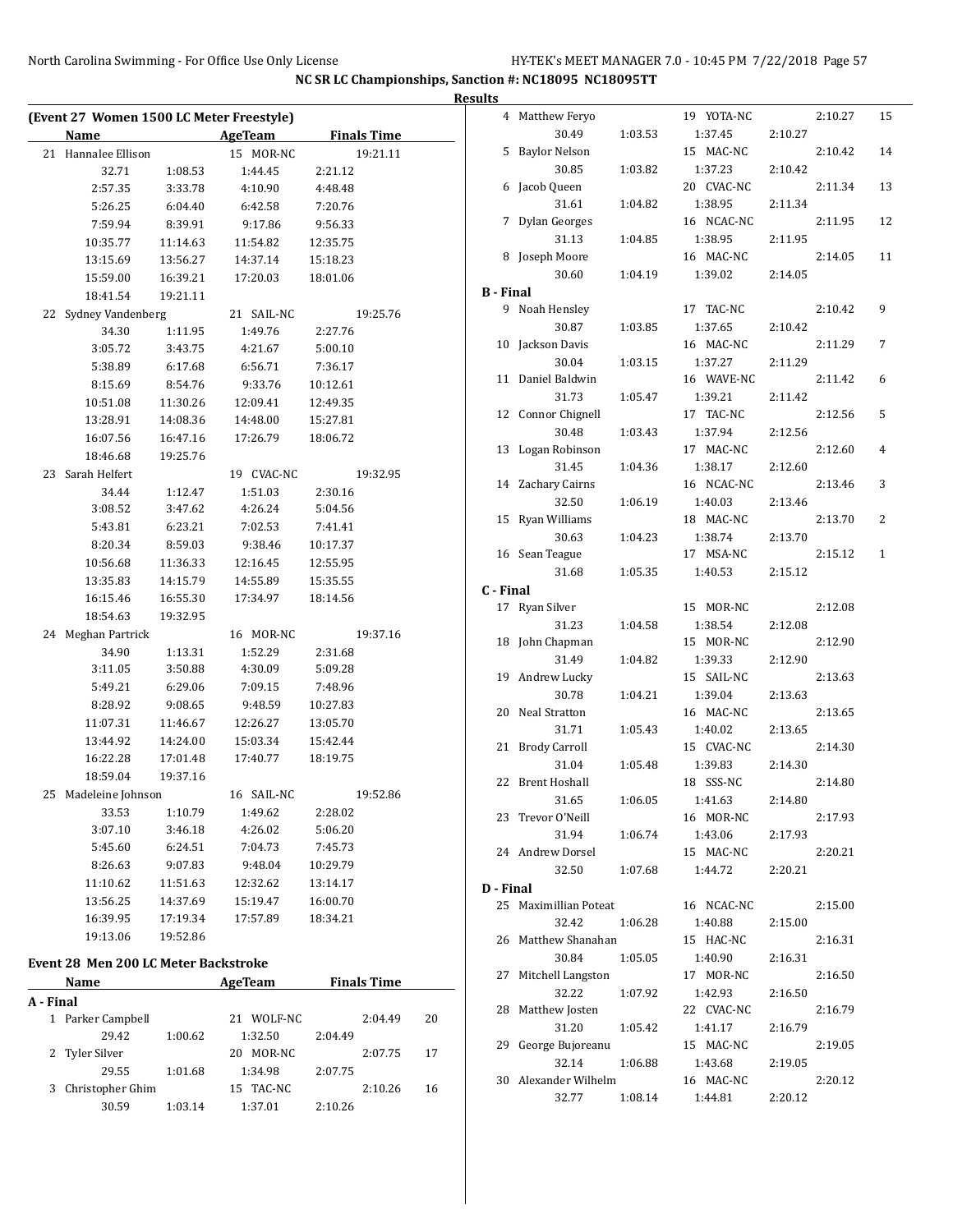| $B -$ |
|-------|
|       |
|       |
|       |
|       |
|       |
|       |
|       |
|       |
|       |
|       |
|       |
|       |
|       |
|       |
|       |
|       |
|       |
|       |
|       |
|       |
|       |
|       |
|       |
|       |
|       |
|       |
|       |
|       |
|       |
|       |
|       |
|       |
|       |
|       |
|       |
|       |
|       |
|       |
|       |
|       |
|       |
|       |

29.55 1:01.68 1:34.98 2:07.75 3 Christopher Ghim 15 TAC-NC 2:10.26 16 30.59 1:03.14 1:37.01 2:10.26

|                  | 4 Matthew Feryo      |         | 19 YOTA-NC |         | 2:10.27 | 15           |
|------------------|----------------------|---------|------------|---------|---------|--------------|
|                  | 30.49                | 1:03.53 | 1:37.45    | 2:10.27 |         |              |
| 5                | <b>Baylor Nelson</b> |         | 15 MAC-NC  |         | 2:10.42 | 14           |
|                  | 30.85                | 1:03.82 | 1:37.23    | 2:10.42 |         |              |
| 6                | Jacob Queen          |         | 20 CVAC-NC |         | 2:11.34 | 13           |
|                  | 31.61                | 1:04.82 | 1:38.95    | 2:11.34 |         |              |
| 7                | <b>Dylan Georges</b> |         | 16 NCAC-NC |         | 2:11.95 | 12           |
|                  | 31.13                | 1:04.85 | 1:38.95    | 2:11.95 |         |              |
| 8                | Joseph Moore         |         | 16 MAC-NC  |         | 2:14.05 | 11           |
|                  | 30.60                | 1:04.19 | 1:39.02    | 2:14.05 |         |              |
| <b>B</b> - Final |                      |         |            |         |         |              |
| 9.               | Noah Hensley         |         | 17 TAC-NC  |         | 2:10.42 | 9            |
|                  | 30.87                | 1:03.85 | 1:37.65    | 2:10.42 |         |              |
|                  | 10 Jackson Davis     |         | 16 MAC-NC  |         | 2:11.29 | 7            |
|                  | 30.04                | 1:03.15 | 1:37.27    | 2:11.29 |         |              |
| 11               | Daniel Baldwin       |         | 16 WAVE-NC |         | 2:11.42 | 6            |
|                  | 31.73                | 1:05.47 | 1:39.21    | 2:11.42 |         |              |
|                  | 12 Connor Chignell   |         | 17 TAC-NC  |         | 2:12.56 | 5            |
|                  | 30.48                | 1:03.43 | 1:37.94    | 2:12.56 |         |              |
| 13               | Logan Robinson       |         | 17 MAC-NC  |         | 2:12.60 | 4            |
|                  | 31.45                | 1:04.36 | 1:38.17    | 2:12.60 |         |              |
| 14               | Zachary Cairns       |         | 16 NCAC-NC |         | 2:13.46 | 3            |
|                  | 32.50                | 1:06.19 | 1:40.03    | 2:13.46 |         |              |
| 15               | Ryan Williams        |         | 18 MAC-NC  |         | 2:13.70 | 2            |
|                  | 30.63                | 1:04.23 | 1:38.74    | 2:13.70 |         |              |
| 16               |                      |         | 17 MSA-NC  |         | 2:15.12 | $\mathbf{1}$ |
|                  | Sean Teague<br>31.68 |         |            |         |         |              |
|                  |                      | 1:05.35 | 1:40.53    | 2:15.12 |         |              |
| C - Final        |                      |         |            |         |         |              |
| 17               | Ryan Silver          |         | 15 MOR-NC  |         | 2:12.08 |              |
|                  | 31.23                | 1:04.58 | 1:38.54    | 2:12.08 |         |              |
|                  | 18 John Chapman      |         | 15 MOR-NC  |         | 2:12.90 |              |
|                  | 31.49                | 1:04.82 | 1:39.33    | 2:12.90 |         |              |
|                  | 19 Andrew Lucky      |         | 15 SAIL-NC |         | 2:13.63 |              |
|                  | 30.78                | 1:04.21 | 1:39.04    | 2:13.63 |         |              |
| 20               | Neal Stratton        |         | 16 MAC-NC  |         | 2:13.65 |              |
|                  | 31.71                | 1:05.43 | 1:40.02    | 2:13.65 |         |              |
| 21               | <b>Brody Carroll</b> |         | 15 CVAC-NC |         | 2:14.30 |              |
|                  | 31.04                | 1:05.48 | 1:39.83    | 2:14.30 |         |              |
| 22               | <b>Brent Hoshall</b> |         | 18 SSS-NC  |         | 2:14.80 |              |
|                  | 31.65                | 1:06.05 | 1:41.63    | 2:14.80 |         |              |
|                  | 23 Trevor O'Neill    |         | 16 MOR-NC  |         | 2:17.93 |              |
|                  | 31.94                | 1:06.74 | 1:43.06    | 2:17.93 |         |              |
|                  | 24 Andrew Dorsel     |         | 15 MAC-NC  |         | 2:20.21 |              |
|                  | 32.50                | 1:07.68 | 1:44.72    | 2:20.21 |         |              |
| D - Final        |                      |         |            |         |         |              |
| 25               | Maximillian Poteat   |         | 16 NCAC-NC |         | 2:15.00 |              |
|                  | 32.42                | 1:06.28 | 1:40.88    | 2:15.00 |         |              |
| 26               | Matthew Shanahan     |         | 15 HAC-NC  |         | 2:16.31 |              |
|                  | 30.84                | 1:05.05 | 1:40.90    | 2:16.31 |         |              |
| 27               | Mitchell Langston    |         | 17 MOR-NC  |         | 2:16.50 |              |
|                  | 32.22                | 1:07.92 | 1:42.93    | 2:16.50 |         |              |
| 28               | Matthew Josten       |         | 22 CVAC-NC |         | 2:16.79 |              |
|                  | 31.20                | 1:05.42 | 1:41.17    | 2:16.79 |         |              |
| 29               | George Bujoreanu     |         | 15 MAC-NC  |         | 2:19.05 |              |
|                  | 32.14                | 1:06.88 | 1:43.68    | 2:19.05 |         |              |
| 30               | Alexander Wilhelm    |         | 16 MAC-NC  |         | 2:20.12 |              |
|                  | 32.77                | 1:08.14 | 1:44.81    | 2:20.12 |         |              |
|                  |                      |         |            |         |         |              |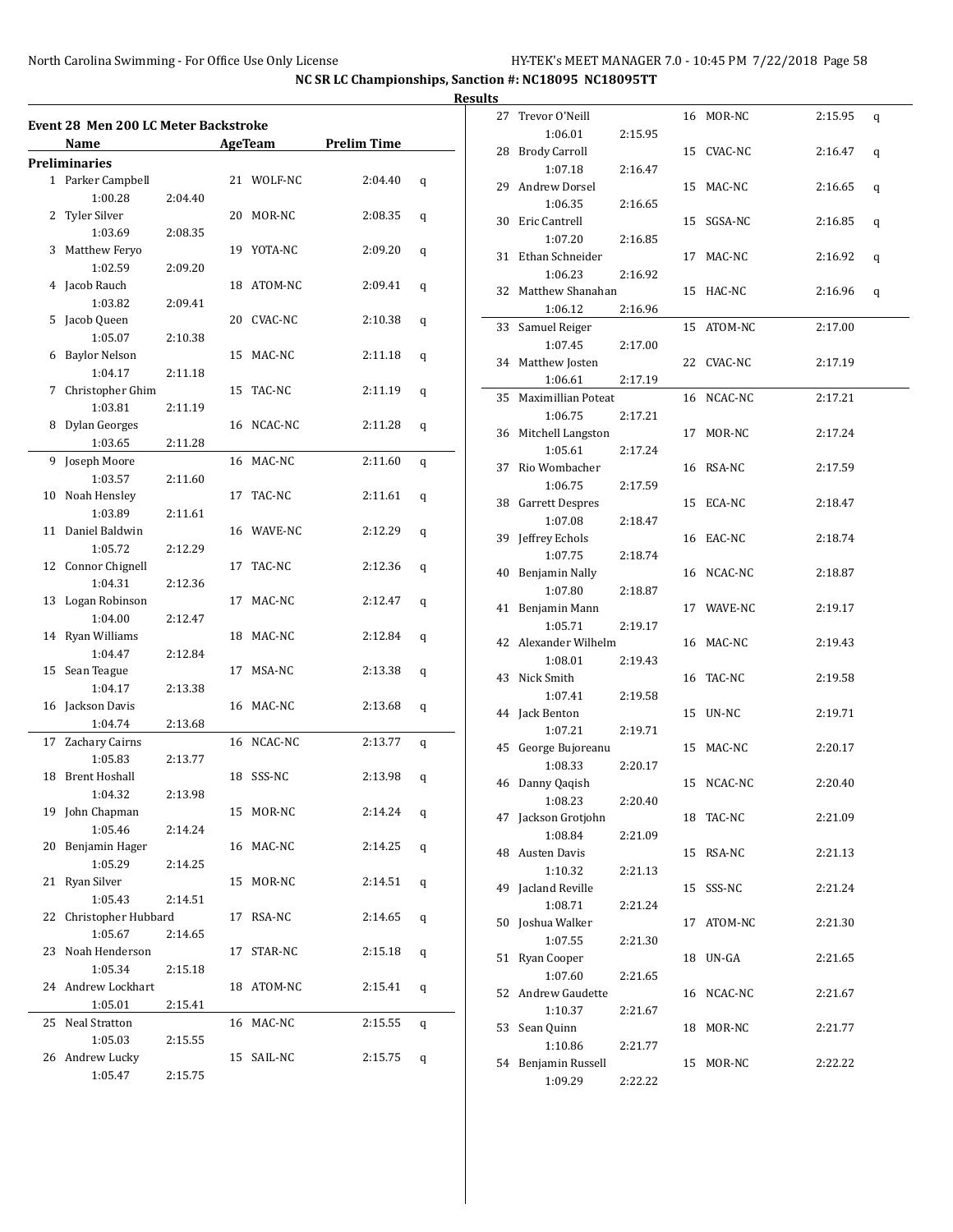$\overline{a}$ 

**NC SR LC Championships, Sanction #: NC18095 NC18095TT**

|    | Event 28 Men 200 LC Meter Backstroke |         |            |                     |   |
|----|--------------------------------------|---------|------------|---------------------|---|
|    | Name                                 |         |            | AgeTeam Prelim Time |   |
|    | Preliminaries                        |         |            |                     |   |
|    | 1 Parker Campbell                    |         | 21 WOLF-NC | 2:04.40             | q |
|    | 1:00.28                              | 2:04.40 |            |                     |   |
|    | 2 Tyler Silver                       |         | 20 MOR-NC  | 2:08.35             | q |
|    | 1:03.69                              | 2:08.35 |            |                     |   |
|    |                                      |         | 19 YOTA-NC |                     |   |
|    | 3 Matthew Feryo                      |         |            | 2:09.20             | q |
|    | 1:02.59                              | 2:09.20 |            |                     |   |
|    | 4 Jacob Rauch                        |         | 18 ATOM-NC | 2:09.41             | q |
|    | 1:03.82                              | 2:09.41 |            |                     |   |
| 5  | Jacob Queen                          |         | 20 CVAC-NC | 2:10.38             | q |
|    | 1:05.07                              | 2:10.38 |            |                     |   |
|    | 6 Baylor Nelson                      |         | 15 MAC-NC  | 2:11.18             | q |
|    | 1:04.17                              | 2:11.18 |            |                     |   |
|    | 7 Christopher Ghim                   |         | 15 TAC-NC  | 2:11.19             | q |
|    | 1:03.81                              | 2:11.19 |            |                     |   |
|    | 8 Dylan Georges                      |         | 16 NCAC-NC | 2:11.28             | q |
|    | 1:03.65                              | 2:11.28 |            |                     |   |
|    | 9 Joseph Moore                       |         | 16 MAC-NC  | 2:11.60             | q |
|    | 1:03.57                              | 2:11.60 |            |                     |   |
|    | 10 Noah Hensley                      |         | 17 TAC-NC  | 2:11.61             | q |
|    | 1:03.89                              | 2:11.61 |            |                     |   |
|    | 11 Daniel Baldwin                    |         | 16 WAVE-NC | 2:12.29             |   |
|    |                                      |         |            |                     | q |
|    | 1:05.72                              | 2:12.29 |            |                     |   |
|    | 12 Connor Chignell                   |         | 17 TAC-NC  | 2:12.36             | q |
|    | 1:04.31                              | 2:12.36 |            |                     |   |
|    | 13 Logan Robinson                    |         | 17 MAC-NC  | 2:12.47             | q |
|    | 1:04.00                              | 2:12.47 |            |                     |   |
|    | 14 Ryan Williams                     |         | 18 MAC-NC  | 2:12.84             | q |
|    | 1:04.47                              | 2:12.84 |            |                     |   |
|    | 15 Sean Teague                       |         | 17 MSA-NC  | 2:13.38             | q |
|    | 1:04.17                              | 2:13.38 |            |                     |   |
|    | 16 Jackson Davis                     |         | 16 MAC-NC  | 2:13.68             | q |
|    | 1:04.74                              | 2:13.68 |            |                     |   |
|    | 17 Zachary Cairns                    |         | 16 NCAC-NC | 2:13.77             | q |
|    | 1:05.83                              | 2:13.77 |            |                     |   |
|    | 18 Brent Hoshall                     |         | 18 SSS-NC  | 2:13.98             | q |
|    | 1:04.32                              | 2:13.98 |            |                     |   |
|    | 19 John Chapman                      |         | 15 MOR-NC  | 2:14.24             |   |
|    | 1:05.46                              | 2:14.24 |            |                     | q |
|    |                                      |         |            |                     |   |
|    | 20 Benjamin Hager                    |         | 16 MAC-NC  | 2:14.25             | q |
|    | 1:05.29                              | 2:14.25 |            |                     |   |
|    | 21 Ryan Silver                       |         | 15 MOR-NC  | 2:14.51             | q |
|    | 1:05.43                              | 2:14.51 |            |                     |   |
|    | 22 Christopher Hubbard               |         | 17 RSA-NC  | 2:14.65             | q |
|    | 1:05.67                              | 2:14.65 |            |                     |   |
|    | 23 Noah Henderson                    |         | 17 STAR-NC | 2:15.18             | q |
|    | 1:05.34                              | 2:15.18 |            |                     |   |
|    | 24 Andrew Lockhart                   |         | 18 ATOM-NC | 2:15.41             | q |
|    | 1:05.01                              | 2:15.41 |            |                     |   |
| 25 | Neal Stratton                        |         | 16 MAC-NC  | 2:15.55             | q |
|    | 1:05.03                              | 2:15.55 |            |                     |   |
|    | 26 Andrew Lucky                      |         | 15 SAIL-NC | 2:15.75             |   |
|    | 1:05.47                              |         |            |                     | q |
|    |                                      | 2:15.75 |            |                     |   |

| S  |                           |         |    |            |         |   |
|----|---------------------------|---------|----|------------|---------|---|
| 27 | Trevor O'Neill            |         |    | 16 MOR-NC  | 2:15.95 | q |
|    | 1:06.01                   | 2:15.95 |    |            |         |   |
| 28 | <b>Brody Carroll</b>      |         |    | 15 CVAC-NC | 2:16.47 | q |
|    | 1:07.18                   | 2:16.47 |    |            |         |   |
| 29 | Andrew Dorsel             |         | 15 | MAC-NC     | 2:16.65 | q |
|    | 1:06.35                   | 2:16.65 |    |            |         |   |
|    | 30 Eric Cantrell          |         |    | 15 SGSA-NC | 2:16.85 | q |
|    | 1:07.20                   | 2:16.85 |    |            |         |   |
| 31 | Ethan Schneider           |         |    | 17 MAC-NC  | 2:16.92 | q |
|    | 1:06.23                   | 2:16.92 |    |            |         |   |
| 32 | Matthew Shanahan          |         | 15 | HAC-NC     | 2:16.96 | q |
|    | 1:06.12                   | 2:16.96 |    |            |         |   |
| 33 | Samuel Reiger             |         |    | 15 ATOM-NC | 2:17.00 |   |
|    | 1:07.45                   | 2:17.00 |    |            |         |   |
| 34 | Matthew Josten            |         | 22 | CVAC-NC    | 2:17.19 |   |
|    | 1:06.61                   | 2:17.19 |    |            |         |   |
| 35 | Maximillian Poteat        |         |    | 16 NCAC-NC | 2:17.21 |   |
|    | 1:06.75                   | 2:17.21 |    |            |         |   |
| 36 | Mitchell Langston         |         |    | 17 MOR-NC  | 2:17.24 |   |
|    | 1:05.61                   | 2:17.24 |    |            |         |   |
| 37 | Rio Wombacher             |         |    | 16 RSA-NC  | 2:17.59 |   |
|    | 1:06.75                   | 2:17.59 |    |            |         |   |
|    | 38 Garrett Despres        |         | 15 | ECA-NC     | 2:18.47 |   |
|    | 1:07.08                   | 2:18.47 |    |            |         |   |
| 39 | Jeffrey Echols            |         |    | 16 EAC-NC  | 2:18.74 |   |
| 40 | 1:07.75<br>Benjamin Nally | 2:18.74 |    | 16 NCAC-NC |         |   |
|    | 1:07.80                   | 2:18.87 |    |            | 2:18.87 |   |
| 41 | Benjamin Mann             |         |    | 17 WAVE-NC | 2:19.17 |   |
|    | 1:05.71                   | 2:19.17 |    |            |         |   |
|    | 42 Alexander Wilhelm      |         |    | 16 MAC-NC  | 2:19.43 |   |
|    | 1:08.01                   | 2:19.43 |    |            |         |   |
| 43 | Nick Smith                |         | 16 | TAC-NC     | 2:19.58 |   |
|    | 1:07.41                   | 2:19.58 |    |            |         |   |
| 44 | Jack Benton               |         | 15 | UN-NC      | 2:19.71 |   |
|    | 1:07.21                   | 2:19.71 |    |            |         |   |
|    | 45 George Bujoreanu       |         | 15 | MAC-NC     | 2:20.17 |   |
|    | 1:08.33                   | 2:20.17 |    |            |         |   |
|    | 46 Danny Qaqish           |         | 15 | NCAC-NC    | 2:20.40 |   |
|    | 1:08.23                   | 2:20.40 |    |            |         |   |
| 47 | Jackson Grotjohn          |         |    | 18 TAC-NC  | 2:21.09 |   |
|    | 1:08.84                   | 2:21.09 |    |            |         |   |
| 48 | Austen Davis              |         | 15 | RSA-NC     | 2:21.13 |   |
|    | 1:10.32                   | 2:21.13 |    |            |         |   |
| 49 | Jacland Reville           |         | 15 | SSS-NC     | 2:21.24 |   |
|    | 1:08.71                   | 2:21.24 |    |            |         |   |
| 50 | Joshua Walker             |         | 17 | ATOM-NC    | 2:21.30 |   |
|    | 1:07.55                   | 2:21.30 |    |            |         |   |
| 51 | Ryan Cooper               |         | 18 | UN-GA      | 2:21.65 |   |
|    | 1:07.60                   | 2:21.65 |    |            |         |   |
| 52 | Andrew Gaudette           |         | 16 | NCAC-NC    | 2:21.67 |   |
|    | 1:10.37                   | 2:21.67 |    |            |         |   |
| 53 | Sean Quinn                |         | 18 | MOR-NC     | 2:21.77 |   |
|    | 1:10.86                   | 2:21.77 |    |            |         |   |
| 54 | Benjamin Russell          |         | 15 | MOR-NC     | 2:22.22 |   |
|    | 1:09.29                   | 2:22.22 |    |            |         |   |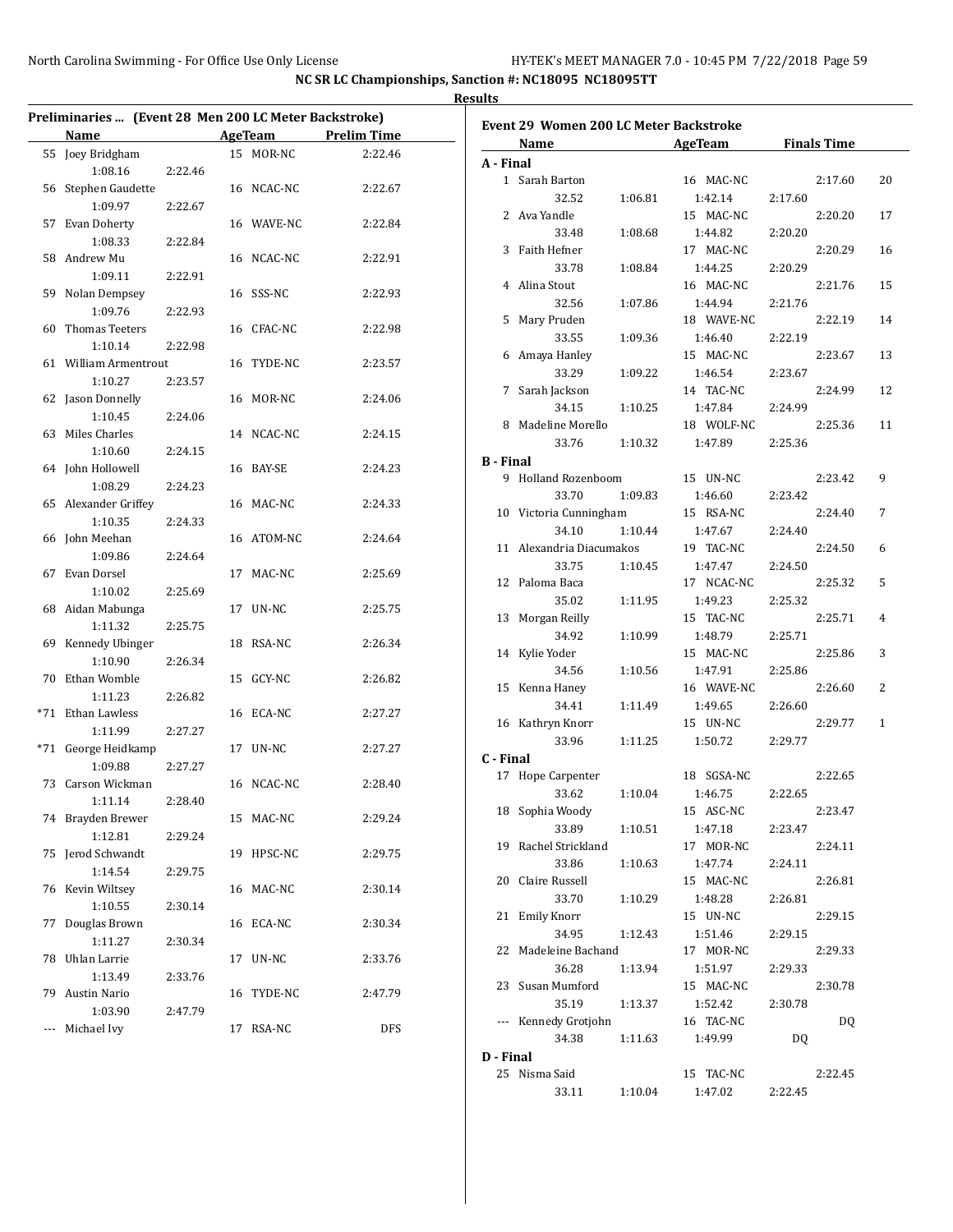**Results**

| Preliminaries  (Event 28 Men 200 LC Meter Backstroke) |         |                |            |                    |                  |                                        |         |                 |         |                    |              |
|-------------------------------------------------------|---------|----------------|------------|--------------------|------------------|----------------------------------------|---------|-----------------|---------|--------------------|--------------|
| Name                                                  |         | <b>AgeTeam</b> |            | <b>Prelim Time</b> |                  | Event 29 Women 200 LC Meter Backstroke |         |                 |         |                    |              |
| 55 Joey Bridgham                                      |         |                | 15 MOR-NC  | 2:22.46            |                  | Name                                   |         | AgeTeam         |         | <b>Finals Time</b> |              |
| 1:08.16                                               | 2:22.46 |                |            |                    | A - Final        |                                        |         |                 |         |                    |              |
| 56 Stephen Gaudette                                   |         |                | 16 NCAC-NC | 2:22.67            |                  | 1 Sarah Barton                         |         | 16 MAC-NC       |         | 2:17.60            | 20           |
| 1:09.97                                               | 2:22.67 |                |            |                    |                  | 32.52                                  | 1:06.81 | 1:42.14         | 2:17.60 |                    |              |
| 57 Evan Doherty                                       |         |                | 16 WAVE-NC | 2:22.84            |                  | 2 Ava Yandle                           |         | 15 MAC-NC       |         | 2:20.20            | 17           |
| 1:08.33                                               | 2:22.84 |                |            |                    |                  | 33.48                                  | 1:08.68 | 1:44.82         | 2:20.20 |                    |              |
| 58 Andrew Mu                                          |         |                | 16 NCAC-NC | 2:22.91            |                  | 3 Faith Hefner                         |         | 17 MAC-NC       |         | 2:20.29            | 16           |
| 1:09.11                                               | 2:22.91 |                |            |                    |                  | 33.78                                  | 1:08.84 | 1:44.25         | 2:20.29 |                    |              |
| 59 Nolan Dempsey                                      |         |                | 16 SSS-NC  | 2:22.93            |                  | 4 Alina Stout                          |         | 16 MAC-NC       |         | 2:21.76            | 15           |
| 1:09.76                                               | 2:22.93 |                |            |                    |                  | 32.56                                  | 1:07.86 | 1:44.94         | 2:21.76 |                    |              |
| 60 Thomas Teeters                                     |         |                | 16 CFAC-NC | 2:22.98            |                  | 5 Mary Pruden                          |         | 18 WAVE-NC      |         | 2:22.19            | 14           |
| 1:10.14                                               | 2:22.98 |                |            |                    |                  | 33.55                                  | 1:09.36 | 1:46.40         | 2:22.19 |                    |              |
| 61 William Armentrout                                 |         |                | 16 TYDE-NC | 2:23.57            |                  | 6 Amaya Hanley                         |         | 15 MAC-NC       |         | 2:23.67            | 13           |
| 1:10.27                                               | 2:23.57 |                |            |                    |                  | 33.29                                  | 1:09.22 | 1:46.54         | 2:23.67 |                    |              |
| 62 Jason Donnelly                                     |         |                | 16 MOR-NC  | 2:24.06            |                  | 7 Sarah Jackson                        |         | 14 TAC-NC       |         | 2:24.99            | 12           |
| 1:10.45                                               | 2:24.06 |                |            |                    |                  | 34.15                                  | 1:10.25 | 1:47.84         | 2:24.99 |                    |              |
| 63 Miles Charles                                      |         |                | 14 NCAC-NC | 2:24.15            |                  | 8 Madeline Morello                     |         | 18 WOLF-NC      |         | 2:25.36            | 11           |
|                                                       |         |                |            |                    |                  | 33.76                                  | 1:10.32 | 1:47.89         | 2:25.36 |                    |              |
| 1:10.60                                               | 2:24.15 |                | 16 BAY-SE  |                    | <b>B</b> - Final |                                        |         |                 |         |                    |              |
| 64 John Hollowell                                     |         |                |            | 2:24.23            |                  | 9 Holland Rozenboom                    |         | 15 UN-NC        |         | 2:23.42            | 9            |
| 1:08.29                                               | 2:24.23 |                |            |                    |                  | 33.70                                  | 1:09.83 | 1:46.60         | 2:23.42 |                    |              |
| 65 Alexander Griffey                                  |         |                | 16 MAC-NC  | 2:24.33            |                  | 10 Victoria Cunningham                 |         | 15 RSA-NC       |         | 2:24.40            | 7            |
| 1:10.35                                               | 2:24.33 |                |            |                    |                  | 34.10                                  | 1:10.44 | 1:47.67         | 2:24.40 |                    |              |
| 66 John Meehan                                        |         |                | 16 ATOM-NC | 2:24.64            |                  | 11 Alexandria Diacumakos               |         | 19 TAC-NC       |         | 2:24.50            | 6            |
| 1:09.86                                               | 2:24.64 |                |            |                    |                  | 33.75                                  | 1:10.45 | 1:47.47         | 2:24.50 |                    |              |
| 67 Evan Dorsel                                        |         |                | 17 MAC-NC  | 2:25.69            |                  | 12 Paloma Baca                         |         | 17 NCAC-NC      |         | 2:25.32            | 5            |
| 1:10.02                                               | 2:25.69 |                |            |                    |                  | 35.02                                  | 1:11.95 | 1:49.23         | 2:25.32 |                    |              |
| 68 Aidan Mabunga                                      |         |                | 17 UN-NC   | 2:25.75            |                  | 13 Morgan Reilly                       |         | 15 TAC-NC       |         | 2:25.71            | 4            |
| 1:11.32                                               | 2:25.75 |                |            |                    |                  | 34.92                                  | 1:10.99 | 1:48.79         | 2:25.71 |                    |              |
| 69 Kennedy Ubinger                                    |         |                | 18 RSA-NC  | 2:26.34            |                  | 14 Kylie Yoder                         |         | 15 MAC-NC       |         | 2:25.86            | 3            |
| 1:10.90                                               | 2:26.34 |                |            |                    |                  | 34.56                                  | 1:10.56 | 1:47.91         | 2:25.86 |                    |              |
| 70 Ethan Womble                                       |         |                | 15 GCY-NC  | 2:26.82            |                  | 15 Kenna Haney                         |         | 16 WAVE-NC      |         | 2:26.60            | 2            |
| 1:11.23                                               | 2:26.82 |                |            |                    |                  | 34.41                                  | 1:11.49 | 1:49.65         | 2:26.60 |                    |              |
| *71 Ethan Lawless                                     |         |                | 16 ECA-NC  | 2:27.27            |                  | 16 Kathryn Knorr                       |         | 15 UN-NC        |         | 2:29.77            | $\mathbf{1}$ |
| 1:11.99                                               | 2:27.27 |                |            |                    |                  | 33.96                                  | 1:11.25 | 1:50.72         | 2:29.77 |                    |              |
| *71 George Heidkamp                                   |         |                | 17 UN-NC   | 2:27.27            | C - Final        |                                        |         |                 |         |                    |              |
| 1:09.88                                               | 2:27.27 |                |            |                    |                  | 17 Hope Carpenter                      |         | 18 SGSA-NC      |         | 2:22.65            |              |
| 73 Carson Wickman                                     |         |                | 16 NCAC-NC | 2:28.40            |                  | 33.62                                  | 1:10.04 | 1:46.75         | 2:22.65 |                    |              |
| 1:11.14                                               | 2:28.40 |                |            |                    |                  | 18 Sophia Woody                        |         | 15 ASC-NC       |         | 2:23.47            |              |
| 74 Brayden Brewer                                     |         |                | 15 MAC-NC  | 2:29.24            |                  | 33.89                                  | 1:10.51 | 1:47.18         | 2:23.47 |                    |              |
| 1:12.81                                               | 2:29.24 |                |            |                    |                  | 19 Rachel Strickland                   |         | 17 MOR-NC       |         | 2:24.11            |              |
| 75 Jerod Schwandt                                     |         |                | 19 HPSC-NC | 2:29.75            |                  | 33.86                                  | 1:10.63 | 1:47.74         | 2:24.11 |                    |              |
| 1:14.54                                               | 2:29.75 |                |            |                    |                  | 20 Claire Russell                      |         | 15 MAC-NC       |         | 2:26.81            |              |
| 76 Kevin Wiltsey                                      |         |                | 16 MAC-NC  | 2:30.14            |                  | 33.70                                  | 1:10.29 | 1:48.28         | 2:26.81 |                    |              |
| 1:10.55                                               | 2:30.14 |                |            |                    |                  | 21 Emily Knorr                         |         | 15 UN-NC        |         | 2:29.15            |              |
| 77 Douglas Brown                                      |         |                | 16 ECA-NC  | 2:30.34            |                  |                                        |         |                 |         |                    |              |
| 1:11.27                                               | 2:30.34 |                |            |                    |                  | 34.95                                  | 1:12.43 | 1:51.46         | 2:29.15 |                    |              |
| 78 Uhlan Larrie                                       |         |                | 17 UN-NC   | 2:33.76            |                  | 22 Madeleine Bachand                   |         | 17 MOR-NC       |         | 2:29.33            |              |
| 1:13.49                                               | 2:33.76 |                |            |                    |                  | 36.28                                  | 1:13.94 | 1:51.97         | 2:29.33 |                    |              |
| 79 Austin Nario                                       |         |                | 16 TYDE-NC | 2:47.79            |                  | 23 Susan Mumford                       |         | 15 MAC-NC       |         | 2:30.78            |              |
| 1:03.90                                               | 2:47.79 |                |            |                    |                  | 35.19                                  | 1:13.37 | 1:52.42         | 2:30.78 |                    |              |
| --- Michael Ivy                                       |         |                | 17 RSA-NC  | <b>DFS</b>         |                  | --- Kennedy Grotjohn                   |         | 16 TAC-NC       |         | DQ                 |              |
|                                                       |         |                |            |                    |                  | 34.38                                  | 1:11.63 | 1:49.99         | DQ      |                    |              |
|                                                       |         |                |            |                    | D - Final        |                                        |         |                 |         |                    |              |
|                                                       |         |                |            |                    |                  | 25 Nisma Said                          |         | 15 TAC-NC       |         | 2:22.45            |              |
|                                                       |         |                |            |                    |                  | 33.11                                  |         | 1:10.04 1:47.02 | 2:22.45 |                    |              |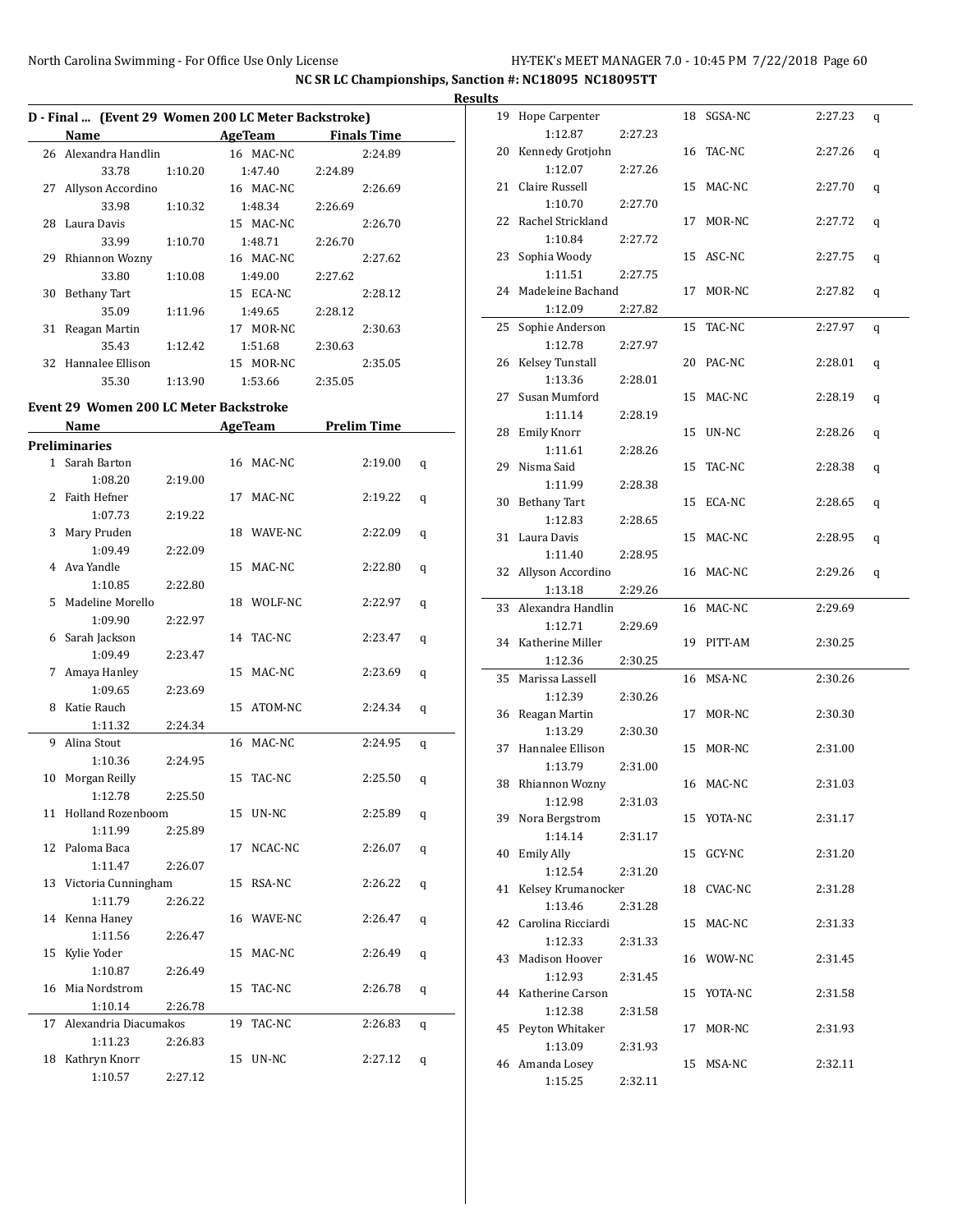|    | D - Final  (Event 29 Women 200 LC Meter Backstroke) |         |            |         |                    |   |
|----|-----------------------------------------------------|---------|------------|---------|--------------------|---|
|    | Name AgeTeam                                        |         |            |         | <b>Finals Time</b> |   |
|    | 26 Alexandra Handlin                                |         | 16 MAC-NC  |         | 2:24.89            |   |
|    | 33.78                                               | 1:10.20 | 1:47.40    | 2:24.89 |                    |   |
| 27 | Allyson Accordino                                   |         | 16 MAC-NC  |         | 2:26.69            |   |
|    | 33.98                                               | 1:10.32 | 1:48.34    | 2:26.69 |                    |   |
|    | 28 Laura Davis                                      |         | 15 MAC-NC  |         | 2:26.70            |   |
|    | 33.99                                               | 1:10.70 | 1:48.71    | 2:26.70 |                    |   |
|    | 29 Rhiannon Wozny                                   |         | 16 MAC-NC  |         | 2:27.62            |   |
|    | 33.80                                               | 1:10.08 | 1:49.00    | 2:27.62 |                    |   |
|    | 30 Bethany Tart                                     |         | 15 ECA-NC  |         | 2:28.12            |   |
|    | 35.09                                               | 1:11.96 | 1:49.65    | 2:28.12 |                    |   |
|    | 31 Reagan Martin                                    |         | 17 MOR-NC  |         | 2:30.63            |   |
|    | 35.43                                               | 1:12.42 | 1:51.68    | 2:30.63 |                    |   |
|    | 32 Hannalee Ellison                                 |         | 15 MOR-NC  |         | 2:35.05            |   |
|    | 35.30                                               | 1:13.90 | 1:53.66    | 2:35.05 |                    |   |
|    |                                                     |         |            |         |                    |   |
|    | Event 29 Women 200 LC Meter Backstroke              |         |            |         |                    |   |
|    | Name                                                |         | AgeTeam    |         | <b>Prelim Time</b> |   |
|    | <b>Preliminaries</b>                                |         |            |         |                    |   |
|    | 1 Sarah Barton                                      |         | 16 MAC-NC  |         | 2:19.00            | q |
|    | 1:08.20                                             | 2:19.00 |            |         |                    |   |
|    | 2 Faith Hefner                                      |         | 17 MAC-NC  |         | 2:19.22            | q |
|    | 1:07.73                                             | 2:19.22 |            |         |                    |   |
| 3  | Mary Pruden                                         |         | 18 WAVE-NC |         | 2:22.09            | q |
|    | 1:09.49                                             | 2:22.09 |            |         |                    |   |
|    | 4 Ava Yandle                                        |         | 15 MAC-NC  |         | 2:22.80            | q |
|    | 1:10.85                                             | 2:22.80 |            |         |                    |   |
| 5. | Madeline Morello                                    |         | 18 WOLF-NC |         | 2:22.97            | q |
|    | 1:09.90                                             | 2:22.97 |            |         |                    |   |
|    | 6 Sarah Jackson                                     |         | 14 TAC-NC  |         | 2:23.47            | q |
|    | 1:09.49                                             | 2:23.47 |            |         |                    |   |
| 7  | Amaya Hanley                                        |         | 15 MAC-NC  |         | 2:23.69            | q |
|    | 1:09.65                                             | 2:23.69 |            |         |                    |   |
| 8  | Katie Rauch                                         |         | 15 ATOM-NC |         | 2:24.34            | q |
|    | 1:11.32                                             | 2:24.34 |            |         |                    |   |
| 9  | Alina Stout                                         |         | 16 MAC-NC  |         | 2:24.95            | q |
|    | 1:10.36                                             | 2:24.95 |            |         |                    |   |
|    | 10 Morgan Reilly                                    |         | 15 TAC-NC  |         | 2:25.50            | q |
|    | 1:12.78                                             | 2:25.50 |            |         |                    |   |
|    | 11 Holland Rozenboom                                |         | 15 UN-NC   |         | 2:25.89            | q |
|    | 1:11.99                                             | 2:25.89 |            |         |                    |   |
| 12 | Paloma Baca                                         |         | 17 NCAC-NC |         | 2:26.07            | q |
|    | 1:11.47                                             | 2:26.07 |            |         |                    |   |
|    | 13 Victoria Cunningham                              |         | 15 RSA-NC  |         | 2:26.22            | q |
|    | 1:11.79                                             | 2:26.22 |            |         |                    |   |
|    | 14 Kenna Haney                                      |         | 16 WAVE-NC |         | 2:26.47            | q |
|    | 1:11.56                                             | 2:26.47 |            |         |                    |   |
|    | 15 Kylie Yoder                                      |         | 15 MAC-NC  |         | 2:26.49            | q |
|    | 1:10.87                                             | 2:26.49 |            |         |                    |   |
| 16 | Mia Nordstrom                                       |         | 15 TAC-NC  |         | 2:26.78            | q |
|    | 1:10.14                                             | 2:26.78 |            |         |                    |   |
| 17 | Alexandria Diacumakos                               |         | 19 TAC-NC  |         | 2:26.83            | q |
|    | 1:11.23                                             | 2:26.83 |            |         |                    |   |
|    | 18 Kathryn Knorr                                    |         | 15 UN-NC   |         | 2:27.12            | q |
|    | 1:10.57                                             | 2:27.12 |            |         |                    |   |

| <b>Results</b> |                               |         |    |            |         |   |
|----------------|-------------------------------|---------|----|------------|---------|---|
|                | 19 Hope Carpenter             |         |    | 18 SGSA-NC | 2:27.23 | q |
|                | 1:12.87                       | 2:27.23 |    |            |         |   |
|                | 20 Kennedy Grotjohn           |         |    | 16 TAC-NC  | 2:27.26 | q |
|                | 1:12.07                       | 2:27.26 |    |            |         |   |
|                | 21 Claire Russell             |         |    | 15 MAC-NC  | 2:27.70 | q |
|                | 1:10.70                       | 2:27.70 |    |            |         |   |
|                | 22 Rachel Strickland          |         |    | 17 MOR-NC  | 2:27.72 | q |
|                | 1:10.84                       | 2:27.72 |    |            |         |   |
|                | 23 Sophia Woody               |         |    | 15 ASC-NC  | 2:27.75 | q |
|                | 1:11.51                       | 2:27.75 |    |            |         |   |
|                | 24 Madeleine Bachand          |         |    | 17 MOR-NC  | 2:27.82 | q |
|                | 1:12.09                       | 2:27.82 |    |            |         |   |
|                | 25 Sophie Anderson            |         | 15 | TAC-NC     | 2:27.97 | q |
|                | 1:12.78                       | 2:27.97 |    |            |         |   |
|                | 26 Kelsey Tunstall            |         |    | 20 PAC-NC  | 2:28.01 | q |
|                | 1:13.36                       | 2:28.01 |    |            |         |   |
|                | 27 Susan Mumford              |         |    | 15 MAC-NC  | 2:28.19 | q |
|                | 1:11.14                       | 2:28.19 |    |            |         |   |
|                | 28 Emily Knorr                |         |    | 15 UN-NC   | 2:28.26 | q |
|                | 1:11.61                       | 2:28.26 |    |            |         |   |
|                | 29 Nisma Said                 |         | 15 | TAC-NC     | 2:28.38 | q |
|                | 1:11.99                       | 2:28.38 |    |            |         |   |
|                | 30 Bethany Tart               |         |    | 15 ECA-NC  | 2:28.65 | q |
|                | 1:12.83<br>31 Laura Davis     | 2:28.65 |    | 15 MAC-NC  | 2:28.95 |   |
|                | 1:11.40                       | 2:28.95 |    |            |         | q |
|                | 32 Allyson Accordino          |         |    | 16 MAC-NC  | 2:29.26 |   |
|                | 1:13.18                       | 2:29.26 |    |            |         | q |
|                | 33 Alexandra Handlin          |         |    | 16 MAC-NC  | 2:29.69 |   |
|                | 1:12.71                       | 2:29.69 |    |            |         |   |
|                | 34 Katherine Miller           |         |    | 19 PITT-AM | 2:30.25 |   |
|                | 1:12.36                       | 2:30.25 |    |            |         |   |
|                | 35 Marissa Lassell            |         |    | 16 MSA-NC  | 2:30.26 |   |
|                | 1:12.39                       | 2:30.26 |    |            |         |   |
|                | 36 Reagan Martin              |         |    | 17 MOR-NC  | 2:30.30 |   |
|                | 1:13.29                       | 2:30.30 |    |            |         |   |
|                | 37 Hannalee Ellison           |         |    | 15 MOR-NC  | 2:31.00 |   |
|                | 1:13.79                       | 2:31.00 |    |            |         |   |
|                | 38 Rhiannon Wozny             |         |    | 16 MAC-NC  | 2:31.03 |   |
|                | 1:12.98                       | 2:31.03 |    |            |         |   |
|                | 39 Nora Bergstrom             |         |    | 15 YOTA-NC | 2:31.17 |   |
|                | 1:14.14                       | 2:31.17 |    |            |         |   |
|                | 40 Emily Ally                 |         |    | 15 GCY-NC  | 2:31.20 |   |
|                | 1:12.54                       | 2:31.20 |    |            |         |   |
|                | 41 Kelsey Krumanocker         |         |    | 18 CVAC-NC | 2:31.28 |   |
|                | 1:13.46                       | 2:31.28 |    |            |         |   |
|                | 42 Carolina Ricciardi         |         |    | 15 MAC-NC  | 2:31.33 |   |
|                | 1:12.33                       | 2:31.33 |    |            |         |   |
|                | 43 Madison Hoover             |         |    | 16 WOW-NC  | 2:31.45 |   |
|                | 1:12.93                       | 2:31.45 |    |            |         |   |
|                | 44 Katherine Carson           |         |    | 15 YOTA-NC | 2:31.58 |   |
|                | 1:12.38<br>45 Peyton Whitaker | 2:31.58 |    |            |         |   |
|                | 1:13.09                       | 2:31.93 |    | 17 MOR-NC  | 2:31.93 |   |
|                | 46 Amanda Losey               |         |    | 15 MSA-NC  | 2:32.11 |   |
|                | 1:15.25                       | 2:32.11 |    |            |         |   |
|                |                               |         |    |            |         |   |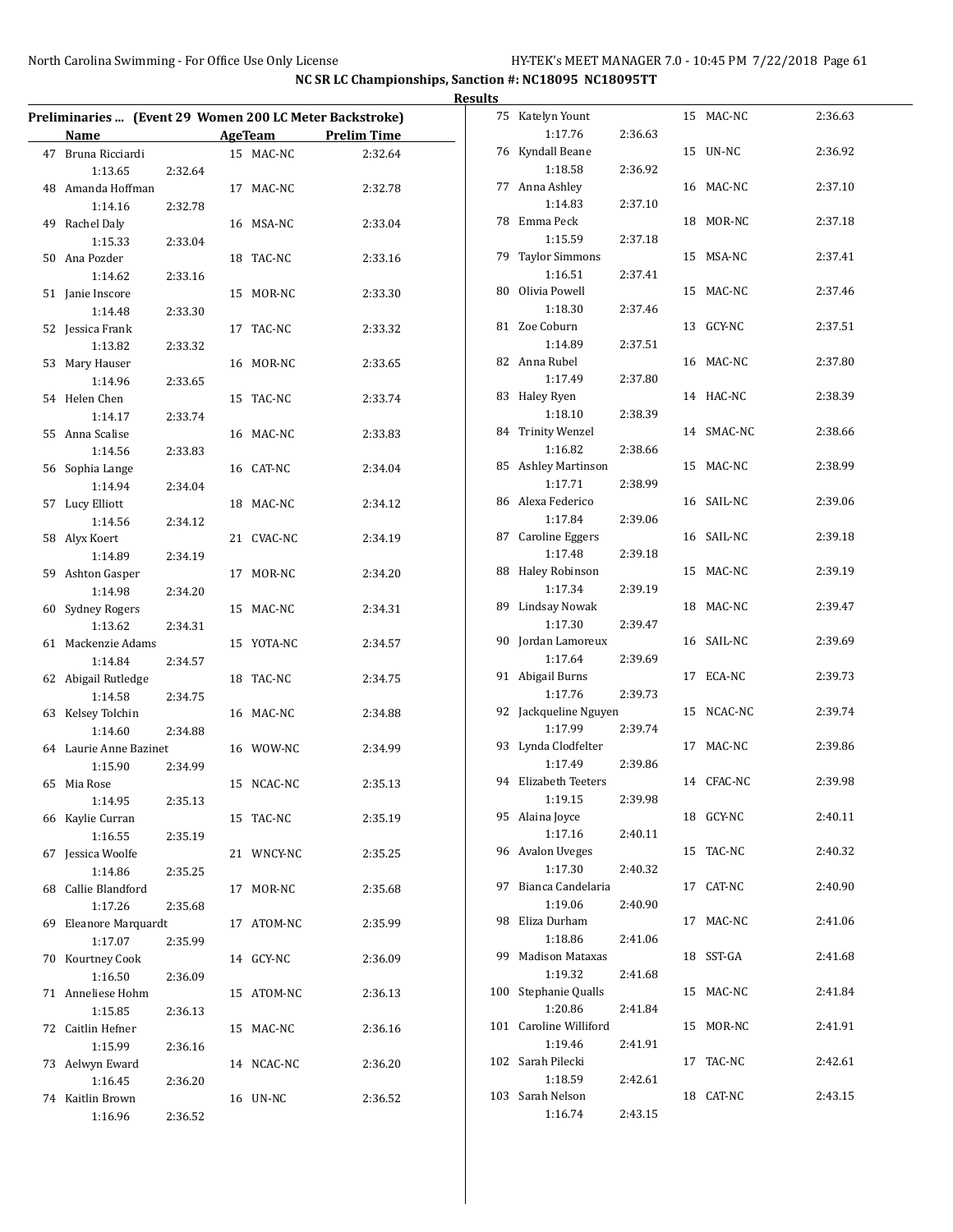|                                                         |         |                |                    | <b>Results</b> |                        |         |            |         |
|---------------------------------------------------------|---------|----------------|--------------------|----------------|------------------------|---------|------------|---------|
| Preliminaries  (Event 29 Women 200 LC Meter Backstroke) |         |                |                    |                | 75 Katelyn Yount       |         | 15 MAC-NC  | 2:36.63 |
| Name                                                    |         | <b>AgeTeam</b> | <b>Prelim Time</b> |                | 1:17.76                | 2:36.63 |            |         |
| 47 Bruna Ricciardi                                      |         | 15 MAC-NC      | 2:32.64            |                | 76 Kyndall Beane       |         | 15 UN-NC   | 2:36.92 |
| 1:13.65                                                 | 2:32.64 |                |                    |                | 1:18.58                | 2:36.92 |            |         |
| 48 Amanda Hoffman                                       |         | 17 MAC-NC      | 2:32.78            |                | 77 Anna Ashley         |         | 16 MAC-NC  | 2:37.10 |
| 1:14.16                                                 | 2:32.78 |                |                    |                | 1:14.83                | 2:37.10 |            |         |
| 49 Rachel Daly                                          |         | 16 MSA-NC      | 2:33.04            |                | 78 Emma Peck           |         | 18 MOR-NC  | 2:37.18 |
| 1:15.33                                                 | 2:33.04 |                |                    |                | 1:15.59                | 2:37.18 |            |         |
| 50 Ana Pozder                                           |         | 18 TAC-NC      | 2:33.16            |                | 79 Taylor Simmons      |         | 15 MSA-NC  | 2:37.41 |
| 1:14.62                                                 | 2:33.16 |                |                    |                | 1:16.51                | 2:37.41 |            |         |
| 51 Janie Inscore                                        |         | 15 MOR-NC      | 2:33.30            |                | 80 Olivia Powell       |         | 15 MAC-NC  | 2:37.46 |
| 1:14.48                                                 | 2:33.30 |                |                    |                | 1:18.30                | 2:37.46 |            |         |
| 52 Jessica Frank                                        |         | 17 TAC-NC      | 2:33.32            |                | 81 Zoe Coburn          |         | 13 GCY-NC  | 2:37.51 |
| 1:13.82                                                 | 2:33.32 |                |                    |                | 1:14.89                | 2:37.51 |            |         |
| 53 Mary Hauser                                          |         | 16 MOR-NC      | 2:33.65            |                | 82 Anna Rubel          |         | 16 MAC-NC  | 2:37.80 |
| 1:14.96                                                 | 2:33.65 |                |                    |                | 1:17.49                | 2:37.80 |            |         |
| 54 Helen Chen                                           |         | 15 TAC-NC      | 2:33.74            |                | 83 Haley Ryen          |         | 14 HAC-NC  | 2:38.39 |
| 1:14.17                                                 | 2:33.74 |                |                    |                | 1:18.10                | 2:38.39 |            |         |
| 55 Anna Scalise                                         |         | 16 MAC-NC      | 2:33.83            |                | 84 Trinity Wenzel      |         | 14 SMAC-NC | 2:38.66 |
| 1:14.56                                                 | 2:33.83 |                |                    |                | 1:16.82                | 2:38.66 |            |         |
| 56 Sophia Lange                                         |         | 16 CAT-NC      | 2:34.04            |                | 85 Ashley Martinson    |         | 15 MAC-NC  | 2:38.99 |
| 1:14.94                                                 | 2:34.04 |                |                    |                | 1:17.71                | 2:38.99 |            |         |
| 57 Lucy Elliott                                         |         | 18 MAC-NC      | 2:34.12            |                | 86 Alexa Federico      |         | 16 SAIL-NC | 2:39.06 |
| 1:14.56                                                 | 2:34.12 |                |                    |                | 1:17.84                | 2:39.06 |            |         |
| 58 Alyx Koert                                           |         | 21 CVAC-NC     | 2:34.19            |                | 87 Caroline Eggers     |         | 16 SAIL-NC | 2:39.18 |
| 1:14.89                                                 | 2:34.19 |                |                    |                | 1:17.48                | 2:39.18 |            |         |
| 59 Ashton Gasper                                        |         | 17 MOR-NC      | 2:34.20            |                | 88 Haley Robinson      |         | 15 MAC-NC  | 2:39.19 |
| 1:14.98                                                 | 2:34.20 |                |                    |                | 1:17.34                | 2:39.19 |            |         |
| 60 Sydney Rogers                                        |         | 15 MAC-NC      | 2:34.31            |                | 89 Lindsay Nowak       |         | 18 MAC-NC  | 2:39.47 |
| 1:13.62                                                 | 2:34.31 |                |                    |                | 1:17.30                | 2:39.47 |            |         |
| 61 Mackenzie Adams                                      |         | 15 YOTA-NC     | 2:34.57            |                | 90 Jordan Lamoreux     |         | 16 SAIL-NC | 2:39.69 |
| 1:14.84                                                 | 2:34.57 |                |                    |                | 1:17.64                | 2:39.69 |            |         |
| 62 Abigail Rutledge                                     |         | 18 TAC-NC      | 2:34.75            |                | 91 Abigail Burns       |         | 17 ECA-NC  | 2:39.73 |
| 1:14.58                                                 | 2:34.75 |                |                    |                | 1:17.76                | 2:39.73 |            |         |
| 63 Kelsey Tolchin                                       |         | 16 MAC-NC      | 2:34.88            |                | 92 Jackqueline Nguyen  |         | 15 NCAC-NC | 2:39.74 |
| 1:14.60                                                 | 2:34.88 |                |                    |                | 1:17.99                | 2:39.74 |            |         |
| 64 Laurie Anne Bazinet                                  |         | 16 WOW-NC      | 2:34.99            |                | 93 Lynda Clodfelter    |         | 17 MAC-NC  | 2:39.86 |
| 1:15.90                                                 | 2:34.99 |                |                    |                | 1:17.49                | 2:39.86 |            |         |
| 65 Mia Rose                                             |         | 15 NCAC-NC     | 2:35.13            |                | 94 Elizabeth Teeters   |         | 14 CFAC-NC | 2:39.98 |
| 1:14.95                                                 | 2:35.13 |                |                    |                | 1:19.15                | 2:39.98 |            |         |
| 66 Kaylie Curran                                        |         | 15 TAC-NC      | 2:35.19            |                | 95 Alaina Joyce        |         | 18 GCY-NC  | 2:40.11 |
| 1:16.55                                                 | 2:35.19 |                |                    |                | 1:17.16                | 2:40.11 |            |         |
| 67 Jessica Woolfe                                       |         | 21 WNCY-NC     | 2:35.25            |                | 96 Avalon Uveges       |         | 15 TAC-NC  | 2:40.32 |
| 1:14.86                                                 | 2:35.25 |                |                    |                | 1:17.30                | 2:40.32 |            |         |
| 68 Callie Blandford                                     |         | 17 MOR-NC      | 2:35.68            |                | 97 Bianca Candelaria   |         | 17 CAT-NC  | 2:40.90 |
| 1:17.26                                                 | 2:35.68 |                |                    |                | 1:19.06                | 2:40.90 |            |         |
| 69 Eleanore Marquardt                                   |         | 17 ATOM-NC     | 2:35.99            |                | 98 Eliza Durham        |         | 17 MAC-NC  | 2:41.06 |
| 1:17.07                                                 | 2:35.99 |                |                    |                | 1:18.86                | 2:41.06 |            |         |
| 70 Kourtney Cook                                        |         | 14 GCY-NC      | 2:36.09            |                | 99 Madison Mataxas     |         | 18 SST-GA  | 2:41.68 |
| 1:16.50                                                 | 2:36.09 |                |                    |                | 1:19.32                | 2:41.68 |            |         |
| 71 Anneliese Hohm                                       |         | 15 ATOM-NC     | 2:36.13            |                | 100 Stephanie Qualls   |         | 15 MAC-NC  | 2:41.84 |
| 1:15.85                                                 | 2:36.13 |                |                    |                | 1:20.86                | 2:41.84 |            |         |
| 72 Caitlin Hefner                                       |         |                | 2:36.16            |                | 101 Caroline Williford |         | 15 MOR-NC  | 2:41.91 |
| 1:15.99                                                 | 2:36.16 | 15 MAC-NC      |                    |                | 1:19.46                | 2:41.91 |            |         |
| 73 Aelwyn Eward                                         |         |                | 2:36.20            |                | 102 Sarah Pilecki      |         | 17 TAC-NC  | 2:42.61 |
| 1:16.45                                                 |         | 14 NCAC-NC     |                    |                | 1:18.59                | 2:42.61 |            |         |
| 74 Kaitlin Brown                                        | 2:36.20 |                | 2:36.52            |                | 103 Sarah Nelson       |         | 18 CAT-NC  | 2:43.15 |
|                                                         |         | 16 UN-NC       |                    |                | 1:16.74                | 2:43.15 |            |         |
| 1:16.96                                                 | 2:36.52 |                |                    |                |                        |         |            |         |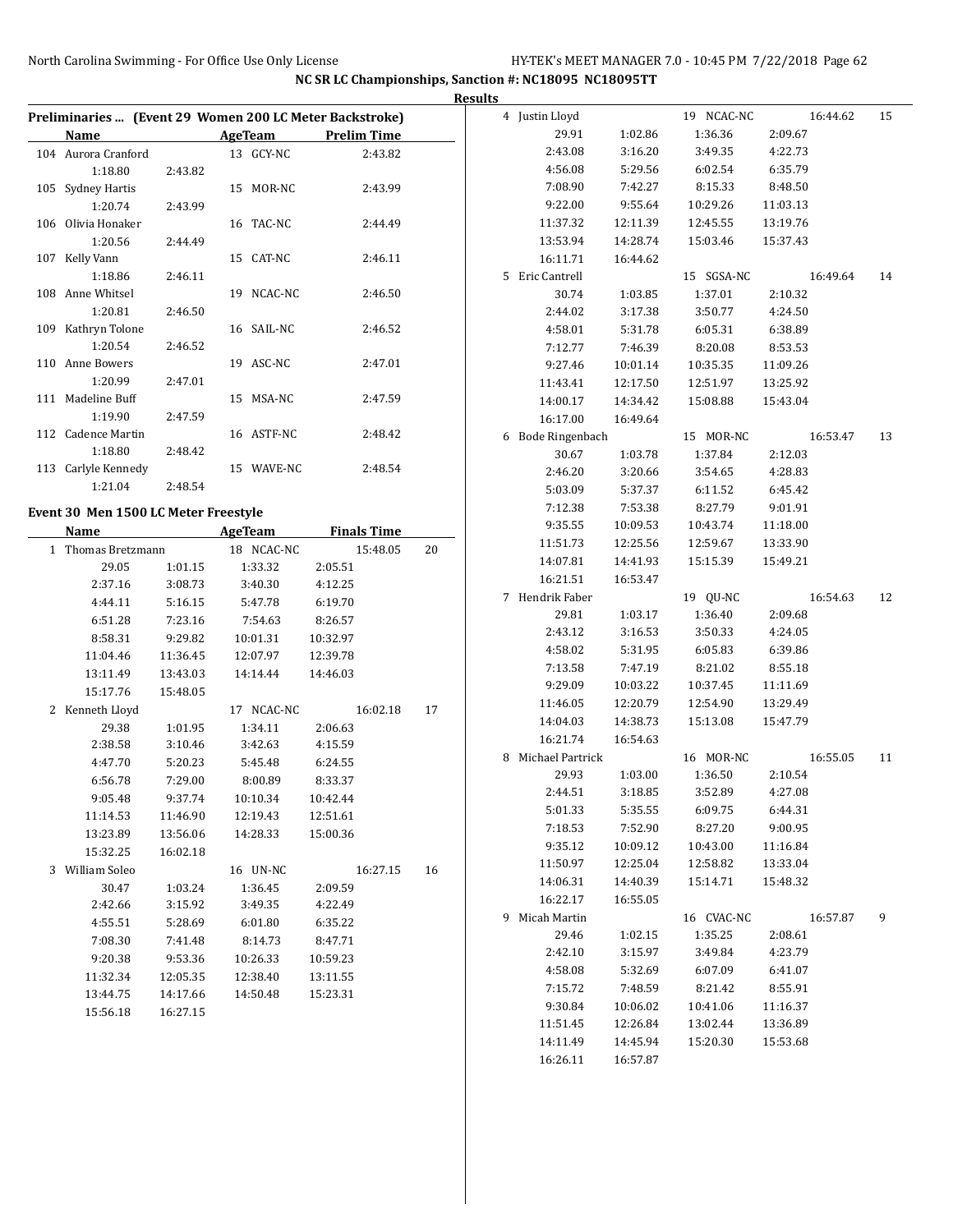|                                                         |          |                |                    |                    |    | <b>Results</b> |                    |          |            |          |    |
|---------------------------------------------------------|----------|----------------|--------------------|--------------------|----|----------------|--------------------|----------|------------|----------|----|
| Preliminaries  (Event 29 Women 200 LC Meter Backstroke) |          |                |                    |                    |    |                | 4 Justin Lloyd     |          | 19 NCAC-NC | 16:44.62 | 15 |
| Name                                                    |          | <b>AgeTeam</b> | <b>Prelim Time</b> |                    |    |                | 29.91              | 1:02.86  | 1:36.36    | 2:09.67  |    |
| 104 Aurora Cranford                                     |          | 13 GCY-NC      |                    | 2:43.82            |    |                | 2:43.08            | 3:16.20  | 3:49.35    | 4:22.73  |    |
| 1:18.80                                                 | 2:43.82  |                |                    |                    |    |                | 4:56.08            | 5:29.56  | 6:02.54    | 6:35.79  |    |
| 105 Sydney Hartis                                       |          | 15 MOR-NC      |                    | 2:43.99            |    |                | 7:08.90            | 7:42.27  | 8:15.33    | 8:48.50  |    |
| 1:20.74                                                 | 2:43.99  |                |                    |                    |    |                | 9:22.00            | 9:55.64  | 10:29.26   | 11:03.13 |    |
| 106 Olivia Honaker                                      |          | 16 TAC-NC      |                    | 2:44.49            |    |                | 11:37.32           | 12:11.39 | 12:45.55   | 13:19.76 |    |
| 1:20.56                                                 | 2:44.49  |                |                    |                    |    |                | 13:53.94           | 14:28.74 | 15:03.46   | 15:37.43 |    |
| 107 Kelly Vann                                          |          | 15 CAT-NC      |                    | 2:46.11            |    |                | 16:11.71           | 16:44.62 |            |          |    |
| 1:18.86                                                 | 2:46.11  |                |                    |                    |    |                | 5 Eric Cantrell    |          | 15 SGSA-NC | 16:49.64 | 14 |
| 108 Anne Whitsel                                        |          | 19 NCAC-NC     |                    | 2:46.50            |    |                | 30.74              | 1:03.85  | 1:37.01    | 2:10.32  |    |
| 1:20.81                                                 | 2:46.50  |                |                    |                    |    |                | 2:44.02            | 3:17.38  | 3:50.77    | 4:24.50  |    |
| 109 Kathryn Tolone                                      |          | 16 SAIL-NC     |                    | 2:46.52            |    |                | 4:58.01            | 5:31.78  | 6:05.31    | 6:38.89  |    |
| 1:20.54                                                 | 2:46.52  |                |                    |                    |    |                | 7:12.77            | 7:46.39  | 8:20.08    | 8:53.53  |    |
| 110 Anne Bowers                                         |          | 19 ASC-NC      |                    | 2:47.01            |    |                | 9:27.46            | 10:01.14 | 10:35.35   | 11:09.26 |    |
| 1:20.99                                                 | 2:47.01  |                |                    |                    |    |                | 11:43.41           | 12:17.50 | 12:51.97   | 13:25.92 |    |
| 111 Madeline Buff                                       |          | 15 MSA-NC      |                    | 2:47.59            |    |                | 14:00.17           | 14:34.42 | 15:08.88   | 15:43.04 |    |
| 1:19.90                                                 | 2:47.59  |                |                    |                    |    |                | 16:17.00           | 16:49.64 |            |          |    |
| 112 Cadence Martin                                      |          | 16 ASTF-NC     |                    | 2:48.42            |    |                | 6 Bode Ringenbach  |          | 15 MOR-NC  | 16:53.47 | 13 |
| 1:18.80                                                 | 2:48.42  |                |                    |                    |    |                | 30.67              | 1:03.78  | 1:37.84    | 2:12.03  |    |
| 113 Carlyle Kennedy                                     |          | 15 WAVE-NC     |                    | 2:48.54            |    |                | 2:46.20            | 3:20.66  | 3:54.65    | 4:28.83  |    |
| 1:21.04                                                 | 2:48.54  |                |                    |                    |    |                | 5:03.09            | 5:37.37  | 6:11.52    | 6:45.42  |    |
|                                                         |          |                |                    |                    |    |                | 7:12.38            | 7:53.38  | 8:27.79    | 9:01.91  |    |
| Event 30 Men 1500 LC Meter Freestyle                    |          |                |                    |                    |    |                | 9:35.55            | 10:09.53 | 10:43.74   | 11:18.00 |    |
| Name                                                    |          | <b>AgeTeam</b> |                    | <b>Finals Time</b> |    |                | 11:51.73           | 12:25.56 | 12:59.67   | 13:33.90 |    |
| 1 Thomas Bretzmann                                      |          | 18 NCAC-NC     |                    | 15:48.05           | 20 |                | 14:07.81           | 14:41.93 | 15:15.39   | 15:49.21 |    |
| 29.05                                                   | 1:01.15  | 1:33.32        | 2:05.51            |                    |    |                | 16:21.51           | 16:53.47 |            |          |    |
| 2:37.16                                                 | 3:08.73  | 3:40.30        | 4:12.25            |                    |    |                | 7 Hendrik Faber    |          | 19 QU-NC   | 16:54.63 | 12 |
| 4:44.11                                                 | 5:16.15  | 5:47.78        | 6:19.70            |                    |    |                | 29.81              | 1:03.17  | 1:36.40    | 2:09.68  |    |
| 6:51.28                                                 | 7:23.16  | 7:54.63        | 8:26.57            |                    |    |                | 2:43.12            | 3:16.53  | 3:50.33    | 4:24.05  |    |
| 8:58.31                                                 | 9:29.82  | 10:01.31       | 10:32.97           |                    |    |                | 4:58.02            | 5:31.95  | 6:05.83    | 6:39.86  |    |
| 11:04.46                                                | 11:36.45 | 12:07.97       | 12:39.78           |                    |    |                | 7:13.58            | 7:47.19  | 8:21.02    | 8:55.18  |    |
| 13:11.49                                                | 13:43.03 | 14:14.44       | 14:46.03           |                    |    |                | 9:29.09            | 10:03.22 | 10:37.45   | 11:11.69 |    |
| 15:17.76                                                | 15:48.05 |                |                    |                    |    |                | 11:46.05           | 12:20.79 | 12:54.90   | 13:29.49 |    |
| 2 Kenneth Lloyd                                         |          | 17 NCAC-NC     |                    | 16:02.18           | 17 |                | 14:04.03           | 14:38.73 | 15:13.08   | 15:47.79 |    |
| 29.38                                                   | 1:01.95  | 1:34.11        | 2:06.63            |                    |    |                | 16:21.74           | 16:54.63 |            |          |    |
| 2:38.58                                                 | 3:10.46  | 3:42.63        | 4:15.59            |                    |    |                | 8 Michael Partrick |          | 16 MOR-NC  | 16:55.05 | 11 |
| 4:47.70                                                 | 5:20.23  | 5:45.48        | 6:24.55            |                    |    |                | 29.93              | 1:03.00  | 1:36.50    | 2:10.54  |    |
| 6:56.78                                                 | 7:29.00  | 8:00.89        | 8:33.37            |                    |    |                | 2:44.51            | 3:18.85  | 3:52.89    | 4:27.08  |    |
| 9:05.48                                                 | 9:37.74  | 10:10.34       | 10:42.44           |                    |    |                | 5:01.33            | 5:35.55  | 6:09.75    | 6:44.31  |    |
| 11:14.53                                                | 11:46.90 | 12:19.43       | 12:51.61           |                    |    |                | 7:18.53            | 7:52.90  | 8:27.20    | 9:00.95  |    |
| 13:23.89                                                | 13:56.06 | 14:28.33       | 15:00.36           |                    |    |                | 9:35.12            | 10:09.12 | 10:43.00   | 11:16.84 |    |
| 15:32.25                                                | 16:02.18 |                |                    |                    |    |                |                    |          |            |          |    |
| 3 William Soleo                                         |          | 16 UN-NC       |                    | 16:27.15           | 16 |                | 11:50.97           | 12:25.04 | 12:58.82   | 13:33.04 |    |
| 30.47                                                   | 1:03.24  | 1:36.45        | 2:09.59            |                    |    |                | 14:06.31           | 14:40.39 | 15:14.71   | 15:48.32 |    |
| 2:42.66                                                 | 3:15.92  | 3:49.35        | 4:22.49            |                    |    |                | 16:22.17           | 16:55.05 |            |          |    |
| 4:55.51                                                 | 5:28.69  | 6:01.80        | 6:35.22            |                    |    |                | 9 Micah Martin     |          | 16 CVAC-NC | 16:57.87 | 9  |
| 7:08.30                                                 | 7:41.48  | 8:14.73        | 8:47.71            |                    |    |                | 29.46              | 1:02.15  | 1:35.25    | 2:08.61  |    |
| 9:20.38                                                 | 9:53.36  | 10:26.33       | 10:59.23           |                    |    |                | 2:42.10            | 3:15.97  | 3:49.84    | 4:23.79  |    |
| 11:32.34                                                | 12:05.35 | 12:38.40       | 13:11.55           |                    |    |                | 4:58.08            | 5:32.69  | 6:07.09    | 6:41.07  |    |
| 13:44.75                                                | 14:17.66 | 14:50.48       | 15:23.31           |                    |    |                | 7:15.72            | 7:48.59  | 8:21.42    | 8:55.91  |    |
| 15:56.18                                                | 16:27.15 |                |                    |                    |    |                | 9:30.84            | 10:06.02 | 10:41.06   | 11:16.37 |    |
|                                                         |          |                |                    |                    |    |                | 11:51.45           | 12:26.84 | 13:02.44   | 13:36.89 |    |
|                                                         |          |                |                    |                    |    |                | 14:11.49           | 14:45.94 | 15:20.30   | 15:53.68 |    |
|                                                         |          |                |                    |                    |    |                | 16:26.11           | 16:57.87 |            |          |    |
|                                                         |          |                |                    |                    |    |                |                    |          |            |          |    |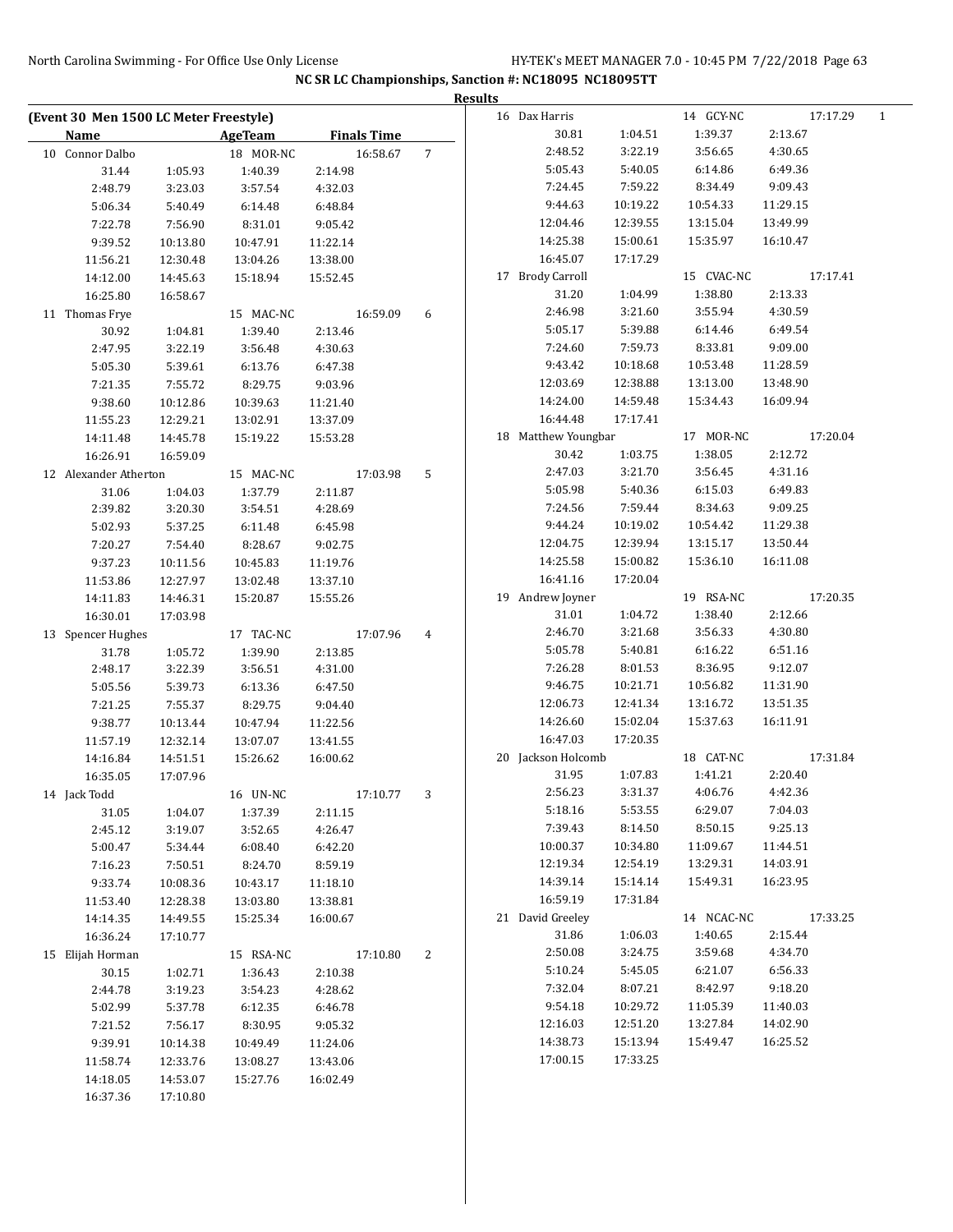|                                        |          |                |                    |                | <b>Results</b> |                     |          |            |          |          |              |
|----------------------------------------|----------|----------------|--------------------|----------------|----------------|---------------------|----------|------------|----------|----------|--------------|
| (Event 30 Men 1500 LC Meter Freestyle) |          |                |                    |                |                | 16 Dax Harris       |          | 14 GCY-NC  |          | 17:17.29 | $\mathbf{1}$ |
| Name                                   |          | <b>AgeTeam</b> | <b>Finals Time</b> |                |                | 30.81               | 1:04.51  | 1:39.37    | 2:13.67  |          |              |
| 10 Connor Dalbo                        |          | 18 MOR-NC      | 16:58.67           | $\overline{7}$ |                | 2:48.52             | 3:22.19  | 3:56.65    | 4:30.65  |          |              |
| 31.44                                  | 1:05.93  | 1:40.39        | 2:14.98            |                |                | 5:05.43             | 5:40.05  | 6:14.86    | 6:49.36  |          |              |
| 2:48.79                                | 3:23.03  | 3:57.54        | 4:32.03            |                |                | 7:24.45             | 7:59.22  | 8:34.49    | 9:09.43  |          |              |
| 5:06.34                                | 5:40.49  | 6:14.48        | 6:48.84            |                |                | 9:44.63             | 10:19.22 | 10:54.33   | 11:29.15 |          |              |
| 7:22.78                                | 7:56.90  | 8:31.01        | 9:05.42            |                |                | 12:04.46            | 12:39.55 | 13:15.04   | 13:49.99 |          |              |
| 9:39.52                                | 10:13.80 | 10:47.91       | 11:22.14           |                |                | 14:25.38            | 15:00.61 | 15:35.97   | 16:10.47 |          |              |
| 11:56.21                               | 12:30.48 | 13:04.26       | 13:38.00           |                |                | 16:45.07            | 17:17.29 |            |          |          |              |
| 14:12.00                               | 14:45.63 | 15:18.94       | 15:52.45           |                |                | 17 Brody Carroll    |          | 15 CVAC-NC |          | 17:17.41 |              |
| 16:25.80                               | 16:58.67 |                |                    |                |                | 31.20               | 1:04.99  | 1:38.80    | 2:13.33  |          |              |
| 11 Thomas Frye                         |          | 15 MAC-NC      | 16:59.09           | 6              |                | 2:46.98             | 3:21.60  | 3:55.94    | 4:30.59  |          |              |
| 30.92                                  | 1:04.81  | 1:39.40        | 2:13.46            |                |                | 5:05.17             | 5:39.88  | 6:14.46    | 6:49.54  |          |              |
| 2:47.95                                | 3:22.19  | 3:56.48        | 4:30.63            |                |                | 7:24.60             | 7:59.73  | 8:33.81    | 9:09.00  |          |              |
| 5:05.30                                | 5:39.61  | 6:13.76        | 6:47.38            |                |                | 9:43.42             | 10:18.68 | 10:53.48   | 11:28.59 |          |              |
| 7:21.35                                | 7:55.72  | 8:29.75        | 9:03.96            |                |                | 12:03.69            | 12:38.88 | 13:13.00   | 13:48.90 |          |              |
| 9:38.60                                | 10:12.86 | 10:39.63       | 11:21.40           |                |                | 14:24.00            | 14:59.48 | 15:34.43   | 16:09.94 |          |              |
| 11:55.23                               | 12:29.21 | 13:02.91       | 13:37.09           |                |                | 16:44.48            | 17:17.41 |            |          |          |              |
| 14:11.48                               | 14:45.78 | 15:19.22       | 15:53.28           |                |                | 18 Matthew Youngbar |          | 17 MOR-NC  |          | 17:20.04 |              |
| 16:26.91                               | 16:59.09 |                |                    |                |                | 30.42               | 1:03.75  | 1:38.05    | 2:12.72  |          |              |
| 12 Alexander Atherton                  |          | 15 MAC-NC      | 17:03.98           | 5              |                | 2:47.03             | 3:21.70  | 3:56.45    | 4:31.16  |          |              |
| 31.06                                  | 1:04.03  | 1:37.79        | 2:11.87            |                |                | 5:05.98             | 5:40.36  | 6:15.03    | 6:49.83  |          |              |
| 2:39.82                                | 3:20.30  | 3:54.51        | 4:28.69            |                |                | 7:24.56             | 7:59.44  | 8:34.63    | 9:09.25  |          |              |
| 5:02.93                                | 5:37.25  | 6:11.48        | 6:45.98            |                |                | 9:44.24             | 10:19.02 | 10:54.42   | 11:29.38 |          |              |
| 7:20.27                                | 7:54.40  | 8:28.67        | 9:02.75            |                |                | 12:04.75            | 12:39.94 | 13:15.17   | 13:50.44 |          |              |
| 9:37.23                                | 10:11.56 | 10:45.83       | 11:19.76           |                |                | 14:25.58            | 15:00.82 | 15:36.10   | 16:11.08 |          |              |
| 11:53.86                               | 12:27.97 | 13:02.48       | 13:37.10           |                |                | 16:41.16            | 17:20.04 |            |          |          |              |
| 14:11.83                               | 14:46.31 | 15:20.87       | 15:55.26           |                |                | 19 Andrew Joyner    |          | 19 RSA-NC  |          | 17:20.35 |              |
| 16:30.01                               | 17:03.98 |                |                    |                |                | 31.01               | 1:04.72  | 1:38.40    | 2:12.66  |          |              |
| 13 Spencer Hughes                      |          | 17 TAC-NC      | 17:07.96           | 4              |                | 2:46.70             | 3:21.68  | 3:56.33    | 4:30.80  |          |              |
| 31.78                                  | 1:05.72  | 1:39.90        | 2:13.85            |                |                | 5:05.78             | 5:40.81  | 6:16.22    | 6:51.16  |          |              |
| 2:48.17                                | 3:22.39  | 3:56.51        | 4:31.00            |                |                | 7:26.28             | 8:01.53  | 8:36.95    | 9:12.07  |          |              |
| 5:05.56                                | 5:39.73  | 6:13.36        | 6:47.50            |                |                | 9:46.75             | 10:21.71 | 10:56.82   | 11:31.90 |          |              |
| 7:21.25                                | 7:55.37  | 8:29.75        | 9:04.40            |                |                | 12:06.73            | 12:41.34 | 13:16.72   | 13:51.35 |          |              |
| 9:38.77                                | 10:13.44 | 10:47.94       | 11:22.56           |                |                | 14:26.60            | 15:02.04 | 15:37.63   | 16:11.91 |          |              |
| 11:57.19                               | 12:32.14 | 13:07.07       | 13:41.55           |                |                | 16:47.03            | 17:20.35 |            |          |          |              |
| 14:16.84                               | 14:51.51 | 15:26.62       | 16:00.62           |                |                | 20 Jackson Holcomb  |          | 18 CAT-NC  |          | 17:31.84 |              |
| 16:35.05                               | 17:07.96 |                |                    |                |                | 31.95               | 1:07.83  | 1:41.21    | 2:20.40  |          |              |
| 14 Jack Todd                           |          | 16 UN-NC       | 17:10.77           | 3              |                | 2:56.23             | 3:31.37  | 4:06.76    | 4:42.36  |          |              |
| 31.05                                  | 1:04.07  | 1:37.39        | 2:11.15            |                |                | 5:18.16             | 5:53.55  | 6:29.07    | 7:04.03  |          |              |
| 2:45.12                                | 3:19.07  | 3:52.65        | 4:26.47            |                |                | 7:39.43             | 8:14.50  | 8:50.15    | 9:25.13  |          |              |
| 5:00.47                                | 5:34.44  | 6:08.40        | 6:42.20            |                |                | 10:00.37            | 10:34.80 | 11:09.67   | 11:44.51 |          |              |
| 7:16.23                                | 7:50.51  | 8:24.70        | 8:59.19            |                |                | 12:19.34            | 12:54.19 | 13:29.31   | 14:03.91 |          |              |
| 9:33.74                                | 10:08.36 | 10:43.17       | 11:18.10           |                |                | 14:39.14            | 15:14.14 | 15:49.31   | 16:23.95 |          |              |
| 11:53.40                               | 12:28.38 | 13:03.80       | 13:38.81           |                |                | 16:59.19            | 17:31.84 |            |          |          |              |
| 14:14.35                               | 14:49.55 | 15:25.34       | 16:00.67           |                |                | 21 David Greeley    |          | 14 NCAC-NC |          | 17:33.25 |              |
| 16:36.24                               | 17:10.77 |                |                    |                |                | 31.86               | 1:06.03  | 1:40.65    | 2:15.44  |          |              |
| 15 Elijah Horman                       |          | 15 RSA-NC      | 17:10.80           | 2              |                | 2:50.08             | 3:24.75  | 3:59.68    | 4:34.70  |          |              |
| 30.15                                  | 1:02.71  | 1:36.43        | 2:10.38            |                |                | 5:10.24             | 5:45.05  | 6:21.07    | 6:56.33  |          |              |
| 2:44.78                                | 3:19.23  | 3:54.23        | 4:28.62            |                |                | 7:32.04             | 8:07.21  | 8:42.97    | 9:18.20  |          |              |
| 5:02.99                                | 5:37.78  | 6:12.35        | 6:46.78            |                |                | 9:54.18             | 10:29.72 | 11:05.39   | 11:40.03 |          |              |
| 7:21.52                                | 7:56.17  | 8:30.95        | 9:05.32            |                |                | 12:16.03            | 12:51.20 | 13:27.84   | 14:02.90 |          |              |
| 9:39.91                                | 10:14.38 | 10:49.49       | 11:24.06           |                |                | 14:38.73            | 15:13.94 | 15:49.47   | 16:25.52 |          |              |
| 11:58.74                               | 12:33.76 | 13:08.27       | 13:43.06           |                |                | 17:00.15            | 17:33.25 |            |          |          |              |
| 14:18.05                               | 14:53.07 | 15:27.76       | 16:02.49           |                |                |                     |          |            |          |          |              |
| 16:37.36                               |          |                |                    |                |                |                     |          |            |          |          |              |
|                                        | 17:10.80 |                |                    |                |                |                     |          |            |          |          |              |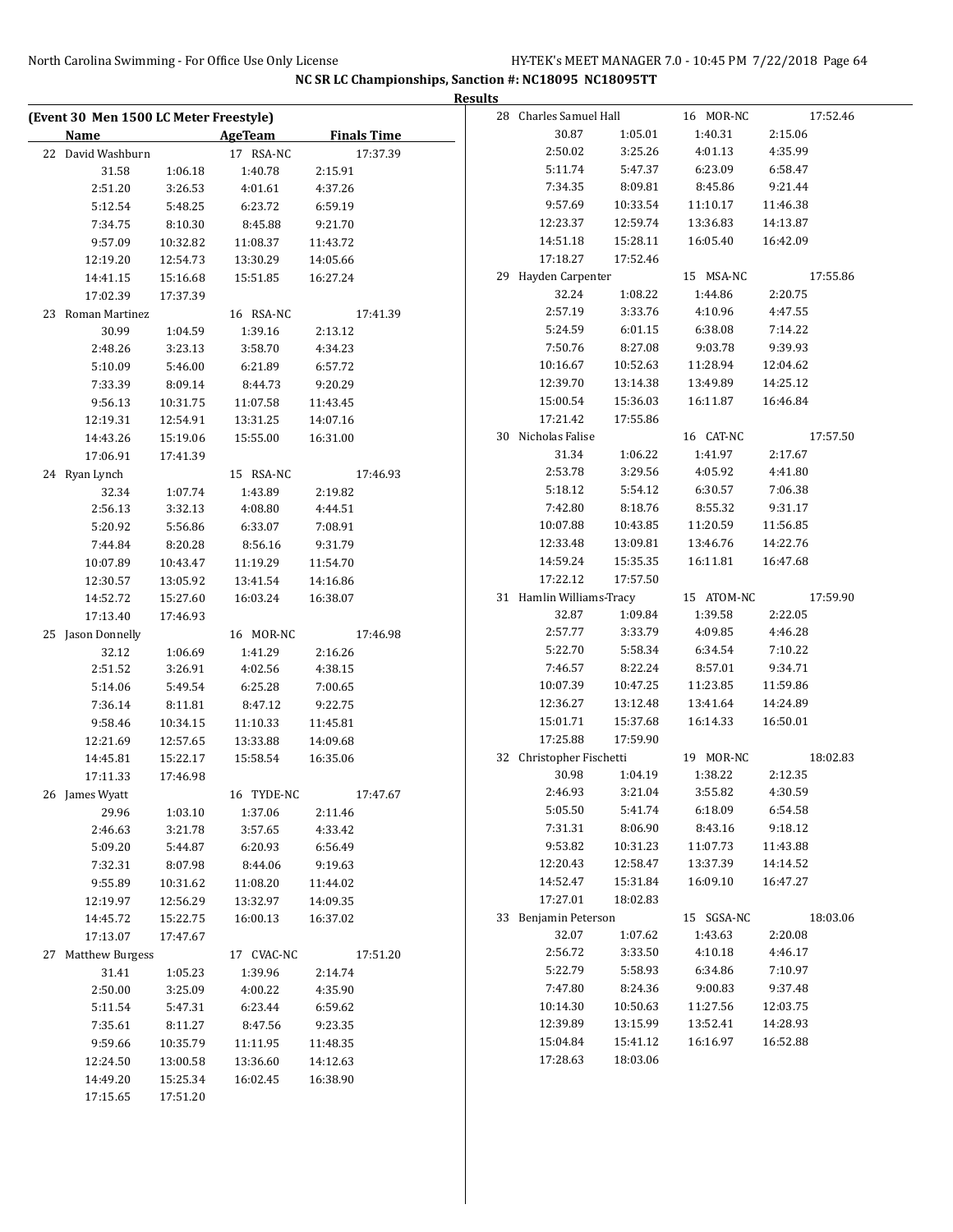|                                        |          |                |          |                    | <b>Results</b> |                          |          |            |          |          |
|----------------------------------------|----------|----------------|----------|--------------------|----------------|--------------------------|----------|------------|----------|----------|
| (Event 30 Men 1500 LC Meter Freestyle) |          |                |          |                    |                | 28 Charles Samuel Hall   |          | 16 MOR-NC  |          | 17:52.46 |
| Name                                   |          | <b>AgeTeam</b> |          | <b>Finals Time</b> |                | 30.87                    | 1:05.01  | 1:40.31    | 2:15.06  |          |
| 22 David Washburn                      |          | 17 RSA-NC      |          | 17:37.39           |                | 2:50.02                  | 3:25.26  | 4:01.13    | 4:35.99  |          |
| 31.58                                  | 1:06.18  | 1:40.78        | 2:15.91  |                    |                | 5:11.74                  | 5:47.37  | 6:23.09    | 6:58.47  |          |
| 2:51.20                                | 3:26.53  | 4:01.61        | 4:37.26  |                    |                | 7:34.35                  | 8:09.81  | 8:45.86    | 9:21.44  |          |
| 5:12.54                                | 5:48.25  | 6:23.72        | 6:59.19  |                    |                | 9:57.69                  | 10:33.54 | 11:10.17   | 11:46.38 |          |
| 7:34.75                                | 8:10.30  | 8:45.88        | 9:21.70  |                    |                | 12:23.37                 | 12:59.74 | 13:36.83   | 14:13.87 |          |
| 9:57.09                                | 10:32.82 | 11:08.37       | 11:43.72 |                    |                | 14:51.18                 | 15:28.11 | 16:05.40   | 16:42.09 |          |
| 12:19.20                               | 12:54.73 | 13:30.29       | 14:05.66 |                    |                | 17:18.27                 | 17:52.46 |            |          |          |
| 14:41.15                               | 15:16.68 | 15:51.85       | 16:27.24 |                    |                | 29 Hayden Carpenter      |          | 15 MSA-NC  |          | 17:55.86 |
| 17:02.39                               | 17:37.39 |                |          |                    |                | 32.24                    | 1:08.22  | 1:44.86    | 2:20.75  |          |
| 23 Roman Martinez                      |          | 16 RSA-NC      |          | 17:41.39           |                | 2:57.19                  | 3:33.76  | 4:10.96    | 4:47.55  |          |
| 30.99                                  | 1:04.59  | 1:39.16        | 2:13.12  |                    |                | 5:24.59                  | 6:01.15  | 6:38.08    | 7:14.22  |          |
| 2:48.26                                | 3:23.13  | 3:58.70        | 4:34.23  |                    |                | 7:50.76                  | 8:27.08  | 9:03.78    | 9:39.93  |          |
| 5:10.09                                | 5:46.00  | 6:21.89        | 6:57.72  |                    |                | 10:16.67                 | 10:52.63 | 11:28.94   | 12:04.62 |          |
| 7:33.39                                | 8:09.14  | 8:44.73        | 9:20.29  |                    |                | 12:39.70                 | 13:14.38 | 13:49.89   | 14:25.12 |          |
| 9:56.13                                | 10:31.75 | 11:07.58       | 11:43.45 |                    |                | 15:00.54                 | 15:36.03 | 16:11.87   | 16:46.84 |          |
| 12:19.31                               | 12:54.91 | 13:31.25       | 14:07.16 |                    |                | 17:21.42                 | 17:55.86 |            |          |          |
| 14:43.26                               | 15:19.06 | 15:55.00       | 16:31.00 |                    |                | 30 Nicholas Falise       |          | 16 CAT-NC  |          | 17:57.50 |
| 17:06.91                               | 17:41.39 |                |          |                    |                | 31.34                    | 1:06.22  | 1:41.97    | 2:17.67  |          |
| 24 Ryan Lynch                          |          | 15 RSA-NC      |          | 17:46.93           |                | 2:53.78                  | 3:29.56  | 4:05.92    | 4:41.80  |          |
| 32.34                                  | 1:07.74  | 1:43.89        | 2:19.82  |                    |                | 5:18.12                  | 5:54.12  | 6:30.57    | 7:06.38  |          |
| 2:56.13                                | 3:32.13  | 4:08.80        | 4:44.51  |                    |                | 7:42.80                  | 8:18.76  | 8:55.32    | 9:31.17  |          |
| 5:20.92                                | 5:56.86  | 6:33.07        | 7:08.91  |                    |                | 10:07.88                 | 10:43.85 | 11:20.59   | 11:56.85 |          |
| 7:44.84                                | 8:20.28  | 8:56.16        | 9:31.79  |                    |                | 12:33.48                 | 13:09.81 | 13:46.76   | 14:22.76 |          |
| 10:07.89                               | 10:43.47 | 11:19.29       | 11:54.70 |                    |                | 14:59.24                 | 15:35.35 | 16:11.81   | 16:47.68 |          |
| 12:30.57                               | 13:05.92 | 13:41.54       | 14:16.86 |                    |                | 17:22.12                 | 17:57.50 |            |          |          |
| 14:52.72                               | 15:27.60 | 16:03.24       | 16:38.07 |                    |                | 31 Hamlin Williams-Tracy |          | 15 ATOM-NC |          | 17:59.90 |
| 17:13.40                               | 17:46.93 |                |          |                    |                | 32.87                    | 1:09.84  | 1:39.58    | 2:22.05  |          |
| 25 Jason Donnelly                      |          | 16 MOR-NC      |          | 17:46.98           |                | 2:57.77                  | 3:33.79  | 4:09.85    | 4:46.28  |          |
| 32.12                                  | 1:06.69  | 1:41.29        | 2:16.26  |                    |                | 5:22.70                  | 5:58.34  | 6:34.54    | 7:10.22  |          |
| 2:51.52                                | 3:26.91  | 4:02.56        | 4:38.15  |                    |                | 7:46.57                  | 8:22.24  | 8:57.01    | 9:34.71  |          |
| 5:14.06                                | 5:49.54  | 6:25.28        | 7:00.65  |                    |                | 10:07.39                 | 10:47.25 | 11:23.85   | 11:59.86 |          |
| 7:36.14                                | 8:11.81  | 8:47.12        | 9:22.75  |                    |                | 12:36.27                 | 13:12.48 | 13:41.64   | 14:24.89 |          |
| 9:58.46                                |          |                |          |                    |                | 15:01.71                 | 15:37.68 | 16:14.33   | 16:50.01 |          |
|                                        | 10:34.15 | 11:10.33       | 11:45.81 |                    |                | 17:25.88                 | 17:59.90 |            |          |          |
| 12:21.69                               | 12:57.65 | 13:33.88       | 14:09.68 |                    |                | 32 Christopher Fischetti |          | 19 MOR-NC  |          | 18:02.83 |
| 14:45.81                               | 15:22.17 | 15:58.54       | 16:35.06 |                    |                | 30.98                    | 1:04.19  | 1:38.22    | 2:12.35  |          |
| 17:11.33                               | 17:46.98 |                |          |                    |                | 2:46.93                  | 3:21.04  | 3:55.82    | 4:30.59  |          |
| 26 James Wyatt                         |          | 16 TYDE-NC     |          | 17:47.67           |                | 5:05.50                  | 5:41.74  | 6:18.09    | 6:54.58  |          |
| 29.96                                  | 1:03.10  | 1:37.06        | 2:11.46  |                    |                | 7:31.31                  | 8:06.90  | 8:43.16    | 9:18.12  |          |
| 2:46.63                                | 3:21.78  | 3:57.65        | 4:33.42  |                    |                | 9:53.82                  | 10:31.23 |            |          |          |
| 5:09.20                                | 5:44.87  | 6:20.93        | 6:56.49  |                    |                |                          |          | 11:07.73   | 11:43.88 |          |
| 7:32.31                                | 8:07.98  | 8:44.06        | 9:19.63  |                    |                | 12:20.43                 | 12:58.47 | 13:37.39   | 14:14.52 |          |
| 9:55.89                                | 10:31.62 | 11:08.20       | 11:44.02 |                    |                | 14:52.47                 | 15:31.84 | 16:09.10   | 16:47.27 |          |
| 12:19.97                               | 12:56.29 | 13:32.97       | 14:09.35 |                    |                | 17:27.01                 | 18:02.83 |            |          |          |
| 14:45.72                               | 15:22.75 | 16:00.13       | 16:37.02 |                    |                | 33 Benjamin Peterson     |          | 15 SGSA-NC |          | 18:03.06 |
| 17:13.07                               | 17:47.67 |                |          |                    |                | 32.07                    | 1:07.62  | 1:43.63    | 2:20.08  |          |
| 27 Matthew Burgess                     |          | 17 CVAC-NC     |          | 17:51.20           |                | 2:56.72                  | 3:33.50  | 4:10.18    | 4:46.17  |          |
| 31.41                                  | 1:05.23  | 1:39.96        | 2:14.74  |                    |                | 5:22.79                  | 5:58.93  | 6:34.86    | 7:10.97  |          |
| 2:50.00                                | 3:25.09  | 4:00.22        | 4:35.90  |                    |                | 7:47.80                  | 8:24.36  | 9:00.83    | 9:37.48  |          |
| 5:11.54                                | 5:47.31  | 6:23.44        | 6:59.62  |                    |                | 10:14.30                 | 10:50.63 | 11:27.56   | 12:03.75 |          |
| 7:35.61                                | 8:11.27  | 8:47.56        | 9:23.35  |                    |                | 12:39.89                 | 13:15.99 | 13:52.41   | 14:28.93 |          |
| 9:59.66                                | 10:35.79 | 11:11.95       | 11:48.35 |                    |                | 15:04.84                 | 15:41.12 | 16:16.97   | 16:52.88 |          |
| 12:24.50                               | 13:00.58 | 13:36.60       | 14:12.63 |                    |                | 17:28.63                 | 18:03.06 |            |          |          |
| 14:49.20                               | 15:25.34 | 16:02.45       | 16:38.90 |                    |                |                          |          |            |          |          |
|                                        |          |                |          |                    |                |                          |          |            |          |          |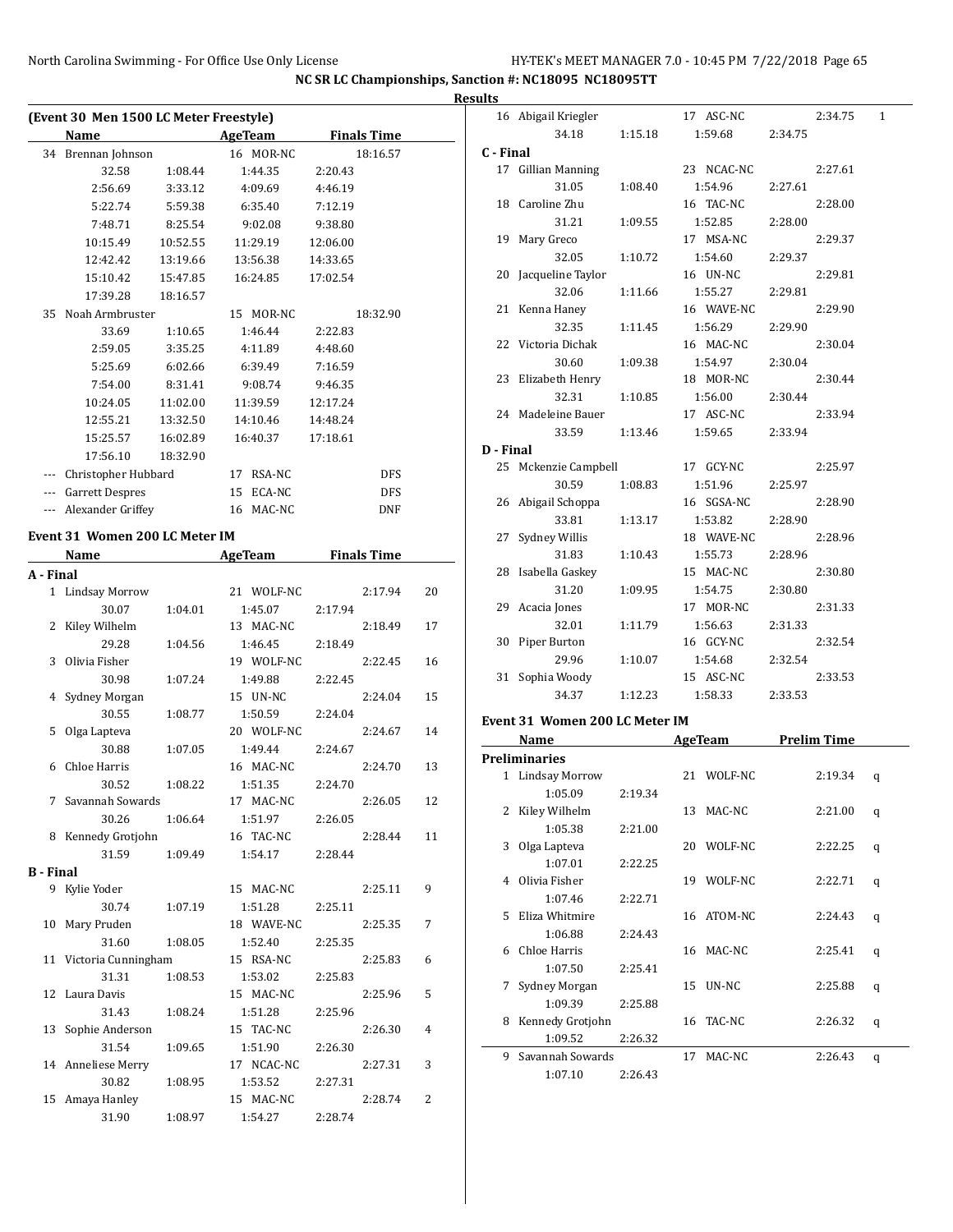|                  | (Event 30 Men 1500 LC Meter Freestyle) |                    |                     |          |                    |    |
|------------------|----------------------------------------|--------------------|---------------------|----------|--------------------|----|
|                  | Name                                   |                    | <b>AgeTeam</b>      |          | <b>Finals Time</b> |    |
|                  | 34 Brennan Johnson                     |                    | 16 MOR-NC           | 2:20.43  | 18:16.57           |    |
|                  | 32.58<br>2:56.69                       | 1:08.44<br>3:33.12 | 1:44.35             |          |                    |    |
|                  |                                        | 5:59.38            | 4:09.69             | 4:46.19  |                    |    |
|                  | 5:22.74                                |                    | 6:35.40             | 7:12.19  |                    |    |
|                  | 7:48.71                                | 8:25.54            | 9:02.08             | 9:38.80  |                    |    |
|                  | 10:15.49                               | 10:52.55           | 11:29.19            | 12:06.00 |                    |    |
|                  | 12:42.42                               | 13:19.66           | 13:56.38            | 14:33.65 |                    |    |
|                  | 15:10.42                               | 15:47.85           | 16:24.85            | 17:02.54 |                    |    |
|                  | 17:39.28                               | 18:16.57           |                     |          |                    |    |
|                  | 35 Noah Armbruster                     |                    | 15 MOR-NC           |          | 18:32.90           |    |
|                  | 33.69                                  | 1:10.65            | 1:46.44             | 2:22.83  |                    |    |
|                  | 2:59.05                                | 3:35.25            | 4:11.89             | 4:48.60  |                    |    |
|                  | 5:25.69                                | 6:02.66            | 6:39.49             | 7:16.59  |                    |    |
|                  | 7:54.00                                | 8:31.41            | 9:08.74             | 9:46.35  |                    |    |
|                  | 10:24.05                               | 11:02.00           | 11:39.59            | 12:17.24 |                    |    |
|                  | 12:55.21                               | 13:32.50           | 14:10.46            | 14:48.24 |                    |    |
|                  | 15:25.57                               | 16:02.89           | 16:40.37            | 17:18.61 |                    |    |
|                  | 17:56.10                               | 18:32.90           |                     |          |                    |    |
|                  | --- Christopher Hubbard                |                    | 17 RSA-NC           |          | <b>DFS</b>         |    |
|                  | --- Garrett Despres                    |                    | 15 ECA-NC           |          | <b>DFS</b>         |    |
|                  | --- Alexander Griffey                  |                    | 16 MAC-NC           |          | DNF                |    |
|                  | Event 31 Women 200 LC Meter IM         |                    |                     |          |                    |    |
|                  | Name                                   |                    | AgeTeam Finals Time |          |                    |    |
| A - Final        |                                        |                    |                     |          |                    |    |
|                  | 1 Lindsay Morrow                       |                    | 21 WOLF-NC          |          | 2:17.94            | 20 |
|                  | 30.07                                  | 1:04.01            | 1:45.07             | 2:17.94  |                    |    |
| 2                | Kiley Wilhelm                          |                    | 13 MAC-NC           |          | 2:18.49            | 17 |
|                  | 29.28                                  | 1:04.56            | 1:46.45             | 2:18.49  |                    |    |
| 3                | Olivia Fisher                          |                    | 19 WOLF-NC          |          | 2:22.45            | 16 |
|                  | 30.98                                  | 1:07.24            | 1:49.88             | 2:22.45  |                    |    |
| 4                | Sydney Morgan                          |                    | 15 UN-NC            |          | 2:24.04            | 15 |
|                  | 30.55                                  | 1:08.77            | 1:50.59             | 2:24.04  |                    |    |
| 5                | Olga Lapteva                           |                    | 20 WOLF-NC          |          | 2:24.67            | 14 |
|                  | 30.88                                  | 1:07.05            | 1:49.44             | 2:24.67  |                    |    |
| 6                | Chloe Harris                           |                    | 16 MAC-NC           |          | 2:24.70            | 13 |
|                  | 30.52                                  | 1:08.22            | 1:51.35             | 2:24.70  |                    |    |
|                  | 7 Savannah Sowards                     |                    | 17 MAC-NC           |          | 2:26.05            | 12 |
|                  | 30.26                                  | 1:06.64            | 1:51.97             | 2:26.05  |                    |    |
|                  | 8 Kennedy Grotjohn                     |                    | 16 TAC-NC           |          | 2:28.44            | 11 |
|                  | 31.59                                  | 1:09.49            | 1:54.17             | 2:28.44  |                    |    |
| <b>B</b> - Final |                                        |                    |                     |          |                    |    |
|                  | 9 Kylie Yoder                          |                    | 15 MAC-NC           |          | 2:25.11            | 9  |
|                  | 30.74                                  | 1:07.19            | 1:51.28             | 2:25.11  |                    |    |
| 10               | Mary Pruden                            |                    | 18 WAVE-NC          |          | 2:25.35            | 7  |
|                  | 31.60                                  | 1:08.05            | 1:52.40             | 2:25.35  |                    |    |
|                  | 11 Victoria Cunningham                 |                    | 15 RSA-NC           |          | 2:25.83            | 6  |
|                  | 31.31                                  | 1:08.53            | 1:53.02             | 2:25.83  |                    |    |
|                  | 12 Laura Davis                         |                    | 15 MAC-NC           |          | 2:25.96            | 5  |
|                  | 31.43                                  | 1:08.24            | 1:51.28             | 2:25.96  |                    |    |
| 13               | Sophie Anderson                        |                    | 15 TAC-NC           |          | 2:26.30            | 4  |
|                  | 31.54                                  | 1:09.65            | 1:51.90             | 2:26.30  |                    |    |
|                  | 14 Anneliese Merry                     |                    | 17 NCAC-NC          |          | 2:27.31            | 3  |
|                  | 30.82                                  | 1:08.95            | 1:53.52             | 2:27.31  |                    |    |
|                  | 15 Amaya Hanley                        |                    | 15 MAC-NC           |          | 2:28.74            | 2  |
|                  | 31.90                                  | 1:08.97            | 1:54.27             | 2:28.74  |                    |    |
|                  |                                        |                    |                     |          |                    |    |

|           | 16 Abigail Kriegler            |         | 17 ASC-NC            | 2:34.75             | 1 |
|-----------|--------------------------------|---------|----------------------|---------------------|---|
|           | 34.18                          | 1:15.18 | 1:59.68              | 2:34.75             |   |
| C - Final |                                |         |                      |                     |   |
|           | 17 Gillian Manning             |         | 23 NCAC-NC           | 2:27.61             |   |
|           | 31.05                          | 1:08.40 | 1:54.96              | 2:27.61             |   |
|           | 18 Caroline Zhu                |         | 16 TAC-NC            | 2:28.00             |   |
|           | 31.21                          | 1:09.55 | 1:52.85              | 2:28.00             |   |
|           | 19 Mary Greco                  |         | 17 MSA-NC            | 2:29.37             |   |
|           | 32.05                          | 1:10.72 | 1:54.60              | 2:29.37             |   |
|           | 20 Jacqueline Taylor           |         | 16 UN-NC             | 2:29.81             |   |
|           | 32.06                          | 1:11.66 | 1:55.27              | 2:29.81             |   |
|           | 21 Kenna Haney                 |         | 16 WAVE-NC           | 2:29.90             |   |
|           | 32.35                          | 1:11.45 | 1:56.29              | 2:29.90             |   |
|           | 22 Victoria Dichak             |         | 16 MAC-NC            | 2:30.04             |   |
|           | 30.60                          | 1:09.38 | 1:54.97              | 2:30.04             |   |
|           |                                |         | 18 MOR-NC            | 2:30.44             |   |
|           | 23 Elizabeth Henry<br>32.31    |         |                      |                     |   |
|           |                                | 1:10.85 | 1:56.00<br>17 ASC-NC | 2:30.44<br>2:33.94  |   |
|           | 24 Madeleine Bauer             |         |                      |                     |   |
|           | 33.59 1:13.46                  |         | 1:59.65              | 2:33.94             |   |
| D - Final |                                |         |                      |                     |   |
|           | 25 Mckenzie Campbell           |         | 17 GCY-NC            | 2:25.97             |   |
|           | 30.59                          | 1:08.83 | 1:51.96              | 2:25.97             |   |
|           | 26 Abigail Schoppa             |         | 16 SGSA-NC           | 2:28.90             |   |
|           | 33.81                          | 1:13.17 | 1:53.82              | 2:28.90             |   |
|           | 27 Sydney Willis               |         | 18 WAVE-NC           | 2:28.96             |   |
|           | 31.83                          | 1:10.43 | 1:55.73              | 2:28.96             |   |
|           | 28 Isabella Gaskey             |         | 15 MAC-NC            | 2:30.80             |   |
|           | 31.20                          | 1:09.95 | 1:54.75              | 2:30.80             |   |
|           | 29 Acacia Jones                |         | 17 MOR-NC            | 2:31.33             |   |
|           | 32.01                          | 1:11.79 | 1:56.63              | 2:31.33             |   |
|           | 30 Piper Burton                |         | 16 GCY-NC            | 2:32.54             |   |
|           | 29.96                          | 1:10.07 | 1:54.68              | 2:32.54             |   |
|           | 31 Sophia Woody                |         | 15 ASC-NC            | 2:33.53             |   |
|           | 34.37                          | 1:12.23 | 1:58.33              | 2:33.53             |   |
|           | Event 31 Women 200 LC Meter IM |         |                      |                     |   |
|           | Name                           |         |                      | AgeTeam Prelim Time |   |
|           |                                |         |                      |                     |   |
|           | <b>Preliminaries</b>           |         |                      |                     |   |
|           | 1 Lindsay Morrow               |         | 21 WOLF-NC           | 2:19.34             | q |
|           | 1:05.09                        | 2:19.34 |                      |                     |   |
| 2         | Kiley Wilhelm                  |         | 13<br>MAC-NC         | 2:21.00             | q |
|           | 1:05.38                        | 2:21.00 |                      |                     |   |
| 3         | Olga Lapteva                   |         | WOLF-NC<br>20        | 2:22.25             | q |
|           | 1:07.01                        | 2:22.25 |                      |                     |   |
|           | 4 Olivia Fisher                |         | WOLF-NC<br>19        | 2:22.71             | q |
|           | 1:07.46                        | 2:22.71 |                      |                     |   |
| 5.        | Eliza Whitmire                 |         | ATOM-NC<br>16        | 2:24.43             | q |
|           | 1:06.88                        | 2:24.43 |                      |                     |   |
| 6         | Chloe Harris                   |         | MAC-NC<br>16         | 2:25.41             | q |
|           | 1:07.50                        | 2:25.41 |                      |                     |   |
|           |                                |         |                      |                     |   |
| 7         | Sydney Morgan<br>1:09.39       | 2:25.88 | UN-NC<br>15          | 2:25.88             | q |

1:09.52 2:26.32 9 Savannah Sowards 17 MAC-NC 2:26.43 q 1:07.10 2:26.43

8 Kennedy Grotjohn 16 TAC-NC 2:26.32 q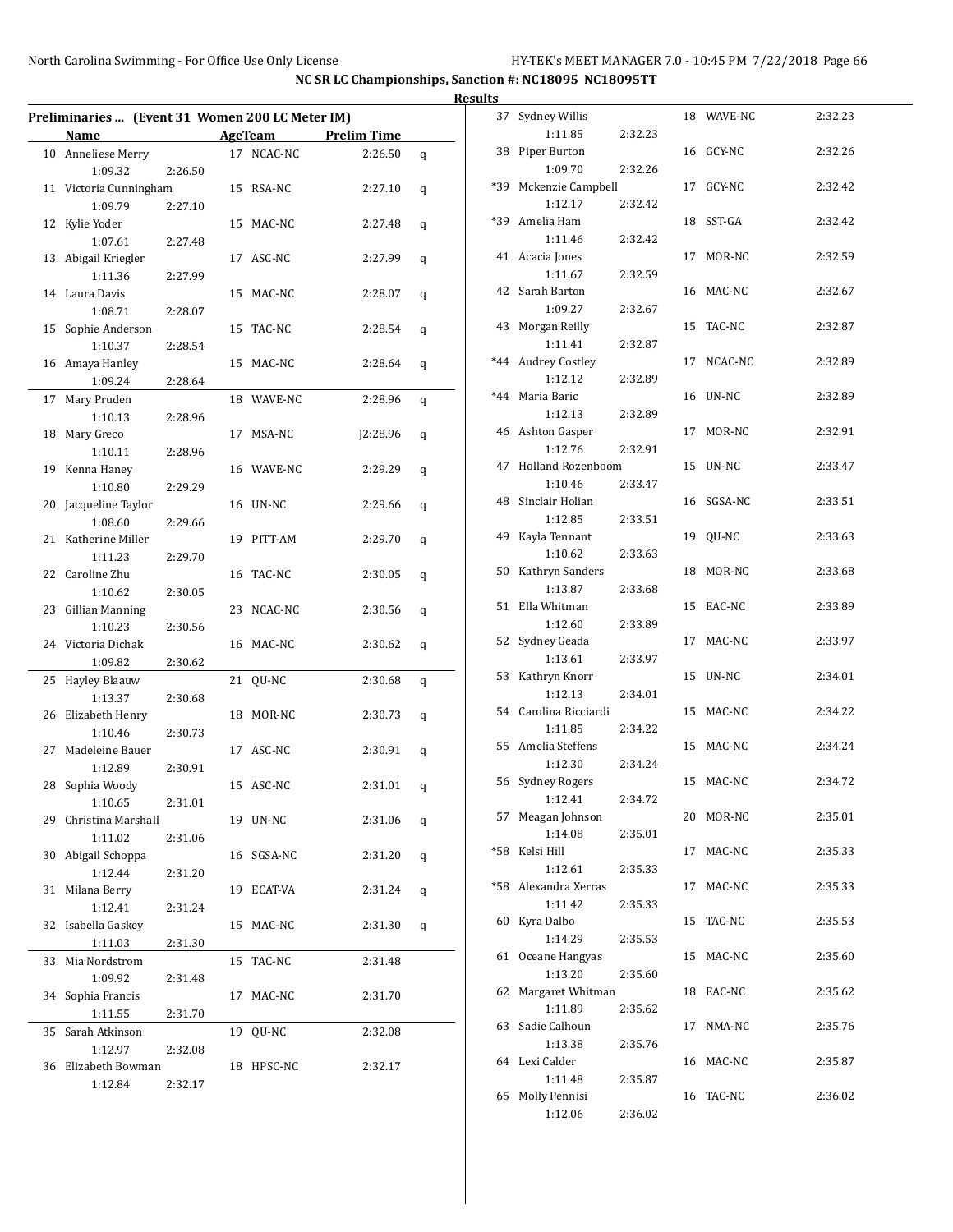$\overline{a}$ 

 $\overline{a}$ 

|    |                                                 |         |    |            |                     |   | <b>Result</b> |
|----|-------------------------------------------------|---------|----|------------|---------------------|---|---------------|
|    | Preliminaries  (Event 31 Women 200 LC Meter IM) |         |    |            |                     |   |               |
|    | Name                                            |         |    |            | AgeTeam Prelim Time |   |               |
|    | 10 Anneliese Merry                              |         |    | 17 NCAC-NC | 2:26.50             | q |               |
|    | 1:09.32                                         | 2:26.50 |    |            |                     |   |               |
|    | 11 Victoria Cunningham                          |         |    | 15 RSA-NC  | 2:27.10             | q |               |
|    | 1:09.79                                         | 2:27.10 |    |            |                     |   |               |
|    | 12 Kylie Yoder                                  |         |    | 15 MAC-NC  | 2:27.48             | q |               |
|    | 1:07.61                                         | 2:27.48 |    |            |                     |   |               |
|    | 13 Abigail Kriegler                             |         |    | 17 ASC-NC  | 2:27.99             | q |               |
|    | 1:11.36                                         | 2:27.99 |    |            |                     |   |               |
|    | 14 Laura Davis                                  |         |    | 15 MAC-NC  | 2:28.07             | q |               |
|    | 1:08.71                                         | 2:28.07 |    |            |                     |   |               |
| 15 | Sophie Anderson                                 |         |    | 15 TAC-NC  | 2:28.54             | q |               |
|    | 1:10.37                                         | 2:28.54 |    |            |                     |   |               |
|    | 16 Amaya Hanley                                 |         |    | 15 MAC-NC  | 2:28.64             | q |               |
|    | 1:09.24                                         | 2:28.64 |    |            |                     |   |               |
| 17 | Mary Pruden                                     |         |    | 18 WAVE-NC | 2:28.96             | q |               |
|    | 1:10.13                                         | 2:28.96 |    |            |                     |   |               |
|    | 18 Mary Greco                                   |         |    | 17 MSA-NC  | J2:28.96            | q |               |
|    | 1:10.11                                         | 2:28.96 |    |            |                     |   |               |
|    | 19 Kenna Haney                                  |         |    | 16 WAVE-NC | 2:29.29             | q |               |
|    | 1:10.80                                         | 2:29.29 |    |            |                     |   |               |
|    | 20 Jacqueline Taylor                            |         |    | 16 UN-NC   | 2:29.66             | q |               |
|    | 1:08.60                                         | 2:29.66 |    |            |                     |   |               |
|    | 21 Katherine Miller                             |         |    | 19 PITT-AM | 2:29.70             | q |               |
|    | 1:11.23                                         | 2:29.70 |    |            |                     |   |               |
|    | 22 Caroline Zhu                                 |         |    | 16 TAC-NC  | 2:30.05             | q |               |
|    | 1:10.62                                         | 2:30.05 |    |            |                     |   |               |
|    | 23 Gillian Manning                              |         |    | 23 NCAC-NC | 2:30.56             | q |               |
|    | 1:10.23                                         | 2:30.56 |    |            |                     |   |               |
|    | 24 Victoria Dichak                              |         |    | 16 MAC-NC  | 2:30.62             | q |               |
|    | 1:09.82                                         | 2:30.62 |    |            |                     |   |               |
|    | 25 Hayley Blaauw                                |         |    | 21 QU-NC   | 2:30.68             | q |               |
|    | 1:13.37                                         | 2:30.68 |    |            |                     |   |               |
|    | 26 Elizabeth Henry                              |         |    | 18 MOR-NC  | 2:30.73             | q |               |
|    | 1:10.46                                         | 2:30.73 |    |            |                     |   |               |
| 27 | Madeleine Bauer                                 |         |    | 17 ASC-NC  | 2:30.91             | q |               |
|    | 1:12.89                                         | 2:30.91 |    |            |                     |   |               |
|    | 28 Sophia Woody                                 |         |    | 15 ASC-NC  | 2:31.01             | q |               |
|    | 1:10.65                                         | 2:31.01 |    |            |                     |   |               |
|    | 29 Christina Marshall                           |         |    | 19 UN-NC   | 2:31.06             | q |               |
|    | 1:11.02                                         | 2:31.06 |    |            |                     |   |               |
|    | 30 Abigail Schoppa                              |         |    | 16 SGSA-NC | 2:31.20             | q |               |
|    | 1:12.44                                         | 2:31.20 |    |            |                     |   |               |
|    | 31 Milana Berry                                 |         |    | 19 ECAT-VA | 2:31.24             | q |               |
|    | 1:12.41                                         | 2:31.24 |    |            |                     |   |               |
|    | 32 Isabella Gaskey                              |         |    | 15 MAC-NC  | 2:31.30             | q |               |
|    | 1:11.03                                         | 2:31.30 |    |            |                     |   |               |
|    | 33 Mia Nordstrom                                |         | 15 | TAC-NC     | 2:31.48             |   |               |
|    | 1:09.92                                         | 2:31.48 |    |            |                     |   |               |
|    | 34 Sophia Francis                               |         |    | 17 MAC-NC  | 2:31.70             |   |               |
|    | 1:11.55                                         |         |    |            |                     |   |               |
|    |                                                 | 2:31.70 |    |            |                     |   |               |
| 35 | Sarah Atkinson                                  |         |    | 19 QU-NC   | 2:32.08             |   |               |
|    | 1:12.97                                         | 2:32.08 |    |            |                     |   |               |
|    | 36 Elizabeth Bowman                             |         |    | 18 HPSC-NC | 2:32.17             |   |               |
|    | 1:12.84                                         | 2:32.17 |    |            |                     |   |               |

| ts |                               |         |    |            |         |
|----|-------------------------------|---------|----|------------|---------|
| 37 | Sydney Willis                 |         |    | 18 WAVE-NC | 2:32.23 |
|    | 1:11.85                       | 2:32.23 |    |            |         |
|    | 38 Piper Burton<br>1:09.70    | 2:32.26 |    | 16 GCY-NC  | 2:32.26 |
|    | *39 Mckenzie Campbell         |         |    | 17 GCY-NC  | 2:32.42 |
|    | 1:12.17                       | 2:32.42 |    |            |         |
|    | *39 Amelia Ham                |         |    | 18 SST-GA  | 2:32.42 |
|    | 1:11.46                       | 2:32.42 |    |            |         |
|    | 41 Acacia Jones               |         |    | 17 MOR-NC  | 2:32.59 |
|    | 1:11.67                       | 2:32.59 |    |            |         |
|    | 42 Sarah Barton               |         |    | 16 MAC-NC  | 2:32.67 |
|    | 1:09.27<br>43 Morgan Reilly   | 2:32.67 |    | 15 TAC-NC  | 2:32.87 |
|    | 1:11.41                       | 2:32.87 |    |            |         |
|    | *44 Audrey Costley            |         |    | 17 NCAC-NC | 2:32.89 |
|    | 1:12.12                       | 2:32.89 |    |            |         |
|    | *44 Maria Baric               |         |    | 16 UN-NC   | 2:32.89 |
|    | 1:12.13                       | 2:32.89 |    |            |         |
|    | 46 Ashton Gasper              |         |    | 17 MOR-NC  | 2:32.91 |
|    | 1:12.76                       | 2:32.91 |    |            |         |
|    | 47 Holland Rozenboom          |         |    | 15 UN-NC   | 2:33.47 |
|    | 1:10.46<br>48 Sinclair Holian | 2:33.47 |    | 16 SGSA-NC | 2:33.51 |
|    | 1:12.85                       | 2:33.51 |    |            |         |
|    | 49 Kayla Tennant              |         |    | 19 OU-NC   | 2:33.63 |
|    | 1:10.62                       | 2:33.63 |    |            |         |
|    | 50 Kathryn Sanders            |         |    | 18 MOR-NC  | 2:33.68 |
|    | 1:13.87                       | 2:33.68 |    |            |         |
|    | 51 Ella Whitman               |         |    | 15 EAC-NC  | 2:33.89 |
|    | 1:12.60                       | 2:33.89 |    |            |         |
|    | 52 Sydney Geada               |         |    | 17 MAC-NC  | 2:33.97 |
|    | 1:13.61                       | 2:33.97 |    | 15 UN-NC   |         |
|    | 53 Kathryn Knorr<br>1:12.13   | 2:34.01 |    |            | 2:34.01 |
|    | 54 Carolina Ricciardi         |         |    | 15 MAC-NC  | 2:34.22 |
|    | 1:11.85                       | 2:34.22 |    |            |         |
|    | 55 Amelia Steffens            |         |    | 15 MAC-NC  | 2:34.24 |
|    | 1:12.30                       | 2:34.24 |    |            |         |
|    | 56 Sydney Rogers              |         |    | 15 MAC-NC  | 2:34.72 |
|    | 1:12.41                       | 2:34.72 |    |            |         |
| 57 | Meagan Johnson                |         |    | 20 MOR-NC  | 2:35.01 |
|    | 1:14.08<br>*58 Kelsi Hill     | 2:35.01 | 17 | MAC-NC     | 2:35.33 |
|    | 1:12.61                       | 2:35.33 |    |            |         |
|    | *58 Alexandra Xerras          |         |    | 17 MAC-NC  | 2:35.33 |
|    | 1:11.42                       | 2:35.33 |    |            |         |
| 60 | Kyra Dalbo                    |         | 15 | TAC-NC     | 2:35.53 |
|    | 1:14.29                       | 2:35.53 |    |            |         |
| 61 | Oceane Hangyas                |         |    | 15 MAC-NC  | 2:35.60 |
|    | 1:13.20                       | 2:35.60 |    |            |         |
| 62 | Margaret Whitman<br>1:11.89   | 2:35.62 |    | 18 EAC-NC  | 2:35.62 |
|    | 63 Sadie Calhoun              |         | 17 | NMA-NC     | 2:35.76 |
|    | 1:13.38                       | 2:35.76 |    |            |         |
|    | 64 Lexi Calder                |         |    | 16 MAC-NC  | 2:35.87 |
|    | 1:11.48                       | 2:35.87 |    |            |         |
| 65 | Molly Pennisi                 |         |    | 16 TAC-NC  | 2:36.02 |
|    | 1:12.06                       | 2:36.02 |    |            |         |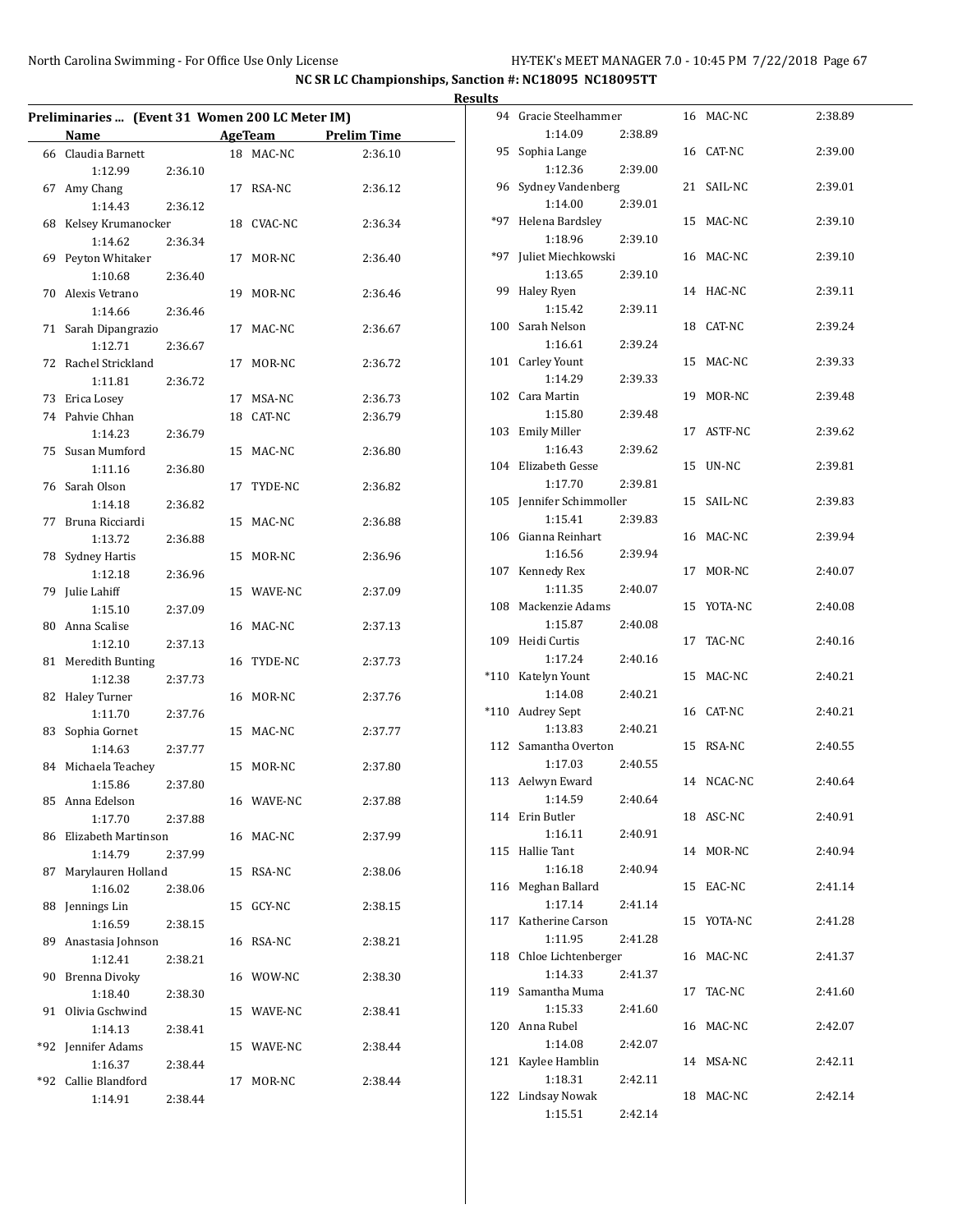|                                                 |                    |                |                    | <b>Results</b> |                                     |         |            |         |
|-------------------------------------------------|--------------------|----------------|--------------------|----------------|-------------------------------------|---------|------------|---------|
| Preliminaries  (Event 31 Women 200 LC Meter IM) |                    |                |                    |                | 94 Gracie Steelhammer               |         | 16 MAC-NC  | 2:38.89 |
| Name                                            |                    | <b>AgeTeam</b> | <b>Prelim Time</b> |                | 1:14.09                             | 2:38.89 |            |         |
| 66 Claudia Barnett<br>1:12.99                   | 2:36.10            | 18 MAC-NC      | 2:36.10            |                | 95 Sophia Lange<br>1:12.36          | 2:39.00 | 16 CAT-NC  | 2:39.00 |
| 67 Amy Chang<br>1:14.43                         | 2:36.12            | 17 RSA-NC      | 2:36.12            |                | 96 Sydney Vandenberg<br>1:14.00     | 2:39.01 | 21 SAIL-NC | 2:39.01 |
| 68 Kelsey Krumanocker<br>1:14.62                | 2:36.34            | 18 CVAC-NC     | 2:36.34            |                | *97 Helena Bardsley<br>1:18.96      | 2:39.10 | 15 MAC-NC  | 2:39.10 |
| 69 Peyton Whitaker<br>1:10.68                   | 2:36.40            | 17 MOR-NC      | 2:36.40            |                | *97 Juliet Miechkowski<br>1:13.65   | 2:39.10 | 16 MAC-NC  | 2:39.10 |
| 70 Alexis Vetrano                               |                    | 19 MOR-NC      | 2:36.46            |                | 99 Haley Ryen<br>1:15.42            | 2:39.11 | 14 HAC-NC  | 2:39.11 |
| 1:14.66<br>71 Sarah Dipangrazio<br>1:12.71      | 2:36.46<br>2:36.67 | 17 MAC-NC      | 2:36.67            |                | 100 Sarah Nelson<br>1:16.61         | 2:39.24 | 18 CAT-NC  | 2:39.24 |
| 72 Rachel Strickland<br>1:11.81                 | 2:36.72            | 17 MOR-NC      | 2:36.72            |                | 101 Carley Yount<br>1:14.29         | 2:39.33 | 15 MAC-NC  | 2:39.33 |
| 73 Erica Losey                                  |                    | 17 MSA-NC      | 2:36.73            |                | 102 Cara Martin                     |         | 19 MOR-NC  | 2:39.48 |
| 74 Pahvie Chhan<br>1:14.23                      | 2:36.79            | 18 CAT-NC      | 2:36.79            |                | 1:15.80<br>103 Emily Miller         | 2:39.48 | 17 ASTF-NC | 2:39.62 |
| 75 Susan Mumford                                |                    | 15 MAC-NC      | 2:36.80            |                | 1:16.43<br>104 Elizabeth Gesse      | 2:39.62 | 15 UN-NC   | 2:39.81 |
| 1:11.16<br>76 Sarah Olson                       | 2:36.80            | 17 TYDE-NC     | 2:36.82            |                | 1:17.70                             | 2:39.81 |            |         |
| 1:14.18<br>77 Bruna Ricciardi                   | 2:36.82            | 15 MAC-NC      | 2:36.88            |                | 105 Jennifer Schimmoller<br>1:15.41 | 2:39.83 | 15 SAIL-NC | 2:39.83 |
| 1:13.72<br>78 Sydney Hartis                     | 2:36.88            | 15 MOR-NC      | 2:36.96            |                | 106 Gianna Reinhart<br>1:16.56      | 2:39.94 | 16 MAC-NC  | 2:39.94 |
| 1:12.18<br>79 Julie Lahiff                      | 2:36.96            | 15 WAVE-NC     | 2:37.09            |                | 107 Kennedy Rex<br>1:11.35          | 2:40.07 | 17 MOR-NC  | 2:40.07 |
| 1:15.10<br>80 Anna Scalise                      | 2:37.09            | 16 MAC-NC      | 2:37.13            |                | 108 Mackenzie Adams<br>1:15.87      | 2:40.08 | 15 YOTA-NC | 2:40.08 |
| 1:12.10<br>81 Meredith Bunting                  | 2:37.13            | 16 TYDE-NC     | 2:37.73            |                | 109 Heidi Curtis<br>1:17.24         | 2:40.16 | 17 TAC-NC  | 2:40.16 |
| 1:12.38                                         | 2:37.73            |                |                    |                | *110 Katelyn Yount<br>1:14.08       | 2:40.21 | 15 MAC-NC  | 2:40.21 |
| 82 Haley Turner<br>1:11.70                      | 2:37.76            | 16 MOR-NC      | 2:37.76            |                | *110 Audrey Sept                    |         | 16 CAT-NC  | 2:40.21 |
| 83 Sophia Gornet<br>1:14.63                     | 2:37.77            | 15 MAC-NC      | 2:37.77            |                | 1:13.83<br>112 Samantha Overton     | 2:40.21 | 15 RSA-NC  | 2:40.55 |
| 84 Michaela Teachey<br>1:15.86                  | 2:37.80            | 15 MOR-NC      | 2:37.80            |                | 1:17.03<br>113 Aelwyn Eward         | 2:40.55 | 14 NCAC-NC | 2:40.64 |
| 85 Anna Edelson<br>1:17.70                      | 2:37.88            | 16 WAVE-NC     | 2:37.88            |                | 1:14.59<br>114 Erin Butler          | 2:40.64 | 18 ASC-NC  | 2:40.91 |
| 86 Elizabeth Martinson<br>1:14.79               | 2:37.99            | 16 MAC-NC      | 2:37.99            |                | 1:16.11<br>115 Hallie Tant          | 2:40.91 | 14 MOR-NC  | 2:40.94 |
| 87 Marylauren Holland<br>1:16.02                | 2:38.06            | 15 RSA-NC      | 2:38.06            |                | 1:16.18<br>116 Meghan Ballard       | 2:40.94 | 15 EAC-NC  | 2:41.14 |
| 88 Jennings Lin                                 |                    | 15 GCY-NC      | 2:38.15            |                | 1:17.14<br>117 Katherine Carson     | 2:41.14 | 15 YOTA-NC | 2:41.28 |
| 1:16.59<br>89 Anastasia Johnson                 | 2:38.15            | 16 RSA-NC      | 2:38.21            |                | 1:11.95                             | 2:41.28 |            |         |
| 1:12.41<br>90 Brenna Divoky                     | 2:38.21            | 16 WOW-NC      | 2:38.30            |                | 118 Chloe Lichtenberger<br>1:14.33  | 2:41.37 | 16 MAC-NC  | 2:41.37 |
| 1:18.40<br>91 Olivia Gschwind                   | 2:38.30            | 15 WAVE-NC     | 2:38.41            |                | 119 Samantha Muma<br>1:15.33        | 2:41.60 | 17 TAC-NC  | 2:41.60 |
| 1:14.13<br>*92 Jennifer Adams                   | 2:38.41            | 15 WAVE-NC     | 2:38.44            |                | 120 Anna Rubel<br>1:14.08           | 2:42.07 | 16 MAC-NC  | 2:42.07 |
| 1:16.37                                         | 2:38.44            |                |                    |                | 121 Kaylee Hamblin<br>1:18.31       | 2:42.11 | 14 MSA-NC  | 2:42.11 |
| *92 Callie Blandford<br>1:14.91                 | 2:38.44            | 17 MOR-NC      | 2:38.44            |                | 122 Lindsay Nowak<br>1:15.51        | 2:42.14 | 18 MAC-NC  | 2:42.14 |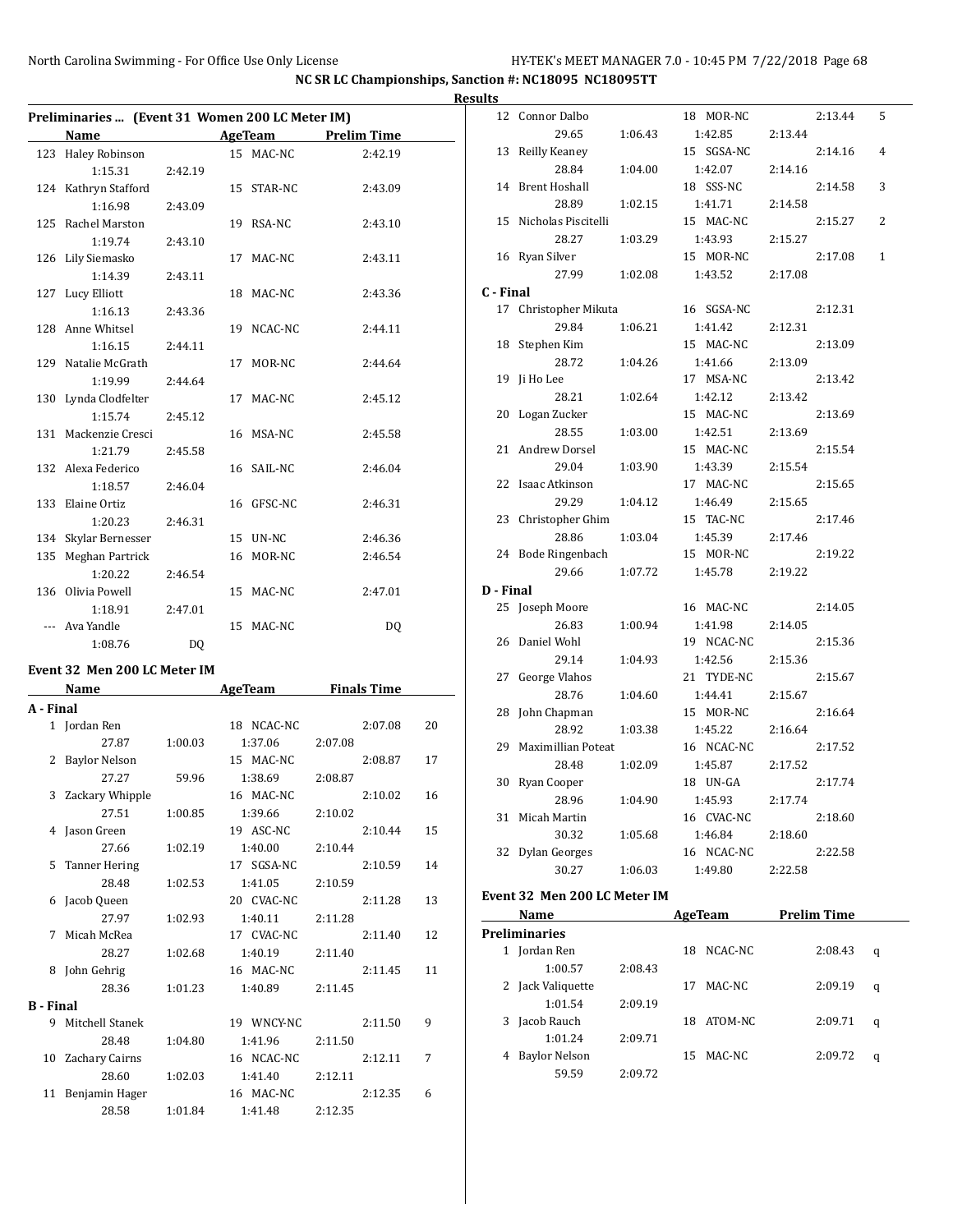12 Connor Dalbo 18 MOR-NC 2:13.44 5 29.65 1:06.43 1:42.85 2:13.44 13 Reilly Keaney 15 SGSA-NC 2:14.16 4 28.84 1:04.00 1:42.07 2:14.16 14 Brent Hoshall 18 SSS-NC 2:14.58 3

**NC SR LC Championships, Sanction #: NC18095 NC18095TT**

|           |                                                 |                |                                       |         |         |    | <b>Results</b>   |
|-----------|-------------------------------------------------|----------------|---------------------------------------|---------|---------|----|------------------|
|           | Preliminaries  (Event 31 Women 200 LC Meter IM) |                |                                       |         |         |    |                  |
|           | Name                                            |                | <b>Example 21 AgeTeam</b> Prelim Time |         |         |    |                  |
|           | 123 Haley Robinson                              |                | 15 MAC-NC                             |         | 2:42.19 |    |                  |
|           | 1:15.31                                         | 2:42.19        |                                       |         |         |    |                  |
|           | 124 Kathryn Stafford                            |                | 15 STAR-NC                            |         | 2:43.09 |    |                  |
|           | 1:16.98                                         | 2:43.09        |                                       |         |         |    |                  |
|           | 125 Rachel Marston                              |                | 19 RSA-NC                             |         | 2:43.10 |    |                  |
|           | 1:19.74                                         | 2:43.10        |                                       |         |         |    |                  |
|           | 126 Lily Siemasko                               |                | 17 MAC-NC                             |         | 2:43.11 |    |                  |
|           | 1:14.39                                         | 2:43.11        |                                       |         |         |    |                  |
|           | 127 Lucy Elliott                                |                | 18 MAC-NC                             |         | 2:43.36 |    | $\mathfrak{c}$ . |
|           | 1:16.13                                         | 2:43.36        |                                       |         |         |    |                  |
|           | 128 Anne Whitsel                                |                | 19 NCAC-NC                            |         | 2:44.11 |    |                  |
|           | 1:16.15                                         | 2:44.11        |                                       |         |         |    |                  |
|           | 129 Natalie McGrath                             |                | 17 MOR-NC                             |         | 2:44.64 |    |                  |
|           | 1:19.99                                         | 2:44.64        |                                       |         |         |    |                  |
|           | 130 Lynda Clodfelter                            |                | 17 MAC-NC                             |         | 2:45.12 |    |                  |
|           | 1:15.74                                         | 2:45.12        |                                       |         |         |    |                  |
|           | 131 Mackenzie Cresci                            |                | 16 MSA-NC                             |         | 2:45.58 |    |                  |
|           | 1:21.79                                         | 2:45.58        |                                       |         |         |    | 2                |
|           | 132 Alexa Federico                              |                | 16 SAIL-NC                            |         | 2:46.04 |    |                  |
|           | 1:18.57                                         | 2:46.04        |                                       |         |         |    | 2                |
|           | 133 Elaine Ortiz                                |                | 16 GFSC-NC                            |         | 2:46.31 |    |                  |
|           | 1:20.23                                         | 2:46.31        |                                       |         |         |    |                  |
|           | 134 Skylar Bernesser                            |                | 15 UN-NC                              |         | 2:46.36 |    |                  |
|           | 135 Meghan Partrick                             |                | 16 MOR-NC                             |         | 2:46.54 |    |                  |
|           | 1:20.22                                         | 2:46.54        |                                       |         |         |    |                  |
|           | 136 Olivia Powell                               |                | 15 MAC-NC                             |         | 2:47.01 |    | D-               |
|           | 1:18.91                                         | 2:47.01        |                                       |         |         |    | 2                |
|           | --- Ava Yandle                                  |                | 15 MAC-NC                             |         | DQ      |    |                  |
|           | 1:08.76                                         | D <sub>0</sub> |                                       |         |         |    |                  |
|           | Event 32 Men 200 LC Meter IM                    |                |                                       |         |         |    |                  |
|           | Name AgeTeam Finals Time                        |                |                                       |         |         |    | 2                |
| A - Final |                                                 |                |                                       |         |         |    |                  |
|           | 1 Jordan Ren                                    |                | 18 NCAC-NC                            |         | 2:07.08 | 20 | 2                |
|           | 27.87                                           | 1:00.03        | 1:37.06                               | 2:07.08 |         |    |                  |
|           | 2 Baylor Nelson                                 |                | 15 MAC-NC                             |         | 2:08.87 | 17 |                  |
|           | 27.27                                           | 59.96          | 1:38.69                               | 2:08.87 |         |    |                  |
|           | 3 Zackary Whipple                               |                | 16 MAC-NC                             |         | 2:10.02 | 16 |                  |

27.51 1:00.85 1:39.66 2:10.02 4 Jason Green 19 ASC-NC 2:10.44 15 27.66 1:02.19 1:40.00 2:10.44 5 Tanner Hering 17 SGSA-NC 2:10.59 14 28.48 1:02.53 1:41.05 2:10.59 6 Jacob Queen 20 CVAC-NC 2:11.28 13 27.97 1:02.93 1:40.11 2:11.28 7 Micah McRea 17 CVAC-NC 2:11.40 12 28.27 1:02.68 1:40.19 2:11.40 8 John Gehrig 16 MAC-NC 2:11.45 11 28.36 1:01.23 1:40.89 2:11.45

9 Mitchell Stanek 19 WNCY-NC 2:11.50 9 28.48 1:04.80 1:41.96 2:11.50 10 Zachary Cairns 16 NCAC-NC 2:12.11 7 28.60 1:02.03 1:41.40 2:12.11 11 Benjamin Hager 16 MAC-NC 2:12.35 6 28.58 1:01.84 1:41.48 2:12.35

**B - Final**

|           | 28.89                        | 1:02.15 | 1:41.71    |         | 2:14.58 |                    |              |
|-----------|------------------------------|---------|------------|---------|---------|--------------------|--------------|
|           | 15 Nicholas Piscitelli       |         | 15 MAC-NC  |         |         | 2:15.27            | 2            |
|           | 28.27                        | 1:03.29 | 1:43.93    |         | 2:15.27 |                    |              |
|           | 16 Ryan Silver               |         | 15 MOR-NC  |         |         | 2:17.08            | $\mathbf{1}$ |
|           | 27.99                        | 1:02.08 | 1:43.52    |         | 2:17.08 |                    |              |
| C - Final |                              |         |            |         |         |                    |              |
| 17        | Christopher Mikuta           |         | 16 SGSA-NC |         |         | 2:12.31            |              |
|           | 29.84                        | 1:06.21 | 1:41.42    |         | 2:12.31 |                    |              |
| 18        | Stephen Kim                  |         | 15 MAC-NC  |         |         | 2:13.09            |              |
|           | 28.72                        | 1:04.26 | 1:41.66    |         | 2:13.09 |                    |              |
| 19        | Ji Ho Lee                    |         | 17 MSA-NC  |         |         | 2:13.42            |              |
|           | 28.21                        | 1:02.64 | 1:42.12    |         | 2:13.42 |                    |              |
| 20        | Logan Zucker                 |         | 15 MAC-NC  |         |         | 2:13.69            |              |
|           | 28.55                        | 1:03.00 | 1:42.51    |         | 2:13.69 |                    |              |
|           | 21 Andrew Dorsel             |         | 15 MAC-NC  |         |         | 2:15.54            |              |
|           | 29.04                        | 1:03.90 | 1:43.39    |         | 2:15.54 |                    |              |
|           | 22 Isaac Atkinson            |         | 17 MAC-NC  |         |         | 2:15.65            |              |
|           | 29.29                        | 1:04.12 | 1:46.49    |         | 2:15.65 |                    |              |
|           | 23 Christopher Ghim          |         | 15 TAC-NC  |         |         | 2:17.46            |              |
|           | 28.86                        | 1:03.04 | 1:45.39    |         | 2:17.46 |                    |              |
|           | 24 Bode Ringenbach           |         | 15 MOR-NC  |         |         | 2:19.22            |              |
|           | 29.66                        | 1:07.72 | 1:45.78    |         | 2:19.22 |                    |              |
| D - Final |                              |         |            |         |         |                    |              |
|           | 25 Joseph Moore              |         | 16 MAC-NC  |         |         | 2:14.05            |              |
|           | 26.83                        | 1:00.94 | 1:41.98    |         | 2:14.05 |                    |              |
| 26        | Daniel Wohl                  |         | 19 NCAC-NC |         |         | 2:15.36            |              |
|           | 29.14                        | 1:04.93 | 1:42.56    |         | 2:15.36 |                    |              |
| 27        | George Vlahos                |         | 21 TYDE-NC |         |         | 2:15.67            |              |
|           | 28.76                        | 1:04.60 | 1:44.41    |         | 2:15.67 |                    |              |
| 28        | John Chapman                 |         | 15 MOR-NC  |         |         | 2:16.64            |              |
|           | 28.92                        | 1:03.38 | 1:45.22    |         | 2:16.64 |                    |              |
| 29        | Maximillian Poteat           |         | 16 NCAC-NC |         |         | 2:17.52            |              |
|           | 28.48                        | 1:02.09 | 1:45.87    |         | 2:17.52 |                    |              |
|           | 30 Ryan Cooper               |         | 18 UN-GA   |         |         | 2:17.74            |              |
|           | 28.96                        | 1:04.90 | 1:45.93    |         | 2:17.74 |                    |              |
| 31        | Micah Martin                 |         | 16 CVAC-NC |         |         | 2:18.60            |              |
|           | 30.32                        | 1:05.68 | 1:46.84    |         | 2:18.60 |                    |              |
|           | 32 Dylan Georges             |         | 16 NCAC-NC |         |         | 2:22.58            |              |
|           | 30.27                        | 1:06.03 | 1:49.80    |         | 2:22.58 |                    |              |
|           | Event 32 Men 200 LC Meter IM |         |            |         |         |                    |              |
|           | Name                         |         | AgeTeam    |         |         | <b>Prelim Time</b> |              |
|           | <b>Preliminaries</b>         |         |            |         |         |                    |              |
|           | 1 Jordan Ren                 |         | 18         | NCAC-NC |         | 2:08.43            | q            |
|           | 1:00.57                      | 2:08.43 |            |         |         |                    |              |
| 2         | Jack Valiquette              |         | 17         | MAC-NC  |         | 2:09.19            | q            |
|           | 1:01.54                      | 2:09.19 |            |         |         |                    |              |
| 3         | Jacob Rauch                  |         | 18         | ATOM-NC |         | 2:09.71            | q            |
|           |                              |         |            |         |         |                    |              |

|   | reliminaries         |         |    |         |         |   |  |  |  |  |  |
|---|----------------------|---------|----|---------|---------|---|--|--|--|--|--|
| 1 | Jordan Ren           |         | 18 | NCAC-NC | 2:08.43 | q |  |  |  |  |  |
|   | 1:00.57              | 2:08.43 |    |         |         |   |  |  |  |  |  |
|   | 2 Jack Valiquette    |         | 17 | MAC-NC  | 2:09.19 | q |  |  |  |  |  |
|   | 1:01.54              | 2:09.19 |    |         |         |   |  |  |  |  |  |
| 3 | Jacob Rauch          |         | 18 | ATOM-NC | 2:09.71 | q |  |  |  |  |  |
|   | 1:01.24              | 2:09.71 |    |         |         |   |  |  |  |  |  |
|   | <b>Baylor Nelson</b> |         | 15 | MAC-NC  | 2:09.72 | q |  |  |  |  |  |
|   | 59.59                | 2:09.72 |    |         |         |   |  |  |  |  |  |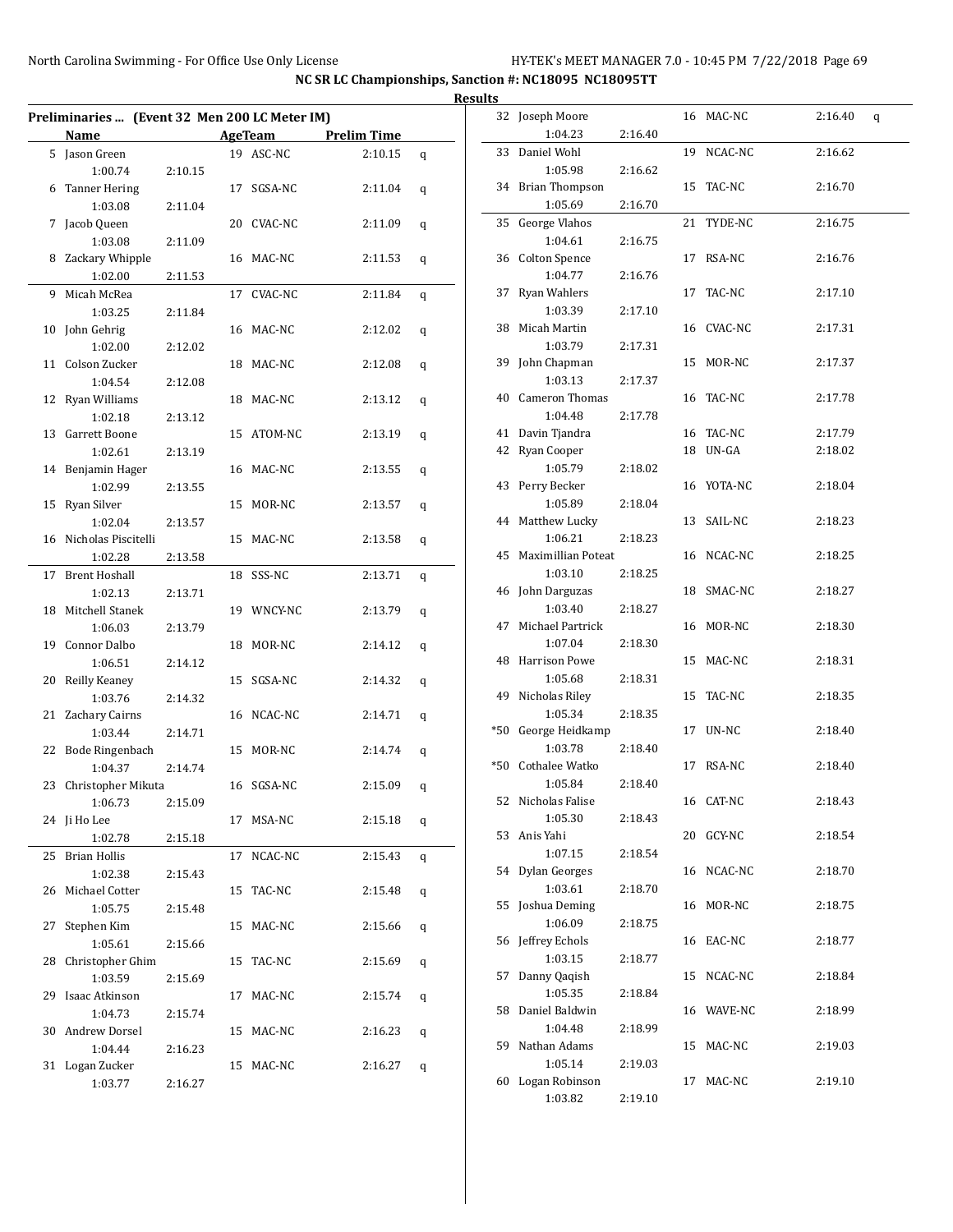|    |                                               |         |            |                                       |   | <b>Results</b>           |
|----|-----------------------------------------------|---------|------------|---------------------------------------|---|--------------------------|
|    | Preliminaries  (Event 32 Men 200 LC Meter IM) |         |            |                                       |   |                          |
|    | <b>Name</b>                                   |         |            | <b>Example 21 AgeTeam</b> Prelim Time |   |                          |
|    | 5 Jason Green                                 |         | 19 ASC-NC  | 2:10.15                               | q | ă                        |
|    | 1:00.74                                       | 2:10.15 |            |                                       |   |                          |
|    | 6 Tanner Hering                               |         | 17 SGSA-NC | 2:11.04                               | q |                          |
|    | 1:03.08                                       | 2:11.04 |            |                                       |   |                          |
|    | 7 Jacob Queen                                 |         | 20 CVAC-NC | 2:11.09                               | q | ă                        |
|    | 1:03.08                                       | 2:11.09 |            |                                       |   |                          |
|    | 8 Zackary Whipple                             |         | 16 MAC-NC  | 2:11.53                               | q |                          |
|    | 1:02.00                                       | 2:11.53 |            |                                       |   |                          |
|    | 9 Micah McRea                                 |         | 17 CVAC-NC | 2:11.84                               | q |                          |
|    | 1:03.25                                       | 2:11.84 |            |                                       |   | G                        |
|    | 10 John Gehrig                                |         | 16 MAC-NC  | 2:12.02                               | q |                          |
|    | 1:02.00                                       | 2:12.02 |            |                                       |   |                          |
|    | 11 Colson Zucker                              |         | 18 MAC-NC  | 2:12.08                               | q |                          |
|    | 1:04.54                                       | 2:12.08 |            |                                       |   |                          |
|    | 12 Ryan Williams                              |         | 18 MAC-NC  | 2:13.12                               | q |                          |
|    | 1:02.18                                       | 2:13.12 |            |                                       |   |                          |
|    | 13 Garrett Boone                              |         | 15 ATOM-NC | 2:13.19                               | q |                          |
|    | 1:02.61<br>14 Benjamin Hager                  | 2:13.19 |            |                                       |   |                          |
|    |                                               |         | 16 MAC-NC  | 2:13.55                               | q |                          |
|    | 1:02.99<br>15 Ryan Silver                     | 2:13.55 | 15 MOR-NC  | 2:13.57                               |   |                          |
|    | 1:02.04                                       | 2:13.57 |            |                                       | q |                          |
|    | 16 Nicholas Piscitelli                        |         | 15 MAC-NC  | 2:13.58                               |   |                          |
|    | 1:02.28                                       |         |            |                                       | q |                          |
|    | 17 Brent Hoshall                              | 2:13.58 | 18 SSS-NC  | 2:13.71                               |   |                          |
|    | 1:02.13                                       | 2:13.71 |            |                                       | q |                          |
|    | 18 Mitchell Stanek                            |         | 19 WNCY-NC | 2:13.79                               |   |                          |
|    | 1:06.03                                       | 2:13.79 |            |                                       | q | $\overline{\mathcal{L}}$ |
|    | 19 Connor Dalbo                               |         | 18 MOR-NC  | 2:14.12                               | q |                          |
|    | 1:06.51                                       | 2:14.12 |            |                                       |   | $\overline{\mathcal{L}}$ |
|    | 20 Reilly Keaney                              |         | 15 SGSA-NC | 2:14.32                               | q |                          |
|    | 1:03.76                                       | 2:14.32 |            |                                       |   |                          |
|    | 21 Zachary Cairns                             |         | 16 NCAC-NC | 2:14.71                               | q |                          |
|    | 1:03.44                                       | 2:14.71 |            |                                       |   | *!                       |
|    | 22 Bode Ringenbach                            |         | 15 MOR-NC  | 2:14.74                               | q |                          |
|    | 1:04.37                                       | 2:14.74 |            |                                       |   |                          |
|    | 23 Christopher Mikuta                         |         | 16 SGSA-NC | 2:15.09                               | q |                          |
|    | 1:06.73                                       | 2:15.09 |            |                                       |   | Ę                        |
|    | 24 Ji Ho Lee                                  |         | 17 MSA-NC  | 2:15.18                               | q |                          |
|    | 1:02.78                                       | 2:15.18 |            |                                       |   |                          |
|    | 25 Brian Hollis                               |         | 17 NCAC-NC | 2:15.43                               | q |                          |
|    | 1:02.38                                       | 2:15.43 |            |                                       |   | E                        |
|    | 26 Michael Cotter                             |         | 15 TAC-NC  | 2:15.48                               | q |                          |
|    | 1:05.75                                       | 2:15.48 |            |                                       |   | 5                        |
| 27 | Stephen Kim                                   |         | 15 MAC-NC  | 2:15.66                               | q |                          |
|    | 1:05.61                                       | 2:15.66 |            |                                       |   | Ę                        |
|    | 28 Christopher Ghim                           |         | 15 TAC-NC  | 2:15.69                               | q |                          |
|    | 1:03.59                                       | 2:15.69 |            |                                       |   | Ę                        |
|    | 29 Isaac Atkinson                             |         | 17 MAC-NC  | 2:15.74                               | q |                          |
|    | 1:04.73                                       | 2:15.74 |            |                                       |   | E                        |
|    | 30 Andrew Dorsel                              |         | 15 MAC-NC  | 2:16.23                               | q |                          |
|    | 1:04.44                                       | 2:16.23 |            |                                       |   |                          |
|    | 31 Logan Zucker                               |         | 15 MAC-NC  | 2:16.27                               | q |                          |
|    | 1:03.77                                       | 2:16.27 |            |                                       |   | Е                        |
|    |                                               |         |            |                                       |   |                          |

| սււծ |                       |         |    |            |         |   |
|------|-----------------------|---------|----|------------|---------|---|
|      | 32 Joseph Moore       |         |    | 16 MAC-NC  | 2:16.40 | q |
|      | 1:04.23               | 2:16.40 |    |            |         |   |
| 33   | Daniel Wohl           |         | 19 | NCAC-NC    | 2:16.62 |   |
|      | 1:05.98               | 2:16.62 |    |            |         |   |
|      | 34 Brian Thompson     |         | 15 | TAC-NC     | 2:16.70 |   |
|      | 1:05.69               | 2:16.70 |    |            |         |   |
| 35   | George Vlahos         |         | 21 | TYDE-NC    | 2:16.75 |   |
|      | 1:04.61               | 2:16.75 |    |            |         |   |
|      | 36 Colton Spence      |         |    | 17 RSA-NC  | 2:16.76 |   |
|      | 1:04.77               | 2:16.76 |    |            |         |   |
| 37   | Ryan Wahlers          |         | 17 | TAC-NC     | 2:17.10 |   |
|      | 1:03.39               | 2:17.10 |    |            |         |   |
|      | 38 Micah Martin       |         |    | 16 CVAC-NC | 2:17.31 |   |
|      | 1:03.79               | 2:17.31 |    |            |         |   |
| 39   | John Chapman          |         |    | 15 MOR-NC  | 2:17.37 |   |
|      | 1:03.13               | 2:17.37 |    |            |         |   |
|      | 40 Cameron Thomas     |         |    | 16 TAC-NC  | 2:17.78 |   |
|      | 1:04.48               | 2:17.78 |    |            |         |   |
|      | 41 Davin Tjandra      |         |    | 16 TAC-NC  | 2:17.79 |   |
|      | 42 Ryan Cooper        |         |    | 18 UN-GA   | 2:18.02 |   |
|      | 1:05.79               | 2:18.02 |    |            |         |   |
|      | 43 Perry Becker       |         |    | 16 YOTA-NC | 2:18.04 |   |
|      | 1:05.89               | 2:18.04 |    |            |         |   |
|      | 44 Matthew Lucky      |         |    | 13 SAIL-NC | 2:18.23 |   |
|      | 1:06.21               | 2:18.23 |    |            |         |   |
|      | 45 Maximillian Poteat |         |    | 16 NCAC-NC | 2:18.25 |   |
|      | 1:03.10               | 2:18.25 |    |            |         |   |
|      | 46 John Darguzas      |         |    | 18 SMAC-NC | 2:18.27 |   |
|      | 1:03.40               | 2:18.27 |    |            |         |   |
| 47   | Michael Partrick      |         |    | 16 MOR-NC  | 2:18.30 |   |
|      | 1:07.04               | 2:18.30 |    |            |         |   |
| 48   | <b>Harrison Powe</b>  |         |    | 15 MAC-NC  | 2:18.31 |   |
|      | 1:05.68               | 2:18.31 |    |            |         |   |
| 49   | Nicholas Riley        |         | 15 | TAC-NC     | 2:18.35 |   |
|      | 1:05.34               | 2:18.35 |    |            |         |   |
| *50  | George Heidkamp       |         |    | 17 UN-NC   | 2:18.40 |   |
|      | 1:03.78               | 2:18.40 |    |            |         |   |
| *50  | Cothalee Watko        |         | 17 | RSA-NC     | 2:18.40 |   |
|      | 1:05.84               | 2:18.40 |    |            |         |   |
|      | 52 Nicholas Falise    |         |    | 16 CAT-NC  | 2:18.43 |   |
|      | 1:05.30               | 2:18.43 |    |            |         |   |
|      | 53 Anis Yahi          |         |    | 20 GCY-NC  | 2:18.54 |   |
|      | 1:07.15               | 2:18.54 |    |            |         |   |
|      | 54 Dylan Georges      |         |    | 16 NCAC-NC | 2:18.70 |   |
|      | 1:03.61               | 2:18.70 |    |            |         |   |
| 55   | Joshua Deming         |         |    | 16 MOR-NC  | 2:18.75 |   |
|      | 1:06.09               | 2:18.75 |    |            |         |   |
| 56   | Jeffrey Echols        |         |    | 16 EAC-NC  | 2:18.77 |   |
|      | 1:03.15               | 2:18.77 |    |            |         |   |
| 57   | Danny Qaqish          |         |    | 15 NCAC-NC | 2:18.84 |   |
|      | 1:05.35               | 2:18.84 |    |            |         |   |
| 58   | Daniel Baldwin        |         |    | 16 WAVE-NC | 2:18.99 |   |
|      | 1:04.48               | 2:18.99 |    |            |         |   |
|      | 59 Nathan Adams       |         |    | 15 MAC-NC  | 2:19.03 |   |
|      | 1:05.14               | 2:19.03 |    |            |         |   |
|      | 60 Logan Robinson     |         | 17 | MAC-NC     | 2:19.10 |   |
|      | 1:03.82               | 2:19.10 |    |            |         |   |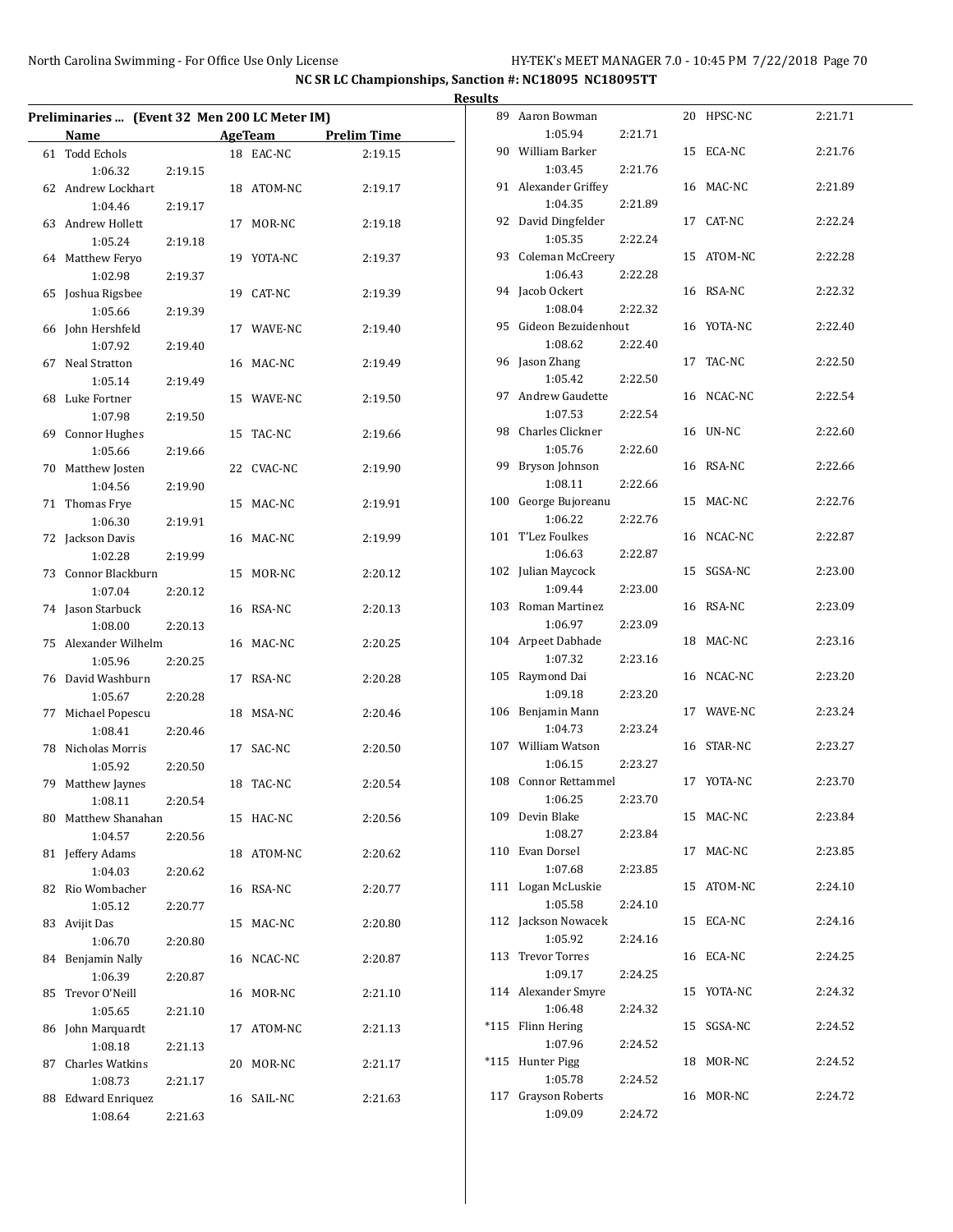|    | Preliminaries  (Event 32 Men 200 LC Meter IM) |         |            |                     | <b>Results</b><br>8 |
|----|-----------------------------------------------|---------|------------|---------------------|---------------------|
|    |                                               |         |            |                     |                     |
|    | Name                                          |         |            | AgeTeam Prelim Time |                     |
|    | 61 Todd Echols<br>1:06.32                     |         | 18 EAC-NC  | 2:19.15             | 9                   |
|    | 62 Andrew Lockhart                            | 2:19.15 | 18 ATOM-NC | 2:19.17             | 9                   |
|    | 1:04.46                                       | 2:19.17 |            |                     |                     |
|    | 63 Andrew Hollett                             |         | 17 MOR-NC  | 2:19.18             | 9                   |
|    | 1:05.24                                       | 2:19.18 |            |                     |                     |
|    | 64 Matthew Feryo                              |         | 19 YOTA-NC | 2:19.37             | 9                   |
|    | 1:02.98                                       | 2:19.37 |            |                     |                     |
|    | 65 Joshua Rigsbee                             |         | 19 CAT-NC  | 2:19.39             | 9                   |
|    | 1:05.66                                       | 2:19.39 |            |                     |                     |
|    | 66 John Hershfeld                             |         | 17 WAVE-NC | 2:19.40             | 9                   |
|    | 1:07.92                                       | 2:19.40 |            |                     |                     |
|    | 67 Neal Stratton                              |         | 16 MAC-NC  | 2:19.49             | 9                   |
|    | 1:05.14                                       | 2:19.49 |            |                     |                     |
|    | 68 Luke Fortner                               |         | 15 WAVE-NC | 2:19.50             | 9                   |
|    | 1:07.98                                       | 2:19.50 |            |                     |                     |
|    | 69 Connor Hughes                              |         | 15 TAC-NC  | 2:19.66             | 9                   |
|    | 1:05.66                                       | 2:19.66 |            |                     |                     |
|    | 70 Matthew Josten                             |         | 22 CVAC-NC | 2:19.90             | 9                   |
|    | 1:04.56                                       | 2:19.90 |            |                     |                     |
|    | 71 Thomas Frye                                |         | 15 MAC-NC  | 2:19.91             | 10                  |
|    | 1:06.30                                       | 2:19.91 |            |                     | 10                  |
|    | 72 Jackson Davis                              |         | 16 MAC-NC  | 2:19.99             |                     |
|    | 1:02.28                                       | 2:19.99 |            |                     | 10                  |
|    | 73 Connor Blackburn                           |         | 15 MOR-NC  | 2:20.12             |                     |
|    | 1:07.04<br>74 Jason Starbuck                  | 2:20.12 | 16 RSA-NC  | 2:20.13             | 10                  |
|    | 1:08.00                                       | 2:20.13 |            |                     |                     |
|    | 75 Alexander Wilhelm                          |         | 16 MAC-NC  | 2:20.25             | 10                  |
|    | 1:05.96                                       | 2:20.25 |            |                     |                     |
|    | 76 David Washburn                             |         | 17 RSA-NC  | 2:20.28             | 10                  |
|    | 1:05.67                                       | 2:20.28 |            |                     |                     |
|    | 77 Michael Popescu                            |         | 18 MSA-NC  | 2:20.46             | 10                  |
|    | 1:08.41                                       | 2:20.46 |            |                     |                     |
|    | 78 Nicholas Morris                            |         | 17 SAC-NC  | 2:20.50             | 10                  |
|    | 1:05.92                                       | 2:20.50 |            |                     |                     |
|    | 79 Matthew Jaynes                             |         | 18 TAC-NC  | 2:20.54             | 10                  |
|    | 1:08.11                                       | 2:20.54 |            |                     |                     |
|    | 80 Matthew Shanahan                           |         | 15 HAC-NC  | 2:20.56             | 10                  |
|    | 1:04.57                                       | 2:20.56 |            |                     |                     |
|    | 81 Jeffery Adams                              |         | 18 ATOM-NC | 2:20.62             | 11                  |
|    | 1:04.03                                       | 2:20.62 |            |                     |                     |
| 82 | Rio Wombacher                                 |         | 16 RSA-NC  | 2:20.77             | 11                  |
|    | 1:05.12                                       | 2:20.77 |            |                     | 11                  |
|    | 83 Avijit Das<br>1:06.70                      |         | 15 MAC-NC  | 2:20.80             |                     |
|    | 84 Benjamin Nally                             | 2:20.80 | 16 NCAC-NC | 2:20.87             | 11                  |
|    | 1:06.39                                       | 2:20.87 |            |                     |                     |
| 85 | Trevor O'Neill                                |         | 16 MOR-NC  | 2:21.10             | 11                  |
|    | 1:05.65                                       | 2:21.10 |            |                     |                     |
|    | 86 John Marquardt                             |         | 17 ATOM-NC | 2:21.13             | *11                 |
|    | 1:08.18                                       | 2:21.13 |            |                     |                     |
| 87 | Charles Watkins                               |         | 20 MOR-NC  | 2:21.17             | *11                 |
|    | 1:08.73                                       | 2:21.17 |            |                     |                     |
|    | 88 Edward Enriquez                            |         | 16 SAIL-NC | 2:21.63             | 11                  |
|    | 1:08.64                                       | 2:21.63 |            |                     |                     |

|      | 89 Aaron Bowman                   |         |    | 20 HPSC-NC | 2:21.71 |
|------|-----------------------------------|---------|----|------------|---------|
|      | 1:05.94                           | 2:21.71 |    |            |         |
|      | 90 William Barker                 |         |    | 15 ECA-NC  | 2:21.76 |
|      | 1:03.45                           | 2:21.76 |    |            |         |
|      | 91 Alexander Griffey              |         |    | 16 MAC-NC  | 2:21.89 |
|      | 1:04.35                           | 2:21.89 |    |            |         |
|      | 92 David Dingfelder               |         |    | 17 CAT-NC  | 2:22.24 |
|      | 1:05.35                           | 2:22.24 |    |            |         |
|      | 93 Coleman McCreery               |         |    | 15 ATOM-NC | 2:22.28 |
|      | 1:06.43                           | 2:22.28 |    |            |         |
|      | 94 Jacob Ockert                   |         |    | 16 RSA-NC  | 2:22.32 |
|      | 1:08.04<br>95 Gideon Bezuidenhout | 2:22.32 |    |            |         |
|      | 1:08.62                           | 2:22.40 |    | 16 YOTA-NC | 2:22.40 |
|      | 96 Jason Zhang                    |         |    | 17 TAC-NC  | 2:22.50 |
|      | 1:05.42                           | 2:22.50 |    |            |         |
| 97   | Andrew Gaudette                   |         |    | 16 NCAC-NC | 2:22.54 |
|      | 1:07.53                           | 2:22.54 |    |            |         |
|      | 98 Charles Clickner               |         |    | 16 UN-NC   | 2:22.60 |
|      | 1:05.76                           | 2:22.60 |    |            |         |
|      | 99 Bryson Johnson                 |         |    | 16 RSA-NC  | 2:22.66 |
|      | 1:08.11                           | 2:22.66 |    |            |         |
|      | 100 George Bujoreanu              |         |    | 15 MAC-NC  | 2:22.76 |
|      | 1:06.22                           | 2:22.76 |    |            |         |
|      | 101 T'Lez Foulkes                 |         |    | 16 NCAC-NC | 2:22.87 |
|      | 1:06.63                           | 2:22.87 |    |            |         |
|      | 102 Julian Maycock                |         | 15 | SGSA-NC    | 2:23.00 |
|      | 1:09.44                           | 2:23.00 |    |            |         |
|      | 103 Roman Martinez                |         |    | 16 RSA-NC  | 2:23.09 |
|      | 1:06.97                           | 2:23.09 |    |            |         |
|      | 104 Arpeet Dabhade                |         |    | 18 MAC-NC  | 2:23.16 |
|      | 1:07.32                           | 2:23.16 |    |            |         |
|      | 105 Raymond Dai                   |         |    | 16 NCAC-NC | 2:23.20 |
|      | 1:09.18                           | 2:23.20 |    |            |         |
|      | 106 Benjamin Mann                 |         |    | 17 WAVE-NC | 2:23.24 |
|      | 1:04.73                           | 2:23.24 |    |            |         |
|      | 107 William Watson                |         |    | 16 STAR-NC | 2:23.27 |
|      | 1:06.15                           | 2:23.27 |    |            |         |
|      | 108 Connor Rettammel              |         |    | 17 YOTA-NC | 2:23.70 |
|      | 1:06.25                           | 2:23.70 |    |            |         |
|      | 109 Devin Blake<br>1:08.27        | 2:23.84 |    | 15 MAC-NC  | 2:23.84 |
|      | 110 Evan Dorsel                   |         | 17 | MAC-NC     | 2:23.85 |
|      | 1:07.68                           | 2:23.85 |    |            |         |
|      | 111 Logan McLuskie                |         |    | 15 ATOM-NC | 2:24.10 |
|      | 1:05.58                           | 2:24.10 |    |            |         |
|      | 112 Jackson Nowacek               |         | 15 | ECA-NC     | 2:24.16 |
|      | 1:05.92                           | 2:24.16 |    |            |         |
|      | 113 Trevor Torres                 |         |    | 16 ECA-NC  | 2:24.25 |
|      | 1:09.17                           | 2:24.25 |    |            |         |
|      | 114 Alexander Smyre               |         | 15 | YOTA-NC    | 2:24.32 |
|      | 1:06.48                           | 2:24.32 |    |            |         |
| *115 | Flinn Hering                      |         |    | 15 SGSA-NC | 2:24.52 |
|      | 1:07.96                           | 2:24.52 |    |            |         |
| *115 | Hunter Pigg                       |         |    | 18 MOR-NC  | 2:24.52 |
|      | 1:05.78                           | 2:24.52 |    |            |         |
| 117  | Grayson Roberts                   |         |    | 16 MOR-NC  | 2:24.72 |
|      | 1:09.09                           | 2:24.72 |    |            |         |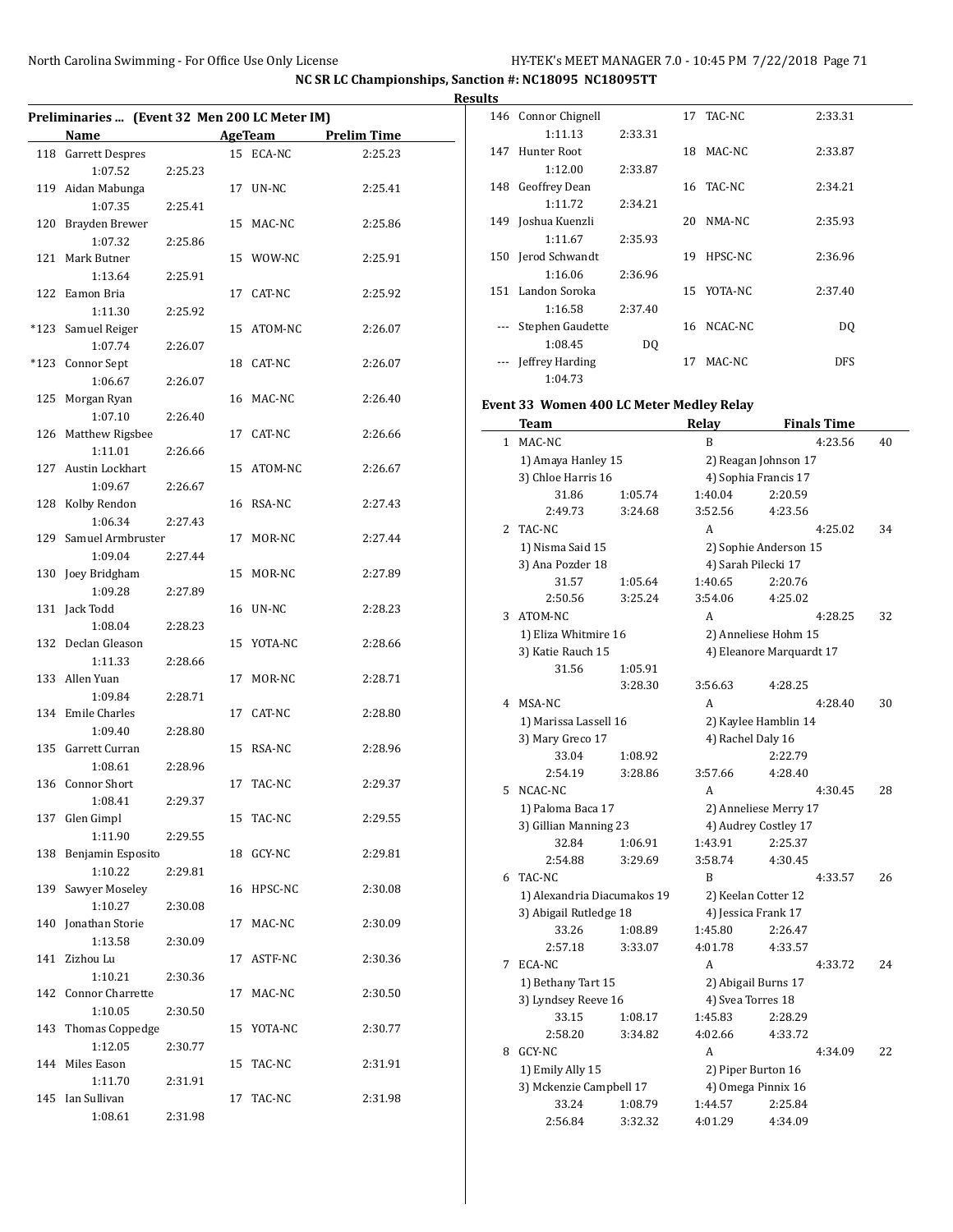|     | Preliminaries  (Event 32 Men 200 LC Meter IM) |         |    |                |                    |
|-----|-----------------------------------------------|---------|----|----------------|--------------------|
|     | Name                                          |         |    | <b>AgeTeam</b> | <b>Prelim Time</b> |
|     |                                               |         |    |                |                    |
|     | 118 Garrett Despres                           |         |    | 15 ECA-NC      | 2:25.23            |
|     | 1:07.52                                       | 2:25.23 |    |                |                    |
|     | 119 Aidan Mabunga                             |         |    | 17 UN-NC       | 2:25.41            |
|     | 1:07.35                                       | 2:25.41 |    |                |                    |
|     | 120 Brayden Brewer                            |         |    | 15 MAC-NC      | 2:25.86            |
|     | 1:07.32                                       | 2:25.86 |    |                |                    |
| 121 | Mark Butner                                   |         |    | 15 WOW-NC      | 2:25.91            |
|     | 1:13.64                                       | 2:25.91 |    |                |                    |
|     | 122 Eamon Bria                                |         |    | 17 CAT-NC      | 2:25.92            |
|     | 1:11.30                                       | 2:25.92 |    |                |                    |
|     | *123 Samuel Reiger                            |         |    | 15 ATOM-NC     | 2:26.07            |
|     | 1:07.74                                       | 2:26.07 |    |                |                    |
|     | *123 Connor Sept                              |         | 18 | CAT-NC         | 2:26.07            |
|     | 1:06.67                                       | 2:26.07 |    |                |                    |
|     | 125 Morgan Ryan                               |         |    | 16 MAC-NC      | 2:26.40            |
|     | 1:07.10                                       | 2:26.40 |    |                |                    |
|     | 126 Matthew Rigsbee                           |         |    | 17 CAT-NC      | 2:26.66            |
|     | 1:11.01                                       | 2:26.66 |    |                |                    |
|     | 127 Austin Lockhart                           |         |    | 15 ATOM-NC     | 2:26.67            |
|     | 1:09.67                                       | 2:26.67 |    |                |                    |
|     | 128 Kolby Rendon                              |         |    | 16 RSA-NC      | 2:27.43            |
|     |                                               |         |    |                |                    |
|     | 1:06.34                                       | 2:27.43 |    |                |                    |
|     | 129 Samuel Armbruster                         |         |    | 17 MOR-NC      | 2:27.44            |
|     | 1:09.04                                       | 2:27.44 |    |                |                    |
|     | 130 Joey Bridgham                             |         |    | 15 MOR-NC      | 2:27.89            |
|     | 1:09.28                                       | 2:27.89 |    |                |                    |
|     | 131 Jack Todd                                 |         |    | 16 UN-NC       | 2:28.23            |
|     | 1:08.04                                       | 2:28.23 |    |                |                    |
|     | 132 Declan Gleason                            |         |    | 15 YOTA-NC     | 2:28.66            |
|     | 1:11.33                                       | 2:28.66 |    |                |                    |
| 133 | Allen Yuan                                    |         | 17 | MOR-NC         | 2:28.71            |
|     | 1:09.84                                       | 2:28.71 |    |                |                    |
|     | 134 Emile Charles                             |         | 17 | CAT-NC         | 2:28.80            |
|     | 1:09.40                                       | 2:28.80 |    |                |                    |
| 135 | Garrett Curran                                |         | 15 | RSA-NC         | 2:28.96            |
|     | 1:08.61                                       | 2:28.96 |    |                |                    |
|     | 136 Connor Short                              |         |    | 17 TAC-NC      | 2:29.37            |
|     | 1:08.41                                       | 2:29.37 |    |                |                    |
| 137 | Glen Gimpl                                    |         |    | 15 TAC-NC      | 2:29.55            |
|     | 1:11.90                                       | 2:29.55 |    |                |                    |
| 138 | Benjamin Esposito                             |         | 18 | GCY-NC         | 2:29.81            |
|     | 1:10.22                                       | 2:29.81 |    |                |                    |
| 139 | Sawyer Moseley                                |         |    | 16 HPSC-NC     | 2:30.08            |
|     | 1:10.27                                       | 2:30.08 |    |                |                    |
| 140 |                                               |         |    |                |                    |
|     | Jonathan Storie<br>1:13.58                    |         | 17 | MAC-NC         | 2:30.09            |
|     |                                               | 2:30.09 |    |                |                    |
| 141 | Zizhou Lu                                     |         | 17 | ASTF-NC        | 2:30.36            |
|     | 1:10.21                                       | 2:30.36 |    |                |                    |
| 142 | Connor Charrette                              |         | 17 | MAC-NC         | 2:30.50            |
|     | 1:10.05                                       | 2:30.50 |    |                |                    |
| 143 | Thomas Coppedge                               |         | 15 | YOTA-NC        | 2:30.77            |
|     | 1:12.05                                       | 2:30.77 |    |                |                    |
| 144 | Miles Eason                                   |         | 15 | TAC-NC         | 2:31.91            |
|     | 1:11.70                                       | 2:31.91 |    |                |                    |
| 145 | Ian Sullivan                                  |         | 17 | TAC-NC         | 2:31.98            |
|     | 1:08.61                                       | 2:31.98 |    |                |                    |

| ື   |                    |         |    |            |            |
|-----|--------------------|---------|----|------------|------------|
| 146 | Connor Chignell    |         |    | 17 TAC-NC  | 2:33.31    |
|     | 1:11.13            | 2:33.31 |    |            |            |
| 147 | Hunter Root        |         | 18 | MAC-NC     | 2:33.87    |
|     | 1:12.00            | 2:33.87 |    |            |            |
| 148 | Geoffrey Dean      |         |    | 16 TAC-NC  | 2:34.21    |
|     | 1:11.72            | 2:34.21 |    |            |            |
|     | 149 Joshua Kuenzli |         | 20 | NMA-NC     | 2:35.93    |
|     | 1:11.67            | 2:35.93 |    |            |            |
|     | 150 Jerod Schwandt |         | 19 | HPSC-NC    | 2:36.96    |
|     | 1:16.06            | 2:36.96 |    |            |            |
|     | 151 Landon Soroka  |         |    | 15 YOTA-NC | 2:37.40    |
|     | 1:16.58            | 2:37.40 |    |            |            |
|     | Stephen Gaudette   |         | 16 | NCAC-NC    | DQ         |
|     | 1:08.45            | DQ      |    |            |            |
|     | Jeffrey Harding    |         | 17 | MAC-NC     | <b>DFS</b> |
|     | 1:04.73            |         |    |            |            |

# **Event 33 Women 400 LC Meter Medley Relay**

|              | Team                        |         | <b>Relay</b>         | <b>Finals Time</b>       |    |  |
|--------------|-----------------------------|---------|----------------------|--------------------------|----|--|
| $\mathbf{1}$ | MAC-NC                      |         | B                    | 4:23.56                  | 40 |  |
|              | 1) Amaya Hanley 15          |         | 2) Reagan Johnson 17 |                          |    |  |
|              | 3) Chloe Harris 16          |         |                      | 4) Sophia Francis 17     |    |  |
|              | 31.86                       | 1:05.74 | 1:40.04              | 2:20.59                  |    |  |
|              | 2:49.73                     | 3:24.68 | 3:52.56              | 4:23.56                  |    |  |
| 2            | TAC-NC                      |         | A                    | 4:25.02                  | 34 |  |
|              | 1) Nisma Said 15            |         |                      | 2) Sophie Anderson 15    |    |  |
|              | 3) Ana Pozder 18            |         | 4) Sarah Pilecki 17  |                          |    |  |
|              | 31.57                       | 1:05.64 | 1:40.65              | 2:20.76                  |    |  |
|              | 2:50.56                     | 3:25.24 | 3:54.06              | 4:25.02                  |    |  |
| 3            | ATOM-NC                     |         | A                    | 4:28.25                  | 32 |  |
|              | 1) Eliza Whitmire 16        |         |                      | 2) Anneliese Hohm 15     |    |  |
|              | 3) Katie Rauch 15           |         |                      | 4) Eleanore Marquardt 17 |    |  |
|              | 31.56                       | 1:05.91 |                      |                          |    |  |
|              |                             | 3:28.30 | 3:56.63              | 4:28.25                  |    |  |
| 4            | MSA-NC                      |         | A                    | 4:28.40                  | 30 |  |
|              | 1) Marissa Lassell 16       |         |                      | 2) Kaylee Hamblin 14     |    |  |
|              | 3) Mary Greco 17            |         | 4) Rachel Daly 16    |                          |    |  |
|              | 33.04                       | 1:08.92 |                      | 2:22.79                  |    |  |
|              | 2:54.19                     | 3:28.86 | 3:57.66              | 4:28.40                  |    |  |
| 5            | NCAC-NC                     |         | A                    | 4:30.45                  | 28 |  |
|              | 1) Paloma Baca 17           |         |                      | 2) Anneliese Merry 17    |    |  |
|              | 3) Gillian Manning 23       |         | 4) Audrey Costley 17 |                          |    |  |
|              | 32.84                       | 1:06.91 | 1:43.91              | 2:25.37                  |    |  |
|              | 2:54.88                     | 3:29.69 | 3:58.74              | 4:30.45                  |    |  |
| 6            | TAC-NC                      |         | B                    | 4:33.57                  | 26 |  |
|              | 1) Alexandria Diacumakos 19 |         |                      | 2) Keelan Cotter 12      |    |  |
|              | 3) Abigail Rutledge 18      |         |                      | 4) Jessica Frank 17      |    |  |
|              | 33.26                       | 1:08.89 | 1:45.80              | 2:26.47                  |    |  |
|              | 2:57.18                     | 3:33.07 | 4:01.78              | 4:33.57                  |    |  |
| 7            | ECA-NC                      |         | A                    | 4:33.72                  | 24 |  |
|              | 1) Bethany Tart 15          |         |                      | 2) Abigail Burns 17      |    |  |
|              | 3) Lyndsey Reeve 16         |         | 4) Svea Torres 18    |                          |    |  |
|              | 33.15                       | 1:08.17 | 1:45.83              | 2:28.29                  |    |  |
|              | 2:58.20                     | 3:34.82 | 4:02.66              | 4:33.72                  |    |  |
| 8            | GCY-NC                      |         | A                    | 4:34.09                  | 22 |  |
|              | 1) Emily Ally 15            |         |                      | 2) Piper Burton 16       |    |  |
|              | 3) Mckenzie Campbell 17     |         |                      | 4) Omega Pinnix 16       |    |  |
|              | 33.24                       | 1:08.79 | 1:44.57              | 2:25.84                  |    |  |
|              | 2:56.84                     | 3:32.32 | 4:01.29              | 4:34.09                  |    |  |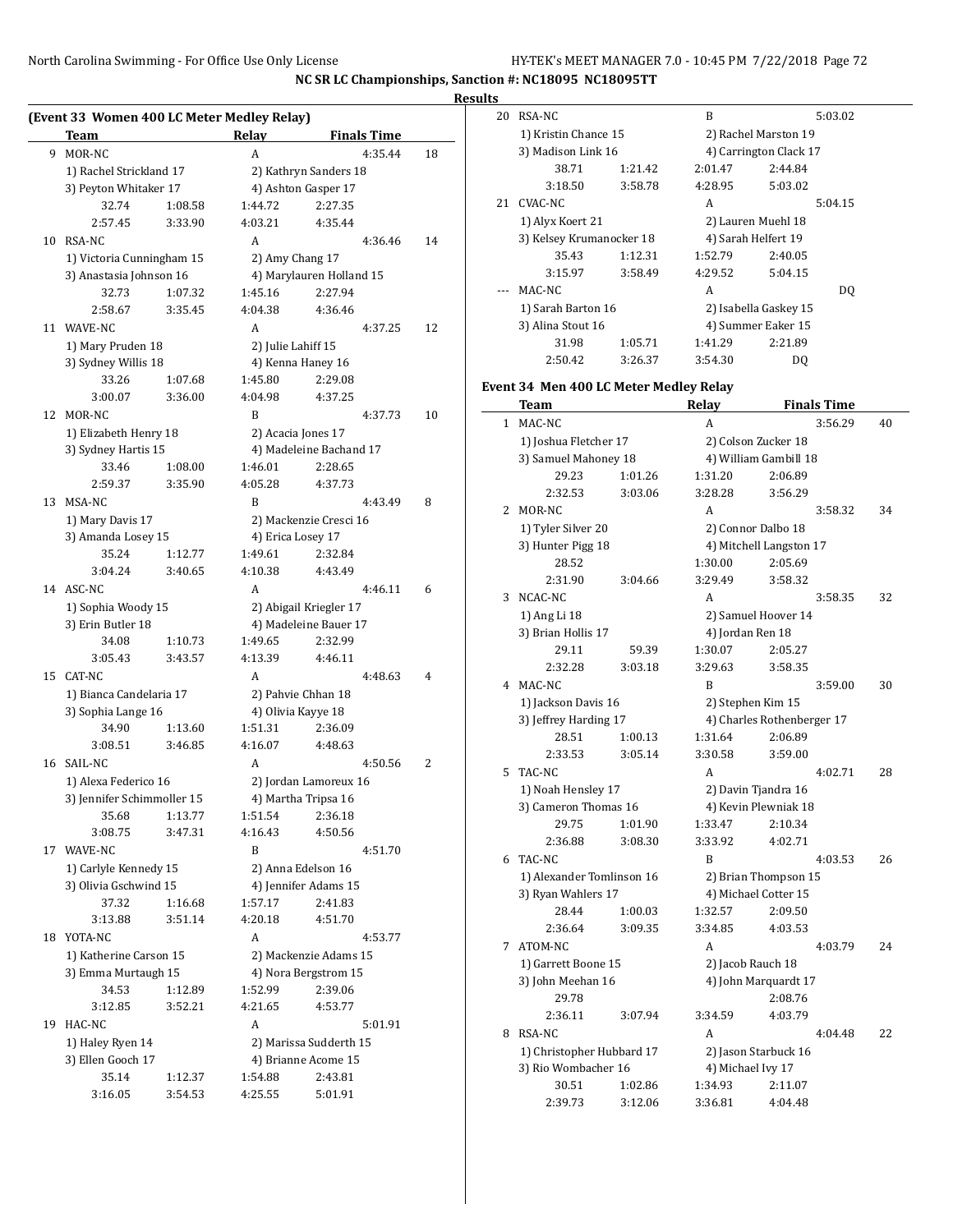### **Results**

|    | (Event 33 Women 400 LC Meter Medley Relay)<br>Team |         | Relay                                      | <b>Finals Time</b>               |    |  |
|----|----------------------------------------------------|---------|--------------------------------------------|----------------------------------|----|--|
| 9  | MOR-NC                                             |         | A                                          | 4:35.44                          | 18 |  |
|    | 1) Rachel Strickland 17                            |         | 2) Kathryn Sanders 18                      |                                  |    |  |
|    | 3) Peyton Whitaker 17                              |         | 4) Ashton Gasper 17                        |                                  |    |  |
|    | 32.74                                              | 1:08.58 | 1:44.72                                    | 2:27.35                          |    |  |
|    | 2:57.45                                            | 3:33.90 | 4:03.21                                    | 4:35.44                          |    |  |
| 10 | <b>RSA-NC</b>                                      |         | A                                          | 4:36.46                          | 14 |  |
|    | 1) Victoria Cunningham 15                          |         | 2) Amy Chang 17                            |                                  |    |  |
|    | 3) Anastasia Johnson 16                            |         |                                            | 4) Marylauren Holland 15         |    |  |
|    | 32.73                                              | 1:07.32 | 1:45.16                                    | 2:27.94                          |    |  |
|    | 2:58.67                                            | 3:35.45 | 4:04.38                                    | 4:36.46                          |    |  |
| 11 | WAVE-NC                                            |         | A                                          | 4:37.25                          | 12 |  |
|    | 1) Mary Pruden 18                                  |         | 2) Julie Lahiff 15                         |                                  |    |  |
|    | 3) Sydney Willis 18                                |         |                                            | 4) Kenna Haney 16                |    |  |
|    | 33.26                                              | 1:07.68 | 1:45.80                                    | 2:29.08                          |    |  |
|    | 3:00.07                                            | 3:36.00 | 4:04.98                                    | 4:37.25                          |    |  |
| 12 | MOR-NC                                             |         | B                                          | 4:37.73                          | 10 |  |
|    | 1) Elizabeth Henry 18                              |         |                                            | 2) Acacia Jones 17               |    |  |
|    | 3) Sydney Hartis 15                                |         |                                            | 4) Madeleine Bachand 17          |    |  |
|    | 33.46                                              | 1:08.00 | 1:46.01                                    | 2:28.65                          |    |  |
|    | 2:59.37                                            | 3:35.90 | 4:05.28                                    | 4:37.73                          |    |  |
| 13 | MSA-NC                                             |         | B                                          | 4:43.49                          | 8  |  |
|    | 1) Mary Davis 17                                   |         | 2) Mackenzie Cresci 16                     |                                  |    |  |
|    | 3) Amanda Losey 15                                 |         | 4) Erica Losey 17                          |                                  |    |  |
|    | 35.24                                              | 1:12.77 | 1:49.61                                    | 2:32.84                          |    |  |
|    | 3:04.24                                            | 3:40.65 | 4:10.38                                    | 4:43.49                          |    |  |
| 14 | ASC-NC                                             |         | A                                          | 4:46.11                          | 6  |  |
|    | 1) Sophia Woody 15                                 |         |                                            | 2) Abigail Kriegler 17           |    |  |
|    | 3) Erin Butler 18                                  |         |                                            | 4) Madeleine Bauer 17            |    |  |
|    | 34.08                                              | 1:10.73 | 1:49.65                                    | 2:32.99                          |    |  |
|    | 3:05.43                                            | 3:43.57 | 4:13.39                                    | 4:46.11                          |    |  |
| 15 | CAT-NC                                             |         | A                                          | 4:48.63                          | 4  |  |
|    | 1) Bianca Candelaria 17                            |         |                                            | 2) Pahvie Chhan 18               |    |  |
|    | 3) Sophia Lange 16                                 |         |                                            | 4) Olivia Kayye 18               |    |  |
|    | 34.90                                              | 1:13.60 | 1:51.31                                    | 2:36.09                          |    |  |
|    | 3:08.51                                            | 3:46.85 | 4:16.07                                    | 4:48.63                          |    |  |
|    | 16 SAIL-NC                                         |         | A                                          | 4:50.56                          | 2  |  |
|    | 1) Alexa Federico 16                               |         |                                            | 2) Jordan Lamoreux 16            |    |  |
|    | 3) Jennifer Schimmoller 15                         |         |                                            | 4) Martha Tripsa 16              |    |  |
|    | 35.68                                              | 1:13.77 | 1:51.54                                    | 2:36.18                          |    |  |
|    | 3:08.75                                            | 3:47.31 | 4:16.43                                    | 4:50.56                          |    |  |
| 17 | WAVE-NC                                            |         | B                                          | 4:51.70                          |    |  |
|    | 1) Carlyle Kennedy 15                              |         | 2) Anna Edelson 16<br>4) Jennifer Adams 15 |                                  |    |  |
|    | 3) Olivia Gschwind 15                              | 1:16.68 | 1:57.17                                    |                                  |    |  |
|    | 37.32                                              | 3:51.14 | 4:20.18                                    | 2:41.83<br>4:51.70               |    |  |
| 18 | 3:13.88<br>YOTA-NC                                 |         | A                                          |                                  |    |  |
|    | 1) Katherine Carson 15                             |         |                                            | 4:53.77<br>2) Mackenzie Adams 15 |    |  |
|    | 3) Emma Murtaugh 15                                |         |                                            | 4) Nora Bergstrom 15             |    |  |
|    | 34.53                                              | 1:12.89 | 1:52.99                                    | 2:39.06                          |    |  |
|    | 3:12.85                                            | 3:52.21 | 4:21.65                                    | 4:53.77                          |    |  |
| 19 | HAC-NC                                             |         | A                                          | 5:01.91                          |    |  |
|    | 1) Haley Ryen 14                                   |         |                                            | 2) Marissa Sudderth 15           |    |  |
|    | 3) Ellen Gooch 17                                  |         |                                            | 4) Brianne Acome 15              |    |  |
|    | 35.14                                              | 1:12.37 | 1:54.88                                    | 2:43.81                          |    |  |
|    | 3:16.05                                            | 3:54.53 | 4:25.55                                    | 5:01.91                          |    |  |
|    |                                                    |         |                                            |                                  |    |  |

| 20           | RSA-NC                                 |                    | B                      | 5:03.02                         |    |  |  |
|--------------|----------------------------------------|--------------------|------------------------|---------------------------------|----|--|--|
|              | 1) Kristin Chance 15                   |                    | 2) Rachel Marston 19   |                                 |    |  |  |
|              | 3) Madison Link 16                     |                    | 4) Carrington Clack 17 |                                 |    |  |  |
|              | 38.71                                  | 1:21.42            | 2:01.47                | 2:44.84                         |    |  |  |
|              | 3:18.50                                | 3:58.78            | 4:28.95                | 5:03.02                         |    |  |  |
| 21           | <b>CVAC-NC</b>                         |                    | A                      | 5:04.15                         |    |  |  |
|              | 1) Alyx Koert 21                       |                    |                        | 2) Lauren Muehl 18              |    |  |  |
|              | 3) Kelsey Krumanocker 18               |                    |                        | 4) Sarah Helfert 19             |    |  |  |
|              | 35.43                                  | 1:12.31            | 1:52.79                | 2:40.05                         |    |  |  |
|              | 3:15.97                                | 3:58.49            | 4:29.52                | 5:04.15                         |    |  |  |
|              |                                        |                    | A                      |                                 |    |  |  |
| ---          | MAC-NC                                 |                    |                        | DQ                              |    |  |  |
|              | 1) Sarah Barton 16                     |                    |                        | 2) Isabella Gaskey 15           |    |  |  |
|              | 3) Alina Stout 16                      |                    |                        | 4) Summer Eaker 15              |    |  |  |
|              | 31.98                                  | 1:05.71            | 1:41.29                | 2:21.89                         |    |  |  |
|              | 2:50.42                                | 3:26.37            | 3:54.30                | DQ                              |    |  |  |
|              | Event 34 Men 400 LC Meter Medley Relay |                    |                        |                                 |    |  |  |
|              | Team                                   |                    | Relay                  | <b>Finals Time</b>              |    |  |  |
| $\mathbf{1}$ | MAC-NC                                 |                    | A                      | 3:56.29                         | 40 |  |  |
|              | 1) Joshua Fletcher 17                  |                    |                        | 2) Colson Zucker 18             |    |  |  |
|              | 3) Samuel Mahoney 18                   |                    |                        | 4) William Gambill 18           |    |  |  |
|              | 29.23                                  | 1:01.26            | 1:31.20                | 2:06.89                         |    |  |  |
|              | 2:32.53                                | 3:03.06            | 3:28.28                | 3:56.29                         |    |  |  |
| 2            | MOR-NC                                 |                    | A                      | 3:58.32                         | 34 |  |  |
|              | 1) Tyler Silver 20                     |                    |                        | 2) Connor Dalbo 18              |    |  |  |
|              | 3) Hunter Pigg 18                      |                    |                        | 4) Mitchell Langston 17         |    |  |  |
|              | 28.52                                  |                    | 1:30.00                | 2:05.69                         |    |  |  |
|              | 2:31.90                                | 3:04.66            | 3:29.49                | 3:58.32                         |    |  |  |
| 3            | NCAC-NC                                |                    | A                      | 3:58.35                         | 32 |  |  |
|              | 1) Ang Li 18                           |                    |                        | 2) Samuel Hoover 14             |    |  |  |
|              | 3) Brian Hollis 17                     |                    | 4) Jordan Ren 18       |                                 |    |  |  |
|              | 29.11                                  | 59.39              | 1:30.07                | 2:05.27                         |    |  |  |
|              | 2:32.28                                | 3:03.18            | 3:29.63                | 3:58.35                         |    |  |  |
|              | 4 MAC-NC                               |                    | B                      | 3:59.00                         | 30 |  |  |
|              | 1) Jackson Davis 16                    |                    | 2) Stephen Kim 15      |                                 |    |  |  |
|              | 3) Jeffrey Harding 17                  |                    |                        | 4) Charles Rothenberger 17      |    |  |  |
|              | 28.51                                  | 1:00.13            | 1:31.64                | 2:06.89                         |    |  |  |
|              | 2:33.53                                | 3:05.14            | 3:30.58                | 3:59.00                         |    |  |  |
| 5.           | TAC-NC                                 |                    | A                      | 4:02.71                         |    |  |  |
|              |                                        |                    |                        |                                 | 28 |  |  |
|              | 1) Noah Hensley 17                     |                    |                        | 2) Davin Tjandra 16             |    |  |  |
|              | 3) Cameron Thomas 16                   |                    |                        | 4) Kevin Plewniak 18<br>2:10.34 |    |  |  |
|              | 29.75<br>2:36.88                       | 1:01.90<br>3:08.30 | 1:33.47<br>3:33.92     | 4:02.71                         |    |  |  |
|              |                                        |                    |                        |                                 |    |  |  |
| 6            | TAC-NC                                 |                    | B                      | 4:03.53                         | 26 |  |  |
|              | 1) Alexander Tomlinson 16              |                    |                        | 2) Brian Thompson 15            |    |  |  |
|              | 3) Ryan Wahlers 17                     |                    |                        | 4) Michael Cotter 15            |    |  |  |
|              | 28.44                                  | 1:00.03            | 1:32.57                | 2:09.50                         |    |  |  |
|              | 2:36.64                                | 3:09.35            | 3:34.85                | 4:03.53                         |    |  |  |
| 7            | ATOM-NC                                |                    | A                      | 4:03.79                         | 24 |  |  |
|              | 1) Garrett Boone 15                    |                    | 2) Jacob Rauch 18      |                                 |    |  |  |
|              | 3) John Meehan 16                      |                    |                        | 4) John Marquardt 17            |    |  |  |
|              | 29.78                                  |                    |                        | 2:08.76                         |    |  |  |
|              | 2:36.11                                | 3:07.94            | 3:34.59                | 4:03.79                         |    |  |  |
| 8            | RSA-NC                                 |                    | A                      | 4:04.48                         | 22 |  |  |
|              | 1) Christopher Hubbard 17              |                    |                        | 2) Jason Starbuck 16            |    |  |  |
|              | 3) Rio Wombacher 16                    |                    | 4) Michael Ivy 17      |                                 |    |  |  |
|              | 30.51                                  | 1:02.86            | 1:34.93                | 2:11.07                         |    |  |  |
|              | 2:39.73                                | 3:12.06            | 3:36.81                | 4:04.48                         |    |  |  |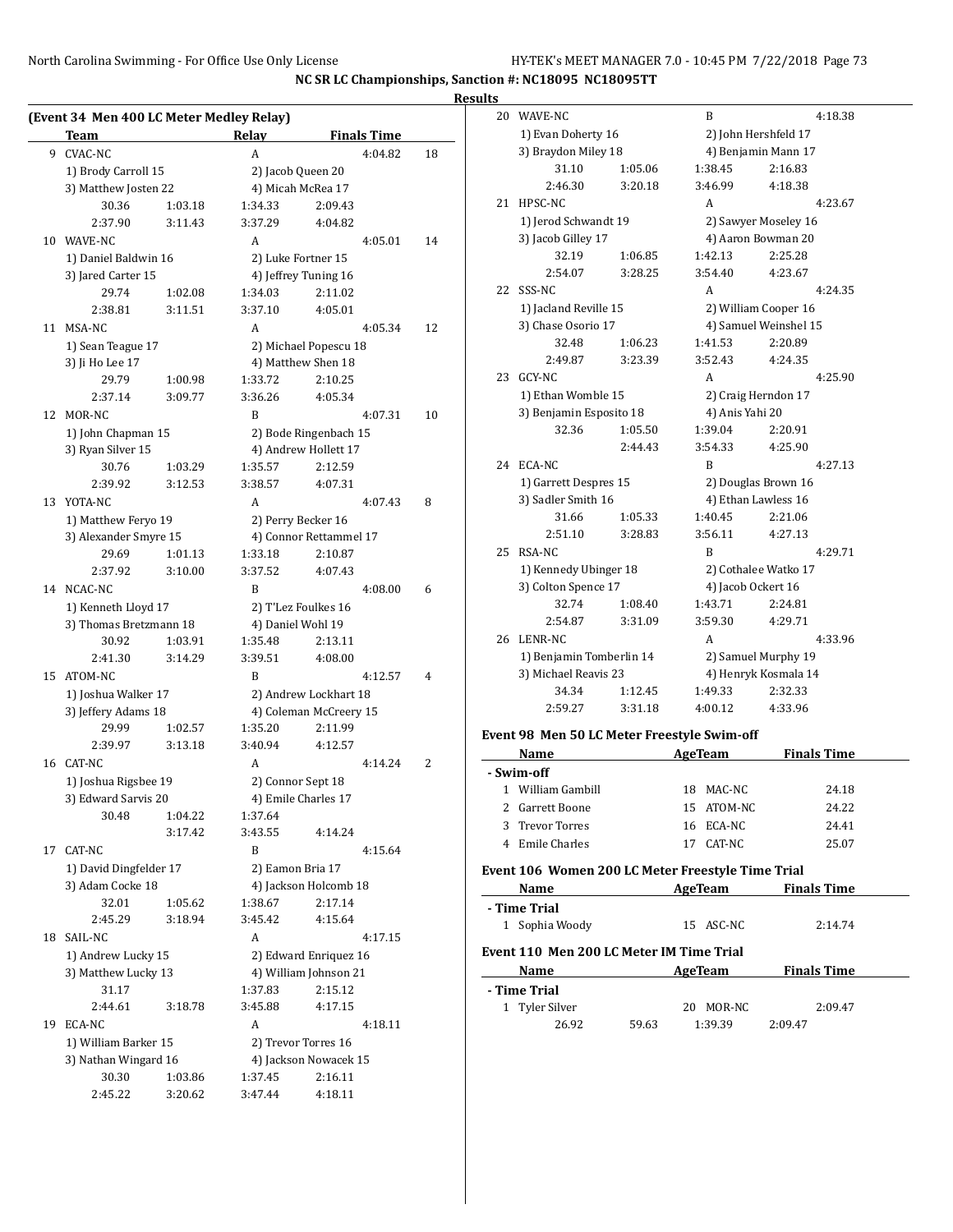**NC SR LC Championships, Sanction #: NC18095 NC18095TT**

### **Results**

|    | (Event 34 Men 400 LC Meter Medley Relay)<br>Team |         | Relay                                  | <b>Finals Time</b>     |    |  |
|----|--------------------------------------------------|---------|----------------------------------------|------------------------|----|--|
| 9  | <b>CVAC-NC</b>                                   |         | A                                      | 4:04.82                | 18 |  |
|    | 1) Brody Carroll 15                              |         |                                        |                        |    |  |
|    | 3) Matthew Josten 22                             |         | 2) Jacob Queen 20<br>4) Micah McRea 17 |                        |    |  |
|    | 30.36                                            | 1:03.18 | 1:34.33                                | 2:09.43                |    |  |
|    | 2:37.90                                          | 3:11.43 | 3:37.29                                | 4:04.82                |    |  |
| 10 | WAVE-NC                                          |         | A                                      | 4:05.01                | 14 |  |
|    |                                                  |         |                                        |                        |    |  |
|    | 1) Daniel Baldwin 16                             |         |                                        | 2) Luke Fortner 15     |    |  |
|    | 3) Jared Carter 15                               |         |                                        | 4) Jeffrey Tuning 16   |    |  |
|    | 29.74                                            | 1:02.08 | 1:34.03                                | 2:11.02<br>4:05.01     |    |  |
|    | 2:38.81                                          | 3:11.51 | 3:37.10                                |                        |    |  |
| 11 | MSA-NC                                           |         | A                                      | 4:05.34                | 12 |  |
|    | 1) Sean Teague 17                                |         |                                        | 2) Michael Popescu 18  |    |  |
|    | 3) Ji Ho Lee 17                                  |         |                                        | 4) Matthew Shen 18     |    |  |
|    | 29.79                                            | 1:00.98 | 1:33.72                                | 2:10.25                |    |  |
|    | 2:37.14                                          | 3:09.77 | 3:36.26                                | 4:05.34                |    |  |
| 12 | MOR-NC                                           |         | B                                      | 4:07.31                | 10 |  |
|    | 1) John Chapman 15                               |         |                                        | 2) Bode Ringenbach 15  |    |  |
|    | 3) Ryan Silver 15                                |         |                                        | 4) Andrew Hollett 17   |    |  |
|    | 30.76                                            | 1:03.29 | 1:35.57                                | 2:12.59                |    |  |
|    | 2:39.92                                          | 3:12.53 | 3:38.57                                | 4:07.31                |    |  |
| 13 | YOTA-NC                                          |         | A                                      | 4:07.43                | 8  |  |
|    | 1) Matthew Feryo 19                              |         |                                        | 2) Perry Becker 16     |    |  |
|    | 3) Alexander Smyre 15                            |         |                                        | 4) Connor Rettammel 17 |    |  |
|    | 29.69                                            | 1:01.13 | 1:33.18                                | 2:10.87                |    |  |
|    | 2:37.92                                          | 3:10.00 | 3:37.52                                | 4:07.43                |    |  |
|    | 14 NCAC-NC                                       |         | B                                      | 4:08.00                | 6  |  |
|    | 1) Kenneth Lloyd 17                              |         |                                        | 2) T'Lez Foulkes 16    |    |  |
|    | 3) Thomas Bretzmann 18                           |         |                                        | 4) Daniel Wohl 19      |    |  |
|    | 30.92                                            | 1:03.91 | 1:35.48                                | 2:13.11                |    |  |
|    | 2:41.30                                          | 3:14.29 | 3:39.51                                | 4:08.00                |    |  |
| 15 | ATOM-NC                                          |         | B                                      | 4:12.57                | 4  |  |
|    | 1) Joshua Walker 17                              |         |                                        | 2) Andrew Lockhart 18  |    |  |
|    | 3) Jeffery Adams 18                              |         |                                        | 4) Coleman McCreery 15 |    |  |
|    | 29.99                                            | 1:02.57 | 1:35.20                                | 2:11.99                |    |  |
|    | 2:39.97                                          | 3:13.18 | 3:40.94                                | 4:12.57                |    |  |
| 16 | CAT-NC                                           |         | A                                      | 4:14.24                | 2  |  |
|    | 1) Joshua Rigsbee 19                             |         |                                        | 2) Connor Sept 18      |    |  |
|    | 3) Edward Sarvis 20                              |         |                                        | 4) Emile Charles 17    |    |  |
|    | 30.48                                            | 1:04.22 | 1:37.64                                |                        |    |  |
|    |                                                  | 3:17.42 | 3:43.55                                | 4:14.24                |    |  |
|    | 17 CAT-NC                                        |         | B                                      | 4:15.64                |    |  |
|    | 1) David Dingfelder 17                           |         | 2) Eamon Bria 17                       |                        |    |  |
|    | 3) Adam Cocke 18                                 |         |                                        | 4) Jackson Holcomb 18  |    |  |
|    | 32.01                                            | 1:05.62 | 1:38.67                                | 2:17.14                |    |  |
|    | 2:45.29                                          | 3:18.94 | 3:45.42                                | 4:15.64                |    |  |
| 18 | SAIL-NC                                          |         | A                                      | 4:17.15                |    |  |
|    | 1) Andrew Lucky 15                               |         |                                        | 2) Edward Enriquez 16  |    |  |
|    | 3) Matthew Lucky 13                              |         |                                        | 4) William Johnson 21  |    |  |
|    | 31.17                                            |         | 1:37.83                                | 2:15.12                |    |  |
|    | 2:44.61                                          | 3:18.78 | 3:45.88                                | 4:17.15                |    |  |
| 19 | ECA-NC                                           |         | A                                      | 4:18.11                |    |  |
|    | 1) William Barker 15                             |         |                                        | 2) Trevor Torres 16    |    |  |
|    | 3) Nathan Wingard 16                             |         |                                        | 4) Jackson Nowacek 15  |    |  |
|    | 30.30                                            | 1:03.86 | 1:37.45                                | 2:16.11                |    |  |
|    | 2:45.22                                          | 3:20.62 | 3:47.44                                | 4:18.11                |    |  |

| 20 | WAVE-NC                  |         | B                           | 4:18.38 |  |  |
|----|--------------------------|---------|-----------------------------|---------|--|--|
|    | 1) Evan Doherty 16       |         | 2) John Hershfeld 17        |         |  |  |
|    | 3) Braydon Miley 18      |         | 4) Benjamin Mann 17         |         |  |  |
|    | 31.10                    | 1:05.06 | 1:38.45                     | 2:16.83 |  |  |
|    | 2:46.30                  | 3:20.18 | 3:46.99                     | 4:18.38 |  |  |
| 21 | HPSC-NC                  |         | A                           | 4:23.67 |  |  |
|    | 1) Jerod Schwandt 19     |         | 2) Sawyer Moseley 16        |         |  |  |
|    | 3) Jacob Gilley 17       |         | 4) Aaron Bowman 20          |         |  |  |
|    | 32.19                    | 1:06.85 | 1:42.13                     | 2:25.28 |  |  |
|    | 2:54.07                  | 3:28.25 | 3:54.40                     | 4:23.67 |  |  |
| 22 | SSS-NC                   |         | A                           | 4:24.35 |  |  |
|    | 1) Jacland Reville 15    |         | 2) William Cooper 16        |         |  |  |
|    | 3) Chase Osorio 17       |         | 4) Samuel Weinshel 15       |         |  |  |
|    | 32.48                    | 1:06.23 | 1:41.53                     | 2:20.89 |  |  |
|    | 2:49.87                  | 3:23.39 | 3:52.43                     | 4:24.35 |  |  |
| 23 | GCY-NC                   |         | A                           | 4:25.90 |  |  |
|    | 1) Ethan Womble 15       |         | 2) Craig Herndon 17         |         |  |  |
|    | 3) Benjamin Esposito 18  |         | 4) Anis Yahi 20             |         |  |  |
|    | 32.36                    | 1:05.50 | 1:39.04                     | 2:20.91 |  |  |
|    |                          | 2:44.43 | 3:54.33                     | 4:25.90 |  |  |
| 24 | ECA-NC                   |         | B                           | 4:27.13 |  |  |
|    | 1) Garrett Despres 15    |         | 2) Douglas Brown 16         |         |  |  |
|    | 3) Sadler Smith 16       |         | 4) Ethan Lawless 16         |         |  |  |
|    | 31.66                    | 1:05.33 | 1:40.45                     | 2:21.06 |  |  |
|    | 2:51.10                  | 3:28.83 | 3:56.11                     | 4:27.13 |  |  |
| 25 | RSA-NC                   |         | R                           | 4:29.71 |  |  |
|    | 1) Kennedy Ubinger 18    |         | 2) Cothalee Watko 17        |         |  |  |
|    | 3) Colton Spence 17      |         | 4) Jacob Ockert 16          |         |  |  |
|    | 32.74                    | 1:08.40 | 1:43.71                     | 2:24.81 |  |  |
|    | 2:54.87                  | 3:31.09 | 3:59.30                     | 4:29.71 |  |  |
| 26 | LENR-NC                  |         | A                           | 4:33.96 |  |  |
|    | 1) Benjamin Tomberlin 14 |         | 2) Samuel Murphy 19         |         |  |  |
|    | 3) Michael Reavis 23     |         | 4) Henryk Kosmala 14        |         |  |  |
|    | 34.34                    | 1:12.45 | 1:49.33                     | 2:32.33 |  |  |
|    | 2:59.27                  | 3:31.18 | 4:00.12                     | 4:33.96 |  |  |
|    | $\cdots$                 |         | $\sim$ $\sim$ $\sim$ $\sim$ |         |  |  |

### **Event 98 Men 50 LC Meter Freestyle Swim-off**

| Name<br>AgeTeam                          |                                                   |         | <b>Finals Time</b> |                    |  |  |  |
|------------------------------------------|---------------------------------------------------|---------|--------------------|--------------------|--|--|--|
| - Swim-off                               |                                                   |         |                    |                    |  |  |  |
|                                          | William Gambill                                   | 18.     | MAC-NC             | 24.18              |  |  |  |
|                                          | Garrett Boone                                     |         | 15 ATOM-NC         | 24.22              |  |  |  |
|                                          | 3 Trevor Torres                                   |         | 16 ECA-NC          | 24.41              |  |  |  |
|                                          | Emile Charles                                     |         | 17 CAT-NC          | 25.07              |  |  |  |
|                                          | Event 106 Women 200 LC Meter Freestyle Time Trial |         |                    |                    |  |  |  |
|                                          | Name                                              | AgeTeam |                    | <b>Finals Time</b> |  |  |  |
|                                          | - Time Trial                                      |         |                    |                    |  |  |  |
|                                          | Sophia Woody                                      |         | 15 ASC-NC          | 2:14.74            |  |  |  |
| Event 110 Men 200 LC Meter IM Time Trial |                                                   |         |                    |                    |  |  |  |
|                                          | Name                                              |         | AgeTeam            | <b>Finals Time</b> |  |  |  |

| - Time Trial   |       |       |               |         |
|----------------|-------|-------|---------------|---------|
| 1 Tyler Silver |       |       | MOR-NC<br>20. | 2:09.47 |
|                | 26.92 | 59.63 | 1:39.39       | 2:09.47 |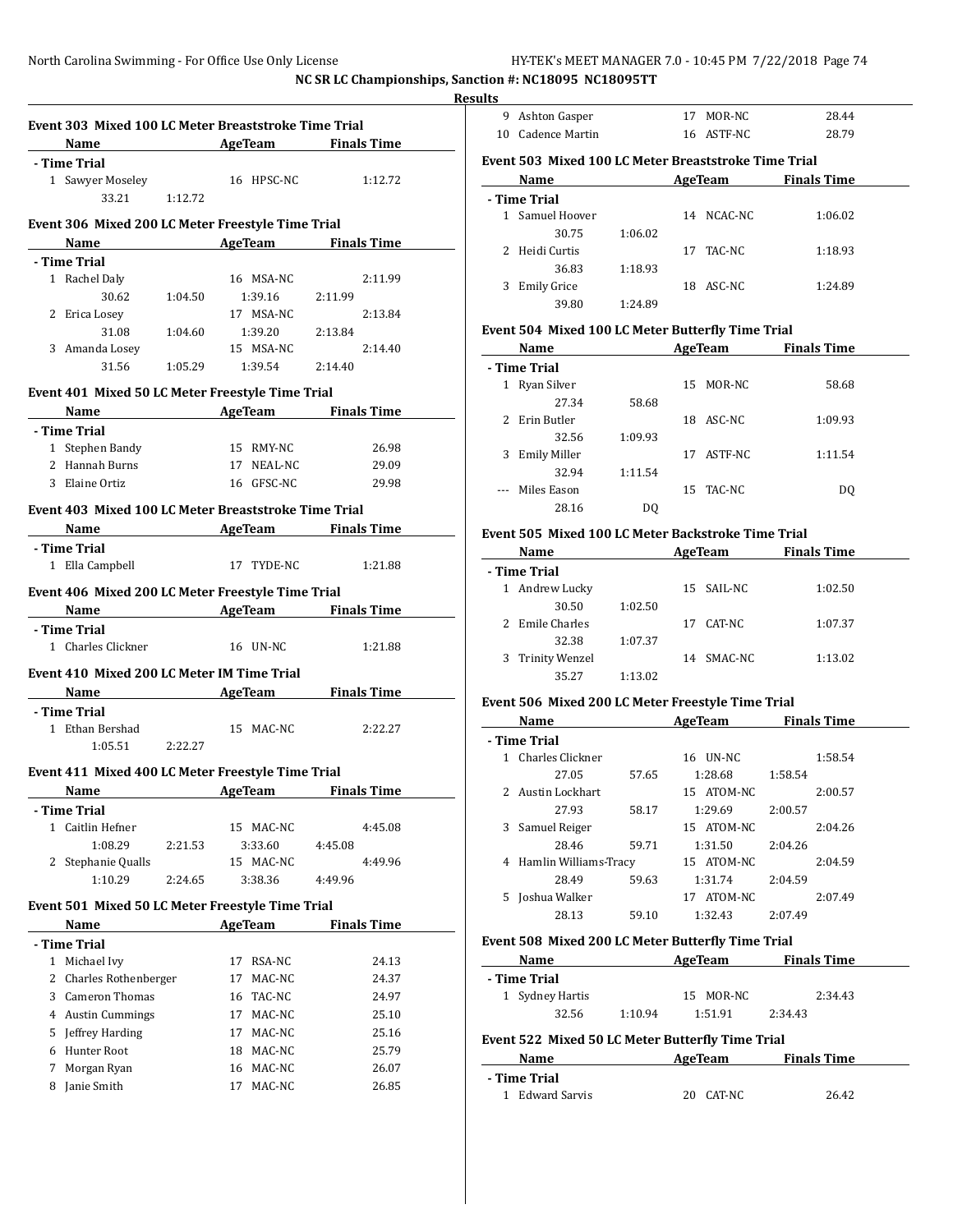**NC SR LC Championships, Sanction #: NC18095 NC18095TT**

 $\overline{\phantom{0}}$ 

 $\overline{a}$ 

|              |                                                      |         |                                                                        | Name AgeTeam Finals Time                           |
|--------------|------------------------------------------------------|---------|------------------------------------------------------------------------|----------------------------------------------------|
|              | - Time Trial                                         |         |                                                                        |                                                    |
|              | 1 Sawyer Moseley                                     |         | 16 HPSC-NC                                                             | 1:12.72                                            |
|              | 33.21 1:12.72                                        |         |                                                                        |                                                    |
|              |                                                      |         |                                                                        |                                                    |
|              | Event 306 Mixed 200 LC Meter Freestyle Time Trial    |         |                                                                        | <b>Name</b> AgeTeam Finals Time                    |
|              | - Time Trial                                         |         |                                                                        |                                                    |
|              | 1 Rachel Daly                                        |         | 16 MSA-NC                                                              | 2:11.99                                            |
|              |                                                      |         | 30.62 1:04.50 1:39.16 2:11.99                                          |                                                    |
|              | 2 Erica Losey                                        |         | 17 MSA-NC                                                              | 2:13.84                                            |
|              |                                                      |         | $31.08 \qquad \quad 1:04.60 \qquad \quad 1:39.20 \qquad \quad 2:13.84$ |                                                    |
|              | 3 Amanda Losey                                       |         | 15 MSA-NC                                                              | 2:14.40                                            |
|              |                                                      |         | $31.56 \qquad \quad 1:05.29 \qquad \quad 1:39.54 \qquad \quad 2:14.40$ |                                                    |
|              |                                                      |         |                                                                        |                                                    |
|              | Event 401 Mixed 50 LC Meter Freestyle Time Trial     |         |                                                                        |                                                    |
|              |                                                      |         |                                                                        | Name AgeTeam Finals Time                           |
|              | - Time Trial                                         |         |                                                                        |                                                    |
|              | 1 Stephen Bandy                                      |         | 15 RMY-NC                                                              | 26.98                                              |
|              | 2 Hannah Burns                                       |         |                                                                        | 17 NEAL-NC 29.09                                   |
|              | 3 Elaine Ortiz                                       |         |                                                                        | 16 GFSC-NC 29.98                                   |
|              | Event 403 Mixed 100 LC Meter Breaststroke Time Trial |         |                                                                        |                                                    |
|              |                                                      |         |                                                                        | <b>Example 2 Second Manual AgeTeam</b> Finals Time |
|              | - Time Trial                                         |         |                                                                        |                                                    |
|              | 1 Ella Campbell                                      |         | 17 TYDE-NC                                                             | 1:21.88                                            |
|              |                                                      |         |                                                                        |                                                    |
|              | Event 406 Mixed 200 LC Meter Freestyle Time Trial    |         |                                                                        |                                                    |
|              |                                                      |         |                                                                        | <b>Example 2 Second AgeTeam</b> Pinals Time        |
|              | - Time Trial                                         |         |                                                                        |                                                    |
|              | 1 Charles Clickner                                   |         | 16 UN-NC                                                               | 1:21.88                                            |
|              | Event 410 Mixed 200 LC Meter IM Time Trial           |         |                                                                        |                                                    |
|              |                                                      |         |                                                                        | <b>Name</b> AgeTeam Finals Time                    |
|              |                                                      |         |                                                                        |                                                    |
|              | - Time Trial                                         |         |                                                                        |                                                    |
|              | 1 Ethan Bershad 15 MAC-NC                            |         |                                                                        | 2:22.27                                            |
|              | $1:05.51$ $2:22.27$                                  |         |                                                                        |                                                    |
|              |                                                      |         |                                                                        |                                                    |
|              | Event 411 Mixed 400 LC Meter Freestyle Time Trial    |         |                                                                        |                                                    |
|              | - Time Trial                                         |         |                                                                        |                                                    |
| $\mathbf{1}$ | Caitlin Hefner                                       |         | 15 MAC-NC                                                              | 4:45.08                                            |
|              | 1:08.29                                              | 2:21.53 |                                                                        | 4:45.08                                            |
| 2            |                                                      |         | 3:33.60                                                                | 4:49.96                                            |
|              | Stephanie Qualls<br>1:10.29                          | 2:24.65 | 15 MAC-NC<br>3:38.36                                                   | 4:49.96                                            |
|              |                                                      |         |                                                                        |                                                    |
|              | Event 501 Mixed 50 LC Meter Freestyle Time Trial     |         |                                                                        |                                                    |
|              | Name                                                 |         | <b>AgeTeam</b>                                                         | <b>Finals Time</b>                                 |
|              | - Time Trial                                         |         |                                                                        |                                                    |
|              | 1 Michael Ivy                                        |         | RSA-NC<br>17                                                           | 24.13                                              |
| 2            | Charles Rothenberger                                 |         | 17<br>MAC-NC                                                           | 24.37                                              |
| 3            | Cameron Thomas                                       |         | 16 TAC-NC                                                              | 24.97                                              |
|              | 4 Austin Cummings                                    |         | 17 MAC-NC                                                              | 25.10                                              |
| 5            | Jeffrey Harding                                      |         | 17 MAC-NC                                                              | 25.16                                              |
| 6            | Hunter Root<br>Morgan Ryan                           |         | 18 MAC-NC<br>16 MAC-NC                                                 | 25.79                                              |

8 Janie Smith 17 MAC-NC 26.85

| <b>Results</b> |                                                      |         |     |            |                    |
|----------------|------------------------------------------------------|---------|-----|------------|--------------------|
| 9              | Ashton Gasper                                        |         | 17  | MOR-NC     | 28.44              |
| 10.            | Cadence Martin                                       |         |     | 16 ASTF-NC | 28.79              |
|                | Event 503 Mixed 100 LC Meter Breaststroke Time Trial |         |     |            |                    |
|                | Name                                                 |         |     | AgeTeam    | <b>Finals Time</b> |
|                | - Time Trial                                         |         |     |            |                    |
|                | 1 Samuel Hoover                                      |         |     | 14 NCAC-NC | 1:06.02            |
|                | 30.75                                                | 1:06.02 |     |            |                    |
| $\mathcal{P}$  | Heidi Curtis                                         |         | 17  | TAC-NC     | 1:18.93            |
|                | 36.83                                                | 1:18.93 |     |            |                    |
| 3              | <b>Emily Grice</b>                                   |         | 18. | ASC-NC     | 1:24.89            |
|                | 39.80                                                | 1:24.89 |     |            |                    |
|                | Event 504 Mixed 100 LC Meter Butterfly Time Trial    |         |     |            |                    |

|              | Name                |         |    | AgeTeam   | <b>Finals Time</b> |  |
|--------------|---------------------|---------|----|-----------|--------------------|--|
| - Time Trial |                     |         |    |           |                    |  |
| 1            | Ryan Silver         |         | 15 | MOR-NC    | 58.68              |  |
|              | 27.34               | 58.68   |    |           |                    |  |
|              | 2 Erin Butler       |         | 18 | ASC-NC    | 1:09.93            |  |
|              | 32.56               | 1:09.93 |    |           |                    |  |
| 3            | <b>Emily Miller</b> |         | 17 | ASTF-NC   | 1:11.54            |  |
|              | 32.94               | 1:11.54 |    |           |                    |  |
|              | Miles Eason         |         |    | 15 TAC-NC | DO.                |  |
|              | 28.16               | DO      |    |           |                    |  |

#### **Event 505 Mixed 100 LC Meter Backstroke Time Trial**

| Name             |         | AgeTeam      | <b>Finals Time</b> |  |
|------------------|---------|--------------|--------------------|--|
| - Time Trial     |         |              |                    |  |
| 1 Andrew Lucky   |         | 15 SAIL-NC   | 1:02.50            |  |
| 30.50            | 1:02.50 |              |                    |  |
| 2 Emile Charles  |         | CAT-NC<br>17 | 1:07.37            |  |
| 32.38            | 1:07.37 |              |                    |  |
| 3 Trinity Wenzel |         | 14 SMAC-NC   | 1:13.02            |  |
| 35.27            | 1:13.02 |              |                    |  |

#### **Event 506 Mixed 200 LC Meter Freestyle Time Trial**

|              | Name                  |       | AgeTeam       | <b>Finals Time</b> |  |  |  |
|--------------|-----------------------|-------|---------------|--------------------|--|--|--|
| - Time Trial |                       |       |               |                    |  |  |  |
|              | Charles Clickner      |       | UN-NC<br>16   | 1:58.54            |  |  |  |
|              | 27.05                 | 57.65 | 1:28.68       | 1:58.54            |  |  |  |
|              | 2 Austin Lockhart     |       | 15 ATOM-NC    | 2:00.57            |  |  |  |
|              | 27.93                 | 58.17 | 1:29.69       | 2:00.57            |  |  |  |
| 3            | Samuel Reiger         |       | 15 ATOM-NC    | 2:04.26            |  |  |  |
|              | 28.46                 | 59.71 | 1:31.50       | 2:04.26            |  |  |  |
| 4            | Hamlin Williams-Tracy |       | 15 ATOM-NC    | 2:04.59            |  |  |  |
|              | 28.49                 | 59.63 | 1:31.74       | 2:04.59            |  |  |  |
|              | Joshua Walker         |       | ATOM-NC<br>17 | 2:07.49            |  |  |  |
|              | 28.13                 | 59.10 | 1:32.43       | 2:07.49            |  |  |  |

### **Event 508 Mixed 200 LC Meter Butterfly Time Trial**

| Name                                             |         | AgeTeam      | <b>Finals Time</b> |  |
|--------------------------------------------------|---------|--------------|--------------------|--|
| - Time Trial                                     |         |              |                    |  |
| 1 Sydney Hartis                                  |         | 15 MOR-NC    | 2:34.43            |  |
| 32.56                                            | 1:10.94 | 1:51.91      | 2:34.43            |  |
| Event 522 Mixed 50 LC Meter Butterfly Time Trial |         |              |                    |  |
| Name                                             |         | AgeTeam      | <b>Finals Time</b> |  |
| - Time Trial                                     |         |              |                    |  |
| 1 Edward Sarvis                                  |         | CAT-NC<br>20 | 26.42              |  |
|                                                  |         |              |                    |  |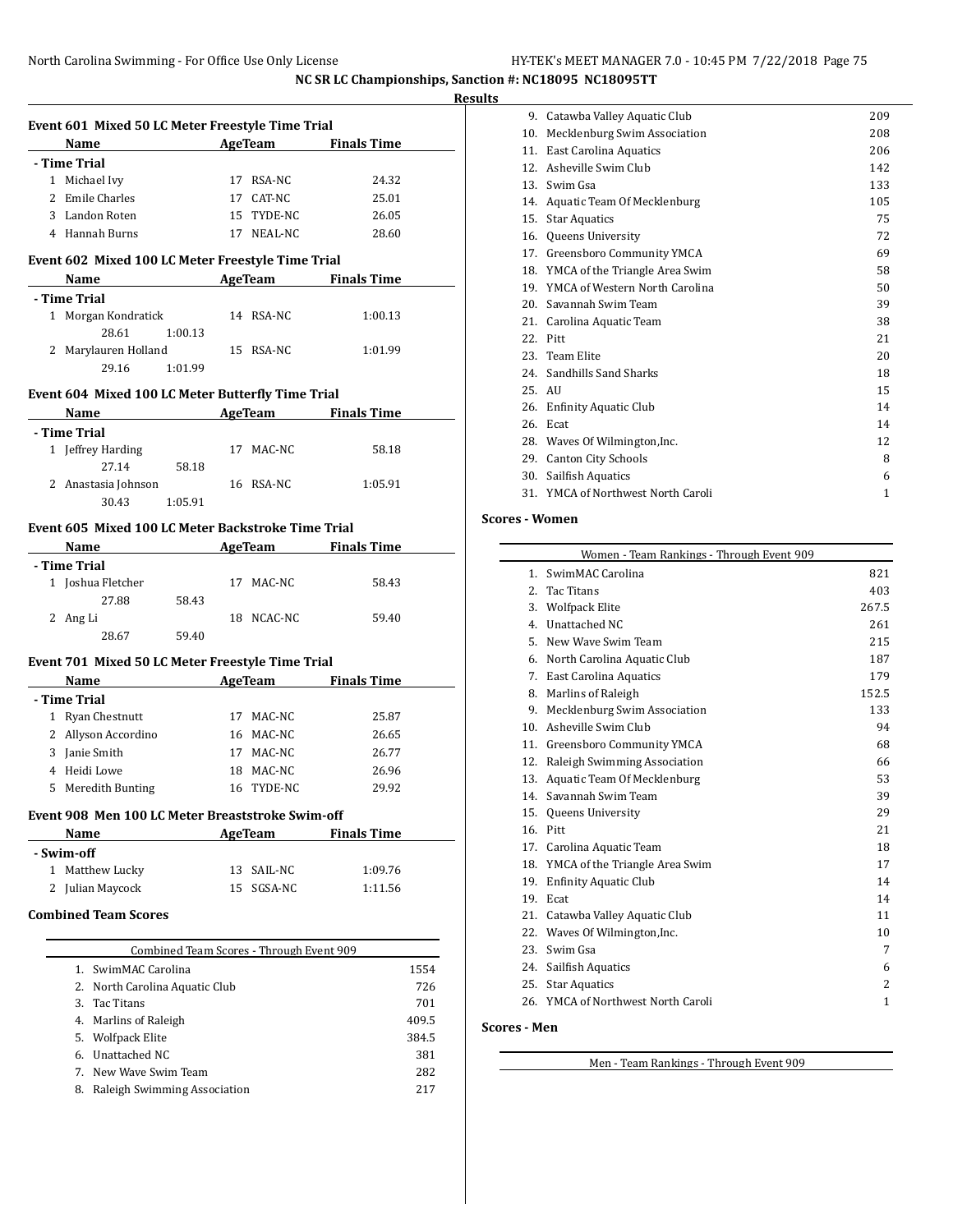**Event 601 Mixed 50 LC Meter Freestyle Time Trial**

| HY-TEK's MEET MANAGER 7.0 - 10:45 PM 7/22/2018 Page 75 |  |  |  |
|--------------------------------------------------------|--|--|--|
|--------------------------------------------------------|--|--|--|

**NC SR LC Championships, Sanction #: NC18095 NC18095TT**

| Results |  |
|---------|--|
|         |  |

| <b>Name</b>                                      |                                                                                                                 |                                                                                                                                                                                                                                                                | AgeTeam Finals Time                                                                                    |                                                                                                                                                                                                                                                                                                                                           |
|--------------------------------------------------|-----------------------------------------------------------------------------------------------------------------|----------------------------------------------------------------------------------------------------------------------------------------------------------------------------------------------------------------------------------------------------------------|--------------------------------------------------------------------------------------------------------|-------------------------------------------------------------------------------------------------------------------------------------------------------------------------------------------------------------------------------------------------------------------------------------------------------------------------------------------|
| - Time Trial                                     |                                                                                                                 |                                                                                                                                                                                                                                                                |                                                                                                        |                                                                                                                                                                                                                                                                                                                                           |
| 1 Michael Ivy                                    |                                                                                                                 | 17 RSA-NC                                                                                                                                                                                                                                                      | 24.32                                                                                                  |                                                                                                                                                                                                                                                                                                                                           |
| 2 Emile Charles                                  |                                                                                                                 | 17 CAT-NC                                                                                                                                                                                                                                                      | 25.01                                                                                                  |                                                                                                                                                                                                                                                                                                                                           |
| 3 Landon Roten                                   |                                                                                                                 |                                                                                                                                                                                                                                                                | 26.05                                                                                                  |                                                                                                                                                                                                                                                                                                                                           |
| 4 Hannah Burns                                   |                                                                                                                 |                                                                                                                                                                                                                                                                | 28.60                                                                                                  |                                                                                                                                                                                                                                                                                                                                           |
|                                                  |                                                                                                                 |                                                                                                                                                                                                                                                                |                                                                                                        |                                                                                                                                                                                                                                                                                                                                           |
|                                                  |                                                                                                                 |                                                                                                                                                                                                                                                                |                                                                                                        |                                                                                                                                                                                                                                                                                                                                           |
| - Time Trial                                     |                                                                                                                 |                                                                                                                                                                                                                                                                |                                                                                                        |                                                                                                                                                                                                                                                                                                                                           |
|                                                  |                                                                                                                 |                                                                                                                                                                                                                                                                | 1:00.13                                                                                                |                                                                                                                                                                                                                                                                                                                                           |
| 28.61                                            |                                                                                                                 |                                                                                                                                                                                                                                                                |                                                                                                        |                                                                                                                                                                                                                                                                                                                                           |
|                                                  |                                                                                                                 |                                                                                                                                                                                                                                                                | 1:01.99                                                                                                |                                                                                                                                                                                                                                                                                                                                           |
|                                                  |                                                                                                                 |                                                                                                                                                                                                                                                                |                                                                                                        |                                                                                                                                                                                                                                                                                                                                           |
|                                                  |                                                                                                                 |                                                                                                                                                                                                                                                                |                                                                                                        |                                                                                                                                                                                                                                                                                                                                           |
|                                                  |                                                                                                                 |                                                                                                                                                                                                                                                                |                                                                                                        |                                                                                                                                                                                                                                                                                                                                           |
| - Time Trial                                     |                                                                                                                 |                                                                                                                                                                                                                                                                |                                                                                                        |                                                                                                                                                                                                                                                                                                                                           |
| 1 Jeffrey Harding                                |                                                                                                                 |                                                                                                                                                                                                                                                                | 58.18                                                                                                  |                                                                                                                                                                                                                                                                                                                                           |
| 27.14                                            |                                                                                                                 |                                                                                                                                                                                                                                                                |                                                                                                        |                                                                                                                                                                                                                                                                                                                                           |
|                                                  |                                                                                                                 |                                                                                                                                                                                                                                                                | 1:05.91                                                                                                |                                                                                                                                                                                                                                                                                                                                           |
|                                                  |                                                                                                                 |                                                                                                                                                                                                                                                                |                                                                                                        |                                                                                                                                                                                                                                                                                                                                           |
|                                                  |                                                                                                                 |                                                                                                                                                                                                                                                                |                                                                                                        |                                                                                                                                                                                                                                                                                                                                           |
|                                                  |                                                                                                                 |                                                                                                                                                                                                                                                                |                                                                                                        |                                                                                                                                                                                                                                                                                                                                           |
| - Time Trial                                     |                                                                                                                 |                                                                                                                                                                                                                                                                |                                                                                                        |                                                                                                                                                                                                                                                                                                                                           |
| 1 Joshua Fletcher                                |                                                                                                                 |                                                                                                                                                                                                                                                                | 58.43                                                                                                  |                                                                                                                                                                                                                                                                                                                                           |
| 27.88                                            |                                                                                                                 |                                                                                                                                                                                                                                                                |                                                                                                        |                                                                                                                                                                                                                                                                                                                                           |
| 2 Ang Li                                         |                                                                                                                 |                                                                                                                                                                                                                                                                | 59.40                                                                                                  |                                                                                                                                                                                                                                                                                                                                           |
|                                                  |                                                                                                                 |                                                                                                                                                                                                                                                                |                                                                                                        |                                                                                                                                                                                                                                                                                                                                           |
|                                                  |                                                                                                                 |                                                                                                                                                                                                                                                                |                                                                                                        |                                                                                                                                                                                                                                                                                                                                           |
|                                                  |                                                                                                                 |                                                                                                                                                                                                                                                                |                                                                                                        |                                                                                                                                                                                                                                                                                                                                           |
| - Time Trial                                     |                                                                                                                 |                                                                                                                                                                                                                                                                |                                                                                                        |                                                                                                                                                                                                                                                                                                                                           |
| 1 Ryan Chestnutt                                 |                                                                                                                 |                                                                                                                                                                                                                                                                | 25.87                                                                                                  |                                                                                                                                                                                                                                                                                                                                           |
| 2 Allyson Accordino                              |                                                                                                                 | 16 MAC-NC                                                                                                                                                                                                                                                      | 26.65                                                                                                  |                                                                                                                                                                                                                                                                                                                                           |
|                                                  |                                                                                                                 |                                                                                                                                                                                                                                                                |                                                                                                        |                                                                                                                                                                                                                                                                                                                                           |
| 3 Janie Smith                                    |                                                                                                                 | 17 MAC-NC                                                                                                                                                                                                                                                      | 26.77                                                                                                  |                                                                                                                                                                                                                                                                                                                                           |
| 4 Heidi Lowe                                     |                                                                                                                 | 18 MAC-NC                                                                                                                                                                                                                                                      | 26.96                                                                                                  |                                                                                                                                                                                                                                                                                                                                           |
| 5 Meredith Bunting                               |                                                                                                                 | 16 TYDE-NC                                                                                                                                                                                                                                                     | 29.92                                                                                                  |                                                                                                                                                                                                                                                                                                                                           |
| Event 908 Men 100 LC Meter Breaststroke Swim-off |                                                                                                                 |                                                                                                                                                                                                                                                                |                                                                                                        |                                                                                                                                                                                                                                                                                                                                           |
|                                                  |                                                                                                                 |                                                                                                                                                                                                                                                                |                                                                                                        |                                                                                                                                                                                                                                                                                                                                           |
| <b>Name AgeTeam Finals Time</b><br>- Swim-off    |                                                                                                                 |                                                                                                                                                                                                                                                                |                                                                                                        |                                                                                                                                                                                                                                                                                                                                           |
| 1<br>Matthew Lucky                               | 13                                                                                                              | SAIL-NC                                                                                                                                                                                                                                                        | 1:09.76                                                                                                |                                                                                                                                                                                                                                                                                                                                           |
| Julian Maycock                                   | 15                                                                                                              | SGSA-NC                                                                                                                                                                                                                                                        | 1:11.56                                                                                                |                                                                                                                                                                                                                                                                                                                                           |
| <b>Combined Team Scores</b>                      |                                                                                                                 |                                                                                                                                                                                                                                                                |                                                                                                        |                                                                                                                                                                                                                                                                                                                                           |
|                                                  |                                                                                                                 |                                                                                                                                                                                                                                                                |                                                                                                        |                                                                                                                                                                                                                                                                                                                                           |
|                                                  |                                                                                                                 | Combined Team Scores - Through Event 909                                                                                                                                                                                                                       |                                                                                                        |                                                                                                                                                                                                                                                                                                                                           |
| 1. SwimMAC Carolina                              |                                                                                                                 |                                                                                                                                                                                                                                                                |                                                                                                        | 1554                                                                                                                                                                                                                                                                                                                                      |
| 2. North Carolina Aquatic Club                   |                                                                                                                 |                                                                                                                                                                                                                                                                |                                                                                                        | 726                                                                                                                                                                                                                                                                                                                                       |
| 3.<br>Tac Titans                                 |                                                                                                                 |                                                                                                                                                                                                                                                                |                                                                                                        | 701                                                                                                                                                                                                                                                                                                                                       |
| 4. Marlins of Raleigh                            |                                                                                                                 |                                                                                                                                                                                                                                                                |                                                                                                        | 409.5                                                                                                                                                                                                                                                                                                                                     |
| 5. Wolfpack Elite                                |                                                                                                                 |                                                                                                                                                                                                                                                                |                                                                                                        | 384.5                                                                                                                                                                                                                                                                                                                                     |
| 6. Unattached NC<br>7. New Wave Swim Team        |                                                                                                                 |                                                                                                                                                                                                                                                                |                                                                                                        | 381<br>282                                                                                                                                                                                                                                                                                                                                |
|                                                  | 1 Morgan Kondratick<br>1:00.13<br>29.16 1:01.99<br>2 Anastasia Johnson<br>30.43 1:05.91<br>58.43<br>28.67 59.40 | 2 Marylauren Holland<br>58.18<br>Name and the same state of the state of the state of the state of the state of the state of the state of the state of the state of the state of the state of the state of the state of the state of the state of the state of | 15 TYDE-NC<br>14 RSA-NC<br>15 RSA-NC<br>17 MAC-NC<br>16 RSA-NC<br>17 MAC-NC<br>18 NCAC-NC<br>17 MAC-NC | 17 NEAL-NC<br>Event 602 Mixed 100 LC Meter Freestyle Time Trial<br>Name AgeTeam Finals Time<br>Event 604 Mixed 100 LC Meter Butterfly Time Trial<br>Name AgeTeam Finals Time<br>Event 605 Mixed 100 LC Meter Backstroke Time Trial<br>Name AgeTeam Finals Time<br>Event 701 Mixed 50 LC Meter Freestyle Time Trial<br>AgeTeam Finals Time |

|                 | 9. Catawba Valley Aquatic Club     | 209          |  |
|-----------------|------------------------------------|--------------|--|
| 10.             | Mecklenburg Swim Association       | 208          |  |
| 11.             | <b>East Carolina Aquatics</b>      | 206          |  |
| 12 <sub>1</sub> | Asheville Swim Club                | 142          |  |
| 13.             | Swim Gsa                           | 133          |  |
| 14.             | Aquatic Team Of Mecklenburg        | 105          |  |
| 15.             | <b>Star Aquatics</b>               | 75           |  |
|                 | 16. Queens University              | 72           |  |
|                 | 17. Greensboro Community YMCA      | 69           |  |
|                 | 18. YMCA of the Triangle Area Swim | 58           |  |
|                 | 19. YMCA of Western North Carolina | 50           |  |
| 20.             | Savannah Swim Team                 | 39           |  |
| 21.             | Carolina Aquatic Team              | 38           |  |
|                 | 22. Pitt                           | 21           |  |
|                 | 23. Team Elite                     | 20           |  |
|                 | 24. Sandhills Sand Sharks          | 18           |  |
| 25. AU          |                                    | 15           |  |
|                 | 26. Enfinity Aquatic Club          | 14           |  |
| 26.             | Ecat                               | 14           |  |
|                 | 28. Waves Of Wilmington, Inc.      | 12           |  |
| 29.             | <b>Canton City Schools</b>         | 8            |  |
| 30.             | Sailfish Aquatics                  | 6            |  |
|                 | 31. YMCA of Northwest North Caroli | $\mathbf{1}$ |  |

#### **Scores - Women**

|         | Women - Team Rankings - Through Event 909 |              |
|---------|-------------------------------------------|--------------|
| $1_{-}$ | SwimMAC Carolina                          | 821          |
| 2.      | Tac Titans                                | 403          |
| 3.      | <b>Wolfpack Elite</b>                     | 267.5        |
| 4.      | Unattached NC                             | 261          |
| 5.      | New Wave Swim Team                        | 215          |
| 6.      | North Carolina Aquatic Club               | 187          |
| 7.      | <b>East Carolina Aquatics</b>             | 179          |
| 8.      | Marlins of Raleigh                        | 152.5        |
| 9.      | Mecklenburg Swim Association              | 133          |
| 10.     | Asheville Swim Club                       | 94           |
| 11.     | Greensboro Community YMCA                 | 68           |
| 12.     | Raleigh Swimming Association              | 66           |
| 13.     | Aquatic Team Of Mecklenburg               | 53           |
| 14.     | Savannah Swim Team                        | 39           |
| 15.     | Queens University                         | 29           |
| 16.     | Pitt                                      | 21           |
|         | 17. Carolina Aquatic Team                 | 18           |
|         | 18. YMCA of the Triangle Area Swim        | 17           |
| 19.     | <b>Enfinity Aquatic Club</b>              | 14           |
| 19.     | Ecat                                      | 14           |
| 21.     | Catawba Valley Aquatic Club               | 11           |
|         | 22. Waves Of Wilmington, Inc.             | 10           |
| 23.     | Swim Gsa                                  | 7            |
| 24.     | Sailfish Aquatics                         | 6            |
|         | 25. Star Aquatics                         | 2            |
|         | 26. YMCA of Northwest North Caroli        | $\mathbf{1}$ |

## **Scores - Men**

Men - Team Rankings - Through Event 909